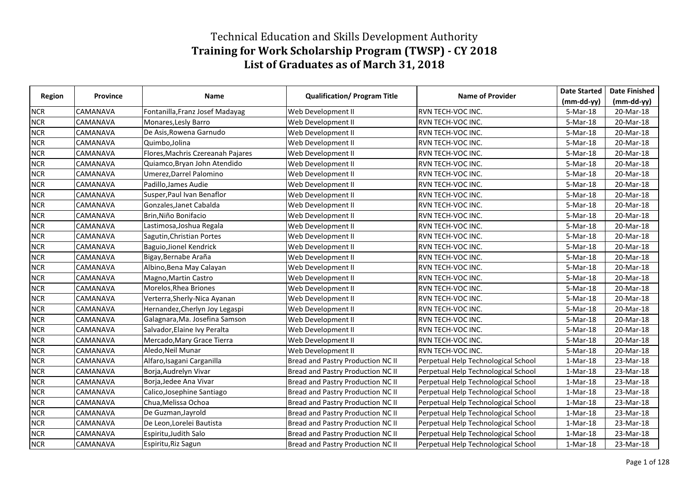## Technical Education and Skills Development Authority **Training for Work Scholarship Program (TWSP) - CY 2018 List of Graduates as of March 31, 2018**

|               |          |                                   |                                     |                                     | <b>Date Started</b> | <b>Date Finished</b> |
|---------------|----------|-----------------------------------|-------------------------------------|-------------------------------------|---------------------|----------------------|
| <b>Region</b> | Province | Name                              | <b>Qualification/ Program Title</b> | <b>Name of Provider</b>             | $(mm-dd-yy)$        | $(mm-dd-yy)$         |
| <b>NCR</b>    | CAMANAVA | Fontanilla, Franz Josef Madayag   | Web Development II                  | RVN TECH-VOC INC.                   | 5-Mar-18            | 20-Mar-18            |
| <b>NCR</b>    | CAMANAVA | Monares, Lesly Barro              | Web Development II                  | <b>RVN TECH-VOC INC.</b>            | 5-Mar-18            | 20-Mar-18            |
| <b>NCR</b>    | CAMANAVA | De Asis, Rowena Garnudo           | Web Development II                  | RVN TECH-VOC INC.                   | 5-Mar-18            | 20-Mar-18            |
| <b>NCR</b>    | CAMANAVA | Quimbo, Jolina                    | Web Development II                  | RVN TECH-VOC INC.                   | 5-Mar-18            | 20-Mar-18            |
| <b>NCR</b>    | CAMANAVA | Flores, Machris Czereanah Pajares | Web Development II                  | RVN TECH-VOC INC.                   | 5-Mar-18            | 20-Mar-18            |
| <b>NCR</b>    | CAMANAVA | Quiamco, Bryan John Atendido      | Web Development II                  | RVN TECH-VOC INC.                   | 5-Mar-18            | 20-Mar-18            |
| <b>NCR</b>    | CAMANAVA | Umerez, Darrel Palomino           | Web Development II                  | RVN TECH-VOC INC.                   | 5-Mar-18            | 20-Mar-18            |
| <b>NCR</b>    | CAMANAVA | Padillo, James Audie              | Web Development II                  | RVN TECH-VOC INC.                   | 5-Mar-18            | 20-Mar-18            |
| <b>NCR</b>    | CAMANAVA | Susper, Paul Ivan Benaflor        | Web Development II                  | RVN TECH-VOC INC.                   | 5-Mar-18            | 20-Mar-18            |
| <b>NCR</b>    | CAMANAVA | Gonzales, Janet Cabalda           | Web Development II                  | RVN TECH-VOC INC.                   | 5-Mar-18            | 20-Mar-18            |
| <b>NCR</b>    | CAMANAVA | Brin, Niño Bonifacio              | Web Development II                  | RVN TECH-VOC INC.                   | 5-Mar-18            | 20-Mar-18            |
| <b>NCR</b>    | CAMANAVA | Lastimosa, Joshua Regala          | Web Development II                  | RVN TECH-VOC INC.                   | 5-Mar-18            | 20-Mar-18            |
| <b>NCR</b>    | CAMANAVA | Sagutin, Christian Portes         | Web Development II                  | RVN TECH-VOC INC.                   | 5-Mar-18            | 20-Mar-18            |
| <b>NCR</b>    | CAMANAVA | Baguio, Jionel Kendrick           | Web Development II                  | RVN TECH-VOC INC.                   | 5-Mar-18            | 20-Mar-18            |
| <b>NCR</b>    | CAMANAVA | Bigay, Bernabe Araña              | Web Development II                  | RVN TECH-VOC INC.                   | 5-Mar-18            | 20-Mar-18            |
| <b>NCR</b>    | CAMANAVA | Albino, Bena May Calayan          | Web Development II                  | RVN TECH-VOC INC.                   | 5-Mar-18            | 20-Mar-18            |
| <b>NCR</b>    | CAMANAVA | Magno, Martin Castro              | Web Development II                  | RVN TECH-VOC INC.                   | 5-Mar-18            | 20-Mar-18            |
| <b>NCR</b>    | CAMANAVA | Morelos, Rhea Briones             | Web Development II                  | RVN TECH-VOC INC.                   | 5-Mar-18            | 20-Mar-18            |
| <b>NCR</b>    | CAMANAVA | Verterra, Sherly-Nica Ayanan      | Web Development II                  | RVN TECH-VOC INC.                   | 5-Mar-18            | 20-Mar-18            |
| <b>NCR</b>    | CAMANAVA | Hernandez, Cherlyn Joy Legaspi    | Web Development II                  | RVN TECH-VOC INC.                   | 5-Mar-18            | 20-Mar-18            |
| <b>NCR</b>    | CAMANAVA | Galagnara, Ma. Josefina Samson    | Web Development II                  | RVN TECH-VOC INC.                   | 5-Mar-18            | 20-Mar-18            |
| <b>NCR</b>    | CAMANAVA | Salvador, Elaine Ivy Peralta      | Web Development II                  | RVN TECH-VOC INC.                   | 5-Mar-18            | 20-Mar-18            |
| <b>NCR</b>    | CAMANAVA | Mercado, Mary Grace Tierra        | Web Development II                  | RVN TECH-VOC INC.                   | 5-Mar-18            | 20-Mar-18            |
| <b>NCR</b>    | CAMANAVA | Aledo, Neil Munar                 | Web Development II                  | RVN TECH-VOC INC.                   | 5-Mar-18            | 20-Mar-18            |
| <b>NCR</b>    | CAMANAVA | Alfaro, Isagani Carganilla        | Bread and Pastry Production NC II   | Perpetual Help Technological School | $1-Mar-18$          | 23-Mar-18            |
| <b>NCR</b>    | CAMANAVA | Borja, Audrelyn Vivar             | Bread and Pastry Production NC II   | Perpetual Help Technological School | $1-Mar-18$          | 23-Mar-18            |
| <b>NCR</b>    | CAMANAVA | Borja, Jedee Ana Vivar            | Bread and Pastry Production NC II   | Perpetual Help Technological School | $1-Mar-18$          | 23-Mar-18            |
| <b>NCR</b>    | CAMANAVA | Calico, Josephine Santiago        | Bread and Pastry Production NC II   | Perpetual Help Technological School | $1-Mar-18$          | 23-Mar-18            |
| <b>NCR</b>    | CAMANAVA | Chua, Melissa Ochoa               | Bread and Pastry Production NC II   | Perpetual Help Technological School | $1-Mar-18$          | 23-Mar-18            |
| <b>NCR</b>    | CAMANAVA | De Guzman, Jayrold                | Bread and Pastry Production NC II   | Perpetual Help Technological School | $1-Mar-18$          | 23-Mar-18            |
| <b>NCR</b>    | CAMANAVA | De Leon, Lorelei Bautista         | Bread and Pastry Production NC II   | Perpetual Help Technological School | $1-Mar-18$          | 23-Mar-18            |
| <b>NCR</b>    | CAMANAVA | Espiritu, Judith Salo             | Bread and Pastry Production NC II   | Perpetual Help Technological School | $1-Mar-18$          | 23-Mar-18            |
| <b>NCR</b>    | CAMANAVA | Espiritu, Riz Sagun               | Bread and Pastry Production NC II   | Perpetual Help Technological School | $1-Mar-18$          | 23-Mar-18            |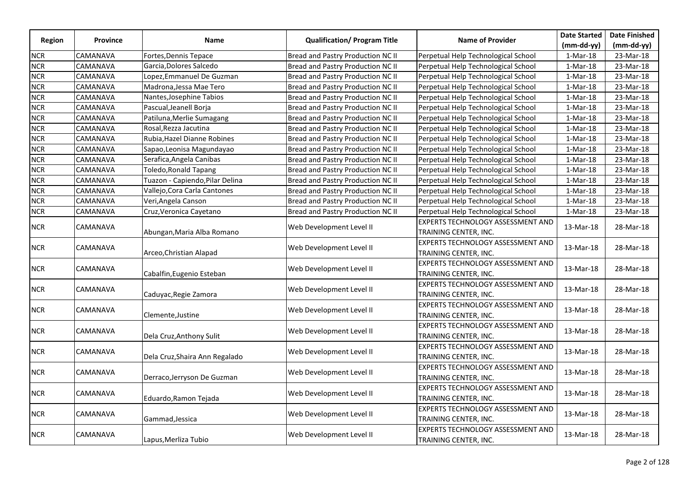|               |                 |                                 |                                     |                                                                   | <b>Date Started</b> | <b>Date Finished</b> |
|---------------|-----------------|---------------------------------|-------------------------------------|-------------------------------------------------------------------|---------------------|----------------------|
| <b>Region</b> | <b>Province</b> | <b>Name</b>                     | <b>Qualification/ Program Title</b> | <b>Name of Provider</b>                                           | $(mm-dd-yy)$        | $(mm-dd-yy)$         |
| <b>NCR</b>    | CAMANAVA        | Fortes, Dennis Tepace           | Bread and Pastry Production NC II   | Perpetual Help Technological School                               | 1-Mar-18            | 23-Mar-18            |
| <b>NCR</b>    | CAMANAVA        | Garcia, Dolores Salcedo         | Bread and Pastry Production NC II   | Perpetual Help Technological School                               | $1-Mar-18$          | 23-Mar-18            |
| <b>NCR</b>    | CAMANAVA        | Lopez, Emmanuel De Guzman       | Bread and Pastry Production NC II   | Perpetual Help Technological School                               | $1-Mar-18$          | 23-Mar-18            |
| <b>NCR</b>    | CAMANAVA        | Madrona, Jessa Mae Tero         | Bread and Pastry Production NC II   | Perpetual Help Technological School                               | $1-Mar-18$          | 23-Mar-18            |
| <b>NCR</b>    | CAMANAVA        | Nantes, Josephine Tabios        | Bread and Pastry Production NC II   | Perpetual Help Technological School                               | $1-Mar-18$          | 23-Mar-18            |
| <b>NCR</b>    | CAMANAVA        | Pascual, Jeanell Borja          | Bread and Pastry Production NC II   | Perpetual Help Technological School                               | $1-Mar-18$          | 23-Mar-18            |
| <b>NCR</b>    | CAMANAVA        | Patiluna, Merlie Sumagang       | Bread and Pastry Production NC II   | Perpetual Help Technological School                               | 1-Mar-18            | 23-Mar-18            |
| <b>NCR</b>    | CAMANAVA        | Rosal, Rezza Jacutina           | Bread and Pastry Production NC II   | Perpetual Help Technological School                               | $1-Mar-18$          | 23-Mar-18            |
| <b>NCR</b>    | CAMANAVA        | Rubia, Hazel Dianne Robines     | Bread and Pastry Production NC II   | Perpetual Help Technological School                               | $1-Mar-18$          | 23-Mar-18            |
| <b>NCR</b>    | CAMANAVA        | Sapao, Leonisa Magundayao       | Bread and Pastry Production NC II   | Perpetual Help Technological School                               | $1-Mar-18$          | 23-Mar-18            |
| <b>NCR</b>    | CAMANAVA        | Serafica, Angela Canibas        | Bread and Pastry Production NC II   | Perpetual Help Technological School                               | 1-Mar-18            | 23-Mar-18            |
| <b>NCR</b>    | CAMANAVA        | <b>Toledo, Ronald Tapang</b>    | Bread and Pastry Production NC II   | Perpetual Help Technological School                               | $1-Mar-18$          | 23-Mar-18            |
| <b>NCR</b>    | CAMANAVA        | Tuazon - Capiendo, Pilar Delina | Bread and Pastry Production NC II   | Perpetual Help Technological School                               | $1-Mar-18$          | 23-Mar-18            |
| <b>NCR</b>    | CAMANAVA        | Vallejo, Cora Carla Cantones    | Bread and Pastry Production NC II   | Perpetual Help Technological School                               | $1-Mar-18$          | 23-Mar-18            |
| <b>NCR</b>    | CAMANAVA        | Veri, Angela Canson             | Bread and Pastry Production NC II   | Perpetual Help Technological School                               | $1-Mar-18$          | 23-Mar-18            |
| <b>NCR</b>    | CAMANAVA        | Cruz, Veronica Cayetano         | Bread and Pastry Production NC II   | Perpetual Help Technological School                               | $1-Mar-18$          | 23-Mar-18            |
| <b>NCR</b>    | CAMANAVA        | Abungan, Maria Alba Romano      | Web Development Level II            | <b>EXPERTS TECHNOLOGY ASSESSMENT AND</b><br>TRAINING CENTER, INC. | 13-Mar-18           | 28-Mar-18            |
| <b>NCR</b>    | CAMANAVA        | Arceo, Christian Alapad         | Web Development Level II            | EXPERTS TECHNOLOGY ASSESSMENT AND<br>TRAINING CENTER, INC.        | 13-Mar-18           | 28-Mar-18            |
| <b>NCR</b>    | CAMANAVA        | Cabalfin, Eugenio Esteban       | Web Development Level II            | EXPERTS TECHNOLOGY ASSESSMENT AND<br>TRAINING CENTER, INC.        | 13-Mar-18           | 28-Mar-18            |
| <b>NCR</b>    | CAMANAVA        | Caduyac, Regie Zamora           | Web Development Level II            | <b>EXPERTS TECHNOLOGY ASSESSMENT AND</b><br>TRAINING CENTER, INC. | 13-Mar-18           | 28-Mar-18            |
| <b>NCR</b>    | CAMANAVA        | Clemente, Justine               | Web Development Level II            | <b>EXPERTS TECHNOLOGY ASSESSMENT AND</b><br>TRAINING CENTER, INC. | 13-Mar-18           | 28-Mar-18            |
| <b>NCR</b>    | CAMANAVA        | Dela Cruz, Anthony Sulit        | Web Development Level II            | <b>EXPERTS TECHNOLOGY ASSESSMENT AND</b><br>TRAINING CENTER, INC. | 13-Mar-18           | 28-Mar-18            |
| <b>NCR</b>    | CAMANAVA        | Dela Cruz, Shaira Ann Regalado  | Web Development Level II            | EXPERTS TECHNOLOGY ASSESSMENT AND<br>TRAINING CENTER, INC.        | 13-Mar-18           | 28-Mar-18            |
| <b>NCR</b>    | CAMANAVA        | Derraco, Jerryson De Guzman     | Web Development Level II            | EXPERTS TECHNOLOGY ASSESSMENT AND<br>TRAINING CENTER, INC.        | 13-Mar-18           | 28-Mar-18            |
| <b>NCR</b>    | CAMANAVA        | Eduardo, Ramon Tejada           | Web Development Level II            | <b>EXPERTS TECHNOLOGY ASSESSMENT AND</b><br>TRAINING CENTER, INC. | 13-Mar-18           | 28-Mar-18            |
| <b>NCR</b>    | CAMANAVA        | Gammad, Jessica                 | Web Development Level II            | <b>EXPERTS TECHNOLOGY ASSESSMENT AND</b><br>TRAINING CENTER, INC. | 13-Mar-18           | 28-Mar-18            |
| <b>NCR</b>    | CAMANAVA        | Lapus,Merliza Tubio             | Web Development Level II            | EXPERTS TECHNOLOGY ASSESSMENT AND<br>TRAINING CENTER, INC.        | 13-Mar-18           | 28-Mar-18            |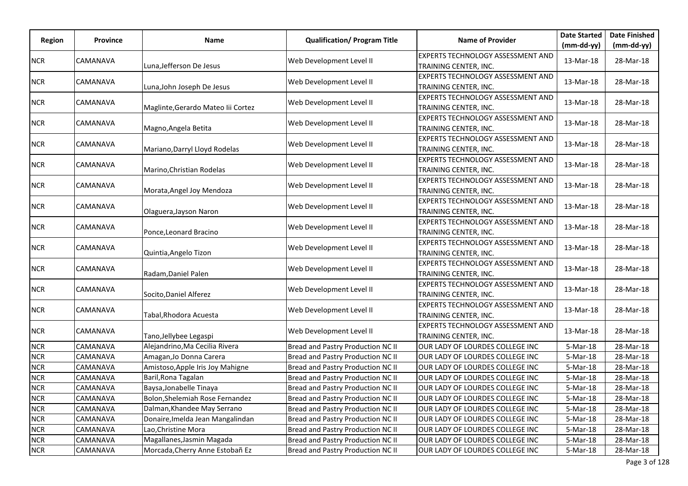|            |          |                                    | <b>Qualification/ Program Title</b> |                                                                   | <b>Date Started</b> | <b>Date Finished</b> |
|------------|----------|------------------------------------|-------------------------------------|-------------------------------------------------------------------|---------------------|----------------------|
| Region     | Province | <b>Name</b>                        |                                     | <b>Name of Provider</b>                                           | $(mm-dd-yy)$        | $(mm-dd-yy)$         |
| <b>NCR</b> | CAMANAVA | Luna, Jefferson De Jesus           | Web Development Level II            | <b>EXPERTS TECHNOLOGY ASSESSMENT AND</b><br>TRAINING CENTER, INC. | 13-Mar-18           | 28-Mar-18            |
| <b>NCR</b> | CAMANAVA | Luna, John Joseph De Jesus         | Web Development Level II            | <b>EXPERTS TECHNOLOGY ASSESSMENT AND</b><br>TRAINING CENTER, INC. | 13-Mar-18           | 28-Mar-18            |
| <b>NCR</b> | CAMANAVA | Maglinte, Gerardo Mateo lii Cortez | Web Development Level II            | <b>EXPERTS TECHNOLOGY ASSESSMENT AND</b><br>TRAINING CENTER, INC. | 13-Mar-18           | 28-Mar-18            |
| <b>NCR</b> | CAMANAVA | Magno, Angela Betita               | Web Development Level II            | <b>EXPERTS TECHNOLOGY ASSESSMENT AND</b><br>TRAINING CENTER, INC. | 13-Mar-18           | 28-Mar-18            |
| <b>NCR</b> | CAMANAVA | Mariano, Darryl Lloyd Rodelas      | Web Development Level II            | EXPERTS TECHNOLOGY ASSESSMENT AND<br>TRAINING CENTER, INC.        | 13-Mar-18           | 28-Mar-18            |
| <b>NCR</b> | CAMANAVA | Marino, Christian Rodelas          | Web Development Level II            | <b>EXPERTS TECHNOLOGY ASSESSMENT AND</b><br>TRAINING CENTER, INC. | 13-Mar-18           | 28-Mar-18            |
| <b>NCR</b> | CAMANAVA | Morata, Angel Joy Mendoza          | Web Development Level II            | <b>EXPERTS TECHNOLOGY ASSESSMENT AND</b><br>TRAINING CENTER, INC. | 13-Mar-18           | 28-Mar-18            |
| <b>NCR</b> | CAMANAVA | Olaguera, Jayson Naron             | Web Development Level II            | <b>EXPERTS TECHNOLOGY ASSESSMENT AND</b><br>TRAINING CENTER, INC. | 13-Mar-18           | 28-Mar-18            |
| <b>NCR</b> | CAMANAVA | Ponce, Leonard Bracino             | Web Development Level II            | EXPERTS TECHNOLOGY ASSESSMENT AND<br>TRAINING CENTER, INC.        | 13-Mar-18           | 28-Mar-18            |
| <b>NCR</b> | CAMANAVA | Quintia,Angelo Tizon               | Web Development Level II            | <b>EXPERTS TECHNOLOGY ASSESSMENT AND</b><br>TRAINING CENTER, INC. | 13-Mar-18           | 28-Mar-18            |
| <b>NCR</b> | CAMANAVA | Radam, Daniel Palen                | Web Development Level II            | EXPERTS TECHNOLOGY ASSESSMENT AND<br>TRAINING CENTER, INC.        | 13-Mar-18           | 28-Mar-18            |
| <b>NCR</b> | CAMANAVA | Socito, Daniel Alferez             | Web Development Level II            | <b>EXPERTS TECHNOLOGY ASSESSMENT AND</b><br>TRAINING CENTER, INC. | 13-Mar-18           | 28-Mar-18            |
| <b>NCR</b> | CAMANAVA | Tabal, Rhodora Acuesta             | Web Development Level II            | <b>EXPERTS TECHNOLOGY ASSESSMENT AND</b><br>TRAINING CENTER, INC. | 13-Mar-18           | 28-Mar-18            |
| <b>NCR</b> | CAMANAVA | Tano, Jellybee Legaspi             | Web Development Level II            | EXPERTS TECHNOLOGY ASSESSMENT AND<br>TRAINING CENTER, INC.        | 13-Mar-18           | 28-Mar-18            |
| <b>NCR</b> | CAMANAVA | Alejandrino, Ma Cecilia Rivera     | Bread and Pastry Production NC II   | OUR LADY OF LOURDES COLLEGE INC                                   | 5-Mar-18            | 28-Mar-18            |
| <b>NCR</b> | CAMANAVA | Amagan, Jo Donna Carera            | Bread and Pastry Production NC II   | OUR LADY OF LOURDES COLLEGE INC                                   | 5-Mar-18            | 28-Mar-18            |
| <b>NCR</b> | CAMANAVA | Amistoso, Apple Iris Joy Mahigne   | Bread and Pastry Production NC II   | OUR LADY OF LOURDES COLLEGE INC                                   | 5-Mar-18            | 28-Mar-18            |
| <b>NCR</b> | CAMANAVA | Baril, Rona Tagalan                | Bread and Pastry Production NC II   | OUR LADY OF LOURDES COLLEGE INC                                   | 5-Mar-18            | 28-Mar-18            |
| <b>NCR</b> | CAMANAVA | Baysa, Jonabelle Tinaya            | Bread and Pastry Production NC II   | OUR LADY OF LOURDES COLLEGE INC                                   | $5-Mar-18$          | 28-Mar-18            |
| <b>NCR</b> | CAMANAVA | Bolon, Shelemiah Rose Fernandez    | Bread and Pastry Production NC II   | OUR LADY OF LOURDES COLLEGE INC                                   | 5-Mar-18            | 28-Mar-18            |
| <b>NCR</b> | CAMANAVA | Dalman, Khandee May Serrano        | Bread and Pastry Production NC II   | OUR LADY OF LOURDES COLLEGE INC                                   | 5-Mar-18            | 28-Mar-18            |
| <b>NCR</b> | CAMANAVA | Donaire, Imelda Jean Mangalindan   | Bread and Pastry Production NC II   | OUR LADY OF LOURDES COLLEGE INC                                   | 5-Mar-18            | 28-Mar-18            |
| <b>NCR</b> | CAMANAVA | Lao, Christine Mora                | Bread and Pastry Production NC II   | OUR LADY OF LOURDES COLLEGE INC                                   | $5-Mar-18$          | 28-Mar-18            |
| <b>NCR</b> | CAMANAVA | Magallanes, Jasmin Magada          | Bread and Pastry Production NC II   | OUR LADY OF LOURDES COLLEGE INC                                   | 5-Mar-18            | 28-Mar-18            |
| <b>NCR</b> | CAMANAVA | Morcada, Cherry Anne Estobañ Ez    | Bread and Pastry Production NC II   | OUR LADY OF LOURDES COLLEGE INC                                   | 5-Mar-18            | 28-Mar-18            |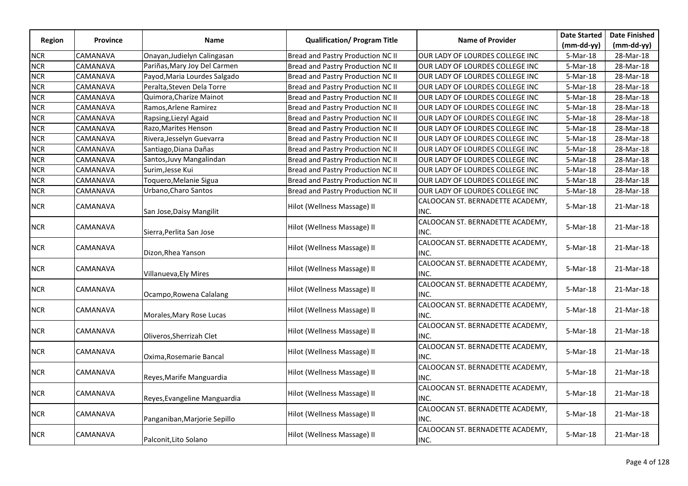|               |                 |                              |                                     |                                          | <b>Date Started</b> | <b>Date Finished</b> |
|---------------|-----------------|------------------------------|-------------------------------------|------------------------------------------|---------------------|----------------------|
| <b>Region</b> | Province        | <b>Name</b>                  | <b>Qualification/ Program Title</b> | <b>Name of Provider</b>                  | $(mm-dd-yy)$        | $(mm-dd-yy)$         |
| <b>NCR</b>    | CAMANAVA        | Onayan, Judielyn Calingasan  | Bread and Pastry Production NC II   | OUR LADY OF LOURDES COLLEGE INC          | 5-Mar-18            | 28-Mar-18            |
| <b>NCR</b>    | CAMANAVA        | Pariñas, Mary Joy Del Carmen | Bread and Pastry Production NC II   | OUR LADY OF LOURDES COLLEGE INC          | 5-Mar-18            | 28-Mar-18            |
| <b>NCR</b>    | CAMANAVA        | Payod, Maria Lourdes Salgado | Bread and Pastry Production NC II   | OUR LADY OF LOURDES COLLEGE INC          | 5-Mar-18            | 28-Mar-18            |
| <b>NCR</b>    | CAMANAVA        | Peralta, Steven Dela Torre   | Bread and Pastry Production NC II   | OUR LADY OF LOURDES COLLEGE INC          | 5-Mar-18            | 28-Mar-18            |
| <b>NCR</b>    | CAMANAVA        | Quimora, Charize Mainot      | Bread and Pastry Production NC II   | OUR LADY OF LOURDES COLLEGE INC          | 5-Mar-18            | 28-Mar-18            |
| <b>NCR</b>    | CAMANAVA        | Ramos, Arlene Ramirez        | Bread and Pastry Production NC II   | OUR LADY OF LOURDES COLLEGE INC          | $5-Mar-18$          | 28-Mar-18            |
| <b>NCR</b>    | CAMANAVA        | Rapsing, Liezyl Agaid        | Bread and Pastry Production NC II   | OUR LADY OF LOURDES COLLEGE INC          | 5-Mar-18            | 28-Mar-18            |
| <b>NCR</b>    | CAMANAVA        | Razo, Marites Henson         | Bread and Pastry Production NC II   | OUR LADY OF LOURDES COLLEGE INC          | 5-Mar-18            | 28-Mar-18            |
| <b>NCR</b>    | CAMANAVA        | Rivera, Jesselyn Guevarra    | Bread and Pastry Production NC II   | OUR LADY OF LOURDES COLLEGE INC          | 5-Mar-18            | 28-Mar-18            |
| <b>NCR</b>    | CAMANAVA        | Santiago, Diana Dañas        | Bread and Pastry Production NC II   | OUR LADY OF LOURDES COLLEGE INC          | 5-Mar-18            | 28-Mar-18            |
| <b>NCR</b>    | CAMANAVA        | Santos, Juvy Mangalindan     | Bread and Pastry Production NC II   | OUR LADY OF LOURDES COLLEGE INC          | 5-Mar-18            | 28-Mar-18            |
| <b>NCR</b>    | CAMANAVA        | Surim, Jesse Kui             | Bread and Pastry Production NC II   | OUR LADY OF LOURDES COLLEGE INC          | 5-Mar-18            | 28-Mar-18            |
| <b>NCR</b>    | CAMANAVA        | Toquero, Melanie Sigua       | Bread and Pastry Production NC II   | OUR LADY OF LOURDES COLLEGE INC          | 5-Mar-18            | 28-Mar-18            |
| <b>NCR</b>    | CAMANAVA        | Urbano, Charo Santos         | Bread and Pastry Production NC II   | OUR LADY OF LOURDES COLLEGE INC          | 5-Mar-18            | 28-Mar-18            |
| <b>NCR</b>    | CAMANAVA        | San Jose, Daisy Mangilit     | Hilot (Wellness Massage) II         | CALOOCAN ST. BERNADETTE ACADEMY,<br>INC. | 5-Mar-18            | 21-Mar-18            |
| <b>NCR</b>    | CAMANAVA        | Sierra, Perlita San Jose     | Hilot (Wellness Massage) II         | CALOOCAN ST. BERNADETTE ACADEMY,<br>INC. | 5-Mar-18            | 21-Mar-18            |
| <b>NCR</b>    | CAMANAVA        | Dizon, Rhea Yanson           | Hilot (Wellness Massage) II         | CALOOCAN ST. BERNADETTE ACADEMY,<br>INC. | 5-Mar-18            | 21-Mar-18            |
| <b>NCR</b>    | CAMANAVA        | Villanueva, Ely Mires        | Hilot (Wellness Massage) II         | CALOOCAN ST. BERNADETTE ACADEMY,<br>INC. | 5-Mar-18            | 21-Mar-18            |
| <b>NCR</b>    | CAMANAVA        | Ocampo, Rowena Calalang      | Hilot (Wellness Massage) II         | CALOOCAN ST. BERNADETTE ACADEMY,<br>INC. | 5-Mar-18            | 21-Mar-18            |
| <b>NCR</b>    | <b>CAMANAVA</b> | Morales, Mary Rose Lucas     | Hilot (Wellness Massage) II         | CALOOCAN ST. BERNADETTE ACADEMY,<br>INC. | 5-Mar-18            | 21-Mar-18            |
| <b>NCR</b>    | CAMANAVA        | Oliveros, Sherrizah Clet     | Hilot (Wellness Massage) II         | CALOOCAN ST. BERNADETTE ACADEMY,<br>INC. | 5-Mar-18            | 21-Mar-18            |
| <b>NCR</b>    | CAMANAVA        | Oxima, Rosemarie Bancal      | Hilot (Wellness Massage) II         | CALOOCAN ST. BERNADETTE ACADEMY,<br>INC. | 5-Mar-18            | 21-Mar-18            |
| <b>NCR</b>    | CAMANAVA        | Reyes, Marife Manguardia     | Hilot (Wellness Massage) II         | CALOOCAN ST. BERNADETTE ACADEMY,<br>INC. | $5-Mar-18$          | 21-Mar-18            |
| <b>NCR</b>    | CAMANAVA        | Reyes, Evangeline Manguardia | Hilot (Wellness Massage) II         | CALOOCAN ST. BERNADETTE ACADEMY,<br>INC. | 5-Mar-18            | 21-Mar-18            |
| <b>NCR</b>    | CAMANAVA        | Panganiban, Marjorie Sepillo | Hilot (Wellness Massage) II         | CALOOCAN ST. BERNADETTE ACADEMY,<br>INC. | 5-Mar-18            | 21-Mar-18            |
| <b>NCR</b>    | CAMANAVA        | Palconit, Lito Solano        | Hilot (Wellness Massage) II         | CALOOCAN ST. BERNADETTE ACADEMY,<br>INC. | 5-Mar-18            | 21-Mar-18            |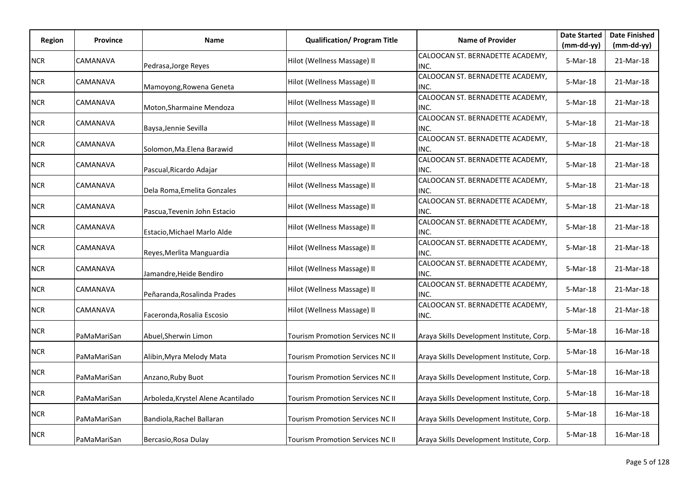| Region     | <b>Province</b> | Name                               | <b>Qualification/ Program Title</b>     | <b>Name of Provider</b>                   | <b>Date Started</b> | <b>Date Finished</b> |
|------------|-----------------|------------------------------------|-----------------------------------------|-------------------------------------------|---------------------|----------------------|
|            |                 |                                    |                                         | CALOOCAN ST. BERNADETTE ACADEMY,          | (mm-dd-yy)          | $(mm-dd-yy)$         |
| <b>NCR</b> | CAMANAVA        | Pedrasa, Jorge Reyes               | Hilot (Wellness Massage) II             | INC.                                      | $5-Mar-18$          | 21-Mar-18            |
| <b>NCR</b> | CAMANAVA        | Mamoyong, Rowena Geneta            | Hilot (Wellness Massage) II             | CALOOCAN ST. BERNADETTE ACADEMY,<br>INC.  | 5-Mar-18            | 21-Mar-18            |
| <b>NCR</b> | CAMANAVA        | Moton, Sharmaine Mendoza           | Hilot (Wellness Massage) II             | CALOOCAN ST. BERNADETTE ACADEMY,<br>INC.  | 5-Mar-18            | 21-Mar-18            |
| <b>NCR</b> | CAMANAVA        | Baysa, Jennie Sevilla              | Hilot (Wellness Massage) II             | CALOOCAN ST. BERNADETTE ACADEMY,<br>INC.  | 5-Mar-18            | 21-Mar-18            |
| <b>NCR</b> | CAMANAVA        | Solomon, Ma. Elena Barawid         | Hilot (Wellness Massage) II             | CALOOCAN ST. BERNADETTE ACADEMY,<br>INC.  | 5-Mar-18            | 21-Mar-18            |
| <b>NCR</b> | CAMANAVA        | Pascual, Ricardo Adajar            | Hilot (Wellness Massage) II             | CALOOCAN ST. BERNADETTE ACADEMY,<br>INC.  | 5-Mar-18            | 21-Mar-18            |
| <b>NCR</b> | CAMANAVA        | Dela Roma, Emelita Gonzales        | Hilot (Wellness Massage) II             | CALOOCAN ST. BERNADETTE ACADEMY,<br>INC.  | 5-Mar-18            | 21-Mar-18            |
| <b>NCR</b> | CAMANAVA        | Pascua, Tevenin John Estacio       | Hilot (Wellness Massage) II             | CALOOCAN ST. BERNADETTE ACADEMY,<br>INC.  | 5-Mar-18            | 21-Mar-18            |
| <b>NCR</b> | CAMANAVA        | Estacio, Michael Marlo Alde        | Hilot (Wellness Massage) II             | CALOOCAN ST. BERNADETTE ACADEMY,<br>INC.  | 5-Mar-18            | 21-Mar-18            |
| <b>NCR</b> | CAMANAVA        | Reyes, Merlita Manguardia          | Hilot (Wellness Massage) II             | CALOOCAN ST. BERNADETTE ACADEMY,<br>INC.  | 5-Mar-18            | 21-Mar-18            |
| <b>NCR</b> | CAMANAVA        | Jamandre, Heide Bendiro            | Hilot (Wellness Massage) II             | CALOOCAN ST. BERNADETTE ACADEMY,<br>INC.  | 5-Mar-18            | 21-Mar-18            |
| <b>NCR</b> | CAMANAVA        | Peñaranda, Rosalinda Prades        | Hilot (Wellness Massage) II             | CALOOCAN ST. BERNADETTE ACADEMY,<br>INC.  | 5-Mar-18            | 21-Mar-18            |
| <b>NCR</b> | CAMANAVA        | Faceronda, Rosalia Escosio         | Hilot (Wellness Massage) II             | CALOOCAN ST. BERNADETTE ACADEMY,<br>INC.  | 5-Mar-18            | 21-Mar-18            |
| <b>NCR</b> | PaMaMariSan     | Abuel, Sherwin Limon               | Tourism Promotion Services NC II        | Araya Skills Development Institute, Corp. | 5-Mar-18            | 16-Mar-18            |
| <b>NCR</b> | PaMaMariSan     | Alibin, Myra Melody Mata           | Tourism Promotion Services NC II        | Araya Skills Development Institute, Corp. | 5-Mar-18            | 16-Mar-18            |
| <b>NCR</b> | PaMaMariSan     | Anzano, Ruby Buot                  | Tourism Promotion Services NC II        | Araya Skills Development Institute, Corp. | $5-Mar-18$          | 16-Mar-18            |
| NCR        | PaMaMariSan     | Arboleda, Krystel Alene Acantilado | <b>Tourism Promotion Services NC II</b> | Araya Skills Development Institute, Corp. | 5-Mar-18            | 16-Mar-18            |
| <b>NCR</b> | PaMaMariSan     | Bandiola, Rachel Ballaran          | Tourism Promotion Services NC II        | Araya Skills Development Institute, Corp. | 5-Mar-18            | 16-Mar-18            |
| <b>NCR</b> | PaMaMariSan     | Bercasio, Rosa Dulay               | <b>Tourism Promotion Services NC II</b> | Araya Skills Development Institute, Corp. | 5-Mar-18            | 16-Mar-18            |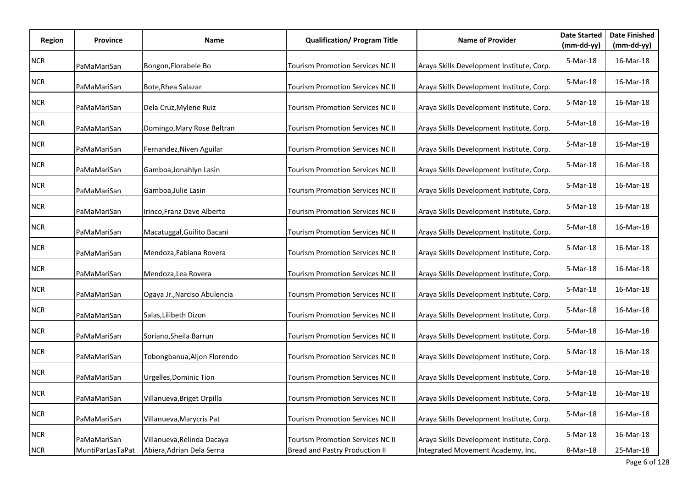| Region     | Province         | Name                         | <b>Qualification/ Program Title</b>   | <b>Name of Provider</b>                   | <b>Date Started</b><br>$(mm-dd-yy)$ | <b>Date Finished</b><br>$(mm-dd-yy)$ |
|------------|------------------|------------------------------|---------------------------------------|-------------------------------------------|-------------------------------------|--------------------------------------|
| <b>NCR</b> | PaMaMariSan      | Bongon, Florabele Bo         | Tourism Promotion Services NC II      | Araya Skills Development Institute, Corp. | 5-Mar-18                            | 16-Mar-18                            |
| <b>NCR</b> | PaMaMariSan      | Bote, Rhea Salazar           | Tourism Promotion Services NC II      | Araya Skills Development Institute, Corp. | 5-Mar-18                            | 16-Mar-18                            |
| $NCR$      | PaMaMariSan      | Dela Cruz, Mylene Ruiz       | Tourism Promotion Services NC II      | Araya Skills Development Institute, Corp. | 5-Mar-18                            | 16-Mar-18                            |
| <b>NCR</b> | PaMaMariSan      | Domingo, Mary Rose Beltran   | Tourism Promotion Services NC II      | Araya Skills Development Institute, Corp. | 5-Mar-18                            | 16-Mar-18                            |
| <b>NCR</b> | PaMaMariSan      | Fernandez, Niven Aguilar     | Tourism Promotion Services NC II      | Araya Skills Development Institute, Corp. | 5-Mar-18                            | 16-Mar-18                            |
| <b>NCR</b> | PaMaMariSan      | Gamboa, Jonahlyn Lasin       | Tourism Promotion Services NC II      | Araya Skills Development Institute, Corp. | 5-Mar-18                            | 16-Mar-18                            |
| NCR        | PaMaMariSan      | Gamboa, Julie Lasin          | Tourism Promotion Services NC II      | Araya Skills Development Institute, Corp. | 5-Mar-18                            | 16-Mar-18                            |
| <b>NCR</b> | PaMaMariSan      | Irinco, Franz Dave Alberto   | Tourism Promotion Services NC II      | Araya Skills Development Institute, Corp. | 5-Mar-18                            | 16-Mar-18                            |
| <b>NCR</b> | PaMaMariSan      | Macatuggal, Guilito Bacani   | Tourism Promotion Services NC II      | Araya Skills Development Institute, Corp. | 5-Mar-18                            | 16-Mar-18                            |
| NCR        | PaMaMariSan      | Mendoza, Fabiana Rovera      | Tourism Promotion Services NC II      | Araya Skills Development Institute, Corp. | 5-Mar-18                            | 16-Mar-18                            |
| <b>NCR</b> | PaMaMariSan      | Mendoza, Lea Rovera          | Tourism Promotion Services NC II      | Araya Skills Development Institute, Corp. | 5-Mar-18                            | 16-Mar-18                            |
| <b>NCR</b> | PaMaMariSan      | Ogaya Jr., Narciso Abulencia | Tourism Promotion Services NC II      | Araya Skills Development Institute, Corp. | 5-Mar-18                            | 16-Mar-18                            |
| <b>NCR</b> | PaMaMariSan      | Salas, Lilibeth Dizon        | Tourism Promotion Services NC II      | Araya Skills Development Institute, Corp. | 5-Mar-18                            | 16-Mar-18                            |
| NCR        | PaMaMariSan      | Soriano, Sheila Barrun       | Tourism Promotion Services NC II      | Araya Skills Development Institute, Corp. | 5-Mar-18                            | 16-Mar-18                            |
| <b>NCR</b> | PaMaMariSan      | Tobongbanua, Aljon Florendo  | Tourism Promotion Services NC II      | Araya Skills Development Institute, Corp. | 5-Mar-18                            | 16-Mar-18                            |
| <b>NCR</b> | PaMaMariSan      | Urgelles, Dominic Tion       | Tourism Promotion Services NC II      | Araya Skills Development Institute, Corp. | 5-Mar-18                            | 16-Mar-18                            |
| NCR        | PaMaMariSan      | Villanueva, Briget Orpilla   | Tourism Promotion Services NC II      | Araya Skills Development Institute, Corp. | 5-Mar-18                            | 16-Mar-18                            |
| <b>NCR</b> | PaMaMariSan      | Villanueva, Marycris Pat     | Tourism Promotion Services NC II      | Araya Skills Development Institute, Corp. | 5-Mar-18                            | 16-Mar-18                            |
| NCR        | PaMaMariSan      | Villanueva, Relinda Dacaya   | Tourism Promotion Services NC II      | Araya Skills Development Institute, Corp. | 5-Mar-18                            | 16-Mar-18                            |
| <b>NCR</b> | MuntiParLasTaPat | Abiera, Adrian Dela Serna    | <b>Bread and Pastry Production II</b> | Integrated Movement Academy, Inc.         | 8-Mar-18                            | 25-Mar-18                            |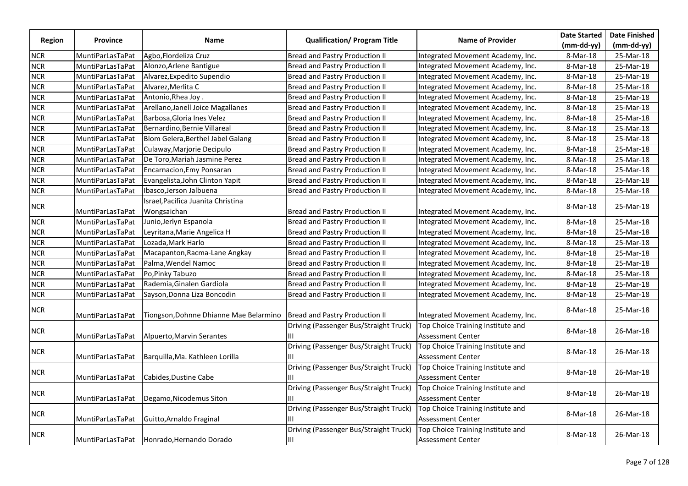|               |                         |                                                                         |                                               |                                                               | <b>Date Started</b> | <b>Date Finished</b> |
|---------------|-------------------------|-------------------------------------------------------------------------|-----------------------------------------------|---------------------------------------------------------------|---------------------|----------------------|
| <b>Region</b> | Province                | <b>Name</b>                                                             | <b>Qualification/ Program Title</b>           | <b>Name of Provider</b>                                       | $(mm-dd-yy)$        | (mm-dd-yy)           |
| <b>NCR</b>    | MuntiParLasTaPat        | Agbo, Flordeliza Cruz                                                   | Bread and Pastry Production II                | Integrated Movement Academy, Inc.                             | 8-Mar-18            | 25-Mar-18            |
| <b>NCR</b>    | MuntiParLasTaPat        | Alonzo, Arlene Bantigue                                                 | Bread and Pastry Production II                | Integrated Movement Academy, Inc.                             | 8-Mar-18            | 25-Mar-18            |
| <b>NCR</b>    | MuntiParLasTaPat        | Alvarez, Expedito Supendio                                              | Bread and Pastry Production II                | Integrated Movement Academy, Inc.                             | 8-Mar-18            | 25-Mar-18            |
| <b>NCR</b>    | MuntiParLasTaPat        | Alvarez, Merlita C                                                      | <b>Bread and Pastry Production II</b>         | Integrated Movement Academy, Inc.                             | 8-Mar-18            | 25-Mar-18            |
| <b>NCR</b>    | MuntiParLasTaPat        | Antonio, Rhea Joy.                                                      | <b>Bread and Pastry Production II</b>         | Integrated Movement Academy, Inc.                             | 8-Mar-18            | 25-Mar-18            |
| <b>NCR</b>    | MuntiParLasTaPat        | Arellano, Janell Joice Magallanes                                       | <b>Bread and Pastry Production II</b>         | Integrated Movement Academy, Inc.                             | 8-Mar-18            | 25-Mar-18            |
| <b>NCR</b>    | MuntiParLasTaPat        | Barbosa, Gloria Ines Velez                                              | <b>Bread and Pastry Production II</b>         | Integrated Movement Academy, Inc.                             | 8-Mar-18            | 25-Mar-18            |
| <b>NCR</b>    | MuntiParLasTaPat        | Bernardino, Bernie Villareal                                            | Bread and Pastry Production II                | Integrated Movement Academy, Inc.                             | 8-Mar-18            | 25-Mar-18            |
| <b>NCR</b>    | MuntiParLasTaPat        | Blom Gelera, Berthel Jabel Galang                                       | Bread and Pastry Production II                | Integrated Movement Academy, Inc.                             | 8-Mar-18            | 25-Mar-18            |
| <b>NCR</b>    | MuntiParLasTaPat        | Culaway, Marjorie Decipulo                                              | Bread and Pastry Production II                | Integrated Movement Academy, Inc.                             | 8-Mar-18            | 25-Mar-18            |
| <b>NCR</b>    | <b>MuntiParLasTaPat</b> | De Toro, Mariah Jasmine Perez                                           | <b>Bread and Pastry Production II</b>         | Integrated Movement Academy, Inc.                             | 8-Mar-18            | 25-Mar-18            |
| <b>NCR</b>    | MuntiParLasTaPat        | <b>Encarnacion, Emy Ponsaran</b>                                        | <b>Bread and Pastry Production II</b>         | Integrated Movement Academy, Inc.                             | 8-Mar-18            | 25-Mar-18            |
| <b>NCR</b>    | MuntiParLasTaPat        | Evangelista, John Clinton Yapit                                         | <b>Bread and Pastry Production II</b>         | Integrated Movement Academy, Inc.                             | 8-Mar-18            | 25-Mar-18            |
| <b>NCR</b>    | MuntiParLasTaPat        | Ibasco, Jerson Jalbuena                                                 | <b>Bread and Pastry Production II</b>         | Integrated Movement Academy, Inc.                             | 8-Mar-18            | 25-Mar-18            |
|               |                         | Israel, Pacifica Juanita Christina                                      |                                               |                                                               |                     |                      |
| <b>NCR</b>    | MuntiParLasTaPat        | Wongsaichan                                                             | Bread and Pastry Production II                | Integrated Movement Academy, Inc.                             | 8-Mar-18            | 25-Mar-18            |
| <b>NCR</b>    | MuntiParLasTaPat        | Junio, Jerlyn Espanola                                                  | <b>Bread and Pastry Production II</b>         | Integrated Movement Academy, Inc.                             | 8-Mar-18            | 25-Mar-18            |
| <b>NCR</b>    | MuntiParLasTaPat        | Leyritana, Marie Angelica H                                             | Bread and Pastry Production II                | Integrated Movement Academy, Inc.                             | 8-Mar-18            | 25-Mar-18            |
| <b>NCR</b>    | MuntiParLasTaPat        | Lozada, Mark Harlo                                                      | <b>Bread and Pastry Production II</b>         | Integrated Movement Academy, Inc.                             | 8-Mar-18            | 25-Mar-18            |
| <b>NCR</b>    | MuntiParLasTaPat        | Macapanton, Racma-Lane Angkay                                           | <b>Bread and Pastry Production II</b>         | Integrated Movement Academy, Inc.                             | 8-Mar-18            | 25-Mar-18            |
| <b>NCR</b>    | MuntiParLasTaPat        | Palma, Wendel Namoc                                                     | <b>Bread and Pastry Production II</b>         | Integrated Movement Academy, Inc.                             | 8-Mar-18            | 25-Mar-18            |
| <b>NCR</b>    | MuntiParLasTaPat        | Po, Pinky Tabuzo                                                        | Bread and Pastry Production II                | Integrated Movement Academy, Inc.                             | 8-Mar-18            | 25-Mar-18            |
| <b>NCR</b>    | MuntiParLasTaPat        | Rademia, Ginalen Gardiola                                               | <b>Bread and Pastry Production II</b>         | Integrated Movement Academy, Inc.                             | 8-Mar-18            | 25-Mar-18            |
| <b>NCR</b>    | MuntiParLasTaPat        | Sayson, Donna Liza Boncodin                                             | <b>Bread and Pastry Production II</b>         | Integrated Movement Academy, Inc.                             | 8-Mar-18            | 25-Mar-18            |
| <b>NCR</b>    | MuntiParLasTaPat        | Tiongson, Dohnne Dhianne Mae Belarmino   Bread and Pastry Production II |                                               | Integrated Movement Academy, Inc.                             | 8-Mar-18            | 25-Mar-18            |
| <b>NCR</b>    | MuntiParLasTaPat        | Alpuerto, Marvin Serantes                                               | Driving (Passenger Bus/Straight Truck)<br>Ш   | Top Choice Training Institute and<br><b>Assessment Center</b> | 8-Mar-18            | 26-Mar-18            |
| <b>NCR</b>    | MuntiParLasTaPat        | Barquilla, Ma. Kathleen Lorilla                                         | Driving (Passenger Bus/Straight Truck)<br>Ш   | Top Choice Training Institute and<br><b>Assessment Center</b> | 8-Mar-18            | 26-Mar-18            |
| <b>NCR</b>    | MuntiParLasTaPat        | Cabides, Dustine Cabe                                                   | Driving (Passenger Bus/Straight Truck)<br>Ш   | Top Choice Training Institute and<br><b>Assessment Center</b> | 8-Mar-18            | 26-Mar-18            |
| <b>NCR</b>    | MuntiParLasTaPat        | Degamo, Nicodemus Siton                                                 | Driving (Passenger Bus/Straight Truck)<br>Ш   | Top Choice Training Institute and<br><b>Assessment Center</b> | 8-Mar-18            | 26-Mar-18            |
| NCR           | MuntiParLasTaPat        | Guitto, Arnaldo Fraginal                                                | Driving (Passenger Bus/Straight Truck)<br>III | Top Choice Training Institute and<br><b>Assessment Center</b> | 8-Mar-18            | 26-Mar-18            |
| <b>NCR</b>    |                         | MuntiParLasTaPat Honrado, Hernando Dorado                               | Driving (Passenger Bus/Straight Truck)<br>Ш   | Top Choice Training Institute and<br>Assessment Center        | 8-Mar-18            | 26-Mar-18            |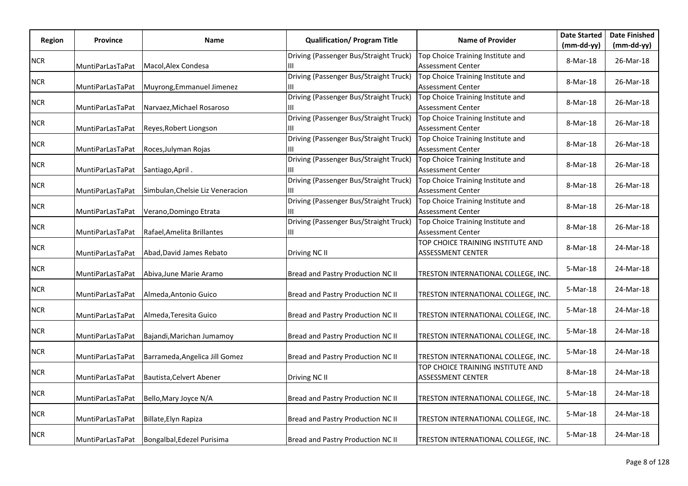| Region     | <b>Province</b>  | Name                             | <b>Qualification/ Program Title</b>         | <b>Name of Provider</b>                                       | <b>Date Started</b><br>(mm-dd-yy) | <b>Date Finished</b><br>$(mm-dd-yy)$ |
|------------|------------------|----------------------------------|---------------------------------------------|---------------------------------------------------------------|-----------------------------------|--------------------------------------|
| <b>NCR</b> | MuntiParLasTaPat | Macol, Alex Condesa              | Driving (Passenger Bus/Straight Truck)<br>Ш | Top Choice Training Institute and<br><b>Assessment Center</b> | 8-Mar-18                          | 26-Mar-18                            |
| <b>NCR</b> | MuntiParLasTaPat | Muyrong, Emmanuel Jimenez        | Driving (Passenger Bus/Straight Truck)<br>Ш | Top Choice Training Institute and<br><b>Assessment Center</b> | 8-Mar-18                          | 26-Mar-18                            |
| <b>NCR</b> | MuntiParLasTaPat | Narvaez, Michael Rosaroso        | Driving (Passenger Bus/Straight Truck)<br>Ш | Top Choice Training Institute and<br>Assessment Center        | 8-Mar-18                          | 26-Mar-18                            |
| NCR        | MuntiParLasTaPat | Reyes, Robert Liongson           | Driving (Passenger Bus/Straight Truck)<br>Ш | Top Choice Training Institute and<br><b>Assessment Center</b> | 8-Mar-18                          | 26-Mar-18                            |
| <b>NCR</b> | MuntiParLasTaPat | Roces, Julyman Rojas             | Driving (Passenger Bus/Straight Truck)      | Top Choice Training Institute and<br>Assessment Center        | 8-Mar-18                          | 26-Mar-18                            |
| <b>NCR</b> | MuntiParLasTaPat | Santiago, April.                 | Driving (Passenger Bus/Straight Truck)      | Top Choice Training Institute and<br><b>Assessment Center</b> | 8-Mar-18                          | 26-Mar-18                            |
| <b>NCR</b> | MuntiParLasTaPat | Simbulan, Chelsie Liz Veneracion | Driving (Passenger Bus/Straight Truck)      | Top Choice Training Institute and<br><b>Assessment Center</b> | 8-Mar-18                          | 26-Mar-18                            |
| <b>NCR</b> | MuntiParLasTaPat | Verano, Domingo Etrata           | Driving (Passenger Bus/Straight Truck)      | Top Choice Training Institute and<br><b>Assessment Center</b> | 8-Mar-18                          | 26-Mar-18                            |
| <b>NCR</b> | MuntiParLasTaPat | Rafael, Amelita Brillantes       | Driving (Passenger Bus/Straight Truck)<br>Ш | Top Choice Training Institute and<br><b>Assessment Center</b> | 8-Mar-18                          | 26-Mar-18                            |
| <b>NCR</b> | MuntiParLasTaPat | Abad, David James Rebato         | Driving NC II                               | TOP CHOICE TRAINING INSTITUTE AND<br>ASSESSMENT CENTER        | 8-Mar-18                          | 24-Mar-18                            |
| NCR        | MuntiParLasTaPat | Abiva, June Marie Aramo          | Bread and Pastry Production NC II           | TRESTON INTERNATIONAL COLLEGE, INC.                           | 5-Mar-18                          | 24-Mar-18                            |
| <b>NCR</b> | MuntiParLasTaPat | Almeda, Antonio Guico            | Bread and Pastry Production NC II           | TRESTON INTERNATIONAL COLLEGE, INC.                           | $5-Mar-18$                        | 24-Mar-18                            |
| <b>NCR</b> | MuntiParLasTaPat | Almeda, Teresita Guico           | Bread and Pastry Production NC II           | TRESTON INTERNATIONAL COLLEGE, INC.                           | 5-Mar-18                          | 24-Mar-18                            |
| <b>NCR</b> | MuntiParLasTaPat | Bajandi, Marichan Jumamoy        | Bread and Pastry Production NC II           | TRESTON INTERNATIONAL COLLEGE, INC.                           | 5-Mar-18                          | 24-Mar-18                            |
| <b>NCR</b> | MuntiParLasTaPat | Barrameda, Angelica Jill Gomez   | Bread and Pastry Production NC II           | TRESTON INTERNATIONAL COLLEGE, INC.                           | 5-Mar-18                          | 24-Mar-18                            |
| <b>NCR</b> | MuntiParLasTaPat | Bautista, Celvert Abener         | Driving NC II                               | TOP CHOICE TRAINING INSTITUTE AND<br><b>ASSESSMENT CENTER</b> | 8-Mar-18                          | 24-Mar-18                            |
| <b>NCR</b> | MuntiParLasTaPat | Bello, Mary Joyce N/A            | Bread and Pastry Production NC II           | TRESTON INTERNATIONAL COLLEGE, INC.                           | 5-Mar-18                          | 24-Mar-18                            |
| <b>NCR</b> | MuntiParLasTaPat | Billate, Elyn Rapiza             | Bread and Pastry Production NC II           | TRESTON INTERNATIONAL COLLEGE, INC.                           | 5-Mar-18                          | 24-Mar-18                            |
| <b>NCR</b> | MuntiParLasTaPat | Bongalbal, Edezel Purisima       | Bread and Pastry Production NC II           | TRESTON INTERNATIONAL COLLEGE, INC.                           | 5-Mar-18                          | 24-Mar-18                            |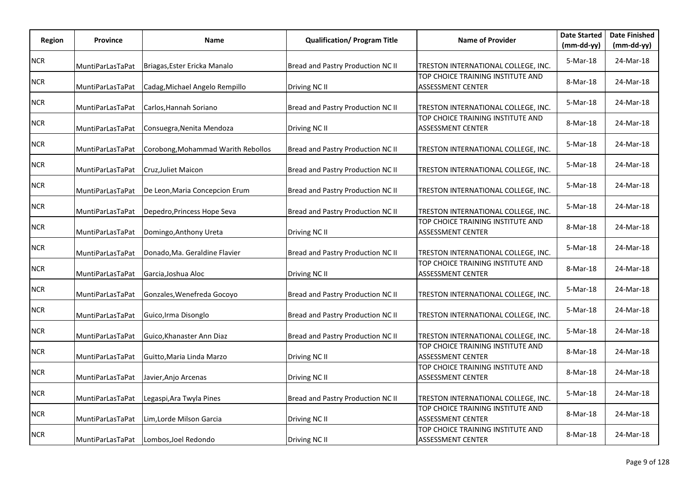| Region     | <b>Province</b>  | Name                               | <b>Qualification/ Program Title</b> | <b>Name of Provider</b>                                       | <b>Date Started</b><br>$(mm-dd-yy)$ | <b>Date Finished</b><br>$(mm-dd-yy)$ |
|------------|------------------|------------------------------------|-------------------------------------|---------------------------------------------------------------|-------------------------------------|--------------------------------------|
| <b>NCR</b> | MuntiParLasTaPat | Briagas, Ester Ericka Manalo       | Bread and Pastry Production NC II   | TRESTON INTERNATIONAL COLLEGE, INC.                           | 5-Mar-18                            | 24-Mar-18                            |
| <b>NCR</b> | MuntiParLasTaPat | Cadag, Michael Angelo Rempillo     | Driving NC II                       | TOP CHOICE TRAINING INSTITUTE AND<br><b>ASSESSMENT CENTER</b> | 8-Mar-18                            | 24-Mar-18                            |
| <b>NCR</b> | MuntiParLasTaPat | Carlos, Hannah Soriano             | Bread and Pastry Production NC II   | TRESTON INTERNATIONAL COLLEGE, INC.                           | 5-Mar-18                            | 24-Mar-18                            |
| <b>NCR</b> | MuntiParLasTaPat | Consuegra, Nenita Mendoza          | Driving NC II                       | TOP CHOICE TRAINING INSTITUTE AND<br><b>ASSESSMENT CENTER</b> | 8-Mar-18                            | 24-Mar-18                            |
| <b>NCR</b> | MuntiParLasTaPat | Corobong, Mohammad Warith Rebollos | Bread and Pastry Production NC II   | TRESTON INTERNATIONAL COLLEGE, INC.                           | 5-Mar-18                            | 24-Mar-18                            |
| <b>NCR</b> | MuntiParLasTaPat | Cruz, Juliet Maicon                | Bread and Pastry Production NC II   | TRESTON INTERNATIONAL COLLEGE, INC.                           | 5-Mar-18                            | 24-Mar-18                            |
| <b>NCR</b> | MuntiParLasTaPat | De Leon, Maria Concepcion Erum     | Bread and Pastry Production NC II   | TRESTON INTERNATIONAL COLLEGE, INC.                           | 5-Mar-18                            | 24-Mar-18                            |
| <b>NCR</b> | MuntiParLasTaPat | Depedro, Princess Hope Seva        | Bread and Pastry Production NC II   | TRESTON INTERNATIONAL COLLEGE, INC.                           | 5-Mar-18                            | 24-Mar-18                            |
| <b>NCR</b> | MuntiParLasTaPat | Domingo, Anthony Ureta             | Driving NC II                       | TOP CHOICE TRAINING INSTITUTE AND<br><b>ASSESSMENT CENTER</b> | 8-Mar-18                            | 24-Mar-18                            |
| <b>NCR</b> | MuntiParLasTaPat | Donado, Ma. Geraldine Flavier      | Bread and Pastry Production NC II   | TRESTON INTERNATIONAL COLLEGE, INC.                           | 5-Mar-18                            | 24-Mar-18                            |
| <b>NCR</b> | MuntiParLasTaPat | Garcia, Joshua Aloc                | Driving NC II                       | TOP CHOICE TRAINING INSTITUTE AND<br><b>ASSESSMENT CENTER</b> | 8-Mar-18                            | 24-Mar-18                            |
| <b>NCR</b> | MuntiParLasTaPat | Gonzales, Wenefreda Gocoyo         | Bread and Pastry Production NC II   | TRESTON INTERNATIONAL COLLEGE, INC.                           | 5-Mar-18                            | 24-Mar-18                            |
| <b>NCR</b> | MuntiParLasTaPat | Guico, Irma Disonglo               | Bread and Pastry Production NC II   | TRESTON INTERNATIONAL COLLEGE, INC.                           | 5-Mar-18                            | 24-Mar-18                            |
| <b>NCR</b> | MuntiParLasTaPat | Guico, Khanaster Ann Diaz          | Bread and Pastry Production NC II   | TRESTON INTERNATIONAL COLLEGE, INC.                           | 5-Mar-18                            | 24-Mar-18                            |
| <b>NCR</b> | MuntiParLasTaPat | Guitto, Maria Linda Marzo          | Driving NC II                       | TOP CHOICE TRAINING INSTITUTE AND<br><b>ASSESSMENT CENTER</b> | 8-Mar-18                            | 24-Mar-18                            |
| <b>NCR</b> | MuntiParLasTaPat | Javier, Anjo Arcenas               | Driving NC II                       | TOP CHOICE TRAINING INSTITUTE AND<br><b>ASSESSMENT CENTER</b> | 8-Mar-18                            | 24-Mar-18                            |
| <b>NCR</b> | MuntiParLasTaPat | Legaspi, Ara Twyla Pines           | Bread and Pastry Production NC II   | TRESTON INTERNATIONAL COLLEGE, INC.                           | 5-Mar-18                            | 24-Mar-18                            |
| <b>NCR</b> | MuntiParLasTaPat | Lim, Lorde Milson Garcia           | Driving NC II                       | TOP CHOICE TRAINING INSTITUTE AND<br><b>ASSESSMENT CENTER</b> | 8-Mar-18                            | 24-Mar-18                            |
| <b>NCR</b> | MuntiParLasTaPat | Lombos, Joel Redondo               | Driving NC II                       | TOP CHOICE TRAINING INSTITUTE AND<br>ASSESSMENT CENTER        | 8-Mar-18                            | 24-Mar-18                            |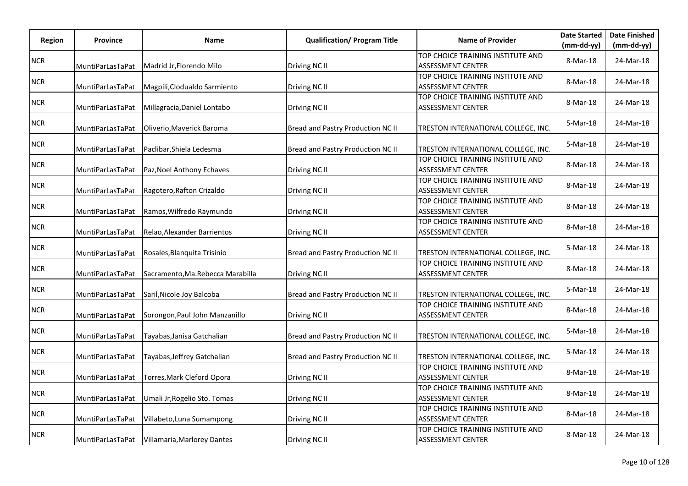|            |                  |                                   | <b>Qualification/ Program Title</b> | <b>Name of Provider</b>                                       | <b>Date Started</b> | <b>Date Finished</b> |
|------------|------------------|-----------------------------------|-------------------------------------|---------------------------------------------------------------|---------------------|----------------------|
| Region     | <b>Province</b>  | Name                              |                                     |                                                               | $(mm-dd-yy)$        | $(mm-dd-yy)$         |
| <b>NCR</b> | MuntiParLasTaPat | Madrid Jr, Florendo Milo          | Driving NC II                       | TOP CHOICE TRAINING INSTITUTE AND<br><b>ASSESSMENT CENTER</b> | 8-Mar-18            | 24-Mar-18            |
| <b>NCR</b> | MuntiParLasTaPat | Magpili, Clodualdo Sarmiento      | Driving NC II                       | TOP CHOICE TRAINING INSTITUTE AND<br><b>ASSESSMENT CENTER</b> | 8-Mar-18            | 24-Mar-18            |
| <b>NCR</b> | MuntiParLasTaPat | Millagracia, Daniel Lontabo       | Driving NC II                       | TOP CHOICE TRAINING INSTITUTE AND<br><b>ASSESSMENT CENTER</b> | 8-Mar-18            | 24-Mar-18            |
| NCR        | MuntiParLasTaPat | Oliverio, Maverick Baroma         | Bread and Pastry Production NC II   | TRESTON INTERNATIONAL COLLEGE, INC.                           | 5-Mar-18            | 24-Mar-18            |
| <b>NCR</b> | MuntiParLasTaPat | Paclibar, Shiela Ledesma          | Bread and Pastry Production NC II   | TRESTON INTERNATIONAL COLLEGE, INC.                           | 5-Mar-18            | 24-Mar-18            |
| <b>NCR</b> | MuntiParLasTaPat | Paz, Noel Anthony Echaves         | Driving NC II                       | TOP CHOICE TRAINING INSTITUTE AND<br><b>ASSESSMENT CENTER</b> | 8-Mar-18            | 24-Mar-18            |
| <b>NCR</b> | MuntiParLasTaPat | Ragotero, Rafton Crizaldo         | Driving NC II                       | TOP CHOICE TRAINING INSTITUTE AND<br>ASSESSMENT CENTER        | 8-Mar-18            | 24-Mar-18            |
| <b>NCR</b> | MuntiParLasTaPat | Ramos, Wilfredo Raymundo          | Driving NC II                       | TOP CHOICE TRAINING INSTITUTE AND<br><b>ASSESSMENT CENTER</b> | 8-Mar-18            | 24-Mar-18            |
| <b>NCR</b> | MuntiParLasTaPat | Relao, Alexander Barrientos       | Driving NC II                       | TOP CHOICE TRAINING INSTITUTE AND<br><b>ASSESSMENT CENTER</b> | 8-Mar-18            | 24-Mar-18            |
| <b>NCR</b> | MuntiParLasTaPat | Rosales, Blanquita Trisinio       | Bread and Pastry Production NC II   | TRESTON INTERNATIONAL COLLEGE, INC.                           | 5-Mar-18            | 24-Mar-18            |
| <b>NCR</b> | MuntiParLasTaPat | Sacramento, Ma. Rebecca Marabilla | Driving NC II                       | TOP CHOICE TRAINING INSTITUTE AND<br><b>ASSESSMENT CENTER</b> | 8-Mar-18            | 24-Mar-18            |
| <b>NCR</b> | MuntiParLasTaPat | Saril, Nicole Joy Balcoba         | Bread and Pastry Production NC II   | TRESTON INTERNATIONAL COLLEGE, INC.                           | 5-Mar-18            | 24-Mar-18            |
| <b>NCR</b> | MuntiParLasTaPat | Sorongon, Paul John Manzanillo    | Driving NC II                       | TOP CHOICE TRAINING INSTITUTE AND<br><b>ASSESSMENT CENTER</b> | 8-Mar-18            | 24-Mar-18            |
| <b>NCR</b> | MuntiParLasTaPat | Tayabas, Janisa Gatchalian        | Bread and Pastry Production NC II   | TRESTON INTERNATIONAL COLLEGE, INC.                           | 5-Mar-18            | 24-Mar-18            |
| <b>NCR</b> | MuntiParLasTaPat | Tayabas, Jeffrey Gatchalian       | Bread and Pastry Production NC II   | TRESTON INTERNATIONAL COLLEGE, INC.                           | 5-Mar-18            | 24-Mar-18            |
| <b>NCR</b> | MuntiParLasTaPat | Torres, Mark Cleford Opora        | Driving NC II                       | TOP CHOICE TRAINING INSTITUTE AND<br><b>ASSESSMENT CENTER</b> | 8-Mar-18            | 24-Mar-18            |
| <b>NCR</b> | MuntiParLasTaPat | Umali Jr, Rogelio Sto. Tomas      | Driving NC II                       | TOP CHOICE TRAINING INSTITUTE AND<br><b>ASSESSMENT CENTER</b> | 8-Mar-18            | 24-Mar-18            |
| <b>NCR</b> | MuntiParLasTaPat | Villabeto, Luna Sumampong         | Driving NC II                       | TOP CHOICE TRAINING INSTITUTE AND<br><b>ASSESSMENT CENTER</b> | 8-Mar-18            | 24-Mar-18            |
| <b>NCR</b> | MuntiParLasTaPat | Villamaria, Marlorey Dantes       | Driving NC II                       | TOP CHOICE TRAINING INSTITUTE AND<br><b>ASSESSMENT CENTER</b> | 8-Mar-18            | 24-Mar-18            |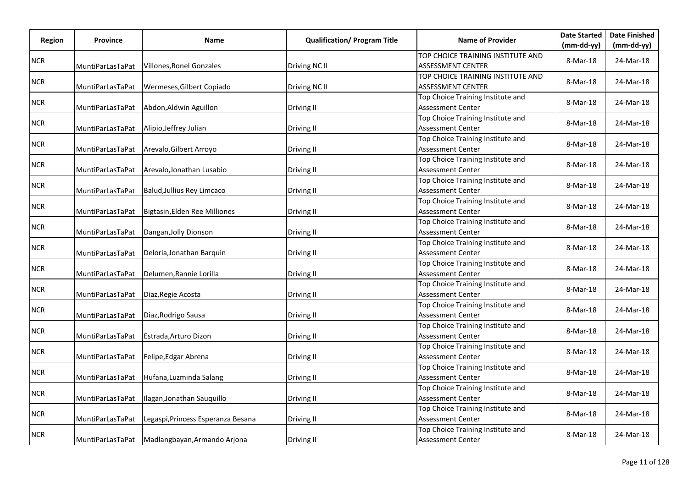|            |                  |                                               | <b>Qualification/ Program Title</b> | <b>Name of Provider</b>                                       | <b>Date Started</b> | <b>Date Finished</b> |
|------------|------------------|-----------------------------------------------|-------------------------------------|---------------------------------------------------------------|---------------------|----------------------|
| Region     | <b>Province</b>  | Name                                          |                                     |                                                               | $(mm-dd-yy)$        | $(mm-dd-yy)$         |
| <b>NCR</b> | MuntiParLasTaPat | Villones, Ronel Gonzales                      | Driving NC II                       | TOP CHOICE TRAINING INSTITUTE AND<br><b>ASSESSMENT CENTER</b> | 8-Mar-18            | 24-Mar-18            |
| <b>NCR</b> |                  |                                               |                                     | TOP CHOICE TRAINING INSTITUTE AND                             | 8-Mar-18            | 24-Mar-18            |
|            | MuntiParLasTaPat | Wermeses, Gilbert Copiado                     | Driving NC II                       | <b>ASSESSMENT CENTER</b><br>Top Choice Training Institute and |                     |                      |
| <b>NCR</b> | MuntiParLasTaPat | Abdon, Aldwin Aguillon                        | Driving II                          | <b>Assessment Center</b>                                      | 8-Mar-18            | 24-Mar-18            |
| <b>NCR</b> | MuntiParLasTaPat | Alipio, Jeffrey Julian                        | Driving II                          | Top Choice Training Institute and<br><b>Assessment Center</b> | 8-Mar-18            | 24-Mar-18            |
|            |                  |                                               |                                     | Top Choice Training Institute and                             |                     |                      |
| <b>NCR</b> | MuntiParLasTaPat | Arevalo, Gilbert Arroyo                       | Driving II                          | <b>Assessment Center</b>                                      | 8-Mar-18            | 24-Mar-18            |
| <b>NCR</b> | MuntiParLasTaPat | Arevalo, Jonathan Lusabio                     | Driving II                          | Top Choice Training Institute and<br><b>Assessment Center</b> | 8-Mar-18            | 24-Mar-18            |
| <b>NCR</b> | MuntiParLasTaPat | Balud, Jullius Rey Limcaco                    | Driving II                          | Top Choice Training Institute and<br><b>Assessment Center</b> | 8-Mar-18            | 24-Mar-18            |
| <b>NCR</b> | MuntiParLasTaPat | Bigtasin, Elden Ree Milliones                 | Driving II                          | Top Choice Training Institute and<br><b>Assessment Center</b> | 8-Mar-18            | 24-Mar-18            |
| <b>NCR</b> | MuntiParLasTaPat | Dangan, Jolly Dionson                         | Driving II                          | Top Choice Training Institute and<br><b>Assessment Center</b> | 8-Mar-18            | 24-Mar-18            |
| <b>NCR</b> |                  |                                               |                                     | Top Choice Training Institute and                             | 8-Mar-18            | 24-Mar-18            |
|            | MuntiParLasTaPat | Deloria, Jonathan Barquin                     | Driving II                          | <b>Assessment Center</b><br>Top Choice Training Institute and |                     |                      |
| <b>NCR</b> | MuntiParLasTaPat | Delumen, Rannie Lorilla                       | Driving II                          | <b>Assessment Center</b>                                      | 8-Mar-18            | 24-Mar-18            |
| <b>NCR</b> | MuntiParLasTaPat | Diaz, Regie Acosta                            | Driving II                          | Top Choice Training Institute and<br><b>Assessment Center</b> | 8-Mar-18            | 24-Mar-18            |
|            |                  |                                               |                                     | Top Choice Training Institute and                             |                     |                      |
| <b>NCR</b> | MuntiParLasTaPat | Diaz, Rodrigo Sausa                           | Driving II                          | <b>Assessment Center</b>                                      | 8-Mar-18            | 24-Mar-18            |
| <b>NCR</b> | MuntiParLasTaPat | Estrada, Arturo Dizon                         | Driving II                          | Top Choice Training Institute and<br><b>Assessment Center</b> | 8-Mar-18            | 24-Mar-18            |
| <b>NCR</b> | MuntiParLasTaPat | Felipe, Edgar Abrena                          | Driving II                          | Top Choice Training Institute and<br>Assessment Center        | 8-Mar-18            | 24-Mar-18            |
| <b>NCR</b> |                  |                                               |                                     | Top Choice Training Institute and                             | 8-Mar-18            | 24-Mar-18            |
|            | MuntiParLasTaPat | Hufana, Luzminda Salang                       | <b>Driving II</b>                   | <b>Assessment Center</b>                                      |                     |                      |
| <b>NCR</b> | MuntiParLasTaPat | Ilagan, Jonathan Sauquillo                    | Driving II                          | Top Choice Training Institute and<br><b>Assessment Center</b> | 8-Mar-18            | 24-Mar-18            |
| <b>NCR</b> | MuntiParLasTaPat | Legaspi, Princess Esperanza Besana            | Driving II                          | Top Choice Training Institute and<br><b>Assessment Center</b> | 8-Mar-18            | 24-Mar-18            |
| <b>NCR</b> |                  | MuntiParLasTaPat Madlangbayan, Armando Arjona | Driving II                          | Top Choice Training Institute and<br><b>Assessment Center</b> | 8-Mar-18            | 24-Mar-18            |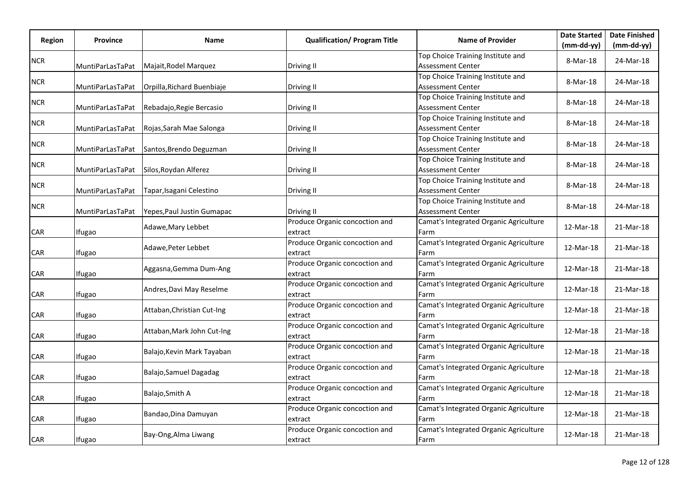| Region     | Province         | Name                       | <b>Qualification/ Program Title</b>       | <b>Name of Provider</b>                                       | <b>Date Started</b> | <b>Date Finished</b> |
|------------|------------------|----------------------------|-------------------------------------------|---------------------------------------------------------------|---------------------|----------------------|
|            |                  |                            |                                           |                                                               | $(mm-dd-yy)$        | $(mm-dd-yy)$         |
| <b>NCR</b> | MuntiParLasTaPat | Majait, Rodel Marquez      | Driving II                                | Top Choice Training Institute and<br>Assessment Center        | 8-Mar-18            | 24-Mar-18            |
| <b>NCR</b> | MuntiParLasTaPat | Orpilla, Richard Buenbiaje | Driving II                                | Top Choice Training Institute and<br><b>Assessment Center</b> | 8-Mar-18            | 24-Mar-18            |
| <b>NCR</b> | MuntiParLasTaPat | Rebadajo, Regie Bercasio   | Driving II                                | Top Choice Training Institute and<br>Assessment Center        | 8-Mar-18            | 24-Mar-18            |
| <b>NCR</b> | MuntiParLasTaPat | Rojas, Sarah Mae Salonga   | Driving II                                | Top Choice Training Institute and<br>Assessment Center        | 8-Mar-18            | 24-Mar-18            |
| <b>NCR</b> | MuntiParLasTaPat | Santos, Brendo Deguzman    | Driving II                                | Top Choice Training Institute and<br><b>Assessment Center</b> | 8-Mar-18            | 24-Mar-18            |
| NCR        | MuntiParLasTaPat | Silos, Roydan Alferez      | Driving II                                | Top Choice Training Institute and<br><b>Assessment Center</b> | 8-Mar-18            | 24-Mar-18            |
| <b>NCR</b> | MuntiParLasTaPat | Tapar, Isagani Celestino   | Driving II                                | Top Choice Training Institute and<br>Assessment Center        | 8-Mar-18            | 24-Mar-18            |
| <b>NCR</b> | MuntiParLasTaPat | Yepes, Paul Justin Gumapac | Driving II                                | Top Choice Training Institute and<br><b>Assessment Center</b> | 8-Mar-18            | 24-Mar-18            |
| CAR        | Ifugao           | Adawe, Mary Lebbet         | Produce Organic concoction and<br>extract | Camat's Integrated Organic Agriculture<br>Farm                | 12-Mar-18           | 21-Mar-18            |
| CAR        | Ifugao           | Adawe, Peter Lebbet        | Produce Organic concoction and<br>extract | Camat's Integrated Organic Agriculture<br>Farm                | 12-Mar-18           | 21-Mar-18            |
| CAR        | Ifugao           | Aggasna, Gemma Dum-Ang     | Produce Organic concoction and<br>extract | Camat's Integrated Organic Agriculture<br>Farm                | 12-Mar-18           | 21-Mar-18            |
| CAR        | Ifugao           | Andres, Davi May Reselme   | Produce Organic concoction and<br>extract | Camat's Integrated Organic Agriculture<br>Farm                | 12-Mar-18           | 21-Mar-18            |
| CAR        | Ifugao           | Attaban, Christian Cut-Ing | Produce Organic concoction and<br>extract | Camat's Integrated Organic Agriculture<br>Farm                | 12-Mar-18           | 21-Mar-18            |
| CAR        | Ifugao           | Attaban, Mark John Cut-Ing | Produce Organic concoction and<br>extract | Camat's Integrated Organic Agriculture<br>Farm                | 12-Mar-18           | 21-Mar-18            |
| CAR        | Ifugao           | Balajo, Kevin Mark Tayaban | Produce Organic concoction and<br>extract | Camat's Integrated Organic Agriculture<br>Farm                | 12-Mar-18           | 21-Mar-18            |
| CAR        | Ifugao           | Balajo, Samuel Dagadag     | Produce Organic concoction and<br>extract | Camat's Integrated Organic Agriculture<br>Farm                | 12-Mar-18           | 21-Mar-18            |
| CAR        | Ifugao           | Balajo, Smith A            | Produce Organic concoction and<br>extract | Camat's Integrated Organic Agriculture<br>Farm                | 12-Mar-18           | 21-Mar-18            |
| CAR        | Ifugao           | Bandao, Dina Damuyan       | Produce Organic concoction and<br>extract | Camat's Integrated Organic Agriculture<br>Farm                | 12-Mar-18           | 21-Mar-18            |
| CAR        | Ifugao           | Bay-Ong, Alma Liwang       | Produce Organic concoction and<br>extract | Camat's Integrated Organic Agriculture<br>Farm                | 12-Mar-18           | 21-Mar-18            |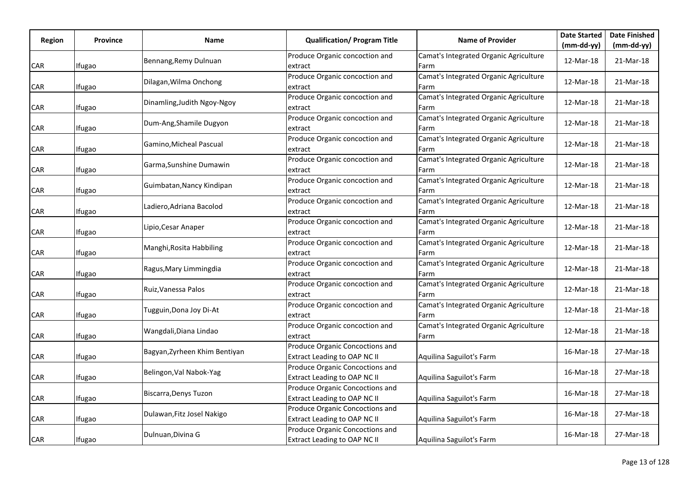|            | Province      |                               | <b>Qualification/ Program Title</b>                                    | <b>Name of Provider</b>                        | <b>Date Started</b> | <b>Date Finished</b> |
|------------|---------------|-------------------------------|------------------------------------------------------------------------|------------------------------------------------|---------------------|----------------------|
| Region     |               | Name                          |                                                                        |                                                | $(mm-dd-yy)$        | $(mm-dd-yy)$         |
| <b>CAR</b> | Ifugao        | Bennang, Remy Dulnuan         | Produce Organic concoction and<br>extract                              | Camat's Integrated Organic Agriculture<br>Farm | 12-Mar-18           | 21-Mar-18            |
| CAR        | Ifugao        | Dilagan, Wilma Onchong        | Produce Organic concoction and<br>extract                              | Camat's Integrated Organic Agriculture<br>Farm | 12-Mar-18           | 21-Mar-18            |
| CAR        | Ifugao        | Dinamling, Judith Ngoy-Ngoy   | Produce Organic concoction and<br>extract                              | Camat's Integrated Organic Agriculture<br>Farm | 12-Mar-18           | 21-Mar-18            |
| <b>CAR</b> | Ifugao        | Dum-Ang, Shamile Dugyon       | Produce Organic concoction and<br>extract                              | Camat's Integrated Organic Agriculture<br>Farm | 12-Mar-18           | 21-Mar-18            |
| CAR        | Ifugao        | Gamino, Micheal Pascual       | Produce Organic concoction and<br>extract                              | Camat's Integrated Organic Agriculture<br>Farm | 12-Mar-18           | 21-Mar-18            |
| CAR        | Ifugao        | Garma, Sunshine Dumawin       | Produce Organic concoction and<br>extract                              | Camat's Integrated Organic Agriculture<br>Farm | 12-Mar-18           | 21-Mar-18            |
| CAR        | Ifugao        | Guimbatan, Nancy Kindipan     | Produce Organic concoction and<br>extract                              | Camat's Integrated Organic Agriculture<br>Farm | 12-Mar-18           | 21-Mar-18            |
| CAR        | <b>Ifugao</b> | Ladiero, Adriana Bacolod      | Produce Organic concoction and<br>extract                              | Camat's Integrated Organic Agriculture<br>Farm | 12-Mar-18           | 21-Mar-18            |
| CAR        | Ifugao        | Lipio, Cesar Anaper           | Produce Organic concoction and<br>extract                              | Camat's Integrated Organic Agriculture<br>Farm | 12-Mar-18           | 21-Mar-18            |
| <b>CAR</b> | <b>Ifugao</b> | Manghi, Rosita Habbiling      | Produce Organic concoction and<br>extract                              | Camat's Integrated Organic Agriculture<br>Farm | 12-Mar-18           | 21-Mar-18            |
| CAR        | Ifugao        | Ragus, Mary Limmingdia        | Produce Organic concoction and<br>extract                              | Camat's Integrated Organic Agriculture<br>Farm | 12-Mar-18           | 21-Mar-18            |
| <b>CAR</b> | <b>Ifugao</b> | Ruiz, Vanessa Palos           | Produce Organic concoction and<br>extract                              | Camat's Integrated Organic Agriculture<br>Farm | 12-Mar-18           | 21-Mar-18            |
| CAR        | Ifugao        | Tugguin, Dona Joy Di-At       | Produce Organic concoction and<br>extract                              | Camat's Integrated Organic Agriculture<br>Farm | 12-Mar-18           | 21-Mar-18            |
| CAR        | Ifugao        | Wangdali, Diana Lindao        | Produce Organic concoction and<br>extract                              | Camat's Integrated Organic Agriculture<br>Farm | 12-Mar-18           | 21-Mar-18            |
| CAR        | Ifugao        | Bagyan, Zyrheen Khim Bentiyan | Produce Organic Concoctions and<br><b>Extract Leading to OAP NC II</b> | Aquilina Saguilot's Farm                       | 16-Mar-18           | 27-Mar-18            |
| CAR        | Ifugao        | Belingon, Val Nabok-Yag       | Produce Organic Concoctions and<br><b>Extract Leading to OAP NC II</b> | Aquilina Saguilot's Farm                       | 16-Mar-18           | 27-Mar-18            |
| CAR        | Ifugao        | Biscarra, Denys Tuzon         | Produce Organic Concoctions and<br><b>Extract Leading to OAP NC II</b> | Aquilina Saguilot's Farm                       | 16-Mar-18           | 27-Mar-18            |
| CAR        | Ifugao        | Dulawan, Fitz Josel Nakigo    | Produce Organic Concoctions and<br><b>Extract Leading to OAP NC II</b> | Aquilina Saguilot's Farm                       | 16-Mar-18           | 27-Mar-18            |
| <b>CAR</b> | Ifugao        | Dulnuan, Divina G             | Produce Organic Concoctions and<br><b>Extract Leading to OAP NC II</b> | Aquilina Saguilot's Farm                       | 16-Mar-18           | 27-Mar-18            |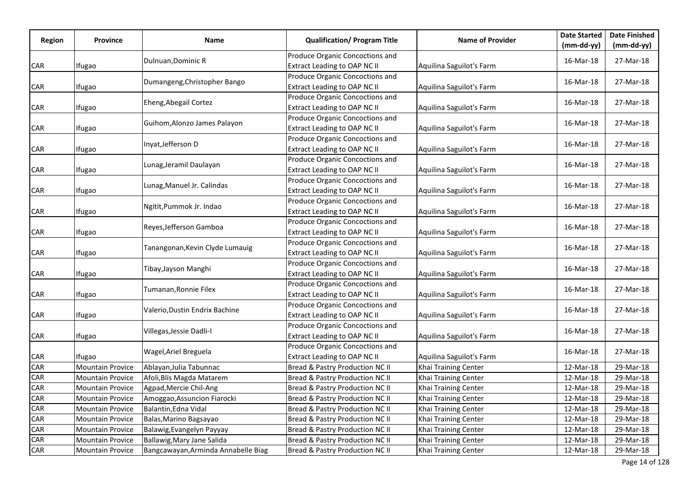|               |                         |                                     |                                     | <b>Name of Provider</b>  | <b>Date Started</b> | <b>Date Finished</b> |
|---------------|-------------------------|-------------------------------------|-------------------------------------|--------------------------|---------------------|----------------------|
| <b>Region</b> | Province                | Name                                | <b>Qualification/ Program Title</b> |                          | $(mm-dd-yy)$        | $(mm-dd-yy)$         |
|               |                         | Dulnuan, Dominic R                  | Produce Organic Concoctions and     |                          | 16-Mar-18           | 27-Mar-18            |
| CAR           | Ifugao                  |                                     | <b>Extract Leading to OAP NC II</b> | Aquilina Saguilot's Farm |                     |                      |
|               |                         | Dumangeng, Christopher Bango        | Produce Organic Concoctions and     |                          | 16-Mar-18           | 27-Mar-18            |
| <b>CAR</b>    | Ifugao                  |                                     | <b>Extract Leading to OAP NC II</b> | Aquilina Saguilot's Farm |                     |                      |
|               |                         | Eheng, Abegail Cortez               | Produce Organic Concoctions and     |                          | 16-Mar-18           | 27-Mar-18            |
| <b>CAR</b>    | Ifugao                  |                                     | <b>Extract Leading to OAP NC II</b> | Aquilina Saguilot's Farm |                     |                      |
|               |                         | Guihom, Alonzo James Palayon        | Produce Organic Concoctions and     |                          | 16-Mar-18           | 27-Mar-18            |
| <b>CAR</b>    | Ifugao                  |                                     | <b>Extract Leading to OAP NC II</b> | Aquilina Saguilot's Farm |                     |                      |
|               |                         | Inyat, Jefferson D                  | Produce Organic Concoctions and     |                          | 16-Mar-18           | 27-Mar-18            |
| <b>CAR</b>    | Ifugao                  |                                     | <b>Extract Leading to OAP NC II</b> | Aquilina Saguilot's Farm |                     |                      |
|               |                         | Lunag, Jeramil Daulayan             | Produce Organic Concoctions and     |                          | 16-Mar-18           | 27-Mar-18            |
| <b>CAR</b>    | Ifugao                  |                                     | <b>Extract Leading to OAP NC II</b> | Aquilina Saguilot's Farm |                     |                      |
|               |                         | Lunag, Manuel Jr. Calindas          | Produce Organic Concoctions and     |                          | 16-Mar-18           | 27-Mar-18            |
| CAR           | Ifugao                  |                                     | <b>Extract Leading to OAP NC II</b> | Aquilina Saguilot's Farm |                     |                      |
|               |                         | Ngitit, Pummok Jr. Indao            | Produce Organic Concoctions and     |                          | 16-Mar-18           | 27-Mar-18            |
| CAR           | Ifugao                  |                                     | <b>Extract Leading to OAP NC II</b> | Aquilina Saguilot's Farm |                     |                      |
|               |                         | Reyes, Jefferson Gamboa             | Produce Organic Concoctions and     |                          |                     | 27-Mar-18            |
| <b>CAR</b>    | Ifugao                  |                                     | Extract Leading to OAP NC II        | Aquilina Saguilot's Farm | 16-Mar-18           |                      |
|               |                         |                                     | Produce Organic Concoctions and     |                          |                     | 27-Mar-18            |
| <b>CAR</b>    | Ifugao                  | Tanangonan, Kevin Clyde Lumauig     | <b>Extract Leading to OAP NC II</b> | Aquilina Saguilot's Farm | 16-Mar-18           |                      |
|               |                         |                                     | Produce Organic Concoctions and     |                          |                     |                      |
| <b>CAR</b>    | Ifugao                  | Tibay, Jayson Manghi                | <b>Extract Leading to OAP NC II</b> | Aquilina Saguilot's Farm | 16-Mar-18           | 27-Mar-18            |
|               |                         |                                     | Produce Organic Concoctions and     |                          |                     |                      |
| <b>CAR</b>    | Ifugao                  | Tumanan, Ronnie Filex               | <b>Extract Leading to OAP NC II</b> | Aquilina Saguilot's Farm | 16-Mar-18           | 27-Mar-18            |
|               |                         |                                     | Produce Organic Concoctions and     |                          |                     |                      |
| <b>CAR</b>    | Ifugao                  | Valerio, Dustin Endrix Bachine      | <b>Extract Leading to OAP NC II</b> | Aquilina Saguilot's Farm | 16-Mar-18           | 27-Mar-18            |
|               |                         |                                     | Produce Organic Concoctions and     |                          |                     |                      |
| <b>CAR</b>    | Ifugao                  | Villegas, Jessie Dadli-I            | <b>Extract Leading to OAP NC II</b> | Aquilina Saguilot's Farm | 16-Mar-18           | 27-Mar-18            |
|               |                         |                                     | Produce Organic Concoctions and     |                          |                     |                      |
| CAR           | Ifugao                  | Wagel, Ariel Breguela               | <b>Extract Leading to OAP NC II</b> | Aquilina Saguilot's Farm | 16-Mar-18           | 27-Mar-18            |
| <b>CAR</b>    | <b>Mountain Provice</b> | Ablayan, Julia Tabunnac             | Bread & Pastry Production NC II     | Khai Training Center     | 12-Mar-18           | 29-Mar-18            |
| CAR           | <b>Mountain Provice</b> | Afoli, Blis Magda Matarem           | Bread & Pastry Production NC II     | Khai Training Center     | 12-Mar-18           | 29-Mar-18            |
| <b>CAR</b>    | <b>Mountain Provice</b> | Agpad, Mercie Chil-Ang              | Bread & Pastry Production NC II     | Khai Training Center     | 12-Mar-18           | 29-Mar-18            |
| <b>CAR</b>    | <b>Mountain Provice</b> | Amoggao, Assuncion Fiarocki         | Bread & Pastry Production NC II     | Khai Training Center     | 12-Mar-18           | 29-Mar-18            |
| <b>CAR</b>    | <b>Mountain Provice</b> | Balantin, Edna Vidal                | Bread & Pastry Production NC II     | Khai Training Center     | 12-Mar-18           | 29-Mar-18            |
| CAR           | <b>Mountain Provice</b> | Balas, Marino Bagsayao              | Bread & Pastry Production NC II     | Khai Training Center     | 12-Mar-18           | 29-Mar-18            |
| CAR           | <b>Mountain Provice</b> | Balawig, Evangelyn Payyay           | Bread & Pastry Production NC II     | Khai Training Center     | 12-Mar-18           | 29-Mar-18            |
| <b>CAR</b>    | <b>Mountain Provice</b> | Ballawig, Mary Jane Salida          | Bread & Pastry Production NC II     | Khai Training Center     | 12-Mar-18           | 29-Mar-18            |
| <b>CAR</b>    | <b>Mountain Provice</b> | Bangcawayan, Arminda Annabelle Biag | Bread & Pastry Production NC II     | Khai Training Center     | 12-Mar-18           | 29-Mar-18            |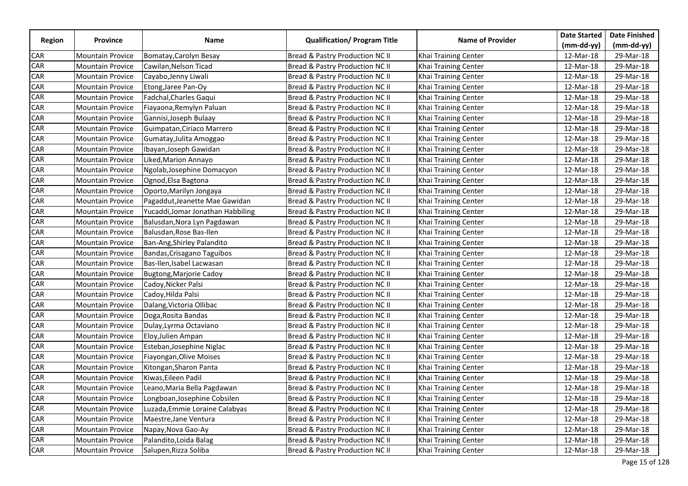|            |                         |                                   |                                     |                         | <b>Date Started</b> | <b>Date Finished</b> |
|------------|-------------------------|-----------------------------------|-------------------------------------|-------------------------|---------------------|----------------------|
| Region     | <b>Province</b>         | Name                              | <b>Qualification/ Program Title</b> | <b>Name of Provider</b> | $(mm-dd-yy)$        | $(mm-dd-yy)$         |
| <b>CAR</b> | <b>Mountain Provice</b> | Bomatay, Carolyn Besay            | Bread & Pastry Production NC II     | Khai Training Center    | 12-Mar-18           | 29-Mar-18            |
| <b>CAR</b> | <b>Mountain Provice</b> | Cawilan, Nelson Ticad             | Bread & Pastry Production NC II     | Khai Training Center    | 12-Mar-18           | 29-Mar-18            |
| CAR        | <b>Mountain Provice</b> | Cayabo,Jenny Liwali               | Bread & Pastry Production NC II     | Khai Training Center    | 12-Mar-18           | 29-Mar-18            |
| CAR        | <b>Mountain Provice</b> | Etong, Jaree Pan-Oy               | Bread & Pastry Production NC II     | Khai Training Center    | 12-Mar-18           | 29-Mar-18            |
| <b>CAR</b> | <b>Mountain Provice</b> | Fadchal, Charles Gaqui            | Bread & Pastry Production NC II     | Khai Training Center    | 12-Mar-18           | 29-Mar-18            |
| <b>CAR</b> | <b>Mountain Provice</b> | Fiayaona, Remylyn Paluan          | Bread & Pastry Production NC II     | Khai Training Center    | 12-Mar-18           | 29-Mar-18            |
| <b>CAR</b> | <b>Mountain Provice</b> | Gannisi, Joseph Bulaay            | Bread & Pastry Production NC II     | Khai Training Center    | 12-Mar-18           | 29-Mar-18            |
| CAR        | <b>Mountain Provice</b> | Guimpatan, Ciriaco Marrero        | Bread & Pastry Production NC II     | Khai Training Center    | 12-Mar-18           | 29-Mar-18            |
| <b>CAR</b> | <b>Mountain Provice</b> | Gumatay, Julita Amoggao           | Bread & Pastry Production NC II     | Khai Training Center    | 12-Mar-18           | 29-Mar-18            |
| CAR        | <b>Mountain Provice</b> | Ibayan, Joseph Gawidan            | Bread & Pastry Production NC II     | Khai Training Center    | 12-Mar-18           | 29-Mar-18            |
| <b>CAR</b> | <b>Mountain Provice</b> | Liked, Marion Annayo              | Bread & Pastry Production NC II     | Khai Training Center    | 12-Mar-18           | 29-Mar-18            |
| <b>CAR</b> | <b>Mountain Provice</b> | Ngolab, Josephine Domacyon        | Bread & Pastry Production NC II     | Khai Training Center    | 12-Mar-18           | 29-Mar-18            |
| <b>CAR</b> | <b>Mountain Provice</b> | Ognod, Elsa Bagtona               | Bread & Pastry Production NC II     | Khai Training Center    | 12-Mar-18           | 29-Mar-18            |
| <b>CAR</b> | <b>Mountain Provice</b> | Oporto, Marilyn Jongaya           | Bread & Pastry Production NC II     | Khai Training Center    | 12-Mar-18           | 29-Mar-18            |
| CAR        | <b>Mountain Provice</b> | Pagaddut, Jeanette Mae Gawidan    | Bread & Pastry Production NC II     | Khai Training Center    | 12-Mar-18           | 29-Mar-18            |
| <b>CAR</b> | <b>Mountain Provice</b> | Yucaddi, Jomar Jonathan Habbiling | Bread & Pastry Production NC II     | Khai Training Center    | 12-Mar-18           | 29-Mar-18            |
| CAR        | <b>Mountain Provice</b> | Balusdan, Nora Lyn Pagdawan       | Bread & Pastry Production NC II     | Khai Training Center    | 12-Mar-18           | 29-Mar-18            |
| <b>CAR</b> | <b>Mountain Provice</b> | Balusdan, Rose Bas-Ilen           | Bread & Pastry Production NC II     | Khai Training Center    | 12-Mar-18           | 29-Mar-18            |
| CAR        | <b>Mountain Provice</b> | Ban-Ang, Shirley Palandito        | Bread & Pastry Production NC II     | Khai Training Center    | 12-Mar-18           | 29-Mar-18            |
| <b>CAR</b> | <b>Mountain Provice</b> | Bandas, Crisagano Taguibos        | Bread & Pastry Production NC II     | Khai Training Center    | 12-Mar-18           | 29-Mar-18            |
| CAR        | <b>Mountain Provice</b> | Bas-Ilen, Isabel Lacwasan         | Bread & Pastry Production NC II     | Khai Training Center    | 12-Mar-18           | 29-Mar-18            |
| <b>CAR</b> | <b>Mountain Provice</b> | <b>Bugtong, Marjorie Cadoy</b>    | Bread & Pastry Production NC II     | Khai Training Center    | 12-Mar-18           | 29-Mar-18            |
| <b>CAR</b> | <b>Mountain Provice</b> | Cadoy, Nicker Palsi               | Bread & Pastry Production NC II     | Khai Training Center    | 12-Mar-18           | 29-Mar-18            |
| <b>CAR</b> | <b>Mountain Provice</b> | Cadoy, Hilda Palsi                | Bread & Pastry Production NC II     | Khai Training Center    | 12-Mar-18           | 29-Mar-18            |
| <b>CAR</b> | <b>Mountain Provice</b> | Dalang, Victoria Ollibac          | Bread & Pastry Production NC II     | Khai Training Center    | 12-Mar-18           | 29-Mar-18            |
| CAR        | <b>Mountain Provice</b> | Doga, Rosita Bandas               | Bread & Pastry Production NC II     | Khai Training Center    | 12-Mar-18           | 29-Mar-18            |
| <b>CAR</b> | <b>Mountain Provice</b> | Dulay, Lyrma Octaviano            | Bread & Pastry Production NC II     | Khai Training Center    | 12-Mar-18           | 29-Mar-18            |
| CAR        | <b>Mountain Provice</b> | Eloy, Julien Ampan                | Bread & Pastry Production NC II     | Khai Training Center    | 12-Mar-18           | 29-Mar-18            |
| CAR        | <b>Mountain Provice</b> | Esteban, Josephine Niglac         | Bread & Pastry Production NC II     | Khai Training Center    | 12-Mar-18           | 29-Mar-18            |
| CAR        | <b>Mountain Provice</b> | Fiayongan, Olive Moises           | Bread & Pastry Production NC II     | Khai Training Center    | 12-Mar-18           | 29-Mar-18            |
| <b>CAR</b> | <b>Mountain Provice</b> | Kitongan, Sharon Panta            | Bread & Pastry Production NC II     | Khai Training Center    | 12-Mar-18           | 29-Mar-18            |
| CAR        | <b>Mountain Provice</b> | Kiwas, Eileen Padil               | Bread & Pastry Production NC II     | Khai Training Center    | 12-Mar-18           | 29-Mar-18            |
| CAR        | <b>Mountain Provice</b> | Leano, Maria Bella Pagdawan       | Bread & Pastry Production NC II     | Khai Training Center    | 12-Mar-18           | 29-Mar-18            |
| CAR        | <b>Mountain Provice</b> | Longboan, Josephine Cobsilen      | Bread & Pastry Production NC II     | Khai Training Center    | 12-Mar-18           | 29-Mar-18            |
| <b>CAR</b> | <b>Mountain Provice</b> | Luzada, Emmie Loraine Calabyas    | Bread & Pastry Production NC II     | Khai Training Center    | 12-Mar-18           | 29-Mar-18            |
| <b>CAR</b> | <b>Mountain Provice</b> | Maestre, Jane Ventura             | Bread & Pastry Production NC II     | Khai Training Center    | 12-Mar-18           | 29-Mar-18            |
| CAR        | <b>Mountain Provice</b> | Napay, Nova Gao-Ay                | Bread & Pastry Production NC II     | Khai Training Center    | 12-Mar-18           | 29-Mar-18            |
| <b>CAR</b> | <b>Mountain Provice</b> | Palandito, Loida Balag            | Bread & Pastry Production NC II     | Khai Training Center    | 12-Mar-18           | 29-Mar-18            |
| <b>CAR</b> | <b>Mountain Provice</b> | Salupen, Rizza Soliba             | Bread & Pastry Production NC II     | Khai Training Center    | 12-Mar-18           | 29-Mar-18            |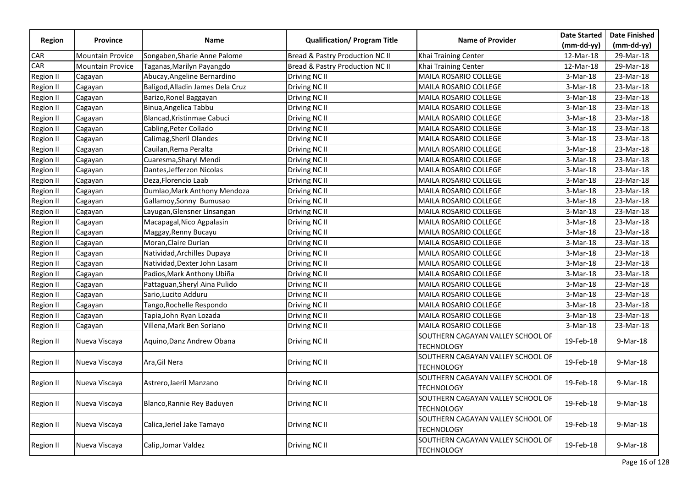|                  |                         |                                  |                                     |                                   | <b>Date Started</b> | <b>Date Finished</b> |
|------------------|-------------------------|----------------------------------|-------------------------------------|-----------------------------------|---------------------|----------------------|
| <b>Region</b>    | <b>Province</b>         | Name                             | <b>Qualification/ Program Title</b> | <b>Name of Provider</b>           | $(mm-dd-yy)$        | $(mm-dd-yy)$         |
| <b>CAR</b>       | <b>Mountain Provice</b> | Songaben, Sharie Anne Palome     | Bread & Pastry Production NC II     | Khai Training Center              | 12-Mar-18           | 29-Mar-18            |
| <b>CAR</b>       | <b>Mountain Provice</b> | Taganas,Marilyn Payangdo         | Bread & Pastry Production NC II     | Khai Training Center              | 12-Mar-18           | 29-Mar-18            |
| <b>Region II</b> | Cagayan                 | Abucay, Angeline Bernardino      | Driving NC II                       | MAILA ROSARIO COLLEGE             | $3-Mar-18$          | 23-Mar-18            |
| <b>Region II</b> | Cagayan                 | Baligod, Alladin James Dela Cruz | Driving NC II                       | MAILA ROSARIO COLLEGE             | $3-Mar-18$          | 23-Mar-18            |
| <b>Region II</b> | Cagayan                 | Barizo, Ronel Baggayan           | Driving NC II                       | MAILA ROSARIO COLLEGE             | $3-Mar-18$          | 23-Mar-18            |
| <b>Region II</b> | Cagayan                 | Binua, Angelica Tabbu            | Driving NC II                       | MAILA ROSARIO COLLEGE             | $3-Mar-18$          | 23-Mar-18            |
| Region II        | Cagayan                 | Blancad, Kristinmae Cabuci       | Driving NC II                       | MAILA ROSARIO COLLEGE             | $3-Mar-18$          | 23-Mar-18            |
| <b>Region II</b> | Cagayan                 | Cabling, Peter Collado           | Driving NC II                       | MAILA ROSARIO COLLEGE             | $3-Mar-18$          | 23-Mar-18            |
| <b>Region II</b> | Cagayan                 | Calimag, Sheril Olandes          | Driving NC II                       | MAILA ROSARIO COLLEGE             | $3-Mar-18$          | 23-Mar-18            |
| <b>Region II</b> | Cagayan                 | Cauilan, Rema Peralta            | Driving NC II                       | MAILA ROSARIO COLLEGE             | $3-Mar-18$          | 23-Mar-18            |
| <b>Region II</b> | Cagayan                 | Cuaresma, Sharyl Mendi           | Driving NC II                       | MAILA ROSARIO COLLEGE             | $3-Mar-18$          | 23-Mar-18            |
| Region II        | Cagayan                 | Dantes, Jefferzon Nicolas        | Driving NC II                       | MAILA ROSARIO COLLEGE             | $3-Mar-18$          | 23-Mar-18            |
| <b>Region II</b> | Cagayan                 | Deza, Florencio Laab             | Driving NC II                       | MAILA ROSARIO COLLEGE             | $3-Mar-18$          | 23-Mar-18            |
| <b>Region II</b> | Cagayan                 | Dumlao, Mark Anthony Mendoza     | Driving NC II                       | MAILA ROSARIO COLLEGE             | $3-Mar-18$          | 23-Mar-18            |
| <b>Region II</b> | Cagayan                 | Gallamoy, Sonny Bumusao          | Driving NC II                       | MAILA ROSARIO COLLEGE             | $3-Mar-18$          | 23-Mar-18            |
| Region II        | Cagayan                 | Layugan, Glensner Linsangan      | Driving NC II                       | MAILA ROSARIO COLLEGE             | $3-Mar-18$          | 23-Mar-18            |
| <b>Region II</b> | Cagayan                 | Macapagal, Nico Agpalasin        | Driving NC II                       | MAILA ROSARIO COLLEGE             | $3-Mar-18$          | 23-Mar-18            |
| <b>Region II</b> | Cagayan                 | Maggay, Renny Bucayu             | Driving NC II                       | <b>MAILA ROSARIO COLLEGE</b>      | $3-Mar-18$          | 23-Mar-18            |
| <b>Region II</b> | Cagayan                 | Moran, Claire Durian             | Driving NC II                       | MAILA ROSARIO COLLEGE             | $3-Mar-18$          | 23-Mar-18            |
| <b>Region II</b> | Cagayan                 | Natividad, Archilles Dupaya      | Driving NC II                       | MAILA ROSARIO COLLEGE             | $3-Mar-18$          | 23-Mar-18            |
| <b>Region II</b> | Cagayan                 | Natividad, Dexter John Lasam     | Driving NC II                       | MAILA ROSARIO COLLEGE             | $3-Mar-18$          | 23-Mar-18            |
| <b>Region II</b> | Cagayan                 | Padios, Mark Anthony Ubiña       | Driving NC II                       | MAILA ROSARIO COLLEGE             | 3-Mar-18            | 23-Mar-18            |
| <b>Region II</b> | Cagayan                 | Pattaguan, Sheryl Aina Pulido    | Driving NC II                       | MAILA ROSARIO COLLEGE             | $3-Mar-18$          | 23-Mar-18            |
| <b>Region II</b> | Cagayan                 | Sario, Lucito Adduru             | Driving NC II                       | MAILA ROSARIO COLLEGE             | $3-Mar-18$          | 23-Mar-18            |
| <b>Region II</b> | Cagayan                 | Tango, Rochelle Respondo         | Driving NC II                       | MAILA ROSARIO COLLEGE             | $3-Mar-18$          | 23-Mar-18            |
| <b>Region II</b> | Cagayan                 | Tapia, John Ryan Lozada          | Driving NC II                       | MAILA ROSARIO COLLEGE             | $3-Mar-18$          | 23-Mar-18            |
| <b>Region II</b> | Cagayan                 | Villena, Mark Ben Soriano        | Driving NC II                       | MAILA ROSARIO COLLEGE             | $3-Mar-18$          | 23-Mar-18            |
|                  |                         |                                  |                                     | SOUTHERN CAGAYAN VALLEY SCHOOL OF |                     |                      |
| <b>Region II</b> | Nueva Viscaya           | Aquino, Danz Andrew Obana        | Driving NC II                       | <b>TECHNOLOGY</b>                 | 19-Feb-18           | 9-Mar-18             |
|                  |                         |                                  |                                     | SOUTHERN CAGAYAN VALLEY SCHOOL OF |                     |                      |
| <b>Region II</b> | Nueva Viscaya           | Ara, Gil Nera                    | Driving NC II                       | <b>TECHNOLOGY</b>                 | 19-Feb-18           | 9-Mar-18             |
|                  |                         |                                  |                                     | SOUTHERN CAGAYAN VALLEY SCHOOL OF |                     |                      |
| <b>Region II</b> | Nueva Viscaya           | Astrero, Jaeril Manzano          | Driving NC II                       | <b>TECHNOLOGY</b>                 | 19-Feb-18           | 9-Mar-18             |
|                  |                         |                                  | Driving NC II                       | SOUTHERN CAGAYAN VALLEY SCHOOL OF | 19-Feb-18           |                      |
| Region II        | Nueva Viscaya           | Blanco, Rannie Rey Baduyen       |                                     | <b>TECHNOLOGY</b>                 |                     | 9-Mar-18             |
| <b>Region II</b> |                         |                                  |                                     | SOUTHERN CAGAYAN VALLEY SCHOOL OF |                     | 9-Mar-18             |
|                  | Nueva Viscaya           | Calica, Jeriel Jake Tamayo       | Driving NC II                       | <b>TECHNOLOGY</b>                 | 19-Feb-18           |                      |
| <b>Region II</b> |                         |                                  | Driving NC II                       | SOUTHERN CAGAYAN VALLEY SCHOOL OF | 19-Feb-18           | 9-Mar-18             |
|                  | Nueva Viscaya           | Calip, Jomar Valdez              |                                     | <b>TECHNOLOGY</b>                 |                     |                      |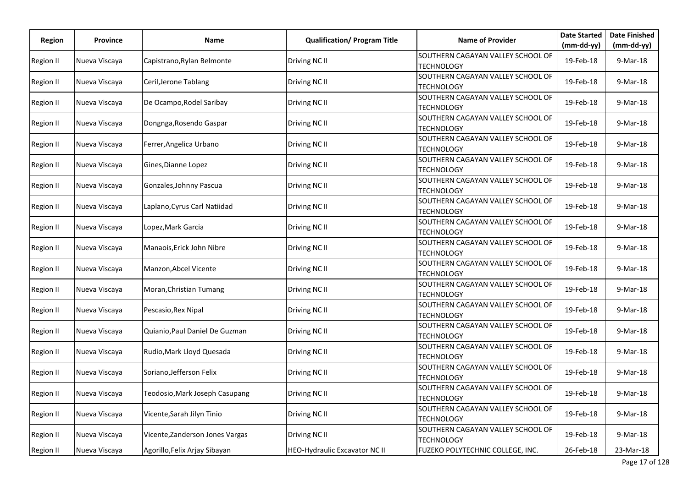| <b>Region</b>    | Province      | Name                            | <b>Qualification/ Program Title</b> | <b>Name of Provider</b>                                | <b>Date Started</b> | <b>Date Finished</b> |
|------------------|---------------|---------------------------------|-------------------------------------|--------------------------------------------------------|---------------------|----------------------|
|                  |               |                                 |                                     |                                                        | $(mm-dd-yy)$        | $(mm-dd-yy)$         |
| <b>Region II</b> | Nueva Viscaya | Capistrano, Rylan Belmonte      | Driving NC II                       | SOUTHERN CAGAYAN VALLEY SCHOOL OF<br><b>TECHNOLOGY</b> | 19-Feb-18           | 9-Mar-18             |
| <b>Region II</b> | Nueva Viscaya | Ceril, Jerone Tablang           | Driving NC II                       | SOUTHERN CAGAYAN VALLEY SCHOOL OF<br><b>TECHNOLOGY</b> | 19-Feb-18           | 9-Mar-18             |
| <b>Region II</b> | Nueva Viscaya | De Ocampo, Rodel Saribay        | Driving NC II                       | SOUTHERN CAGAYAN VALLEY SCHOOL OF<br><b>TECHNOLOGY</b> | 19-Feb-18           | 9-Mar-18             |
| Region II        | Nueva Viscaya | Dongnga, Rosendo Gaspar         | Driving NC II                       | SOUTHERN CAGAYAN VALLEY SCHOOL OF<br><b>TECHNOLOGY</b> | 19-Feb-18           | 9-Mar-18             |
| Region II        | Nueva Viscaya | Ferrer, Angelica Urbano         | Driving NC II                       | SOUTHERN CAGAYAN VALLEY SCHOOL OF<br><b>TECHNOLOGY</b> | 19-Feb-18           | 9-Mar-18             |
| Region II        | Nueva Viscaya | Gines, Dianne Lopez             | Driving NC II                       | SOUTHERN CAGAYAN VALLEY SCHOOL OF<br><b>TECHNOLOGY</b> | 19-Feb-18           | 9-Mar-18             |
| Region II        | Nueva Viscaya | Gonzales, Johnny Pascua         | Driving NC II                       | SOUTHERN CAGAYAN VALLEY SCHOOL OF<br><b>TECHNOLOGY</b> | 19-Feb-18           | 9-Mar-18             |
| Region II        | Nueva Viscaya | Laplano, Cyrus Carl Natiidad    | Driving NC II                       | SOUTHERN CAGAYAN VALLEY SCHOOL OF<br><b>TECHNOLOGY</b> | 19-Feb-18           | 9-Mar-18             |
| Region II        | Nueva Viscaya | Lopez, Mark Garcia              | Driving NC II                       | SOUTHERN CAGAYAN VALLEY SCHOOL OF<br><b>TECHNOLOGY</b> | 19-Feb-18           | 9-Mar-18             |
| Region II        | Nueva Viscaya | Manaois, Erick John Nibre       | Driving NC II                       | SOUTHERN CAGAYAN VALLEY SCHOOL OF<br><b>TECHNOLOGY</b> | 19-Feb-18           | 9-Mar-18             |
| Region II        | Nueva Viscaya | Manzon, Abcel Vicente           | Driving NC II                       | SOUTHERN CAGAYAN VALLEY SCHOOL OF<br><b>TECHNOLOGY</b> | 19-Feb-18           | 9-Mar-18             |
| Region II        | Nueva Viscaya | Moran, Christian Tumang         | Driving NC II                       | SOUTHERN CAGAYAN VALLEY SCHOOL OF<br><b>TECHNOLOGY</b> | 19-Feb-18           | 9-Mar-18             |
| Region II        | Nueva Viscaya | Pescasio, Rex Nipal             | Driving NC II                       | SOUTHERN CAGAYAN VALLEY SCHOOL OF<br><b>TECHNOLOGY</b> | 19-Feb-18           | 9-Mar-18             |
| <b>Region II</b> | Nueva Viscaya | Quianio, Paul Daniel De Guzman  | Driving NC II                       | SOUTHERN CAGAYAN VALLEY SCHOOL OF<br><b>TECHNOLOGY</b> | 19-Feb-18           | 9-Mar-18             |
| Region II        | Nueva Viscaya | Rudio, Mark Lloyd Quesada       | Driving NC II                       | SOUTHERN CAGAYAN VALLEY SCHOOL OF<br><b>TECHNOLOGY</b> | 19-Feb-18           | 9-Mar-18             |
| Region II        | Nueva Viscaya | Soriano, Jefferson Felix        | Driving NC II                       | SOUTHERN CAGAYAN VALLEY SCHOOL OF<br><b>TECHNOLOGY</b> | 19-Feb-18           | 9-Mar-18             |
| Region II        | Nueva Viscaya | Teodosio, Mark Joseph Casupang  | Driving NC II                       | SOUTHERN CAGAYAN VALLEY SCHOOL OF<br><b>TECHNOLOGY</b> | 19-Feb-18           | 9-Mar-18             |
| <b>Region II</b> | Nueva Viscaya | Vicente, Sarah Jilyn Tinio      | Driving NC II                       | SOUTHERN CAGAYAN VALLEY SCHOOL OF<br><b>TECHNOLOGY</b> | 19-Feb-18           | 9-Mar-18             |
| <b>Region II</b> | Nueva Viscaya | Vicente, Zanderson Jones Vargas | Driving NC II                       | SOUTHERN CAGAYAN VALLEY SCHOOL OF<br><b>TECHNOLOGY</b> | 19-Feb-18           | 9-Mar-18             |
| <b>Region II</b> | Nueva Viscaya | Agorillo, Felix Arjay Sibayan   | HEO-Hydraulic Excavator NC II       | FUZEKO POLYTECHNIC COLLEGE, INC.                       | 26-Feb-18           | 23-Mar-18            |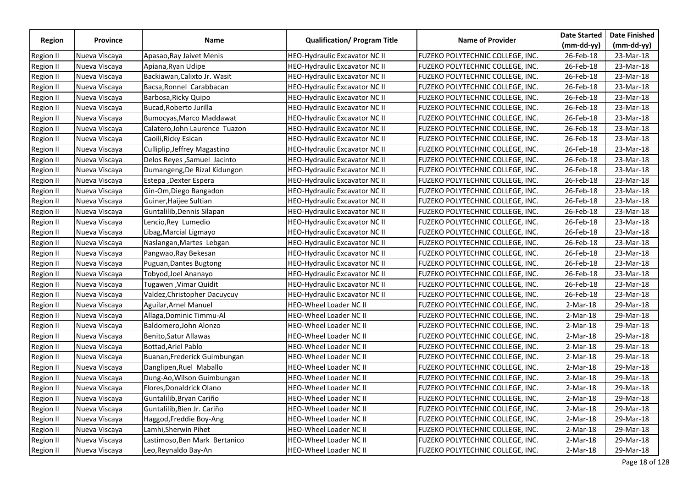|                  |               |                                |                                      |                                         | <b>Date Started</b> | <b>Date Finished</b> |
|------------------|---------------|--------------------------------|--------------------------------------|-----------------------------------------|---------------------|----------------------|
| Region           | Province      | Name                           | <b>Qualification/ Program Title</b>  | <b>Name of Provider</b>                 | $(mm-dd-yy)$        | $(mm-dd-yy)$         |
| Region II        | Nueva Viscaya | Apasao, Ray Jaivet Menis       | HEO-Hydraulic Excavator NC II        | FUZEKO POLYTECHNIC COLLEGE, INC.        | 26-Feb-18           | 23-Mar-18            |
| Region II        | Nueva Viscaya | Apiana, Ryan Udipe             | <b>HEO-Hydraulic Excavator NC II</b> | FUZEKO POLYTECHNIC COLLEGE, INC.        | 26-Feb-18           | 23-Mar-18            |
| Region II        | Nueva Viscaya | Backiawan, Calixto Jr. Wasit   | <b>HEO-Hydraulic Excavator NC II</b> | FUZEKO POLYTECHNIC COLLEGE, INC.        | 26-Feb-18           | 23-Mar-18            |
| <b>Region II</b> | Nueva Viscaya | Bacsa, Ronnel Carabbacan       | HEO-Hydraulic Excavator NC II        | FUZEKO POLYTECHNIC COLLEGE, INC.        | 26-Feb-18           | 23-Mar-18            |
| <b>Region II</b> | Nueva Viscaya | Barbosa, Ricky Quipo           | <b>HEO-Hydraulic Excavator NC II</b> | FUZEKO POLYTECHNIC COLLEGE, INC.        | 26-Feb-18           | 23-Mar-18            |
| Region II        | Nueva Viscaya | Bucad, Roberto Jurilla         | <b>HEO-Hydraulic Excavator NC II</b> | FUZEKO POLYTECHNIC COLLEGE, INC.        | 26-Feb-18           | 23-Mar-18            |
| Region II        | Nueva Viscaya | Bumocyas, Marco Maddawat       | <b>HEO-Hydraulic Excavator NC II</b> | FUZEKO POLYTECHNIC COLLEGE, INC.        | 26-Feb-18           | 23-Mar-18            |
| <b>Region II</b> | Nueva Viscaya | Calatero, John Laurence Tuazon | <b>HEO-Hydraulic Excavator NC II</b> | <b>FUZEKO POLYTECHNIC COLLEGE, INC.</b> | 26-Feb-18           | 23-Mar-18            |
| <b>Region II</b> | Nueva Viscaya | Caoili, Ricky Esican           | HEO-Hydraulic Excavator NC II        | FUZEKO POLYTECHNIC COLLEGE, INC.        | 26-Feb-18           | 23-Mar-18            |
| <b>Region II</b> | Nueva Viscaya | Culliplip, Jeffrey Magastino   | <b>HEO-Hydraulic Excavator NC II</b> | FUZEKO POLYTECHNIC COLLEGE, INC.        | 26-Feb-18           | 23-Mar-18            |
| Region II        | Nueva Viscaya | Delos Reyes, Samuel Jacinto    | <b>HEO-Hydraulic Excavator NC II</b> | FUZEKO POLYTECHNIC COLLEGE, INC.        | 26-Feb-18           | 23-Mar-18            |
| <b>Region II</b> | Nueva Viscaya | Dumangeng, De Rizal Kidungon   | HEO-Hydraulic Excavator NC II        | FUZEKO POLYTECHNIC COLLEGE, INC.        | 26-Feb-18           | 23-Mar-18            |
| <b>Region II</b> | Nueva Viscaya | Estepa , Dexter Espera         | <b>HEO-Hydraulic Excavator NC II</b> | FUZEKO POLYTECHNIC COLLEGE, INC.        | 26-Feb-18           | 23-Mar-18            |
| Region II        | Nueva Viscaya | Gin-Om, Diego Bangadon         | <b>HEO-Hydraulic Excavator NC II</b> | FUZEKO POLYTECHNIC COLLEGE, INC.        | 26-Feb-18           | 23-Mar-18            |
| <b>Region II</b> | Nueva Viscaya | Guiner, Haijee Sultian         | HEO-Hydraulic Excavator NC II        | FUZEKO POLYTECHNIC COLLEGE, INC.        | 26-Feb-18           | 23-Mar-18            |
| <b>Region II</b> | Nueva Viscaya | Guntalilib, Dennis Silapan     | <b>HEO-Hydraulic Excavator NC II</b> | FUZEKO POLYTECHNIC COLLEGE, INC.        | 26-Feb-18           | 23-Mar-18            |
| Region II        | Nueva Viscaya | Lencio,Rey Lumedio             | <b>HEO-Hydraulic Excavator NC II</b> | FUZEKO POLYTECHNIC COLLEGE, INC.        | 26-Feb-18           | 23-Mar-18            |
| <b>Region II</b> | Nueva Viscaya | Libag, Marcial Ligmayo         | <b>HEO-Hydraulic Excavator NC II</b> | FUZEKO POLYTECHNIC COLLEGE, INC.        | 26-Feb-18           | 23-Mar-18            |
| <b>Region II</b> | Nueva Viscaya | Naslangan, Martes Lebgan       | <b>HEO-Hydraulic Excavator NC II</b> | FUZEKO POLYTECHNIC COLLEGE, INC.        | 26-Feb-18           | 23-Mar-18            |
| Region II        | Nueva Viscaya | Pangwao, Ray Bekesan           | HEO-Hydraulic Excavator NC II        | FUZEKO POLYTECHNIC COLLEGE, INC.        | 26-Feb-18           | 23-Mar-18            |
| <b>Region II</b> | Nueva Viscaya | Puguan, Dantes Bugtong         | HEO-Hydraulic Excavator NC II        | FUZEKO POLYTECHNIC COLLEGE, INC.        | 26-Feb-18           | 23-Mar-18            |
| Region II        | Nueva Viscaya | Tobyod, Joel Ananayo           | HEO-Hydraulic Excavator NC II        | FUZEKO POLYTECHNIC COLLEGE, INC.        | 26-Feb-18           | 23-Mar-18            |
| Region II        | Nueva Viscaya | Tugawen ,Vimar Quidit          | <b>HEO-Hydraulic Excavator NC II</b> | FUZEKO POLYTECHNIC COLLEGE, INC.        | 26-Feb-18           | 23-Mar-18            |
| <b>Region II</b> | Nueva Viscaya | Valdez, Christopher Dacuycuy   | <b>HEO-Hydraulic Excavator NC II</b> | FUZEKO POLYTECHNIC COLLEGE, INC.        | 26-Feb-18           | 23-Mar-18            |
| Region II        | Nueva Viscaya | Aguilar, Arnel Manuel          | <b>HEO-Wheel Loader NC II</b>        | FUZEKO POLYTECHNIC COLLEGE, INC.        | 2-Mar-18            | 29-Mar-18            |
| <b>Region II</b> | Nueva Viscaya | Allaga, Dominic Timmu-Al       | <b>HEO-Wheel Loader NC II</b>        | FUZEKO POLYTECHNIC COLLEGE, INC.        | $2-Mar-18$          | 29-Mar-18            |
| <b>Region II</b> | Nueva Viscaya | Baldomero, John Alonzo         | <b>HEO-Wheel Loader NC II</b>        | FUZEKO POLYTECHNIC COLLEGE, INC.        | $2-Mar-18$          | 29-Mar-18            |
| Region II        | Nueva Viscaya | Benito, Satur Allawas          | HEO-Wheel Loader NC II               | FUZEKO POLYTECHNIC COLLEGE, INC.        | $2-Mar-18$          | 29-Mar-18            |
| Region II        | Nueva Viscaya | Bottad, Ariel Pablo            | HEO-Wheel Loader NC II               | FUZEKO POLYTECHNIC COLLEGE, INC.        | $2-Mar-18$          | 29-Mar-18            |
| Region II        | Nueva Viscaya | Buanan, Frederick Guimbungan   | <b>HEO-Wheel Loader NC II</b>        | FUZEKO POLYTECHNIC COLLEGE, INC.        | 2-Mar-18            | 29-Mar-18            |
| Region II        | Nueva Viscaya | Danglipen, Ruel Maballo        | HEO-Wheel Loader NC II               | <b>FUZEKO POLYTECHNIC COLLEGE, INC.</b> | 2-Mar-18            | 29-Mar-18            |
| Region II        | Nueva Viscaya | Dung-Ao, Wilson Guimbungan     | <b>HEO-Wheel Loader NC II</b>        | FUZEKO POLYTECHNIC COLLEGE, INC.        | $2-Mar-18$          | 29-Mar-18            |
| <b>Region II</b> | Nueva Viscaya | Flores, Donaldrick Olano       | HEO-Wheel Loader NC II               | FUZEKO POLYTECHNIC COLLEGE, INC.        | $2-Mar-18$          | 29-Mar-18            |
| Region II        | Nueva Viscaya | Guntalilib, Bryan Cariño       | HEO-Wheel Loader NC II               | FUZEKO POLYTECHNIC COLLEGE, INC.        | $2-Mar-18$          | 29-Mar-18            |
| Region II        | Nueva Viscaya | Guntalilib, Bien Jr. Cariño    | <b>HEO-Wheel Loader NC II</b>        | FUZEKO POLYTECHNIC COLLEGE, INC.        | $2-Mar-18$          | 29-Mar-18            |
| <b>Region II</b> | Nueva Viscaya | Haggod, Freddie Boy-Ang        | HEO-Wheel Loader NC II               | FUZEKO POLYTECHNIC COLLEGE, INC.        | $2-Mar-18$          | 29-Mar-18            |
| <b>Region II</b> | Nueva Viscaya | Lamhi,Sherwin Pihet            | <b>HEO-Wheel Loader NC II</b>        | FUZEKO POLYTECHNIC COLLEGE, INC.        | $2-Mar-18$          | 29-Mar-18            |
| Region II        | Nueva Viscaya | Lastimoso, Ben Mark Bertanico  | <b>HEO-Wheel Loader NC II</b>        | FUZEKO POLYTECHNIC COLLEGE, INC.        | 2-Mar-18            | 29-Mar-18            |
| <b>Region II</b> | Nueva Viscaya | Leo, Reynaldo Bay-An           | <b>HEO-Wheel Loader NC II</b>        | FUZEKO POLYTECHNIC COLLEGE, INC.        | $2-Mar-18$          | 29-Mar-18            |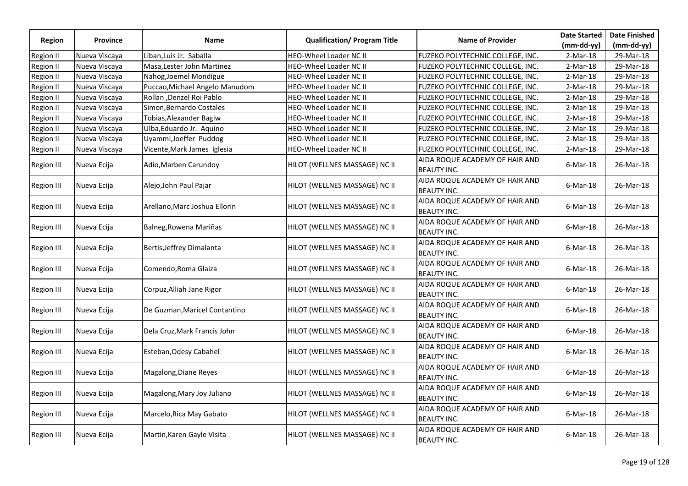|                   |                 |                                |                                     |                                                      | <b>Date Started</b> | <b>Date Finished</b> |
|-------------------|-----------------|--------------------------------|-------------------------------------|------------------------------------------------------|---------------------|----------------------|
| Region            | <b>Province</b> | <b>Name</b>                    | <b>Qualification/ Program Title</b> | <b>Name of Provider</b>                              | $(mm-dd-yy)$        | $(mm-dd-yy)$         |
| <b>Region II</b>  | Nueva Viscaya   | Liban, Luis Jr. Saballa        | HEO-Wheel Loader NC II              | FUZEKO POLYTECHNIC COLLEGE, INC.                     | $2-Mar-18$          | 29-Mar-18            |
| Region II         | Nueva Viscaya   | Masa, Lester John Martinez     | HEO-Wheel Loader NC II              | FUZEKO POLYTECHNIC COLLEGE, INC.                     | $2-Mar-18$          | 29-Mar-18            |
| Region II         | Nueva Viscaya   | Nahog, Joemel Mondigue         | <b>HEO-Wheel Loader NC II</b>       | <b>FUZEKO POLYTECHNIC COLLEGE, INC.</b>              | $2-Mar-18$          | 29-Mar-18            |
| Region II         | Nueva Viscaya   | Puccao, Michael Angelo Manudom | <b>HEO-Wheel Loader NC II</b>       | FUZEKO POLYTECHNIC COLLEGE, INC.                     | 2-Mar-18            | 29-Mar-18            |
| Region II         | Nueva Viscaya   | Rollan , Denzel Roi Pablo      | HEO-Wheel Loader NC II              | FUZEKO POLYTECHNIC COLLEGE, INC.                     | $2-Mar-18$          | 29-Mar-18            |
| Region II         | Nueva Viscaya   | Simon, Bernardo Costales       | HEO-Wheel Loader NC II              | FUZEKO POLYTECHNIC COLLEGE, INC.                     | $2-Mar-18$          | 29-Mar-18            |
| <b>Region II</b>  | Nueva Viscaya   | Tobias, Alexander Bagiw        | <b>HEO-Wheel Loader NC II</b>       | FUZEKO POLYTECHNIC COLLEGE, INC.                     | $2-Mar-18$          | 29-Mar-18            |
| <b>Region II</b>  | Nueva Viscaya   | Ulba, Eduardo Jr. Aquino       | <b>HEO-Wheel Loader NC II</b>       | FUZEKO POLYTECHNIC COLLEGE, INC.                     | $2-Mar-18$          | 29-Mar-18            |
| <b>Region II</b>  | Nueva Viscaya   | Uyammi, Joeffer Puddog         | <b>HEO-Wheel Loader NC II</b>       | FUZEKO POLYTECHNIC COLLEGE, INC.                     | $2-Mar-18$          | 29-Mar-18            |
| <b>Region II</b>  | Nueva Viscaya   | Vicente, Mark James Iglesia    | HEO-Wheel Loader NC II              | FUZEKO POLYTECHNIC COLLEGE, INC.                     | $2-Mar-18$          | 29-Mar-18            |
| <b>Region III</b> | Nueva Ecija     | Adio, Marben Carundoy          | HILOT (WELLNES MASSAGE) NC II       | AIDA ROQUE ACADEMY OF HAIR AND<br><b>BEAUTY INC.</b> | $6$ -Mar-18         | 26-Mar-18            |
| <b>Region III</b> | Nueva Ecija     | Alejo, John Paul Pajar         | HILOT (WELLNES MASSAGE) NC II       | AIDA ROQUE ACADEMY OF HAIR AND<br><b>BEAUTY INC.</b> | $6$ -Mar-18         | 26-Mar-18            |
| <b>Region III</b> | Nueva Ecija     | Arellano, Marc Joshua Ellorin  | HILOT (WELLNES MASSAGE) NC II       | AIDA ROQUE ACADEMY OF HAIR AND<br><b>BEAUTY INC.</b> | $6$ -Mar-18         | 26-Mar-18            |
| <b>Region III</b> | Nueva Ecija     | Balneg, Rowena Mariñas         | HILOT (WELLNES MASSAGE) NC II       | AIDA ROQUE ACADEMY OF HAIR AND<br><b>BEAUTY INC.</b> | $6$ -Mar-18         | 26-Mar-18            |
| Region III        | Nueva Ecija     | Bertis, Jeffrey Dimalanta      | HILOT (WELLNES MASSAGE) NC II       | AIDA ROQUE ACADEMY OF HAIR AND<br><b>BEAUTY INC.</b> | $6$ -Mar-18         | 26-Mar-18            |
| <b>Region III</b> | Nueva Ecija     | Comendo, Roma Glaiza           | HILOT (WELLNES MASSAGE) NC II       | AIDA ROQUE ACADEMY OF HAIR AND<br><b>BEAUTY INC.</b> | $6$ -Mar-18         | 26-Mar-18            |
| <b>Region III</b> | Nueva Ecija     | Corpuz, Alliah Jane Rigor      | HILOT (WELLNES MASSAGE) NC II       | AIDA ROQUE ACADEMY OF HAIR AND<br><b>BEAUTY INC.</b> | $6$ -Mar-18         | 26-Mar-18            |
| Region III        | Nueva Ecija     | De Guzman, Maricel Contantino  | HILOT (WELLNES MASSAGE) NC II       | AIDA ROQUE ACADEMY OF HAIR AND<br><b>BEAUTY INC.</b> | $6$ -Mar-18         | 26-Mar-18            |
| <b>Region III</b> | Nueva Ecija     | Dela Cruz, Mark Francis John   | HILOT (WELLNES MASSAGE) NC II       | AIDA ROQUE ACADEMY OF HAIR AND<br><b>BEAUTY INC.</b> | $6$ -Mar-18         | 26-Mar-18            |
| <b>Region III</b> | Nueva Ecija     | Esteban, Odesy Cabahel         | HILOT (WELLNES MASSAGE) NC II       | AIDA ROQUE ACADEMY OF HAIR AND<br><b>BEAUTY INC.</b> | $6$ -Mar-18         | 26-Mar-18            |
| <b>Region III</b> | Nueva Ecija     | Magalong, Diane Reyes          | HILOT (WELLNES MASSAGE) NC II       | AIDA ROQUE ACADEMY OF HAIR AND<br><b>BEAUTY INC.</b> | $6$ -Mar-18         | 26-Mar-18            |
| Region III        | Nueva Ecija     | Magalong, Mary Joy Juliano     | HILOT (WELLNES MASSAGE) NC II       | AIDA ROQUE ACADEMY OF HAIR AND<br><b>BEAUTY INC.</b> | $6$ -Mar-18         | 26-Mar-18            |
| <b>Region III</b> | Nueva Ecija     | Marcelo, Rica May Gabato       | HILOT (WELLNES MASSAGE) NC II       | AIDA ROQUE ACADEMY OF HAIR AND<br><b>BEAUTY INC.</b> | $6$ -Mar-18         | 26-Mar-18            |
| Region III        | Nueva Ecija     | Martin, Karen Gayle Visita     | HILOT (WELLNES MASSAGE) NC II       | AIDA ROQUE ACADEMY OF HAIR AND<br><b>BEAUTY INC.</b> | $6$ -Mar-18         | 26-Mar-18            |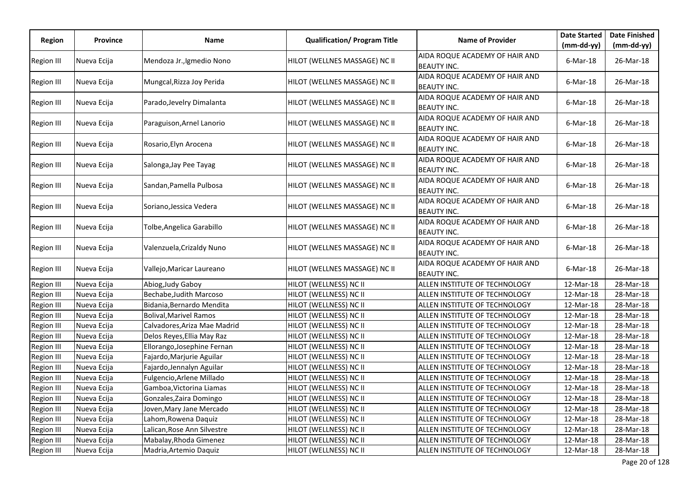|                   |                 |                               |                                     |                                                      | <b>Date Started</b> | <b>Date Finished</b> |
|-------------------|-----------------|-------------------------------|-------------------------------------|------------------------------------------------------|---------------------|----------------------|
| <b>Region</b>     | <b>Province</b> | Name                          | <b>Qualification/ Program Title</b> | <b>Name of Provider</b>                              | (mm-dd-yy)          | $(mm-dd-yy)$         |
| Region III        | Nueva Ecija     | Mendoza Jr., Igmedio Nono     | HILOT (WELLNES MASSAGE) NC II       | AIDA ROQUE ACADEMY OF HAIR AND<br><b>BEAUTY INC.</b> | $6$ -Mar-18         | 26-Mar-18            |
| Region III        | Nueva Ecija     | Mungcal, Rizza Joy Perida     | HILOT (WELLNES MASSAGE) NC II       | AIDA ROQUE ACADEMY OF HAIR AND<br><b>BEAUTY INC.</b> | $6$ -Mar-18         | 26-Mar-18            |
| Region III        | Nueva Ecija     | Parado, Jevelry Dimalanta     | HILOT (WELLNES MASSAGE) NC II       | AIDA ROQUE ACADEMY OF HAIR AND<br><b>BEAUTY INC.</b> | $6$ -Mar-18         | 26-Mar-18            |
| Region III        | Nueva Ecija     | Paraguison, Arnel Lanorio     | HILOT (WELLNES MASSAGE) NC II       | AIDA ROQUE ACADEMY OF HAIR AND<br><b>BEAUTY INC.</b> | $6$ -Mar-18         | 26-Mar-18            |
| Region III        | Nueva Ecija     | Rosario, Elyn Arocena         | HILOT (WELLNES MASSAGE) NC II       | AIDA ROQUE ACADEMY OF HAIR AND<br><b>BEAUTY INC.</b> | $6$ -Mar-18         | 26-Mar-18            |
| Region III        | Nueva Ecija     | Salonga, Jay Pee Tayag        | HILOT (WELLNES MASSAGE) NC II       | AIDA ROQUE ACADEMY OF HAIR AND<br><b>BEAUTY INC.</b> | $6$ -Mar-18         | 26-Mar-18            |
| Region III        | Nueva Ecija     | Sandan, Pamella Pulbosa       | HILOT (WELLNES MASSAGE) NC II       | AIDA ROQUE ACADEMY OF HAIR AND<br><b>BEAUTY INC.</b> | $6$ -Mar-18         | 26-Mar-18            |
| Region III        | Nueva Ecija     | Soriano, Jessica Vedera       | HILOT (WELLNES MASSAGE) NC II       | AIDA ROQUE ACADEMY OF HAIR AND<br><b>BEAUTY INC.</b> | $6$ -Mar-18         | 26-Mar-18            |
| Region III        | Nueva Ecija     | Tolbe, Angelica Garabillo     | HILOT (WELLNES MASSAGE) NC II       | AIDA ROQUE ACADEMY OF HAIR AND<br><b>BEAUTY INC.</b> | 6-Mar-18            | 26-Mar-18            |
| Region III        | Nueva Ecija     | Valenzuela, Crizaldy Nuno     | HILOT (WELLNES MASSAGE) NC II       | AIDA ROQUE ACADEMY OF HAIR AND<br><b>BEAUTY INC.</b> | $6$ -Mar-18         | 26-Mar-18            |
| Region III        | Nueva Ecija     | Vallejo, Maricar Laureano     | HILOT (WELLNES MASSAGE) NC II       | AIDA ROQUE ACADEMY OF HAIR AND<br><b>BEAUTY INC.</b> | $6$ -Mar-18         | 26-Mar-18            |
| Region III        | Nueva Ecija     | Abiog, Judy Gaboy             | HILOT (WELLNESS) NC II              | ALLEN INSTITUTE OF TECHNOLOGY                        | 12-Mar-18           | 28-Mar-18            |
| Region III        | Nueva Ecija     | Bechabe, Judith Marcoso       | HILOT (WELLNESS) NC II              | ALLEN INSTITUTE OF TECHNOLOGY                        | 12-Mar-18           | 28-Mar-18            |
| Region III        | Nueva Ecija     | Bidania, Bernardo Mendita     | HILOT (WELLNESS) NC II              | ALLEN INSTITUTE OF TECHNOLOGY                        | 12-Mar-18           | 28-Mar-18            |
| <b>Region III</b> | Nueva Ecija     | <b>Bolival, Marivel Ramos</b> | HILOT (WELLNESS) NC II              | ALLEN INSTITUTE OF TECHNOLOGY                        | 12-Mar-18           | 28-Mar-18            |
| <b>Region III</b> | Nueva Ecija     | Calvadores,Ariza Mae Madrid   | HILOT (WELLNESS) NC II              | ALLEN INSTITUTE OF TECHNOLOGY                        | 12-Mar-18           | 28-Mar-18            |
| Region III        | Nueva Ecija     | Delos Reyes, Ellia May Raz    | HILOT (WELLNESS) NC II              | ALLEN INSTITUTE OF TECHNOLOGY                        | 12-Mar-18           | 28-Mar-18            |
| Region III        | Nueva Ecija     | Ellorango, Josephine Fernan   | HILOT (WELLNESS) NC II              | ALLEN INSTITUTE OF TECHNOLOGY                        | 12-Mar-18           | 28-Mar-18            |
| Region III        | Nueva Ecija     | Fajardo, Marjurie Aguilar     | HILOT (WELLNESS) NC II              | ALLEN INSTITUTE OF TECHNOLOGY                        | 12-Mar-18           | 28-Mar-18            |
| Region III        | Nueva Ecija     | Fajardo, Jennalyn Aguilar     | HILOT (WELLNESS) NC II              | ALLEN INSTITUTE OF TECHNOLOGY                        | 12-Mar-18           | 28-Mar-18            |
| <b>Region III</b> | Nueva Ecija     | Fulgencio, Arlene Millado     | HILOT (WELLNESS) NC II              | ALLEN INSTITUTE OF TECHNOLOGY                        | 12-Mar-18           | 28-Mar-18            |
| <b>Region III</b> | Nueva Ecija     | Gamboa, Victorina Liamas      | HILOT (WELLNESS) NC II              | ALLEN INSTITUTE OF TECHNOLOGY                        | 12-Mar-18           | 28-Mar-18            |
| Region III        | Nueva Ecija     | Gonzales, Zaira Domingo       | HILOT (WELLNESS) NC II              | ALLEN INSTITUTE OF TECHNOLOGY                        | 12-Mar-18           | 28-Mar-18            |
| Region III        | Nueva Ecija     | Joven, Mary Jane Mercado      | HILOT (WELLNESS) NC II              | ALLEN INSTITUTE OF TECHNOLOGY                        | 12-Mar-18           | 28-Mar-18            |
| Region III        | Nueva Ecija     | Lahom, Rowena Daquiz          | HILOT (WELLNESS) NC II              | ALLEN INSTITUTE OF TECHNOLOGY                        | 12-Mar-18           | 28-Mar-18            |
| Region III        | Nueva Ecija     | Lalican, Rose Ann Silvestre   | HILOT (WELLNESS) NC II              | ALLEN INSTITUTE OF TECHNOLOGY                        | 12-Mar-18           | 28-Mar-18            |
| <b>Region III</b> | Nueva Ecija     | Mabalay,Rhoda Gimenez         | HILOT (WELLNESS) NC II              | ALLEN INSTITUTE OF TECHNOLOGY                        | 12-Mar-18           | 28-Mar-18            |
| Region III        | Nueva Ecija     | Madria, Artemio Daquiz        | HILOT (WELLNESS) NC II              | ALLEN INSTITUTE OF TECHNOLOGY                        | 12-Mar-18           | 28-Mar-18            |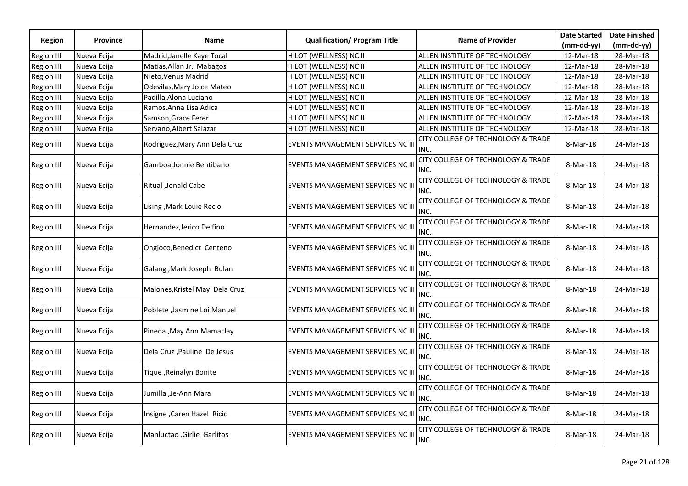|                   |                 |                                   |                                     |                                                       | <b>Date Started</b> | <b>Date Finished</b> |
|-------------------|-----------------|-----------------------------------|-------------------------------------|-------------------------------------------------------|---------------------|----------------------|
| <b>Region</b>     | <b>Province</b> | <b>Name</b>                       | <b>Qualification/ Program Title</b> | <b>Name of Provider</b>                               | $(mm-dd-yy)$        | $(mm-dd-yy)$         |
| <b>Region III</b> | Nueva Ecija     | Madrid, Janelle Kaye Tocal        | HILOT (WELLNESS) NC II              | ALLEN INSTITUTE OF TECHNOLOGY                         | 12-Mar-18           | 28-Mar-18            |
| <b>Region III</b> | Nueva Ecija     | Matias, Allan Jr. Mabagos         | HILOT (WELLNESS) NC II              | ALLEN INSTITUTE OF TECHNOLOGY                         | 12-Mar-18           | 28-Mar-18            |
| Region III        | Nueva Ecija     | Nieto, Venus Madrid               | HILOT (WELLNESS) NC II              | ALLEN INSTITUTE OF TECHNOLOGY                         | 12-Mar-18           | 28-Mar-18            |
| Region III        | Nueva Ecija     | Odevilas, Mary Joice Mateo        | HILOT (WELLNESS) NC II              | ALLEN INSTITUTE OF TECHNOLOGY                         | 12-Mar-18           | 28-Mar-18            |
| Region III        | Nueva Ecija     | Padilla, Alona Luciano            | HILOT (WELLNESS) NC II              | ALLEN INSTITUTE OF TECHNOLOGY                         | 12-Mar-18           | 28-Mar-18            |
| Region III        | Nueva Ecija     | Ramos, Anna Lisa Adica            | HILOT (WELLNESS) NC II              | ALLEN INSTITUTE OF TECHNOLOGY                         | 12-Mar-18           | 28-Mar-18            |
| <b>Region III</b> | Nueva Ecija     | Samson, Grace Ferer               | HILOT (WELLNESS) NC II              | ALLEN INSTITUTE OF TECHNOLOGY                         | 12-Mar-18           | 28-Mar-18            |
| <b>Region III</b> | Nueva Ecija     | Servano, Albert Salazar           | HILOT (WELLNESS) NC II              | ALLEN INSTITUTE OF TECHNOLOGY                         | 12-Mar-18           | 28-Mar-18            |
| <b>Region III</b> | Nueva Ecija     | Rodriguez, Mary Ann Dela Cruz     | EVENTS MANAGEMENT SERVICES NC III   | CITY COLLEGE OF TECHNOLOGY & TRADE<br>INC.            | 8-Mar-18            | 24-Mar-18            |
| <b>Region III</b> | Nueva Ecija     | Gamboa, Jonnie Bentibano          | EVENTS MANAGEMENT SERVICES NC III   | <b>CITY COLLEGE OF TECHNOLOGY &amp; TRADE</b><br>INC. | 8-Mar-18            | 24-Mar-18            |
| <b>Region III</b> | Nueva Ecija     | Ritual ,Jonald Cabe               | EVENTS MANAGEMENT SERVICES NC III   | CITY COLLEGE OF TECHNOLOGY & TRADE<br>INC.            | 8-Mar-18            | 24-Mar-18            |
| <b>Region III</b> | Nueva Ecija     | Lising, Mark Louie Recio          | EVENTS MANAGEMENT SERVICES NC III   | CITY COLLEGE OF TECHNOLOGY & TRADE<br>INC.            | 8-Mar-18            | 24-Mar-18            |
| <b>Region III</b> | Nueva Ecija     | Hernandez, Jerico Delfino         | EVENTS MANAGEMENT SERVICES NC III   | CITY COLLEGE OF TECHNOLOGY & TRADE<br>INC.            | 8-Mar-18            | 24-Mar-18            |
| Region III        | Nueva Ecija     | Ongjoco, Benedict Centeno         | EVENTS MANAGEMENT SERVICES NC III   | CITY COLLEGE OF TECHNOLOGY & TRADE<br>INC.            | 8-Mar-18            | 24-Mar-18            |
| <b>Region III</b> | Nueva Ecija     | Galang, Mark Joseph Bulan         | EVENTS MANAGEMENT SERVICES NC III   | CITY COLLEGE OF TECHNOLOGY & TRADE<br>INC.            | 8-Mar-18            | 24-Mar-18            |
| <b>Region III</b> | Nueva Ecija     | Malones, Kristel May Dela Cruz    | EVENTS MANAGEMENT SERVICES NC III   | CITY COLLEGE OF TECHNOLOGY & TRADE<br>INC.            | 8-Mar-18            | 24-Mar-18            |
| Region III        | Nueva Ecija     | Poblete , Jasmine Loi Manuel      | EVENTS MANAGEMENT SERVICES NC III   | <b>CITY COLLEGE OF TECHNOLOGY &amp; TRADE</b><br>INC. | 8-Mar-18            | 24-Mar-18            |
| <b>Region III</b> | Nueva Ecija     | Pineda , May Ann Mamaclay         | EVENTS MANAGEMENT SERVICES NC III   | CITY COLLEGE OF TECHNOLOGY & TRADE<br>INC.            | 8-Mar-18            | 24-Mar-18            |
| <b>Region III</b> | Nueva Ecija     | Dela Cruz, Pauline De Jesus       | EVENTS MANAGEMENT SERVICES NC III   | CITY COLLEGE OF TECHNOLOGY & TRADE<br>INC.            | 8-Mar-18            | 24-Mar-18            |
| Region III        | Nueva Ecija     | Tique, Reinalyn Bonite            | EVENTS MANAGEMENT SERVICES NC III   | CITY COLLEGE OF TECHNOLOGY & TRADE<br>INC.            | 8-Mar-18            | 24-Mar-18            |
| Region III        | Nueva Ecija     | Jumilla ,Je-Ann Mara              | EVENTS MANAGEMENT SERVICES NC III   | CITY COLLEGE OF TECHNOLOGY & TRADE<br>INC.            | 8-Mar-18            | 24-Mar-18            |
| Region III        | Nueva Ecija     | Insigne, Caren Hazel Ricio        | EVENTS MANAGEMENT SERVICES NC III   | CITY COLLEGE OF TECHNOLOGY & TRADE<br>INC.            | 8-Mar-18            | 24-Mar-18            |
| Region III        | Nueva Ecija     | <b>Manluctao, Girlie Garlitos</b> | EVENTS MANAGEMENT SERVICES NC III   | CITY COLLEGE OF TECHNOLOGY & TRADE<br>INC.            | 8-Mar-18            | 24-Mar-18            |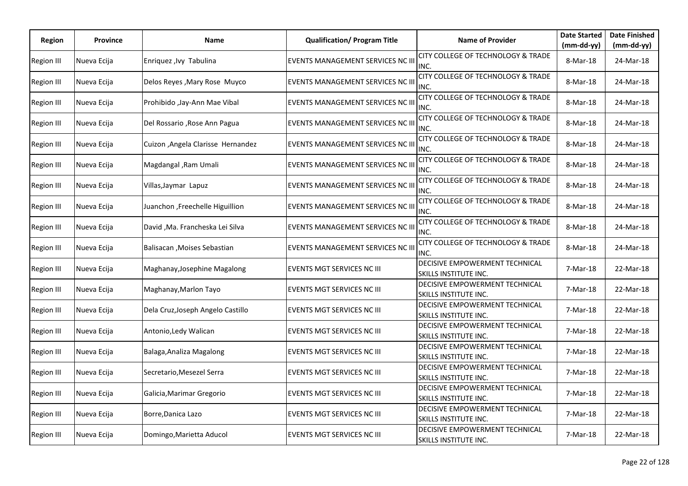| Region            | <b>Province</b> | Name                               | <b>Qualification/ Program Title</b>      | <b>Name of Provider</b>                                 | <b>Date Started</b>    | <b>Date Finished</b>      |
|-------------------|-----------------|------------------------------------|------------------------------------------|---------------------------------------------------------|------------------------|---------------------------|
| <b>Region III</b> | Nueva Ecija     | Enriquez, Ivy Tabulina             | EVENTS MANAGEMENT SERVICES NC III        | CITY COLLEGE OF TECHNOLOGY & TRADE                      | (mm-dd-yy)<br>8-Mar-18 | $(mm-dd-yy)$<br>24-Mar-18 |
| Region III        | Nueva Ecija     | Delos Reyes, Mary Rose Muyco       | EVENTS MANAGEMENT SERVICES NC III        | INC.<br>CITY COLLEGE OF TECHNOLOGY & TRADE<br>INC.      | 8-Mar-18               | 24-Mar-18                 |
| Region III        | Nueva Ecija     | Prohibido , Jay-Ann Mae Vibal      | <b>EVENTS MANAGEMENT SERVICES NC III</b> | CITY COLLEGE OF TECHNOLOGY & TRADE<br>INC.              | 8-Mar-18               | 24-Mar-18                 |
| <b>Region III</b> | Nueva Ecija     | Del Rossario , Rose Ann Pagua      | EVENTS MANAGEMENT SERVICES NC III        | CITY COLLEGE OF TECHNOLOGY & TRADE<br>INC.              | 8-Mar-18               | 24-Mar-18                 |
| Region III        | Nueva Ecija     | Cuizon , Angela Clarisse Hernandez | EVENTS MANAGEMENT SERVICES NC III        | CITY COLLEGE OF TECHNOLOGY & TRADE<br>INC.              | 8-Mar-18               | 24-Mar-18                 |
| Region III        | Nueva Ecija     | Magdangal , Ram Umali              | EVENTS MANAGEMENT SERVICES NC III        | CITY COLLEGE OF TECHNOLOGY & TRADE<br>INC.              | 8-Mar-18               | 24-Mar-18                 |
| Region III        | Nueva Ecija     | Villas,Jaymar Lapuz                | EVENTS MANAGEMENT SERVICES NC III        | CITY COLLEGE OF TECHNOLOGY & TRADE<br>INC.              | 8-Mar-18               | 24-Mar-18                 |
| <b>Region III</b> | Nueva Ecija     | Juanchon ,Freechelle Higuillion    | EVENTS MANAGEMENT SERVICES NC III        | CITY COLLEGE OF TECHNOLOGY & TRADE<br>INC.              | 8-Mar-18               | 24-Mar-18                 |
| Region III        | Nueva Ecija     | David , Ma. Francheska Lei Silva   | <b>EVENTS MANAGEMENT SERVICES NC III</b> | CITY COLLEGE OF TECHNOLOGY & TRADE<br>INC.              | 8-Mar-18               | 24-Mar-18                 |
| Region III        | Nueva Ecija     | Balisacan , Moises Sebastian       | <b>EVENTS MANAGEMENT SERVICES NC III</b> | CITY COLLEGE OF TECHNOLOGY & TRADE<br>INC.              | 8-Mar-18               | 24-Mar-18                 |
| <b>Region III</b> | Nueva Ecija     | Maghanay, Josephine Magalong       | EVENTS MGT SERVICES NC III               | DECISIVE EMPOWERMENT TECHNICAL<br>SKILLS INSTITUTE INC. | 7-Mar-18               | 22-Mar-18                 |
| <b>Region III</b> | Nueva Ecija     | Maghanay, Marlon Tayo              | EVENTS MGT SERVICES NC III               | DECISIVE EMPOWERMENT TECHNICAL<br>SKILLS INSTITUTE INC. | 7-Mar-18               | 22-Mar-18                 |
| Region III        | Nueva Ecija     | Dela Cruz, Joseph Angelo Castillo  | EVENTS MGT SERVICES NC III               | DECISIVE EMPOWERMENT TECHNICAL<br>SKILLS INSTITUTE INC. | 7-Mar-18               | 22-Mar-18                 |
| <b>Region III</b> | Nueva Ecija     | Antonio, Ledy Walican              | <b>EVENTS MGT SERVICES NC III</b>        | DECISIVE EMPOWERMENT TECHNICAL<br>SKILLS INSTITUTE INC. | 7-Mar-18               | 22-Mar-18                 |
| <b>Region III</b> | Nueva Ecija     | Balaga, Analiza Magalong           | <b>EVENTS MGT SERVICES NC III</b>        | DECISIVE EMPOWERMENT TECHNICAL<br>SKILLS INSTITUTE INC. | 7-Mar-18               | 22-Mar-18                 |
| <b>Region III</b> | Nueva Ecija     | Secretario,Mesezel Serra           | <b>EVENTS MGT SERVICES NC III</b>        | DECISIVE EMPOWERMENT TECHNICAL<br>SKILLS INSTITUTE INC. | 7-Mar-18               | 22-Mar-18                 |
| Region III        | Nueva Ecija     | Galicia, Marimar Gregorio          | EVENTS MGT SERVICES NC III               | DECISIVE EMPOWERMENT TECHNICAL<br>SKILLS INSTITUTE INC. | 7-Mar-18               | 22-Mar-18                 |
| Region III        | Nueva Ecija     | Borre, Danica Lazo                 | EVENTS MGT SERVICES NC III               | DECISIVE EMPOWERMENT TECHNICAL<br>SKILLS INSTITUTE INC. | 7-Mar-18               | 22-Mar-18                 |
| <b>Region III</b> | Nueva Ecija     | Domingo, Marietta Aducol           | EVENTS MGT SERVICES NC III               | DECISIVE EMPOWERMENT TECHNICAL<br>SKILLS INSTITUTE INC. | 7-Mar-18               | 22-Mar-18                 |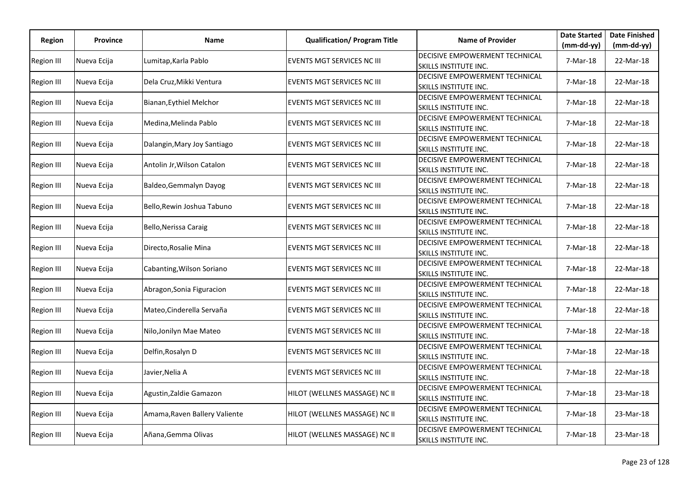| Region            | <b>Province</b> | Name                          | <b>Qualification/ Program Title</b> | <b>Name of Provider</b>                                        | <b>Date Started</b> | <b>Date Finished</b> |
|-------------------|-----------------|-------------------------------|-------------------------------------|----------------------------------------------------------------|---------------------|----------------------|
|                   |                 |                               |                                     |                                                                | $(mm-dd-yy)$        | $(mm-dd-yy)$         |
| <b>Region III</b> | Nueva Ecija     | Lumitap,Karla Pablo           | EVENTS MGT SERVICES NC III          | DECISIVE EMPOWERMENT TECHNICAL<br>SKILLS INSTITUTE INC.        | 7-Mar-18            | 22-Mar-18            |
| <b>Region III</b> | Nueva Ecija     | Dela Cruz, Mikki Ventura      | EVENTS MGT SERVICES NC III          | DECISIVE EMPOWERMENT TECHNICAL<br>SKILLS INSTITUTE INC.        | 7-Mar-18            | 22-Mar-18            |
| Region III        | Nueva Ecija     | Bianan, Eythiel Melchor       | EVENTS MGT SERVICES NC III          | DECISIVE EMPOWERMENT TECHNICAL<br>SKILLS INSTITUTE INC.        | 7-Mar-18            | 22-Mar-18            |
| Region III        | Nueva Ecija     | Medina,Melinda Pablo          | EVENTS MGT SERVICES NC III          | DECISIVE EMPOWERMENT TECHNICAL<br>SKILLS INSTITUTE INC.        | 7-Mar-18            | 22-Mar-18            |
| Region III        | Nueva Ecija     | Dalangin, Mary Joy Santiago   | <b>EVENTS MGT SERVICES NC III</b>   | DECISIVE EMPOWERMENT TECHNICAL<br><b>SKILLS INSTITUTE INC.</b> | 7-Mar-18            | 22-Mar-18            |
| Region III        | Nueva Ecija     | Antolin Jr, Wilson Catalon    | EVENTS MGT SERVICES NC III          | DECISIVE EMPOWERMENT TECHNICAL<br><b>SKILLS INSTITUTE INC.</b> | 7-Mar-18            | 22-Mar-18            |
| <b>Region III</b> | Nueva Ecija     | Baldeo, Gemmalyn Dayog        | <b>EVENTS MGT SERVICES NC III</b>   | <b>DECISIVE EMPOWERMENT TECHNICAL</b><br>SKILLS INSTITUTE INC. | 7-Mar-18            | 22-Mar-18            |
| Region III        | Nueva Ecija     | Bello, Rewin Joshua Tabuno    | EVENTS MGT SERVICES NC III          | DECISIVE EMPOWERMENT TECHNICAL<br>SKILLS INSTITUTE INC.        | 7-Mar-18            | 22-Mar-18            |
| Region III        | Nueva Ecija     | Bello, Nerissa Caraig         | <b>EVENTS MGT SERVICES NC III</b>   | DECISIVE EMPOWERMENT TECHNICAL<br><b>SKILLS INSTITUTE INC.</b> | 7-Mar-18            | 22-Mar-18            |
| <b>Region III</b> | Nueva Ecija     | Directo, Rosalie Mina         | <b>EVENTS MGT SERVICES NC III</b>   | DECISIVE EMPOWERMENT TECHNICAL<br>SKILLS INSTITUTE INC.        | 7-Mar-18            | 22-Mar-18            |
| <b>Region III</b> | Nueva Ecija     | Cabanting, Wilson Soriano     | EVENTS MGT SERVICES NC III          | DECISIVE EMPOWERMENT TECHNICAL<br>SKILLS INSTITUTE INC.        | 7-Mar-18            | 22-Mar-18            |
| <b>Region III</b> | Nueva Ecija     | Abragon, Sonia Figuracion     | EVENTS MGT SERVICES NC III          | DECISIVE EMPOWERMENT TECHNICAL<br>SKILLS INSTITUTE INC.        | 7-Mar-18            | 22-Mar-18            |
| Region III        | Nueva Ecija     | Mateo, Cinderella Servaña     | <b>EVENTS MGT SERVICES NC III</b>   | DECISIVE EMPOWERMENT TECHNICAL<br>SKILLS INSTITUTE INC.        | 7-Mar-18            | 22-Mar-18            |
| Region III        | Nueva Ecija     | Nilo,Jonilyn Mae Mateo        | <b>EVENTS MGT SERVICES NC III</b>   | DECISIVE EMPOWERMENT TECHNICAL<br><b>SKILLS INSTITUTE INC.</b> | 7-Mar-18            | 22-Mar-18            |
| <b>Region III</b> | Nueva Ecija     | Delfin, Rosalyn D             | <b>EVENTS MGT SERVICES NC III</b>   | DECISIVE EMPOWERMENT TECHNICAL<br>SKILLS INSTITUTE INC.        | 7-Mar-18            | 22-Mar-18            |
| Region III        | Nueva Ecija     | Javier,Nelia A                | EVENTS MGT SERVICES NC III          | DECISIVE EMPOWERMENT TECHNICAL<br><b>SKILLS INSTITUTE INC.</b> | 7-Mar-18            | 22-Mar-18            |
| <b>Region III</b> | Nueva Ecija     | Agustin, Zaldie Gamazon       | HILOT (WELLNES MASSAGE) NC II       | DECISIVE EMPOWERMENT TECHNICAL<br>SKILLS INSTITUTE INC.        | 7-Mar-18            | 23-Mar-18            |
| <b>Region III</b> | Nueva Ecija     | Amama, Raven Ballery Valiente | HILOT (WELLNES MASSAGE) NC II       | DECISIVE EMPOWERMENT TECHNICAL<br>SKILLS INSTITUTE INC.        | 7-Mar-18            | 23-Mar-18            |
| <b>Region III</b> | Nueva Ecija     | Añana, Gemma Olivas           | HILOT (WELLNES MASSAGE) NC II       | DECISIVE EMPOWERMENT TECHNICAL<br>SKILLS INSTITUTE INC.        | 7-Mar-18            | 23-Mar-18            |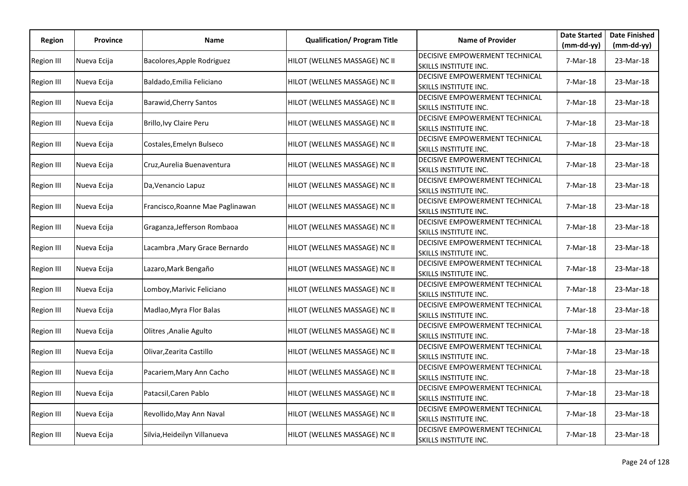| <b>Region</b>     | <b>Province</b> | Name                             | <b>Qualification/ Program Title</b> | <b>Name of Provider</b>                                               | <b>Date Started</b>      | <b>Date Finished</b>      |
|-------------------|-----------------|----------------------------------|-------------------------------------|-----------------------------------------------------------------------|--------------------------|---------------------------|
| <b>Region III</b> | Nueva Ecija     | Bacolores, Apple Rodriguez       | HILOT (WELLNES MASSAGE) NC II       | DECISIVE EMPOWERMENT TECHNICAL<br>SKILLS INSTITUTE INC.               | $(mm-dd-yy)$<br>7-Mar-18 | $(mm-dd-yy)$<br>23-Mar-18 |
| <b>Region III</b> | Nueva Ecija     | Baldado, Emilia Feliciano        | HILOT (WELLNES MASSAGE) NC II       | DECISIVE EMPOWERMENT TECHNICAL<br>SKILLS INSTITUTE INC.               | 7-Mar-18                 | 23-Mar-18                 |
| <b>Region III</b> | Nueva Ecija     | <b>Barawid, Cherry Santos</b>    | HILOT (WELLNES MASSAGE) NC II       | <b>DECISIVE EMPOWERMENT TECHNICAL</b><br>SKILLS INSTITUTE INC.        | 7-Mar-18                 | 23-Mar-18                 |
| <b>Region III</b> | Nueva Ecija     | Brillo, Ivy Claire Peru          | HILOT (WELLNES MASSAGE) NC II       | DECISIVE EMPOWERMENT TECHNICAL<br>SKILLS INSTITUTE INC.               | 7-Mar-18                 | 23-Mar-18                 |
| <b>Region III</b> | Nueva Ecija     | Costales, Emelyn Bulseco         | HILOT (WELLNES MASSAGE) NC II       | DECISIVE EMPOWERMENT TECHNICAL<br><b>SKILLS INSTITUTE INC.</b>        | 7-Mar-18                 | 23-Mar-18                 |
| <b>Region III</b> | Nueva Ecija     | Cruz, Aurelia Buenaventura       | HILOT (WELLNES MASSAGE) NC II       | <b>DECISIVE EMPOWERMENT TECHNICAL</b><br><b>SKILLS INSTITUTE INC.</b> | 7-Mar-18                 | 23-Mar-18                 |
| Region III        | Nueva Ecija     | Da, Venancio Lapuz               | HILOT (WELLNES MASSAGE) NC II       | <b>DECISIVE EMPOWERMENT TECHNICAL</b><br>SKILLS INSTITUTE INC.        | 7-Mar-18                 | 23-Mar-18                 |
| <b>Region III</b> | Nueva Ecija     | Francisco, Roanne Mae Paglinawan | HILOT (WELLNES MASSAGE) NC II       | DECISIVE EMPOWERMENT TECHNICAL<br>SKILLS INSTITUTE INC.               | 7-Mar-18                 | 23-Mar-18                 |
| <b>Region III</b> | Nueva Ecija     | Graganza, Jefferson Rombaoa      | HILOT (WELLNES MASSAGE) NC II       | DECISIVE EMPOWERMENT TECHNICAL<br>SKILLS INSTITUTE INC.               | 7-Mar-18                 | 23-Mar-18                 |
| <b>Region III</b> | Nueva Ecija     | Lacambra, Mary Grace Bernardo    | HILOT (WELLNES MASSAGE) NC II       | <b>DECISIVE EMPOWERMENT TECHNICAL</b><br>SKILLS INSTITUTE INC.        | 7-Mar-18                 | 23-Mar-18                 |
| <b>Region III</b> | Nueva Ecija     | Lazaro, Mark Bengaño             | HILOT (WELLNES MASSAGE) NC II       | <b>DECISIVE EMPOWERMENT TECHNICAL</b><br>SKILLS INSTITUTE INC.        | 7-Mar-18                 | 23-Mar-18                 |
| <b>Region III</b> | Nueva Ecija     | Lomboy, Marivic Feliciano        | HILOT (WELLNES MASSAGE) NC II       | <b>DECISIVE EMPOWERMENT TECHNICAL</b><br>SKILLS INSTITUTE INC.        | 7-Mar-18                 | 23-Mar-18                 |
| <b>Region III</b> | Nueva Ecija     | Madlao, Myra Flor Balas          | HILOT (WELLNES MASSAGE) NC II       | DECISIVE EMPOWERMENT TECHNICAL<br><b>SKILLS INSTITUTE INC.</b>        | 7-Mar-18                 | 23-Mar-18                 |
| <b>Region III</b> | Nueva Ecija     | Olitres, Analie Agulto           | HILOT (WELLNES MASSAGE) NC II       | DECISIVE EMPOWERMENT TECHNICAL<br><b>SKILLS INSTITUTE INC.</b>        | 7-Mar-18                 | 23-Mar-18                 |
| Region III        | Nueva Ecija     | Olivar, Zearita Castillo         | HILOT (WELLNES MASSAGE) NC II       | DECISIVE EMPOWERMENT TECHNICAL<br>SKILLS INSTITUTE INC.               | 7-Mar-18                 | 23-Mar-18                 |
| <b>Region III</b> | Nueva Ecija     | Pacariem, Mary Ann Cacho         | HILOT (WELLNES MASSAGE) NC II       | DECISIVE EMPOWERMENT TECHNICAL<br>SKILLS INSTITUTE INC.               | 7-Mar-18                 | 23-Mar-18                 |
| <b>Region III</b> | Nueva Ecija     | Patacsil, Caren Pablo            | HILOT (WELLNES MASSAGE) NC II       | <b>DECISIVE EMPOWERMENT TECHNICAL</b><br>SKILLS INSTITUTE INC.        | 7-Mar-18                 | 23-Mar-18                 |
| <b>Region III</b> | Nueva Ecija     | Revollido, May Ann Naval         | HILOT (WELLNES MASSAGE) NC II       | DECISIVE EMPOWERMENT TECHNICAL<br>SKILLS INSTITUTE INC.               | 7-Mar-18                 | 23-Mar-18                 |
| <b>Region III</b> | Nueva Ecija     | Silvia, Heideilyn Villanueva     | HILOT (WELLNES MASSAGE) NC II       | DECISIVE EMPOWERMENT TECHNICAL<br>SKILLS INSTITUTE INC.               | 7-Mar-18                 | 23-Mar-18                 |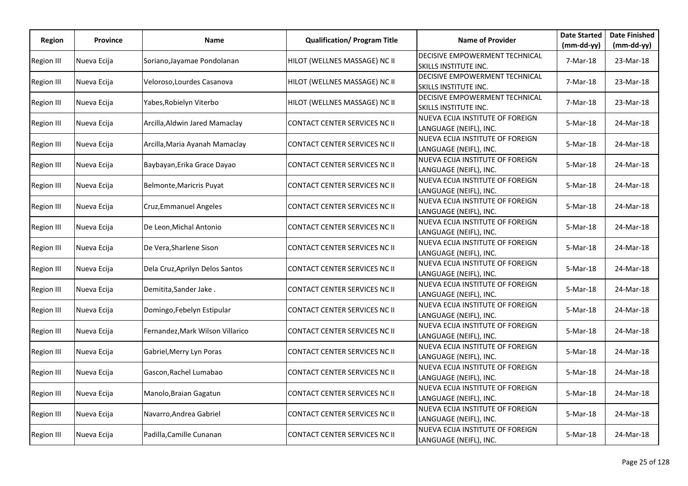| <b>Region</b>     | <b>Province</b> | Name                             | <b>Qualification/ Program Title</b>  | <b>Name of Provider</b>                                    | <b>Date Started</b>      | <b>Date Finished</b>      |
|-------------------|-----------------|----------------------------------|--------------------------------------|------------------------------------------------------------|--------------------------|---------------------------|
| <b>Region III</b> | Nueva Ecija     | Soriano, Jayamae Pondolanan      | HILOT (WELLNES MASSAGE) NC II        | DECISIVE EMPOWERMENT TECHNICAL<br>SKILLS INSTITUTE INC.    | $(mm-dd-yy)$<br>7-Mar-18 | $(mm-dd-yy)$<br>23-Mar-18 |
| Region III        | Nueva Ecija     | Veloroso, Lourdes Casanova       | HILOT (WELLNES MASSAGE) NC II        | DECISIVE EMPOWERMENT TECHNICAL<br>SKILLS INSTITUTE INC.    | 7-Mar-18                 | 23-Mar-18                 |
| Region III        | Nueva Ecija     | Yabes, Robielyn Viterbo          | HILOT (WELLNES MASSAGE) NC II        | DECISIVE EMPOWERMENT TECHNICAL<br>SKILLS INSTITUTE INC.    | 7-Mar-18                 | 23-Mar-18                 |
| <b>Region III</b> | Nueva Ecija     | Arcilla, Aldwin Jared Mamaclay   | <b>CONTACT CENTER SERVICES NC II</b> | NUEVA ECIJA INSTITUTE OF FOREIGN<br>LANGUAGE (NEIFL), INC. | 5-Mar-18                 | 24-Mar-18                 |
| Region III        | Nueva Ecija     | Arcilla, Maria Ayanah Mamaclay   | <b>CONTACT CENTER SERVICES NC II</b> | NUEVA ECIJA INSTITUTE OF FOREIGN<br>LANGUAGE (NEIFL), INC. | 5-Mar-18                 | 24-Mar-18                 |
| <b>Region III</b> | Nueva Ecija     | Baybayan, Erika Grace Dayao      | <b>CONTACT CENTER SERVICES NC II</b> | NUEVA ECIJA INSTITUTE OF FOREIGN<br>LANGUAGE (NEIFL), INC. | 5-Mar-18                 | 24-Mar-18                 |
| <b>Region III</b> | Nueva Ecija     | Belmonte, Maricris Puyat         | <b>CONTACT CENTER SERVICES NC II</b> | NUEVA ECIJA INSTITUTE OF FOREIGN<br>LANGUAGE (NEIFL), INC. | 5-Mar-18                 | 24-Mar-18                 |
| <b>Region III</b> | Nueva Ecija     | Cruz, Emmanuel Angeles           | <b>CONTACT CENTER SERVICES NC II</b> | NUEVA ECIJA INSTITUTE OF FOREIGN<br>LANGUAGE (NEIFL), INC. | 5-Mar-18                 | 24-Mar-18                 |
| Region III        | Nueva Ecija     | De Leon, Michal Antonio          | <b>CONTACT CENTER SERVICES NC II</b> | NUEVA ECIJA INSTITUTE OF FOREIGN<br>LANGUAGE (NEIFL), INC. | 5-Mar-18                 | 24-Mar-18                 |
| <b>Region III</b> | Nueva Ecija     | De Vera, Sharlene Sison          | <b>CONTACT CENTER SERVICES NC II</b> | NUEVA ECIJA INSTITUTE OF FOREIGN<br>LANGUAGE (NEIFL), INC. | 5-Mar-18                 | 24-Mar-18                 |
| Region III        | Nueva Ecija     | Dela Cruz, Aprilyn Delos Santos  | CONTACT CENTER SERVICES NC II        | NUEVA ECIJA INSTITUTE OF FOREIGN<br>LANGUAGE (NEIFL), INC. | 5-Mar-18                 | 24-Mar-18                 |
| <b>Region III</b> | Nueva Ecija     | Demitita, Sander Jake.           | CONTACT CENTER SERVICES NC II        | NUEVA ECIJA INSTITUTE OF FOREIGN<br>LANGUAGE (NEIFL), INC. | 5-Mar-18                 | 24-Mar-18                 |
| Region III        | Nueva Ecija     | Domingo, Febelyn Estipular       | CONTACT CENTER SERVICES NC II        | NUEVA ECIJA INSTITUTE OF FOREIGN<br>LANGUAGE (NEIFL), INC. | 5-Mar-18                 | 24-Mar-18                 |
| <b>Region III</b> | Nueva Ecija     | Fernandez, Mark Wilson Villarico | <b>CONTACT CENTER SERVICES NC II</b> | NUEVA ECIJA INSTITUTE OF FOREIGN<br>LANGUAGE (NEIFL), INC. | 5-Mar-18                 | 24-Mar-18                 |
| <b>Region III</b> | Nueva Ecija     | Gabriel, Merry Lyn Poras         | <b>CONTACT CENTER SERVICES NC II</b> | NUEVA ECIJA INSTITUTE OF FOREIGN<br>LANGUAGE (NEIFL), INC. | 5-Mar-18                 | 24-Mar-18                 |
| <b>Region III</b> | Nueva Ecija     | Gascon, Rachel Lumabao           | CONTACT CENTER SERVICES NC II        | NUEVA ECIJA INSTITUTE OF FOREIGN<br>LANGUAGE (NEIFL), INC. | 5-Mar-18                 | 24-Mar-18                 |
| <b>Region III</b> | Nueva Ecija     | Manolo, Braian Gagatun           | <b>CONTACT CENTER SERVICES NC II</b> | NUEVA ECIJA INSTITUTE OF FOREIGN<br>LANGUAGE (NEIFL), INC. | 5-Mar-18                 | 24-Mar-18                 |
| <b>Region III</b> | Nueva Ecija     | Navarro, Andrea Gabriel          | <b>CONTACT CENTER SERVICES NC II</b> | NUEVA ECIJA INSTITUTE OF FOREIGN<br>LANGUAGE (NEIFL), INC. | 5-Mar-18                 | 24-Mar-18                 |
| <b>Region III</b> | Nueva Ecija     | Padilla, Camille Cunanan         | CONTACT CENTER SERVICES NC II        | NUEVA ECIJA INSTITUTE OF FOREIGN<br>LANGUAGE (NEIFL), INC. | 5-Mar-18                 | 24-Mar-18                 |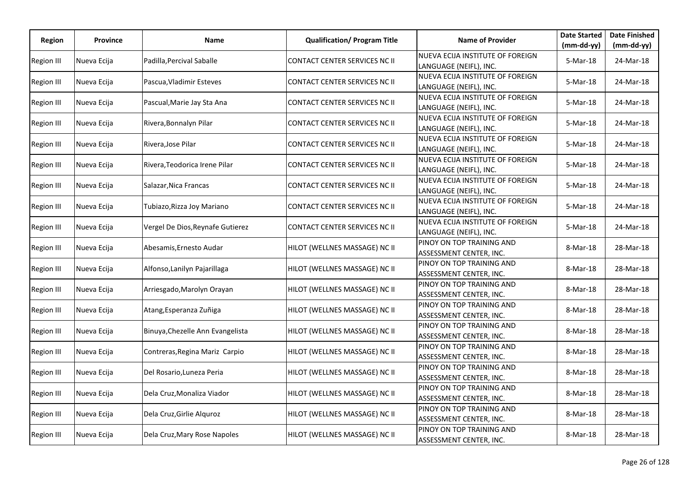| Region            | <b>Province</b> | Name                             | <b>Qualification/ Program Title</b>  | <b>Name of Provider</b>                                    | <b>Date Started</b>      | <b>Date Finished</b>    |
|-------------------|-----------------|----------------------------------|--------------------------------------|------------------------------------------------------------|--------------------------|-------------------------|
| Region III        | Nueva Ecija     | Padilla, Percival Saballe        | CONTACT CENTER SERVICES NC II        | NUEVA ECIJA INSTITUTE OF FOREIGN                           | $(mm-dd-yy)$<br>5-Mar-18 | (mm-dd-yy)<br>24-Mar-18 |
|                   |                 |                                  |                                      | LANGUAGE (NEIFL), INC.<br>NUEVA ECIJA INSTITUTE OF FOREIGN |                          |                         |
| <b>Region III</b> | Nueva Ecija     | Pascua, Vladimir Esteves         | CONTACT CENTER SERVICES NC II        | LANGUAGE (NEIFL), INC.                                     | 5-Mar-18                 | 24-Mar-18               |
| Region III        | Nueva Ecija     | Pascual, Marie Jay Sta Ana       | CONTACT CENTER SERVICES NC II        | NUEVA ECIJA INSTITUTE OF FOREIGN<br>LANGUAGE (NEIFL), INC. | 5-Mar-18                 | 24-Mar-18               |
| Region III        | Nueva Ecija     | Rivera, Bonnalyn Pilar           | CONTACT CENTER SERVICES NC II        | NUEVA ECIJA INSTITUTE OF FOREIGN<br>LANGUAGE (NEIFL), INC. | 5-Mar-18                 | 24-Mar-18               |
| Region III        | Nueva Ecija     | Rivera, Jose Pilar               | CONTACT CENTER SERVICES NC II        | NUEVA ECIJA INSTITUTE OF FOREIGN<br>LANGUAGE (NEIFL), INC. | 5-Mar-18                 | 24-Mar-18               |
| Region III        | Nueva Ecija     | Rivera, Teodorica Irene Pilar    | CONTACT CENTER SERVICES NC II        | NUEVA ECIJA INSTITUTE OF FOREIGN<br>LANGUAGE (NEIFL), INC. | 5-Mar-18                 | 24-Mar-18               |
| Region III        | Nueva Ecija     | Salazar, Nica Francas            | CONTACT CENTER SERVICES NC II        | NUEVA ECIJA INSTITUTE OF FOREIGN<br>LANGUAGE (NEIFL), INC. | 5-Mar-18                 | 24-Mar-18               |
| Region III        | Nueva Ecija     | Tubiazo, Rizza Joy Mariano       | CONTACT CENTER SERVICES NC II        | NUEVA ECIJA INSTITUTE OF FOREIGN<br>LANGUAGE (NEIFL), INC. | 5-Mar-18                 | 24-Mar-18               |
| <b>Region III</b> | Nueva Ecija     | Vergel De Dios, Reynafe Gutierez | <b>CONTACT CENTER SERVICES NC II</b> | NUEVA ECIJA INSTITUTE OF FOREIGN<br>LANGUAGE (NEIFL), INC. | 5-Mar-18                 | 24-Mar-18               |
| Region III        | Nueva Ecija     | Abesamis, Ernesto Audar          | HILOT (WELLNES MASSAGE) NC II        | PINOY ON TOP TRAINING AND<br>ASSESSMENT CENTER, INC.       | 8-Mar-18                 | 28-Mar-18               |
| Region III        | Nueva Ecija     | Alfonso, Lanilyn Pajarillaga     | HILOT (WELLNES MASSAGE) NC II        | PINOY ON TOP TRAINING AND<br>ASSESSMENT CENTER, INC.       | 8-Mar-18                 | 28-Mar-18               |
| Region III        | Nueva Ecija     | Arriesgado, Marolyn Orayan       | HILOT (WELLNES MASSAGE) NC II        | PINOY ON TOP TRAINING AND<br>ASSESSMENT CENTER, INC.       | 8-Mar-18                 | 28-Mar-18               |
| <b>Region III</b> | Nueva Ecija     | Atang, Esperanza Zuñiga          | HILOT (WELLNES MASSAGE) NC II        | PINOY ON TOP TRAINING AND<br>ASSESSMENT CENTER, INC.       | 8-Mar-18                 | 28-Mar-18               |
| <b>Region III</b> | Nueva Ecija     | Binuya, Chezelle Ann Evangelista | HILOT (WELLNES MASSAGE) NC II        | PINOY ON TOP TRAINING AND<br>ASSESSMENT CENTER, INC.       | 8-Mar-18                 | 28-Mar-18               |
| <b>Region III</b> | Nueva Ecija     | Contreras, Regina Mariz Carpio   | HILOT (WELLNES MASSAGE) NC II        | PINOY ON TOP TRAINING AND<br>ASSESSMENT CENTER, INC.       | 8-Mar-18                 | 28-Mar-18               |
| <b>Region III</b> | Nueva Ecija     | Del Rosario, Luneza Peria        | HILOT (WELLNES MASSAGE) NC II        | PINOY ON TOP TRAINING AND<br>ASSESSMENT CENTER, INC.       | 8-Mar-18                 | 28-Mar-18               |
| Region III        | Nueva Ecija     | Dela Cruz, Monaliza Viador       | HILOT (WELLNES MASSAGE) NC II        | PINOY ON TOP TRAINING AND<br>ASSESSMENT CENTER, INC.       | 8-Mar-18                 | 28-Mar-18               |
| Region III        | Nueva Ecija     | Dela Cruz, Girlie Alquroz        | HILOT (WELLNES MASSAGE) NC II        | PINOY ON TOP TRAINING AND<br>ASSESSMENT CENTER, INC.       | 8-Mar-18                 | 28-Mar-18               |
| Region III        | Nueva Ecija     | Dela Cruz, Mary Rose Napoles     | HILOT (WELLNES MASSAGE) NC II        | PINOY ON TOP TRAINING AND<br>ASSESSMENT CENTER, INC.       | 8-Mar-18                 | 28-Mar-18               |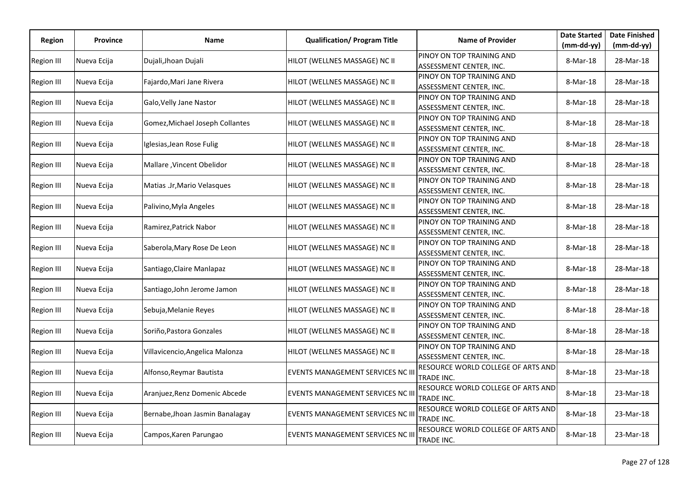| <b>Region</b>     | <b>Province</b> | Name                            | <b>Qualification/ Program Title</b>     | <b>Name of Provider</b>                              | <b>Date Started</b> | <b>Date Finished</b> |
|-------------------|-----------------|---------------------------------|-----------------------------------------|------------------------------------------------------|---------------------|----------------------|
|                   |                 |                                 |                                         |                                                      | $(mm-dd-yy)$        | $(mm-dd-yy)$         |
| Region III        | Nueva Ecija     | Dujali, Jhoan Dujali            | HILOT (WELLNES MASSAGE) NC II           | PINOY ON TOP TRAINING AND<br>ASSESSMENT CENTER, INC. | 8-Mar-18            | 28-Mar-18            |
| <b>Region III</b> | Nueva Ecija     | Fajardo, Mari Jane Rivera       | HILOT (WELLNES MASSAGE) NC II           | PINOY ON TOP TRAINING AND                            | 8-Mar-18            | 28-Mar-18            |
|                   |                 |                                 |                                         | ASSESSMENT CENTER, INC.                              |                     |                      |
| Region III        | Nueva Ecija     | Galo, Velly Jane Nastor         | HILOT (WELLNES MASSAGE) NC II           | PINOY ON TOP TRAINING AND<br>ASSESSMENT CENTER, INC. | 8-Mar-18            | 28-Mar-18            |
| Region III        | Nueva Ecija     | Gomez, Michael Joseph Collantes | HILOT (WELLNES MASSAGE) NC II           | PINOY ON TOP TRAINING AND                            | 8-Mar-18            | 28-Mar-18            |
|                   |                 |                                 |                                         | ASSESSMENT CENTER, INC.                              |                     |                      |
| <b>Region III</b> | Nueva Ecija     | Iglesias, Jean Rose Fulig       | HILOT (WELLNES MASSAGE) NC II           | PINOY ON TOP TRAINING AND<br>ASSESSMENT CENTER, INC. | 8-Mar-18            | 28-Mar-18            |
| <b>Region III</b> | Nueva Ecija     | Mallare , Vincent Obelidor      | HILOT (WELLNES MASSAGE) NC II           | PINOY ON TOP TRAINING AND<br>ASSESSMENT CENTER, INC. | 8-Mar-18            | 28-Mar-18            |
| Region III        | Nueva Ecija     | Matias .Jr, Mario Velasques     | HILOT (WELLNES MASSAGE) NC II           | PINOY ON TOP TRAINING AND                            | 8-Mar-18            | 28-Mar-18            |
|                   |                 |                                 |                                         | ASSESSMENT CENTER, INC.                              |                     |                      |
| Region III        | Nueva Ecija     | Palivino, Myla Angeles          | HILOT (WELLNES MASSAGE) NC II           | PINOY ON TOP TRAINING AND                            | 8-Mar-18            | 28-Mar-18            |
|                   |                 |                                 |                                         | ASSESSMENT CENTER, INC.                              |                     |                      |
| <b>Region III</b> | Nueva Ecija     | Ramirez, Patrick Nabor          | HILOT (WELLNES MASSAGE) NC II           | PINOY ON TOP TRAINING AND<br>ASSESSMENT CENTER, INC. | 8-Mar-18            | 28-Mar-18            |
|                   |                 |                                 |                                         | PINOY ON TOP TRAINING AND                            |                     |                      |
| Region III        | Nueva Ecija     | Saberola, Mary Rose De Leon     | HILOT (WELLNES MASSAGE) NC II           | ASSESSMENT CENTER, INC.                              | 8-Mar-18            | 28-Mar-18            |
| Region III        | Nueva Ecija     | Santiago, Claire Manlapaz       | HILOT (WELLNES MASSAGE) NC II           | PINOY ON TOP TRAINING AND                            | 8-Mar-18            | 28-Mar-18            |
|                   |                 |                                 |                                         | ASSESSMENT CENTER, INC.                              |                     |                      |
| Region III        | Nueva Ecija     | Santiago, John Jerome Jamon     | HILOT (WELLNES MASSAGE) NC II           | PINOY ON TOP TRAINING AND                            | 8-Mar-18            | 28-Mar-18            |
|                   |                 |                                 |                                         | ASSESSMENT CENTER, INC.                              |                     |                      |
| Region III        | Nueva Ecija     | Sebuja, Melanie Reyes           | HILOT (WELLNES MASSAGE) NC II           | PINOY ON TOP TRAINING AND                            | 8-Mar-18            | 28-Mar-18            |
|                   |                 |                                 |                                         | ASSESSMENT CENTER, INC.                              |                     |                      |
| Region III        | Nueva Ecija     | Soriño, Pastora Gonzales        | HILOT (WELLNES MASSAGE) NC II           | PINOY ON TOP TRAINING AND<br>ASSESSMENT CENTER, INC. | 8-Mar-18            | 28-Mar-18            |
|                   |                 |                                 |                                         | PINOY ON TOP TRAINING AND                            |                     |                      |
| Region III        | Nueva Ecija     | Villavicencio, Angelica Malonza | HILOT (WELLNES MASSAGE) NC II           | ASSESSMENT CENTER, INC.                              | 8-Mar-18            | 28-Mar-18            |
| <b>Region III</b> | Nueva Ecija     | Alfonso, Reymar Bautista        | <b>EVENTS MANAGEMENT SERVICES NC II</b> | RESOURCE WORLD COLLEGE OF ARTS AND<br>TRADE INC.     | 8-Mar-18            | 23-Mar-18            |
| Region III        | Nueva Ecija     | Aranjuez, Renz Domenic Abcede   | <b>EVENTS MANAGEMENT SERVICES NC II</b> | RESOURCE WORLD COLLEGE OF ARTS AND                   | 8-Mar-18            | 23-Mar-18            |
|                   |                 |                                 |                                         | TRADE INC.                                           |                     |                      |
| <b>Region III</b> | Nueva Ecija     | Bernabe, Jhoan Jasmin Banalagay | <b>EVENTS MANAGEMENT SERVICES NC II</b> | RESOURCE WORLD COLLEGE OF ARTS AND<br>TRADE INC.     | 8-Mar-18            | 23-Mar-18            |
| <b>Region III</b> | Nueva Ecija     | Campos, Karen Parungao          | EVENTS MANAGEMENT SERVICES NC III       | RESOURCE WORLD COLLEGE OF ARTS AND<br>TRADE INC.     | 8-Mar-18            | 23-Mar-18            |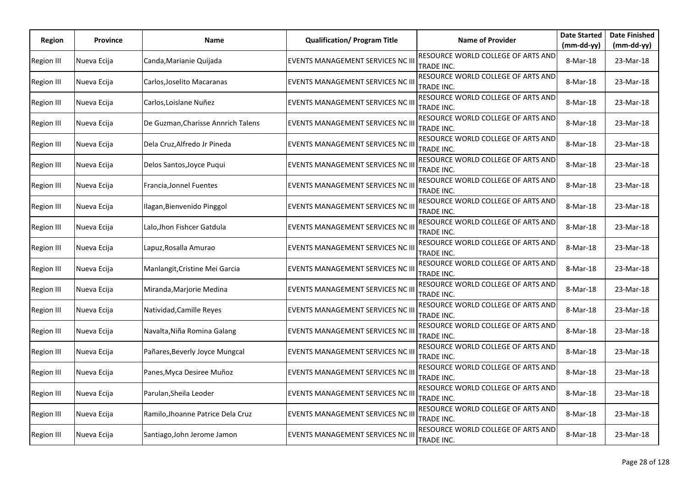| Region            | <b>Province</b> | <b>Name</b>                        | <b>Qualification/ Program Title</b>      | <b>Name of Provider</b>                          | <b>Date Started</b> | <b>Date Finished</b> |
|-------------------|-----------------|------------------------------------|------------------------------------------|--------------------------------------------------|---------------------|----------------------|
|                   |                 |                                    |                                          |                                                  | $(mm-dd-yy)$        | (mm-dd-yy)           |
| <b>Region III</b> | Nueva Ecija     | Canda, Marianie Quijada            | EVENTS MANAGEMENT SERVICES NC III        | RESOURCE WORLD COLLEGE OF ARTS AND<br>TRADE INC. | 8-Mar-18            | 23-Mar-18            |
| Region III        | Nueva Ecija     | Carlos, Joselito Macaranas         | <b>EVENTS MANAGEMENT SERVICES NC III</b> | RESOURCE WORLD COLLEGE OF ARTS AND<br>TRADE INC. | 8-Mar-18            | 23-Mar-18            |
| <b>Region III</b> | Nueva Ecija     | Carlos, Loislane Nuñez             | EVENTS MANAGEMENT SERVICES NC III        | RESOURCE WORLD COLLEGE OF ARTS AND<br>TRADE INC. | 8-Mar-18            | 23-Mar-18            |
| <b>Region III</b> | Nueva Ecija     | De Guzman, Charisse Annrich Talens | EVENTS MANAGEMENT SERVICES NC III        | RESOURCE WORLD COLLEGE OF ARTS AND<br>TRADE INC. | 8-Mar-18            | 23-Mar-18            |
| <b>Region III</b> | Nueva Ecija     | Dela Cruz, Alfredo Jr Pineda       | <b>EVENTS MANAGEMENT SERVICES NC III</b> | RESOURCE WORLD COLLEGE OF ARTS AND<br>TRADE INC. | 8-Mar-18            | 23-Mar-18            |
| <b>Region III</b> | Nueva Ecija     | Delos Santos, Joyce Puqui          | EVENTS MANAGEMENT SERVICES NC III        | RESOURCE WORLD COLLEGE OF ARTS AND<br>TRADE INC. | 8-Mar-18            | 23-Mar-18            |
| <b>Region III</b> | Nueva Ecija     | Francia, Jonnel Fuentes            | EVENTS MANAGEMENT SERVICES NC III        | RESOURCE WORLD COLLEGE OF ARTS AND<br>TRADE INC. | 8-Mar-18            | 23-Mar-18            |
| <b>Region III</b> | Nueva Ecija     | Ilagan, Bienvenido Pinggol         | EVENTS MANAGEMENT SERVICES NC III        | RESOURCE WORLD COLLEGE OF ARTS AND<br>TRADE INC. | 8-Mar-18            | 23-Mar-18            |
| Region III        | Nueva Ecija     | Lalo, Jhon Fishcer Gatdula         | <b>EVENTS MANAGEMENT SERVICES NC III</b> | RESOURCE WORLD COLLEGE OF ARTS AND<br>TRADE INC. | 8-Mar-18            | 23-Mar-18            |
| <b>Region III</b> | Nueva Ecija     | Lapuz, Rosalla Amurao              | <b>EVENTS MANAGEMENT SERVICES NC III</b> | RESOURCE WORLD COLLEGE OF ARTS AND<br>TRADE INC. | 8-Mar-18            | 23-Mar-18            |
| <b>Region III</b> | Nueva Ecija     | Manlangit, Cristine Mei Garcia     | EVENTS MANAGEMENT SERVICES NC III        | RESOURCE WORLD COLLEGE OF ARTS AND<br>TRADE INC. | 8-Mar-18            | 23-Mar-18            |
| Region III        | Nueva Ecija     | Miranda, Marjorie Medina           | EVENTS MANAGEMENT SERVICES NC III        | RESOURCE WORLD COLLEGE OF ARTS AND<br>TRADE INC. | 8-Mar-18            | 23-Mar-18            |
| <b>Region III</b> | Nueva Ecija     | Natividad, Camille Reyes           | EVENTS MANAGEMENT SERVICES NC III        | RESOURCE WORLD COLLEGE OF ARTS AND<br>TRADE INC. | 8-Mar-18            | 23-Mar-18            |
| <b>Region III</b> | Nueva Ecija     | Navalta, Niña Romina Galang        | <b>EVENTS MANAGEMENT SERVICES NC III</b> | RESOURCE WORLD COLLEGE OF ARTS AND<br>TRADE INC. | 8-Mar-18            | 23-Mar-18            |
| <b>Region III</b> | Nueva Ecija     | Pañares, Beverly Joyce Mungcal     | EVENTS MANAGEMENT SERVICES NC III        | RESOURCE WORLD COLLEGE OF ARTS AND<br>TRADE INC. | 8-Mar-18            | 23-Mar-18            |
| Region III        | Nueva Ecija     | Panes, Myca Desiree Muñoz          | <b>EVENTS MANAGEMENT SERVICES NC III</b> | RESOURCE WORLD COLLEGE OF ARTS AND<br>TRADE INC. | 8-Mar-18            | 23-Mar-18            |
| <b>Region III</b> | Nueva Ecija     | Parulan, Sheila Leoder             | EVENTS MANAGEMENT SERVICES NC III        | RESOURCE WORLD COLLEGE OF ARTS AND<br>TRADE INC. | 8-Mar-18            | 23-Mar-18            |
| <b>Region III</b> | Nueva Ecija     | Ramilo, Jhoanne Patrice Dela Cruz  | <b>EVENTS MANAGEMENT SERVICES NC III</b> | RESOURCE WORLD COLLEGE OF ARTS AND<br>TRADE INC. | 8-Mar-18            | 23-Mar-18            |
| <b>Region III</b> | Nueva Ecija     | Santiago, John Jerome Jamon        | EVENTS MANAGEMENT SERVICES NC III        | RESOURCE WORLD COLLEGE OF ARTS AND<br>TRADE INC. | 8-Mar-18            | 23-Mar-18            |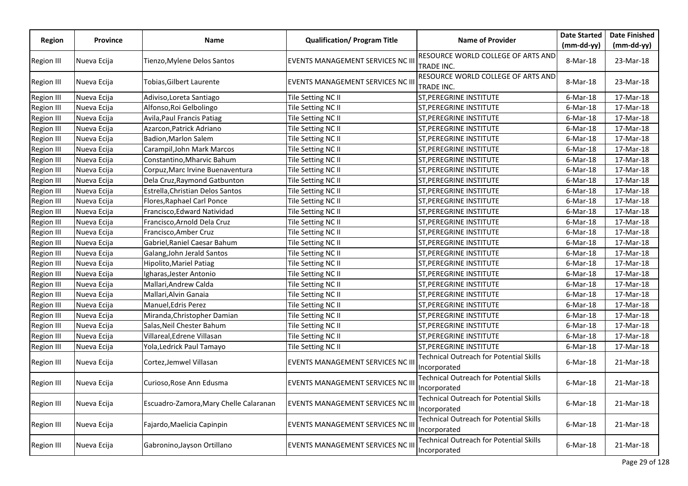|                   |                 |                                        |                                          |                                                         | <b>Date Started</b> | <b>Date Finished</b> |
|-------------------|-----------------|----------------------------------------|------------------------------------------|---------------------------------------------------------|---------------------|----------------------|
| <b>Region</b>     | <b>Province</b> | Name                                   | <b>Qualification/ Program Title</b>      | <b>Name of Provider</b>                                 | $(mm-dd-yy)$        | $(mm-dd-yy)$         |
| <b>Region III</b> | Nueva Ecija     | Tienzo, Mylene Delos Santos            | EVENTS MANAGEMENT SERVICES NC III        | RESOURCE WORLD COLLEGE OF ARTS AND<br>TRADE INC.        | 8-Mar-18            | 23-Mar-18            |
| Region III        | Nueva Ecija     | Tobias,Gilbert Laurente                | EVENTS MANAGEMENT SERVICES NC III        | RESOURCE WORLD COLLEGE OF ARTS AND<br>TRADE INC.        | 8-Mar-18            | 23-Mar-18            |
| <b>Region III</b> | Nueva Ecija     | Adiviso, Loreta Santiago               | Tile Setting NC II                       | <b>ST, PEREGRINE INSTITUTE</b>                          | $6$ -Mar-18         | 17-Mar-18            |
| <b>Region III</b> | Nueva Ecija     | Alfonso, Roi Gelbolingo                | Tile Setting NC II                       | ST, PEREGRINE INSTITUTE                                 | $6$ -Mar-18         | 17-Mar-18            |
| <b>Region III</b> | Nueva Ecija     | Avila, Paul Francis Patiag             | Tile Setting NC II                       | <b>ST,PEREGRINE INSTITUTE</b>                           | $6$ -Mar-18         | 17-Mar-18            |
| Region III        | Nueva Ecija     | Azarcon, Patrick Adriano               | Tile Setting NC II                       | ST, PEREGRINE INSTITUTE                                 | $6$ -Mar-18         | 17-Mar-18            |
| <b>Region III</b> | Nueva Ecija     | Badion, Marlon Salem                   | Tile Setting NC II                       | <b>ST, PEREGRINE INSTITUTE</b>                          | $6$ -Mar-18         | 17-Mar-18            |
| Region III        | Nueva Ecija     | Carampil, John Mark Marcos             | Tile Setting NC II                       | <b>ST, PEREGRINE INSTITUTE</b>                          | $6$ -Mar-18         | 17-Mar-18            |
| <b>Region III</b> | Nueva Ecija     | Constantino,Mharvic Bahum              | Tile Setting NC II                       | ST, PEREGRINE INSTITUTE                                 | $6$ -Mar-18         | 17-Mar-18            |
| <b>Region III</b> | Nueva Ecija     | Corpuz, Marc Irvine Buenaventura       | Tile Setting NC II                       | <b>ST, PEREGRINE INSTITUTE</b>                          | $6$ -Mar-18         | 17-Mar-18            |
| Region III        | Nueva Ecija     | Dela Cruz, Raymond Gatbunton           | Tile Setting NC II                       | <b>ST, PEREGRINE INSTITUTE</b>                          | $6$ -Mar-18         | 17-Mar-18            |
| <b>Region III</b> | Nueva Ecija     | Estrella, Christian Delos Santos       | Tile Setting NC II                       | <b>ST, PEREGRINE INSTITUTE</b>                          | $6$ -Mar-18         | 17-Mar-18            |
| Region III        | Nueva Ecija     | Flores, Raphael Carl Ponce             | Tile Setting NC II                       | <b>ST, PEREGRINE INSTITUTE</b>                          | $6$ -Mar-18         | 17-Mar-18            |
| <b>Region III</b> | Nueva Ecija     | Francisco, Edward Natividad            | Tile Setting NC II                       | <b>ST, PEREGRINE INSTITUTE</b>                          | $6$ -Mar-18         | 17-Mar-18            |
| <b>Region III</b> | Nueva Ecija     | Francisco, Arnold Dela Cruz            | Tile Setting NC II                       | <b>ST, PEREGRINE INSTITUTE</b>                          | $6$ -Mar-18         | 17-Mar-18            |
| <b>Region III</b> | Nueva Ecija     | Francisco, Amber Cruz                  | Tile Setting NC II                       | <b>ST, PEREGRINE INSTITUTE</b>                          | $6$ -Mar-18         | 17-Mar-18            |
| <b>Region III</b> | Nueva Ecija     | Gabriel, Raniel Caesar Bahum           | Tile Setting NC II                       | <b>ST, PEREGRINE INSTITUTE</b>                          | $6$ -Mar-18         | 17-Mar-18            |
| <b>Region III</b> | Nueva Ecija     | Galang, John Jerald Santos             | Tile Setting NC II                       | <b>ST, PEREGRINE INSTITUTE</b>                          | $6$ -Mar-18         | 17-Mar-18            |
| Region III        | Nueva Ecija     | Hipolito, Mariel Patiag                | Tile Setting NC II                       | <b>ST, PEREGRINE INSTITUTE</b>                          | $6$ -Mar-18         | 17-Mar-18            |
| <b>Region III</b> | Nueva Ecija     | Igharas, Jester Antonio                | Tile Setting NC II                       | <b>ST, PEREGRINE INSTITUTE</b>                          | $6$ -Mar-18         | 17-Mar-18            |
| <b>Region III</b> | Nueva Ecija     | Mallari, Andrew Calda                  | Tile Setting NC II                       | <b>ST, PEREGRINE INSTITUTE</b>                          | $6$ -Mar-18         | 17-Mar-18            |
| <b>Region III</b> | Nueva Ecija     | Mallari, Alvin Ganaia                  | Tile Setting NC II                       | <b>ST, PEREGRINE INSTITUTE</b>                          | $6$ -Mar-18         | 17-Mar-18            |
| <b>Region III</b> | Nueva Ecija     | Manuel, Edris Perez                    | Tile Setting NC II                       | <b>ST, PEREGRINE INSTITUTE</b>                          | $6$ -Mar-18         | 17-Mar-18            |
| <b>Region III</b> | Nueva Ecija     | Miranda, Christopher Damian            | Tile Setting NC II                       | <b>ST, PEREGRINE INSTITUTE</b>                          | $6$ -Mar-18         | 17-Mar-18            |
| <b>Region III</b> | Nueva Ecija     | Salas,Neil Chester Bahum               | Tile Setting NC II                       | <b>ST, PEREGRINE INSTITUTE</b>                          | 6-Mar-18            | 17-Mar-18            |
| <b>Region III</b> | Nueva Ecija     | Villareal, Edrene Villasan             | Tile Setting NC II                       | ST, PEREGRINE INSTITUTE                                 | $6$ -Mar-18         | 17-Mar-18            |
| <b>Region III</b> | Nueva Ecija     | Yola, Ledrick Paul Tamayo              | Tile Setting NC II                       | <b>ST, PEREGRINE INSTITUTE</b>                          | $6$ -Mar-18         | 17-Mar-18            |
| Region III        | Nueva Ecija     | Cortez,Jemwel Villasan                 | EVENTS MANAGEMENT SERVICES NC III        | Technical Outreach for Potential Skills<br>Incorporated | $6$ -Mar-18         | 21-Mar-18            |
| <b>Region III</b> | Nueva Ecija     | Curioso, Rose Ann Edusma               | <b>EVENTS MANAGEMENT SERVICES NC III</b> | Technical Outreach for Potential Skills<br>Incorporated | $6$ -Mar-18         | 21-Mar-18            |
| <b>Region III</b> | Nueva Ecija     | Escuadro-Zamora, Mary Chelle Calaranan | EVENTS MANAGEMENT SERVICES NC III        | Technical Outreach for Potential Skills<br>Incorporated | $6$ -Mar-18         | 21-Mar-18            |
| <b>Region III</b> | Nueva Ecija     | Fajardo, Maelicia Capinpin             | EVENTS MANAGEMENT SERVICES NC III        | Technical Outreach for Potential Skills<br>Incorporated | $6$ -Mar-18         | 21-Mar-18            |
| <b>Region III</b> | Nueva Ecija     | Gabronino, Jayson Ortillano            | EVENTS MANAGEMENT SERVICES NC III        | Technical Outreach for Potential Skills<br>Incorporated | $6$ -Mar-18         | 21-Mar-18            |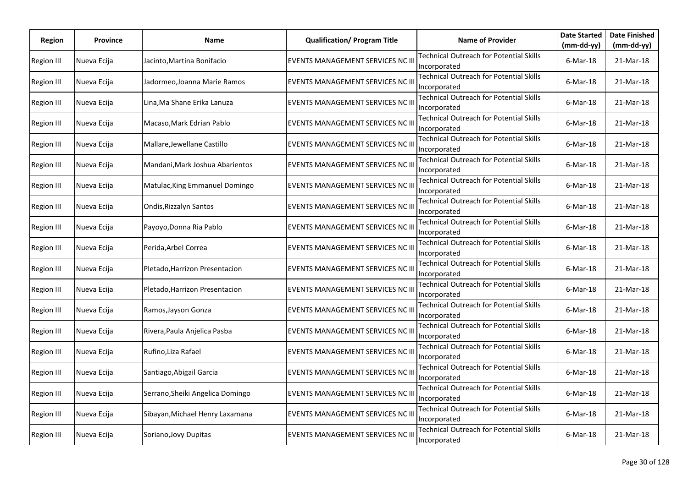| Region            | <b>Province</b> | Name                             | <b>Qualification/ Program Title</b>      | <b>Name of Provider</b>                                                        | <b>Date Started</b>         | <b>Date Finished</b>      |
|-------------------|-----------------|----------------------------------|------------------------------------------|--------------------------------------------------------------------------------|-----------------------------|---------------------------|
| <b>Region III</b> | Nueva Ecija     | Jacinto,Martina Bonifacio        | <b>EVENTS MANAGEMENT SERVICES NC III</b> | Technical Outreach for Potential Skills                                        | $(mm-dd-yy)$<br>$6$ -Mar-18 | $(mm-dd-yy)$<br>21-Mar-18 |
| Region III        | Nueva Ecija     | Jadormeo,Joanna Marie Ramos      | EVENTS MANAGEMENT SERVICES NC III        | Incorporated<br><b>Technical Outreach for Potential Skills</b><br>Incorporated | $6$ -Mar-18                 | 21-Mar-18                 |
| <b>Region III</b> | Nueva Ecija     | Lina, Ma Shane Erika Lanuza      | EVENTS MANAGEMENT SERVICES NC III        | Technical Outreach for Potential Skills<br>Incorporated                        | $6$ -Mar-18                 | 21-Mar-18                 |
| <b>Region III</b> | Nueva Ecija     | Macaso, Mark Edrian Pablo        | EVENTS MANAGEMENT SERVICES NC III        | <b>Technical Outreach for Potential Skills</b><br>Incorporated                 | $6$ -Mar-18                 | 21-Mar-18                 |
| <b>Region III</b> | Nueva Ecija     | Mallare, Jewellane Castillo      | EVENTS MANAGEMENT SERVICES NC III        | Technical Outreach for Potential Skills<br>Incorporated                        | $6$ -Mar-18                 | 21-Mar-18                 |
| <b>Region III</b> | Nueva Ecija     | Mandani, Mark Joshua Abarientos  | EVENTS MANAGEMENT SERVICES NC III        | Technical Outreach for Potential Skills<br>Incorporated                        | $6$ -Mar-18                 | 21-Mar-18                 |
| <b>Region III</b> | Nueva Ecija     | Matulac, King Emmanuel Domingo   | EVENTS MANAGEMENT SERVICES NC III        | Technical Outreach for Potential Skills<br>Incorporated                        | $6$ -Mar-18                 | 21-Mar-18                 |
| <b>Region III</b> | Nueva Ecija     | Ondis, Rizzalyn Santos           | EVENTS MANAGEMENT SERVICES NC III        | Technical Outreach for Potential Skills<br>Incorporated                        | $6$ -Mar-18                 | 21-Mar-18                 |
| Region III        | Nueva Ecija     | Payoyo, Donna Ria Pablo          | EVENTS MANAGEMENT SERVICES NC II         | Technical Outreach for Potential Skills<br>Incorporated                        | $6$ -Mar-18                 | 21-Mar-18                 |
| Region III        | Nueva Ecija     | Perida, Arbel Correa             | <b>EVENTS MANAGEMENT SERVICES NC III</b> | Technical Outreach for Potential Skills<br>Incorporated                        | $6$ -Mar-18                 | 21-Mar-18                 |
| <b>Region III</b> | Nueva Ecija     | Pletado, Harrizon Presentacion   | EVENTS MANAGEMENT SERVICES NC II         | Technical Outreach for Potential Skills<br>Incorporated                        | $6$ -Mar-18                 | 21-Mar-18                 |
| <b>Region III</b> | Nueva Ecija     | Pletado, Harrizon Presentacion   | EVENTS MANAGEMENT SERVICES NC III        | <b>Technical Outreach for Potential Skills</b><br>Incorporated                 | $6$ -Mar-18                 | 21-Mar-18                 |
| <b>Region III</b> | Nueva Ecija     | Ramos, Jayson Gonza              | <b>EVENTS MANAGEMENT SERVICES NC III</b> | <b>Technical Outreach for Potential Skills</b><br>Incorporated                 | $6$ -Mar-18                 | 21-Mar-18                 |
| <b>Region III</b> | Nueva Ecija     | Rivera, Paula Anjelica Pasba     | <b>EVENTS MANAGEMENT SERVICES NC III</b> | <b>Technical Outreach for Potential Skills</b><br>Incorporated                 | $6$ -Mar-18                 | 21-Mar-18                 |
| <b>Region III</b> | Nueva Ecija     | Rufino, Liza Rafael              | EVENTS MANAGEMENT SERVICES NC III        | Technical Outreach for Potential Skills<br>Incorporated                        | $6$ -Mar-18                 | 21-Mar-18                 |
| Region III        | Nueva Ecija     | Santiago, Abigail Garcia         | EVENTS MANAGEMENT SERVICES NC III        | Technical Outreach for Potential Skills<br>Incorporated                        | $6$ -Mar-18                 | 21-Mar-18                 |
| <b>Region III</b> | Nueva Ecija     | Serrano, Sheiki Angelica Domingo | EVENTS MANAGEMENT SERVICES NC III        | Technical Outreach for Potential Skills<br>Incorporated                        | $6$ -Mar-18                 | 21-Mar-18                 |
| <b>Region III</b> | Nueva Ecija     | Sibayan, Michael Henry Laxamana  | EVENTS MANAGEMENT SERVICES NC III        | Technical Outreach for Potential Skills<br>Incorporated                        | $6$ -Mar-18                 | 21-Mar-18                 |
| <b>Region III</b> | Nueva Ecija     | Soriano, Jovy Dupitas            | EVENTS MANAGEMENT SERVICES NC III        | Technical Outreach for Potential Skills<br>Incorporated                        | $6$ -Mar-18                 | 21-Mar-18                 |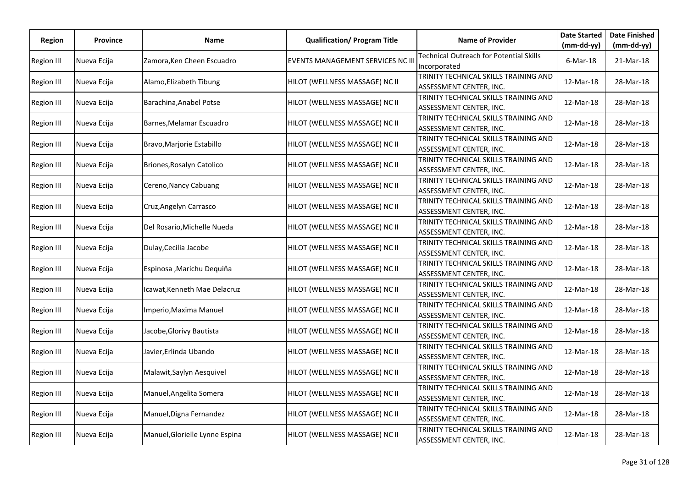| Region            | <b>Province</b> | Name                           | <b>Qualification/ Program Title</b> | <b>Name of Provider</b>                                          | <b>Date Started</b><br>$(mm-dd-yy)$ | <b>Date Finished</b>    |
|-------------------|-----------------|--------------------------------|-------------------------------------|------------------------------------------------------------------|-------------------------------------|-------------------------|
| <b>Region III</b> | Nueva Ecija     | Zamora, Ken Cheen Escuadro     | EVENTS MANAGEMENT SERVICES NC III   | <b>Technical Outreach for Potential Skills</b><br>Incorporated   | $6$ -Mar-18                         | (mm-dd-yy)<br>21-Mar-18 |
| Region III        | Nueva Ecija     | Alamo, Elizabeth Tibung        | HILOT (WELLNESS MASSAGE) NC II      | TRINITY TECHNICAL SKILLS TRAINING AND<br>ASSESSMENT CENTER, INC. | 12-Mar-18                           | 28-Mar-18               |
| Region III        | Nueva Ecija     | Barachina, Anabel Potse        | HILOT (WELLNESS MASSAGE) NC II      | TRINITY TECHNICAL SKILLS TRAINING AND<br>ASSESSMENT CENTER, INC. | 12-Mar-18                           | 28-Mar-18               |
| Region III        | Nueva Ecija     | Barnes, Melamar Escuadro       | HILOT (WELLNESS MASSAGE) NC II      | TRINITY TECHNICAL SKILLS TRAINING AND<br>ASSESSMENT CENTER, INC. | 12-Mar-18                           | 28-Mar-18               |
| Region III        | Nueva Ecija     | Bravo, Marjorie Estabillo      | HILOT (WELLNESS MASSAGE) NC II      | TRINITY TECHNICAL SKILLS TRAINING AND<br>ASSESSMENT CENTER, INC. | 12-Mar-18                           | 28-Mar-18               |
| <b>Region III</b> | Nueva Ecija     | Briones, Rosalyn Catolico      | HILOT (WELLNESS MASSAGE) NC II      | TRINITY TECHNICAL SKILLS TRAINING AND<br>ASSESSMENT CENTER, INC. | 12-Mar-18                           | 28-Mar-18               |
| <b>Region III</b> | Nueva Ecija     | Cereno, Nancy Cabuang          | HILOT (WELLNESS MASSAGE) NC II      | TRINITY TECHNICAL SKILLS TRAINING AND<br>ASSESSMENT CENTER, INC. | 12-Mar-18                           | 28-Mar-18               |
| <b>Region III</b> | Nueva Ecija     | Cruz, Angelyn Carrasco         | HILOT (WELLNESS MASSAGE) NC II      | TRINITY TECHNICAL SKILLS TRAINING AND<br>ASSESSMENT CENTER, INC. | 12-Mar-18                           | 28-Mar-18               |
| Region III        | Nueva Ecija     | Del Rosario, Michelle Nueda    | HILOT (WELLNESS MASSAGE) NC II      | TRINITY TECHNICAL SKILLS TRAINING AND<br>ASSESSMENT CENTER, INC. | 12-Mar-18                           | 28-Mar-18               |
| Region III        | Nueva Ecija     | Dulay, Cecilia Jacobe          | HILOT (WELLNESS MASSAGE) NC II      | TRINITY TECHNICAL SKILLS TRAINING AND<br>ASSESSMENT CENTER, INC. | 12-Mar-18                           | 28-Mar-18               |
| Region III        | Nueva Ecija     | Espinosa , Marichu Dequiňa     | HILOT (WELLNESS MASSAGE) NC II      | TRINITY TECHNICAL SKILLS TRAINING AND<br>ASSESSMENT CENTER, INC. | 12-Mar-18                           | 28-Mar-18               |
| <b>Region III</b> | Nueva Ecija     | Icawat, Kenneth Mae Delacruz   | HILOT (WELLNESS MASSAGE) NC II      | TRINITY TECHNICAL SKILLS TRAINING AND<br>ASSESSMENT CENTER, INC. | 12-Mar-18                           | 28-Mar-18               |
| Region III        | Nueva Ecija     | Imperio, Maxima Manuel         | HILOT (WELLNESS MASSAGE) NC II      | TRINITY TECHNICAL SKILLS TRAINING AND<br>ASSESSMENT CENTER, INC. | 12-Mar-18                           | 28-Mar-18               |
| <b>Region III</b> | Nueva Ecija     | Jacobe,Glorivy Bautista        | HILOT (WELLNESS MASSAGE) NC II      | TRINITY TECHNICAL SKILLS TRAINING AND<br>ASSESSMENT CENTER, INC. | 12-Mar-18                           | 28-Mar-18               |
| <b>Region III</b> | Nueva Ecija     | Javier,Erlinda Ubando          | HILOT (WELLNESS MASSAGE) NC II      | TRINITY TECHNICAL SKILLS TRAINING AND<br>ASSESSMENT CENTER, INC. | 12-Mar-18                           | 28-Mar-18               |
| Region III        | Nueva Ecija     | Malawit, Saylyn Aesquivel      | HILOT (WELLNESS MASSAGE) NC II      | TRINITY TECHNICAL SKILLS TRAINING AND<br>ASSESSMENT CENTER, INC. | 12-Mar-18                           | 28-Mar-18               |
| Region III        | Nueva Ecija     | Manuel, Angelita Somera        | HILOT (WELLNESS MASSAGE) NC II      | TRINITY TECHNICAL SKILLS TRAINING AND<br>ASSESSMENT CENTER, INC. | 12-Mar-18                           | 28-Mar-18               |
| <b>Region III</b> | Nueva Ecija     | Manuel, Digna Fernandez        | HILOT (WELLNESS MASSAGE) NC II      | TRINITY TECHNICAL SKILLS TRAINING AND<br>ASSESSMENT CENTER, INC. | 12-Mar-18                           | 28-Mar-18               |
| Region III        | Nueva Ecija     | Manuel, Glorielle Lynne Espina | HILOT (WELLNESS MASSAGE) NC II      | TRINITY TECHNICAL SKILLS TRAINING AND<br>ASSESSMENT CENTER, INC. | 12-Mar-18                           | 28-Mar-18               |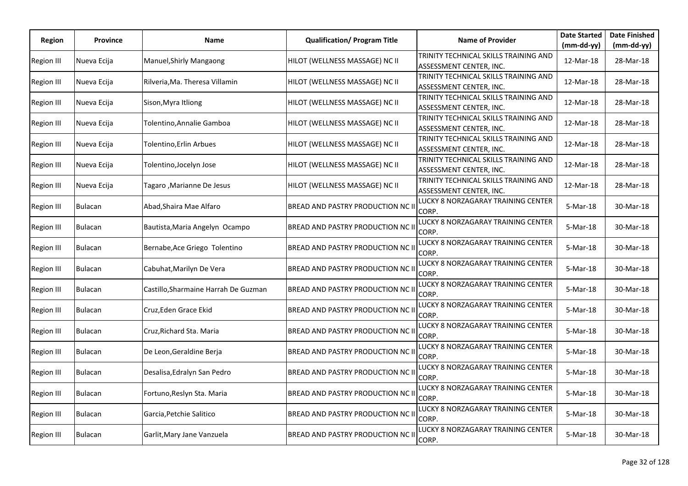| <b>Region</b>     | <b>Province</b> | Name                                 | <b>Qualification/ Program Title</b> | <b>Name of Provider</b>                                                                     | <b>Date Started</b>       | <b>Date Finished</b>      |
|-------------------|-----------------|--------------------------------------|-------------------------------------|---------------------------------------------------------------------------------------------|---------------------------|---------------------------|
| <b>Region III</b> | Nueva Ecija     | Manuel, Shirly Mangaong              | HILOT (WELLNESS MASSAGE) NC II      | TRINITY TECHNICAL SKILLS TRAINING AND                                                       | $(mm-dd-yy)$<br>12-Mar-18 | $(mm-dd-yy)$<br>28-Mar-18 |
| <b>Region III</b> | Nueva Ecija     | Rilveria, Ma. Theresa Villamin       | HILOT (WELLNESS MASSAGE) NC II      | ASSESSMENT CENTER, INC.<br>TRINITY TECHNICAL SKILLS TRAINING AND<br>ASSESSMENT CENTER, INC. | 12-Mar-18                 | 28-Mar-18                 |
| <b>Region III</b> | Nueva Ecija     | Sison, Myra Itliong                  | HILOT (WELLNESS MASSAGE) NC II      | TRINITY TECHNICAL SKILLS TRAINING AND<br>ASSESSMENT CENTER, INC.                            | 12-Mar-18                 | 28-Mar-18                 |
| <b>Region III</b> | Nueva Ecija     | Tolentino, Annalie Gamboa            | HILOT (WELLNESS MASSAGE) NC II      | TRINITY TECHNICAL SKILLS TRAINING AND<br>ASSESSMENT CENTER, INC.                            | 12-Mar-18                 | 28-Mar-18                 |
| <b>Region III</b> | Nueva Ecija     | Tolentino, Erlin Arbues              | HILOT (WELLNESS MASSAGE) NC II      | TRINITY TECHNICAL SKILLS TRAINING AND<br>ASSESSMENT CENTER, INC.                            | 12-Mar-18                 | 28-Mar-18                 |
| <b>Region III</b> | Nueva Ecija     | Tolentino,Jocelyn Jose               | HILOT (WELLNESS MASSAGE) NC II      | TRINITY TECHNICAL SKILLS TRAINING AND<br>ASSESSMENT CENTER, INC.                            | 12-Mar-18                 | 28-Mar-18                 |
| <b>Region III</b> | Nueva Ecija     | Tagaro ,Marianne De Jesus            | HILOT (WELLNESS MASSAGE) NC II      | TRINITY TECHNICAL SKILLS TRAINING AND<br>ASSESSMENT CENTER, INC.                            | 12-Mar-18                 | 28-Mar-18                 |
| <b>Region III</b> | <b>Bulacan</b>  | Abad, Shaira Mae Alfaro              | BREAD AND PASTRY PRODUCTION NC II   | LUCKY 8 NORZAGARAY TRAINING CENTER<br>CORP.                                                 | 5-Mar-18                  | 30-Mar-18                 |
| Region III        | <b>Bulacan</b>  | Bautista, Maria Angelyn Ocampo       | BREAD AND PASTRY PRODUCTION NC II   | LUCKY 8 NORZAGARAY TRAINING CENTER<br>CORP.                                                 | 5-Mar-18                  | 30-Mar-18                 |
| Region III        | <b>Bulacan</b>  | Bernabe, Ace Griego Tolentino        | BREAD AND PASTRY PRODUCTION NC II   | LUCKY 8 NORZAGARAY TRAINING CENTER<br>CORP.                                                 | 5-Mar-18                  | 30-Mar-18                 |
| <b>Region III</b> | <b>Bulacan</b>  | Cabuhat, Marilyn De Vera             | BREAD AND PASTRY PRODUCTION NC II   | LUCKY 8 NORZAGARAY TRAINING CENTER<br>CORP.                                                 | 5-Mar-18                  | 30-Mar-18                 |
| <b>Region III</b> | <b>Bulacan</b>  | Castillo, Sharmaine Harrah De Guzman | BREAD AND PASTRY PRODUCTION NC II   | LUCKY 8 NORZAGARAY TRAINING CENTER<br>CORP.                                                 | 5-Mar-18                  | 30-Mar-18                 |
| <b>Region III</b> | Bulacan         | Cruz, Eden Grace Ekid                | BREAD AND PASTRY PRODUCTION NC II   | LUCKY 8 NORZAGARAY TRAINING CENTER<br>CORP.                                                 | 5-Mar-18                  | 30-Mar-18                 |
| Region III        | <b>Bulacan</b>  | Cruz, Richard Sta. Maria             | BREAD AND PASTRY PRODUCTION NC II   | LUCKY 8 NORZAGARAY TRAINING CENTER<br>CORP.                                                 | 5-Mar-18                  | 30-Mar-18                 |
| <b>Region III</b> | <b>Bulacan</b>  | De Leon, Geraldine Berja             | BREAD AND PASTRY PRODUCTION NC II   | LUCKY 8 NORZAGARAY TRAINING CENTER<br>CORP.                                                 | 5-Mar-18                  | 30-Mar-18                 |
| Region III        | <b>Bulacan</b>  | Desalisa, Edralyn San Pedro          | BREAD AND PASTRY PRODUCTION NC II   | LUCKY 8 NORZAGARAY TRAINING CENTER<br>CORP.                                                 | 5-Mar-18                  | 30-Mar-18                 |
| Region III        | <b>Bulacan</b>  | Fortuno, Reslyn Sta. Maria           | BREAD AND PASTRY PRODUCTION NC II   | LUCKY 8 NORZAGARAY TRAINING CENTER<br>CORP.                                                 | 5-Mar-18                  | 30-Mar-18                 |
| <b>Region III</b> | <b>Bulacan</b>  | Garcia, Petchie Salitico             | BREAD AND PASTRY PRODUCTION NC II   | LUCKY 8 NORZAGARAY TRAINING CENTER<br>CORP.                                                 | 5-Mar-18                  | 30-Mar-18                 |
| <b>Region III</b> | <b>Bulacan</b>  | Garlit, Mary Jane Vanzuela           | BREAD AND PASTRY PRODUCTION NC II   | LUCKY 8 NORZAGARAY TRAINING CENTER<br>CORP.                                                 | 5-Mar-18                  | 30-Mar-18                 |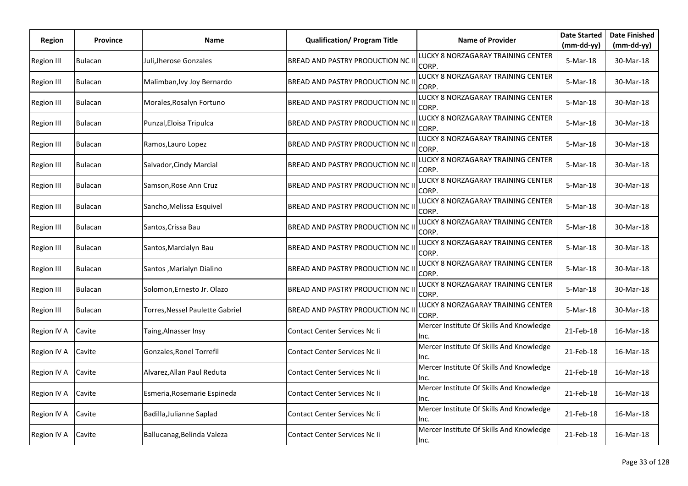| Region            | <b>Province</b> | Name                            | <b>Qualification/ Program Title</b>      | <b>Name of Provider</b>                              | <b>Date Started</b>    | <b>Date Finished</b>      |
|-------------------|-----------------|---------------------------------|------------------------------------------|------------------------------------------------------|------------------------|---------------------------|
| <b>Region III</b> | <b>Bulacan</b>  | Juli,Jherose Gonzales           | BREAD AND PASTRY PRODUCTION NC II        | LUCKY 8 NORZAGARAY TRAINING CENTER                   | (mm-dd-yy)<br>5-Mar-18 | $(mm-dd-yy)$<br>30-Mar-18 |
| Region III        | <b>Bulacan</b>  | Malimban, Ivy Joy Bernardo      | BREAD AND PASTRY PRODUCTION NC II        | CORP.<br>LUCKY 8 NORZAGARAY TRAINING CENTER<br>CORP. | 5-Mar-18               | 30-Mar-18                 |
| <b>Region III</b> | <b>Bulacan</b>  | Morales, Rosalyn Fortuno        | BREAD AND PASTRY PRODUCTION NC II        | LUCKY 8 NORZAGARAY TRAINING CENTER<br>CORP.          | 5-Mar-18               | 30-Mar-18                 |
| <b>Region III</b> | Bulacan         | Punzal, Eloisa Tripulca         | BREAD AND PASTRY PRODUCTION NC II        | LUCKY 8 NORZAGARAY TRAINING CENTER<br>CORP.          | 5-Mar-18               | 30-Mar-18                 |
| <b>Region III</b> | <b>Bulacan</b>  | Ramos, Lauro Lopez              | BREAD AND PASTRY PRODUCTION NC II        | LUCKY 8 NORZAGARAY TRAINING CENTER<br>CORP.          | 5-Mar-18               | 30-Mar-18                 |
| Region III        | <b>Bulacan</b>  | Salvador, Cindy Marcial         | BREAD AND PASTRY PRODUCTION NC II        | LUCKY 8 NORZAGARAY TRAINING CENTER<br>CORP.          | 5-Mar-18               | 30-Mar-18                 |
| <b>Region III</b> | <b>Bulacan</b>  | Samson, Rose Ann Cruz           | BREAD AND PASTRY PRODUCTION NC II        | LUCKY 8 NORZAGARAY TRAINING CENTER<br>CORP.          | 5-Mar-18               | 30-Mar-18                 |
| <b>Region III</b> | <b>Bulacan</b>  | Sancho, Melissa Esquivel        | BREAD AND PASTRY PRODUCTION NC II        | LUCKY 8 NORZAGARAY TRAINING CENTER<br>CORP.          | 5-Mar-18               | 30-Mar-18                 |
| Region III        | <b>Bulacan</b>  | Santos, Crissa Bau              | BREAD AND PASTRY PRODUCTION NC II        | LUCKY 8 NORZAGARAY TRAINING CENTER<br>CORP.          | 5-Mar-18               | 30-Mar-18                 |
| <b>Region III</b> | <b>Bulacan</b>  | Santos, Marcialyn Bau           | BREAD AND PASTRY PRODUCTION NC II        | LUCKY 8 NORZAGARAY TRAINING CENTER<br>CORP.          | 5-Mar-18               | 30-Mar-18                 |
| <b>Region III</b> | <b>Bulacan</b>  | Santos ,Marialyn Dialino        | BREAD AND PASTRY PRODUCTION NC II        | LUCKY 8 NORZAGARAY TRAINING CENTER<br>CORP.          | 5-Mar-18               | 30-Mar-18                 |
| <b>Region III</b> | Bulacan         | Solomon,Ernesto Jr. Olazo       | BREAD AND PASTRY PRODUCTION NC II        | LUCKY 8 NORZAGARAY TRAINING CENTER<br>CORP.          | 5-Mar-18               | 30-Mar-18                 |
| <b>Region III</b> | <b>Bulacan</b>  | Torres, Nessel Paulette Gabriel | <b>BREAD AND PASTRY PRODUCTION NC II</b> | LUCKY 8 NORZAGARAY TRAINING CENTER<br>CORP.          | 5-Mar-18               | 30-Mar-18                 |
| Region IV A       | Cavite          | Taing,Alnasser Insy             | Contact Center Services Nc li            | Mercer Institute Of Skills And Knowledge<br>Inc.     | 21-Feb-18              | 16-Mar-18                 |
| Region IV A       | Cavite          | Gonzales, Ronel Torrefil        | Contact Center Services Nc li            | Mercer Institute Of Skills And Knowledge<br>Inc.     | 21-Feb-18              | 16-Mar-18                 |
| Region IV A       | Cavite          | Alvarez, Allan Paul Reduta      | Contact Center Services Nc li            | Mercer Institute Of Skills And Knowledge<br>inc.     | 21-Feb-18              | 16-Mar-18                 |
| Region IV A       | Cavite          | Esmeria, Rosemarie Espineda     | Contact Center Services Nc Ii            | Mercer Institute Of Skills And Knowledge<br>Inc.     | 21-Feb-18              | 16-Mar-18                 |
| Region IV A       | Cavite          | Badilla, Julianne Saplad        | Contact Center Services Nc li            | Mercer Institute Of Skills And Knowledge<br>Inc.     | 21-Feb-18              | 16-Mar-18                 |
| Region IV A       | Cavite          | Ballucanag, Belinda Valeza      | Contact Center Services Nc li            | Mercer Institute Of Skills And Knowledge<br>Inc.     | 21-Feb-18              | 16-Mar-18                 |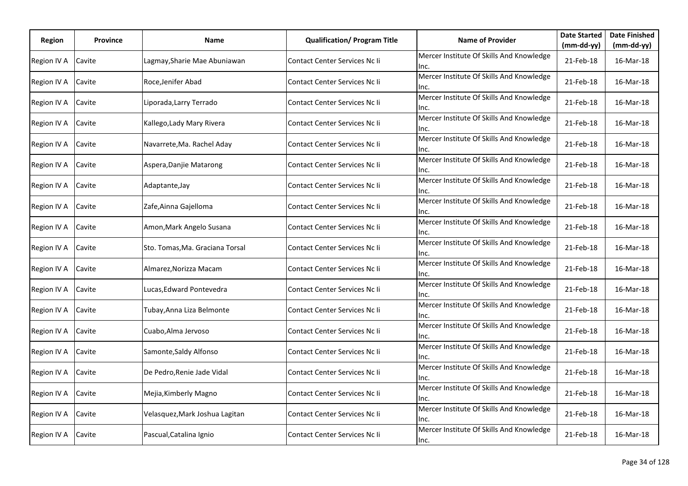| Region      | <b>Province</b> | Name                            | <b>Qualification/ Program Title</b>  | <b>Name of Provider</b>                          | <b>Date Started</b> | <b>Date Finished</b> |
|-------------|-----------------|---------------------------------|--------------------------------------|--------------------------------------------------|---------------------|----------------------|
|             |                 |                                 |                                      |                                                  | (mm-dd-yy)          | $(mm-dd-yy)$         |
| Region IV A | Cavite          | Lagmay,Sharie Mae Abuniawan     | Contact Center Services Nc li        | Mercer Institute Of Skills And Knowledge<br>Inc. | 21-Feb-18           | 16-Mar-18            |
| Region IV A | Cavite          | Roce, Jenifer Abad              | Contact Center Services Nc Ii        | Mercer Institute Of Skills And Knowledge<br>Inc. | 21-Feb-18           | 16-Mar-18            |
| Region IV A | Cavite          | Liporada, Larry Terrado         | Contact Center Services Nc li        | Mercer Institute Of Skills And Knowledge<br>Inc. | 21-Feb-18           | 16-Mar-18            |
| Region IV A | Cavite          | Kallego, Lady Mary Rivera       | Contact Center Services Nc li        | Mercer Institute Of Skills And Knowledge<br>Inc. | 21-Feb-18           | 16-Mar-18            |
| Region IV A | Cavite          | Navarrete, Ma. Rachel Aday      | <b>Contact Center Services Nc Ii</b> | Mercer Institute Of Skills And Knowledge<br>Inc. | 21-Feb-18           | 16-Mar-18            |
| Region IV A | Cavite          | Aspera, Danjie Matarong         | Contact Center Services Nc li        | Mercer Institute Of Skills And Knowledge<br>Inc. | 21-Feb-18           | 16-Mar-18            |
| Region IV A | Cavite          | Adaptante, Jay                  | Contact Center Services Nc li        | Mercer Institute Of Skills And Knowledge<br>Inc. | 21-Feb-18           | 16-Mar-18            |
| Region IV A | Cavite          | Zafe, Ainna Gajelloma           | Contact Center Services Nc li        | Mercer Institute Of Skills And Knowledge<br>Inc. | 21-Feb-18           | 16-Mar-18            |
| Region IV A | Cavite          | Amon, Mark Angelo Susana        | Contact Center Services Nc Ii        | Mercer Institute Of Skills And Knowledge<br>Inc. | 21-Feb-18           | 16-Mar-18            |
| Region IV A | Cavite          | Sto. Tomas, Ma. Graciana Torsal | Contact Center Services Nc Ii        | Mercer Institute Of Skills And Knowledge<br>Inc. | 21-Feb-18           | 16-Mar-18            |
| Region IV A | Cavite          | Almarez,Norizza Macam           | Contact Center Services Nc Ii        | Mercer Institute Of Skills And Knowledge<br>Inc. | 21-Feb-18           | 16-Mar-18            |
| Region IV A | Cavite          | Lucas, Edward Pontevedra        | Contact Center Services Nc li        | Mercer Institute Of Skills And Knowledge<br>Inc. | 21-Feb-18           | 16-Mar-18            |
| Region IV A | Cavite          | Tubay, Anna Liza Belmonte       | Contact Center Services Nc li        | Mercer Institute Of Skills And Knowledge<br>Inc. | 21-Feb-18           | 16-Mar-18            |
| Region IV A | Cavite          | Cuabo, Alma Jervoso             | Contact Center Services Nc li        | Mercer Institute Of Skills And Knowledge<br>Inc. | 21-Feb-18           | 16-Mar-18            |
| Region IV A | Cavite          | Samonte, Saldy Alfonso          | Contact Center Services Nc li        | Mercer Institute Of Skills And Knowledge<br>Inc. | 21-Feb-18           | 16-Mar-18            |
| Region IV A | Cavite          | De Pedro, Renie Jade Vidal      | Contact Center Services Nc Ii        | Mercer Institute Of Skills And Knowledge<br>lnc. | 21-Feb-18           | 16-Mar-18            |
| Region IV A | Cavite          | Mejia, Kimberly Magno           | Contact Center Services Nc Ii        | Mercer Institute Of Skills And Knowledge<br>Inc. | 21-Feb-18           | 16-Mar-18            |
| Region IV A | Cavite          | Velasquez, Mark Joshua Lagitan  | Contact Center Services Nc li        | Mercer Institute Of Skills And Knowledge<br>Inc. | 21-Feb-18           | 16-Mar-18            |
| Region IV A | Cavite          | Pascual, Catalina Ignio         | Contact Center Services Nc li        | Mercer Institute Of Skills And Knowledge<br>Inc. | 21-Feb-18           | 16-Mar-18            |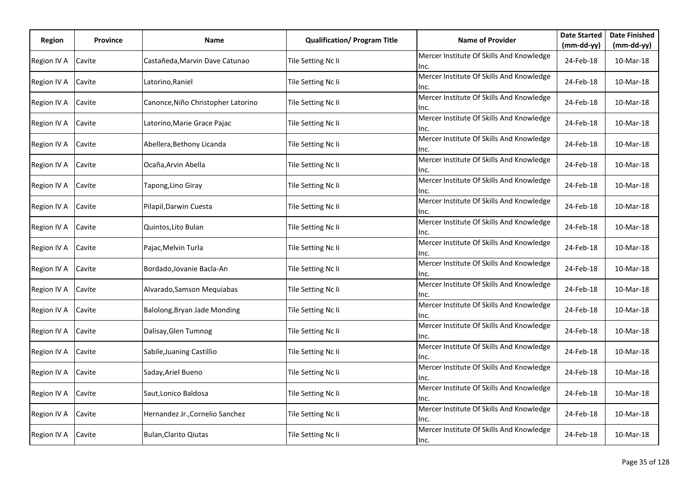| Region      | <b>Province</b> | Name                               | <b>Qualification/ Program Title</b> | <b>Name of Provider</b>                          | <b>Date Started</b> | <b>Date Finished</b> |
|-------------|-----------------|------------------------------------|-------------------------------------|--------------------------------------------------|---------------------|----------------------|
|             |                 |                                    |                                     |                                                  | (mm-dd-yy)          | $(mm-dd-yy)$         |
| Region IV A | Cavite          | Castañeda, Marvin Dave Catunao     | Tile Setting Nc Ii                  | Mercer Institute Of Skills And Knowledge<br>Inc. | 24-Feb-18           | 10-Mar-18            |
| Region IV A | Cavite          | Latorino, Raniel                   | Tile Setting Nc Ii                  | Mercer Institute Of Skills And Knowledge<br>Inc. | 24-Feb-18           | 10-Mar-18            |
| Region IV A | Cavite          | Canonce, Niño Christopher Latorino | Tile Setting Nc Ii                  | Mercer Institute Of Skills And Knowledge<br>Inc. | 24-Feb-18           | 10-Mar-18            |
| Region IV A | Cavite          | Latorino, Marie Grace Pajac        | Tile Setting Nc Ii                  | Mercer Institute Of Skills And Knowledge<br>Inc. | 24-Feb-18           | 10-Mar-18            |
| Region IV A | Cavite          | Abellera, Bethony Licanda          | Tile Setting Nc Ii                  | Mercer Institute Of Skills And Knowledge<br>Inc. | 24-Feb-18           | 10-Mar-18            |
| Region IV A | Cavite          | Ocaña,Arvin Abella                 | Tile Setting Nc Ii                  | Mercer Institute Of Skills And Knowledge<br>Inc. | 24-Feb-18           | 10-Mar-18            |
| Region IV A | Cavite          | Tapong,Lino Giray                  | Tile Setting Nc Ii                  | Mercer Institute Of Skills And Knowledge<br>Inc. | 24-Feb-18           | 10-Mar-18            |
| Region IV A | Cavite          | Pilapil, Darwin Cuesta             | Tile Setting Nc Ii                  | Mercer Institute Of Skills And Knowledge<br>Inc. | 24-Feb-18           | 10-Mar-18            |
| Region IV A | Cavite          | Quintos, Lito Bulan                | Tile Setting Nc Ii                  | Mercer Institute Of Skills And Knowledge<br>Inc. | 24-Feb-18           | 10-Mar-18            |
| Region IV A | Cavite          | Pajac, Melvin Turla                | Tile Setting Nc Ii                  | Mercer Institute Of Skills And Knowledge<br>Inc. | 24-Feb-18           | 10-Mar-18            |
| Region IV A | Cavite          | Bordado, Jovanie Bacla-An          | Tile Setting Nc Ii                  | Mercer Institute Of Skills And Knowledge<br>Inc. | 24-Feb-18           | 10-Mar-18            |
| Region IV A | Cavite          | Alvarado, Samson Mequiabas         | Tile Setting Nc Ii                  | Mercer Institute Of Skills And Knowledge<br>Inc. | 24-Feb-18           | 10-Mar-18            |
| Region IV A | Cavite          | Balolong, Bryan Jade Monding       | Tile Setting Nc Ii                  | Mercer Institute Of Skills And Knowledge<br>Inc. | 24-Feb-18           | 10-Mar-18            |
| Region IV A | Cavite          | Dalisay, Glen Tumnog               | Tile Setting Nc Ii                  | Mercer Institute Of Skills And Knowledge<br>Inc. | 24-Feb-18           | 10-Mar-18            |
| Region IV A | Cavite          | Sabile, Juaning Castillio          | Tile Setting Nc Ii                  | Mercer Institute Of Skills And Knowledge<br>Inc. | 24-Feb-18           | 10-Mar-18            |
| Region IV A | Cavite          | Saday, Ariel Bueno                 | Tile Setting Nc Ii                  | Mercer Institute Of Skills And Knowledge<br>Inc. | 24-Feb-18           | 10-Mar-18            |
| Region IV A | Cavite          | Saut, Lonico Baldosa               | Tile Setting Nc Ii                  | Mercer Institute Of Skills And Knowledge<br>Inc. | 24-Feb-18           | 10-Mar-18            |
| Region IV A | Cavite          | Hernandez Jr., Cornelio Sanchez    | Tile Setting Nc Ii                  | Mercer Institute Of Skills And Knowledge<br>Inc. | 24-Feb-18           | 10-Mar-18            |
| Region IV A | Cavite          | <b>Bulan, Clarito Qiutas</b>       | Tile Setting Nc Ii                  | Mercer Institute Of Skills And Knowledge<br>Inc. | 24-Feb-18           | 10-Mar-18            |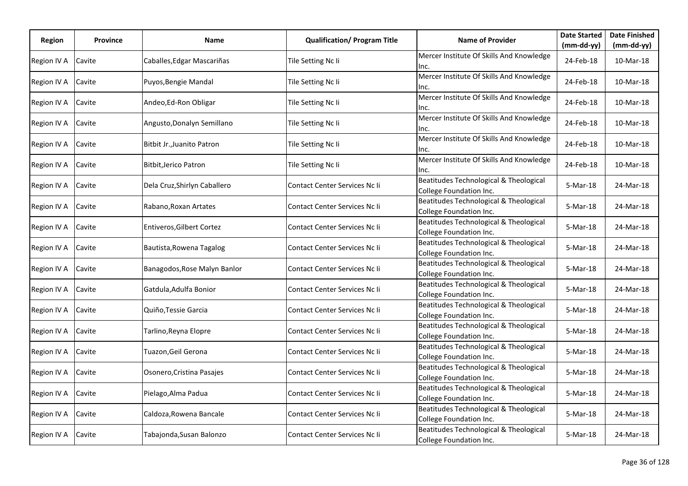| <b>Region</b> | <b>Province</b> | Name                         | <b>Qualification/ Program Title</b> | <b>Name of Provider</b>                                           | <b>Date Started</b> | <b>Date Finished</b> |
|---------------|-----------------|------------------------------|-------------------------------------|-------------------------------------------------------------------|---------------------|----------------------|
|               |                 |                              |                                     |                                                                   | (mm-dd-yy)          | $(mm-dd-yy)$         |
| Region IV A   | Cavite          | Caballes, Edgar Mascariñas   | Tile Setting Nc Ii                  | Mercer Institute Of Skills And Knowledge<br>Inc.                  | 24-Feb-18           | 10-Mar-18            |
| Region IV A   | Cavite          | Puyos, Bengie Mandal         | Tile Setting Nc Ii                  | Mercer Institute Of Skills And Knowledge<br>Inc.                  | 24-Feb-18           | 10-Mar-18            |
| Region IV A   | Cavite          | Andeo, Ed-Ron Obligar        | Tile Setting Nc Ii                  | Mercer Institute Of Skills And Knowledge<br>Inc.                  | 24-Feb-18           | 10-Mar-18            |
| Region IV A   | Cavite          | Angusto, Donalyn Semillano   | Tile Setting Nc Ii                  | Mercer Institute Of Skills And Knowledge<br>Inc.                  | 24-Feb-18           | 10-Mar-18            |
| Region IV A   | Cavite          | Bitbit Jr., Juanito Patron   | Tile Setting Nc Ii                  | Mercer Institute Of Skills And Knowledge<br>lnc.                  | 24-Feb-18           | 10-Mar-18            |
| Region IV A   | Cavite          | <b>Bitbit, Jerico Patron</b> | Tile Setting Nc Ii                  | Mercer Institute Of Skills And Knowledge<br>Inc.                  | 24-Feb-18           | 10-Mar-18            |
| Region IV A   | Cavite          | Dela Cruz, Shirlyn Caballero | Contact Center Services Nc Ii       | Beatitudes Technological & Theological<br>College Foundation Inc. | 5-Mar-18            | 24-Mar-18            |
| Region IV A   | Cavite          | Rabano, Roxan Artates        | Contact Center Services Nc li       | Beatitudes Technological & Theological<br>College Foundation Inc. | 5-Mar-18            | 24-Mar-18            |
| Region IV A   | Cavite          | Entiveros, Gilbert Cortez    | Contact Center Services Nc li       | Beatitudes Technological & Theological<br>College Foundation Inc. | 5-Mar-18            | 24-Mar-18            |
| Region IV A   | Cavite          | Bautista, Rowena Tagalog     | Contact Center Services Nc Ii       | Beatitudes Technological & Theological<br>College Foundation Inc. | 5-Mar-18            | 24-Mar-18            |
| Region IV A   | Cavite          | Banagodos, Rose Malyn Banlor | Contact Center Services Nc Ii       | Beatitudes Technological & Theological<br>College Foundation Inc. | 5-Mar-18            | 24-Mar-18            |
| Region IV A   | Cavite          | Gatdula, Adulfa Bonior       | Contact Center Services Nc Ii       | Beatitudes Technological & Theological<br>College Foundation Inc. | 5-Mar-18            | 24-Mar-18            |
| Region IV A   | Cavite          | Quiño, Tessie Garcia         | Contact Center Services Nc Ii       | Beatitudes Technological & Theological<br>College Foundation Inc. | 5-Mar-18            | 24-Mar-18            |
| Region IV A   | Cavite          | Tarlino,Reyna Elopre         | Contact Center Services Nc Ii       | Beatitudes Technological & Theological<br>College Foundation Inc. | 5-Mar-18            | 24-Mar-18            |
| Region IV A   | Cavite          | Tuazon, Geil Gerona          | Contact Center Services Nc li       | Beatitudes Technological & Theological<br>College Foundation Inc. | 5-Mar-18            | 24-Mar-18            |
| Region IV A   | Cavite          | Osonero, Cristina Pasajes    | Contact Center Services Nc Ii       | Beatitudes Technological & Theological<br>College Foundation Inc. | 5-Mar-18            | 24-Mar-18            |
| Region IV A   | Cavite          | Pielago, Alma Padua          | Contact Center Services Nc li       | Beatitudes Technological & Theological<br>College Foundation Inc. | $5-Mar-18$          | 24-Mar-18            |
| Region IV A   | Cavite          | Caldoza, Rowena Bancale      | Contact Center Services Nc li       | Beatitudes Technological & Theological<br>College Foundation Inc. | 5-Mar-18            | 24-Mar-18            |
| Region IV A   | Cavite          | Tabajonda, Susan Balonzo     | Contact Center Services Nc Ii       | Beatitudes Technological & Theological<br>College Foundation Inc. | 5-Mar-18            | 24-Mar-18            |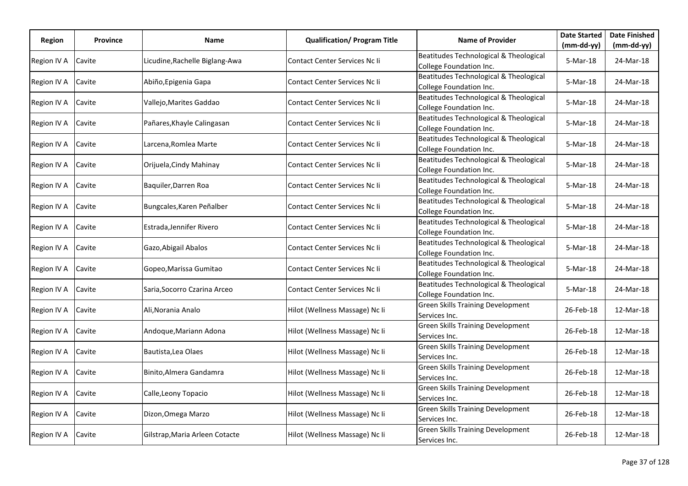| Region      | <b>Province</b> | Name                           | <b>Qualification/ Program Title</b>  | <b>Name of Provider</b>                                           | <b>Date Started</b> | <b>Date Finished</b> |
|-------------|-----------------|--------------------------------|--------------------------------------|-------------------------------------------------------------------|---------------------|----------------------|
|             |                 |                                |                                      |                                                                   | (mm-dd-yy)          | (mm-dd-yy)           |
| Region IV A | Cavite          | Licudine, Rachelle Biglang-Awa | Contact Center Services Nc li        | Beatitudes Technological & Theological<br>College Foundation Inc. | 5-Mar-18            | 24-Mar-18            |
| Region IV A | Cavite          | Abiño, Epigenia Gapa           | Contact Center Services Nc Ii        | Beatitudes Technological & Theological<br>College Foundation Inc. | 5-Mar-18            | 24-Mar-18            |
| Region IV A | Cavite          | Vallejo, Marites Gaddao        | <b>Contact Center Services Nc li</b> | Beatitudes Technological & Theological<br>College Foundation Inc. | 5-Mar-18            | 24-Mar-18            |
| Region IV A | Cavite          | Pañares, Khayle Calingasan     | Contact Center Services Nc li        | Beatitudes Technological & Theological<br>College Foundation Inc. | 5-Mar-18            | 24-Mar-18            |
| Region IV A | Cavite          | Larcena, Romlea Marte          | Contact Center Services Nc Ii        | Beatitudes Technological & Theological<br>College Foundation Inc. | 5-Mar-18            | 24-Mar-18            |
| Region IV A | Cavite          | Orijuela, Cindy Mahinay        | Contact Center Services Nc Ii        | Beatitudes Technological & Theological<br>College Foundation Inc. | 5-Mar-18            | 24-Mar-18            |
| Region IV A | Cavite          | Baquiler, Darren Roa           | <b>Contact Center Services Nc li</b> | Beatitudes Technological & Theological<br>College Foundation Inc. | 5-Mar-18            | 24-Mar-18            |
| Region IV A | Cavite          | Bungcales, Karen Peñalber      | Contact Center Services Nc Ii        | Beatitudes Technological & Theological<br>College Foundation Inc. | 5-Mar-18            | 24-Mar-18            |
| Region IV A | Cavite          | Estrada, Jennifer Rivero       | Contact Center Services Nc Ii        | Beatitudes Technological & Theological<br>College Foundation Inc. | 5-Mar-18            | 24-Mar-18            |
| Region IV A | Cavite          | Gazo, Abigail Abalos           | Contact Center Services Nc Ii        | Beatitudes Technological & Theological<br>College Foundation Inc. | 5-Mar-18            | 24-Mar-18            |
| Region IV A | Cavite          | Gopeo, Marissa Gumitao         | Contact Center Services Nc Ii        | Beatitudes Technological & Theological<br>College Foundation Inc. | 5-Mar-18            | 24-Mar-18            |
| Region IV A | Cavite          | Saria, Socorro Czarina Arceo   | Contact Center Services Nc Ii        | Beatitudes Technological & Theological<br>College Foundation Inc. | 5-Mar-18            | 24-Mar-18            |
| Region IV A | Cavite          | Ali, Norania Analo             | Hilot (Wellness Massage) Nc Ii       | <b>Green Skills Training Development</b><br>Services Inc.         | 26-Feb-18           | 12-Mar-18            |
| Region IV A | Cavite          | Andoque, Mariann Adona         | Hilot (Wellness Massage) Nc Ii       | <b>Green Skills Training Development</b><br>Services Inc.         | 26-Feb-18           | 12-Mar-18            |
| Region IV A | Cavite          | Bautista, Lea Olaes            | Hilot (Wellness Massage) Nc Ii       | <b>Green Skills Training Development</b><br>Services Inc.         | 26-Feb-18           | 12-Mar-18            |
| Region IV A | Cavite          | Binito, Almera Gandamra        | Hilot (Wellness Massage) Nc Ii       | <b>Green Skills Training Development</b><br>Services Inc.         | 26-Feb-18           | 12-Mar-18            |
| Region IV A | Cavite          | Calle, Leony Topacio           | Hilot (Wellness Massage) Nc Ii       | <b>Green Skills Training Development</b><br>Services Inc.         | 26-Feb-18           | 12-Mar-18            |
| Region IV A | Cavite          | Dizon, Omega Marzo             | Hilot (Wellness Massage) Nc Ii       | <b>Green Skills Training Development</b><br>Services Inc.         | 26-Feb-18           | 12-Mar-18            |
| Region IV A | Cavite          | Gilstrap, Maria Arleen Cotacte | Hilot (Wellness Massage) Nc Ii       | <b>Green Skills Training Development</b><br>Services Inc.         | 26-Feb-18           | 12-Mar-18            |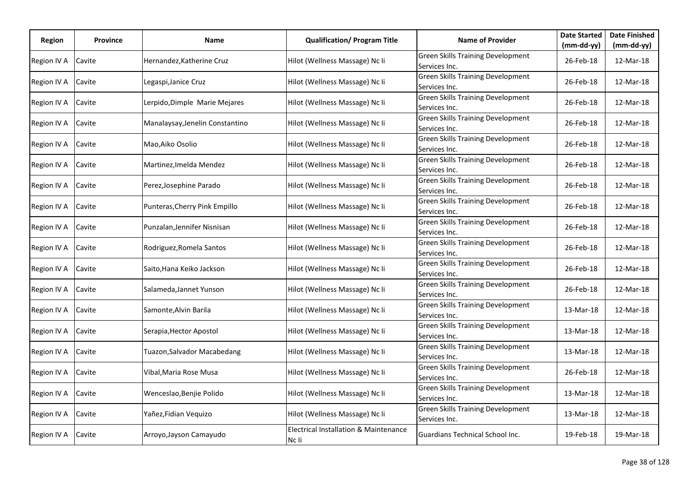| <b>Region</b> | <b>Province</b> | Name                            | <b>Qualification/ Program Title</b>                       | <b>Name of Provider</b>                                   | <b>Date Started</b> | <b>Date Finished</b> |
|---------------|-----------------|---------------------------------|-----------------------------------------------------------|-----------------------------------------------------------|---------------------|----------------------|
|               |                 |                                 |                                                           |                                                           | (mm-dd-yy)          | $(mm-dd-yy)$         |
| Region IV A   | Cavite          | Hernandez, Katherine Cruz       | Hilot (Wellness Massage) Nc Ii                            | <b>Green Skills Training Development</b><br>Services Inc. | 26-Feb-18           | 12-Mar-18            |
| Region IV A   | Cavite          | Legaspi, Janice Cruz            | Hilot (Wellness Massage) Nc Ii                            | <b>Green Skills Training Development</b><br>Services Inc. | 26-Feb-18           | 12-Mar-18            |
| Region IV A   | Cavite          | Lerpido,Dimple Marie Mejares    | Hilot (Wellness Massage) Nc Ii                            | <b>Green Skills Training Development</b><br>Services Inc. | 26-Feb-18           | 12-Mar-18            |
| Region IV A   | Cavite          | Manalaysay, Jenelin Constantino | Hilot (Wellness Massage) Nc Ii                            | <b>Green Skills Training Development</b><br>Services Inc. | 26-Feb-18           | 12-Mar-18            |
| Region IV A   | Cavite          | Mao, Aiko Osolio                | Hilot (Wellness Massage) Nc Ii                            | <b>Green Skills Training Development</b><br>Services Inc. | 26-Feb-18           | 12-Mar-18            |
| Region IV A   | Cavite          | Martinez, Imelda Mendez         | Hilot (Wellness Massage) Nc Ii                            | <b>Green Skills Training Development</b><br>Services Inc. | 26-Feb-18           | 12-Mar-18            |
| Region IV A   | Cavite          | Perez, Josephine Parado         | Hilot (Wellness Massage) Nc Ii                            | <b>Green Skills Training Development</b><br>Services Inc. | 26-Feb-18           | 12-Mar-18            |
| Region IV A   | Cavite          | Punteras, Cherry Pink Empillo   | Hilot (Wellness Massage) Nc Ii                            | <b>Green Skills Training Development</b><br>Services Inc. | 26-Feb-18           | 12-Mar-18            |
| Region IV A   | Cavite          | Punzalan, Jennifer Nisnisan     | Hilot (Wellness Massage) Nc Ii                            | <b>Green Skills Training Development</b><br>Services Inc. | 26-Feb-18           | 12-Mar-18            |
| Region IV A   | Cavite          | Rodriguez, Romela Santos        | Hilot (Wellness Massage) Nc Ii                            | <b>Green Skills Training Development</b><br>Services Inc. | 26-Feb-18           | 12-Mar-18            |
| Region IV A   | Cavite          | Saito, Hana Keiko Jackson       | Hilot (Wellness Massage) Nc Ii                            | <b>Green Skills Training Development</b><br>Services Inc. | 26-Feb-18           | 12-Mar-18            |
| Region IV A   | Cavite          | Salameda,Jannet Yunson          | Hilot (Wellness Massage) Nc Ii                            | <b>Green Skills Training Development</b><br>Services Inc. | 26-Feb-18           | 12-Mar-18            |
| Region IV A   | Cavite          | Samonte, Alvin Barila           | Hilot (Wellness Massage) Nc Ii                            | <b>Green Skills Training Development</b><br>Services Inc. | 13-Mar-18           | 12-Mar-18            |
| Region IV A   | Cavite          | Serapia, Hector Apostol         | Hilot (Wellness Massage) Nc Ii                            | <b>Green Skills Training Development</b><br>Services Inc. | 13-Mar-18           | 12-Mar-18            |
| Region IV A   | Cavite          | Tuazon, Salvador Macabedang     | Hilot (Wellness Massage) Nc Ii                            | <b>Green Skills Training Development</b><br>Services Inc. | 13-Mar-18           | 12-Mar-18            |
| Region IV A   | Cavite          | Vibal,Maria Rose Musa           | Hilot (Wellness Massage) Nc Ii                            | <b>Green Skills Training Development</b><br>Services Inc. | 26-Feb-18           | 12-Mar-18            |
| Region IV A   | Cavite          | Wenceslao, Benjie Polido        | Hilot (Wellness Massage) Nc Ii                            | <b>Green Skills Training Development</b><br>Services Inc. | 13-Mar-18           | 12-Mar-18            |
| Region IV A   | Cavite          | Yañez, Fidian Vequizo           | Hilot (Wellness Massage) Nc Ii                            | <b>Green Skills Training Development</b><br>Services Inc. | 13-Mar-18           | 12-Mar-18            |
| Region IV A   | Cavite          | Arroyo, Jayson Camayudo         | <b>Electrical Installation &amp; Maintenance</b><br>Nc li | Guardians Technical School Inc.                           | 19-Feb-18           | 19-Mar-18            |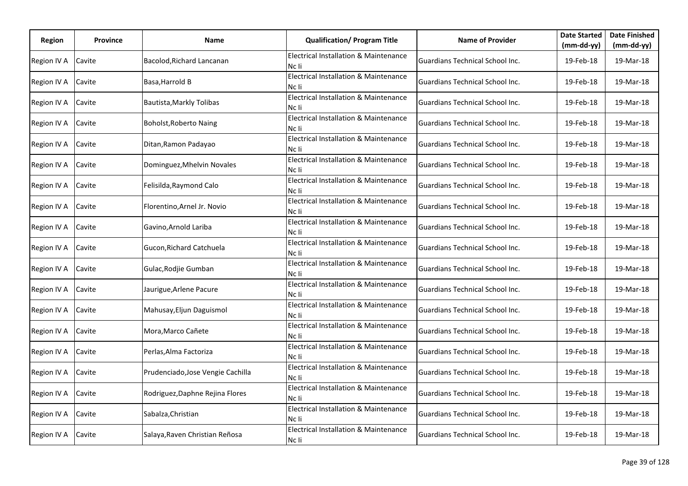| Region      | <b>Province</b> | Name                              | <b>Qualification/ Program Title</b>                       | <b>Name of Provider</b>                | <b>Date Started</b><br>$(mm-dd-yy)$ | <b>Date Finished</b><br>$(mm-dd-yy)$ |
|-------------|-----------------|-----------------------------------|-----------------------------------------------------------|----------------------------------------|-------------------------------------|--------------------------------------|
| Region IV A | Cavite          | Bacolod, Richard Lancanan         | <b>Electrical Installation &amp; Maintenance</b><br>Nc li | Guardians Technical School Inc.        | 19-Feb-18                           | 19-Mar-18                            |
| Region IV A | Cavite          | Basa, Harrold B                   | <b>Electrical Installation &amp; Maintenance</b><br>Nc li | Guardians Technical School Inc.        | 19-Feb-18                           | 19-Mar-18                            |
| Region IV A | Cavite          | Bautista, Markly Tolibas          | <b>Electrical Installation &amp; Maintenance</b><br>Nc li | Guardians Technical School Inc.        | 19-Feb-18                           | 19-Mar-18                            |
| Region IV A | Cavite          | Boholst, Roberto Naing            | <b>Electrical Installation &amp; Maintenance</b><br>Nc li | Guardians Technical School Inc.        | 19-Feb-18                           | 19-Mar-18                            |
| Region IV A | Cavite          | Ditan, Ramon Padayao              | <b>Electrical Installation &amp; Maintenance</b><br>Nc li | <b>Guardians Technical School Inc.</b> | 19-Feb-18                           | 19-Mar-18                            |
| Region IV A | Cavite          | Dominguez, Mhelvin Novales        | Electrical Installation & Maintenance<br>Nc li            | <b>Guardians Technical School Inc.</b> | 19-Feb-18                           | 19-Mar-18                            |
| Region IV A | Cavite          | Felisilda, Raymond Calo           | <b>Electrical Installation &amp; Maintenance</b><br>Nc li | Guardians Technical School Inc.        | 19-Feb-18                           | 19-Mar-18                            |
| Region IV A | Cavite          | Florentino, Arnel Jr. Novio       | <b>Electrical Installation &amp; Maintenance</b><br>Nc li | Guardians Technical School Inc.        | 19-Feb-18                           | 19-Mar-18                            |
| Region IV A | Cavite          | Gavino, Arnold Lariba             | <b>Electrical Installation &amp; Maintenance</b><br>Nc li | Guardians Technical School Inc.        | 19-Feb-18                           | 19-Mar-18                            |
| Region IV A | Cavite          | Gucon, Richard Catchuela          | <b>Electrical Installation &amp; Maintenance</b><br>Nc li | Guardians Technical School Inc.        | 19-Feb-18                           | 19-Mar-18                            |
| Region IV A | Cavite          | Gulac, Rodjie Gumban              | <b>Electrical Installation &amp; Maintenance</b><br>Nc li | Guardians Technical School Inc.        | 19-Feb-18                           | 19-Mar-18                            |
| Region IV A | Cavite          | Jaurigue, Arlene Pacure           | <b>Electrical Installation &amp; Maintenance</b><br>Nc li | Guardians Technical School Inc.        | 19-Feb-18                           | 19-Mar-18                            |
| Region IV A | Cavite          | Mahusay, Eljun Daguismol          | Electrical Installation & Maintenance<br>Nc li            | Guardians Technical School Inc.        | 19-Feb-18                           | 19-Mar-18                            |
| Region IV A | Cavite          | Mora, Marco Cañete                | <b>Electrical Installation &amp; Maintenance</b><br>Nc li | Guardians Technical School Inc.        | 19-Feb-18                           | 19-Mar-18                            |
| Region IV A | Cavite          | Perlas, Alma Factoriza            | Electrical Installation & Maintenance<br>Nc li            | Guardians Technical School Inc.        | 19-Feb-18                           | 19-Mar-18                            |
| Region IV A | Cavite          | Prudenciado, Jose Vengie Cachilla | Electrical Installation & Maintenance<br>Nc li            | Guardians Technical School Inc.        | 19-Feb-18                           | 19-Mar-18                            |
| Region IV A | Cavite          | Rodriguez, Daphne Rejina Flores   | <b>Electrical Installation &amp; Maintenance</b><br>Nc li | <b>Guardians Technical School Inc.</b> | 19-Feb-18                           | 19-Mar-18                            |
| Region IV A | Cavite          | Sabalza, Christian                | Electrical Installation & Maintenance<br>Nc li            | <b>Guardians Technical School Inc.</b> | 19-Feb-18                           | 19-Mar-18                            |
| Region IV A | Cavite          | Salaya, Raven Christian Reñosa    | Electrical Installation & Maintenance<br>Nc li            | Guardians Technical School Inc.        | 19-Feb-18                           | 19-Mar-18                            |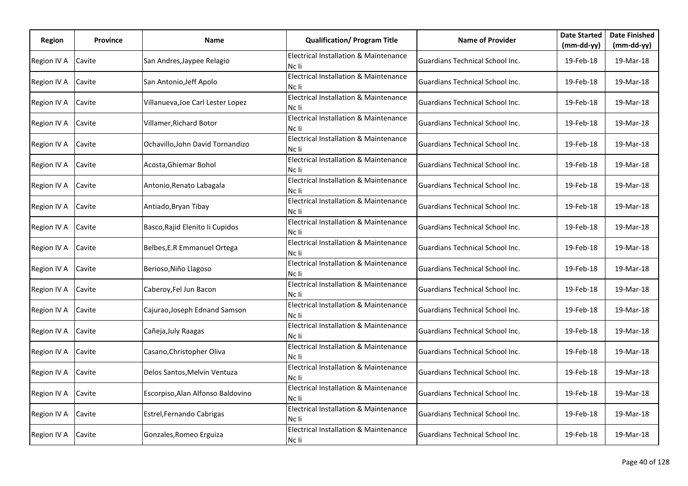| Region      | <b>Province</b> | Name                              | <b>Qualification/ Program Title</b>                       | <b>Name of Provider</b>                | <b>Date Started</b><br>$(mm-dd-yy)$ | <b>Date Finished</b><br>$(mm-dd-yy)$ |
|-------------|-----------------|-----------------------------------|-----------------------------------------------------------|----------------------------------------|-------------------------------------|--------------------------------------|
| Region IV A | Cavite          | San Andres, Jaypee Relagio        | <b>Electrical Installation &amp; Maintenance</b><br>Nc li | Guardians Technical School Inc.        | 19-Feb-18                           | 19-Mar-18                            |
| Region IV A | Cavite          | San Antonio, Jeff Apolo           | <b>Electrical Installation &amp; Maintenance</b><br>Nc li | Guardians Technical School Inc.        | 19-Feb-18                           | 19-Mar-18                            |
| Region IV A | Cavite          | Villanueva, Joe Carl Lester Lopez | <b>Electrical Installation &amp; Maintenance</b><br>Nc li | Guardians Technical School Inc.        | 19-Feb-18                           | 19-Mar-18                            |
| Region IV A | Cavite          | Villamer, Richard Botor           | <b>Electrical Installation &amp; Maintenance</b><br>Nc li | Guardians Technical School Inc.        | 19-Feb-18                           | 19-Mar-18                            |
| Region IV A | Cavite          | Ochavillo, John David Tornandizo  | <b>Electrical Installation &amp; Maintenance</b><br>Nc li | <b>Guardians Technical School Inc.</b> | 19-Feb-18                           | 19-Mar-18                            |
| Region IV A | Cavite          | Acosta, Ghiemar Bohol             | Electrical Installation & Maintenance<br>Nc li            | <b>Guardians Technical School Inc.</b> | 19-Feb-18                           | 19-Mar-18                            |
| Region IV A | Cavite          | Antonio, Renato Labagala          | <b>Electrical Installation &amp; Maintenance</b><br>Nc li | Guardians Technical School Inc.        | 19-Feb-18                           | 19-Mar-18                            |
| Region IV A | Cavite          | Antiado, Bryan Tibay              | <b>Electrical Installation &amp; Maintenance</b><br>Nc li | Guardians Technical School Inc.        | 19-Feb-18                           | 19-Mar-18                            |
| Region IV A | Cavite          | Basco, Rajid Elenito li Cupidos   | <b>Electrical Installation &amp; Maintenance</b><br>Nc li | Guardians Technical School Inc.        | 19-Feb-18                           | 19-Mar-18                            |
| Region IV A | Cavite          | Belbes, E.R Emmanuel Ortega       | <b>Electrical Installation &amp; Maintenance</b><br>Nc li | Guardians Technical School Inc.        | 19-Feb-18                           | 19-Mar-18                            |
| Region IV A | Cavite          | Berioso, Niño Llagoso             | <b>Electrical Installation &amp; Maintenance</b><br>Nc li | Guardians Technical School Inc.        | 19-Feb-18                           | 19-Mar-18                            |
| Region IV A | Cavite          | Caberoy, Fel Jun Bacon            | <b>Electrical Installation &amp; Maintenance</b><br>Nc li | Guardians Technical School Inc.        | 19-Feb-18                           | 19-Mar-18                            |
| Region IV A | Cavite          | Cajurao, Joseph Ednand Samson     | Electrical Installation & Maintenance<br>Nc li            | Guardians Technical School Inc.        | 19-Feb-18                           | 19-Mar-18                            |
| Region IV A | Cavite          | Cañeja, July Raagas               | <b>Electrical Installation &amp; Maintenance</b><br>Nc li | Guardians Technical School Inc.        | 19-Feb-18                           | 19-Mar-18                            |
| Region IV A | Cavite          | Casano, Christopher Oliva         | Electrical Installation & Maintenance<br>Nc li            | Guardians Technical School Inc.        | 19-Feb-18                           | 19-Mar-18                            |
| Region IV A | Cavite          | Delos Santos, Melvin Ventuza      | <b>Electrical Installation &amp; Maintenance</b><br>Nc li | Guardians Technical School Inc.        | 19-Feb-18                           | 19-Mar-18                            |
| Region IV A | Cavite          | Escorpiso, Alan Alfonso Baldovino | <b>Electrical Installation &amp; Maintenance</b><br>Nc li | <b>Guardians Technical School Inc.</b> | 19-Feb-18                           | 19-Mar-18                            |
| Region IV A | Cavite          | Estrel, Fernando Cabrigas         | Electrical Installation & Maintenance<br>Nc li            | <b>Guardians Technical School Inc.</b> | 19-Feb-18                           | 19-Mar-18                            |
| Region IV A | Cavite          | Gonzales, Romeo Erguiza           | Electrical Installation & Maintenance<br>Nc li            | Guardians Technical School Inc.        | 19-Feb-18                           | 19-Mar-18                            |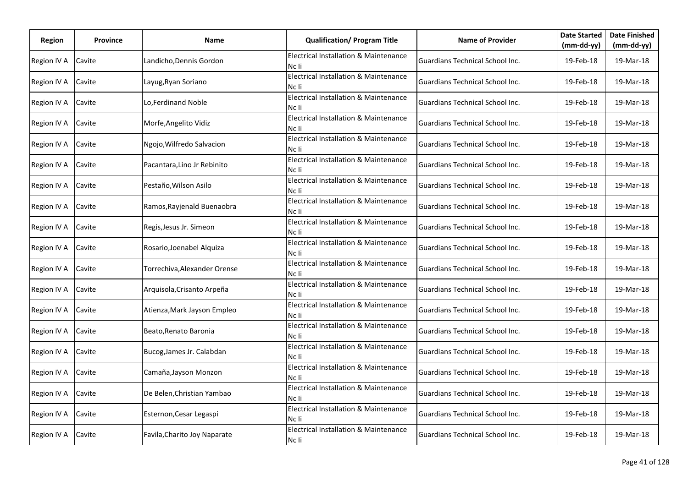| Region      | <b>Province</b> | Name                         | <b>Qualification/ Program Title</b>                       | <b>Name of Provider</b>                | <b>Date Started</b><br>$(mm-dd-yy)$ | <b>Date Finished</b><br>$(mm-dd-yy)$ |
|-------------|-----------------|------------------------------|-----------------------------------------------------------|----------------------------------------|-------------------------------------|--------------------------------------|
| Region IV A | Cavite          | Landicho, Dennis Gordon      | <b>Electrical Installation &amp; Maintenance</b><br>Nc li | Guardians Technical School Inc.        | 19-Feb-18                           | 19-Mar-18                            |
| Region IV A | Cavite          | Layug, Ryan Soriano          | <b>Electrical Installation &amp; Maintenance</b><br>Nc li | Guardians Technical School Inc.        | 19-Feb-18                           | 19-Mar-18                            |
| Region IV A | Cavite          | Lo,Ferdinand Noble           | <b>Electrical Installation &amp; Maintenance</b><br>Nc li | Guardians Technical School Inc.        | 19-Feb-18                           | 19-Mar-18                            |
| Region IV A | Cavite          | Morfe, Angelito Vidiz        | <b>Electrical Installation &amp; Maintenance</b><br>Nc li | Guardians Technical School Inc.        | 19-Feb-18                           | 19-Mar-18                            |
| Region IV A | Cavite          | Ngojo, Wilfredo Salvacion    | <b>Electrical Installation &amp; Maintenance</b><br>Nc li | <b>Guardians Technical School Inc.</b> | 19-Feb-18                           | 19-Mar-18                            |
| Region IV A | Cavite          | Pacantara, Lino Jr Rebinito  | Electrical Installation & Maintenance<br>Nc li            | <b>Guardians Technical School Inc.</b> | 19-Feb-18                           | 19-Mar-18                            |
| Region IV A | Cavite          | Pestaño, Wilson Asilo        | <b>Electrical Installation &amp; Maintenance</b><br>Nc li | Guardians Technical School Inc.        | 19-Feb-18                           | 19-Mar-18                            |
| Region IV A | Cavite          | Ramos, Rayjenald Buenaobra   | <b>Electrical Installation &amp; Maintenance</b><br>Nc li | Guardians Technical School Inc.        | 19-Feb-18                           | 19-Mar-18                            |
| Region IV A | Cavite          | Regis, Jesus Jr. Simeon      | <b>Electrical Installation &amp; Maintenance</b><br>Nc li | Guardians Technical School Inc.        | 19-Feb-18                           | 19-Mar-18                            |
| Region IV A | Cavite          | Rosario, Joenabel Alquiza    | <b>Electrical Installation &amp; Maintenance</b><br>Nc li | Guardians Technical School Inc.        | 19-Feb-18                           | 19-Mar-18                            |
| Region IV A | Cavite          | Torrechiva, Alexander Orense | <b>Electrical Installation &amp; Maintenance</b><br>Nc li | Guardians Technical School Inc.        | 19-Feb-18                           | 19-Mar-18                            |
| Region IV A | Cavite          | Arquisola, Crisanto Arpeña   | <b>Electrical Installation &amp; Maintenance</b><br>Nc li | Guardians Technical School Inc.        | 19-Feb-18                           | 19-Mar-18                            |
| Region IV A | Cavite          | Atienza, Mark Jayson Empleo  | Electrical Installation & Maintenance<br>Nc li            | Guardians Technical School Inc.        | 19-Feb-18                           | 19-Mar-18                            |
| Region IV A | Cavite          | Beato, Renato Baronia        | <b>Electrical Installation &amp; Maintenance</b><br>Nc li | Guardians Technical School Inc.        | 19-Feb-18                           | 19-Mar-18                            |
| Region IV A | Cavite          | Bucog, James Jr. Calabdan    | Electrical Installation & Maintenance<br>Nc li            | Guardians Technical School Inc.        | 19-Feb-18                           | 19-Mar-18                            |
| Region IV A | Cavite          | Camaña, Jayson Monzon        | Electrical Installation & Maintenance<br>Nc li            | Guardians Technical School Inc.        | 19-Feb-18                           | 19-Mar-18                            |
| Region IV A | Cavite          | De Belen, Christian Yambao   | <b>Electrical Installation &amp; Maintenance</b><br>Nc li | <b>Guardians Technical School Inc.</b> | 19-Feb-18                           | 19-Mar-18                            |
| Region IV A | Cavite          | Esternon, Cesar Legaspi      | Electrical Installation & Maintenance<br>Nc li            | <b>Guardians Technical School Inc.</b> | 19-Feb-18                           | 19-Mar-18                            |
| Region IV A | Cavite          | Favila, Charito Joy Naparate | Electrical Installation & Maintenance<br>Nc li            | Guardians Technical School Inc.        | 19-Feb-18                           | 19-Mar-18                            |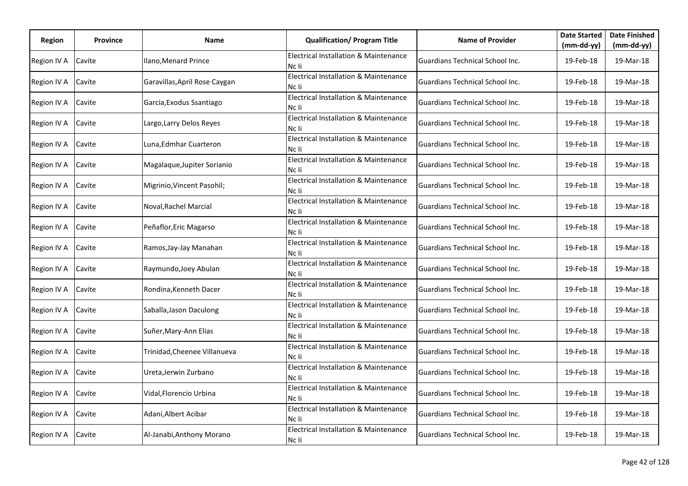| Region      | <b>Province</b> | Name                          | <b>Qualification/ Program Title</b>                       | <b>Name of Provider</b>                | <b>Date Started</b><br>(mm-dd-yy) | <b>Date Finished</b><br>$(mm-dd-yy)$ |
|-------------|-----------------|-------------------------------|-----------------------------------------------------------|----------------------------------------|-----------------------------------|--------------------------------------|
| Region IV A | Cavite          | Ilano, Menard Prince          | <b>Electrical Installation &amp; Maintenance</b><br>Nc li | Guardians Technical School Inc.        | 19-Feb-18                         | 19-Mar-18                            |
| Region IV A | Cavite          | Garavillas, April Rose Caygan | <b>Electrical Installation &amp; Maintenance</b><br>Nc li | Guardians Technical School Inc.        | 19-Feb-18                         | 19-Mar-18                            |
| Region IV A | Cavite          | Garcia, Exodus Ssantiago      | <b>Electrical Installation &amp; Maintenance</b><br>Nc li | Guardians Technical School Inc.        | 19-Feb-18                         | 19-Mar-18                            |
| Region IV A | Cavite          | Largo, Larry Delos Reyes      | <b>Electrical Installation &amp; Maintenance</b><br>Nc li | Guardians Technical School Inc.        | 19-Feb-18                         | 19-Mar-18                            |
| Region IV A | Cavite          | Luna, Edmhar Cuarteron        | <b>Electrical Installation &amp; Maintenance</b><br>Nc li | <b>Guardians Technical School Inc.</b> | 19-Feb-18                         | 19-Mar-18                            |
| Region IV A | Cavite          | Magalaque, Jupiter Sorianio   | Electrical Installation & Maintenance<br>Nc li            | Guardians Technical School Inc.        | 19-Feb-18                         | 19-Mar-18                            |
| Region IV A | Cavite          | Migrinio, Vincent Pasohil;    | <b>Electrical Installation &amp; Maintenance</b><br>Nc li | Guardians Technical School Inc.        | 19-Feb-18                         | 19-Mar-18                            |
| Region IV A | Cavite          | Noval, Rachel Marcial         | <b>Electrical Installation &amp; Maintenance</b><br>Nc li | Guardians Technical School Inc.        | 19-Feb-18                         | 19-Mar-18                            |
| Region IV A | Cavite          | Peñaflor, Eric Magarso        | <b>Electrical Installation &amp; Maintenance</b><br>Nc li | Guardians Technical School Inc.        | 19-Feb-18                         | 19-Mar-18                            |
| Region IV A | Cavite          | Ramos, Jay-Jay Manahan        | <b>Electrical Installation &amp; Maintenance</b><br>Nc li | Guardians Technical School Inc.        | 19-Feb-18                         | 19-Mar-18                            |
| Region IV A | Cavite          | Raymundo, Joey Abulan         | <b>Electrical Installation &amp; Maintenance</b><br>Nc li | Guardians Technical School Inc.        | 19-Feb-18                         | 19-Mar-18                            |
| Region IV A | Cavite          | Rondina, Kenneth Dacer        | <b>Electrical Installation &amp; Maintenance</b><br>Nc li | Guardians Technical School Inc.        | 19-Feb-18                         | 19-Mar-18                            |
| Region IV A | Cavite          | Saballa, Jason Daculong       | Electrical Installation & Maintenance<br>Nc li            | Guardians Technical School Inc.        | 19-Feb-18                         | 19-Mar-18                            |
| Region IV A | Cavite          | Suñer, Mary-Ann Elias         | <b>Electrical Installation &amp; Maintenance</b><br>Nc li | Guardians Technical School Inc.        | 19-Feb-18                         | 19-Mar-18                            |
| Region IV A | Cavite          | Trinidad, Cheenee Villanueva  | Electrical Installation & Maintenance<br>Nc li            | Guardians Technical School Inc.        | 19-Feb-18                         | 19-Mar-18                            |
| Region IV A | Cavite          | Ureta, Jerwin Zurbano         | Electrical Installation & Maintenance<br>Nc li            | Guardians Technical School Inc.        | 19-Feb-18                         | 19-Mar-18                            |
| Region IV A | Cavite          | Vidal, Florencio Urbina       | <b>Electrical Installation &amp; Maintenance</b><br>Nc li | Guardians Technical School Inc.        | 19-Feb-18                         | 19-Mar-18                            |
| Region IV A | Cavite          | Adani, Albert Acibar          | Electrical Installation & Maintenance<br>Nc li            | <b>Guardians Technical School Inc.</b> | 19-Feb-18                         | 19-Mar-18                            |
| Region IV A | Cavite          | Al-Janabi, Anthony Morano     | Electrical Installation & Maintenance<br>Nc li            | Guardians Technical School Inc.        | 19-Feb-18                         | 19-Mar-18                            |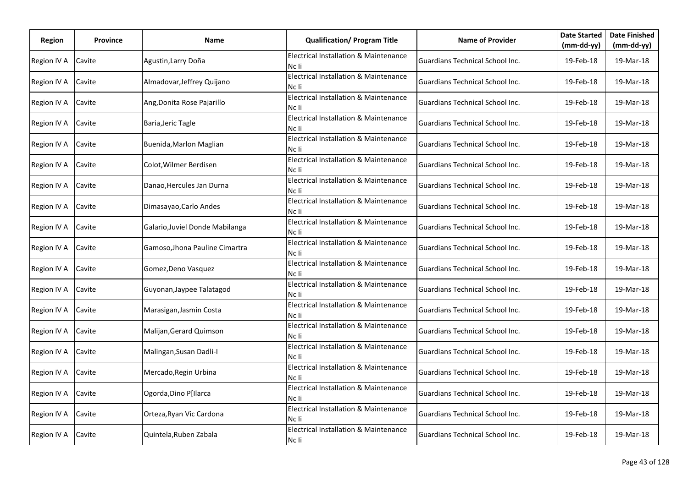| Region      | <b>Province</b> | Name                            | <b>Qualification/ Program Title</b>                       | <b>Name of Provider</b>                | <b>Date Started</b><br>(mm-dd-yy) | <b>Date Finished</b><br>$(mm-dd-yy)$ |
|-------------|-----------------|---------------------------------|-----------------------------------------------------------|----------------------------------------|-----------------------------------|--------------------------------------|
| Region IV A | Cavite          | Agustin, Larry Doña             | <b>Electrical Installation &amp; Maintenance</b><br>Nc li | Guardians Technical School Inc.        | 19-Feb-18                         | 19-Mar-18                            |
| Region IV A | Cavite          | Almadovar, Jeffrey Quijano      | <b>Electrical Installation &amp; Maintenance</b><br>Nc li | Guardians Technical School Inc.        | 19-Feb-18                         | 19-Mar-18                            |
| Region IV A | Cavite          | Ang, Donita Rose Pajarillo      | <b>Electrical Installation &amp; Maintenance</b><br>Nc li | Guardians Technical School Inc.        | 19-Feb-18                         | 19-Mar-18                            |
| Region IV A | Cavite          | Baria, Jeric Tagle              | <b>Electrical Installation &amp; Maintenance</b><br>Nc li | Guardians Technical School Inc.        | 19-Feb-18                         | 19-Mar-18                            |
| Region IV A | Cavite          | Buenida, Marlon Maglian         | <b>Electrical Installation &amp; Maintenance</b><br>Nc li | <b>Guardians Technical School Inc.</b> | 19-Feb-18                         | 19-Mar-18                            |
| Region IV A | Cavite          | Colot, Wilmer Berdisen          | Electrical Installation & Maintenance<br>Nc li            | <b>Guardians Technical School Inc.</b> | 19-Feb-18                         | 19-Mar-18                            |
| Region IV A | Cavite          | Danao, Hercules Jan Durna       | <b>Electrical Installation &amp; Maintenance</b><br>Nc li | Guardians Technical School Inc.        | 19-Feb-18                         | 19-Mar-18                            |
| Region IV A | Cavite          | Dimasayao, Carlo Andes          | <b>Electrical Installation &amp; Maintenance</b><br>Nc li | Guardians Technical School Inc.        | 19-Feb-18                         | 19-Mar-18                            |
| Region IV A | Cavite          | Galario, Juviel Donde Mabilanga | <b>Electrical Installation &amp; Maintenance</b><br>Nc li | Guardians Technical School Inc.        | 19-Feb-18                         | 19-Mar-18                            |
| Region IV A | Cavite          | Gamoso, Jhona Pauline Cimartra  | <b>Electrical Installation &amp; Maintenance</b><br>Nc li | Guardians Technical School Inc.        | 19-Feb-18                         | 19-Mar-18                            |
| Region IV A | Cavite          | Gomez, Deno Vasquez             | <b>Electrical Installation &amp; Maintenance</b><br>Nc li | Guardians Technical School Inc.        | 19-Feb-18                         | 19-Mar-18                            |
| Region IV A | Cavite          | Guyonan, Jaypee Talatagod       | <b>Electrical Installation &amp; Maintenance</b><br>Nc li | Guardians Technical School Inc.        | 19-Feb-18                         | 19-Mar-18                            |
| Region IV A | Cavite          | Marasigan, Jasmin Costa         | Electrical Installation & Maintenance<br>Nc li            | Guardians Technical School Inc.        | 19-Feb-18                         | 19-Mar-18                            |
| Region IV A | Cavite          | Malijan, Gerard Quimson         | <b>Electrical Installation &amp; Maintenance</b><br>Nc li | Guardians Technical School Inc.        | 19-Feb-18                         | 19-Mar-18                            |
| Region IV A | Cavite          | Malingan, Susan Dadli-I         | Electrical Installation & Maintenance<br>Nc li            | Guardians Technical School Inc.        | 19-Feb-18                         | 19-Mar-18                            |
| Region IV A | Cavite          | Mercado, Regin Urbina           | Electrical Installation & Maintenance<br>Nc li            | Guardians Technical School Inc.        | 19-Feb-18                         | 19-Mar-18                            |
| Region IV A | Cavite          | Ogorda, Dino P[Ilarca           | <b>Electrical Installation &amp; Maintenance</b><br>Nc li | <b>Guardians Technical School Inc.</b> | 19-Feb-18                         | 19-Mar-18                            |
| Region IV A | Cavite          | Orteza, Ryan Vic Cardona        | Electrical Installation & Maintenance<br>Nc li            | <b>Guardians Technical School Inc.</b> | 19-Feb-18                         | 19-Mar-18                            |
| Region IV A | Cavite          | Quintela, Ruben Zabala          | Electrical Installation & Maintenance<br>Nc li            | Guardians Technical School Inc.        | 19-Feb-18                         | 19-Mar-18                            |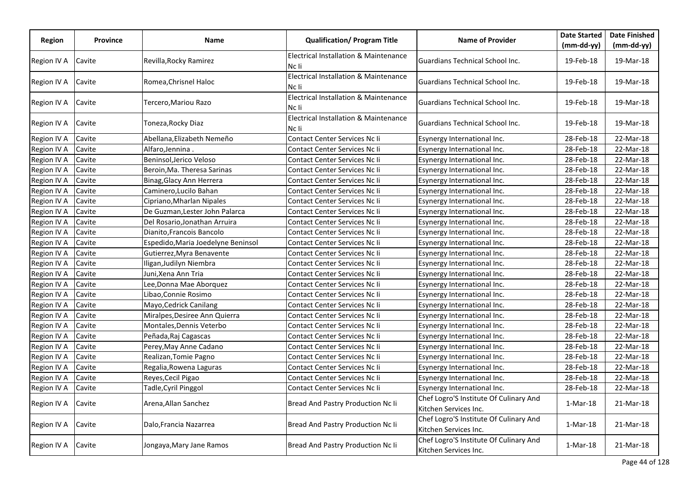| <b>Region</b> | Province | Name                               | <b>Qualification/ Program Title</b>                       | <b>Name of Provider</b>                                         | <b>Date Started</b> | <b>Date Finished</b> |
|---------------|----------|------------------------------------|-----------------------------------------------------------|-----------------------------------------------------------------|---------------------|----------------------|
|               |          |                                    |                                                           |                                                                 | $(mm-dd-yy)$        | $(mm-dd-yy)$         |
| Region IV A   | Cavite   | Revilla, Rocky Ramirez             | Electrical Installation & Maintenance<br>Nc li            | Guardians Technical School Inc.                                 | 19-Feb-18           | 19-Mar-18            |
| Region IV A   | Cavite   | Romea, Chrisnel Haloc              | <b>Electrical Installation &amp; Maintenance</b><br>Nc li | Guardians Technical School Inc.                                 | 19-Feb-18           | 19-Mar-18            |
| Region IV A   | Cavite   | Tercero,Mariou Razo                | Electrical Installation & Maintenance<br>Nc li            | Guardians Technical School Inc.                                 | 19-Feb-18           | 19-Mar-18            |
| Region IV A   | Cavite   | Toneza, Rocky Diaz                 | Electrical Installation & Maintenance<br>Nc li            | Guardians Technical School Inc.                                 | 19-Feb-18           | 19-Mar-18            |
| Region IV A   | Cavite   | Abellana, Elizabeth Nemeño         | Contact Center Services Nc li                             | Esynergy International Inc.                                     | 28-Feb-18           | 22-Mar-18            |
| Region IV A   | Cavite   | Alfaro, Jennina                    | Contact Center Services Nc Ii                             | Esynergy International Inc.                                     | 28-Feb-18           | 22-Mar-18            |
| Region IV A   | Cavite   | Beninsol, Jerico Veloso            | Contact Center Services Nc Ii                             | Esynergy International Inc.                                     | 28-Feb-18           | 22-Mar-18            |
| Region IV A   | Cavite   | Beroin, Ma. Theresa Sarinas        | Contact Center Services Nc Ii                             | Esynergy International Inc.                                     | 28-Feb-18           | 22-Mar-18            |
| Region IV A   | Cavite   | Binag, Glacy Ann Herrera           | Contact Center Services Nc Ii                             | Esynergy International Inc.                                     | 28-Feb-18           | 22-Mar-18            |
| Region IV A   | Cavite   | Caminero, Lucilo Bahan             | Contact Center Services Nc Ii                             | Esynergy International Inc.                                     | 28-Feb-18           | 22-Mar-18            |
| Region IV A   | Cavite   | Cipriano, Mharlan Nipales          | Contact Center Services Nc Ii                             | Esynergy International Inc.                                     | 28-Feb-18           | 22-Mar-18            |
| Region IV A   | Cavite   | De Guzman, Lester John Palarca     | Contact Center Services Nc Ii                             | Esynergy International Inc.                                     | 28-Feb-18           | 22-Mar-18            |
| Region IV A   | Cavite   | Del Rosario, Jonathan Arruira      | Contact Center Services Nc Ii                             | Esynergy International Inc.                                     | 28-Feb-18           | 22-Mar-18            |
| Region IV A   | Cavite   | Dianito, Francois Bancolo          | Contact Center Services Nc Ii                             | Esynergy International Inc.                                     | 28-Feb-18           | 22-Mar-18            |
| Region IV A   | Cavite   | Espedido, Maria Joedelyne Beninsol | Contact Center Services Nc Ii                             | Esynergy International Inc.                                     | 28-Feb-18           | 22-Mar-18            |
| Region IV A   | Cavite   | Gutierrez, Myra Benavente          | Contact Center Services Nc Ii                             | Esynergy International Inc.                                     | 28-Feb-18           | 22-Mar-18            |
| Region IV A   | Cavite   | Iligan, Judilyn Niembra            | Contact Center Services Nc Ii                             | Esynergy International Inc.                                     | 28-Feb-18           | 22-Mar-18            |
| Region IV A   | Cavite   | Juni,Xena Ann Tria                 | Contact Center Services Nc Ii                             | Esynergy International Inc.                                     | 28-Feb-18           | 22-Mar-18            |
| Region IV A   | Cavite   | Lee,Donna Mae Aborquez             | Contact Center Services Nc Ii                             | Esynergy International Inc.                                     | 28-Feb-18           | 22-Mar-18            |
| Region IV A   | Cavite   | Libao, Connie Rosimo               | Contact Center Services Nc Ii                             | Esynergy International Inc.                                     | 28-Feb-18           | 22-Mar-18            |
| Region IV A   | Cavite   | Mayo, Cedrick Canilang             | Contact Center Services Nc Ii                             | Esynergy International Inc.                                     | 28-Feb-18           | 22-Mar-18            |
| Region IV A   | Cavite   | Miralpes, Desiree Ann Quierra      | Contact Center Services Nc Ii                             | Esynergy International Inc.                                     | 28-Feb-18           | 22-Mar-18            |
| Region IV A   | Cavite   | Montales, Dennis Veterbo           | Contact Center Services Nc Ii                             | Esynergy International Inc.                                     | 28-Feb-18           | 22-Mar-18            |
| Region IV A   | Cavite   | Peñada, Raj Cagascas               | Contact Center Services Nc Ii                             | Esynergy International Inc.                                     | 28-Feb-18           | 22-Mar-18            |
| Region IV A   | Cavite   | Perey, May Anne Cadano             | Contact Center Services Nc li                             | Esynergy International Inc.                                     | 28-Feb-18           | 22-Mar-18            |
| Region IV A   | Cavite   | Realizan, Tomie Pagno              | Contact Center Services Nc Ii                             | Esynergy International Inc.                                     | 28-Feb-18           | 22-Mar-18            |
| Region IV A   | Cavite   | Regalia, Rowena Laguras            | Contact Center Services Nc Ii                             | Esynergy International Inc.                                     | 28-Feb-18           | 22-Mar-18            |
| Region IV A   | Cavite   | Reyes, Cecil Pigao                 | Contact Center Services Nc Ii                             | Esynergy International Inc.                                     | 28-Feb-18           | 22-Mar-18            |
| Region IV A   | Cavite   | Tadle, Cyril Pinggol               | Contact Center Services Nc Ii                             | Esynergy International Inc.                                     | 28-Feb-18           | 22-Mar-18            |
| Region IV A   | Cavite   | Arena, Allan Sanchez               | Bread And Pastry Production Nc Ii                         | Chef Logro'S Institute Of Culinary And<br>Kitchen Services Inc. | $1-Mar-18$          | 21-Mar-18            |
| Region IV A   | Cavite   | Dalo, Francia Nazarrea             | Bread And Pastry Production Nc Ii                         | Chef Logro'S Institute Of Culinary And<br>Kitchen Services Inc. | 1-Mar-18            | 21-Mar-18            |
| Region IV A   | Cavite   | Jongaya, Mary Jane Ramos           | Bread And Pastry Production Nc Ii                         | Chef Logro'S Institute Of Culinary And<br>Kitchen Services Inc. | $1-Mar-18$          | 21-Mar-18            |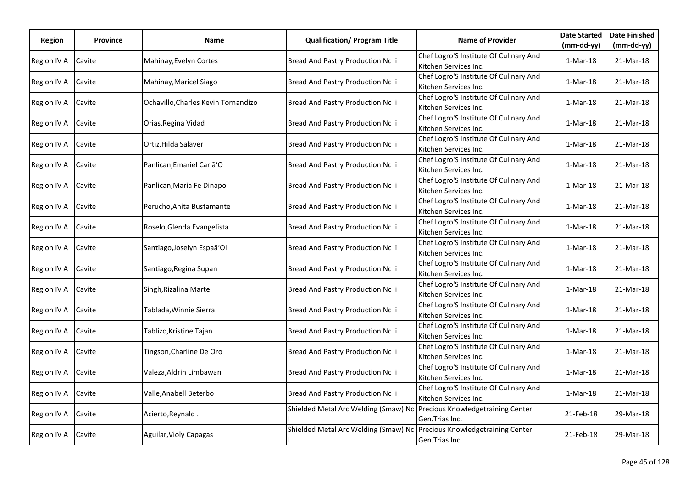| Region      | <b>Province</b> | Name                                | <b>Qualification/ Program Title</b>  | <b>Name of Provider</b>                                         | <b>Date Started</b> | <b>Date Finished</b> |
|-------------|-----------------|-------------------------------------|--------------------------------------|-----------------------------------------------------------------|---------------------|----------------------|
|             |                 |                                     |                                      |                                                                 | (mm-dd-yy)          | $(mm-dd-yy)$         |
| Region IV A | Cavite          | Mahinay, Evelyn Cortes              | Bread And Pastry Production Nc Ii    | Chef Logro'S Institute Of Culinary And<br>Kitchen Services Inc. | $1-Mar-18$          | 21-Mar-18            |
| Region IV A | Cavite          | Mahinay, Maricel Siago              | Bread And Pastry Production Nc Ii    | Chef Logro'S Institute Of Culinary And                          | $1-Mar-18$          | 21-Mar-18            |
|             |                 |                                     |                                      | Kitchen Services Inc.                                           |                     |                      |
| Region IV A | Cavite          | Ochavillo, Charles Kevin Tornandizo | Bread And Pastry Production Nc Ii    | Chef Logro'S Institute Of Culinary And<br>Kitchen Services Inc. | $1-Mar-18$          | 21-Mar-18            |
| Region IV A | Cavite          | Orias, Regina Vidad                 | Bread And Pastry Production Nc Ii    | Chef Logro'S Institute Of Culinary And                          | $1-Mar-18$          | 21-Mar-18            |
|             |                 |                                     |                                      | Kitchen Services Inc.                                           |                     |                      |
| Region IV A | Cavite          | Ortiz, Hilda Salaver                | Bread And Pastry Production Nc Ii    | Chef Logro'S Institute Of Culinary And<br>Kitchen Services Inc. | $1-Mar-18$          | 21-Mar-18            |
| Region IV A | Cavite          | Panlican, Emariel Cariã 'O          | Bread And Pastry Production Nc Ii    | Chef Logro'S Institute Of Culinary And<br>Kitchen Services Inc. | $1-Mar-18$          | 21-Mar-18            |
| Region IV A | Cavite          | Panlican, Maria Fe Dinapo           | Bread And Pastry Production Nc Ii    | Chef Logro'S Institute Of Culinary And                          | $1-Mar-18$          | 21-Mar-18            |
|             |                 |                                     |                                      | Kitchen Services Inc.                                           |                     |                      |
| Region IV A | Cavite          | Perucho, Anita Bustamante           | Bread And Pastry Production Nc Ii    | Chef Logro'S Institute Of Culinary And                          | $1-Mar-18$          | 21-Mar-18            |
|             |                 |                                     |                                      | Kitchen Services Inc.                                           |                     |                      |
| Region IV A | Cavite          | Roselo, Glenda Evangelista          | Bread And Pastry Production Nc Ii    | Chef Logro'S Institute Of Culinary And<br>Kitchen Services Inc. | $1-Mar-18$          | 21-Mar-18            |
|             |                 |                                     | Bread And Pastry Production Nc Ii    | Chef Logro'S Institute Of Culinary And                          |                     | 21-Mar-18            |
| Region IV A | Cavite          | Santiago, Joselyn Espaã 'Ol         |                                      | Kitchen Services Inc.                                           | $1-Mar-18$          |                      |
|             | Cavite          |                                     | Bread And Pastry Production Nc Ii    | Chef Logro'S Institute Of Culinary And                          | $1-Mar-18$          |                      |
| Region IV A |                 | Santiago, Regina Supan              |                                      | Kitchen Services Inc.                                           |                     | 21-Mar-18            |
| Region IV A | Cavite          | Singh, Rizalina Marte               | Bread And Pastry Production Nc Ii    | Chef Logro'S Institute Of Culinary And                          | $1-Mar-18$          | 21-Mar-18            |
|             |                 |                                     |                                      | Kitchen Services Inc.                                           |                     |                      |
| Region IV A | Cavite          | Tablada, Winnie Sierra              | Bread And Pastry Production Nc Ii    | Chef Logro'S Institute Of Culinary And                          | $1-Mar-18$          | 21-Mar-18            |
|             |                 |                                     |                                      | Kitchen Services Inc.                                           |                     |                      |
| Region IV A | Cavite          | Tablizo, Kristine Tajan             | Bread And Pastry Production Nc Ii    | Chef Logro'S Institute Of Culinary And<br>Kitchen Services Inc. | $1-Mar-18$          | 21-Mar-18            |
|             |                 |                                     |                                      | Chef Logro'S Institute Of Culinary And                          |                     |                      |
| Region IV A | Cavite          | Tingson, Charline De Oro            | Bread And Pastry Production Nc Ii    | Kitchen Services Inc.                                           | $1-Mar-18$          | 21-Mar-18            |
|             |                 |                                     |                                      | Chef Logro'S Institute Of Culinary And                          |                     |                      |
| Region IV A | Cavite          | Valeza,Aldrin Limbawan              | Bread And Pastry Production Nc Ii    | Kitchen Services Inc.                                           | $1-Mar-18$          | 21-Mar-18            |
|             |                 |                                     |                                      | Chef Logro'S Institute Of Culinary And                          |                     |                      |
| Region IV A | Cavite          | Valle, Anabell Beterbo              | Bread And Pastry Production Nc Ii    | Kitchen Services Inc.                                           | $1-Mar-18$          | 21-Mar-18            |
|             |                 |                                     | Shielded Metal Arc Welding (Smaw) Nc | Precious Knowledgetraining Center                               |                     |                      |
| Region IV A | Cavite          | Acierto, Reynald.                   |                                      | Gen.Trias Inc.                                                  | 21-Feb-18           | 29-Mar-18            |
| Region IV A | Cavite          | Aguilar, Violy Capagas              | Shielded Metal Arc Welding (Smaw) Nc | Precious Knowledgetraining Center                               | 21-Feb-18           | 29-Mar-18            |
|             |                 |                                     |                                      | Gen.Trias Inc.                                                  |                     |                      |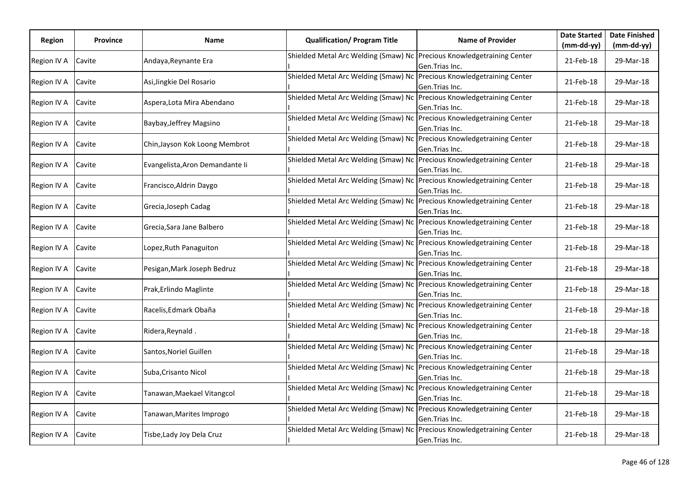| Region      | <b>Province</b> | Name                            | <b>Qualification/ Program Title</b>                                    | <b>Name of Provider</b>                             | <b>Date Started</b> | <b>Date Finished</b> |
|-------------|-----------------|---------------------------------|------------------------------------------------------------------------|-----------------------------------------------------|---------------------|----------------------|
|             |                 |                                 |                                                                        |                                                     | (mm-dd-yy)          | $(mm-dd-yy)$         |
| Region IV A | Cavite          | Andaya, Reynante Era            | Shielded Metal Arc Welding (Smaw) Nc Precious Knowledgetraining Center | Gen.Trias Inc.                                      | 21-Feb-18           | 29-Mar-18            |
| Region IV A | Cavite          | Asi, Jingkie Del Rosario        | Shielded Metal Arc Welding (Smaw) Nc                                   | Precious Knowledgetraining Center<br>Gen.Trias Inc. | 21-Feb-18           | 29-Mar-18            |
| Region IV A | Cavite          | Aspera, Lota Mira Abendano      | Shielded Metal Arc Welding (Smaw) Nc Precious Knowledgetraining Center | Gen.Trias Inc.                                      | 21-Feb-18           | 29-Mar-18            |
| Region IV A | Cavite          | Baybay, Jeffrey Magsino         | Shielded Metal Arc Welding (Smaw) Nc                                   | Precious Knowledgetraining Center<br>Gen.Trias Inc. | 21-Feb-18           | 29-Mar-18            |
| Region IV A | Cavite          | Chin, Jayson Kok Loong Membrot  | Shielded Metal Arc Welding (Smaw) Nc Precious Knowledgetraining Center | Gen.Trias Inc.                                      | 21-Feb-18           | 29-Mar-18            |
| Region IV A | Cavite          | Evangelista, Aron Demandante li | Shielded Metal Arc Welding (Smaw) Nc                                   | Precious Knowledgetraining Center<br>Gen.Trias Inc. | 21-Feb-18           | 29-Mar-18            |
| Region IV A | Cavite          | Francisco, Aldrin Daygo         | Shielded Metal Arc Welding (Smaw) Nc                                   | Precious Knowledgetraining Center<br>Gen.Trias Inc. | 21-Feb-18           | 29-Mar-18            |
| Region IV A | Cavite          | Grecia, Joseph Cadag            | Shielded Metal Arc Welding (Smaw) Nc                                   | Precious Knowledgetraining Center<br>Gen.Trias Inc. | 21-Feb-18           | 29-Mar-18            |
| Region IV A | Cavite          | Grecia, Sara Jane Balbero       | Shielded Metal Arc Welding (Smaw) Nc Precious Knowledgetraining Center | Gen.Trias Inc.                                      | 21-Feb-18           | 29-Mar-18            |
| Region IV A | Cavite          | Lopez, Ruth Panaguiton          | Shielded Metal Arc Welding (Smaw) Nc                                   | Precious Knowledgetraining Center<br>Gen.Trias Inc. | 21-Feb-18           | 29-Mar-18            |
| Region IV A | Cavite          | Pesigan, Mark Joseph Bedruz     | Shielded Metal Arc Welding (Smaw) Nc                                   | Precious Knowledgetraining Center<br>Gen.Trias Inc. | 21-Feb-18           | 29-Mar-18            |
| Region IV A | Cavite          | Prak, Erlindo Maglinte          | Shielded Metal Arc Welding (Smaw) Nc Precious Knowledgetraining Center | Gen.Trias Inc.                                      | 21-Feb-18           | 29-Mar-18            |
| Region IV A | Cavite          | Racelis, Edmark Obaña           | Shielded Metal Arc Welding (Smaw) Nc Precious Knowledgetraining Center | Gen.Trias Inc.                                      | 21-Feb-18           | 29-Mar-18            |
| Region IV A | Cavite          | Ridera, Reynald.                | Shielded Metal Arc Welding (Smaw) Nc                                   | Precious Knowledgetraining Center<br>Gen.Trias Inc. | 21-Feb-18           | 29-Mar-18            |
| Region IV A | Cavite          | Santos,Noriel Guillen           | Shielded Metal Arc Welding (Smaw) Nc                                   | Precious Knowledgetraining Center<br>Gen.Trias Inc. | 21-Feb-18           | 29-Mar-18            |
| Region IV A | Cavite          | Suba, Crisanto Nicol            | Shielded Metal Arc Welding (Smaw) Nc Precious Knowledgetraining Center | Gen.Trias Inc.                                      | 21-Feb-18           | 29-Mar-18            |
| Region IV A | Cavite          | Tanawan, Maekael Vitangcol      | Shielded Metal Arc Welding (Smaw) Nc Precious Knowledgetraining Center | Gen.Trias Inc.                                      | 21-Feb-18           | 29-Mar-18            |
| Region IV A | Cavite          | Tanawan, Marites Improgo        | Shielded Metal Arc Welding (Smaw) Nc Precious Knowledgetraining Center | Gen.Trias Inc.                                      | 21-Feb-18           | 29-Mar-18            |
| Region IV A | Cavite          | Tisbe, Lady Joy Dela Cruz       | Shielded Metal Arc Welding (Smaw) Nc                                   | Precious Knowledgetraining Center<br>Gen.Trias Inc. | 21-Feb-18           | 29-Mar-18            |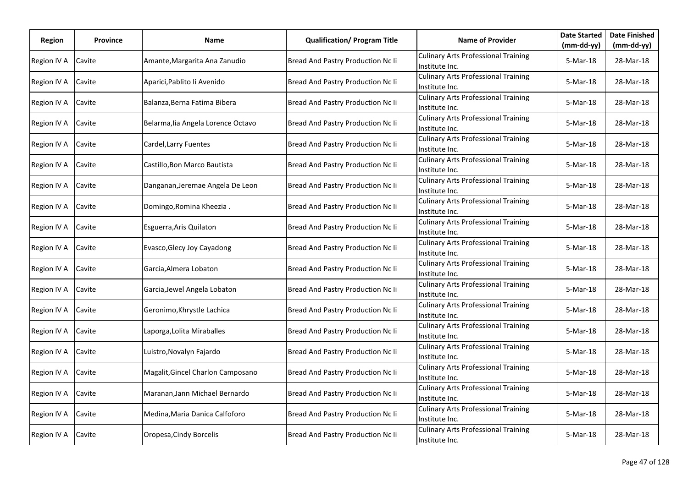| Region      | <b>Province</b> | Name                               | <b>Qualification/ Program Title</b> | <b>Name of Provider</b>                                      | <b>Date Started</b> | <b>Date Finished</b> |
|-------------|-----------------|------------------------------------|-------------------------------------|--------------------------------------------------------------|---------------------|----------------------|
|             |                 |                                    |                                     |                                                              | $(mm-dd-yy)$        | (mm-dd-yy)           |
| Region IV A | Cavite          | Amante, Margarita Ana Zanudio      | Bread And Pastry Production Nc Ii   | <b>Culinary Arts Professional Training</b><br>Institute Inc. | 5-Mar-18            | 28-Mar-18            |
| Region IV A | Cavite          | Aparici, Pablito li Avenido        | Bread And Pastry Production Nc Ii   | <b>Culinary Arts Professional Training</b><br>Institute Inc. | 5-Mar-18            | 28-Mar-18            |
| Region IV A | Cavite          | Balanza, Berna Fatima Bibera       | Bread And Pastry Production Nc Ii   | <b>Culinary Arts Professional Training</b><br>Institute Inc. | 5-Mar-18            | 28-Mar-18            |
| Region IV A | Cavite          | Belarma, lia Angela Lorence Octavo | Bread And Pastry Production Nc Ii   | <b>Culinary Arts Professional Training</b><br>Institute Inc. | 5-Mar-18            | 28-Mar-18            |
| Region IV A | Cavite          | Cardel, Larry Fuentes              | Bread And Pastry Production Nc Ii   | <b>Culinary Arts Professional Training</b><br>Institute Inc. | 5-Mar-18            | 28-Mar-18            |
| Region IV A | Cavite          | Castillo, Bon Marco Bautista       | Bread And Pastry Production Nc Ii   | <b>Culinary Arts Professional Training</b><br>Institute Inc. | 5-Mar-18            | 28-Mar-18            |
| Region IV A | Cavite          | Danganan, Jeremae Angela De Leon   | Bread And Pastry Production Nc Ii   | <b>Culinary Arts Professional Training</b><br>Institute Inc. | 5-Mar-18            | 28-Mar-18            |
| Region IV A | Cavite          | Domingo, Romina Kheezia.           | Bread And Pastry Production Nc Ii   | <b>Culinary Arts Professional Training</b><br>Institute Inc. | 5-Mar-18            | 28-Mar-18            |
| Region IV A | Cavite          | Esguerra, Aris Quilaton            | Bread And Pastry Production Nc Ii   | <b>Culinary Arts Professional Training</b><br>Institute Inc. | 5-Mar-18            | 28-Mar-18            |
| Region IV A | Cavite          | Evasco, Glecy Joy Cayadong         | Bread And Pastry Production Nc Ii   | <b>Culinary Arts Professional Training</b><br>Institute Inc. | 5-Mar-18            | 28-Mar-18            |
| Region IV A | Cavite          | Garcia, Almera Lobaton             | Bread And Pastry Production Nc Ii   | <b>Culinary Arts Professional Training</b><br>Institute Inc. | 5-Mar-18            | 28-Mar-18            |
| Region IV A | Cavite          | Garcia, Jewel Angela Lobaton       | Bread And Pastry Production Nc Ii   | <b>Culinary Arts Professional Training</b><br>Institute Inc. | 5-Mar-18            | 28-Mar-18            |
| Region IV A | Cavite          | Geronimo, Khrystle Lachica         | Bread And Pastry Production Nc Ii   | <b>Culinary Arts Professional Training</b><br>Institute Inc. | 5-Mar-18            | 28-Mar-18            |
| Region IV A | Cavite          | Laporga, Lolita Miraballes         | Bread And Pastry Production Nc Ii   | <b>Culinary Arts Professional Training</b><br>Institute Inc. | 5-Mar-18            | 28-Mar-18            |
| Region IV A | Cavite          | Luistro, Novalyn Fajardo           | Bread And Pastry Production Nc Ii   | <b>Culinary Arts Professional Training</b><br>Institute Inc. | 5-Mar-18            | 28-Mar-18            |
| Region IV A | Cavite          | Magalit, Gincel Charlon Camposano  | Bread And Pastry Production Nc Ii   | <b>Culinary Arts Professional Training</b><br>Institute Inc. | 5-Mar-18            | 28-Mar-18            |
| Region IV A | Cavite          | Maranan, Jann Michael Bernardo     | Bread And Pastry Production Nc Ii   | <b>Culinary Arts Professional Training</b><br>Institute Inc. | 5-Mar-18            | 28-Mar-18            |
| Region IV A | Cavite          | Medina, Maria Danica Calfoforo     | Bread And Pastry Production Nc Ii   | <b>Culinary Arts Professional Training</b><br>Institute Inc. | 5-Mar-18            | 28-Mar-18            |
| Region IV A | Cavite          | Oropesa, Cindy Borcelis            | Bread And Pastry Production Nc Ii   | <b>Culinary Arts Professional Training</b><br>Institute Inc. | 5-Mar-18            | 28-Mar-18            |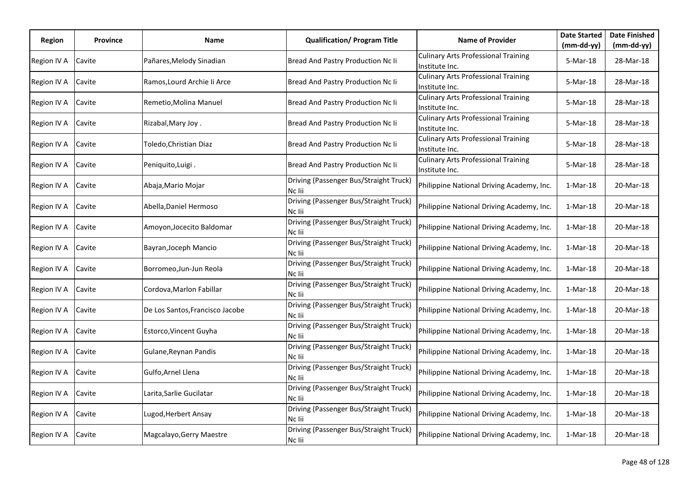| Region      | <b>Province</b> | Name                            | <b>Qualification/ Program Title</b>              | <b>Name of Provider</b>                                      | <b>Date Started</b> | <b>Date Finished</b> |
|-------------|-----------------|---------------------------------|--------------------------------------------------|--------------------------------------------------------------|---------------------|----------------------|
|             |                 |                                 |                                                  |                                                              | $(mm-dd-yy)$        | (mm-dd-yy)           |
| Region IV A | Cavite          | Pañares, Melody Sinadian        | Bread And Pastry Production Nc Ii                | <b>Culinary Arts Professional Training</b><br>Institute Inc. | 5-Mar-18            | 28-Mar-18            |
| Region IV A | Cavite          | Ramos, Lourd Archie li Arce     | Bread And Pastry Production Nc Ii                | <b>Culinary Arts Professional Training</b><br>Institute Inc. | 5-Mar-18            | 28-Mar-18            |
| Region IV A | Cavite          | Remetio, Molina Manuel          | Bread And Pastry Production Nc Ii                | <b>Culinary Arts Professional Training</b><br>Institute Inc. | 5-Mar-18            | 28-Mar-18            |
| Region IV A | Cavite          | Rizabal, Mary Joy.              | Bread And Pastry Production Nc Ii                | <b>Culinary Arts Professional Training</b><br>Institute Inc. | 5-Mar-18            | 28-Mar-18            |
| Region IV A | Cavite          | Toledo,Christian Diaz           | Bread And Pastry Production Nc Ii                | <b>Culinary Arts Professional Training</b><br>Institute Inc. | 5-Mar-18            | 28-Mar-18            |
| Region IV A | Cavite          | Peniquito, Luigi.               | Bread And Pastry Production Nc Ii                | <b>Culinary Arts Professional Training</b><br>Institute Inc. | 5-Mar-18            | 28-Mar-18            |
| Region IV A | Cavite          | Abaja, Mario Mojar              | Driving (Passenger Bus/Straight Truck)<br>Nc lii | Philippine National Driving Academy, Inc.                    | $1-Mar-18$          | 20-Mar-18            |
| Region IV A | Cavite          | Abella, Daniel Hermoso          | Driving (Passenger Bus/Straight Truck)<br>Nc lii | Philippine National Driving Academy, Inc.                    | 1-Mar-18            | 20-Mar-18            |
| Region IV A | Cavite          | Amoyon, Jocecito Baldomar       | Driving (Passenger Bus/Straight Truck)<br>Nc lii | Philippine National Driving Academy, Inc.                    | 1-Mar-18            | 20-Mar-18            |
| Region IV A | Cavite          | Bayran, Joceph Mancio           | Driving (Passenger Bus/Straight Truck)<br>Nc lii | Philippine National Driving Academy, Inc.                    | $1-Mar-18$          | 20-Mar-18            |
| Region IV A | Cavite          | Borromeo, Jun-Jun Reola         | Driving (Passenger Bus/Straight Truck)<br>Nc lii | Philippine National Driving Academy, Inc.                    | $1-Mar-18$          | 20-Mar-18            |
| Region IV A | Cavite          | Cordova, Marlon Fabillar        | Driving (Passenger Bus/Straight Truck)<br>Nc lii | Philippine National Driving Academy, Inc.                    | $1-Mar-18$          | 20-Mar-18            |
| Region IV A | Cavite          | De Los Santos, Francisco Jacobe | Driving (Passenger Bus/Straight Truck)<br>Nc lii | Philippine National Driving Academy, Inc.                    | $1-Mar-18$          | 20-Mar-18            |
| Region IV A | Cavite          | Estorco, Vincent Guyha          | Driving (Passenger Bus/Straight Truck)<br>Nc lii | Philippine National Driving Academy, Inc.                    | $1-Mar-18$          | 20-Mar-18            |
| Region IV A | Cavite          | Gulane, Reynan Pandis           | Driving (Passenger Bus/Straight Truck)<br>Nc lii | Philippine National Driving Academy, Inc.                    | $1-Mar-18$          | 20-Mar-18            |
| Region IV A | Cavite          | Gulfo, Arnel Llena              | Driving (Passenger Bus/Straight Truck)<br>Nc lii | Philippine National Driving Academy, Inc.                    | $1-Mar-18$          | 20-Mar-18            |
| Region IV A | Cavite          | Larita, Sarlie Gucilatar        | Driving (Passenger Bus/Straight Truck)<br>Nc lii | Philippine National Driving Academy, Inc.                    | $1-Mar-18$          | 20-Mar-18            |
| Region IV A | Cavite          | Lugod, Herbert Ansay            | Driving (Passenger Bus/Straight Truck)<br>Nc lii | Philippine National Driving Academy, Inc.                    | $1-Mar-18$          | 20-Mar-18            |
| Region IV A | Cavite          | Magcalayo, Gerry Maestre        | Driving (Passenger Bus/Straight Truck)<br>Nc lii | Philippine National Driving Academy, Inc.                    | $1-Mar-18$          | 20-Mar-18            |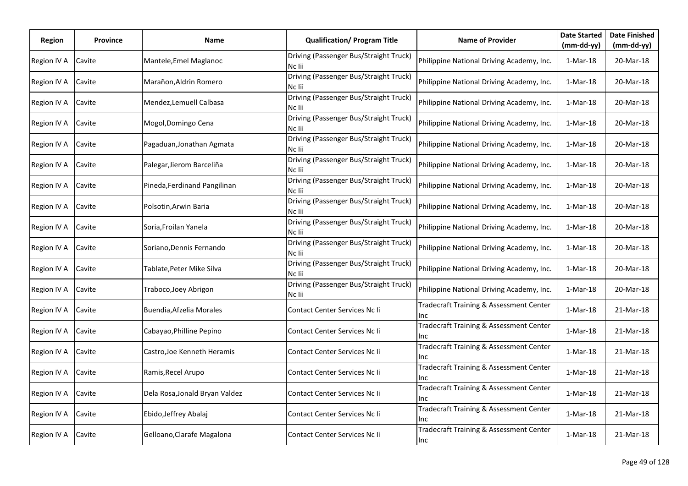| Region      | <b>Province</b> | Name                           | <b>Qualification/ Program Title</b>              | <b>Name of Provider</b>                        | <b>Date Started</b><br>(mm-dd-yy) | <b>Date Finished</b><br>$(mm-dd-yy)$ |
|-------------|-----------------|--------------------------------|--------------------------------------------------|------------------------------------------------|-----------------------------------|--------------------------------------|
| Region IV A | Cavite          | Mantele, Emel Maglanoc         | Driving (Passenger Bus/Straight Truck)<br>Nc lii | Philippine National Driving Academy, Inc.      | $1-Mar-18$                        | 20-Mar-18                            |
| Region IV A | Cavite          | Marañon, Aldrin Romero         | Driving (Passenger Bus/Straight Truck)<br>Nc lii | Philippine National Driving Academy, Inc.      | $1-Mar-18$                        | 20-Mar-18                            |
| Region IV A | Cavite          | Mendez, Lemuell Calbasa        | Driving (Passenger Bus/Straight Truck)<br>Nc lii | Philippine National Driving Academy, Inc.      | $1-Mar-18$                        | 20-Mar-18                            |
| Region IV A | Cavite          | Mogol, Domingo Cena            | Driving (Passenger Bus/Straight Truck)<br>Nc lii | Philippine National Driving Academy, Inc.      | $1-Mar-18$                        | 20-Mar-18                            |
| Region IV A | Cavite          | Pagaduan, Jonathan Agmata      | Driving (Passenger Bus/Straight Truck)<br>Nc lii | Philippine National Driving Academy, Inc.      | $1-Mar-18$                        | 20-Mar-18                            |
| Region IV A | Cavite          | Palegar, Jierom Barceliña      | Driving (Passenger Bus/Straight Truck)<br>Nc lii | Philippine National Driving Academy, Inc.      | $1-Mar-18$                        | 20-Mar-18                            |
| Region IV A | Cavite          | Pineda, Ferdinand Pangilinan   | Driving (Passenger Bus/Straight Truck)<br>Nc lii | Philippine National Driving Academy, Inc.      | $1-Mar-18$                        | 20-Mar-18                            |
| Region IV A | Cavite          | Polsotin, Arwin Baria          | Driving (Passenger Bus/Straight Truck)<br>Nc lii | Philippine National Driving Academy, Inc.      | $1-Mar-18$                        | 20-Mar-18                            |
| Region IV A | Cavite          | Soria, Froilan Yanela          | Driving (Passenger Bus/Straight Truck)<br>Nc lii | Philippine National Driving Academy, Inc.      | $1-Mar-18$                        | 20-Mar-18                            |
| Region IV A | Cavite          | Soriano, Dennis Fernando       | Driving (Passenger Bus/Straight Truck)<br>Nc lii | Philippine National Driving Academy, Inc.      | $1-Mar-18$                        | 20-Mar-18                            |
| Region IV A | Cavite          | Tablate, Peter Mike Silva      | Driving (Passenger Bus/Straight Truck)<br>Nc lii | Philippine National Driving Academy, Inc.      | $1-Mar-18$                        | 20-Mar-18                            |
| Region IV A | Cavite          | Traboco, Joey Abrigon          | Driving (Passenger Bus/Straight Truck)<br>Nc lii | Philippine National Driving Academy, Inc.      | $1-Mar-18$                        | 20-Mar-18                            |
| Region IV A | Cavite          | Buendia, Afzelia Morales       | Contact Center Services Nc li                    | Tradecraft Training & Assessment Center<br>Inc | $1-Mar-18$                        | 21-Mar-18                            |
| Region IV A | Cavite          | Cabayao, Philline Pepino       | Contact Center Services Nc li                    | Tradecraft Training & Assessment Center<br>Inc | $1-Mar-18$                        | 21-Mar-18                            |
| Region IV A | Cavite          | Castro,Joe Kenneth Heramis     | Contact Center Services Nc li                    | Tradecraft Training & Assessment Center<br>Inc | $1-Mar-18$                        | 21-Mar-18                            |
| Region IV A | Cavite          | Ramis, Recel Arupo             | Contact Center Services Nc li                    | Tradecraft Training & Assessment Center<br>Inc | $1-Mar-18$                        | 21-Mar-18                            |
| Region IV A | Cavite          | Dela Rosa, Jonald Bryan Valdez | Contact Center Services Nc Ii                    | Tradecraft Training & Assessment Center<br>Inc | $1-Mar-18$                        | 21-Mar-18                            |
| Region IV A | Cavite          | Ebido, Jeffrey Abalaj          | Contact Center Services Nc li                    | Tradecraft Training & Assessment Center<br>Inc | $1-Mar-18$                        | 21-Mar-18                            |
| Region IV A | Cavite          | Gelloano, Clarafe Magalona     | Contact Center Services Nc li                    | Tradecraft Training & Assessment Center<br>Inc | $1-Mar-18$                        | 21-Mar-18                            |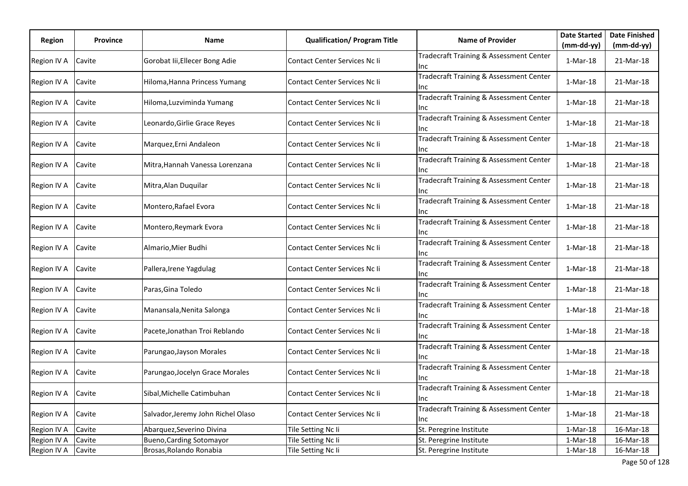|             | <b>Province</b> | Name                               | <b>Qualification/ Program Title</b>  | <b>Name of Provider</b>                         | <b>Date Started</b> | <b>Date Finished</b> |
|-------------|-----------------|------------------------------------|--------------------------------------|-------------------------------------------------|---------------------|----------------------|
| Region      |                 |                                    |                                      |                                                 | $(mm-dd-yy)$        | $(mm-dd-yy)$         |
| Region IV A | Cavite          | Gorobat Iii, Ellecer Bong Adie     | Contact Center Services Nc li        | Tradecraft Training & Assessment Center<br>llnc | 1-Mar-18            | 21-Mar-18            |
| Region IV A | Cavite          | Hiloma, Hanna Princess Yumang      | Contact Center Services Nc Ii        | Tradecraft Training & Assessment Center<br>Ilnc | $1-Mar-18$          | 21-Mar-18            |
| Region IV A | Cavite          | Hiloma, Luzviminda Yumang          | Contact Center Services Nc li        | Tradecraft Training & Assessment Center<br>Inc  | $1-Mar-18$          | 21-Mar-18            |
| Region IV A | Cavite          | Leonardo, Girlie Grace Reyes       | Contact Center Services Nc Ii        | Tradecraft Training & Assessment Center<br>Inc  | $1-Mar-18$          | 21-Mar-18            |
| Region IV A | Cavite          | Marquez, Erni Andaleon             | Contact Center Services Nc Ii        | Tradecraft Training & Assessment Center<br>lnc. | $1-Mar-18$          | 21-Mar-18            |
| Region IV A | Cavite          | Mitra, Hannah Vanessa Lorenzana    | Contact Center Services Nc li        | Tradecraft Training & Assessment Center<br>Inc  | 1-Mar-18            | 21-Mar-18            |
| Region IV A | Cavite          | Mitra, Alan Duquilar               | Contact Center Services Nc Ii        | Tradecraft Training & Assessment Center<br>llnc | $1-Mar-18$          | 21-Mar-18            |
| Region IV A | Cavite          | Montero, Rafael Evora              | Contact Center Services Nc li        | Tradecraft Training & Assessment Center<br>llnc | 1-Mar-18            | 21-Mar-18            |
| Region IV A | Cavite          | Montero, Reymark Evora             | Contact Center Services Nc Ii        | Tradecraft Training & Assessment Center<br>Inc  | 1-Mar-18            | 21-Mar-18            |
| Region IV A | Cavite          | Almario, Mier Budhi                | Contact Center Services Nc Ii        | Tradecraft Training & Assessment Center<br>llnc | $1-Mar-18$          | 21-Mar-18            |
| Region IV A | Cavite          | Pallera, Irene Yagdulag            | Contact Center Services Nc Ii        | Tradecraft Training & Assessment Center<br>lnc. | $1-Mar-18$          | 21-Mar-18            |
| Region IV A | Cavite          | Paras, Gina Toledo                 | Contact Center Services Nc Ii        | Tradecraft Training & Assessment Center<br>Inc  | 1-Mar-18            | 21-Mar-18            |
| Region IV A | Cavite          | Manansala, Nenita Salonga          | Contact Center Services Nc li        | Tradecraft Training & Assessment Center<br>llnc | $1-Mar-18$          | 21-Mar-18            |
| Region IV A | Cavite          | Pacete, Jonathan Troi Reblando     | Contact Center Services Nc Ii        | Tradecraft Training & Assessment Center<br>llnc | $1-Mar-18$          | 21-Mar-18            |
| Region IV A | Cavite          | Parungao, Jayson Morales           | Contact Center Services Nc Ii        | Tradecraft Training & Assessment Center<br>Inc  | 1-Mar-18            | 21-Mar-18            |
| Region IV A | Cavite          | Parungao, Jocelyn Grace Morales    | Contact Center Services Nc li        | Tradecraft Training & Assessment Center<br>llnc | 1-Mar-18            | 21-Mar-18            |
| Region IV A | Cavite          | Sibal, Michelle Catimbuhan         | Contact Center Services Nc li        | Tradecraft Training & Assessment Center<br>Inc  | $1-Mar-18$          | 21-Mar-18            |
| Region IV A | Cavite          | Salvador, Jeremy John Richel Olaso | <b>Contact Center Services Nc Ii</b> | Tradecraft Training & Assessment Center<br>lnc. | $1-Mar-18$          | 21-Mar-18            |
| Region IV A | Cavite          | Abarquez, Severino Divina          | Tile Setting Nc Ii                   | St. Peregrine Institute                         | $1-Mar-18$          | 16-Mar-18            |
| Region IV A | Cavite          | <b>Bueno, Carding Sotomayor</b>    | Tile Setting Nc Ii                   | St. Peregrine Institute                         | $1-Mar-18$          | 16-Mar-18            |
| Region IV A | Cavite          | Brosas, Rolando Ronabia            | Tile Setting Nc Ii                   | St. Peregrine Institute                         | $1-Mar-18$          | 16-Mar-18            |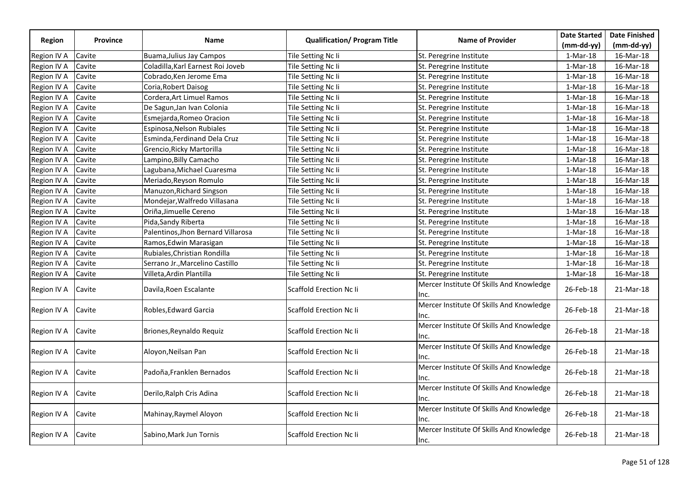|               |                 |                                    |                                     |                                                   | <b>Date Started</b> | <b>Date Finished</b> |
|---------------|-----------------|------------------------------------|-------------------------------------|---------------------------------------------------|---------------------|----------------------|
| <b>Region</b> | <b>Province</b> | Name                               | <b>Qualification/ Program Title</b> | <b>Name of Provider</b>                           | $(mm-dd-yy)$        | $(mm-dd-yy)$         |
| Region IV A   | Cavite          | <b>Buama, Julius Jay Campos</b>    | Tile Setting Nc Ii                  | St. Peregrine Institute                           | $1-Mar-18$          | 16-Mar-18            |
| Region IV A   | Cavite          | Coladilla, Karl Earnest Roi Joveb  | Tile Setting Nc Ii                  | St. Peregrine Institute                           | $1-Mar-18$          | 16-Mar-18            |
| Region IV A   | Cavite          | Cobrado, Ken Jerome Ema            | Tile Setting Nc Ii                  | St. Peregrine Institute                           | $1-Mar-18$          | 16-Mar-18            |
| Region IV A   | Cavite          | Coria, Robert Daisog               | Tile Setting Nc Ii                  | St. Peregrine Institute                           | $1-Mar-18$          | 16-Mar-18            |
| Region IV A   | Cavite          | Cordera, Art Limuel Ramos          | Tile Setting Nc Ii                  | St. Peregrine Institute                           | $1-Mar-18$          | 16-Mar-18            |
| Region IV A   | Cavite          | De Sagun, Jan Ivan Colonia         | Tile Setting Nc Ii                  | St. Peregrine Institute                           | $1-Mar-18$          | 16-Mar-18            |
| Region IV A   | Cavite          | Esmejarda, Romeo Oracion           | Tile Setting Nc Ii                  | St. Peregrine Institute                           | 1-Mar-18            | 16-Mar-18            |
| Region IV A   | Cavite          | Espinosa, Nelson Rubiales          | Tile Setting Nc Ii                  | St. Peregrine Institute                           | 1-Mar-18            | 16-Mar-18            |
| Region IV A   | Cavite          | Esminda, Ferdinand Dela Cruz       | Tile Setting Nc Ii                  | St. Peregrine Institute                           | $1-Mar-18$          | 16-Mar-18            |
| Region IV A   | Cavite          | Grencio, Ricky Martorilla          | Tile Setting Nc Ii                  | St. Peregrine Institute                           | 1-Mar-18            | 16-Mar-18            |
| Region IV A   | Cavite          | Lampino, Billy Camacho             | Tile Setting Nc Ii                  | St. Peregrine Institute                           | $1-Mar-18$          | 16-Mar-18            |
| Region IV A   | Cavite          | Lagubana, Michael Cuaresma         | Tile Setting Nc Ii                  | St. Peregrine Institute                           | 1-Mar-18            | 16-Mar-18            |
| Region IV A   | Cavite          | Meriado, Reyson Romulo             | Tile Setting Nc Ii                  | St. Peregrine Institute                           | $1-Mar-18$          | 16-Mar-18            |
| Region IV A   | Cavite          | Manuzon, Richard Singson           | Tile Setting Nc Ii                  | St. Peregrine Institute                           | $1-Mar-18$          | 16-Mar-18            |
| Region IV A   | Cavite          | Mondejar, Walfredo Villasana       | Tile Setting Nc Ii                  | St. Peregrine Institute                           | 1-Mar-18            | 16-Mar-18            |
| Region IV A   | Cavite          | Oriña, Jimuelle Cereno             | Tile Setting Nc Ii                  | St. Peregrine Institute                           | $1-Mar-18$          | 16-Mar-18            |
| Region IV A   | Cavite          | Pida, Sandy Riberta                | Tile Setting Nc Ii                  | St. Peregrine Institute                           | 1-Mar-18            | 16-Mar-18            |
| Region IV A   | Cavite          | Palentinos, Jhon Bernard Villarosa | Tile Setting Nc Ii                  | St. Peregrine Institute                           | 1-Mar-18            | 16-Mar-18            |
| Region IV A   | Cavite          | Ramos, Edwin Marasigan             | Tile Setting Nc Ii                  | St. Peregrine Institute                           | $1-Mar-18$          | 16-Mar-18            |
| Region IV A   | Cavite          | Rubiales, Christian Rondilla       | Tile Setting Nc Ii                  | St. Peregrine Institute                           | $1-Mar-18$          | 16-Mar-18            |
| Region IV A   | Cavite          | Serrano Jr., Marcelino Castillo    | Tile Setting Nc Ii                  | St. Peregrine Institute                           | $1-Mar-18$          | 16-Mar-18            |
| Region IV A   | Cavite          | Villeta, Ardin Plantilla           | Tile Setting Nc Ii                  | St. Peregrine Institute                           | $1-Mar-18$          | 16-Mar-18            |
| Region IV A   | Cavite          | Davila, Roen Escalante             | <b>Scaffold Erection Nc li</b>      | Mercer Institute Of Skills And Knowledge<br>Inc.  | 26-Feb-18           | 21-Mar-18            |
| Region IV A   | Cavite          | Robles, Edward Garcia              | <b>Scaffold Erection Nc Ii</b>      | Mercer Institute Of Skills And Knowledge<br>lnc.  | 26-Feb-18           | 21-Mar-18            |
| Region IV A   | Cavite          | Briones, Reynaldo Requiz           | <b>Scaffold Erection Nc Ii</b>      | Mercer Institute Of Skills And Knowledge<br>lnc.  | 26-Feb-18           | 21-Mar-18            |
| Region IV A   | Cavite          | Aloyon, Neilsan Pan                | <b>Scaffold Erection Nc Ii</b>      | Mercer Institute Of Skills And Knowledge<br>llnc. | 26-Feb-18           | 21-Mar-18            |
| Region IV A   | Cavite          | Padoña, Franklen Bernados          | <b>Scaffold Erection Nc Ii</b>      | Mercer Institute Of Skills And Knowledge<br>Inc.  | 26-Feb-18           | 21-Mar-18            |
| Region IV A   | Cavite          | Derilo, Ralph Cris Adina           | <b>Scaffold Erection Nc Ii</b>      | Mercer Institute Of Skills And Knowledge<br>lnc.  | 26-Feb-18           | 21-Mar-18            |
| Region IV A   | Cavite          | Mahinay, Raymel Aloyon             | <b>Scaffold Erection Nc Ii</b>      | Mercer Institute Of Skills And Knowledge<br>lnc.  | 26-Feb-18           | 21-Mar-18            |
| Region IV A   | Cavite          | Sabino, Mark Jun Tornis            | <b>Scaffold Erection Nc Ii</b>      | Mercer Institute Of Skills And Knowledge<br>Inc.  | 26-Feb-18           | 21-Mar-18            |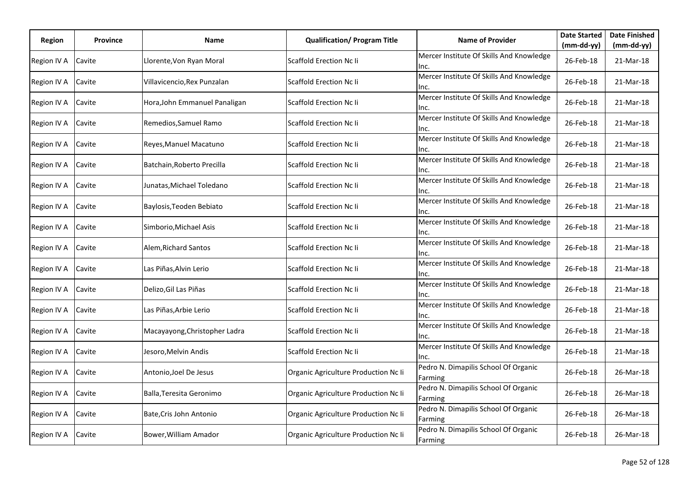| Region      | <b>Province</b> | Name                          | <b>Qualification/ Program Title</b>  | <b>Name of Provider</b>                          | <b>Date Started</b> | <b>Date Finished</b> |
|-------------|-----------------|-------------------------------|--------------------------------------|--------------------------------------------------|---------------------|----------------------|
|             |                 |                               |                                      |                                                  | (mm-dd-yy)          | $(mm-dd-yy)$         |
| Region IV A | Cavite          | Llorente, Von Ryan Moral      | Scaffold Erection Nc Ii              | Mercer Institute Of Skills And Knowledge<br>Inc. | 26-Feb-18           | 21-Mar-18            |
| Region IV A | Cavite          | Villavicencio, Rex Punzalan   | <b>Scaffold Erection Nc li</b>       | Mercer Institute Of Skills And Knowledge<br>Inc. | 26-Feb-18           | 21-Mar-18            |
| Region IV A | Cavite          | Hora, John Emmanuel Panaligan | <b>Scaffold Erection Nc li</b>       | Mercer Institute Of Skills And Knowledge<br>Inc. | 26-Feb-18           | 21-Mar-18            |
| Region IV A | Cavite          | Remedios, Samuel Ramo         | Scaffold Erection Nc li              | Mercer Institute Of Skills And Knowledge<br>Inc. | 26-Feb-18           | 21-Mar-18            |
| Region IV A | Cavite          | Reyes, Manuel Macatuno        | <b>Scaffold Erection Nc Ii</b>       | Mercer Institute Of Skills And Knowledge<br>Inc. | 26-Feb-18           | 21-Mar-18            |
| Region IV A | Cavite          | Batchain, Roberto Precilla    | Scaffold Erection Nc Ii              | Mercer Institute Of Skills And Knowledge<br>Inc. | 26-Feb-18           | 21-Mar-18            |
| Region IV A | Cavite          | Junatas,Michael Toledano      | Scaffold Erection Nc li              | Mercer Institute Of Skills And Knowledge<br>Inc. | 26-Feb-18           | 21-Mar-18            |
| Region IV A | Cavite          | Baylosis, Teoden Bebiato      | <b>Scaffold Erection Nc Ii</b>       | Mercer Institute Of Skills And Knowledge<br>Inc. | 26-Feb-18           | 21-Mar-18            |
| Region IV A | Cavite          | Simborio, Michael Asis        | <b>Scaffold Erection Nc Ii</b>       | Mercer Institute Of Skills And Knowledge<br>Inc. | 26-Feb-18           | 21-Mar-18            |
| Region IV A | Cavite          | Alem, Richard Santos          | Scaffold Erection Nc li              | Mercer Institute Of Skills And Knowledge<br>Inc. | 26-Feb-18           | 21-Mar-18            |
| Region IV A | Cavite          | Las Piñas, Alvin Lerio        | Scaffold Erection Nc li              | Mercer Institute Of Skills And Knowledge<br>Inc. | 26-Feb-18           | 21-Mar-18            |
| Region IV A | Cavite          | Delizo, Gil Las Piñas         | Scaffold Erection Nc Ii              | Mercer Institute Of Skills And Knowledge<br>Inc. | 26-Feb-18           | 21-Mar-18            |
| Region IV A | Cavite          | Las Piñas, Arbie Lerio        | Scaffold Erection Nc Ii              | Mercer Institute Of Skills And Knowledge<br>Inc. | 26-Feb-18           | 21-Mar-18            |
| Region IV A | Cavite          | Macayayong, Christopher Ladra | Scaffold Erection Nc li              | Mercer Institute Of Skills And Knowledge<br>Inc. | 26-Feb-18           | 21-Mar-18            |
| Region IV A | Cavite          | Jesoro,Melvin Andis           | Scaffold Erection Nc li              | Mercer Institute Of Skills And Knowledge<br>Inc. | 26-Feb-18           | 21-Mar-18            |
| Region IV A | Cavite          | Antonio,Joel De Jesus         | Organic Agriculture Production Nc Ii | Pedro N. Dimapilis School Of Organic<br>Farming  | 26-Feb-18           | 26-Mar-18            |
| Region IV A | Cavite          | Balla, Teresita Geronimo      | Organic Agriculture Production Nc Ii | Pedro N. Dimapilis School Of Organic<br>Farming  | 26-Feb-18           | 26-Mar-18            |
| Region IV A | Cavite          | Bate, Cris John Antonio       | Organic Agriculture Production Nc Ii | Pedro N. Dimapilis School Of Organic<br>Farming  | 26-Feb-18           | 26-Mar-18            |
| Region IV A | Cavite          | Bower, William Amador         | Organic Agriculture Production Nc Ii | Pedro N. Dimapilis School Of Organic<br>Farming  | 26-Feb-18           | 26-Mar-18            |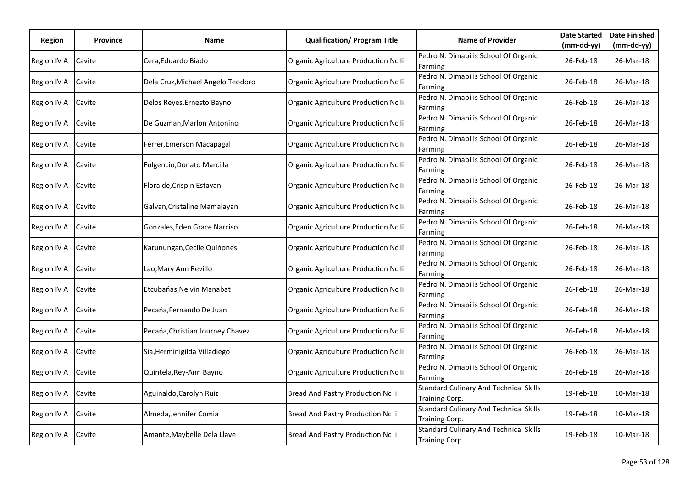| Region      | <b>Province</b> | Name                              | <b>Qualification/ Program Title</b>  | <b>Name of Provider</b>                                         | <b>Date Started</b> | <b>Date Finished</b> |
|-------------|-----------------|-----------------------------------|--------------------------------------|-----------------------------------------------------------------|---------------------|----------------------|
|             |                 |                                   |                                      |                                                                 | (mm-dd-yy)          | (mm-dd-yy)           |
| Region IV A | Cavite          | Cera, Eduardo Biado               | Organic Agriculture Production Nc Ii | Pedro N. Dimapilis School Of Organic<br>Farming                 | 26-Feb-18           | 26-Mar-18            |
| Region IV A | Cavite          | Dela Cruz, Michael Angelo Teodoro | Organic Agriculture Production Nc Ii | Pedro N. Dimapilis School Of Organic<br>Farming                 | 26-Feb-18           | 26-Mar-18            |
| Region IV A | Cavite          | Delos Reyes, Ernesto Bayno        | Organic Agriculture Production Nc Ii | Pedro N. Dimapilis School Of Organic<br>Farming                 | 26-Feb-18           | 26-Mar-18            |
| Region IV A | Cavite          | De Guzman, Marlon Antonino        | Organic Agriculture Production Nc Ii | Pedro N. Dimapilis School Of Organic<br>Farming                 | 26-Feb-18           | 26-Mar-18            |
| Region IV A | Cavite          | Ferrer, Emerson Macapagal         | Organic Agriculture Production Nc Ii | Pedro N. Dimapilis School Of Organic<br>Farming                 | 26-Feb-18           | 26-Mar-18            |
| Region IV A | Cavite          | Fulgencio, Donato Marcilla        | Organic Agriculture Production Nc Ii | Pedro N. Dimapilis School Of Organic<br>Farming                 | 26-Feb-18           | 26-Mar-18            |
| Region IV A | Cavite          | Floralde, Crispin Estayan         | Organic Agriculture Production Nc Ii | Pedro N. Dimapilis School Of Organic<br>Farming                 | 26-Feb-18           | 26-Mar-18            |
| Region IV A | Cavite          | Galvan, Cristaline Mamalayan      | Organic Agriculture Production Nc Ii | Pedro N. Dimapilis School Of Organic<br>Farming                 | 26-Feb-18           | 26-Mar-18            |
| Region IV A | Cavite          | Gonzales, Eden Grace Narciso      | Organic Agriculture Production Nc Ii | Pedro N. Dimapilis School Of Organic<br>Farming                 | 26-Feb-18           | 26-Mar-18            |
| Region IV A | Cavite          | Karunungan, Cecile Quinones       | Organic Agriculture Production Nc Ii | Pedro N. Dimapilis School Of Organic<br>Farming                 | 26-Feb-18           | 26-Mar-18            |
| Region IV A | Cavite          | Lao, Mary Ann Revillo             | Organic Agriculture Production Nc Ii | Pedro N. Dimapilis School Of Organic<br>Farming                 | 26-Feb-18           | 26-Mar-18            |
| Region IV A | Cavite          | Etcubańas, Nelvin Manabat         | Organic Agriculture Production Nc Ii | Pedro N. Dimapilis School Of Organic<br>Farming                 | 26-Feb-18           | 26-Mar-18            |
| Region IV A | Cavite          | Pecańa, Fernando De Juan          | Organic Agriculture Production Nc Ii | Pedro N. Dimapilis School Of Organic<br>Farming                 | 26-Feb-18           | 26-Mar-18            |
| Region IV A | Cavite          | Pecana, Christian Journey Chavez  | Organic Agriculture Production Nc Ii | Pedro N. Dimapilis School Of Organic<br>Farming                 | 26-Feb-18           | 26-Mar-18            |
| Region IV A | Cavite          | Sia, Herminigilda Villadiego      | Organic Agriculture Production Nc Ii | Pedro N. Dimapilis School Of Organic<br>Farming                 | 26-Feb-18           | 26-Mar-18            |
| Region IV A | Cavite          | Quintela, Rey-Ann Bayno           | Organic Agriculture Production Nc Ii | Pedro N. Dimapilis School Of Organic<br>Farming                 | 26-Feb-18           | 26-Mar-18            |
| Region IV A | Cavite          | Aguinaldo, Carolyn Ruiz           | Bread And Pastry Production Nc Ii    | <b>Standard Culinary And Technical Skills</b><br>Training Corp. | 19-Feb-18           | 10-Mar-18            |
| Region IV A | Cavite          | Almeda, Jennifer Comia            | Bread And Pastry Production Nc Ii    | <b>Standard Culinary And Technical Skills</b><br>Training Corp. | 19-Feb-18           | 10-Mar-18            |
| Region IV A | Cavite          | Amante, Maybelle Dela Llave       | Bread And Pastry Production Nc Ii    | <b>Standard Culinary And Technical Skills</b><br>Training Corp. | 19-Feb-18           | 10-Mar-18            |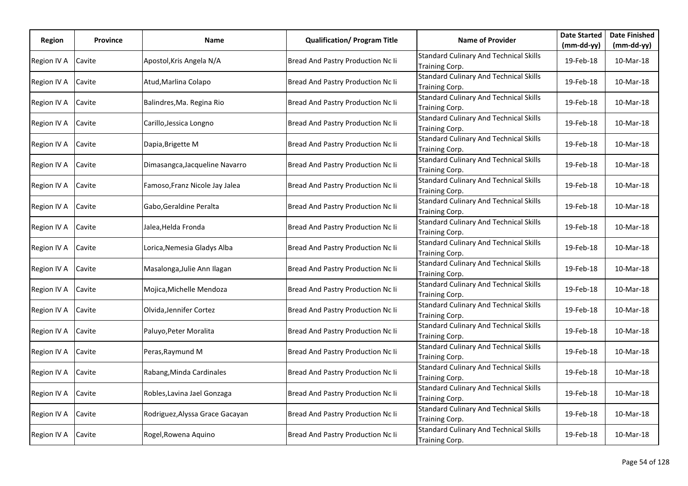| Region      | <b>Province</b> | Name                            | <b>Qualification/ Program Title</b> | <b>Name of Provider</b>                                         | <b>Date Started</b> | <b>Date Finished</b> |
|-------------|-----------------|---------------------------------|-------------------------------------|-----------------------------------------------------------------|---------------------|----------------------|
|             |                 |                                 |                                     |                                                                 | (mm-dd-yy)          | $(mm-dd-yy)$         |
| Region IV A | Cavite          | Apostol, Kris Angela N/A        | Bread And Pastry Production Nc Ii   | <b>Standard Culinary And Technical Skills</b><br>Training Corp. | 19-Feb-18           | 10-Mar-18            |
| Region IV A | Cavite          | Atud, Marlina Colapo            | Bread And Pastry Production Nc Ii   | <b>Standard Culinary And Technical Skills</b><br>Training Corp. | 19-Feb-18           | 10-Mar-18            |
| Region IV A | Cavite          | Balindres, Ma. Regina Rio       | Bread And Pastry Production Nc Ii   | <b>Standard Culinary And Technical Skills</b><br>Training Corp. | 19-Feb-18           | 10-Mar-18            |
| Region IV A | Cavite          | Carillo, Jessica Longno         | Bread And Pastry Production Nc Ii   | <b>Standard Culinary And Technical Skills</b><br>Training Corp. | 19-Feb-18           | 10-Mar-18            |
| Region IV A | Cavite          | Dapia, Brigette M               | Bread And Pastry Production Nc Ii   | <b>Standard Culinary And Technical Skills</b><br>Training Corp. | 19-Feb-18           | 10-Mar-18            |
| Region IV A | Cavite          | Dimasangca, Jacqueline Navarro  | Bread And Pastry Production Nc Ii   | <b>Standard Culinary And Technical Skills</b><br>Training Corp. | 19-Feb-18           | 10-Mar-18            |
| Region IV A | Cavite          | Famoso, Franz Nicole Jay Jalea  | Bread And Pastry Production Nc Ii   | <b>Standard Culinary And Technical Skills</b><br>Training Corp. | 19-Feb-18           | 10-Mar-18            |
| Region IV A | Cavite          | Gabo, Geraldine Peralta         | Bread And Pastry Production Nc Ii   | <b>Standard Culinary And Technical Skills</b><br>Training Corp. | 19-Feb-18           | 10-Mar-18            |
| Region IV A | Cavite          | Jalea,Helda Fronda              | Bread And Pastry Production Nc Ii   | <b>Standard Culinary And Technical Skills</b><br>Training Corp. | 19-Feb-18           | 10-Mar-18            |
| Region IV A | Cavite          | Lorica, Nemesia Gladys Alba     | Bread And Pastry Production Nc Ii   | <b>Standard Culinary And Technical Skills</b><br>Training Corp. | 19-Feb-18           | 10-Mar-18            |
| Region IV A | Cavite          | Masalonga, Julie Ann Ilagan     | Bread And Pastry Production Nc Ii   | <b>Standard Culinary And Technical Skills</b><br>Training Corp. | 19-Feb-18           | 10-Mar-18            |
| Region IV A | Cavite          | Mojica, Michelle Mendoza        | Bread And Pastry Production Nc Ii   | <b>Standard Culinary And Technical Skills</b><br>Training Corp. | 19-Feb-18           | 10-Mar-18            |
| Region IV A | Cavite          | Olvida, Jennifer Cortez         | Bread And Pastry Production Nc Ii   | <b>Standard Culinary And Technical Skills</b><br>Training Corp. | 19-Feb-18           | 10-Mar-18            |
| Region IV A | Cavite          | Paluyo, Peter Moralita          | Bread And Pastry Production Nc Ii   | <b>Standard Culinary And Technical Skills</b><br>Training Corp. | 19-Feb-18           | 10-Mar-18            |
| Region IV A | Cavite          | Peras, Raymund M                | Bread And Pastry Production Nc Ii   | <b>Standard Culinary And Technical Skills</b><br>Training Corp. | 19-Feb-18           | 10-Mar-18            |
| Region IV A | Cavite          | Rabang, Minda Cardinales        | Bread And Pastry Production Nc Ii   | <b>Standard Culinary And Technical Skills</b><br>Training Corp. | 19-Feb-18           | 10-Mar-18            |
| Region IV A | Cavite          | Robles, Lavina Jael Gonzaga     | Bread And Pastry Production Nc Ii   | <b>Standard Culinary And Technical Skills</b><br>Training Corp. | 19-Feb-18           | 10-Mar-18            |
| Region IV A | Cavite          | Rodriguez, Alyssa Grace Gacayan | Bread And Pastry Production Nc Ii   | <b>Standard Culinary And Technical Skills</b><br>Training Corp. | 19-Feb-18           | 10-Mar-18            |
| Region IV A | Cavite          | Rogel, Rowena Aquino            | Bread And Pastry Production Nc Ii   | <b>Standard Culinary And Technical Skills</b><br>Training Corp. | 19-Feb-18           | 10-Mar-18            |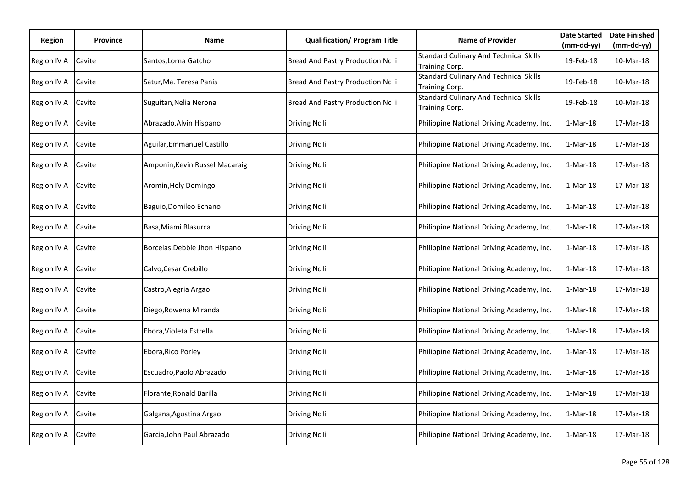| Region      | <b>Province</b> | Name                           | <b>Qualification/ Program Title</b> | <b>Name of Provider</b>                                         | <b>Date Started</b> | <b>Date Finished</b> |
|-------------|-----------------|--------------------------------|-------------------------------------|-----------------------------------------------------------------|---------------------|----------------------|
|             |                 |                                |                                     |                                                                 | (mm-dd-yy)          | $(mm-dd-yy)$         |
| Region IV A | Cavite          | Santos,Lorna Gatcho            | Bread And Pastry Production Nc Ii   | <b>Standard Culinary And Technical Skills</b><br>Training Corp. | 19-Feb-18           | 10-Mar-18            |
| Region IV A | Cavite          | Satur, Ma. Teresa Panis        | Bread And Pastry Production Nc Ii   | <b>Standard Culinary And Technical Skills</b><br>Training Corp. | 19-Feb-18           | 10-Mar-18            |
| Region IV A | Cavite          | Suguitan, Nelia Nerona         | Bread And Pastry Production Nc Ii   | <b>Standard Culinary And Technical Skills</b><br>Training Corp. | 19-Feb-18           | 10-Mar-18            |
| Region IV A | Cavite          | Abrazado, Alvin Hispano        | Driving Nc Ii                       | Philippine National Driving Academy, Inc.                       | $1-Mar-18$          | 17-Mar-18            |
| Region IV A | Cavite          | Aguilar, Emmanuel Castillo     | Driving Nc Ii                       | Philippine National Driving Academy, Inc.                       | $1-Mar-18$          | 17-Mar-18            |
| Region IV A | Cavite          | Amponin, Kevin Russel Macaraig | Driving Nc Ii                       | Philippine National Driving Academy, Inc.                       | $1-Mar-18$          | 17-Mar-18            |
| Region IV A | Cavite          | Aromin, Hely Domingo           | Driving Nc Ii                       | Philippine National Driving Academy, Inc.                       | $1-Mar-18$          | 17-Mar-18            |
| Region IV A | Cavite          | Baguio, Domileo Echano         | Driving Nc Ii                       | Philippine National Driving Academy, Inc.                       | $1-Mar-18$          | 17-Mar-18            |
| Region IV A | Cavite          | Basa, Miami Blasurca           | Driving Nc Ii                       | Philippine National Driving Academy, Inc.                       | $1-Mar-18$          | 17-Mar-18            |
| Region IV A | Cavite          | Borcelas, Debbie Jhon Hispano  | Driving Nc Ii                       | Philippine National Driving Academy, Inc.                       | $1-Mar-18$          | 17-Mar-18            |
| Region IV A | Cavite          | Calvo, Cesar Crebillo          | Driving Nc Ii                       | Philippine National Driving Academy, Inc.                       | $1-Mar-18$          | 17-Mar-18            |
| Region IV A | Cavite          | Castro, Alegria Argao          | Driving Nc Ii                       | Philippine National Driving Academy, Inc.                       | $1-Mar-18$          | 17-Mar-18            |
| Region IV A | Cavite          | Diego, Rowena Miranda          | Driving Nc Ii                       | Philippine National Driving Academy, Inc.                       | $1-Mar-18$          | 17-Mar-18            |
| Region IV A | Cavite          | Ebora, Violeta Estrella        | Driving Nc Ii                       | Philippine National Driving Academy, Inc.                       | $1-Mar-18$          | 17-Mar-18            |
| Region IV A | Cavite          | Ebora, Rico Porley             | Driving Nc Ii                       | Philippine National Driving Academy, Inc.                       | $1-Mar-18$          | 17-Mar-18            |
| Region IV A | Cavite          | Escuadro, Paolo Abrazado       | Driving Nc Ii                       | Philippine National Driving Academy, Inc.                       | $1-Mar-18$          | 17-Mar-18            |
| Region IV A | Cavite          | Florante, Ronald Barilla       | Driving Nc Ii                       | Philippine National Driving Academy, Inc.                       | $1-Mar-18$          | 17-Mar-18            |
| Region IV A | Cavite          | Galgana, Agustina Argao        | Driving Nc Ii                       | Philippine National Driving Academy, Inc.                       | $1-Mar-18$          | 17-Mar-18            |
| Region IV A | Cavite          | Garcia, John Paul Abrazado     | Driving Nc Ii                       | Philippine National Driving Academy, Inc.                       | $1-Mar-18$          | 17-Mar-18            |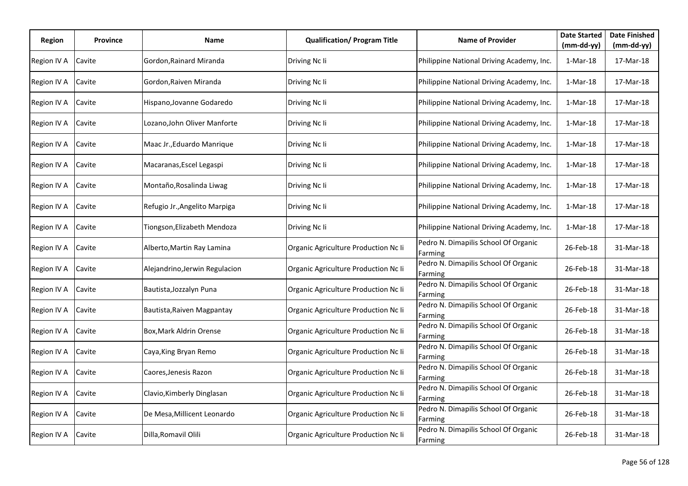| <b>Region</b> | <b>Province</b> | Name                           | <b>Qualification/ Program Title</b>  | <b>Name of Provider</b>                         | <b>Date Started</b><br>$(mm-dd-yy)$ | <b>Date Finished</b><br>$(mm-dd-yy)$ |
|---------------|-----------------|--------------------------------|--------------------------------------|-------------------------------------------------|-------------------------------------|--------------------------------------|
| Region IV A   | Cavite          | Gordon, Rainard Miranda        | Driving Nc Ii                        | Philippine National Driving Academy, Inc.       | $1-Mar-18$                          | 17-Mar-18                            |
| Region IV A   | Cavite          | Gordon, Raiven Miranda         | Driving Nc Ii                        | Philippine National Driving Academy, Inc.       | $1-Mar-18$                          | 17-Mar-18                            |
| Region IV A   | Cavite          | Hispano, Jovanne Godaredo      | Driving Nc Ii                        | Philippine National Driving Academy, Inc.       | $1-Mar-18$                          | 17-Mar-18                            |
| Region IV A   | Cavite          | Lozano,John Oliver Manforte    | Driving Nc Ii                        | Philippine National Driving Academy, Inc.       | $1-Mar-18$                          | 17-Mar-18                            |
| Region IV A   | Cavite          | Maac Jr., Eduardo Manrique     | Driving Nc Ii                        | Philippine National Driving Academy, Inc.       | $1-Mar-18$                          | 17-Mar-18                            |
| Region IV A   | Cavite          | Macaranas, Escel Legaspi       | Driving Nc Ii                        | Philippine National Driving Academy, Inc.       | $1-Mar-18$                          | 17-Mar-18                            |
| Region IV A   | Cavite          | Montaño, Rosalinda Liwag       | Driving Nc Ii                        | Philippine National Driving Academy, Inc.       | $1-Mar-18$                          | 17-Mar-18                            |
| Region IV A   | Cavite          | Refugio Jr., Angelito Marpiga  | Driving Nc Ii                        | Philippine National Driving Academy, Inc.       | $1-Mar-18$                          | 17-Mar-18                            |
| Region IV A   | Cavite          | Tiongson,Elizabeth Mendoza     | Driving Nc Ii                        | Philippine National Driving Academy, Inc.       | $1-Mar-18$                          | 17-Mar-18                            |
| Region IV A   | Cavite          | Alberto, Martin Ray Lamina     | Organic Agriculture Production Nc Ii | Pedro N. Dimapilis School Of Organic<br>Farming | 26-Feb-18                           | 31-Mar-18                            |
| Region IV A   | Cavite          | Alejandrino, Jerwin Regulacion | Organic Agriculture Production Nc Ii | Pedro N. Dimapilis School Of Organic<br>Farming | 26-Feb-18                           | 31-Mar-18                            |
| Region IV A   | Cavite          | Bautista, Jozzalyn Puna        | Organic Agriculture Production Nc Ii | Pedro N. Dimapilis School Of Organic<br>Farming | 26-Feb-18                           | 31-Mar-18                            |
| Region IV A   | Cavite          | Bautista, Raiven Magpantay     | Organic Agriculture Production Nc Ii | Pedro N. Dimapilis School Of Organic<br>Farming | 26-Feb-18                           | 31-Mar-18                            |
| Region IV A   | Cavite          | Box, Mark Aldrin Orense        | Organic Agriculture Production Nc Ii | Pedro N. Dimapilis School Of Organic<br>Farming | 26-Feb-18                           | 31-Mar-18                            |
| Region IV A   | Cavite          | Caya, King Bryan Remo          | Organic Agriculture Production Nc Ii | Pedro N. Dimapilis School Of Organic<br>Farming | 26-Feb-18                           | 31-Mar-18                            |
| Region IV A   | Cavite          | Caores,Jenesis Razon           | Organic Agriculture Production Nc Ii | Pedro N. Dimapilis School Of Organic<br>Farming | 26-Feb-18                           | 31-Mar-18                            |
| Region IV A   | Cavite          | Clavio, Kimberly Dinglasan     | Organic Agriculture Production Nc Ii | Pedro N. Dimapilis School Of Organic<br>Farming | 26-Feb-18                           | 31-Mar-18                            |
| Region IV A   | Cavite          | De Mesa, Millicent Leonardo    | Organic Agriculture Production Nc Ii | Pedro N. Dimapilis School Of Organic<br>Farming | 26-Feb-18                           | 31-Mar-18                            |
| Region IV A   | Cavite          | Dilla, Romavil Olili           | Organic Agriculture Production Nc Ii | Pedro N. Dimapilis School Of Organic<br>Farming | 26-Feb-18                           | 31-Mar-18                            |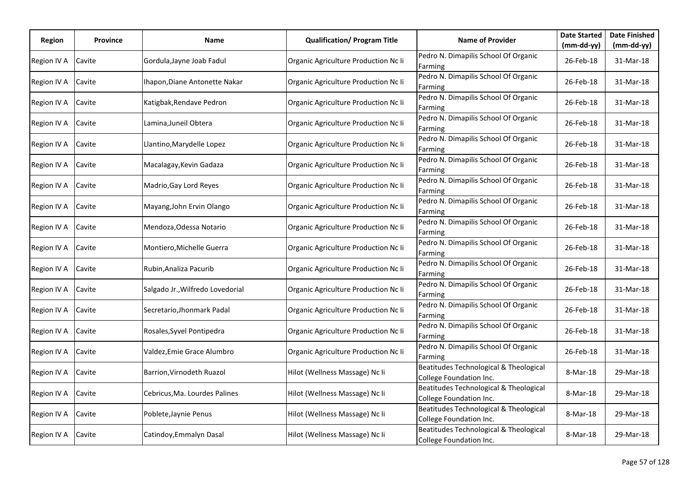| Region      | <b>Province</b> | Name                             | <b>Qualification/ Program Title</b>  | <b>Name of Provider</b>                                           | <b>Date Started</b> | <b>Date Finished</b> |
|-------------|-----------------|----------------------------------|--------------------------------------|-------------------------------------------------------------------|---------------------|----------------------|
|             |                 |                                  |                                      |                                                                   | (mm-dd-yy)          | $(mm-dd-yy)$         |
| Region IV A | Cavite          | Gordula, Jayne Joab Fadul        | Organic Agriculture Production Nc Ii | Pedro N. Dimapilis School Of Organic<br>Farming                   | 26-Feb-18           | 31-Mar-18            |
| Region IV A | Cavite          | Ihapon, Diane Antonette Nakar    | Organic Agriculture Production Nc Ii | Pedro N. Dimapilis School Of Organic<br>Farming                   | 26-Feb-18           | 31-Mar-18            |
| Region IV A | Cavite          | Katigbak, Rendave Pedron         | Organic Agriculture Production Nc Ii | Pedro N. Dimapilis School Of Organic<br>Farming                   | 26-Feb-18           | 31-Mar-18            |
| Region IV A | Cavite          | Lamina, Juneil Obtera            | Organic Agriculture Production Nc Ii | Pedro N. Dimapilis School Of Organic<br>Farming                   | 26-Feb-18           | 31-Mar-18            |
| Region IV A | Cavite          | Llantino, Marydelle Lopez        | Organic Agriculture Production Nc Ii | Pedro N. Dimapilis School Of Organic<br>Farming                   | 26-Feb-18           | 31-Mar-18            |
| Region IV A | Cavite          | Macalagay, Kevin Gadaza          | Organic Agriculture Production Nc Ii | Pedro N. Dimapilis School Of Organic<br>Farming                   | 26-Feb-18           | 31-Mar-18            |
| Region IV A | Cavite          | Madrio, Gay Lord Reyes           | Organic Agriculture Production Nc Ii | Pedro N. Dimapilis School Of Organic<br>Farming                   | 26-Feb-18           | 31-Mar-18            |
| Region IV A | Cavite          | Mayang, John Ervin Olango        | Organic Agriculture Production Nc Ii | Pedro N. Dimapilis School Of Organic<br>Farming                   | 26-Feb-18           | 31-Mar-18            |
| Region IV A | Cavite          | Mendoza, Odessa Notario          | Organic Agriculture Production Nc Ii | Pedro N. Dimapilis School Of Organic<br>Farming                   | 26-Feb-18           | 31-Mar-18            |
| Region IV A | Cavite          | Montiero, Michelle Guerra        | Organic Agriculture Production Nc Ii | Pedro N. Dimapilis School Of Organic<br>Farming                   | 26-Feb-18           | 31-Mar-18            |
| Region IV A | Cavite          | Rubin, Analiza Pacurib           | Organic Agriculture Production Nc Ii | Pedro N. Dimapilis School Of Organic<br>Farming                   | 26-Feb-18           | 31-Mar-18            |
| Region IV A | Cavite          | Salgado Jr., Wilfredo Lovedorial | Organic Agriculture Production Nc Ii | Pedro N. Dimapilis School Of Organic<br>Farming                   | 26-Feb-18           | 31-Mar-18            |
| Region IV A | Cavite          | Secretario,Jhonmark Padal        | Organic Agriculture Production Nc Ii | Pedro N. Dimapilis School Of Organic<br>Farming                   | 26-Feb-18           | 31-Mar-18            |
| Region IV A | Cavite          | Rosales, Syvel Pontipedra        | Organic Agriculture Production Nc Ii | Pedro N. Dimapilis School Of Organic<br>Farming                   | 26-Feb-18           | 31-Mar-18            |
| Region IV A | Cavite          | Valdez,Emie Grace Alumbro        | Organic Agriculture Production Nc Ii | Pedro N. Dimapilis School Of Organic<br>Farming                   | 26-Feb-18           | 31-Mar-18            |
| Region IV A | Cavite          | Barrion, Virnodeth Ruazol        | Hilot (Wellness Massage) Nc Ii       | Beatitudes Technological & Theological<br>College Foundation Inc. | 8-Mar-18            | 29-Mar-18            |
| Region IV A | Cavite          | Cebricus, Ma. Lourdes Palines    | Hilot (Wellness Massage) Nc Ii       | Beatitudes Technological & Theological<br>College Foundation Inc. | 8-Mar-18            | 29-Mar-18            |
| Region IV A | Cavite          | Poblete, Jaynie Penus            | Hilot (Wellness Massage) Nc Ii       | Beatitudes Technological & Theological<br>College Foundation Inc. | 8-Mar-18            | 29-Mar-18            |
| Region IV A | Cavite          | Catindoy, Emmalyn Dasal          | Hilot (Wellness Massage) Nc Ii       | Beatitudes Technological & Theological<br>College Foundation Inc. | 8-Mar-18            | 29-Mar-18            |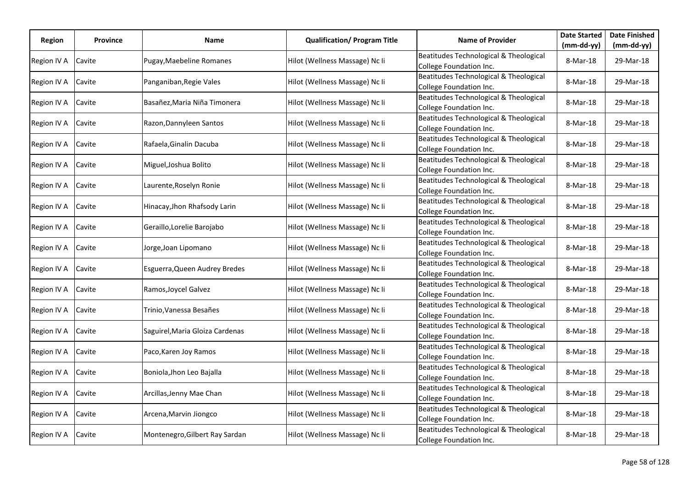| Region      | <b>Province</b> | Name                            | <b>Qualification/ Program Title</b> | <b>Name of Provider</b>                                           | <b>Date Started</b> | <b>Date Finished</b> |
|-------------|-----------------|---------------------------------|-------------------------------------|-------------------------------------------------------------------|---------------------|----------------------|
|             |                 |                                 |                                     |                                                                   | $(mm-dd-yy)$        | (mm-dd-yy)           |
| Region IV A | Cavite          | Pugay, Maebeline Romanes        | Hilot (Wellness Massage) Nc Ii      | Beatitudes Technological & Theological<br>College Foundation Inc. | 8-Mar-18            | 29-Mar-18            |
| Region IV A | Cavite          | Panganiban, Regie Vales         | Hilot (Wellness Massage) Nc Ii      | Beatitudes Technological & Theological<br>College Foundation Inc. | 8-Mar-18            | 29-Mar-18            |
| Region IV A | Cavite          | Basañez, Maria Niña Timonera    | Hilot (Wellness Massage) Nc Ii      | Beatitudes Technological & Theological<br>College Foundation Inc. | 8-Mar-18            | 29-Mar-18            |
| Region IV A | Cavite          | Razon, Dannyleen Santos         | Hilot (Wellness Massage) Nc Ii      | Beatitudes Technological & Theological<br>College Foundation Inc. | 8-Mar-18            | 29-Mar-18            |
| Region IV A | Cavite          | Rafaela, Ginalin Dacuba         | Hilot (Wellness Massage) Nc Ii      | Beatitudes Technological & Theological<br>College Foundation Inc. | 8-Mar-18            | 29-Mar-18            |
| Region IV A | Cavite          | Miguel, Joshua Bolito           | Hilot (Wellness Massage) Nc Ii      | Beatitudes Technological & Theological<br>College Foundation Inc. | 8-Mar-18            | 29-Mar-18            |
| Region IV A | Cavite          | Laurente, Roselyn Ronie         | Hilot (Wellness Massage) Nc Ii      | Beatitudes Technological & Theological<br>College Foundation Inc. | 8-Mar-18            | 29-Mar-18            |
| Region IV A | Cavite          | Hinacay, Jhon Rhafsody Larin    | Hilot (Wellness Massage) Nc Ii      | Beatitudes Technological & Theological<br>College Foundation Inc. | 8-Mar-18            | 29-Mar-18            |
| Region IV A | Cavite          | Geraillo, Lorelie Barojabo      | Hilot (Wellness Massage) Nc Ii      | Beatitudes Technological & Theological<br>College Foundation Inc. | 8-Mar-18            | 29-Mar-18            |
| Region IV A | Cavite          | Jorge, Joan Lipomano            | Hilot (Wellness Massage) Nc Ii      | Beatitudes Technological & Theological<br>College Foundation Inc. | 8-Mar-18            | 29-Mar-18            |
| Region IV A | Cavite          | Esguerra, Queen Audrey Bredes   | Hilot (Wellness Massage) Nc Ii      | Beatitudes Technological & Theological<br>College Foundation Inc. | 8-Mar-18            | 29-Mar-18            |
| Region IV A | Cavite          | Ramos, Joycel Galvez            | Hilot (Wellness Massage) Nc Ii      | Beatitudes Technological & Theological<br>College Foundation Inc. | 8-Mar-18            | 29-Mar-18            |
| Region IV A | Cavite          | Trinio, Vanessa Besañes         | Hilot (Wellness Massage) Nc Ii      | Beatitudes Technological & Theological<br>College Foundation Inc. | 8-Mar-18            | 29-Mar-18            |
| Region IV A | Cavite          | Saguirel, Maria Gloiza Cardenas | Hilot (Wellness Massage) Nc Ii      | Beatitudes Technological & Theological<br>College Foundation Inc. | 8-Mar-18            | 29-Mar-18            |
| Region IV A | Cavite          | Paco, Karen Joy Ramos           | Hilot (Wellness Massage) Nc Ii      | Beatitudes Technological & Theological<br>College Foundation Inc. | 8-Mar-18            | 29-Mar-18            |
| Region IV A | Cavite          | Boniola, Jhon Leo Bajalla       | Hilot (Wellness Massage) Nc Ii      | Beatitudes Technological & Theological<br>College Foundation Inc. | 8-Mar-18            | 29-Mar-18            |
| Region IV A | Cavite          | Arcillas, Jenny Mae Chan        | Hilot (Wellness Massage) Nc Ii      | Beatitudes Technological & Theological<br>College Foundation Inc. | 8-Mar-18            | 29-Mar-18            |
| Region IV A | Cavite          | Arcena, Marvin Jiongco          | Hilot (Wellness Massage) Nc Ii      | Beatitudes Technological & Theological<br>College Foundation Inc. | 8-Mar-18            | 29-Mar-18            |
| Region IV A | Cavite          | Montenegro, Gilbert Ray Sardan  | Hilot (Wellness Massage) Nc Ii      | Beatitudes Technological & Theological<br>College Foundation Inc. | 8-Mar-18            | 29-Mar-18            |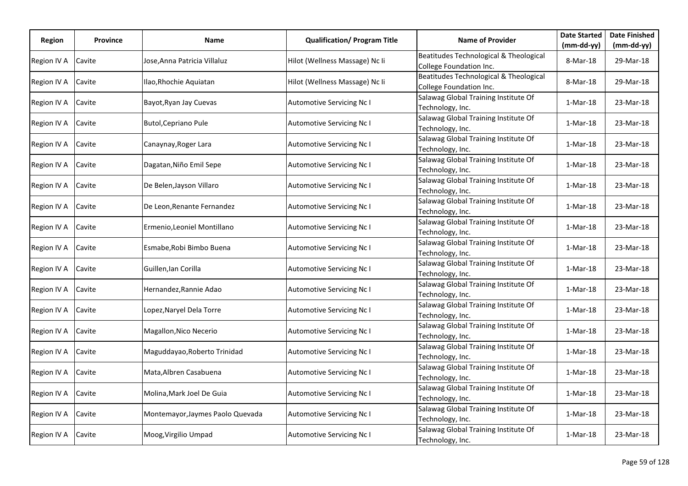| Region      | <b>Province</b> | Name                             | <b>Qualification/ Program Title</b> | <b>Name of Provider</b>                                           | <b>Date Started</b> | <b>Date Finished</b> |
|-------------|-----------------|----------------------------------|-------------------------------------|-------------------------------------------------------------------|---------------------|----------------------|
|             |                 |                                  |                                     |                                                                   | (mm-dd-yy)          | $(mm-dd-yy)$         |
| Region IV A | Cavite          | Jose,Anna Patricia Villaluz      | Hilot (Wellness Massage) Nc Ii      | Beatitudes Technological & Theological<br>College Foundation Inc. | 8-Mar-18            | 29-Mar-18            |
| Region IV A | Cavite          | Ilao, Rhochie Aquiatan           | Hilot (Wellness Massage) Nc Ii      | Beatitudes Technological & Theological<br>College Foundation Inc. | 8-Mar-18            | 29-Mar-18            |
| Region IV A | Cavite          | Bayot, Ryan Jay Cuevas           | Automotive Servicing Nc I           | Salawag Global Training Institute Of<br>Technology, Inc.          | $1-Mar-18$          | 23-Mar-18            |
| Region IV A | Cavite          | Butol, Cepriano Pule             | Automotive Servicing Nc I           | Salawag Global Training Institute Of<br>Technology, Inc.          | $1-Mar-18$          | 23-Mar-18            |
| Region IV A | Cavite          | Canaynay, Roger Lara             | <b>Automotive Servicing Nc I</b>    | Salawag Global Training Institute Of<br>Technology, Inc.          | 1-Mar-18            | 23-Mar-18            |
| Region IV A | Cavite          | Dagatan, Niño Emil Sepe          | Automotive Servicing Nc I           | Salawag Global Training Institute Of<br>Technology, Inc.          | $1-Mar-18$          | 23-Mar-18            |
| Region IV A | Cavite          | De Belen, Jayson Villaro         | <b>Automotive Servicing Nc I</b>    | Salawag Global Training Institute Of<br>Technology, Inc.          | $1-Mar-18$          | 23-Mar-18            |
| Region IV A | Cavite          | De Leon, Renante Fernandez       | <b>Automotive Servicing Nc I</b>    | Salawag Global Training Institute Of<br>Technology, Inc.          | $1-Mar-18$          | 23-Mar-18            |
| Region IV A | Cavite          | Ermenio, Leoniel Montillano      | Automotive Servicing Nc I           | Salawag Global Training Institute Of<br>Technology, Inc.          | $1-Mar-18$          | 23-Mar-18            |
| Region IV A | Cavite          | Esmabe, Robi Bimbo Buena         | <b>Automotive Servicing Nc I</b>    | Salawag Global Training Institute Of<br>Technology, Inc.          | $1-Mar-18$          | 23-Mar-18            |
| Region IV A | Cavite          | Guillen, Ian Corilla             | Automotive Servicing Nc I           | Salawag Global Training Institute Of<br>Technology, Inc.          | $1-Mar-18$          | 23-Mar-18            |
| Region IV A | Cavite          | Hernandez, Rannie Adao           | <b>Automotive Servicing Nc I</b>    | Salawag Global Training Institute Of<br>Technology, Inc.          | $1-Mar-18$          | 23-Mar-18            |
| Region IV A | Cavite          | Lopez, Naryel Dela Torre         | Automotive Servicing Nc I           | Salawag Global Training Institute Of<br>Technology, Inc.          | $1-Mar-18$          | 23-Mar-18            |
| Region IV A | Cavite          | Magallon, Nico Necerio           | Automotive Servicing Nc I           | Salawag Global Training Institute Of<br>Technology, Inc.          | $1-Mar-18$          | 23-Mar-18            |
| Region IV A | Cavite          | Maguddayao, Roberto Trinidad     | Automotive Servicing Nc I           | Salawag Global Training Institute Of<br>Technology, Inc.          | $1-Mar-18$          | 23-Mar-18            |
| Region IV A | Cavite          | Mata, Albren Casabuena           | <b>Automotive Servicing Nc I</b>    | Salawag Global Training Institute Of<br>Technology, Inc.          | $1-Mar-18$          | 23-Mar-18            |
| Region IV A | Cavite          | Molina, Mark Joel De Guia        | <b>Automotive Servicing Nc I</b>    | Salawag Global Training Institute Of<br>Technology, Inc.          | $1-Mar-18$          | 23-Mar-18            |
| Region IV A | Cavite          | Montemayor, Jaymes Paolo Quevada | <b>Automotive Servicing Nc I</b>    | Salawag Global Training Institute Of<br>Technology, Inc.          | $1-Mar-18$          | 23-Mar-18            |
| Region IV A | Cavite          | Moog, Virgilio Umpad             | <b>Automotive Servicing Nc I</b>    | Salawag Global Training Institute Of<br>Technology, Inc.          | 1-Mar-18            | 23-Mar-18            |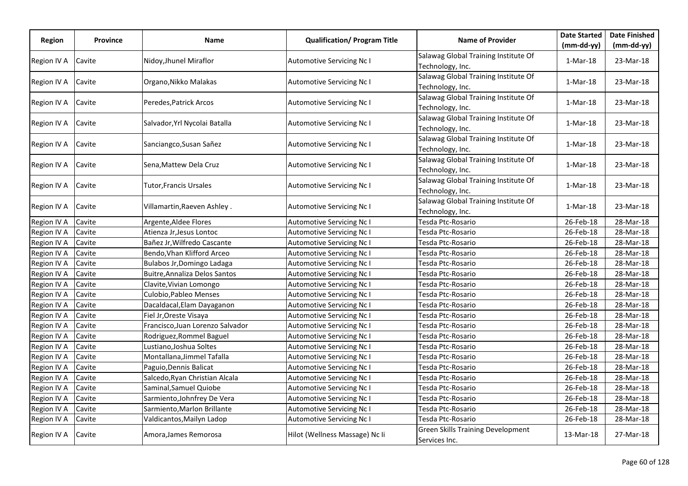|             |                 |                                  |                                     |                                                           | <b>Date Started</b> | <b>Date Finished</b> |
|-------------|-----------------|----------------------------------|-------------------------------------|-----------------------------------------------------------|---------------------|----------------------|
| Region      | <b>Province</b> | Name                             | <b>Qualification/ Program Title</b> | <b>Name of Provider</b>                                   | $(mm-dd-yy)$        | $(mm-dd-yy)$         |
| Region IV A | Cavite          | Nidoy, Jhunel Miraflor           | <b>Automotive Servicing Nc I</b>    | Salawag Global Training Institute Of<br>Technology, Inc.  | 1-Mar-18            | 23-Mar-18            |
| Region IV A | Cavite          | Organo, Nikko Malakas            | <b>Automotive Servicing Nc I</b>    | Salawag Global Training Institute Of<br>Technology, Inc.  | $1-Mar-18$          | 23-Mar-18            |
| Region IV A | Cavite          | Peredes, Patrick Arcos           | <b>Automotive Servicing Nc I</b>    | Salawag Global Training Institute Of<br>Technology, Inc.  | $1-Mar-18$          | 23-Mar-18            |
| Region IV A | Cavite          | Salvador, Yrl Nycolai Batalla    | <b>Automotive Servicing Nc I</b>    | Salawag Global Training Institute Of<br>Technology, Inc.  | 1-Mar-18            | 23-Mar-18            |
| Region IV A | Cavite          | Sanciangco, Susan Sañez          | <b>Automotive Servicing Nc I</b>    | Salawag Global Training Institute Of<br>Technology, Inc.  | $1-Mar-18$          | 23-Mar-18            |
| Region IV A | Cavite          | Sena, Mattew Dela Cruz           | Automotive Servicing Nc I           | Salawag Global Training Institute Of<br>Technology, Inc.  | $1-Mar-18$          | 23-Mar-18            |
| Region IV A | Cavite          | Tutor, Francis Ursales           | Automotive Servicing Nc I           | Salawag Global Training Institute Of<br>Technology, Inc.  | $1-Mar-18$          | 23-Mar-18            |
| Region IV A | Cavite          | Villamartin, Raeven Ashley.      | Automotive Servicing Nc I           | Salawag Global Training Institute Of<br>Technology, Inc.  | 1-Mar-18            | 23-Mar-18            |
| Region IV A | Cavite          | Argente, Aldee Flores            | <b>Automotive Servicing Nc I</b>    | Tesda Ptc-Rosario                                         | 26-Feb-18           | 28-Mar-18            |
| Region IV A | Cavite          | Atienza Jr, Jesus Lontoc         | <b>Automotive Servicing Nc I</b>    | Tesda Ptc-Rosario                                         | 26-Feb-18           | 28-Mar-18            |
| Region IV A | Cavite          | Bañez Jr, Wilfredo Cascante      | <b>Automotive Servicing Nc I</b>    | Tesda Ptc-Rosario                                         | 26-Feb-18           | 28-Mar-18            |
| Region IV A | Cavite          | Bendo, Vhan Klifford Arceo       | <b>Automotive Servicing Nc I</b>    | Tesda Ptc-Rosario                                         | 26-Feb-18           | 28-Mar-18            |
| Region IV A | Cavite          | Bulabos Jr, Domingo Ladaga       | Automotive Servicing Nc I           | Tesda Ptc-Rosario                                         | 26-Feb-18           | 28-Mar-18            |
| Region IV A | Cavite          | Buitre, Annaliza Delos Santos    | Automotive Servicing Nc I           | Tesda Ptc-Rosario                                         | 26-Feb-18           | 28-Mar-18            |
| Region IV A | Cavite          | Clavite, Vivian Lomongo          | Automotive Servicing Nc I           | Tesda Ptc-Rosario                                         | 26-Feb-18           | 28-Mar-18            |
| Region IV A | Cavite          | Culobio, Pableo Menses           | Automotive Servicing Nc I           | Tesda Ptc-Rosario                                         | 26-Feb-18           | 28-Mar-18            |
| Region IV A | Cavite          | Dacaldacal, Elam Dayaganon       | Automotive Servicing Nc I           | Tesda Ptc-Rosario                                         | 26-Feb-18           | 28-Mar-18            |
| Region IV A | Cavite          | Fiel Jr, Oreste Visaya           | <b>Automotive Servicing Nc I</b>    | Tesda Ptc-Rosario                                         | 26-Feb-18           | 28-Mar-18            |
| Region IV A | Cavite          | Francisco, Juan Lorenzo Salvador | Automotive Servicing Nc I           | Tesda Ptc-Rosario                                         | 26-Feb-18           | 28-Mar-18            |
| Region IV A | Cavite          | Rodriguez, Rommel Baguel         | Automotive Servicing Nc I           | Tesda Ptc-Rosario                                         | 26-Feb-18           | 28-Mar-18            |
| Region IV A | Cavite          | Lustiano, Joshua Soltes          | Automotive Servicing Nc I           | Tesda Ptc-Rosario                                         | 26-Feb-18           | 28-Mar-18            |
| Region IV A | Cavite          | Montallana, Jimmel Tafalla       | <b>Automotive Servicing Nc I</b>    | Tesda Ptc-Rosario                                         | 26-Feb-18           | 28-Mar-18            |
| Region IV A | Cavite          | Paguio, Dennis Balicat           | <b>Automotive Servicing Nc I</b>    | Tesda Ptc-Rosario                                         | 26-Feb-18           | 28-Mar-18            |
| Region IV A | Cavite          | Salcedo, Ryan Christian Alcala   | Automotive Servicing Nc I           | Tesda Ptc-Rosario                                         | 26-Feb-18           | 28-Mar-18            |
| Region IV A | Cavite          | Saminal, Samuel Quiobe           | Automotive Servicing Nc I           | Tesda Ptc-Rosario                                         | 26-Feb-18           | 28-Mar-18            |
| Region IV A | Cavite          | Sarmiento, Johnfrey De Vera      | Automotive Servicing Nc I           | Tesda Ptc-Rosario                                         | 26-Feb-18           | 28-Mar-18            |
| Region IV A | Cavite          | Sarmiento, Marlon Brillante      | Automotive Servicing Nc I           | Tesda Ptc-Rosario                                         | 26-Feb-18           | 28-Mar-18            |
| Region IV A | Cavite          | Valdicantos, Mailyn Ladop        | Automotive Servicing Nc I           | Tesda Ptc-Rosario                                         | 26-Feb-18           | 28-Mar-18            |
| Region IV A | Cavite          | Amora, James Remorosa            | Hilot (Wellness Massage) Nc Ii      | <b>Green Skills Training Development</b><br>Services Inc. | 13-Mar-18           | 27-Mar-18            |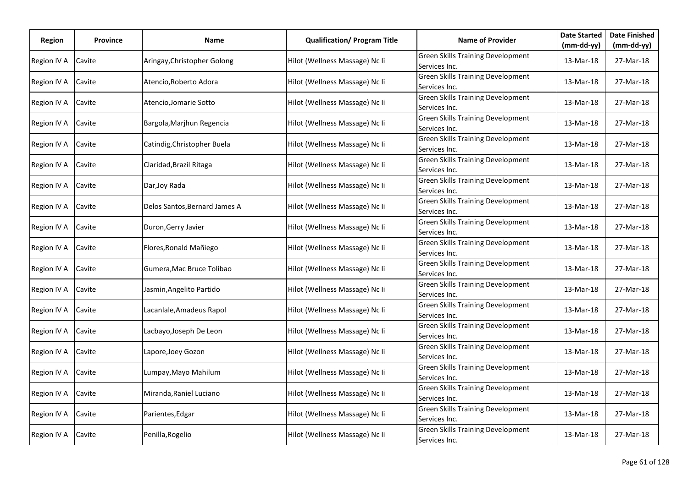| Region      |                 |                               | <b>Qualification/ Program Title</b> | <b>Name of Provider</b>                                   | <b>Date Started</b> | <b>Date Finished</b> |
|-------------|-----------------|-------------------------------|-------------------------------------|-----------------------------------------------------------|---------------------|----------------------|
|             | <b>Province</b> | Name                          |                                     |                                                           | $(mm-dd-yy)$        | $(mm-dd-yy)$         |
| Region IV A | Cavite          | Aringay, Christopher Golong   | Hilot (Wellness Massage) Nc Ii      | <b>Green Skills Training Development</b><br>Services Inc. | 13-Mar-18           | 27-Mar-18            |
| Region IV A | Cavite          | Atencio, Roberto Adora        | Hilot (Wellness Massage) Nc Ii      | <b>Green Skills Training Development</b><br>Services Inc. | 13-Mar-18           | 27-Mar-18            |
| Region IV A | Cavite          | Atencio, Jomarie Sotto        | Hilot (Wellness Massage) Nc Ii      | <b>Green Skills Training Development</b><br>Services Inc. | 13-Mar-18           | 27-Mar-18            |
| Region IV A | Cavite          | Bargola, Marjhun Regencia     | Hilot (Wellness Massage) Nc Ii      | Green Skills Training Development<br>Services Inc.        | 13-Mar-18           | 27-Mar-18            |
| Region IV A | Cavite          | Catindig, Christopher Buela   | Hilot (Wellness Massage) Nc Ii      | <b>Green Skills Training Development</b><br>Services Inc. | 13-Mar-18           | 27-Mar-18            |
| Region IV A | Cavite          | Claridad, Brazil Ritaga       | Hilot (Wellness Massage) Nc Ii      | <b>Green Skills Training Development</b><br>Services Inc. | 13-Mar-18           | 27-Mar-18            |
| Region IV A | Cavite          | Dar, Joy Rada                 | Hilot (Wellness Massage) Nc Ii      | <b>Green Skills Training Development</b><br>Services Inc. | 13-Mar-18           | 27-Mar-18            |
| Region IV A | Cavite          | Delos Santos, Bernard James A | Hilot (Wellness Massage) Nc Ii      | <b>Green Skills Training Development</b><br>Services Inc. | 13-Mar-18           | 27-Mar-18            |
| Region IV A | Cavite          | Duron, Gerry Javier           | Hilot (Wellness Massage) Nc Ii      | <b>Green Skills Training Development</b><br>Services Inc. | 13-Mar-18           | 27-Mar-18            |
| Region IV A | Cavite          | Flores, Ronald Mañiego        | Hilot (Wellness Massage) Nc Ii      | <b>Green Skills Training Development</b><br>Services Inc. | 13-Mar-18           | 27-Mar-18            |
| Region IV A | Cavite          | Gumera, Mac Bruce Tolibao     | Hilot (Wellness Massage) Nc Ii      | <b>Green Skills Training Development</b><br>Services Inc. | 13-Mar-18           | 27-Mar-18            |
| Region IV A | Cavite          | Jasmin, Angelito Partido      | Hilot (Wellness Massage) Nc Ii      | <b>Green Skills Training Development</b><br>Services Inc. | 13-Mar-18           | 27-Mar-18            |
| Region IV A | Cavite          | Lacanlale, Amadeus Rapol      | Hilot (Wellness Massage) Nc Ii      | <b>Green Skills Training Development</b><br>Services Inc. | 13-Mar-18           | 27-Mar-18            |
| Region IV A | Cavite          | Lacbayo, Joseph De Leon       | Hilot (Wellness Massage) Nc Ii      | <b>Green Skills Training Development</b><br>Services Inc. | 13-Mar-18           | 27-Mar-18            |
| Region IV A | Cavite          | Lapore, Joey Gozon            | Hilot (Wellness Massage) Nc Ii      | <b>Green Skills Training Development</b><br>Services Inc. | 13-Mar-18           | 27-Mar-18            |
| Region IV A | Cavite          | Lumpay, Mayo Mahilum          | Hilot (Wellness Massage) Nc Ii      | <b>Green Skills Training Development</b><br>Services Inc. | 13-Mar-18           | 27-Mar-18            |
| Region IV A | Cavite          | Miranda, Raniel Luciano       | Hilot (Wellness Massage) Nc Ii      | <b>Green Skills Training Development</b><br>Services Inc. | 13-Mar-18           | 27-Mar-18            |
| Region IV A | Cavite          | Parientes, Edgar              | Hilot (Wellness Massage) Nc Ii      | <b>Green Skills Training Development</b><br>Services Inc. | 13-Mar-18           | 27-Mar-18            |
| Region IV A | Cavite          | Penilla, Rogelio              | Hilot (Wellness Massage) Nc Ii      | <b>Green Skills Training Development</b><br>Services Inc. | 13-Mar-18           | 27-Mar-18            |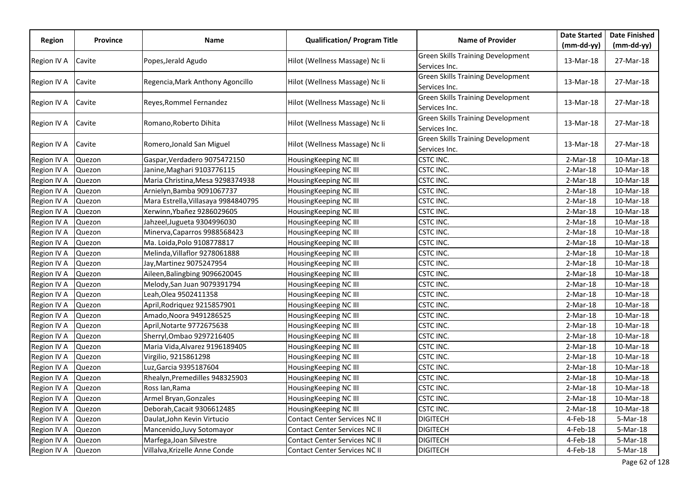|               |                 |                                     |                                     |                                                           | <b>Date Started</b> | <b>Date Finished</b> |
|---------------|-----------------|-------------------------------------|-------------------------------------|-----------------------------------------------------------|---------------------|----------------------|
| <b>Region</b> | <b>Province</b> | Name                                | <b>Qualification/ Program Title</b> | <b>Name of Provider</b>                                   | $(mm-dd-yy)$        | $(mm-dd-yy)$         |
| Region IV A   | Cavite          | Popes, Jerald Agudo                 | Hilot (Wellness Massage) Nc Ii      | <b>Green Skills Training Development</b><br>Services Inc. | 13-Mar-18           | 27-Mar-18            |
| Region IV A   | Cavite          | Regencia, Mark Anthony Agoncillo    | Hilot (Wellness Massage) Nc Ii      | <b>Green Skills Training Development</b><br>Services Inc. | 13-Mar-18           | 27-Mar-18            |
| Region IV A   | Cavite          | Reyes, Rommel Fernandez             | Hilot (Wellness Massage) Nc Ii      | Green Skills Training Development<br>Services Inc.        | 13-Mar-18           | 27-Mar-18            |
| Region IV A   | Cavite          | Romano, Roberto Dihita              | Hilot (Wellness Massage) Nc Ii      | <b>Green Skills Training Development</b><br>Services Inc. | 13-Mar-18           | 27-Mar-18            |
| Region IV A   | Cavite          | Romero, Jonald San Miguel           | Hilot (Wellness Massage) Nc Ii      | <b>Green Skills Training Development</b><br>Services Inc. | 13-Mar-18           | 27-Mar-18            |
| Region IV A   | Quezon          | Gaspar, Verdadero 9075472150        | HousingKeeping NC III               | CSTC INC.                                                 | 2-Mar-18            | 10-Mar-18            |
| Region IV A   | Quezon          | Janine, Maghari 9103776115          | HousingKeeping NC III               | CSTC INC.                                                 | $2-Mar-18$          | 10-Mar-18            |
| Region IV A   | Quezon          | Maria Christina, Mesa 9298374938    | HousingKeeping NC III               | <b>CSTC INC.</b>                                          | $2-Mar-18$          | 10-Mar-18            |
| Region IV A   | Quezon          | Arnielyn, Bamba 9091067737          | HousingKeeping NC III               | CSTC INC.                                                 | $2-Mar-18$          | 10-Mar-18            |
| Region IV A   | Quezon          | Mara Estrella, Villasaya 9984840795 | HousingKeeping NC III               | CSTC INC.                                                 | $2-Mar-18$          | 10-Mar-18            |
| Region IV A   | Quezon          | Xerwinn, Ybañez 9286029605          | HousingKeeping NC III               | CSTC INC.                                                 | 2-Mar-18            | 10-Mar-18            |
| Region IV A   | Quezon          | Jahzeel, Jugueta 9304996030         | HousingKeeping NC III               | <b>CSTC INC.</b>                                          | $2-Mar-18$          | 10-Mar-18            |
| Region IV A   | Quezon          | Minerva, Caparros 9988568423        | HousingKeeping NC III               | CSTC INC.                                                 | $2-Mar-18$          | 10-Mar-18            |
| Region IV A   | Quezon          | Ma. Loida, Polo 9108778817          | HousingKeeping NC III               | CSTC INC.                                                 | $2-Mar-18$          | 10-Mar-18            |
| Region IV A   | Quezon          | Melinda, Villaflor 9278061888       | HousingKeeping NC III               | CSTC INC.                                                 | $2-Mar-18$          | 10-Mar-18            |
| Region IV A   | Quezon          | Jay,Martinez 9075247954             | HousingKeeping NC III               | CSTC INC.                                                 | $2-Mar-18$          | 10-Mar-18            |
| Region IV A   | Quezon          | Aileen, Balingbing 9096620045       | HousingKeeping NC III               | <b>CSTC INC.</b>                                          | $2-Mar-18$          | $10-Mar-18$          |
| Region IV A   | Quezon          | Melody, San Juan 9079391794         | HousingKeeping NC III               | <b>CSTC INC.</b>                                          | $2-Mar-18$          | 10-Mar-18            |
| Region IV A   | Quezon          | Leah, Olea 9502411358               | HousingKeeping NC III               | CSTC INC.                                                 | $2-Mar-18$          | 10-Mar-18            |
| Region IV A   | Quezon          | April, Rodriquez 9215857901         | HousingKeeping NC III               | CSTC INC.                                                 | $2-Mar-18$          | 10-Mar-18            |
| Region IV A   | Quezon          | Amado, Noora 9491286525             | HousingKeeping NC III               | CSTC INC.                                                 | $2-Mar-18$          | 10-Mar-18            |
| Region IV A   | Quezon          | April,Notarte 9772675638            | HousingKeeping NC III               | CSTC INC.                                                 | 2-Mar-18            | 10-Mar-18            |
| Region IV A   | Quezon          | Sherryl, Ombao 9297216405           | HousingKeeping NC III               | <b>CSTC INC.</b>                                          | $2-Mar-18$          | 10-Mar-18            |
| Region IV A   | Quezon          | Maria Vida, Alvarez 9196189405      | HousingKeeping NC III               | CSTC INC.                                                 | $2-Mar-18$          | 10-Mar-18            |
| Region IV A   | Quezon          | Virgilio, 9215861298                | HousingKeeping NC III               | CSTC INC.                                                 | $2-Mar-18$          | 10-Mar-18            |
| Region IV A   | Quezon          | Luz, Garcia 9395187604              | HousingKeeping NC III               | CSTC INC.                                                 | $2-Mar-18$          | 10-Mar-18            |
| Region IV A   | Quezon          | Rhealyn, Premedilles 948325903      | HousingKeeping NC III               | CSTC INC.                                                 | $2-Mar-18$          | 10-Mar-18            |
| Region IV A   | Quezon          | Ross lan, Rama                      | HousingKeeping NC III               | CSTC INC.                                                 | $2-Mar-18$          | 10-Mar-18            |
| Region IV A   | Quezon          | Armel Bryan, Gonzales               | HousingKeeping NC III               | <b>CSTC INC.</b>                                          | $2-Mar-18$          | 10-Mar-18            |
| Region IV A   | Quezon          | Deborah, Cacait 9306612485          | HousingKeeping NC III               | CSTC INC.                                                 | $2-Mar-18$          | 10-Mar-18            |
| Region IV A   | Quezon          | Daulat, John Kevin Virtucio         | Contact Center Services NC II       | <b>DIGITECH</b>                                           | 4-Feb-18            | 5-Mar-18             |
| Region IV A   | Quezon          | Mancenido, Juvy Sotomayor           | Contact Center Services NC II       | <b>DIGITECH</b>                                           | 4-Feb-18            | 5-Mar-18             |
| Region IV A   | Quezon          | Marfega, Joan Silvestre             | Contact Center Services NC II       | DIGITECH                                                  | 4-Feb-18            | 5-Mar-18             |
| Region IV A   | Quezon          | Villalva, Krizelle Anne Conde       | Contact Center Services NC II       | <b>DIGITECH</b>                                           | 4-Feb-18            | 5-Mar-18             |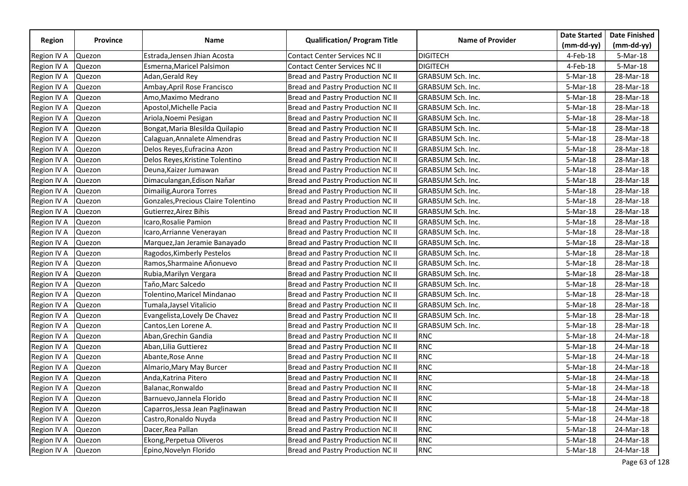|                    |                 |                                     |                                      |                          | <b>Date Started</b> | <b>Date Finished</b> |
|--------------------|-----------------|-------------------------------------|--------------------------------------|--------------------------|---------------------|----------------------|
| Region             | <b>Province</b> | Name                                | <b>Qualification/ Program Title</b>  | <b>Name of Provider</b>  | $(mm-dd-yy)$        | $(mm-dd-vy)$         |
| Region IV A        | Quezon          | Estrada, Jensen Jhian Acosta        | <b>Contact Center Services NC II</b> | <b>DIGITECH</b>          | 4-Feb-18            | 5-Mar-18             |
| Region IV A        | Quezon          | Esmerna, Maricel Palsimon           | <b>Contact Center Services NC II</b> | <b>DIGITECH</b>          | 4-Feb-18            | 5-Mar-18             |
| Region IV A        | Quezon          | Adan, Gerald Rey                    | Bread and Pastry Production NC II    | <b>GRABSUM Sch. Inc.</b> | 5-Mar-18            | 28-Mar-18            |
| Region IV A        | Quezon          | Ambay, April Rose Francisco         | Bread and Pastry Production NC II    | GRABSUM Sch. Inc.        | 5-Mar-18            | 28-Mar-18            |
| Region IV A        | Quezon          | Amo, Maximo Medrano                 | Bread and Pastry Production NC II    | GRABSUM Sch. Inc.        | 5-Mar-18            | 28-Mar-18            |
| Region IV A        | Quezon          | Apostol, Michelle Pacia             | Bread and Pastry Production NC II    | GRABSUM Sch. Inc.        | 5-Mar-18            | 28-Mar-18            |
| Region IV A        | Quezon          | Ariola, Noemi Pesigan               | Bread and Pastry Production NC II    | GRABSUM Sch. Inc.        | 5-Mar-18            | 28-Mar-18            |
| Region IV A        | Quezon          | Bongat, Maria Blesilda Quilapio     | Bread and Pastry Production NC II    | GRABSUM Sch. Inc.        | 5-Mar-18            | 28-Mar-18            |
| Region IV A        | Quezon          | Calaguan, Annalete Almendras        | Bread and Pastry Production NC II    | GRABSUM Sch. Inc.        | 5-Mar-18            | 28-Mar-18            |
| Region IV A        | Quezon          | Delos Reyes, Eufracina Azon         | Bread and Pastry Production NC II    | GRABSUM Sch. Inc.        | 5-Mar-18            | 28-Mar-18            |
| Region IV A        | Quezon          | Delos Reyes, Kristine Tolentino     | Bread and Pastry Production NC II    | GRABSUM Sch. Inc.        | 5-Mar-18            | 28-Mar-18            |
| Region IV A        | Quezon          | Deuna, Kaizer Jumawan               | Bread and Pastry Production NC II    | GRABSUM Sch. Inc.        | 5-Mar-18            | 28-Mar-18            |
| Region IV A        | Quezon          | Dimaculangan, Edison Naňar          | Bread and Pastry Production NC II    | GRABSUM Sch. Inc.        | 5-Mar-18            | 28-Mar-18            |
| Region IV A        | Quezon          | Dimailig, Aurora Torres             | Bread and Pastry Production NC II    | <b>GRABSUM Sch. Inc.</b> | 5-Mar-18            | 28-Mar-18            |
| Region IV A        | Quezon          | Gonzales, Precious Claire Tolentino | Bread and Pastry Production NC II    | GRABSUM Sch. Inc.        | 5-Mar-18            | 28-Mar-18            |
| Region IV A        | Quezon          | Gutierrez, Airez Bihis              | Bread and Pastry Production NC II    | GRABSUM Sch. Inc.        | 5-Mar-18            | 28-Mar-18            |
| Region IV A        | Quezon          | Icaro, Rosalie Pamion               | Bread and Pastry Production NC II    | GRABSUM Sch. Inc.        | 5-Mar-18            | 28-Mar-18            |
| Region IV A        | Quezon          | Icaro, Arrianne Venerayan           | Bread and Pastry Production NC II    | GRABSUM Sch. Inc.        | 5-Mar-18            | 28-Mar-18            |
| Region IV A        | Quezon          | Marquez, Jan Jeramie Banayado       | Bread and Pastry Production NC II    | <b>GRABSUM Sch. Inc.</b> | 5-Mar-18            | 28-Mar-18            |
| Region IV A        | Quezon          | Ragodos, Kimberly Pestelos          | Bread and Pastry Production NC II    | GRABSUM Sch. Inc.        | 5-Mar-18            | 28-Mar-18            |
| Region IV A        | Quezon          | Ramos, Sharmaine Aňonuevo           | Bread and Pastry Production NC II    | GRABSUM Sch. Inc.        | 5-Mar-18            | 28-Mar-18            |
| Region IV A        | Quezon          | Rubia, Marilyn Vergara              | Bread and Pastry Production NC II    | GRABSUM Sch. Inc.        | 5-Mar-18            | 28-Mar-18            |
| Region IV A        | Quezon          | Taňo,Marc Salcedo                   | Bread and Pastry Production NC II    | GRABSUM Sch. Inc.        | $5-Mar-18$          | 28-Mar-18            |
| Region IV A        | Quezon          | Tolentino, Maricel Mindanao         | Bread and Pastry Production NC II    | <b>GRABSUM Sch. Inc.</b> | 5-Mar-18            | 28-Mar-18            |
| Region IV A        | Quezon          | Tumala,Jaysel Vitalicio             | Bread and Pastry Production NC II    | GRABSUM Sch. Inc.        | 5-Mar-18            | 28-Mar-18            |
| Region IV A        | Quezon          | Evangelista, Lovely De Chavez       | Bread and Pastry Production NC II    | GRABSUM Sch. Inc.        | 5-Mar-18            | 28-Mar-18            |
| Region IV A        | Quezon          | Cantos, Len Lorene A.               | Bread and Pastry Production NC II    | GRABSUM Sch. Inc.        | 5-Mar-18            | 28-Mar-18            |
| Region IV A        | Quezon          | Aban, Grechin Gandia                | Bread and Pastry Production NC II    | <b>RNC</b>               | 5-Mar-18            | 24-Mar-18            |
| Region IV A        | Quezon          | Aban, Lilia Guttierez               | Bread and Pastry Production NC II    | <b>RNC</b>               | 5-Mar-18            | 24-Mar-18            |
| Region IV A        | Quezon          | Abante, Rose Anne                   | Bread and Pastry Production NC II    | <b>RNC</b>               | 5-Mar-18            | 24-Mar-18            |
| Region IV A        | Quezon          | Almario, Mary May Burcer            | Bread and Pastry Production NC II    | <b>RNC</b>               | 5-Mar-18            | 24-Mar-18            |
| Region IV A        | Quezon          | Anda, Katrina Pitero                | Bread and Pastry Production NC II    | <b>RNC</b>               | 5-Mar-18            | 24-Mar-18            |
| Region IV A        | Quezon          | Balanac, Ronwaldo                   | Bread and Pastry Production NC II    | <b>RNC</b>               | 5-Mar-18            | 24-Mar-18            |
| Region IV A        | Quezon          | Barnuevo, Jannela Florido           | Bread and Pastry Production NC II    | <b>RNC</b>               | 5-Mar-18            | 24-Mar-18            |
| Region IV A        | Quezon          | Caparros, Jessa Jean Paglinawan     | Bread and Pastry Production NC II    | <b>RNC</b>               | 5-Mar-18            | 24-Mar-18            |
| Region IV A        | Quezon          | Castro, Ronaldo Nuyda               | Bread and Pastry Production NC II    | <b>RNC</b>               | 5-Mar-18            | 24-Mar-18            |
| Region IV A        | Quezon          | Dacer, Rea Pallan                   | Bread and Pastry Production NC II    | <b>RNC</b>               | 5-Mar-18            | 24-Mar-18            |
| Region IV A        | Quezon          | Ekong, Perpetua Oliveros            | Bread and Pastry Production NC II    | <b>RNC</b>               | 5-Mar-18            | 24-Mar-18            |
| Region IV A Quezon |                 | Epino, Novelyn Florido              | Bread and Pastry Production NC II    | <b>RNC</b>               | 5-Mar-18            | 24-Mar-18            |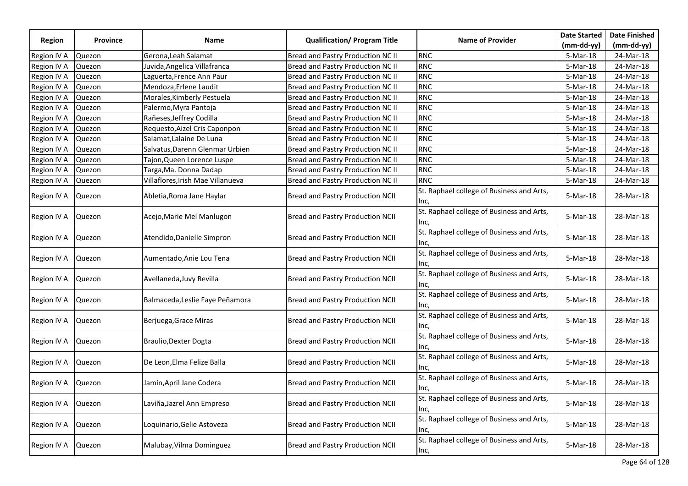|               |                 |                                   |                                         |                                                   | <b>Date Started</b> | <b>Date Finished</b> |
|---------------|-----------------|-----------------------------------|-----------------------------------------|---------------------------------------------------|---------------------|----------------------|
| <b>Region</b> | <b>Province</b> | Name                              | <b>Qualification/ Program Title</b>     | <b>Name of Provider</b>                           | $(mm-dd-yy)$        | $(mm-dd-yy)$         |
| Region IV A   | Quezon          | Gerona, Leah Salamat              | Bread and Pastry Production NC II       | <b>RNC</b>                                        | 5-Mar-18            | 24-Mar-18            |
| Region IV A   | Quezon          | Juvida, Angelica Villafranca      | Bread and Pastry Production NC II       | <b>RNC</b>                                        | 5-Mar-18            | 24-Mar-18            |
| Region IV A   | Quezon          | Laguerta, Frence Ann Paur         | Bread and Pastry Production NC II       | <b>RNC</b>                                        | 5-Mar-18            | 24-Mar-18            |
| Region IV A   | Quezon          | Mendoza, Erlene Laudit            | Bread and Pastry Production NC II       | <b>RNC</b>                                        | 5-Mar-18            | 24-Mar-18            |
| Region IV A   | Quezon          | Morales, Kimberly Pestuela        | Bread and Pastry Production NC II       | <b>RNC</b>                                        | 5-Mar-18            | 24-Mar-18            |
| Region IV A   | Quezon          | Palermo, Myra Pantoja             | Bread and Pastry Production NC II       | <b>RNC</b>                                        | 5-Mar-18            | 24-Mar-18            |
| Region IV A   | Quezon          | Rañeses, Jeffrey Codilla          | Bread and Pastry Production NC II       | <b>RNC</b>                                        | 5-Mar-18            | 24-Mar-18            |
| Region IV A   | Quezon          | Requesto, Aizel Cris Caponpon     | Bread and Pastry Production NC II       | <b>RNC</b>                                        | 5-Mar-18            | 24-Mar-18            |
| Region IV A   | Quezon          | Salamat, Lalaine De Luna          | Bread and Pastry Production NC II       | <b>RNC</b>                                        | 5-Mar-18            | 24-Mar-18            |
| Region IV A   | Quezon          | Salvatus, Darenn Glenmar Urbien   | Bread and Pastry Production NC II       | <b>RNC</b>                                        | 5-Mar-18            | 24-Mar-18            |
| Region IV A   | Quezon          | Tajon, Queen Lorence Luspe        | Bread and Pastry Production NC II       | <b>RNC</b>                                        | 5-Mar-18            | 24-Mar-18            |
| Region IV A   | Quezon          | Targa, Ma. Donna Dadap            | Bread and Pastry Production NC II       | <b>RNC</b>                                        | 5-Mar-18            | 24-Mar-18            |
| Region IV A   | Quezon          | Villaflores, Irish Mae Villanueva | Bread and Pastry Production NC II       | <b>RNC</b>                                        | 5-Mar-18            | 24-Mar-18            |
| Region IV A   | Quezon          | Abletia, Roma Jane Haylar         | <b>Bread and Pastry Production NCII</b> | St. Raphael college of Business and Arts,<br>Inc, | 5-Mar-18            | 28-Mar-18            |
| Region IV A   | Quezon          | Acejo, Marie Mel Manlugon         | <b>Bread and Pastry Production NCII</b> | St. Raphael college of Business and Arts,<br>Inc, | 5-Mar-18            | 28-Mar-18            |
| Region IV A   | Quezon          | Atendido, Danielle Simpron        | <b>Bread and Pastry Production NCII</b> | St. Raphael college of Business and Arts,<br>Inc, | 5-Mar-18            | 28-Mar-18            |
| Region IV A   | Quezon          | Aumentado, Anie Lou Tena          | Bread and Pastry Production NCII        | St. Raphael college of Business and Arts,<br>Inc, | 5-Mar-18            | 28-Mar-18            |
| Region IV A   | Quezon          | Avellaneda, Juvy Revilla          | <b>Bread and Pastry Production NCII</b> | St. Raphael college of Business and Arts,<br>Inc, | 5-Mar-18            | 28-Mar-18            |
| Region IV A   | Quezon          | Balmaceda, Leslie Faye Peñamora   | <b>Bread and Pastry Production NCII</b> | St. Raphael college of Business and Arts,<br>Inc, | 5-Mar-18            | 28-Mar-18            |
| Region IV A   | Quezon          | Berjuega, Grace Miras             | <b>Bread and Pastry Production NCII</b> | St. Raphael college of Business and Arts,<br>Inc, | 5-Mar-18            | 28-Mar-18            |
| Region IV A   | Quezon          | <b>Braulio, Dexter Dogta</b>      | Bread and Pastry Production NCII        | St. Raphael college of Business and Arts,<br>Inc, | 5-Mar-18            | 28-Mar-18            |
| Region IV A   | Quezon          | De Leon, Elma Felize Balla        | Bread and Pastry Production NCII        | St. Raphael college of Business and Arts,<br>Inc, | 5-Mar-18            | 28-Mar-18            |
| Region IV A   | Quezon          | Jamin, April Jane Codera          | <b>Bread and Pastry Production NCII</b> | St. Raphael college of Business and Arts,<br>Inc, | $5-Mar-18$          | 28-Mar-18            |
| Region IV A   | Quezon          | Laviña, Jazrel Ann Empreso        | <b>Bread and Pastry Production NCII</b> | St. Raphael college of Business and Arts,<br>Inc, | 5-Mar-18            | 28-Mar-18            |
| Region IV A   | Quezon          | Loquinario, Gelie Astoveza        | Bread and Pastry Production NCII        | St. Raphael college of Business and Arts,<br>Inc, | 5-Mar-18            | 28-Mar-18            |
| Region IV A   | Quezon          | Malubay, Vilma Dominguez          | <b>Bread and Pastry Production NCII</b> | St. Raphael college of Business and Arts,<br>Inc, | 5-Mar-18            | 28-Mar-18            |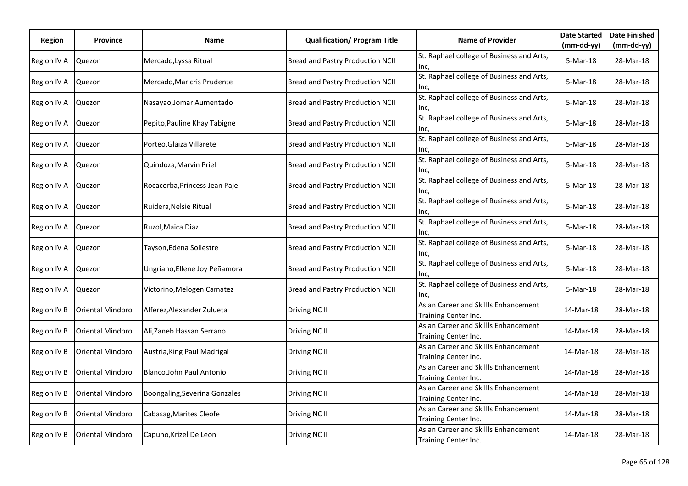| Region      | <b>Province</b>  | Name                          | <b>Qualification/ Program Title</b> | <b>Name of Provider</b>                                      | <b>Date Started</b> | <b>Date Finished</b> |
|-------------|------------------|-------------------------------|-------------------------------------|--------------------------------------------------------------|---------------------|----------------------|
|             |                  |                               |                                     |                                                              | $(mm-dd-yy)$        | $(mm-dd-yy)$         |
| Region IV A | Quezon           | Mercado, Lyssa Ritual         | Bread and Pastry Production NCII    | St. Raphael college of Business and Arts,<br>Inc,            | 5-Mar-18            | 28-Mar-18            |
| Region IV A | Quezon           | Mercado, Maricris Prudente    | Bread and Pastry Production NCII    | St. Raphael college of Business and Arts,<br>Inc,            | 5-Mar-18            | 28-Mar-18            |
| Region IV A | Quezon           | Nasayao, Jomar Aumentado      | Bread and Pastry Production NCII    | St. Raphael college of Business and Arts,<br>lnc,            | 5-Mar-18            | 28-Mar-18            |
| Region IV A | Quezon           | Pepito, Pauline Khay Tabigne  | Bread and Pastry Production NCII    | St. Raphael college of Business and Arts,<br>lnc,            | $5-Mar-18$          | 28-Mar-18            |
| Region IV A | Quezon           | Porteo, Glaiza Villarete      | Bread and Pastry Production NCII    | St. Raphael college of Business and Arts,<br>llnc,           | 5-Mar-18            | 28-Mar-18            |
| Region IV A | Quezon           | Quindoza, Marvin Priel        | Bread and Pastry Production NCII    | St. Raphael college of Business and Arts,<br>Inc,            | 5-Mar-18            | 28-Mar-18            |
| Region IV A | Quezon           | Rocacorba, Princess Jean Paje | Bread and Pastry Production NCII    | St. Raphael college of Business and Arts,<br>lnc,            | 5-Mar-18            | 28-Mar-18            |
| Region IV A | Quezon           | Ruidera, Nelsie Ritual        | Bread and Pastry Production NCII    | St. Raphael college of Business and Arts,<br>lnc,            | 5-Mar-18            | 28-Mar-18            |
| Region IV A | Quezon           | Ruzol, Maica Diaz             | Bread and Pastry Production NCII    | St. Raphael college of Business and Arts,<br>Inc,            | 5-Mar-18            | 28-Mar-18            |
| Region IV A | Quezon           | Tayson, Edena Sollestre       | Bread and Pastry Production NCII    | St. Raphael college of Business and Arts,<br>Inc,            | 5-Mar-18            | 28-Mar-18            |
| Region IV A | Quezon           | Ungriano, Ellene Joy Peñamora | Bread and Pastry Production NCII    | St. Raphael college of Business and Arts,<br>Inc,            | 5-Mar-18            | 28-Mar-18            |
| Region IV A | Quezon           | Victorino, Melogen Camatez    | Bread and Pastry Production NCII    | St. Raphael college of Business and Arts,<br>Inc,            | 5-Mar-18            | 28-Mar-18            |
| Region IV B | Oriental Mindoro | Alferez, Alexander Zulueta    | Driving NC II                       | Asian Career and Skillls Enhancement<br>Training Center Inc. | 14-Mar-18           | 28-Mar-18            |
| Region IV B | Oriental Mindoro | Ali, Zaneb Hassan Serrano     | Driving NC II                       | Asian Career and Skillls Enhancement<br>Training Center Inc. | 14-Mar-18           | 28-Mar-18            |
| Region IV B | Oriental Mindoro | Austria, King Paul Madrigal   | Driving NC II                       | Asian Career and Skillls Enhancement<br>Training Center Inc. | 14-Mar-18           | 28-Mar-18            |
| Region IV B | Oriental Mindoro | Blanco, John Paul Antonio     | Driving NC II                       | Asian Career and Skillls Enhancement<br>Training Center Inc. | 14-Mar-18           | 28-Mar-18            |
| Region IV B | Oriental Mindoro | Boongaling, Severina Gonzales | Driving NC II                       | Asian Career and Skillls Enhancement<br>Training Center Inc. | 14-Mar-18           | 28-Mar-18            |
| Region IV B | Oriental Mindoro | Cabasag, Marites Cleofe       | Driving NC II                       | Asian Career and Skillls Enhancement<br>Training Center Inc. | 14-Mar-18           | 28-Mar-18            |
| Region IV B | Oriental Mindoro | Capuno, Krizel De Leon        | Driving NC II                       | Asian Career and Skillls Enhancement<br>Training Center Inc. | 14-Mar-18           | 28-Mar-18            |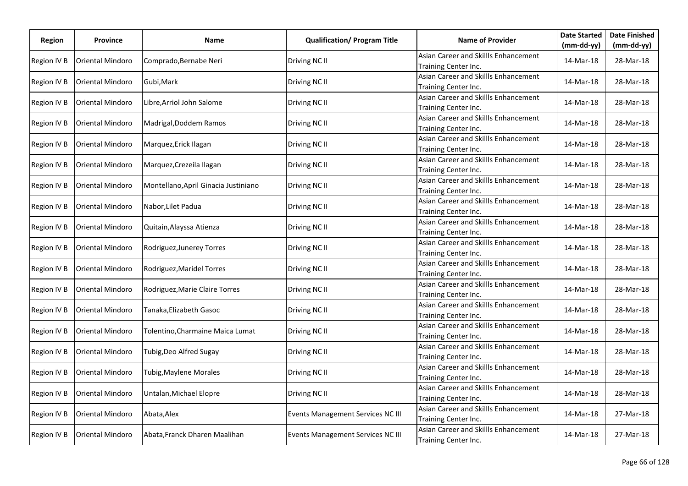| Region      | <b>Province</b>         | Name                                 | <b>Qualification/ Program Title</b> | <b>Name of Provider</b>                                      | <b>Date Started</b> | <b>Date Finished</b> |
|-------------|-------------------------|--------------------------------------|-------------------------------------|--------------------------------------------------------------|---------------------|----------------------|
|             |                         |                                      |                                     |                                                              | $(mm-dd-yy)$        | $(mm-dd-yy)$         |
| Region IV B | Oriental Mindoro        | Comprado, Bernabe Neri               | Driving NC II                       | Asian Career and Skillls Enhancement<br>Training Center Inc. | 14-Mar-18           | 28-Mar-18            |
| Region IV B | <b>Oriental Mindoro</b> | Gubi, Mark                           | Driving NC II                       | Asian Career and Skillls Enhancement<br>Training Center Inc. | 14-Mar-18           | 28-Mar-18            |
| Region IV B | Oriental Mindoro        | Libre,Arriol John Salome             | Driving NC II                       | Asian Career and Skillls Enhancement<br>Training Center Inc. | 14-Mar-18           | 28-Mar-18            |
| Region IV B | Oriental Mindoro        | Madrigal, Doddem Ramos               | Driving NC II                       | Asian Career and Skillls Enhancement<br>Training Center Inc. | 14-Mar-18           | 28-Mar-18            |
| Region IV B | <b>Oriental Mindoro</b> | Marquez, Erick Ilagan                | Driving NC II                       | Asian Career and Skillls Enhancement<br>Training Center Inc. | 14-Mar-18           | 28-Mar-18            |
| Region IV B | <b>Oriental Mindoro</b> | Marquez, Crezeila Ilagan             | Driving NC II                       | Asian Career and Skillls Enhancement<br>Training Center Inc. | 14-Mar-18           | 28-Mar-18            |
| Region IV B | <b>Oriental Mindoro</b> | Montellano, April Ginacia Justiniano | Driving NC II                       | Asian Career and Skillls Enhancement<br>Training Center Inc. | 14-Mar-18           | 28-Mar-18            |
| Region IV B | Oriental Mindoro        | Nabor, Lilet Padua                   | Driving NC II                       | Asian Career and Skillls Enhancement<br>Training Center Inc. | 14-Mar-18           | 28-Mar-18            |
| Region IV B | <b>Oriental Mindoro</b> | Quitain, Alayssa Atienza             | Driving NC II                       | Asian Career and Skillls Enhancement<br>Training Center Inc. | 14-Mar-18           | 28-Mar-18            |
| Region IV B | <b>Oriental Mindoro</b> | Rodriguez, Junerey Torres            | Driving NC II                       | Asian Career and Skillls Enhancement<br>Training Center Inc. | 14-Mar-18           | 28-Mar-18            |
| Region IV B | Oriental Mindoro        | Rodriguez, Maridel Torres            | Driving NC II                       | Asian Career and Skillls Enhancement<br>Training Center Inc. | 14-Mar-18           | 28-Mar-18            |
| Region IV B | <b>Oriental Mindoro</b> | Rodriguez, Marie Claire Torres       | Driving NC II                       | Asian Career and Skillls Enhancement<br>Training Center Inc. | 14-Mar-18           | 28-Mar-18            |
| Region IV B | <b>Oriental Mindoro</b> | Tanaka, Elizabeth Gasoc              | Driving NC II                       | Asian Career and Skillls Enhancement<br>Training Center Inc. | 14-Mar-18           | 28-Mar-18            |
| Region IV B | Oriental Mindoro        | Tolentino, Charmaine Maica Lumat     | Driving NC II                       | Asian Career and Skillls Enhancement<br>Training Center Inc. | 14-Mar-18           | 28-Mar-18            |
| Region IV B | Oriental Mindoro        | Tubig, Deo Alfred Sugay              | Driving NC II                       | Asian Career and Skillls Enhancement<br>Training Center Inc. | 14-Mar-18           | 28-Mar-18            |
| Region IV B | <b>Oriental Mindoro</b> | Tubig, Maylene Morales               | Driving NC II                       | Asian Career and Skillls Enhancement<br>Training Center Inc. | 14-Mar-18           | 28-Mar-18            |
| Region IV B | <b>Oriental Mindoro</b> | Untalan, Michael Elopre              | Driving NC II                       | Asian Career and Skillls Enhancement<br>Training Center Inc. | 14-Mar-18           | 28-Mar-18            |
| Region IV B | <b>Oriental Mindoro</b> | Abata, Alex                          | Events Management Services NC III   | Asian Career and Skillls Enhancement<br>Training Center Inc. | 14-Mar-18           | 27-Mar-18            |
| Region IV B | Oriental Mindoro        | Abata, Franck Dharen Maalihan        | Events Management Services NC III   | Asian Career and Skillls Enhancement<br>Training Center Inc. | 14-Mar-18           | 27-Mar-18            |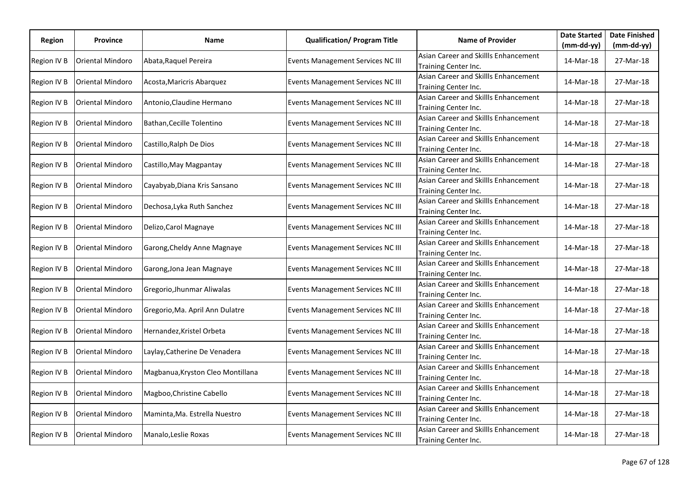| Region      | <b>Province</b>  | Name                              | <b>Qualification/ Program Title</b> | <b>Name of Provider</b>                                      | <b>Date Started</b> | <b>Date Finished</b> |
|-------------|------------------|-----------------------------------|-------------------------------------|--------------------------------------------------------------|---------------------|----------------------|
|             |                  |                                   |                                     |                                                              | $(mm-dd-yy)$        | $(mm-dd-yy)$         |
| Region IV B | Oriental Mindoro | Abata, Raquel Pereira             | Events Management Services NC III   | Asian Career and Skillls Enhancement<br>Training Center Inc. | 14-Mar-18           | 27-Mar-18            |
| Region IV B | Oriental Mindoro | Acosta, Maricris Abarquez         | Events Management Services NC III   | Asian Career and Skillls Enhancement<br>Training Center Inc. | 14-Mar-18           | 27-Mar-18            |
| Region IV B | Oriental Mindoro | Antonio, Claudine Hermano         | Events Management Services NC III   | Asian Career and Skillls Enhancement<br>Training Center Inc. | 14-Mar-18           | 27-Mar-18            |
| Region IV B | Oriental Mindoro | Bathan, Cecille Tolentino         | Events Management Services NC III   | Asian Career and Skillls Enhancement<br>Training Center Inc. | 14-Mar-18           | 27-Mar-18            |
| Region IV B | Oriental Mindoro | Castillo, Ralph De Dios           | Events Management Services NC III   | Asian Career and Skillls Enhancement<br>Training Center Inc. | 14-Mar-18           | 27-Mar-18            |
| Region IV B | Oriental Mindoro | Castillo, May Magpantay           | Events Management Services NC III   | Asian Career and Skillls Enhancement<br>Training Center Inc. | 14-Mar-18           | 27-Mar-18            |
| Region IV B | Oriental Mindoro | Cayabyab, Diana Kris Sansano      | Events Management Services NC III   | Asian Career and Skillls Enhancement<br>Training Center Inc. | 14-Mar-18           | 27-Mar-18            |
| Region IV B | Oriental Mindoro | Dechosa, Lyka Ruth Sanchez        | Events Management Services NC III   | Asian Career and Skillls Enhancement<br>Training Center Inc. | 14-Mar-18           | 27-Mar-18            |
| Region IV B | Oriental Mindoro | Delizo, Carol Magnaye             | Events Management Services NC III   | Asian Career and Skillls Enhancement<br>Training Center Inc. | 14-Mar-18           | 27-Mar-18            |
| Region IV B | Oriental Mindoro | Garong, Cheldy Anne Magnaye       | Events Management Services NC III   | Asian Career and Skillls Enhancement<br>Training Center Inc. | 14-Mar-18           | 27-Mar-18            |
| Region IV B | Oriental Mindoro | Garong, Jona Jean Magnaye         | Events Management Services NC III   | Asian Career and Skillls Enhancement<br>Training Center Inc. | 14-Mar-18           | 27-Mar-18            |
| Region IV B | Oriental Mindoro | Gregorio, Jhunmar Aliwalas        | Events Management Services NC III   | Asian Career and Skillls Enhancement<br>Training Center Inc. | 14-Mar-18           | 27-Mar-18            |
| Region IV B | Oriental Mindoro | Gregorio, Ma. April Ann Dulatre   | Events Management Services NC III   | Asian Career and Skillls Enhancement<br>Training Center Inc. | 14-Mar-18           | 27-Mar-18            |
| Region IV B | Oriental Mindoro | Hernandez, Kristel Orbeta         | Events Management Services NC III   | Asian Career and Skillls Enhancement<br>Training Center Inc. | 14-Mar-18           | 27-Mar-18            |
| Region IV B | Oriental Mindoro | Laylay, Catherine De Venadera     | Events Management Services NC III   | Asian Career and Skillls Enhancement<br>Training Center Inc. | 14-Mar-18           | 27-Mar-18            |
| Region IV B | Oriental Mindoro | Magbanua, Kryston Cleo Montillana | Events Management Services NC III   | Asian Career and Skillls Enhancement<br>Training Center Inc. | 14-Mar-18           | 27-Mar-18            |
| Region IV B | Oriental Mindoro | Magboo, Christine Cabello         | Events Management Services NC III   | Asian Career and Skillls Enhancement<br>Training Center Inc. | 14-Mar-18           | 27-Mar-18            |
| Region IV B | Oriental Mindoro | Maminta, Ma. Estrella Nuestro     | Events Management Services NC III   | Asian Career and Skillls Enhancement<br>Training Center Inc. | 14-Mar-18           | 27-Mar-18            |
| Region IV B | Oriental Mindoro | Manalo, Leslie Roxas              | Events Management Services NC III   | Asian Career and Skillls Enhancement<br>Training Center Inc. | 14-Mar-18           | 27-Mar-18            |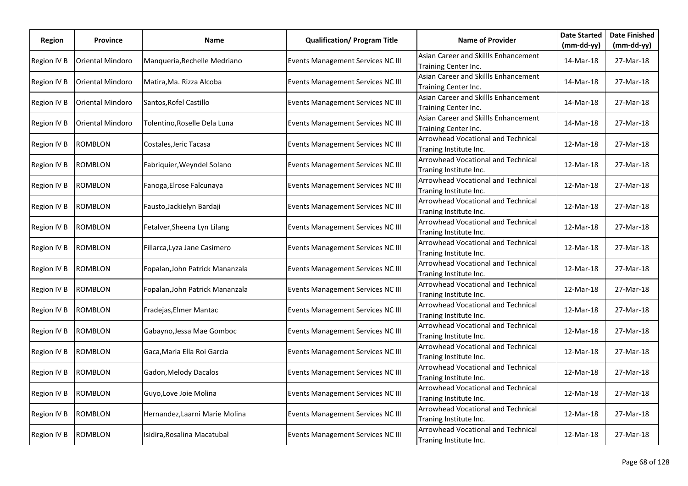| Region      | Province                | Name                           | <b>Qualification/ Program Title</b>      | <b>Name of Provider</b>                                             | <b>Date Started</b> | <b>Date Finished</b> |
|-------------|-------------------------|--------------------------------|------------------------------------------|---------------------------------------------------------------------|---------------------|----------------------|
|             |                         |                                |                                          |                                                                     | $(mm-dd-yy)$        | (mm-dd-yy)           |
| Region IV B | Oriental Mindoro        | Manqueria, Rechelle Medriano   | <b>Events Management Services NC III</b> | Asian Career and Skillls Enhancement<br>Training Center Inc.        | 14-Mar-18           | 27-Mar-18            |
| Region IV B | <b>Oriental Mindoro</b> | Matira, Ma. Rizza Alcoba       | Events Management Services NC III        | Asian Career and Skillls Enhancement<br>Training Center Inc.        | 14-Mar-18           | 27-Mar-18            |
| Region IV B | <b>Oriental Mindoro</b> | Santos, Rofel Castillo         | Events Management Services NC III        | Asian Career and Skillls Enhancement<br>Training Center Inc.        | 14-Mar-18           | 27-Mar-18            |
| Region IV B | Oriental Mindoro        | Tolentino,Roselle Dela Luna    | Events Management Services NC III        | Asian Career and Skillls Enhancement<br>Training Center Inc.        | 14-Mar-18           | 27-Mar-18            |
| Region IV B | <b>ROMBLON</b>          | Costales,Jeric Tacasa          | Events Management Services NC III        | Arrowhead Vocational and Technical<br>Traning Institute Inc.        | 12-Mar-18           | 27-Mar-18            |
| Region IV B | <b>ROMBLON</b>          | Fabriquier, Weyndel Solano     | Events Management Services NC III        | Arrowhead Vocational and Technical<br>Traning Institute Inc.        | 12-Mar-18           | 27-Mar-18            |
| Region IV B | <b>ROMBLON</b>          | Fanoga, Elrose Falcunaya       | Events Management Services NC III        | <b>Arrowhead Vocational and Technical</b><br>Traning Institute Inc. | 12-Mar-18           | 27-Mar-18            |
| Region IV B | <b>ROMBLON</b>          | Fausto, Jackielyn Bardaji      | Events Management Services NC III        | <b>Arrowhead Vocational and Technical</b><br>Traning Institute Inc. | 12-Mar-18           | 27-Mar-18            |
| Region IV B | <b>ROMBLON</b>          | Fetalver, Sheena Lyn Lilang    | Events Management Services NC III        | Arrowhead Vocational and Technical<br>Traning Institute Inc.        | 12-Mar-18           | 27-Mar-18            |
| Region IV B | <b>ROMBLON</b>          | Fillarca, Lyza Jane Casimero   | Events Management Services NC III        | <b>Arrowhead Vocational and Technical</b><br>Traning Institute Inc. | 12-Mar-18           | 27-Mar-18            |
| Region IV B | <b>ROMBLON</b>          | Fopalan,John Patrick Mananzala | Events Management Services NC III        | Arrowhead Vocational and Technical<br>Traning Institute Inc.        | 12-Mar-18           | 27-Mar-18            |
| Region IV B | <b>ROMBLON</b>          | Fopalan,John Patrick Mananzala | Events Management Services NC III        | <b>Arrowhead Vocational and Technical</b><br>Traning Institute Inc. | 12-Mar-18           | 27-Mar-18            |
| Region IV B | <b>ROMBLON</b>          | Fradejas, Elmer Mantac         | Events Management Services NC III        | <b>Arrowhead Vocational and Technical</b><br>Traning Institute Inc. | 12-Mar-18           | 27-Mar-18            |
| Region IV B | <b>ROMBLON</b>          | Gabayno, Jessa Mae Gomboc      | Events Management Services NC III        | Arrowhead Vocational and Technical<br>Traning Institute Inc.        | 12-Mar-18           | 27-Mar-18            |
| Region IV B | <b>ROMBLON</b>          | Gaca,Maria Ella Roi Garcia     | Events Management Services NC III        | Arrowhead Vocational and Technical<br>Traning Institute Inc.        | 12-Mar-18           | 27-Mar-18            |
| Region IV B | <b>ROMBLON</b>          | Gadon,Melody Dacalos           | Events Management Services NC III        | Arrowhead Vocational and Technical<br>Traning Institute Inc.        | 12-Mar-18           | 27-Mar-18            |
| Region IV B | <b>ROMBLON</b>          | Guyo, Love Joie Molina         | Events Management Services NC III        | <b>Arrowhead Vocational and Technical</b><br>Traning Institute Inc. | 12-Mar-18           | 27-Mar-18            |
| Region IV B | <b>ROMBLON</b>          | Hernandez, Laarni Marie Molina | Events Management Services NC III        | Arrowhead Vocational and Technical<br>Traning Institute Inc.        | 12-Mar-18           | 27-Mar-18            |
| Region IV B | <b>ROMBLON</b>          | Isidira,Rosalina Macatubal     | Events Management Services NC III        | Arrowhead Vocational and Technical<br>Traning Institute Inc.        | 12-Mar-18           | 27-Mar-18            |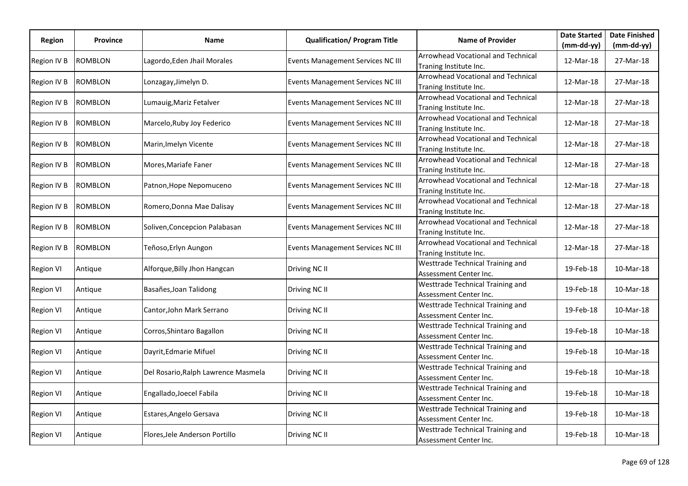| Region           | <b>Province</b> | Name                                | <b>Qualification/ Program Title</b> | <b>Name of Provider</b>                                             | <b>Date Started</b> | <b>Date Finished</b> |
|------------------|-----------------|-------------------------------------|-------------------------------------|---------------------------------------------------------------------|---------------------|----------------------|
|                  |                 |                                     |                                     |                                                                     | $(mm-dd-yy)$        | $(mm-dd-yy)$         |
| Region IV B      | ROMBLON         | Lagordo,Eden Jhail Morales          | Events Management Services NC III   | <b>Arrowhead Vocational and Technical</b><br>Traning Institute Inc. | 12-Mar-18           | 27-Mar-18            |
| Region IV B      | <b>ROMBLON</b>  | Lonzagay, Jimelyn D.                | Events Management Services NC III   | <b>Arrowhead Vocational and Technical</b><br>Traning Institute Inc. | 12-Mar-18           | 27-Mar-18            |
| Region IV B      | ROMBLON         | Lumauig, Mariz Fetalver             | Events Management Services NC III   | <b>Arrowhead Vocational and Technical</b><br>Traning Institute Inc. | 12-Mar-18           | 27-Mar-18            |
| Region IV B      | <b>ROMBLON</b>  | Marcelo, Ruby Joy Federico          | Events Management Services NC III   | Arrowhead Vocational and Technical<br>Traning Institute Inc.        | 12-Mar-18           | 27-Mar-18            |
| Region IV B      | <b>ROMBLON</b>  | Marin, Imelyn Vicente               | Events Management Services NC III   | Arrowhead Vocational and Technical<br>Traning Institute Inc.        | 12-Mar-18           | 27-Mar-18            |
| Region IV B      | ROMBLON         | Mores, Mariafe Faner                | Events Management Services NC III   | Arrowhead Vocational and Technical<br>Traning Institute Inc.        | 12-Mar-18           | 27-Mar-18            |
| Region IV B      | ROMBLON         | Patnon, Hope Nepomuceno             | Events Management Services NC III   | Arrowhead Vocational and Technical<br>Traning Institute Inc.        | 12-Mar-18           | 27-Mar-18            |
| Region IV B      | ROMBLON         | Romero, Donna Mae Dalisay           | Events Management Services NC III   | Arrowhead Vocational and Technical<br>Traning Institute Inc.        | 12-Mar-18           | 27-Mar-18            |
| Region IV B      | ROMBLON         | Soliven, Concepcion Palabasan       | Events Management Services NC III   | <b>Arrowhead Vocational and Technical</b><br>Traning Institute Inc. | 12-Mar-18           | 27-Mar-18            |
| Region IV B      | ROMBLON         | Teñoso, Erlyn Aungon                | Events Management Services NC III   | <b>Arrowhead Vocational and Technical</b><br>Traning Institute Inc. | 12-Mar-18           | 27-Mar-18            |
| <b>Region VI</b> | Antique         | Alforque, Billy Jhon Hangcan        | Driving NC II                       | Westtrade Technical Training and<br>Assessment Center Inc.          | 19-Feb-18           | 10-Mar-18            |
| <b>Region VI</b> | Antique         | Basañes, Joan Talidong              | Driving NC II                       | Westtrade Technical Training and<br>Assessment Center Inc.          | 19-Feb-18           | 10-Mar-18            |
| <b>Region VI</b> | Antique         | Cantor, John Mark Serrano           | Driving NC II                       | Westtrade Technical Training and<br>Assessment Center Inc.          | 19-Feb-18           | 10-Mar-18            |
| <b>Region VI</b> | Antique         | Corros, Shintaro Bagallon           | Driving NC II                       | Westtrade Technical Training and<br>Assessment Center Inc.          | 19-Feb-18           | 10-Mar-18            |
| <b>Region VI</b> | Antique         | Dayrit, Edmarie Mifuel              | Driving NC II                       | Westtrade Technical Training and<br>Assessment Center Inc.          | 19-Feb-18           | 10-Mar-18            |
| <b>Region VI</b> | Antique         | Del Rosario, Ralph Lawrence Masmela | Driving NC II                       | Westtrade Technical Training and<br>Assessment Center Inc.          | 19-Feb-18           | 10-Mar-18            |
| <b>Region VI</b> | Antique         | Engallado, Joecel Fabila            | Driving NC II                       | Westtrade Technical Training and<br>Assessment Center Inc.          | 19-Feb-18           | 10-Mar-18            |
| <b>Region VI</b> | Antique         | Estares, Angelo Gersava             | Driving NC II                       | Westtrade Technical Training and<br>Assessment Center Inc.          | 19-Feb-18           | 10-Mar-18            |
| <b>Region VI</b> | Antique         | Flores, Jele Anderson Portillo      | Driving NC II                       | Westtrade Technical Training and<br>Assessment Center Inc.          | 19-Feb-18           | 10-Mar-18            |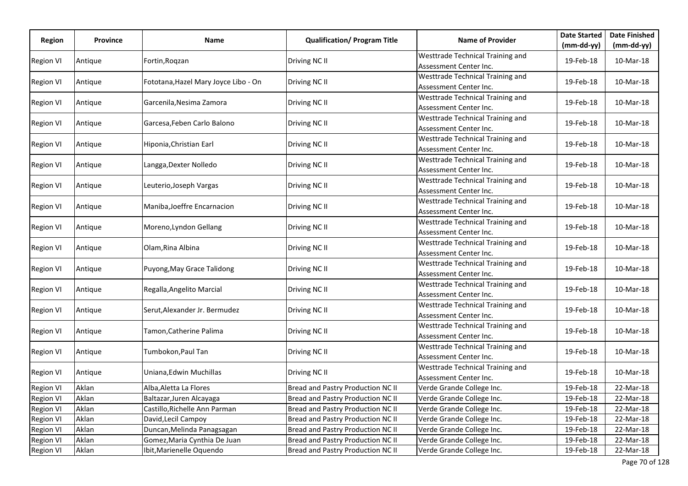|                  |                 |                                      |                                     | <b>Name of Provider</b>                                    | <b>Date Started</b> | <b>Date Finished</b> |
|------------------|-----------------|--------------------------------------|-------------------------------------|------------------------------------------------------------|---------------------|----------------------|
| Region           | <b>Province</b> | Name                                 | <b>Qualification/ Program Title</b> |                                                            | $(mm-dd-yy)$        | $(mm-dd-yy)$         |
| <b>Region VI</b> | Antique         | Fortin, Roqzan                       | Driving NC II                       | Westtrade Technical Training and<br>Assessment Center Inc. | 19-Feb-18           | 10-Mar-18            |
| <b>Region VI</b> | Antique         | Fototana, Hazel Mary Joyce Libo - On | Driving NC II                       | Westtrade Technical Training and<br>Assessment Center Inc. | 19-Feb-18           | 10-Mar-18            |
| <b>Region VI</b> | Antique         | Garcenila, Nesima Zamora             | Driving NC II                       | Westtrade Technical Training and<br>Assessment Center Inc. | 19-Feb-18           | 10-Mar-18            |
| Region VI        | Antique         | Garcesa, Feben Carlo Balono          | Driving NC II                       | Westtrade Technical Training and<br>Assessment Center Inc. | 19-Feb-18           | 10-Mar-18            |
| <b>Region VI</b> | Antique         | Hiponia, Christian Earl              | Driving NC II                       | Westtrade Technical Training and<br>Assessment Center Inc. | 19-Feb-18           | 10-Mar-18            |
| <b>Region VI</b> | Antique         | Langga, Dexter Nolledo               | Driving NC II                       | Westtrade Technical Training and<br>Assessment Center Inc. | 19-Feb-18           | 10-Mar-18            |
| Region VI        | Antique         | Leuterio, Joseph Vargas              | Driving NC II                       | Westtrade Technical Training and<br>Assessment Center Inc. | 19-Feb-18           | 10-Mar-18            |
| <b>Region VI</b> | Antique         | Maniba, Joeffre Encarnacion          | Driving NC II                       | Westtrade Technical Training and<br>Assessment Center Inc. | 19-Feb-18           | 10-Mar-18            |
| <b>Region VI</b> | Antique         | Moreno, Lyndon Gellang               | Driving NC II                       | Westtrade Technical Training and<br>Assessment Center Inc. | 19-Feb-18           | 10-Mar-18            |
| Region VI        | Antique         | Olam, Rina Albina                    | Driving NC II                       | Westtrade Technical Training and<br>Assessment Center Inc. | 19-Feb-18           | 10-Mar-18            |
| <b>Region VI</b> | Antique         | Puyong, May Grace Talidong           | Driving NC II                       | Westtrade Technical Training and<br>Assessment Center Inc. | 19-Feb-18           | 10-Mar-18            |
| <b>Region VI</b> | Antique         | Regalla, Angelito Marcial            | Driving NC II                       | Westtrade Technical Training and<br>Assessment Center Inc. | 19-Feb-18           | 10-Mar-18            |
| Region VI        | Antique         | Serut, Alexander Jr. Bermudez        | Driving NC II                       | Westtrade Technical Training and<br>Assessment Center Inc. | 19-Feb-18           | 10-Mar-18            |
| <b>Region VI</b> | Antique         | Tamon, Catherine Palima              | Driving NC II                       | Westtrade Technical Training and<br>Assessment Center Inc. | 19-Feb-18           | 10-Mar-18            |
| <b>Region VI</b> | Antique         | Tumbokon,Paul Tan                    | Driving NC II                       | Westtrade Technical Training and<br>Assessment Center Inc. | 19-Feb-18           | 10-Mar-18            |
| <b>Region VI</b> | Antique         | Uniana, Edwin Muchillas              | Driving NC II                       | Westtrade Technical Training and<br>Assessment Center Inc. | 19-Feb-18           | 10-Mar-18            |
| <b>Region VI</b> | Aklan           | Alba, Aletta La Flores               | Bread and Pastry Production NC II   | Verde Grande College Inc.                                  | 19-Feb-18           | 22-Mar-18            |
| <b>Region VI</b> | Aklan           | Baltazar, Juren Alcayaga             | Bread and Pastry Production NC II   | Verde Grande College Inc.                                  | 19-Feb-18           | 22-Mar-18            |
| Region VI        | Aklan           | Castillo, Richelle Ann Parman        | Bread and Pastry Production NC II   | Verde Grande College Inc.                                  | 19-Feb-18           | 22-Mar-18            |
| <b>Region VI</b> | Aklan           | David, Lecil Campoy                  | Bread and Pastry Production NC II   | Verde Grande College Inc.                                  | 19-Feb-18           | 22-Mar-18            |
| Region VI        | Aklan           | Duncan, Melinda Panagsagan           | Bread and Pastry Production NC II   | Verde Grande College Inc.                                  | 19-Feb-18           | 22-Mar-18            |
| <b>Region VI</b> | Aklan           | Gomez, Maria Cynthia De Juan         | Bread and Pastry Production NC II   | Verde Grande College Inc.                                  | 19-Feb-18           | 22-Mar-18            |
| <b>Region VI</b> | Aklan           | Ibit, Marienelle Oquendo             | Bread and Pastry Production NC II   | Verde Grande College Inc.                                  | 19-Feb-18           | 22-Mar-18            |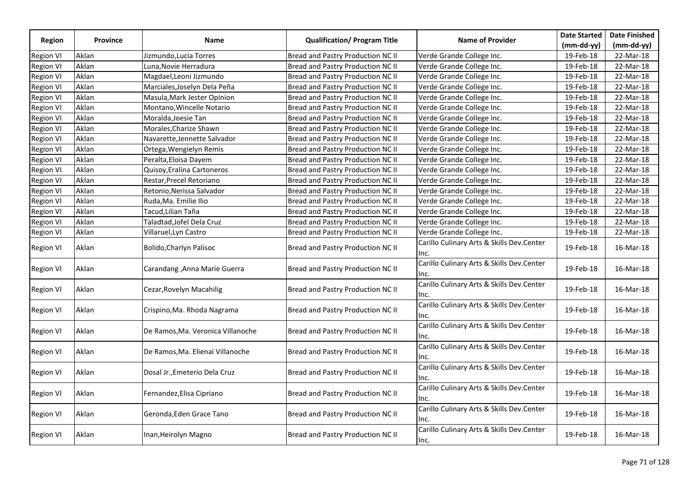|                  |                 |                                   |                                     |                                                   | <b>Date Started</b> | <b>Date Finished</b> |
|------------------|-----------------|-----------------------------------|-------------------------------------|---------------------------------------------------|---------------------|----------------------|
| <b>Region</b>    | <b>Province</b> | Name                              | <b>Qualification/ Program Title</b> | <b>Name of Provider</b>                           | (mm-dd-yy)          | $(mm-dd-yy)$         |
| <b>Region VI</b> | Aklan           | Jizmundo,Lucia Torres             | Bread and Pastry Production NC II   | Verde Grande College Inc.                         | 19-Feb-18           | 22-Mar-18            |
| <b>Region VI</b> | Aklan           | Luna, Novie Herradura             | Bread and Pastry Production NC II   | Verde Grande College Inc.                         | 19-Feb-18           | 22-Mar-18            |
| <b>Region VI</b> | Aklan           | Magdael, Leoni Jizmundo           | Bread and Pastry Production NC II   | Verde Grande College Inc.                         | 19-Feb-18           | 22-Mar-18            |
| <b>Region VI</b> | Aklan           | Marciales, Joselyn Dela Peña      | Bread and Pastry Production NC II   | Verde Grande College Inc.                         | 19-Feb-18           | 22-Mar-18            |
| <b>Region VI</b> | Aklan           | Masula, Mark Jester Opinion       | Bread and Pastry Production NC II   | Verde Grande College Inc.                         | 19-Feb-18           | 22-Mar-18            |
| <b>Region VI</b> | Aklan           | Montano, Wincelle Notario         | Bread and Pastry Production NC II   | Verde Grande College Inc.                         | 19-Feb-18           | 22-Mar-18            |
| <b>Region VI</b> | Aklan           | Moralda, Joesie Tan               | Bread and Pastry Production NC II   | Verde Grande College Inc.                         | 19-Feb-18           | 22-Mar-18            |
| <b>Region VI</b> | Aklan           | Morales, Charize Shawn            | Bread and Pastry Production NC II   | Verde Grande College Inc.                         | 19-Feb-18           | 22-Mar-18            |
| <b>Region VI</b> | Aklan           | Navarette, Jennette Salvador      | Bread and Pastry Production NC II   | Verde Grande College Inc.                         | 19-Feb-18           | 22-Mar-18            |
| <b>Region VI</b> | Aklan           | Ortega, Wengielyn Remis           | Bread and Pastry Production NC II   | Verde Grande College Inc.                         | 19-Feb-18           | 22-Mar-18            |
| <b>Region VI</b> | Aklan           | Peralta, Eloisa Dayem             | Bread and Pastry Production NC II   | Verde Grande College Inc.                         | 19-Feb-18           | 22-Mar-18            |
| <b>Region VI</b> | Aklan           | Quisoy, Eralina Cartoneros        | Bread and Pastry Production NC II   | Verde Grande College Inc.                         | 19-Feb-18           | 22-Mar-18            |
| <b>Region VI</b> | Aklan           | Restar, Precel Retoriano          | Bread and Pastry Production NC II   | Verde Grande College Inc.                         | 19-Feb-18           | 22-Mar-18            |
| <b>Region VI</b> | Aklan           | Retonio, Nerissa Salvador         | Bread and Pastry Production NC II   | Verde Grande College Inc.                         | 19-Feb-18           | 22-Mar-18            |
| <b>Region VI</b> | Aklan           | Ruda, Ma. Emilie Ilio             | Bread and Pastry Production NC II   | Verde Grande College Inc.                         | 19-Feb-18           | 22-Mar-18            |
| <b>Region VI</b> | Aklan           | Tacud, Lilian Taña                | Bread and Pastry Production NC II   | Verde Grande College Inc.                         | 19-Feb-18           | 22-Mar-18            |
| <b>Region VI</b> | Aklan           | Taladtad, Jofel Dela Cruz         | Bread and Pastry Production NC II   | Verde Grande College Inc.                         | 19-Feb-18           | 22-Mar-18            |
| <b>Region VI</b> | Aklan           | Villaruel, Lyn Castro             | Bread and Pastry Production NC II   | Verde Grande College Inc.                         | 19-Feb-18           | 22-Mar-18            |
| <b>Region VI</b> | Aklan           | Bolido, Charlyn Palisoc           | Bread and Pastry Production NC II   | Carillo Culinary Arts & Skills Dev.Center<br>Inc. | 19-Feb-18           | 16-Mar-18            |
| <b>Region VI</b> | Aklan           | Carandang , Anna Marie Guerra     | Bread and Pastry Production NC II   | Carillo Culinary Arts & Skills Dev.Center<br>lnc. | 19-Feb-18           | 16-Mar-18            |
| <b>Region VI</b> | Aklan           | Cezar, Rovelyn Macahilig          | Bread and Pastry Production NC II   | Carillo Culinary Arts & Skills Dev.Center<br>Inc. | 19-Feb-18           | 16-Mar-18            |
| <b>Region VI</b> | Aklan           | Crispino, Ma. Rhoda Nagrama       | Bread and Pastry Production NC II   | Carillo Culinary Arts & Skills Dev.Center<br>Inc. | 19-Feb-18           | 16-Mar-18            |
| <b>Region VI</b> | Aklan           | De Ramos, Ma. Veronica Villanoche | Bread and Pastry Production NC II   | Carillo Culinary Arts & Skills Dev.Center<br>lnc. | 19-Feb-18           | 16-Mar-18            |
| <b>Region VI</b> | Aklan           | De Ramos, Ma. Elienai Villanoche  | Bread and Pastry Production NC II   | Carillo Culinary Arts & Skills Dev.Center<br>Inc. | 19-Feb-18           | 16-Mar-18            |
| <b>Region VI</b> | Aklan           | Dosal Jr., Emeterio Dela Cruz     | Bread and Pastry Production NC II   | Carillo Culinary Arts & Skills Dev.Center<br>Inc. | 19-Feb-18           | 16-Mar-18            |
| <b>Region VI</b> | Aklan           | Fernandez, Elisa Cipriano         | Bread and Pastry Production NC II   | Carillo Culinary Arts & Skills Dev.Center<br>Inc. | 19-Feb-18           | 16-Mar-18            |
| <b>Region VI</b> | Aklan           | Geronda, Eden Grace Tano          | Bread and Pastry Production NC II   | Carillo Culinary Arts & Skills Dev.Center<br>lnc. | 19-Feb-18           | 16-Mar-18            |
| <b>Region VI</b> | Aklan           | Inan, Heirolyn Magno              | Bread and Pastry Production NC II   | Carillo Culinary Arts & Skills Dev.Center<br>Inc. | 19-Feb-18           | 16-Mar-18            |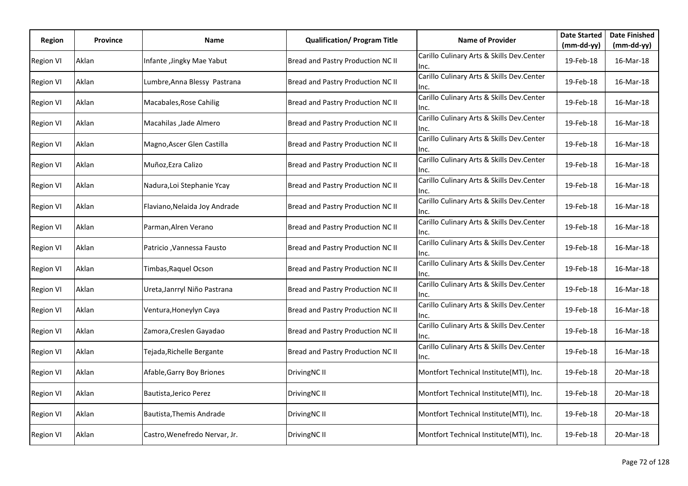| Region           | <b>Province</b> | Name                          | <b>Qualification/ Program Title</b> | <b>Name of Provider</b>                           | <b>Date Started</b> | <b>Date Finished</b> |
|------------------|-----------------|-------------------------------|-------------------------------------|---------------------------------------------------|---------------------|----------------------|
|                  |                 |                               |                                     |                                                   | (mm-dd-yy)          | $(mm-dd-yy)$         |
| <b>Region VI</b> | Aklan           | Infante, Jingky Mae Yabut     | Bread and Pastry Production NC II   | Carillo Culinary Arts & Skills Dev.Center<br>Inc. | 19-Feb-18           | 16-Mar-18            |
| <b>Region VI</b> | Aklan           | Lumbre, Anna Blessy Pastrana  | Bread and Pastry Production NC II   | Carillo Culinary Arts & Skills Dev.Center<br>Inc. | 19-Feb-18           | 16-Mar-18            |
| <b>Region VI</b> | Aklan           | Macabales, Rose Cahilig       | Bread and Pastry Production NC II   | Carillo Culinary Arts & Skills Dev.Center<br>Inc. | 19-Feb-18           | 16-Mar-18            |
| <b>Region VI</b> | Aklan           | Macahilas , Jade Almero       | Bread and Pastry Production NC II   | Carillo Culinary Arts & Skills Dev.Center<br>Inc. | 19-Feb-18           | 16-Mar-18            |
| <b>Region VI</b> | Aklan           | Magno, Ascer Glen Castilla    | Bread and Pastry Production NC II   | Carillo Culinary Arts & Skills Dev.Center<br>Inc. | 19-Feb-18           | 16-Mar-18            |
| <b>Region VI</b> | Aklan           | Muñoz, Ezra Calizo            | Bread and Pastry Production NC II   | Carillo Culinary Arts & Skills Dev.Center<br>Inc. | 19-Feb-18           | 16-Mar-18            |
| <b>Region VI</b> | Aklan           | Nadura, Loi Stephanie Ycay    | Bread and Pastry Production NC II   | Carillo Culinary Arts & Skills Dev.Center<br>Inc. | 19-Feb-18           | 16-Mar-18            |
| <b>Region VI</b> | Aklan           | Flaviano, Nelaida Joy Andrade | Bread and Pastry Production NC II   | Carillo Culinary Arts & Skills Dev.Center<br>Inc. | 19-Feb-18           | 16-Mar-18            |
| <b>Region VI</b> | Aklan           | Parman, Alren Verano          | Bread and Pastry Production NC II   | Carillo Culinary Arts & Skills Dev.Center<br>Inc. | 19-Feb-18           | 16-Mar-18            |
| <b>Region VI</b> | Aklan           | Patricio, Vannessa Fausto     | Bread and Pastry Production NC II   | Carillo Culinary Arts & Skills Dev.Center<br>Inc. | 19-Feb-18           | 16-Mar-18            |
| <b>Region VI</b> | Aklan           | Timbas, Raquel Ocson          | Bread and Pastry Production NC II   | Carillo Culinary Arts & Skills Dev.Center<br>Inc. | 19-Feb-18           | 16-Mar-18            |
| <b>Region VI</b> | Aklan           | Ureta, Janrryl Niño Pastrana  | Bread and Pastry Production NC II   | Carillo Culinary Arts & Skills Dev.Center<br>Inc. | 19-Feb-18           | 16-Mar-18            |
| <b>Region VI</b> | Aklan           | Ventura, Honeylyn Caya        | Bread and Pastry Production NC II   | Carillo Culinary Arts & Skills Dev.Center<br>Inc. | 19-Feb-18           | 16-Mar-18            |
| <b>Region VI</b> | Aklan           | Zamora,Creslen Gayadao        | Bread and Pastry Production NC II   | Carillo Culinary Arts & Skills Dev.Center<br>Inc. | 19-Feb-18           | 16-Mar-18            |
| <b>Region VI</b> | Aklan           | Tejada, Richelle Bergante     | Bread and Pastry Production NC II   | Carillo Culinary Arts & Skills Dev.Center<br>Inc. | 19-Feb-18           | 16-Mar-18            |
| <b>Region VI</b> | Aklan           | Afable, Garry Boy Briones     | DrivingNC II                        | Montfort Technical Institute(MTI), Inc.           | 19-Feb-18           | 20-Mar-18            |
| <b>Region VI</b> | Aklan           | Bautista, Jerico Perez        | DrivingNC II                        | Montfort Technical Institute(MTI), Inc.           | 19-Feb-18           | 20-Mar-18            |
| <b>Region VI</b> | Aklan           | Bautista, Themis Andrade      | DrivingNC II                        | Montfort Technical Institute(MTI), Inc.           | 19-Feb-18           | 20-Mar-18            |
| <b>Region VI</b> | Aklan           | Castro, Wenefredo Nervar, Jr. | DrivingNC II                        | Montfort Technical Institute(MTI), Inc.           | 19-Feb-18           | 20-Mar-18            |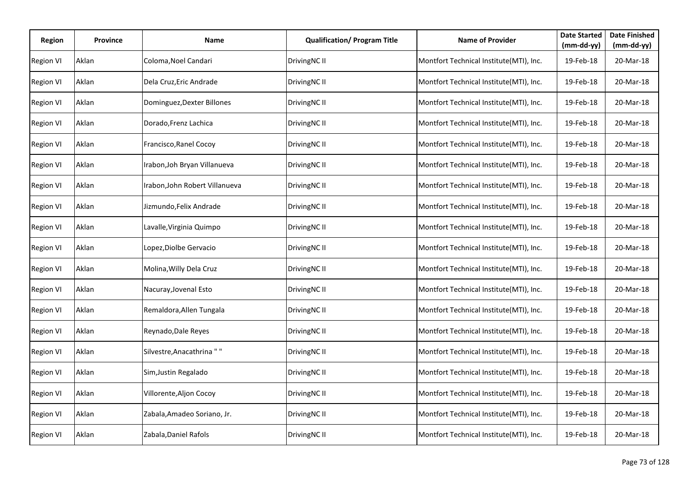| Region           | Province | <b>Name</b>                    | <b>Qualification/ Program Title</b> | <b>Name of Provider</b>                 | <b>Date Started</b><br>$(mm-dd-yy)$ | <b>Date Finished</b><br>$(mm-dd-yy)$ |
|------------------|----------|--------------------------------|-------------------------------------|-----------------------------------------|-------------------------------------|--------------------------------------|
| <b>Region VI</b> | Aklan    | Coloma, Noel Candari           | DrivingNC II                        | Montfort Technical Institute(MTI), Inc. | 19-Feb-18                           | 20-Mar-18                            |
| <b>Region VI</b> | Aklan    | Dela Cruz, Eric Andrade        | DrivingNC II                        | Montfort Technical Institute(MTI), Inc. | 19-Feb-18                           | 20-Mar-18                            |
| <b>Region VI</b> | Aklan    | Dominguez, Dexter Billones     | DrivingNC II                        | Montfort Technical Institute(MTI), Inc. | 19-Feb-18                           | 20-Mar-18                            |
| <b>Region VI</b> | Aklan    | Dorado, Frenz Lachica          | DrivingNC II                        | Montfort Technical Institute(MTI), Inc. | 19-Feb-18                           | 20-Mar-18                            |
| <b>Region VI</b> | Aklan    | Francisco, Ranel Cocoy         | DrivingNC II                        | Montfort Technical Institute(MTI), Inc. | 19-Feb-18                           | 20-Mar-18                            |
| Region VI        | Aklan    | Irabon, Joh Bryan Villanueva   | DrivingNC II                        | Montfort Technical Institute(MTI), Inc. | 19-Feb-18                           | 20-Mar-18                            |
| <b>Region VI</b> | Aklan    | Irabon, John Robert Villanueva | DrivingNC II                        | Montfort Technical Institute(MTI), Inc. | 19-Feb-18                           | 20-Mar-18                            |
| <b>Region VI</b> | Aklan    | Jizmundo, Felix Andrade        | DrivingNC II                        | Montfort Technical Institute(MTI), Inc. | 19-Feb-18                           | 20-Mar-18                            |
| <b>Region VI</b> | Aklan    | Lavalle, Virginia Quimpo       | DrivingNC II                        | Montfort Technical Institute(MTI), Inc. | 19-Feb-18                           | 20-Mar-18                            |
| <b>Region VI</b> | Aklan    | Lopez, Diolbe Gervacio         | DrivingNC II                        | Montfort Technical Institute(MTI), Inc. | 19-Feb-18                           | 20-Mar-18                            |
| <b>Region VI</b> | Aklan    | Molina, Willy Dela Cruz        | DrivingNC II                        | Montfort Technical Institute(MTI), Inc. | 19-Feb-18                           | 20-Mar-18                            |
| <b>Region VI</b> | Aklan    | Nacuray, Jovenal Esto          | DrivingNC II                        | Montfort Technical Institute(MTI), Inc. | 19-Feb-18                           | 20-Mar-18                            |
| <b>Region VI</b> | Aklan    | Remaldora, Allen Tungala       | DrivingNC II                        | Montfort Technical Institute(MTI), Inc. | 19-Feb-18                           | 20-Mar-18                            |
| <b>Region VI</b> | Aklan    | Reynado, Dale Reyes            | DrivingNC II                        | Montfort Technical Institute(MTI), Inc. | 19-Feb-18                           | 20-Mar-18                            |
| <b>Region VI</b> | Aklan    | Silvestre, Anacathrina ""      | DrivingNC II                        | Montfort Technical Institute(MTI), Inc. | 19-Feb-18                           | 20-Mar-18                            |
| <b>Region VI</b> | Aklan    | Sim, Justin Regalado           | DrivingNC II                        | Montfort Technical Institute(MTI), Inc. | 19-Feb-18                           | 20-Mar-18                            |
| <b>Region VI</b> | Aklan    | Villorente, Aljon Cocoy        | DrivingNC II                        | Montfort Technical Institute(MTI), Inc. | 19-Feb-18                           | 20-Mar-18                            |
| <b>Region VI</b> | Aklan    | Zabala, Amadeo Soriano, Jr.    | DrivingNC II                        | Montfort Technical Institute(MTI), Inc. | 19-Feb-18                           | 20-Mar-18                            |
| <b>Region VI</b> | Aklan    | Zabala, Daniel Rafols          | DrivingNC II                        | Montfort Technical Institute(MTI), Inc. | 19-Feb-18                           | 20-Mar-18                            |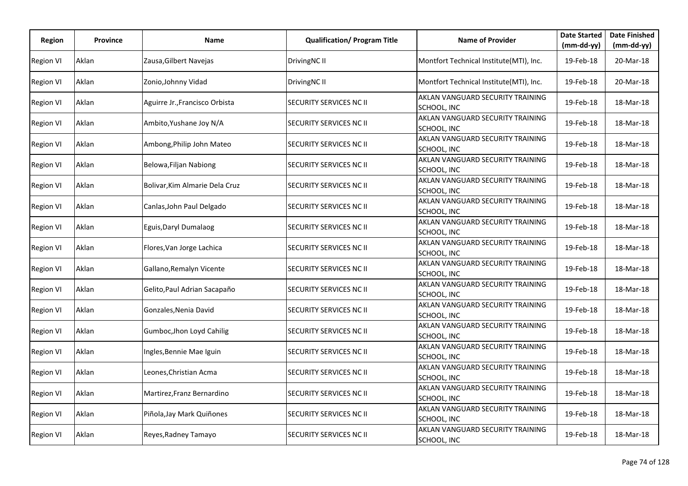| Region           | Province | <b>Name</b>                    | <b>Qualification/ Program Title</b> | <b>Name of Provider</b>                         | <b>Date Started</b> | <b>Date Finished</b> |
|------------------|----------|--------------------------------|-------------------------------------|-------------------------------------------------|---------------------|----------------------|
|                  |          |                                |                                     |                                                 | $(mm-dd-yy)$        | (mm-dd-yy)           |
| <b>Region VI</b> | Aklan    | Zausa, Gilbert Navejas         | DrivingNC II                        | Montfort Technical Institute(MTI), Inc.         | 19-Feb-18           | 20-Mar-18            |
| <b>Region VI</b> | Aklan    | Zonio, Johnny Vidad            | DrivingNC II                        | Montfort Technical Institute(MTI), Inc.         | 19-Feb-18           | 20-Mar-18            |
| <b>Region VI</b> | Aklan    | Aguirre Jr., Francisco Orbista | SECURITY SERVICES NC II             | AKLAN VANGUARD SECURITY TRAINING<br>SCHOOL, INC | 19-Feb-18           | 18-Mar-18            |
| <b>Region VI</b> | Aklan    | Ambito, Yushane Joy N/A        | SECURITY SERVICES NC II             | AKLAN VANGUARD SECURITY TRAINING<br>SCHOOL, INC | 19-Feb-18           | 18-Mar-18            |
| <b>Region VI</b> | Aklan    | Ambong, Philip John Mateo      | SECURITY SERVICES NC II             | AKLAN VANGUARD SECURITY TRAINING<br>SCHOOL, INC | 19-Feb-18           | 18-Mar-18            |
| <b>Region VI</b> | Aklan    | Belowa, Filjan Nabiong         | SECURITY SERVICES NC II             | AKLAN VANGUARD SECURITY TRAINING<br>SCHOOL, INC | 19-Feb-18           | 18-Mar-18            |
| <b>Region VI</b> | Aklan    | Bolivar, Kim Almarie Dela Cruz | SECURITY SERVICES NC II             | AKLAN VANGUARD SECURITY TRAINING<br>SCHOOL, INC | 19-Feb-18           | 18-Mar-18            |
| <b>Region VI</b> | Aklan    | Canlas, John Paul Delgado      | <b>SECURITY SERVICES NC II</b>      | AKLAN VANGUARD SECURITY TRAINING<br>SCHOOL, INC | 19-Feb-18           | 18-Mar-18            |
| <b>Region VI</b> | Aklan    | Eguis, Daryl Dumalaog          | <b>SECURITY SERVICES NC II</b>      | AKLAN VANGUARD SECURITY TRAINING<br>SCHOOL, INC | 19-Feb-18           | 18-Mar-18            |
| Region VI        | Aklan    | Flores, Van Jorge Lachica      | <b>SECURITY SERVICES NC II</b>      | AKLAN VANGUARD SECURITY TRAINING<br>SCHOOL, INC | 19-Feb-18           | 18-Mar-18            |
| <b>Region VI</b> | Aklan    | Gallano, Remalyn Vicente       | SECURITY SERVICES NC II             | AKLAN VANGUARD SECURITY TRAINING<br>SCHOOL, INC | 19-Feb-18           | 18-Mar-18            |
| <b>Region VI</b> | Aklan    | Gelito, Paul Adrian Sacapaño   | SECURITY SERVICES NC II             | AKLAN VANGUARD SECURITY TRAINING<br>SCHOOL, INC | 19-Feb-18           | 18-Mar-18            |
| Region VI        | Aklan    | Gonzales, Nenia David          | SECURITY SERVICES NC II             | AKLAN VANGUARD SECURITY TRAINING<br>SCHOOL, INC | 19-Feb-18           | 18-Mar-18            |
| <b>Region VI</b> | Aklan    | Gumboc, Jhon Loyd Cahilig      | <b>SECURITY SERVICES NC II</b>      | AKLAN VANGUARD SECURITY TRAINING<br>SCHOOL, INC | 19-Feb-18           | 18-Mar-18            |
| <b>Region VI</b> | Aklan    | Ingles, Bennie Mae Iguin       | SECURITY SERVICES NC II             | AKLAN VANGUARD SECURITY TRAINING<br>SCHOOL, INC | 19-Feb-18           | 18-Mar-18            |
| <b>Region VI</b> | Aklan    | Leones, Christian Acma         | <b>SECURITY SERVICES NC II</b>      | AKLAN VANGUARD SECURITY TRAINING<br>SCHOOL, INC | 19-Feb-18           | 18-Mar-18            |
| <b>Region VI</b> | Aklan    | Martirez, Franz Bernardino     | <b>SECURITY SERVICES NC II</b>      | AKLAN VANGUARD SECURITY TRAINING<br>SCHOOL, INC | 19-Feb-18           | 18-Mar-18            |
| <b>Region VI</b> | Aklan    | Piñola, Jay Mark Quiñones      | SECURITY SERVICES NC II             | AKLAN VANGUARD SECURITY TRAINING<br>SCHOOL, INC | 19-Feb-18           | 18-Mar-18            |
| <b>Region VI</b> | Aklan    | Reyes, Radney Tamayo           | SECURITY SERVICES NC II             | AKLAN VANGUARD SECURITY TRAINING<br>SCHOOL, INC | 19-Feb-18           | 18-Mar-18            |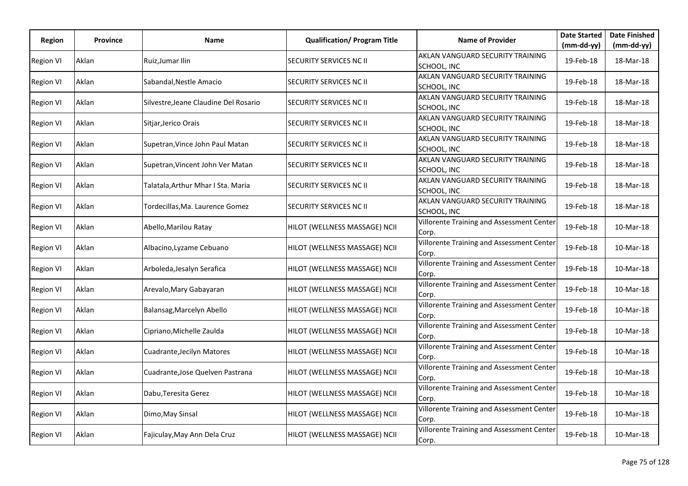| Region           | <b>Province</b> | Name                                  | <b>Qualification/ Program Title</b> | <b>Name of Provider</b>                            | <b>Date Started</b> | <b>Date Finished</b> |
|------------------|-----------------|---------------------------------------|-------------------------------------|----------------------------------------------------|---------------------|----------------------|
|                  |                 |                                       |                                     |                                                    | $(mm-dd-yy)$        | $(mm-dd-yy)$         |
| <b>Region VI</b> | Aklan           | Ruiz, Jumar Ilin                      | <b>SECURITY SERVICES NC II</b>      | AKLAN VANGUARD SECURITY TRAINING<br>SCHOOL, INC    | 19-Feb-18           | 18-Mar-18            |
| <b>Region VI</b> | Aklan           | Sabandal, Nestle Amacio               | SECURITY SERVICES NC II             | AKLAN VANGUARD SECURITY TRAINING<br>SCHOOL, INC    | 19-Feb-18           | 18-Mar-18            |
| <b>Region VI</b> | Aklan           | Silvestre, Jeane Claudine Del Rosario | <b>SECURITY SERVICES NC II</b>      | AKLAN VANGUARD SECURITY TRAINING<br>SCHOOL, INC    | 19-Feb-18           | 18-Mar-18            |
| <b>Region VI</b> | Aklan           | Sitjar, Jerico Orais                  | SECURITY SERVICES NC II             | AKLAN VANGUARD SECURITY TRAINING<br>SCHOOL, INC    | 19-Feb-18           | 18-Mar-18            |
| <b>Region VI</b> | Aklan           | Supetran, Vince John Paul Matan       | <b>SECURITY SERVICES NC II</b>      | AKLAN VANGUARD SECURITY TRAINING<br>SCHOOL, INC    | 19-Feb-18           | 18-Mar-18            |
| <b>Region VI</b> | Aklan           | Supetran, Vincent John Ver Matan      | <b>SECURITY SERVICES NC II</b>      | AKLAN VANGUARD SECURITY TRAINING<br>SCHOOL, INC    | 19-Feb-18           | 18-Mar-18            |
| <b>Region VI</b> | Aklan           | Talatala, Arthur Mhar I Sta. Maria    | <b>SECURITY SERVICES NC II</b>      | AKLAN VANGUARD SECURITY TRAINING<br>SCHOOL, INC    | 19-Feb-18           | 18-Mar-18            |
| <b>Region VI</b> | Aklan           | Tordecillas, Ma. Laurence Gomez       | SECURITY SERVICES NC II             | AKLAN VANGUARD SECURITY TRAINING<br>SCHOOL, INC    | 19-Feb-18           | 18-Mar-18            |
| <b>Region VI</b> | Aklan           | Abello, Marilou Ratay                 | HILOT (WELLNESS MASSAGE) NCII       | Villorente Training and Assessment Center<br>Corp. | 19-Feb-18           | 10-Mar-18            |
| <b>Region VI</b> | Aklan           | Albacino, Lyzame Cebuano              | HILOT (WELLNESS MASSAGE) NCII       | Villorente Training and Assessment Center<br>Corp. | 19-Feb-18           | 10-Mar-18            |
| <b>Region VI</b> | Aklan           | Arboleda, Jesalyn Serafica            | HILOT (WELLNESS MASSAGE) NCII       | Villorente Training and Assessment Center<br>Corp. | 19-Feb-18           | 10-Mar-18            |
| <b>Region VI</b> | Aklan           | Arevalo, Mary Gabayaran               | HILOT (WELLNESS MASSAGE) NCII       | Villorente Training and Assessment Center<br>Corp. | 19-Feb-18           | 10-Mar-18            |
| <b>Region VI</b> | Aklan           | Balansag, Marcelyn Abello             | HILOT (WELLNESS MASSAGE) NCII       | Villorente Training and Assessment Center<br>Corp. | 19-Feb-18           | 10-Mar-18            |
| <b>Region VI</b> | Aklan           | Cipriano, Michelle Zaulda             | HILOT (WELLNESS MASSAGE) NCII       | Villorente Training and Assessment Center<br>Corp. | 19-Feb-18           | 10-Mar-18            |
| <b>Region VI</b> | Aklan           | Cuadrante, Jecilyn Matores            | HILOT (WELLNESS MASSAGE) NCII       | Villorente Training and Assessment Center<br>Corp. | 19-Feb-18           | 10-Mar-18            |
| <b>Region VI</b> | Aklan           | Cuadrante, Jose Quelven Pastrana      | HILOT (WELLNESS MASSAGE) NCII       | Villorente Training and Assessment Center<br>Corp. | 19-Feb-18           | 10-Mar-18            |
| <b>Region VI</b> | Aklan           | Dabu, Teresita Gerez                  | HILOT (WELLNESS MASSAGE) NCII       | Villorente Training and Assessment Center<br>Corp. | 19-Feb-18           | 10-Mar-18            |
| <b>Region VI</b> | Aklan           | Dimo, May Sinsal                      | HILOT (WELLNESS MASSAGE) NCII       | Villorente Training and Assessment Center<br>Corp. | 19-Feb-18           | 10-Mar-18            |
| <b>Region VI</b> | Aklan           | Fajiculay, May Ann Dela Cruz          | HILOT (WELLNESS MASSAGE) NCII       | Villorente Training and Assessment Center<br>Corp. | 19-Feb-18           | 10-Mar-18            |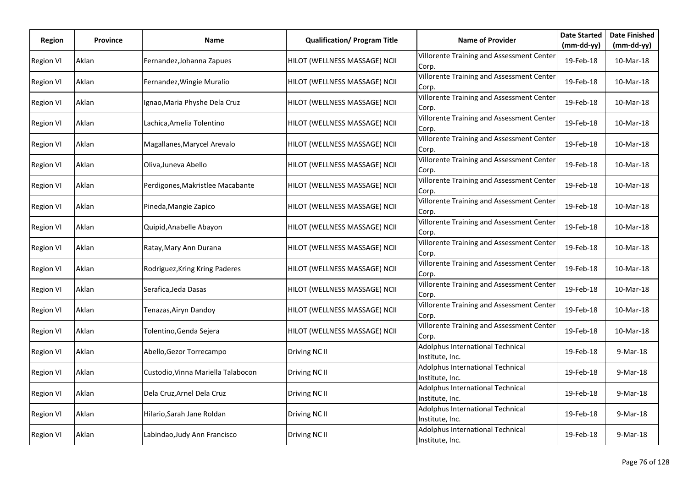| Region           | Province | Name                               | <b>Qualification/ Program Title</b> | <b>Name of Provider</b>                             | <b>Date Started</b> | <b>Date Finished</b> |
|------------------|----------|------------------------------------|-------------------------------------|-----------------------------------------------------|---------------------|----------------------|
|                  |          |                                    |                                     |                                                     | $(mm-dd-yy)$        | $(mm-dd-yy)$         |
| <b>Region VI</b> | Aklan    | Fernandez, Johanna Zapues          | HILOT (WELLNESS MASSAGE) NCII       | Villorente Training and Assessment Center<br>Corp.  | 19-Feb-18           | 10-Mar-18            |
| <b>Region VI</b> | Aklan    | Fernandez, Wingie Muralio          | HILOT (WELLNESS MASSAGE) NCII       | Villorente Training and Assessment Center<br>Corp.  | 19-Feb-18           | 10-Mar-18            |
| <b>Region VI</b> | Aklan    | Ignao, Maria Physhe Dela Cruz      | HILOT (WELLNESS MASSAGE) NCII       | Villorente Training and Assessment Center<br>Corp.  | 19-Feb-18           | 10-Mar-18            |
| <b>Region VI</b> | Aklan    | Lachica, Amelia Tolentino          | HILOT (WELLNESS MASSAGE) NCII       | Villorente Training and Assessment Center<br>Corp.  | 19-Feb-18           | 10-Mar-18            |
| <b>Region VI</b> | Aklan    | Magallanes, Marycel Arevalo        | HILOT (WELLNESS MASSAGE) NCII       | Villorente Training and Assessment Center<br>Corp.  | 19-Feb-18           | 10-Mar-18            |
| <b>Region VI</b> | Aklan    | Oliva, Juneva Abello               | HILOT (WELLNESS MASSAGE) NCII       | Villorente Training and Assessment Center<br>Corp.  | 19-Feb-18           | 10-Mar-18            |
| <b>Region VI</b> | Aklan    | Perdigones, Makristlee Macabante   | HILOT (WELLNESS MASSAGE) NCII       | Villorente Training and Assessment Center<br>Corp.  | 19-Feb-18           | 10-Mar-18            |
| <b>Region VI</b> | Aklan    | Pineda, Mangie Zapico              | HILOT (WELLNESS MASSAGE) NCII       | Villorente Training and Assessment Center<br>Corp.  | 19-Feb-18           | 10-Mar-18            |
| <b>Region VI</b> | Aklan    | Quipid, Anabelle Abayon            | HILOT (WELLNESS MASSAGE) NCII       | Villorente Training and Assessment Center<br>Corp.  | 19-Feb-18           | 10-Mar-18            |
| <b>Region VI</b> | Aklan    | Ratay, Mary Ann Durana             | HILOT (WELLNESS MASSAGE) NCII       | Villorente Training and Assessment Center<br>Corp.  | 19-Feb-18           | 10-Mar-18            |
| <b>Region VI</b> | Aklan    | Rodriguez, Kring Kring Paderes     | HILOT (WELLNESS MASSAGE) NCII       | Villorente Training and Assessment Center<br>Corp.  | 19-Feb-18           | 10-Mar-18            |
| <b>Region VI</b> | Aklan    | Serafica, Jeda Dasas               | HILOT (WELLNESS MASSAGE) NCII       | Villorente Training and Assessment Center<br>Corp.  | 19-Feb-18           | 10-Mar-18            |
| <b>Region VI</b> | Aklan    | Tenazas,Airyn Dandoy               | HILOT (WELLNESS MASSAGE) NCII       | Villorente Training and Assessment Center<br>Corp.  | 19-Feb-18           | 10-Mar-18            |
| <b>Region VI</b> | Aklan    | Tolentino,Genda Sejera             | HILOT (WELLNESS MASSAGE) NCII       | Villorente Training and Assessment Center<br>Corp.  | 19-Feb-18           | 10-Mar-18            |
| <b>Region VI</b> | Aklan    | Abello, Gezor Torrecampo           | Driving NC II                       | Adolphus International Technical<br>Institute, Inc. | 19-Feb-18           | 9-Mar-18             |
| <b>Region VI</b> | Aklan    | Custodio, Vinna Mariella Talabocon | Driving NC II                       | Adolphus International Technical<br>Institute, Inc. | 19-Feb-18           | 9-Mar-18             |
| <b>Region VI</b> | Aklan    | Dela Cruz, Arnel Dela Cruz         | Driving NC II                       | Adolphus International Technical<br>Institute, Inc. | 19-Feb-18           | 9-Mar-18             |
| <b>Region VI</b> | Aklan    | Hilario, Sarah Jane Roldan         | Driving NC II                       | Adolphus International Technical<br>Institute, Inc. | 19-Feb-18           | 9-Mar-18             |
| <b>Region VI</b> | Aklan    | Labindao, Judy Ann Francisco       | Driving NC II                       | Adolphus International Technical<br>Institute, Inc. | 19-Feb-18           | 9-Mar-18             |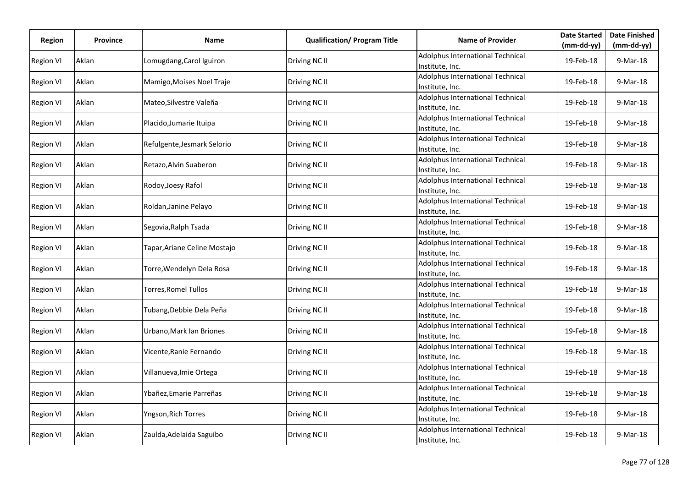| Region           | Province | Name                         | <b>Qualification/ Program Title</b> | <b>Name of Provider</b>                             | <b>Date Started</b> | <b>Date Finished</b> |
|------------------|----------|------------------------------|-------------------------------------|-----------------------------------------------------|---------------------|----------------------|
|                  |          |                              |                                     |                                                     | $(mm-dd-yy)$        | $(mm-dd-yy)$         |
| <b>Region VI</b> | Aklan    | Lomugdang, Carol Iguiron     | Driving NC II                       | Adolphus International Technical<br>Institute, Inc. | 19-Feb-18           | 9-Mar-18             |
| <b>Region VI</b> | Aklan    | Mamigo, Moises Noel Traje    | Driving NC II                       | Adolphus International Technical<br>Institute, Inc. | 19-Feb-18           | 9-Mar-18             |
| <b>Region VI</b> | Aklan    | Mateo, Silvestre Valeña      | Driving NC II                       | Adolphus International Technical<br>Institute, Inc. | 19-Feb-18           | $9-Mar-18$           |
| <b>Region VI</b> | Aklan    | Placido, Jumarie Ituipa      | Driving NC II                       | Adolphus International Technical<br>Institute, Inc. | 19-Feb-18           | 9-Mar-18             |
| Region VI        | Aklan    | Refulgente, Jesmark Selorio  | Driving NC II                       | Adolphus International Technical<br>Institute, Inc. | 19-Feb-18           | 9-Mar-18             |
| <b>Region VI</b> | Aklan    | Retazo, Alvin Suaberon       | Driving NC II                       | Adolphus International Technical<br>Institute, Inc. | 19-Feb-18           | 9-Mar-18             |
| <b>Region VI</b> | Aklan    | Rodoy, Joesy Rafol           | Driving NC II                       | Adolphus International Technical<br>Institute, Inc. | 19-Feb-18           | 9-Mar-18             |
| <b>Region VI</b> | Aklan    | Roldan, Janine Pelayo        | Driving NC II                       | Adolphus International Technical<br>Institute, Inc. | 19-Feb-18           | 9-Mar-18             |
| <b>Region VI</b> | Aklan    | Segovia, Ralph Tsada         | Driving NC II                       | Adolphus International Technical<br>Institute, Inc. | 19-Feb-18           | 9-Mar-18             |
| Region VI        | Aklan    | Tapar, Ariane Celine Mostajo | Driving NC II                       | Adolphus International Technical<br>Institute, Inc. | 19-Feb-18           | 9-Mar-18             |
| Region VI        | Aklan    | Torre, Wendelyn Dela Rosa    | Driving NC II                       | Adolphus International Technical<br>Institute, Inc. | 19-Feb-18           | 9-Mar-18             |
| <b>Region VI</b> | Aklan    | <b>Torres, Romel Tullos</b>  | Driving NC II                       | Adolphus International Technical<br>Institute, Inc. | 19-Feb-18           | 9-Mar-18             |
| <b>Region VI</b> | Aklan    | Tubang, Debbie Dela Peña     | Driving NC II                       | Adolphus International Technical<br>Institute, Inc. | 19-Feb-18           | 9-Mar-18             |
| <b>Region VI</b> | Aklan    | Urbano, Mark Ian Briones     | Driving NC II                       | Adolphus International Technical<br>Institute, Inc. | 19-Feb-18           | 9-Mar-18             |
| <b>Region VI</b> | Aklan    | Vicente, Ranie Fernando      | Driving NC II                       | Adolphus International Technical<br>Institute, Inc. | 19-Feb-18           | 9-Mar-18             |
| <b>Region VI</b> | Aklan    | Villanueva, Imie Ortega      | Driving NC II                       | Adolphus International Technical<br>Institute, Inc. | 19-Feb-18           | 9-Mar-18             |
| <b>Region VI</b> | Aklan    | Ybañez, Emarie Parreñas      | Driving NC II                       | Adolphus International Technical<br>Institute, Inc. | 19-Feb-18           | 9-Mar-18             |
| <b>Region VI</b> | Aklan    | Yngson, Rich Torres          | Driving NC II                       | Adolphus International Technical<br>Institute, Inc. | 19-Feb-18           | 9-Mar-18             |
| Region VI        | Aklan    | Zaulda, Adelaida Saguibo     | Driving NC II                       | Adolphus International Technical<br>Institute, Inc. | 19-Feb-18           | 9-Mar-18             |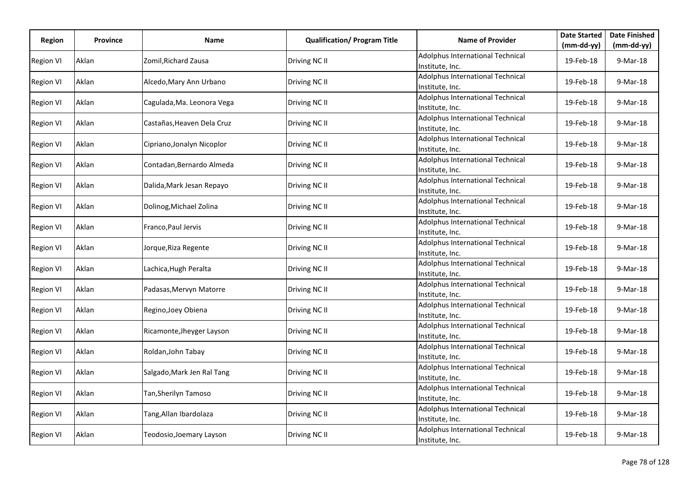| Region           | Province | Name                       | <b>Qualification/ Program Title</b> | <b>Name of Provider</b>                             | <b>Date Started</b> | <b>Date Finished</b> |
|------------------|----------|----------------------------|-------------------------------------|-----------------------------------------------------|---------------------|----------------------|
|                  |          |                            |                                     |                                                     | $(mm-dd-yy)$        | $(mm-dd-yy)$         |
| <b>Region VI</b> | Aklan    | Zomil, Richard Zausa       | Driving NC II                       | Adolphus International Technical<br>Institute, Inc. | 19-Feb-18           | 9-Mar-18             |
| <b>Region VI</b> | Aklan    | Alcedo, Mary Ann Urbano    | Driving NC II                       | Adolphus International Technical<br>Institute, Inc. | 19-Feb-18           | 9-Mar-18             |
| Region VI        | Aklan    | Cagulada, Ma. Leonora Vega | Driving NC II                       | Adolphus International Technical<br>Institute, Inc. | 19-Feb-18           | $9-Mar-18$           |
| <b>Region VI</b> | Aklan    | Castañas, Heaven Dela Cruz | Driving NC II                       | Adolphus International Technical<br>Institute, Inc. | 19-Feb-18           | 9-Mar-18             |
| Region VI        | Aklan    | Cipriano, Jonalyn Nicoplor | Driving NC II                       | Adolphus International Technical<br>Institute, Inc. | 19-Feb-18           | 9-Mar-18             |
| Region VI        | Aklan    | Contadan, Bernardo Almeda  | Driving NC II                       | Adolphus International Technical<br>Institute, Inc. | 19-Feb-18           | 9-Mar-18             |
| <b>Region VI</b> | Aklan    | Dalida, Mark Jesan Repayo  | Driving NC II                       | Adolphus International Technical<br>Institute, Inc. | 19-Feb-18           | 9-Mar-18             |
| <b>Region VI</b> | Aklan    | Dolinog, Michael Zolina    | Driving NC II                       | Adolphus International Technical<br>Institute, Inc. | 19-Feb-18           | 9-Mar-18             |
| <b>Region VI</b> | Aklan    | Franco, Paul Jervis        | Driving NC II                       | Adolphus International Technical<br>Institute, Inc. | 19-Feb-18           | 9-Mar-18             |
| Region VI        | Aklan    | Jorque, Riza Regente       | Driving NC II                       | Adolphus International Technical<br>Institute, Inc. | 19-Feb-18           | 9-Mar-18             |
| Region VI        | Aklan    | Lachica, Hugh Peralta      | Driving NC II                       | Adolphus International Technical<br>Institute, Inc. | 19-Feb-18           | 9-Mar-18             |
| <b>Region VI</b> | Aklan    | Padasas, Mervyn Matorre    | Driving NC II                       | Adolphus International Technical<br>Institute, Inc. | 19-Feb-18           | 9-Mar-18             |
| <b>Region VI</b> | Aklan    | Regino, Joey Obiena        | Driving NC II                       | Adolphus International Technical<br>Institute, Inc. | 19-Feb-18           | 9-Mar-18             |
| <b>Region VI</b> | Aklan    | Ricamonte, Jheyger Layson  | Driving NC II                       | Adolphus International Technical<br>Institute, Inc. | 19-Feb-18           | 9-Mar-18             |
| <b>Region VI</b> | Aklan    | Roldan, John Tabay         | Driving NC II                       | Adolphus International Technical<br>Institute, Inc. | 19-Feb-18           | 9-Mar-18             |
| <b>Region VI</b> | Aklan    | Salgado, Mark Jen Ral Tang | Driving NC II                       | Adolphus International Technical<br>Institute, Inc. | 19-Feb-18           | 9-Mar-18             |
| <b>Region VI</b> | Aklan    | Tan, Sherilyn Tamoso       | Driving NC II                       | Adolphus International Technical<br>Institute, Inc. | 19-Feb-18           | 9-Mar-18             |
| <b>Region VI</b> | Aklan    | Tang, Allan Ibardolaza     | Driving NC II                       | Adolphus International Technical<br>Institute, Inc. | 19-Feb-18           | 9-Mar-18             |
| Region VI        | Aklan    | Teodosio, Joemary Layson   | Driving NC II                       | Adolphus International Technical<br>Institute, Inc. | 19-Feb-18           | 9-Mar-18             |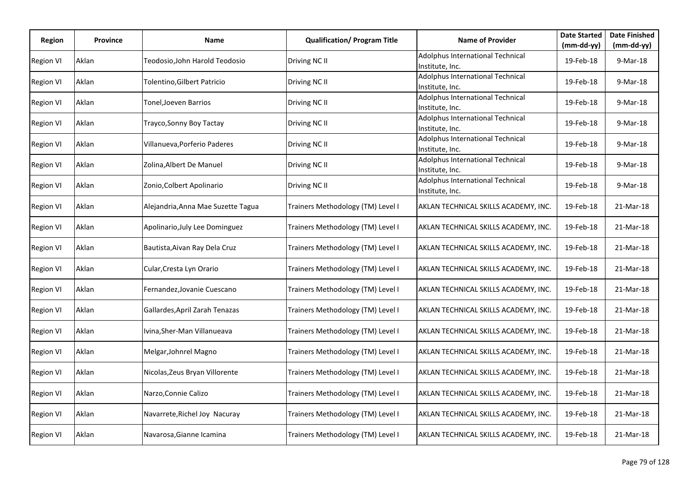| Region           | <b>Province</b> | Name                               | <b>Qualification/ Program Title</b> | <b>Name of Provider</b>                             | <b>Date Started</b> | <b>Date Finished</b> |
|------------------|-----------------|------------------------------------|-------------------------------------|-----------------------------------------------------|---------------------|----------------------|
|                  |                 |                                    |                                     |                                                     | (mm-dd-yy)          | (mm-dd-yy)           |
| <b>Region VI</b> | Aklan           | Teodosio,John Harold Teodosio      | Driving NC II                       | Adolphus International Technical<br>Institute, Inc. | 19-Feb-18           | 9-Mar-18             |
| <b>Region VI</b> | Aklan           | Tolentino, Gilbert Patricio        | Driving NC II                       | Adolphus International Technical<br>Institute, Inc. | 19-Feb-18           | 9-Mar-18             |
| <b>Region VI</b> | Aklan           | Tonel, Joeven Barrios              | Driving NC II                       | Adolphus International Technical<br>Institute, Inc. | 19-Feb-18           | 9-Mar-18             |
| <b>Region VI</b> | Aklan           | Trayco, Sonny Boy Tactay           | Driving NC II                       | Adolphus International Technical<br>Institute, Inc. | 19-Feb-18           | 9-Mar-18             |
| <b>Region VI</b> | Aklan           | Villanueva, Porferio Paderes       | Driving NC II                       | Adolphus International Technical<br>Institute, Inc. | 19-Feb-18           | 9-Mar-18             |
| <b>Region VI</b> | Aklan           | Zolina, Albert De Manuel           | Driving NC II                       | Adolphus International Technical<br>Institute, Inc. | 19-Feb-18           | 9-Mar-18             |
| <b>Region VI</b> | Aklan           | Zonio, Colbert Apolinario          | Driving NC II                       | Adolphus International Technical<br>Institute, Inc. | 19-Feb-18           | 9-Mar-18             |
| <b>Region VI</b> | Aklan           | Alejandria, Anna Mae Suzette Tagua | Trainers Methodology (TM) Level I   | AKLAN TECHNICAL SKILLS ACADEMY, INC.                | 19-Feb-18           | 21-Mar-18            |
| <b>Region VI</b> | Aklan           | Apolinario, July Lee Dominguez     | Trainers Methodology (TM) Level I   | AKLAN TECHNICAL SKILLS ACADEMY, INC.                | 19-Feb-18           | 21-Mar-18            |
| <b>Region VI</b> | Aklan           | Bautista, Aivan Ray Dela Cruz      | Trainers Methodology (TM) Level I   | AKLAN TECHNICAL SKILLS ACADEMY, INC.                | 19-Feb-18           | 21-Mar-18            |
| <b>Region VI</b> | Aklan           | Cular, Cresta Lyn Orario           | Trainers Methodology (TM) Level I   | AKLAN TECHNICAL SKILLS ACADEMY, INC.                | 19-Feb-18           | 21-Mar-18            |
| <b>Region VI</b> | Aklan           | Fernandez, Jovanie Cuescano        | Trainers Methodology (TM) Level I   | AKLAN TECHNICAL SKILLS ACADEMY, INC.                | 19-Feb-18           | 21-Mar-18            |
| <b>Region VI</b> | Aklan           | Gallardes, April Zarah Tenazas     | Trainers Methodology (TM) Level I   | AKLAN TECHNICAL SKILLS ACADEMY, INC.                | 19-Feb-18           | 21-Mar-18            |
| <b>Region VI</b> | Aklan           | Ivina, Sher-Man Villanueava        | Trainers Methodology (TM) Level I   | AKLAN TECHNICAL SKILLS ACADEMY, INC.                | 19-Feb-18           | 21-Mar-18            |
| <b>Region VI</b> | Aklan           | Melgar, Johnrel Magno              | Trainers Methodology (TM) Level I   | AKLAN TECHNICAL SKILLS ACADEMY, INC.                | 19-Feb-18           | 21-Mar-18            |
| <b>Region VI</b> | Aklan           | Nicolas, Zeus Bryan Villorente     | Trainers Methodology (TM) Level I   | AKLAN TECHNICAL SKILLS ACADEMY, INC.                | 19-Feb-18           | 21-Mar-18            |
| <b>Region VI</b> | Aklan           | Narzo, Connie Calizo               | Trainers Methodology (TM) Level I   | AKLAN TECHNICAL SKILLS ACADEMY, INC.                | 19-Feb-18           | 21-Mar-18            |
| <b>Region VI</b> | Aklan           | Navarrete, Richel Joy Nacuray      | Trainers Methodology (TM) Level I   | AKLAN TECHNICAL SKILLS ACADEMY, INC.                | 19-Feb-18           | 21-Mar-18            |
| <b>Region VI</b> | Aklan           | Navarosa, Gianne Icamina           | Trainers Methodology (TM) Level I   | AKLAN TECHNICAL SKILLS ACADEMY, INC.                | 19-Feb-18           | 21-Mar-18            |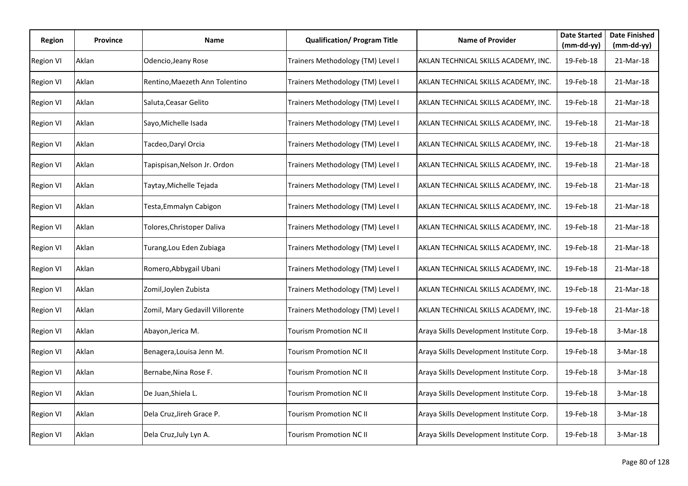| Region           | <b>Province</b> | Name                            | <b>Qualification/ Program Title</b> | <b>Name of Provider</b>                  | <b>Date Started</b><br>(mm-dd-yy) | <b>Date Finished</b><br>$(mm-dd-yy)$ |
|------------------|-----------------|---------------------------------|-------------------------------------|------------------------------------------|-----------------------------------|--------------------------------------|
| <b>Region VI</b> | Aklan           | Odencio, Jeany Rose             | Trainers Methodology (TM) Level I   | AKLAN TECHNICAL SKILLS ACADEMY, INC.     | 19-Feb-18                         | 21-Mar-18                            |
| <b>Region VI</b> | Aklan           | Rentino, Maezeth Ann Tolentino  | Trainers Methodology (TM) Level I   | AKLAN TECHNICAL SKILLS ACADEMY, INC.     | 19-Feb-18                         | 21-Mar-18                            |
| <b>Region VI</b> | Aklan           | Saluta, Ceasar Gelito           | Trainers Methodology (TM) Level I   | AKLAN TECHNICAL SKILLS ACADEMY, INC.     | 19-Feb-18                         | 21-Mar-18                            |
| <b>Region VI</b> | Aklan           | Sayo, Michelle Isada            | Trainers Methodology (TM) Level I   | AKLAN TECHNICAL SKILLS ACADEMY, INC.     | 19-Feb-18                         | 21-Mar-18                            |
| <b>Region VI</b> | Aklan           | Tacdeo,Daryl Orcia              | Trainers Methodology (TM) Level I   | AKLAN TECHNICAL SKILLS ACADEMY, INC.     | 19-Feb-18                         | 21-Mar-18                            |
| <b>Region VI</b> | Aklan           | Tapispisan, Nelson Jr. Ordon    | Trainers Methodology (TM) Level I   | AKLAN TECHNICAL SKILLS ACADEMY, INC.     | 19-Feb-18                         | 21-Mar-18                            |
| <b>Region VI</b> | Aklan           | Taytay, Michelle Tejada         | Trainers Methodology (TM) Level I   | AKLAN TECHNICAL SKILLS ACADEMY, INC.     | 19-Feb-18                         | 21-Mar-18                            |
| <b>Region VI</b> | Aklan           | Testa, Emmalyn Cabigon          | Trainers Methodology (TM) Level I   | AKLAN TECHNICAL SKILLS ACADEMY, INC.     | 19-Feb-18                         | 21-Mar-18                            |
| <b>Region VI</b> | Aklan           | Tolores,Christoper Daliva       | Trainers Methodology (TM) Level I   | AKLAN TECHNICAL SKILLS ACADEMY, INC.     | 19-Feb-18                         | 21-Mar-18                            |
| <b>Region VI</b> | Aklan           | Turang,Lou Eden Zubiaga         | Trainers Methodology (TM) Level I   | AKLAN TECHNICAL SKILLS ACADEMY, INC.     | 19-Feb-18                         | 21-Mar-18                            |
| <b>Region VI</b> | Aklan           | Romero, Abbygail Ubani          | Trainers Methodology (TM) Level I   | AKLAN TECHNICAL SKILLS ACADEMY, INC.     | 19-Feb-18                         | 21-Mar-18                            |
| <b>Region VI</b> | Aklan           | Zomil, Joylen Zubista           | Trainers Methodology (TM) Level I   | AKLAN TECHNICAL SKILLS ACADEMY, INC.     | 19-Feb-18                         | 21-Mar-18                            |
| <b>Region VI</b> | Aklan           | Zomil, Mary Gedavill Villorente | Trainers Methodology (TM) Level I   | AKLAN TECHNICAL SKILLS ACADEMY, INC.     | 19-Feb-18                         | 21-Mar-18                            |
| <b>Region VI</b> | Aklan           | Abayon, Jerica M.               | Tourism Promotion NC II             | Araya Skills Development Institute Corp. | 19-Feb-18                         | 3-Mar-18                             |
| <b>Region VI</b> | Aklan           | Benagera, Louisa Jenn M.        | Tourism Promotion NC II             | Araya Skills Development Institute Corp. | 19-Feb-18                         | 3-Mar-18                             |
| <b>Region VI</b> | Aklan           | Bernabe, Nina Rose F.           | Tourism Promotion NC II             | Araya Skills Development Institute Corp. | 19-Feb-18                         | 3-Mar-18                             |
| <b>Region VI</b> | Aklan           | De Juan, Shiela L.              | <b>Tourism Promotion NC II</b>      | Araya Skills Development Institute Corp. | 19-Feb-18                         | 3-Mar-18                             |
| <b>Region VI</b> | Aklan           | Dela Cruz, Jireh Grace P.       | Tourism Promotion NC II             | Araya Skills Development Institute Corp. | 19-Feb-18                         | 3-Mar-18                             |
| <b>Region VI</b> | Aklan           | Dela Cruz, July Lyn A.          | Tourism Promotion NC II             | Araya Skills Development Institute Corp. | 19-Feb-18                         | 3-Mar-18                             |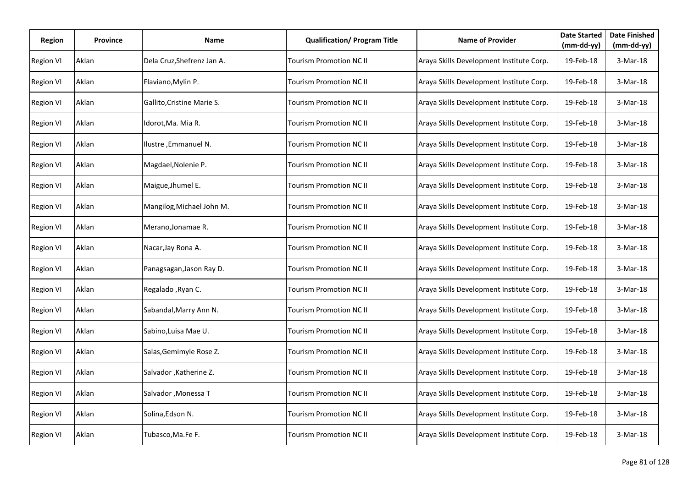| <b>Region</b>    | <b>Province</b> | Name                       | <b>Qualification/ Program Title</b> | <b>Name of Provider</b>                  | <b>Date Started</b><br>$(mm-dd-yy)$ | <b>Date Finished</b><br>$(mm-dd-yy)$ |
|------------------|-----------------|----------------------------|-------------------------------------|------------------------------------------|-------------------------------------|--------------------------------------|
| <b>Region VI</b> | Aklan           | Dela Cruz, Shefrenz Jan A. | Tourism Promotion NC II             | Araya Skills Development Institute Corp. | 19-Feb-18                           | $3-Mar-18$                           |
| <b>Region VI</b> | Aklan           | Flaviano, Mylin P.         | Tourism Promotion NC II             | Araya Skills Development Institute Corp. | 19-Feb-18                           | 3-Mar-18                             |
| <b>Region VI</b> | Aklan           | Gallito, Cristine Marie S. | Tourism Promotion NC II             | Araya Skills Development Institute Corp. | 19-Feb-18                           | 3-Mar-18                             |
| <b>Region VI</b> | Aklan           | Idorot,Ma. Mia R.          | Tourism Promotion NC II             | Araya Skills Development Institute Corp. | 19-Feb-18                           | 3-Mar-18                             |
| <b>Region VI</b> | Aklan           | Ilustre, Emmanuel N.       | <b>Tourism Promotion NC II</b>      | Araya Skills Development Institute Corp. | 19-Feb-18                           | 3-Mar-18                             |
| <b>Region VI</b> | Aklan           | Magdael, Nolenie P.        | Tourism Promotion NC II             | Araya Skills Development Institute Corp. | 19-Feb-18                           | 3-Mar-18                             |
| <b>Region VI</b> | Aklan           | Maigue, Jhumel E.          | Tourism Promotion NC II             | Araya Skills Development Institute Corp. | 19-Feb-18                           | 3-Mar-18                             |
| <b>Region VI</b> | Aklan           | Mangilog, Michael John M.  | Tourism Promotion NC II             | Araya Skills Development Institute Corp. | 19-Feb-18                           | 3-Mar-18                             |
| <b>Region VI</b> | Aklan           | Merano, Jonamae R.         | Tourism Promotion NC II             | Araya Skills Development Institute Corp. | 19-Feb-18                           | 3-Mar-18                             |
| <b>Region VI</b> | Aklan           | Nacar, Jay Rona A.         | Tourism Promotion NC II             | Araya Skills Development Institute Corp. | 19-Feb-18                           | 3-Mar-18                             |
| <b>Region VI</b> | Aklan           | Panagsagan, Jason Ray D.   | Tourism Promotion NC II             | Araya Skills Development Institute Corp. | 19-Feb-18                           | 3-Mar-18                             |
| <b>Region VI</b> | Aklan           | Regalado , Ryan C.         | Tourism Promotion NC II             | Araya Skills Development Institute Corp. | 19-Feb-18                           | 3-Mar-18                             |
| <b>Region VI</b> | Aklan           | Sabandal, Marry Ann N.     | Tourism Promotion NC II             | Araya Skills Development Institute Corp. | 19-Feb-18                           | 3-Mar-18                             |
| <b>Region VI</b> | Aklan           | Sabino, Luisa Mae U.       | Tourism Promotion NC II             | Araya Skills Development Institute Corp. | 19-Feb-18                           | 3-Mar-18                             |
| <b>Region VI</b> | Aklan           | Salas, Gemimyle Rose Z.    | Tourism Promotion NC II             | Araya Skills Development Institute Corp. | 19-Feb-18                           | 3-Mar-18                             |
| <b>Region VI</b> | Aklan           | Salvador , Katherine Z.    | Tourism Promotion NC II             | Araya Skills Development Institute Corp. | 19-Feb-18                           | 3-Mar-18                             |
| <b>Region VI</b> | Aklan           | Salvador , Monessa T       | Tourism Promotion NC II             | Araya Skills Development Institute Corp. | 19-Feb-18                           | 3-Mar-18                             |
| <b>Region VI</b> | Aklan           | Solina, Edson N.           | Tourism Promotion NC II             | Araya Skills Development Institute Corp. | 19-Feb-18                           | 3-Mar-18                             |
| <b>Region VI</b> | Aklan           | Tubasco,Ma.Fe F.           | Tourism Promotion NC II             | Araya Skills Development Institute Corp. | 19-Feb-18                           | 3-Mar-18                             |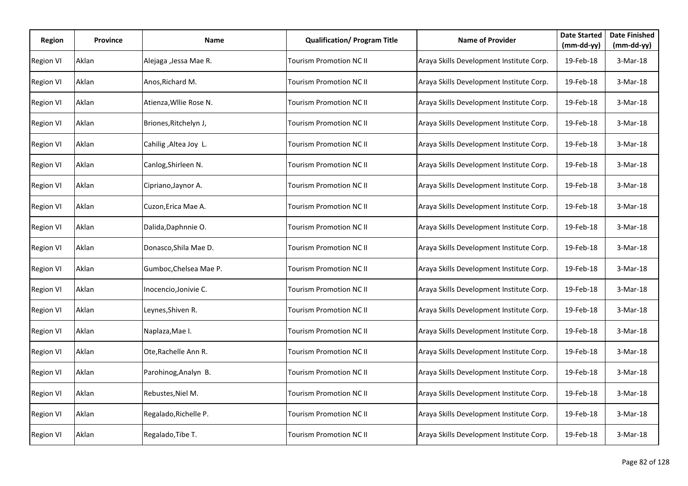| <b>Region</b>    | <b>Province</b> | Name                   | <b>Qualification/ Program Title</b> | <b>Name of Provider</b>                  | <b>Date Started</b><br>$(mm-dd-yy)$ | <b>Date Finished</b><br>$(mm-dd-yy)$ |
|------------------|-----------------|------------------------|-------------------------------------|------------------------------------------|-------------------------------------|--------------------------------------|
| <b>Region VI</b> | Aklan           | Alejaga , Jessa Mae R. | Tourism Promotion NC II             | Araya Skills Development Institute Corp. | 19-Feb-18                           | $3-Mar-18$                           |
| <b>Region VI</b> | Aklan           | Anos, Richard M.       | Tourism Promotion NC II             | Araya Skills Development Institute Corp. | 19-Feb-18                           | 3-Mar-18                             |
| <b>Region VI</b> | Aklan           | Atienza, Wllie Rose N. | Tourism Promotion NC II             | Araya Skills Development Institute Corp. | 19-Feb-18                           | 3-Mar-18                             |
| <b>Region VI</b> | Aklan           | Briones, Ritchelyn J,  | Tourism Promotion NC II             | Araya Skills Development Institute Corp. | 19-Feb-18                           | 3-Mar-18                             |
| <b>Region VI</b> | Aklan           | Cahilig , Altea Joy L. | <b>Tourism Promotion NC II</b>      | Araya Skills Development Institute Corp. | 19-Feb-18                           | 3-Mar-18                             |
| <b>Region VI</b> | Aklan           | Canlog, Shirleen N.    | Tourism Promotion NC II             | Araya Skills Development Institute Corp. | 19-Feb-18                           | 3-Mar-18                             |
| <b>Region VI</b> | Aklan           | Cipriano, Jaynor A.    | Tourism Promotion NC II             | Araya Skills Development Institute Corp. | 19-Feb-18                           | 3-Mar-18                             |
| <b>Region VI</b> | Aklan           | Cuzon, Erica Mae A.    | Tourism Promotion NC II             | Araya Skills Development Institute Corp. | 19-Feb-18                           | 3-Mar-18                             |
| <b>Region VI</b> | Aklan           | Dalida, Daphnnie O.    | Tourism Promotion NC II             | Araya Skills Development Institute Corp. | 19-Feb-18                           | 3-Mar-18                             |
| <b>Region VI</b> | Aklan           | Donasco, Shila Mae D.  | Tourism Promotion NC II             | Araya Skills Development Institute Corp. | 19-Feb-18                           | 3-Mar-18                             |
| <b>Region VI</b> | Aklan           | Gumboc, Chelsea Mae P. | Tourism Promotion NC II             | Araya Skills Development Institute Corp. | 19-Feb-18                           | 3-Mar-18                             |
| <b>Region VI</b> | Aklan           | Inocencio, Jonivie C.  | Tourism Promotion NC II             | Araya Skills Development Institute Corp. | 19-Feb-18                           | 3-Mar-18                             |
| <b>Region VI</b> | Aklan           | Leynes, Shiven R.      | Tourism Promotion NC II             | Araya Skills Development Institute Corp. | 19-Feb-18                           | 3-Mar-18                             |
| <b>Region VI</b> | Aklan           | Naplaza, Mae I.        | Tourism Promotion NC II             | Araya Skills Development Institute Corp. | 19-Feb-18                           | 3-Mar-18                             |
| <b>Region VI</b> | Aklan           | Ote, Rachelle Ann R.   | Tourism Promotion NC II             | Araya Skills Development Institute Corp. | 19-Feb-18                           | 3-Mar-18                             |
| <b>Region VI</b> | Aklan           | Parohinog, Analyn B.   | Tourism Promotion NC II             | Araya Skills Development Institute Corp. | 19-Feb-18                           | 3-Mar-18                             |
| <b>Region VI</b> | Aklan           | Rebustes, Niel M.      | Tourism Promotion NC II             | Araya Skills Development Institute Corp. | 19-Feb-18                           | 3-Mar-18                             |
| <b>Region VI</b> | Aklan           | Regalado, Richelle P.  | Tourism Promotion NC II             | Araya Skills Development Institute Corp. | 19-Feb-18                           | 3-Mar-18                             |
| <b>Region VI</b> | Aklan           | Regalado, Tibe T.      | Tourism Promotion NC II             | Araya Skills Development Institute Corp. | 19-Feb-18                           | 3-Mar-18                             |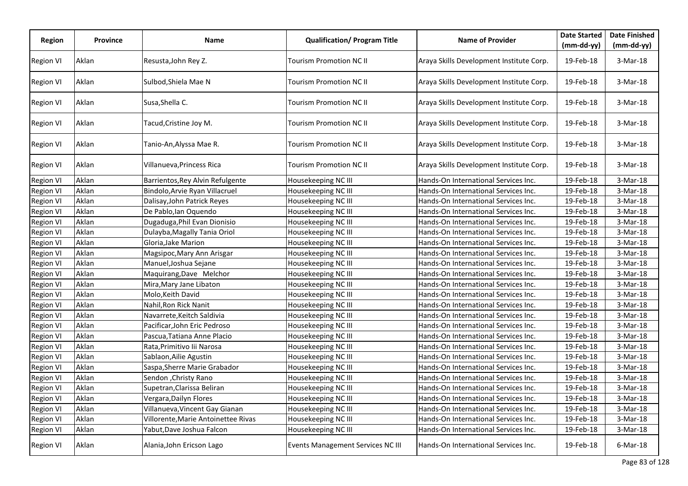| Region           | <b>Province</b> | <b>Name</b>                         | <b>Qualification/ Program Title</b>      | <b>Name of Provider</b>                  | <b>Date Started</b><br>$(mm-dd-yy)$ | <b>Date Finished</b><br>$(mm-dd-yy)$ |
|------------------|-----------------|-------------------------------------|------------------------------------------|------------------------------------------|-------------------------------------|--------------------------------------|
| Region VI        | Aklan           | Resusta, John Rey Z.                | Tourism Promotion NC II                  | Araya Skills Development Institute Corp. | 19-Feb-18                           | $3-Mar-18$                           |
| <b>Region VI</b> | Aklan           | Sulbod, Shiela Mae N                | Tourism Promotion NC II                  | Araya Skills Development Institute Corp. | 19-Feb-18                           | $3-Mar-18$                           |
| <b>Region VI</b> | Aklan           | Susa, Shella C.                     | Tourism Promotion NC II                  | Araya Skills Development Institute Corp. | 19-Feb-18                           | $3-Mar-18$                           |
| <b>Region VI</b> | Aklan           | Tacud, Cristine Joy M.              | Tourism Promotion NC II                  | Araya Skills Development Institute Corp. | 19-Feb-18                           | $3-Mar-18$                           |
| <b>Region VI</b> | Aklan           | Tanio-An, Alyssa Mae R.             | Tourism Promotion NC II                  | Araya Skills Development Institute Corp. | 19-Feb-18                           | 3-Mar-18                             |
| <b>Region VI</b> | Aklan           | Villanueva, Princess Rica           | Tourism Promotion NC II                  | Araya Skills Development Institute Corp. | 19-Feb-18                           | $3-Mar-18$                           |
| Region VI        | Aklan           | Barrientos, Rey Alvin Refulgente    | Housekeeping NC III                      | Hands-On International Services Inc.     | 19-Feb-18                           | 3-Mar-18                             |
| <b>Region VI</b> | Aklan           | Bindolo, Arvie Ryan Villacruel      | Housekeeping NC III                      | Hands-On International Services Inc.     | 19-Feb-18                           | 3-Mar-18                             |
| Region VI        | Aklan           | Dalisay, John Patrick Reyes         | Housekeeping NC III                      | Hands-On International Services Inc.     | 19-Feb-18                           | $3-Mar-18$                           |
| <b>Region VI</b> | Aklan           | De Pablo, lan Oquendo               | Housekeeping NC III                      | Hands-On International Services Inc.     | 19-Feb-18                           | $3-Mar-18$                           |
| <b>Region VI</b> | Aklan           | Dugaduga, Phil Evan Dionisio        | Housekeeping NC III                      | Hands-On International Services Inc.     | 19-Feb-18                           | $3-Mar-18$                           |
| <b>Region VI</b> | Aklan           | Dulayba, Magally Tania Oriol        | Housekeeping NC III                      | Hands-On International Services Inc.     | 19-Feb-18                           | $3-Mar-18$                           |
| Region VI        | Aklan           | Gloria, Jake Marion                 | Housekeeping NC III                      | Hands-On International Services Inc.     | 19-Feb-18                           | 3-Mar-18                             |
| <b>Region VI</b> | Aklan           | Magsipoc, Mary Ann Arisgar          | Housekeeping NC III                      | Hands-On International Services Inc.     | 19-Feb-18                           | $3-Mar-18$                           |
| <b>Region VI</b> | Aklan           | Manuel, Joshua Sejane               | Housekeeping NC III                      | Hands-On International Services Inc.     | 19-Feb-18                           | 3-Mar-18                             |
| <b>Region VI</b> | Aklan           | Maquirang, Dave Melchor             | Housekeeping NC III                      | Hands-On International Services Inc.     | 19-Feb-18                           | $3-Mar-18$                           |
| <b>Region VI</b> | Aklan           | Mira, Mary Jane Libaton             | Housekeeping NC III                      | Hands-On International Services Inc.     | 19-Feb-18                           | $3-Mar-18$                           |
| <b>Region VI</b> | Aklan           | Molo, Keith David                   | Housekeeping NC III                      | Hands-On International Services Inc.     | 19-Feb-18                           | 3-Mar-18                             |
| Region VI        | Aklan           | Nahil, Ron Rick Nanit               | Housekeeping NC III                      | Hands-On International Services Inc.     | 19-Feb-18                           | 3-Mar-18                             |
| Region VI        | Aklan           | Navarrete, Keitch Saldivia          | Housekeeping NC III                      | Hands-On International Services Inc.     | 19-Feb-18                           | $3-Mar-18$                           |
| <b>Region VI</b> | Aklan           | Pacificar,John Eric Pedroso         | Housekeeping NC III                      | Hands-On International Services Inc.     | 19-Feb-18                           | $3-Mar-18$                           |
| <b>Region VI</b> | Aklan           | Pascua,Tatiana Anne Placio          | Housekeeping NC III                      | Hands-On International Services Inc.     | 19-Feb-18                           | $3-Mar-18$                           |
| <b>Region VI</b> | Aklan           | Rata, Primitivo lii Narosa          | Housekeeping NC III                      | Hands-On International Services Inc.     | 19-Feb-18                           | $3-Mar-18$                           |
| <b>Region VI</b> | Aklan           | Sablaon, Ailie Agustin              | Housekeeping NC III                      | Hands-On International Services Inc.     | 19-Feb-18                           | $3-Mar-18$                           |
| <b>Region VI</b> | Aklan           | Saspa, Sherre Marie Grabador        | Housekeeping NC III                      | Hands-On International Services Inc.     | 19-Feb-18                           | $3-Mar-18$                           |
| Region VI        | Aklan           | Sendon , Christy Rano               | Housekeeping NC III                      | Hands-On International Services Inc.     | 19-Feb-18                           | $3-Mar-18$                           |
| <b>Region VI</b> | Aklan           | Supetran, Clarissa Beliran          | Housekeeping NC III                      | Hands-On International Services Inc.     | 19-Feb-18                           | $3-Mar-18$                           |
| <b>Region VI</b> | Aklan           | Vergara, Dailyn Flores              | Housekeeping NC III                      | Hands-On International Services Inc.     | 19-Feb-18                           | $3-Mar-18$                           |
| <b>Region VI</b> | Aklan           | Villanueva, Vincent Gay Gianan      | Housekeeping NC III                      | Hands-On International Services Inc.     | 19-Feb-18                           | $3-Mar-18$                           |
| <b>Region VI</b> | Aklan           | Villorente, Marie Antoinettee Rivas | Housekeeping NC III                      | Hands-On International Services Inc.     | 19-Feb-18                           | 3-Mar-18                             |
| Region VI        | Aklan           | Yabut, Dave Joshua Falcon           | Housekeeping NC III                      | Hands-On International Services Inc.     | 19-Feb-18                           | $3-Mar-18$                           |
| <b>Region VI</b> | Aklan           | Alania, John Ericson Lago           | <b>Events Management Services NC III</b> | Hands-On International Services Inc.     | 19-Feb-18                           | $6$ -Mar-18                          |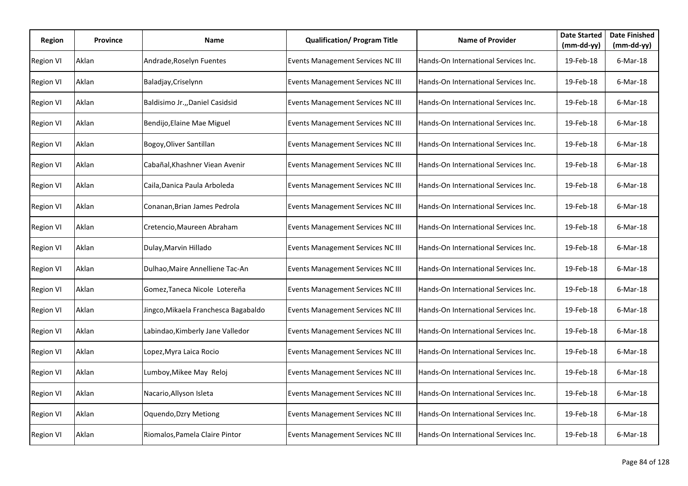| Region           | <b>Province</b> | Name                                 | <b>Qualification/ Program Title</b>      | <b>Name of Provider</b>              | <b>Date Started</b><br>$(mm-dd-yy)$ | <b>Date Finished</b><br>$(mm-dd-yy)$ |
|------------------|-----------------|--------------------------------------|------------------------------------------|--------------------------------------|-------------------------------------|--------------------------------------|
| <b>Region VI</b> | Aklan           | Andrade, Roselyn Fuentes             | Events Management Services NC III        | Hands-On International Services Inc. | 19-Feb-18                           | $6$ -Mar-18                          |
| <b>Region VI</b> | Aklan           | Baladjay, Criselynn                  | Events Management Services NC III        | Hands-On International Services Inc. | 19-Feb-18                           | $6$ -Mar-18                          |
| <b>Region VI</b> | Aklan           | Baldisimo Jr.,, Daniel Casidsid      | Events Management Services NC III        | Hands-On International Services Inc. | 19-Feb-18                           | $6$ -Mar-18                          |
| <b>Region VI</b> | Aklan           | Bendijo, Elaine Mae Miguel           | Events Management Services NC III        | Hands-On International Services Inc. | 19-Feb-18                           | $6$ -Mar-18                          |
| <b>Region VI</b> | Aklan           | Bogoy, Oliver Santillan              | Events Management Services NC III        | Hands-On International Services Inc. | 19-Feb-18                           | $6$ -Mar-18                          |
| <b>Region VI</b> | Aklan           | Cabañal, Khashner Viean Avenir       | Events Management Services NC III        | Hands-On International Services Inc. | 19-Feb-18                           | $6$ -Mar-18                          |
| <b>Region VI</b> | Aklan           | Caila,Danica Paula Arboleda          | <b>Events Management Services NC III</b> | Hands-On International Services Inc. | 19-Feb-18                           | $6$ -Mar-18                          |
| <b>Region VI</b> | Aklan           | Conanan, Brian James Pedrola         | Events Management Services NC III        | Hands-On International Services Inc. | 19-Feb-18                           | $6$ -Mar-18                          |
| <b>Region VI</b> | Aklan           | Cretencio, Maureen Abraham           | Events Management Services NC III        | Hands-On International Services Inc. | 19-Feb-18                           | $6$ -Mar-18                          |
| Region VI        | Aklan           | Dulay, Marvin Hillado                | Events Management Services NC III        | Hands-On International Services Inc. | 19-Feb-18                           | $6$ -Mar-18                          |
| <b>Region VI</b> | Aklan           | Dulhao, Maire Annelliene Tac-An      | <b>Events Management Services NC III</b> | Hands-On International Services Inc. | 19-Feb-18                           | $6$ -Mar-18                          |
| <b>Region VI</b> | Aklan           | Gomez, Taneca Nicole Lotereña        | Events Management Services NC III        | Hands-On International Services Inc. | 19-Feb-18                           | $6$ -Mar-18                          |
| <b>Region VI</b> | Aklan           | Jingco, Mikaela Franchesca Bagabaldo | Events Management Services NC III        | Hands-On International Services Inc. | 19-Feb-18                           | $6$ -Mar-18                          |
| <b>Region VI</b> | Aklan           | Labindao, Kimberly Jane Valledor     | Events Management Services NC III        | Hands-On International Services Inc. | 19-Feb-18                           | $6$ -Mar-18                          |
| <b>Region VI</b> | Aklan           | Lopez, Myra Laica Rocio              | Events Management Services NC III        | Hands-On International Services Inc. | 19-Feb-18                           | $6$ -Mar-18                          |
| <b>Region VI</b> | Aklan           | Lumboy, Mikee May Reloj              | Events Management Services NC III        | Hands-On International Services Inc. | 19-Feb-18                           | $6$ -Mar-18                          |
| <b>Region VI</b> | Aklan           | Nacario, Allyson Isleta              | <b>Events Management Services NC III</b> | Hands-On International Services Inc. | 19-Feb-18                           | $6$ -Mar-18                          |
| <b>Region VI</b> | Aklan           | <b>Oquendo, Dzry Metiong</b>         | Events Management Services NC III        | Hands-On International Services Inc. | 19-Feb-18                           | $6$ -Mar-18                          |
| <b>Region VI</b> | Aklan           | Riomalos, Pamela Claire Pintor       | Events Management Services NC III        | Hands-On International Services Inc. | 19-Feb-18                           | $6$ -Mar-18                          |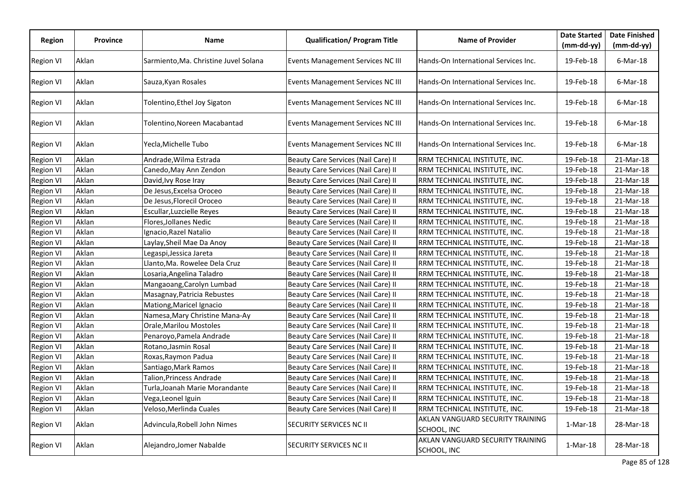| <b>Region</b>    | <b>Province</b> | <b>Name</b>                           | <b>Qualification/ Program Title</b>      | <b>Name of Provider</b>                         | <b>Date Started</b> | <b>Date Finished</b> |
|------------------|-----------------|---------------------------------------|------------------------------------------|-------------------------------------------------|---------------------|----------------------|
|                  |                 |                                       |                                          |                                                 | $(mm-dd-yy)$        | $(mm-dd-yy)$         |
| <b>Region VI</b> | Aklan           | Sarmiento, Ma. Christine Juvel Solana | Events Management Services NC III        | Hands-On International Services Inc.            | 19-Feb-18           | $6$ -Mar-18          |
| <b>Region VI</b> | Aklan           | Sauza, Kyan Rosales                   | <b>Events Management Services NC III</b> | Hands-On International Services Inc.            | 19-Feb-18           | $6$ -Mar-18          |
| <b>Region VI</b> | Aklan           | Tolentino, Ethel Joy Sigaton          | Events Management Services NC III        | Hands-On International Services Inc.            | 19-Feb-18           | $6$ -Mar-18          |
| <b>Region VI</b> | Aklan           | Tolentino, Noreen Macabantad          | <b>Events Management Services NC III</b> | Hands-On International Services Inc.            | 19-Feb-18           | $6$ -Mar-18          |
| <b>Region VI</b> | Aklan           | Yecla,Michelle Tubo                   | <b>Events Management Services NC III</b> | Hands-On International Services Inc.            | 19-Feb-18           | $6$ -Mar-18          |
| <b>Region VI</b> | Aklan           | Andrade, Wilma Estrada                | Beauty Care Services (Nail Care) II      | RRM TECHNICAL INSTITUTE, INC.                   | 19-Feb-18           | 21-Mar-18            |
| <b>Region VI</b> | Aklan           | Canedo, May Ann Zendon                | Beauty Care Services (Nail Care) II      | RRM TECHNICAL INSTITUTE, INC.                   | 19-Feb-18           | 21-Mar-18            |
| <b>Region VI</b> | Aklan           | David, Ivy Rose Iray                  | Beauty Care Services (Nail Care) II      | RRM TECHNICAL INSTITUTE, INC.                   | 19-Feb-18           | 21-Mar-18            |
| Region VI        | Aklan           | De Jesus, Excelsa Oroceo              | Beauty Care Services (Nail Care) II      | RRM TECHNICAL INSTITUTE, INC.                   | 19-Feb-18           | 21-Mar-18            |
| <b>Region VI</b> | Aklan           | De Jesus, Florecil Oroceo             | Beauty Care Services (Nail Care) II      | RRM TECHNICAL INSTITUTE, INC.                   | 19-Feb-18           | 21-Mar-18            |
| <b>Region VI</b> | Aklan           | Escullar, Luzcielle Reyes             | Beauty Care Services (Nail Care) II      | RRM TECHNICAL INSTITUTE, INC.                   | 19-Feb-18           | 21-Mar-18            |
| <b>Region VI</b> | Aklan           | Flores, Jollanes Nedic                | Beauty Care Services (Nail Care) II      | RRM TECHNICAL INSTITUTE, INC.                   | 19-Feb-18           | 21-Mar-18            |
| <b>Region VI</b> | Aklan           | Ignacio, Razel Natalio                | Beauty Care Services (Nail Care) II      | RRM TECHNICAL INSTITUTE, INC.                   | 19-Feb-18           | 21-Mar-18            |
| <b>Region VI</b> | Aklan           | Laylay, Sheil Mae Da Anoy             | Beauty Care Services (Nail Care) II      | RRM TECHNICAL INSTITUTE, INC.                   | 19-Feb-18           | 21-Mar-18            |
| <b>Region VI</b> | Aklan           | Legaspi, Jessica Jareta               | Beauty Care Services (Nail Care) II      | RRM TECHNICAL INSTITUTE, INC.                   | 19-Feb-18           | 21-Mar-18            |
| <b>Region VI</b> | Aklan           | Llanto,Ma. Rowelee Dela Cruz          | Beauty Care Services (Nail Care) II      | RRM TECHNICAL INSTITUTE, INC.                   | 19-Feb-18           | 21-Mar-18            |
| <b>Region VI</b> | Aklan           | Losaria, Angelina Taladro             | Beauty Care Services (Nail Care) II      | RRM TECHNICAL INSTITUTE, INC.                   | 19-Feb-18           | 21-Mar-18            |
| <b>Region VI</b> | Aklan           | Mangaoang, Carolyn Lumbad             | Beauty Care Services (Nail Care) II      | RRM TECHNICAL INSTITUTE, INC.                   | 19-Feb-18           | 21-Mar-18            |
| <b>Region VI</b> | Aklan           | Masagnay, Patricia Rebustes           | Beauty Care Services (Nail Care) II      | RRM TECHNICAL INSTITUTE, INC.                   | 19-Feb-18           | 21-Mar-18            |
| <b>Region VI</b> | Aklan           | Mationg, Maricel Ignacio              | Beauty Care Services (Nail Care) II      | RRM TECHNICAL INSTITUTE, INC.                   | 19-Feb-18           | 21-Mar-18            |
| Region VI        | Aklan           | Namesa, Mary Christine Mana-Ay        | Beauty Care Services (Nail Care) II      | RRM TECHNICAL INSTITUTE, INC.                   | 19-Feb-18           | 21-Mar-18            |
| <b>Region VI</b> | Aklan           | Orale, Marilou Mostoles               | Beauty Care Services (Nail Care) II      | RRM TECHNICAL INSTITUTE, INC.                   | 19-Feb-18           | 21-Mar-18            |
| <b>Region VI</b> | Aklan           | Penaroyo, Pamela Andrade              | Beauty Care Services (Nail Care) II      | RRM TECHNICAL INSTITUTE, INC.                   | 19-Feb-18           | 21-Mar-18            |
| <b>Region VI</b> | Aklan           | Rotano, Jasmin Rosal                  | Beauty Care Services (Nail Care) II      | RRM TECHNICAL INSTITUTE, INC.                   | 19-Feb-18           | 21-Mar-18            |
| Region VI        | Aklan           | Roxas, Raymon Padua                   | Beauty Care Services (Nail Care) II      | RRM TECHNICAL INSTITUTE, INC.                   | 19-Feb-18           | 21-Mar-18            |
| <b>Region VI</b> | Aklan           | Santiago, Mark Ramos                  | Beauty Care Services (Nail Care) II      | RRM TECHNICAL INSTITUTE, INC.                   | 19-Feb-18           | 21-Mar-18            |
| <b>Region VI</b> | Aklan           | Talion, Princess Andrade              | Beauty Care Services (Nail Care) II      | RRM TECHNICAL INSTITUTE, INC.                   | 19-Feb-18           | 21-Mar-18            |
| <b>Region VI</b> | Aklan           | Turla,Joanah Marie Morandante         | Beauty Care Services (Nail Care) II      | RRM TECHNICAL INSTITUTE, INC.                   | 19-Feb-18           | 21-Mar-18            |
| <b>Region VI</b> | Aklan           | Vega, Leonel Iguin                    | Beauty Care Services (Nail Care) II      | RRM TECHNICAL INSTITUTE, INC.                   | 19-Feb-18           | 21-Mar-18            |
| <b>Region VI</b> | Aklan           | Veloso, Merlinda Cuales               | Beauty Care Services (Nail Care) II      | RRM TECHNICAL INSTITUTE, INC.                   | 19-Feb-18           | 21-Mar-18            |
| <b>Region VI</b> | Aklan           | Advincula, Robell John Nimes          | SECURITY SERVICES NC II                  | AKLAN VANGUARD SECURITY TRAINING<br>SCHOOL, INC | $1-Mar-18$          | 28-Mar-18            |
| <b>Region VI</b> | Aklan           | Alejandro, Jomer Nabalde              | SECURITY SERVICES NC II                  | AKLAN VANGUARD SECURITY TRAINING<br>SCHOOL, INC | 1-Mar-18            | 28-Mar-18            |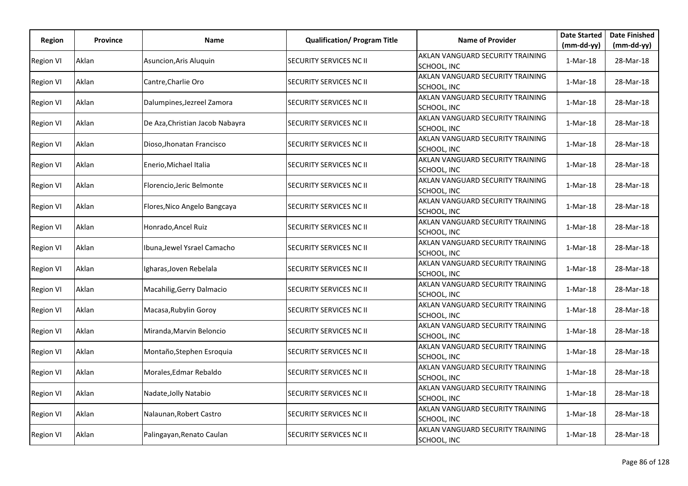| Region           | <b>Province</b> | <b>Name</b>                     | <b>Qualification/ Program Title</b> | <b>Name of Provider</b>                         | <b>Date Started</b> | <b>Date Finished</b> |
|------------------|-----------------|---------------------------------|-------------------------------------|-------------------------------------------------|---------------------|----------------------|
|                  |                 |                                 |                                     |                                                 | $(mm-dd-yy)$        | $(mm-dd-yy)$         |
| <b>Region VI</b> | Aklan           | Asuncion, Aris Aluquin          | SECURITY SERVICES NC II             | AKLAN VANGUARD SECURITY TRAINING<br>SCHOOL, INC | 1-Mar-18            | 28-Mar-18            |
| <b>Region VI</b> | Aklan           | Cantre, Charlie Oro             | <b>SECURITY SERVICES NC II</b>      | AKLAN VANGUARD SECURITY TRAINING<br>SCHOOL, INC | 1-Mar-18            | 28-Mar-18            |
| <b>Region VI</b> | Aklan           | Dalumpines, Jezreel Zamora      | SECURITY SERVICES NC II             | AKLAN VANGUARD SECURITY TRAINING<br>SCHOOL, INC | 1-Mar-18            | 28-Mar-18            |
| <b>Region VI</b> | Aklan           | De Aza, Christian Jacob Nabayra | SECURITY SERVICES NC II             | AKLAN VANGUARD SECURITY TRAINING<br>SCHOOL, INC | $1-Mar-18$          | 28-Mar-18            |
| <b>Region VI</b> | Aklan           | Dioso, Jhonatan Francisco       | <b>SECURITY SERVICES NC II</b>      | AKLAN VANGUARD SECURITY TRAINING<br>SCHOOL, INC | 1-Mar-18            | 28-Mar-18            |
| <b>Region VI</b> | Aklan           | Enerio, Michael Italia          | <b>SECURITY SERVICES NC II</b>      | AKLAN VANGUARD SECURITY TRAINING<br>SCHOOL, INC | 1-Mar-18            | 28-Mar-18            |
| <b>Region VI</b> | Aklan           | Florencio, Jeric Belmonte       | <b>SECURITY SERVICES NC II</b>      | AKLAN VANGUARD SECURITY TRAINING<br>SCHOOL, INC | 1-Mar-18            | 28-Mar-18            |
| <b>Region VI</b> | Aklan           | Flores, Nico Angelo Bangcaya    | <b>SECURITY SERVICES NC II</b>      | AKLAN VANGUARD SECURITY TRAINING<br>SCHOOL, INC | $1-Mar-18$          | 28-Mar-18            |
| <b>Region VI</b> | Aklan           | Honrado, Ancel Ruiz             | SECURITY SERVICES NC II             | AKLAN VANGUARD SECURITY TRAINING<br>SCHOOL, INC | 1-Mar-18            | 28-Mar-18            |
| <b>Region VI</b> | Aklan           | Ibuna, Jewel Ysrael Camacho     | <b>SECURITY SERVICES NC II</b>      | AKLAN VANGUARD SECURITY TRAINING<br>SCHOOL, INC | $1-Mar-18$          | 28-Mar-18            |
| <b>Region VI</b> | Aklan           | Igharas, Joven Rebelala         | SECURITY SERVICES NC II             | AKLAN VANGUARD SECURITY TRAINING<br>SCHOOL, INC | $1-Mar-18$          | 28-Mar-18            |
| <b>Region VI</b> | Aklan           | Macahilig, Gerry Dalmacio       | <b>SECURITY SERVICES NC II</b>      | AKLAN VANGUARD SECURITY TRAINING<br>SCHOOL, INC | $1-Mar-18$          | 28-Mar-18            |
| <b>Region VI</b> | Aklan           | Macasa, Rubylin Goroy           | SECURITY SERVICES NC II             | AKLAN VANGUARD SECURITY TRAINING<br>SCHOOL, INC | $1-Mar-18$          | 28-Mar-18            |
| <b>Region VI</b> | Aklan           | Miranda, Marvin Beloncio        | SECURITY SERVICES NC II             | AKLAN VANGUARD SECURITY TRAINING<br>SCHOOL, INC | $1-Mar-18$          | 28-Mar-18            |
| <b>Region VI</b> | Aklan           | Montaño, Stephen Esroquia       | SECURITY SERVICES NC II             | AKLAN VANGUARD SECURITY TRAINING<br>SCHOOL, INC | $1-Mar-18$          | 28-Mar-18            |
| <b>Region VI</b> | Aklan           | Morales, Edmar Rebaldo          | <b>SECURITY SERVICES NC II</b>      | AKLAN VANGUARD SECURITY TRAINING<br>SCHOOL, INC | 1-Mar-18            | 28-Mar-18            |
| <b>Region VI</b> | Aklan           | Nadate, Jolly Natabio           | <b>SECURITY SERVICES NC II</b>      | AKLAN VANGUARD SECURITY TRAINING<br>SCHOOL, INC | $1-Mar-18$          | 28-Mar-18            |
| <b>Region VI</b> | Aklan           | Nalaunan, Robert Castro         | SECURITY SERVICES NC II             | AKLAN VANGUARD SECURITY TRAINING<br>SCHOOL, INC | $1-Mar-18$          | 28-Mar-18            |
| <b>Region VI</b> | Aklan           | Palingayan, Renato Caulan       | SECURITY SERVICES NC II             | AKLAN VANGUARD SECURITY TRAINING<br>SCHOOL, INC | $1-Mar-18$          | 28-Mar-18            |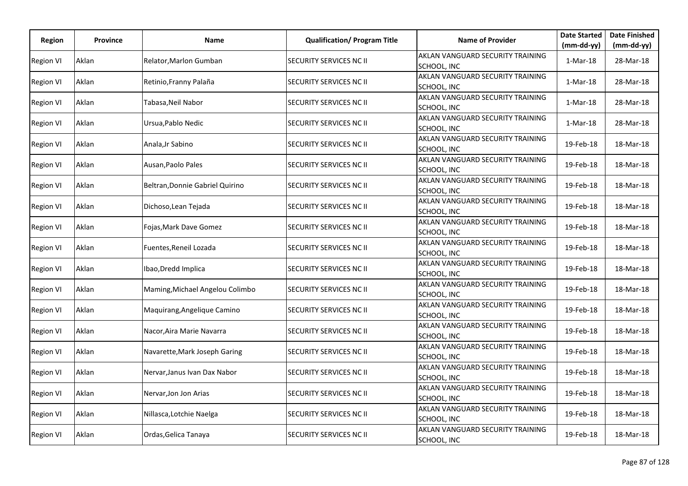| <b>Region</b>    | <b>Province</b> | Name                            | <b>Qualification/ Program Title</b> | <b>Name of Provider</b>                                        | <b>Date Started</b>      | <b>Date Finished</b>      |
|------------------|-----------------|---------------------------------|-------------------------------------|----------------------------------------------------------------|--------------------------|---------------------------|
| <b>Region VI</b> | Aklan           | Relator, Marlon Gumban          | <b>SECURITY SERVICES NC II</b>      | AKLAN VANGUARD SECURITY TRAINING                               | $(mm-dd-yy)$<br>1-Mar-18 | $(mm-dd-yy)$<br>28-Mar-18 |
| <b>Region VI</b> | Aklan           | Retinio, Franny Palaña          | <b>SECURITY SERVICES NC II</b>      | SCHOOL, INC<br>AKLAN VANGUARD SECURITY TRAINING<br>SCHOOL, INC | 1-Mar-18                 | 28-Mar-18                 |
| Region VI        | Aklan           | Tabasa, Neil Nabor              | SECURITY SERVICES NC II             | AKLAN VANGUARD SECURITY TRAINING<br>SCHOOL, INC                | $1-Mar-18$               | 28-Mar-18                 |
| <b>Region VI</b> | Aklan           | Ursua, Pablo Nedic              | SECURITY SERVICES NC II             | AKLAN VANGUARD SECURITY TRAINING<br>SCHOOL, INC                | $1-Mar-18$               | 28-Mar-18                 |
| <b>Region VI</b> | Aklan           | Anala, Jr Sabino                | <b>SECURITY SERVICES NC II</b>      | AKLAN VANGUARD SECURITY TRAINING<br>SCHOOL, INC                | 19-Feb-18                | 18-Mar-18                 |
| <b>Region VI</b> | Aklan           | Ausan, Paolo Pales              | <b>SECURITY SERVICES NC II</b>      | AKLAN VANGUARD SECURITY TRAINING<br>SCHOOL, INC                | 19-Feb-18                | 18-Mar-18                 |
| <b>Region VI</b> | Aklan           | Beltran, Donnie Gabriel Quirino | <b>SECURITY SERVICES NC II</b>      | AKLAN VANGUARD SECURITY TRAINING<br>SCHOOL, INC                | 19-Feb-18                | 18-Mar-18                 |
| <b>Region VI</b> | Aklan           | Dichoso, Lean Tejada            | <b>SECURITY SERVICES NC II</b>      | AKLAN VANGUARD SECURITY TRAINING<br>SCHOOL, INC                | 19-Feb-18                | 18-Mar-18                 |
| <b>Region VI</b> | Aklan           | Fojas, Mark Dave Gomez          | <b>SECURITY SERVICES NC II</b>      | AKLAN VANGUARD SECURITY TRAINING<br>SCHOOL, INC                | 19-Feb-18                | 18-Mar-18                 |
| <b>Region VI</b> | Aklan           | Fuentes, Reneil Lozada          | SECURITY SERVICES NC II             | AKLAN VANGUARD SECURITY TRAINING<br>SCHOOL, INC                | 19-Feb-18                | 18-Mar-18                 |
| <b>Region VI</b> | Aklan           | Ibao, Dredd Implica             | SECURITY SERVICES NC II             | AKLAN VANGUARD SECURITY TRAINING<br>SCHOOL, INC                | 19-Feb-18                | 18-Mar-18                 |
| <b>Region VI</b> | Aklan           | Maming, Michael Angelou Colimbo | <b>SECURITY SERVICES NC II</b>      | AKLAN VANGUARD SECURITY TRAINING<br>SCHOOL, INC                | 19-Feb-18                | 18-Mar-18                 |
| <b>Region VI</b> | Aklan           | Maguirang, Angelique Camino     | SECURITY SERVICES NC II             | AKLAN VANGUARD SECURITY TRAINING<br>SCHOOL, INC                | 19-Feb-18                | 18-Mar-18                 |
| <b>Region VI</b> | Aklan           | Nacor, Aira Marie Navarra       | SECURITY SERVICES NC II             | AKLAN VANGUARD SECURITY TRAINING<br>SCHOOL, INC                | 19-Feb-18                | 18-Mar-18                 |
| <b>Region VI</b> | Aklan           | Navarette, Mark Joseph Garing   | SECURITY SERVICES NC II             | AKLAN VANGUARD SECURITY TRAINING<br>SCHOOL, INC                | 19-Feb-18                | 18-Mar-18                 |
| <b>Region VI</b> | Aklan           | Nervar, Janus Ivan Dax Nabor    | SECURITY SERVICES NC II             | AKLAN VANGUARD SECURITY TRAINING<br>SCHOOL, INC                | 19-Feb-18                | 18-Mar-18                 |
| <b>Region VI</b> | Aklan           | Nervar, Jon Jon Arias           | <b>SECURITY SERVICES NC II</b>      | AKLAN VANGUARD SECURITY TRAINING<br>SCHOOL, INC                | 19-Feb-18                | 18-Mar-18                 |
| <b>Region VI</b> | Aklan           | Nillasca, Lotchie Naelga        | SECURITY SERVICES NC II             | AKLAN VANGUARD SECURITY TRAINING<br>SCHOOL, INC                | 19-Feb-18                | 18-Mar-18                 |
| <b>Region VI</b> | Aklan           | Ordas, Gelica Tanaya            | SECURITY SERVICES NC II             | AKLAN VANGUARD SECURITY TRAINING<br>SCHOOL, INC                | 19-Feb-18                | 18-Mar-18                 |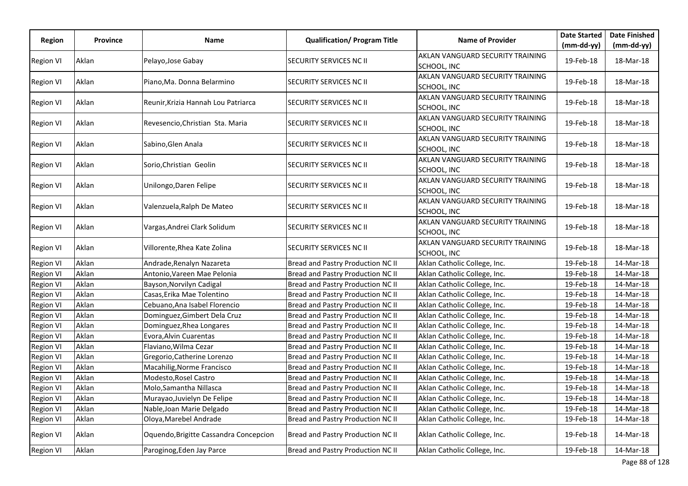|                  |                 |                                        |                                     |                                                 | <b>Date Started</b> | <b>Date Finished</b> |
|------------------|-----------------|----------------------------------------|-------------------------------------|-------------------------------------------------|---------------------|----------------------|
| Region           | <b>Province</b> | Name                                   | <b>Qualification/ Program Title</b> | <b>Name of Provider</b>                         | $(mm-dd-yy)$        | $(mm-dd-yy)$         |
| <b>Region VI</b> | Aklan           | Pelayo, Jose Gabay                     | SECURITY SERVICES NC II             | AKLAN VANGUARD SECURITY TRAINING<br>SCHOOL, INC | 19-Feb-18           | 18-Mar-18            |
| <b>Region VI</b> | Aklan           | Piano, Ma. Donna Belarmino             | SECURITY SERVICES NC II             | AKLAN VANGUARD SECURITY TRAINING<br>SCHOOL, INC | 19-Feb-18           | 18-Mar-18            |
| <b>Region VI</b> | Aklan           | Reunir, Krizia Hannah Lou Patriarca    | SECURITY SERVICES NC II             | AKLAN VANGUARD SECURITY TRAINING<br>SCHOOL, INC | 19-Feb-18           | 18-Mar-18            |
| Region VI        | Aklan           | Revesencio, Christian Sta. Maria       | SECURITY SERVICES NC II             | AKLAN VANGUARD SECURITY TRAINING<br>SCHOOL, INC | 19-Feb-18           | 18-Mar-18            |
| <b>Region VI</b> | Aklan           | Sabino, Glen Anala                     | SECURITY SERVICES NC II             | AKLAN VANGUARD SECURITY TRAINING<br>SCHOOL, INC | 19-Feb-18           | 18-Mar-18            |
| <b>Region VI</b> | Aklan           | Sorio, Christian Geolin                | SECURITY SERVICES NC II             | AKLAN VANGUARD SECURITY TRAINING<br>SCHOOL, INC | 19-Feb-18           | 18-Mar-18            |
| <b>Region VI</b> | Aklan           | Unilongo, Daren Felipe                 | SECURITY SERVICES NC II             | AKLAN VANGUARD SECURITY TRAINING<br>SCHOOL, INC | 19-Feb-18           | 18-Mar-18            |
| <b>Region VI</b> | Aklan           | Valenzuela, Ralph De Mateo             | SECURITY SERVICES NC II             | AKLAN VANGUARD SECURITY TRAINING<br>SCHOOL, INC | 19-Feb-18           | 18-Mar-18            |
| <b>Region VI</b> | Aklan           | Vargas, Andrei Clark Solidum           | SECURITY SERVICES NC II             | AKLAN VANGUARD SECURITY TRAINING<br>SCHOOL, INC | 19-Feb-18           | 18-Mar-18            |
| <b>Region VI</b> | Aklan           | Villorente, Rhea Kate Zolina           | SECURITY SERVICES NC II             | AKLAN VANGUARD SECURITY TRAINING<br>SCHOOL, INC | 19-Feb-18           | 18-Mar-18            |
| <b>Region VI</b> | Aklan           | Andrade, Renalyn Nazareta              | Bread and Pastry Production NC II   | Aklan Catholic College, Inc.                    | 19-Feb-18           | 14-Mar-18            |
| <b>Region VI</b> | Aklan           | Antonio, Vareen Mae Pelonia            | Bread and Pastry Production NC II   | Aklan Catholic College, Inc.                    | 19-Feb-18           | 14-Mar-18            |
| <b>Region VI</b> | Aklan           | Bayson, Norvilyn Cadigal               | Bread and Pastry Production NC II   | Aklan Catholic College, Inc.                    | 19-Feb-18           | 14-Mar-18            |
| <b>Region VI</b> | Aklan           | Casas, Erika Mae Tolentino             | Bread and Pastry Production NC II   | Aklan Catholic College, Inc.                    | 19-Feb-18           | 14-Mar-18            |
| Region VI        | Aklan           | Cebuano, Ana Isabel Florencio          | Bread and Pastry Production NC II   | Aklan Catholic College, Inc.                    | 19-Feb-18           | 14-Mar-18            |
| Region VI        | Aklan           | Dominguez, Gimbert Dela Cruz           | Bread and Pastry Production NC II   | Aklan Catholic College, Inc.                    | 19-Feb-18           | 14-Mar-18            |
| <b>Region VI</b> | Aklan           | Dominguez, Rhea Longares               | Bread and Pastry Production NC II   | Aklan Catholic College, Inc.                    | 19-Feb-18           | 14-Mar-18            |
| <b>Region VI</b> | Aklan           | Evora, Alvin Cuarentas                 | Bread and Pastry Production NC II   | Aklan Catholic College, Inc.                    | 19-Feb-18           | 14-Mar-18            |
| <b>Region VI</b> | Aklan           | Flaviano, Wilma Cezar                  | Bread and Pastry Production NC II   | Aklan Catholic College, Inc.                    | 19-Feb-18           | 14-Mar-18            |
| <b>Region VI</b> | Aklan           | Gregorio, Catherine Lorenzo            | Bread and Pastry Production NC II   | Aklan Catholic College, Inc.                    | 19-Feb-18           | 14-Mar-18            |
| Region VI        | Aklan           | Macahilig, Norme Francisco             | Bread and Pastry Production NC II   | Aklan Catholic College, Inc.                    | 19-Feb-18           | 14-Mar-18            |
| <b>Region VI</b> | Aklan           | Modesto, Rosel Castro                  | Bread and Pastry Production NC II   | Aklan Catholic College, Inc.                    | 19-Feb-18           | 14-Mar-18            |
| <b>Region VI</b> | Aklan           | Molo,Samantha Nillasca                 | Bread and Pastry Production NC II   | Aklan Catholic College, Inc.                    | 19-Feb-18           | 14-Mar-18            |
| <b>Region VI</b> | Aklan           | Murayao, Juvielyn De Felipe            | Bread and Pastry Production NC II   | Aklan Catholic College, Inc.                    | 19-Feb-18           | 14-Mar-18            |
| <b>Region VI</b> | Aklan           | Nable, Joan Marie Delgado              | Bread and Pastry Production NC II   | Aklan Catholic College, Inc.                    | 19-Feb-18           | 14-Mar-18            |
| Region VI        | Aklan           | Oloya, Marebel Andrade                 | Bread and Pastry Production NC II   | Aklan Catholic College, Inc.                    | 19-Feb-18           | 14-Mar-18            |
| <b>Region VI</b> | Aklan           | Oquendo, Brigitte Cassandra Concepcion | Bread and Pastry Production NC II   | Aklan Catholic College, Inc.                    | 19-Feb-18           | 14-Mar-18            |
| <b>Region VI</b> | Aklan           | Paroginog, Eden Jay Parce              | Bread and Pastry Production NC II   | Aklan Catholic College, Inc.                    | 19-Feb-18           | 14-Mar-18            |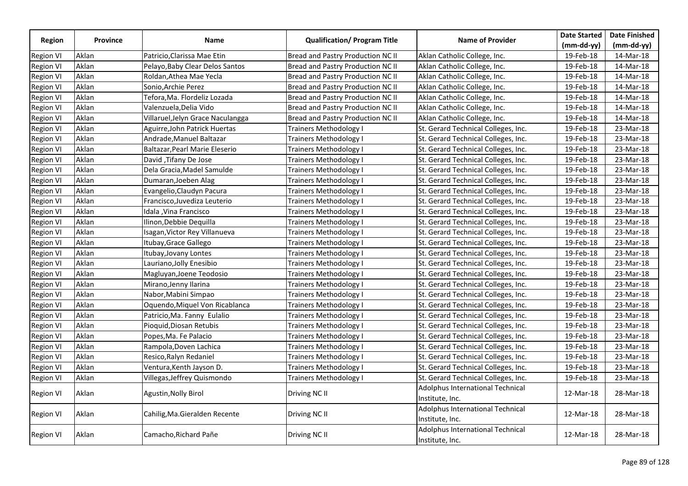|                  |                 |                                   |                                    |                                     | <b>Date Started</b> | <b>Date Finished</b> |
|------------------|-----------------|-----------------------------------|------------------------------------|-------------------------------------|---------------------|----------------------|
| Region           | <b>Province</b> | Name                              | <b>Qualification/Program Title</b> | <b>Name of Provider</b>             | $(mm-dd-yy)$        | $(mm-dd-vy)$         |
| <b>Region VI</b> | Aklan           | Patricio, Clarissa Mae Etin       | Bread and Pastry Production NC II  | Aklan Catholic College, Inc.        | 19-Feb-18           | 14-Mar-18            |
| <b>Region VI</b> | Aklan           | Pelayo, Baby Clear Delos Santos   | Bread and Pastry Production NC II  | Aklan Catholic College, Inc.        | 19-Feb-18           | 14-Mar-18            |
| <b>Region VI</b> | Aklan           | Roldan, Athea Mae Yecla           | Bread and Pastry Production NC II  | Aklan Catholic College, Inc.        | 19-Feb-18           | 14-Mar-18            |
| <b>Region VI</b> | Aklan           | Sonio,Archie Perez                | Bread and Pastry Production NC II  | Aklan Catholic College, Inc.        | 19-Feb-18           | 14-Mar-18            |
| <b>Region VI</b> | Aklan           | Tefora,Ma. Flordeliz Lozada       | Bread and Pastry Production NC II  | Aklan Catholic College, Inc.        | 19-Feb-18           | 14-Mar-18            |
| <b>Region VI</b> | Aklan           | Valenzuela, Delia Vido            | Bread and Pastry Production NC II  | Aklan Catholic College, Inc.        | 19-Feb-18           | 14-Mar-18            |
| <b>Region VI</b> | Aklan           | Villaruel, Jelyn Grace Naculangga | Bread and Pastry Production NC II  | Aklan Catholic College, Inc.        | 19-Feb-18           | 14-Mar-18            |
| <b>Region VI</b> | Aklan           | Aguirre,John Patrick Huertas      | Trainers Methodology I             | St. Gerard Technical Colleges, Inc. | 19-Feb-18           | 23-Mar-18            |
| <b>Region VI</b> | Aklan           | Andrade, Manuel Baltazar          | <b>Trainers Methodology I</b>      | St. Gerard Technical Colleges, Inc. | 19-Feb-18           | 23-Mar-18            |
| <b>Region VI</b> | Aklan           | Baltazar, Pearl Marie Eleserio    | Trainers Methodology I             | St. Gerard Technical Colleges, Inc. | 19-Feb-18           | 23-Mar-18            |
| <b>Region VI</b> | Aklan           | David, Tifany De Jose             | <b>Trainers Methodology I</b>      | St. Gerard Technical Colleges, Inc. | 19-Feb-18           | 23-Mar-18            |
| <b>Region VI</b> | Aklan           | Dela Gracia, Madel Samulde        | <b>Trainers Methodology I</b>      | St. Gerard Technical Colleges, Inc. | 19-Feb-18           | 23-Mar-18            |
| <b>Region VI</b> | Aklan           | Dumaran, Joeben Alag              | <b>Trainers Methodology I</b>      | St. Gerard Technical Colleges, Inc. | 19-Feb-18           | 23-Mar-18            |
| <b>Region VI</b> | Aklan           | Evangelio, Claudyn Pacura         | <b>Trainers Methodology I</b>      | St. Gerard Technical Colleges, Inc. | 19-Feb-18           | 23-Mar-18            |
| <b>Region VI</b> | Aklan           | Francisco, Juvediza Leuterio      | Trainers Methodology I             | St. Gerard Technical Colleges, Inc. | 19-Feb-18           | 23-Mar-18            |
| <b>Region VI</b> | Aklan           | Idala , Vina Francisco            | <b>Trainers Methodology I</b>      | St. Gerard Technical Colleges, Inc. | 19-Feb-18           | 23-Mar-18            |
| <b>Region VI</b> | Aklan           | Ilinon, Debbie Dequilla           | Trainers Methodology I             | St. Gerard Technical Colleges, Inc. | 19-Feb-18           | 23-Mar-18            |
| <b>Region VI</b> | Aklan           | Isagan, Victor Rey Villanueva     | <b>Trainers Methodology I</b>      | St. Gerard Technical Colleges, Inc. | 19-Feb-18           | 23-Mar-18            |
| <b>Region VI</b> | Aklan           | Itubay, Grace Gallego             | <b>Trainers Methodology I</b>      | St. Gerard Technical Colleges, Inc. | 19-Feb-18           | 23-Mar-18            |
| <b>Region VI</b> | Aklan           | Itubay, Jovany Lontes             | <b>Trainers Methodology I</b>      | St. Gerard Technical Colleges, Inc. | 19-Feb-18           | 23-Mar-18            |
| <b>Region VI</b> | Aklan           | Lauriano,Jolly Enesibio           | Trainers Methodology I             | St. Gerard Technical Colleges, Inc. | 19-Feb-18           | 23-Mar-18            |
| <b>Region VI</b> | Aklan           | Magluyan, Joene Teodosio          | Trainers Methodology I             | St. Gerard Technical Colleges, Inc. | 19-Feb-18           | 23-Mar-18            |
| <b>Region VI</b> | Aklan           | Mirano, Jenny Ilarina             | Trainers Methodology I             | St. Gerard Technical Colleges, Inc. | 19-Feb-18           | 23-Mar-18            |
| <b>Region VI</b> | Aklan           | Nabor, Mabini Simpao              | Trainers Methodology I             | St. Gerard Technical Colleges, Inc. | 19-Feb-18           | 23-Mar-18            |
| <b>Region VI</b> | Aklan           | Oquendo, Miquel Von Ricablanca    | Trainers Methodology I             | St. Gerard Technical Colleges, Inc. | 19-Feb-18           | 23-Mar-18            |
| <b>Region VI</b> | Aklan           | Patricio, Ma. Fanny Eulalio       | <b>Trainers Methodology I</b>      | St. Gerard Technical Colleges, Inc. | 19-Feb-18           | 23-Mar-18            |
| <b>Region VI</b> | Aklan           | Pioquid, Diosan Retubis           | <b>Trainers Methodology I</b>      | St. Gerard Technical Colleges, Inc. | 19-Feb-18           | 23-Mar-18            |
| <b>Region VI</b> | Aklan           | Popes, Ma. Fe Palacio             | <b>Trainers Methodology I</b>      | St. Gerard Technical Colleges, Inc. | 19-Feb-18           | 23-Mar-18            |
| <b>Region VI</b> | Aklan           | Rampola, Doven Lachica            | Trainers Methodology I             | St. Gerard Technical Colleges, Inc. | 19-Feb-18           | 23-Mar-18            |
| <b>Region VI</b> | Aklan           | Resico, Ralyn Redaniel            | Trainers Methodology I             | St. Gerard Technical Colleges, Inc. | 19-Feb-18           | 23-Mar-18            |
| <b>Region VI</b> | Aklan           | Ventura, Kenth Jayson D.          | Trainers Methodology I             | St. Gerard Technical Colleges, Inc. | 19-Feb-18           | 23-Mar-18            |
| <b>Region VI</b> | Aklan           | Villegas, Jeffrey Quismondo       | <b>Trainers Methodology I</b>      | St. Gerard Technical Colleges, Inc. | 19-Feb-18           | 23-Mar-18            |
|                  |                 |                                   |                                    | Adolphus International Technical    |                     |                      |
| <b>Region VI</b> | Aklan           | Agustin, Nolly Birol              | Driving NC II                      | Institute, Inc.                     | 12-Mar-18           | 28-Mar-18            |
|                  |                 |                                   |                                    | Adolphus International Technical    |                     | 28-Mar-18            |
| <b>Region VI</b> | Aklan           | Cahilig, Ma. Gieralden Recente    | Driving NC II                      | Institute, Inc.                     | 12-Mar-18           |                      |
|                  |                 |                                   |                                    | Adolphus International Technical    |                     |                      |
| <b>Region VI</b> | Aklan           | Camacho, Richard Pañe             | Driving NC II                      | Institute, Inc.                     | 12-Mar-18           | 28-Mar-18            |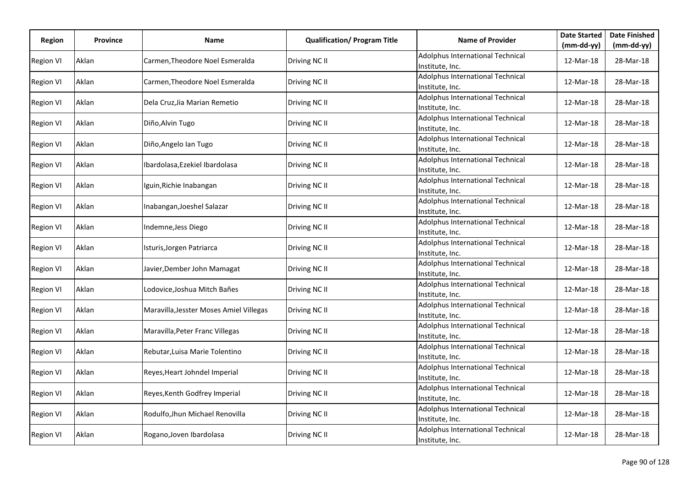| Region           | Province | Name                                    | <b>Qualification/ Program Title</b> | <b>Name of Provider</b>                             | <b>Date Started</b> | <b>Date Finished</b> |
|------------------|----------|-----------------------------------------|-------------------------------------|-----------------------------------------------------|---------------------|----------------------|
|                  |          |                                         |                                     |                                                     | $(mm-dd-yy)$        | $(mm-dd-yy)$         |
| <b>Region VI</b> | Aklan    | Carmen, Theodore Noel Esmeralda         | Driving NC II                       | Adolphus International Technical<br>Institute, Inc. | 12-Mar-18           | 28-Mar-18            |
| <b>Region VI</b> | Aklan    | Carmen, Theodore Noel Esmeralda         | Driving NC II                       | Adolphus International Technical<br>Institute, Inc. | 12-Mar-18           | 28-Mar-18            |
| <b>Region VI</b> | Aklan    | Dela Cruz, Jia Marian Remetio           | Driving NC II                       | Adolphus International Technical<br>Institute, Inc. | 12-Mar-18           | 28-Mar-18            |
| <b>Region VI</b> | Aklan    | Diño, Alvin Tugo                        | Driving NC II                       | Adolphus International Technical<br>Institute, Inc. | 12-Mar-18           | 28-Mar-18            |
| <b>Region VI</b> | Aklan    | Diño, Angelo Ian Tugo                   | Driving NC II                       | Adolphus International Technical<br>Institute, Inc. | 12-Mar-18           | 28-Mar-18            |
| <b>Region VI</b> | Aklan    | Ibardolasa, Ezekiel Ibardolasa          | Driving NC II                       | Adolphus International Technical<br>Institute, Inc. | 12-Mar-18           | 28-Mar-18            |
| <b>Region VI</b> | Aklan    | Iguin, Richie Inabangan                 | Driving NC II                       | Adolphus International Technical<br>Institute, Inc. | 12-Mar-18           | 28-Mar-18            |
| <b>Region VI</b> | Aklan    | Inabangan, Joeshel Salazar              | Driving NC II                       | Adolphus International Technical<br>Institute, Inc. | 12-Mar-18           | 28-Mar-18            |
| <b>Region VI</b> | Aklan    | Indemne, Jess Diego                     | Driving NC II                       | Adolphus International Technical<br>Institute, Inc. | 12-Mar-18           | 28-Mar-18            |
| Region VI        | Aklan    | Isturis, Jorgen Patriarca               | Driving NC II                       | Adolphus International Technical<br>Institute, Inc. | 12-Mar-18           | 28-Mar-18            |
| <b>Region VI</b> | Aklan    | Javier, Dember John Mamagat             | Driving NC II                       | Adolphus International Technical<br>Institute, Inc. | 12-Mar-18           | 28-Mar-18            |
| <b>Region VI</b> | Aklan    | Lodovice, Joshua Mitch Bañes            | Driving NC II                       | Adolphus International Technical<br>Institute, Inc. | 12-Mar-18           | 28-Mar-18            |
| <b>Region VI</b> | Aklan    | Maravilla, Jesster Moses Amiel Villegas | Driving NC II                       | Adolphus International Technical<br>Institute, Inc. | 12-Mar-18           | 28-Mar-18            |
| <b>Region VI</b> | Aklan    | Maravilla, Peter Franc Villegas         | Driving NC II                       | Adolphus International Technical<br>Institute, Inc. | 12-Mar-18           | 28-Mar-18            |
| <b>Region VI</b> | Aklan    | Rebutar, Luisa Marie Tolentino          | Driving NC II                       | Adolphus International Technical<br>Institute, Inc. | 12-Mar-18           | 28-Mar-18            |
| <b>Region VI</b> | Aklan    | Reyes, Heart Johndel Imperial           | Driving NC II                       | Adolphus International Technical<br>Institute, Inc. | 12-Mar-18           | 28-Mar-18            |
| <b>Region VI</b> | Aklan    | Reyes, Kenth Godfrey Imperial           | Driving NC II                       | Adolphus International Technical<br>Institute, Inc. | 12-Mar-18           | 28-Mar-18            |
| <b>Region VI</b> | Aklan    | Rodulfo, Jhun Michael Renovilla         | Driving NC II                       | Adolphus International Technical<br>Institute, Inc. | 12-Mar-18           | 28-Mar-18            |
| <b>Region VI</b> | Aklan    | Rogano, Joven Ibardolasa                | Driving NC II                       | Adolphus International Technical<br>Institute, Inc. | 12-Mar-18           | 28-Mar-18            |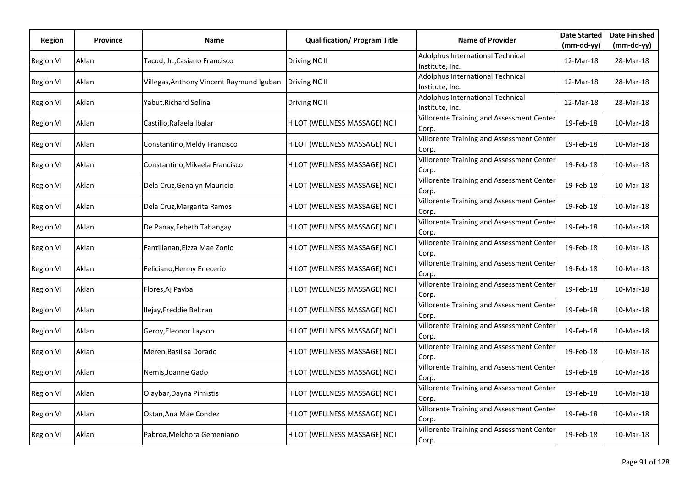| Region           | <b>Province</b> | Name                                     | <b>Qualification/ Program Title</b> | <b>Name of Provider</b>                                   | <b>Date Started</b> | <b>Date Finished</b> |
|------------------|-----------------|------------------------------------------|-------------------------------------|-----------------------------------------------------------|---------------------|----------------------|
|                  |                 |                                          |                                     |                                                           | (mm-dd-yy)          | $(mm-dd-yy)$         |
| <b>Region VI</b> | Aklan           | Tacud, Jr.,Casiano Francisco             | Driving NC II                       | Adolphus International Technical<br>Institute, Inc.       | 12-Mar-18           | 28-Mar-18            |
| <b>Region VI</b> | Aklan           | Villegas, Anthony Vincent Raymund Iguban | Driving NC II                       | Adolphus International Technical<br>Institute, Inc.       | 12-Mar-18           | 28-Mar-18            |
| <b>Region VI</b> | Aklan           | Yabut, Richard Solina                    | Driving NC II                       | Adolphus International Technical<br>Institute, Inc.       | 12-Mar-18           | 28-Mar-18            |
| <b>Region VI</b> | Aklan           | Castillo, Rafaela Ibalar                 | HILOT (WELLNESS MASSAGE) NCII       | <b>Villorente Training and Assessment Center</b><br>Corp. | 19-Feb-18           | 10-Mar-18            |
| <b>Region VI</b> | Aklan           | Constantino, Meldy Francisco             | HILOT (WELLNESS MASSAGE) NCII       | Villorente Training and Assessment Center<br>Corp.        | 19-Feb-18           | 10-Mar-18            |
| <b>Region VI</b> | Aklan           | Constantino, Mikaela Francisco           | HILOT (WELLNESS MASSAGE) NCII       | Villorente Training and Assessment Center<br>Corp.        | 19-Feb-18           | 10-Mar-18            |
| <b>Region VI</b> | Aklan           | Dela Cruz, Genalyn Mauricio              | HILOT (WELLNESS MASSAGE) NCII       | Villorente Training and Assessment Center<br>Corp.        | 19-Feb-18           | 10-Mar-18            |
| <b>Region VI</b> | Aklan           | Dela Cruz, Margarita Ramos               | HILOT (WELLNESS MASSAGE) NCII       | Villorente Training and Assessment Center<br>Corp.        | 19-Feb-18           | 10-Mar-18            |
| <b>Region VI</b> | Aklan           | De Panay, Febeth Tabangay                | HILOT (WELLNESS MASSAGE) NCII       | Villorente Training and Assessment Center<br>Corp.        | 19-Feb-18           | 10-Mar-18            |
| <b>Region VI</b> | Aklan           | Fantillanan, Eizza Mae Zonio             | HILOT (WELLNESS MASSAGE) NCII       | Villorente Training and Assessment Center<br>Corp.        | 19-Feb-18           | 10-Mar-18            |
| <b>Region VI</b> | Aklan           | Feliciano, Hermy Enecerio                | HILOT (WELLNESS MASSAGE) NCII       | <b>Villorente Training and Assessment Center</b><br>Corp. | 19-Feb-18           | 10-Mar-18            |
| <b>Region VI</b> | Aklan           | Flores, Aj Payba                         | HILOT (WELLNESS MASSAGE) NCII       | Villorente Training and Assessment Center<br>Corp.        | 19-Feb-18           | 10-Mar-18            |
| <b>Region VI</b> | Aklan           | Ilejay, Freddie Beltran                  | HILOT (WELLNESS MASSAGE) NCII       | Villorente Training and Assessment Center<br>Corp.        | 19-Feb-18           | 10-Mar-18            |
| <b>Region VI</b> | Aklan           | Geroy, Eleonor Layson                    | HILOT (WELLNESS MASSAGE) NCII       | Villorente Training and Assessment Center<br>Corp.        | 19-Feb-18           | 10-Mar-18            |
| <b>Region VI</b> | Aklan           | Meren, Basilisa Dorado                   | HILOT (WELLNESS MASSAGE) NCII       | Villorente Training and Assessment Center<br>Corp.        | 19-Feb-18           | 10-Mar-18            |
| <b>Region VI</b> | Aklan           | Nemis, Joanne Gado                       | HILOT (WELLNESS MASSAGE) NCII       | Villorente Training and Assessment Center<br>Corp.        | 19-Feb-18           | 10-Mar-18            |
| <b>Region VI</b> | Aklan           | Olaybar, Dayna Pirnistis                 | HILOT (WELLNESS MASSAGE) NCII       | Villorente Training and Assessment Center<br>Corp.        | 19-Feb-18           | 10-Mar-18            |
| <b>Region VI</b> | Aklan           | Ostan, Ana Mae Condez                    | HILOT (WELLNESS MASSAGE) NCII       | Villorente Training and Assessment Center<br>Corp.        | 19-Feb-18           | 10-Mar-18            |
| <b>Region VI</b> | Aklan           | Pabroa, Melchora Gemeniano               | HILOT (WELLNESS MASSAGE) NCII       | <b>Villorente Training and Assessment Center</b><br>Corp. | 19-Feb-18           | 10-Mar-18            |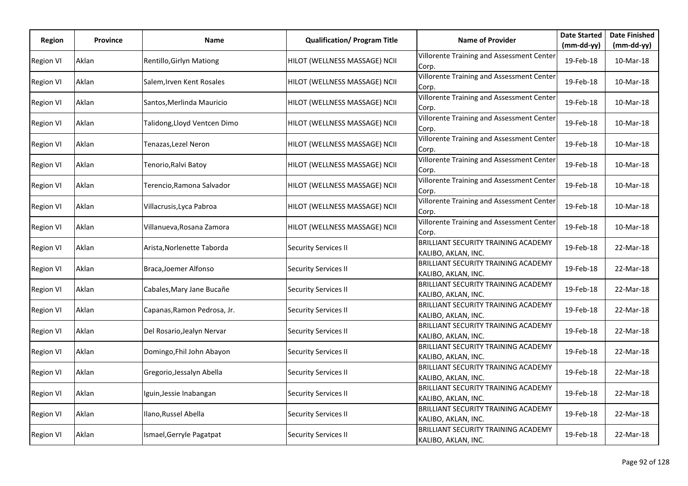| Region           | <b>Province</b> | Name                         | <b>Qualification/ Program Title</b> | <b>Name of Provider</b>                                           | <b>Date Started</b> | <b>Date Finished</b> |
|------------------|-----------------|------------------------------|-------------------------------------|-------------------------------------------------------------------|---------------------|----------------------|
|                  |                 |                              |                                     |                                                                   | $(mm-dd-yy)$        | (mm-dd-yy)           |
| <b>Region VI</b> | Aklan           | Rentillo, Girlyn Mationg     | HILOT (WELLNESS MASSAGE) NCII       | Villorente Training and Assessment Center<br>Corp.                | 19-Feb-18           | 10-Mar-18            |
| <b>Region VI</b> | Aklan           | Salem, Irven Kent Rosales    | HILOT (WELLNESS MASSAGE) NCII       | Villorente Training and Assessment Center<br>Corp.                | 19-Feb-18           | 10-Mar-18            |
| <b>Region VI</b> | Aklan           | Santos, Merlinda Mauricio    | HILOT (WELLNESS MASSAGE) NCII       | Villorente Training and Assessment Center<br>Corp.                | 19-Feb-18           | 10-Mar-18            |
| <b>Region VI</b> | Aklan           | Talidong, Lloyd Ventcen Dimo | HILOT (WELLNESS MASSAGE) NCII       | Villorente Training and Assessment Center<br>Corp.                | 19-Feb-18           | 10-Mar-18            |
| <b>Region VI</b> | Aklan           | Tenazas, Lezel Neron         | HILOT (WELLNESS MASSAGE) NCII       | Villorente Training and Assessment Center<br>Corp.                | 19-Feb-18           | 10-Mar-18            |
| <b>Region VI</b> | Aklan           | Tenorio, Ralvi Batoy         | HILOT (WELLNESS MASSAGE) NCII       | Villorente Training and Assessment Center<br>Corp.                | 19-Feb-18           | 10-Mar-18            |
| <b>Region VI</b> | Aklan           | Terencio,Ramona Salvador     | HILOT (WELLNESS MASSAGE) NCII       | Villorente Training and Assessment Center<br>Corp.                | 19-Feb-18           | 10-Mar-18            |
| <b>Region VI</b> | Aklan           | Villacrusis, Lyca Pabroa     | HILOT (WELLNESS MASSAGE) NCII       | Villorente Training and Assessment Center<br>Corp.                | 19-Feb-18           | 10-Mar-18            |
| Region VI        | Aklan           | Villanueva, Rosana Zamora    | HILOT (WELLNESS MASSAGE) NCII       | Villorente Training and Assessment Center<br>Corp.                | 19-Feb-18           | 10-Mar-18            |
| Region VI        | Aklan           | Arista, Norlenette Taborda   | <b>Security Services II</b>         | <b>BRILLIANT SECURITY TRAINING ACADEMY</b><br>KALIBO, AKLAN, INC. | 19-Feb-18           | 22-Mar-18            |
| <b>Region VI</b> | Aklan           | Braca, Joemer Alfonso        | <b>Security Services II</b>         | <b>BRILLIANT SECURITY TRAINING ACADEMY</b><br>KALIBO, AKLAN, INC. | 19-Feb-18           | 22-Mar-18            |
| <b>Region VI</b> | Aklan           | Cabales, Mary Jane Bucañe    | <b>Security Services II</b>         | <b>BRILLIANT SECURITY TRAINING ACADEMY</b><br>KALIBO, AKLAN, INC. | 19-Feb-18           | 22-Mar-18            |
| <b>Region VI</b> | Aklan           | Capanas, Ramon Pedrosa, Jr.  | <b>Security Services II</b>         | <b>BRILLIANT SECURITY TRAINING ACADEMY</b><br>KALIBO, AKLAN, INC. | 19-Feb-18           | 22-Mar-18            |
| <b>Region VI</b> | Aklan           | Del Rosario, Jealyn Nervar   | <b>Security Services II</b>         | <b>BRILLIANT SECURITY TRAINING ACADEMY</b><br>KALIBO, AKLAN, INC. | 19-Feb-18           | 22-Mar-18            |
| <b>Region VI</b> | Aklan           | Domingo, Fhil John Abayon    | <b>Security Services II</b>         | <b>BRILLIANT SECURITY TRAINING ACADEMY</b><br>KALIBO, AKLAN, INC. | 19-Feb-18           | 22-Mar-18            |
| <b>Region VI</b> | Aklan           | Gregorio, Jessalyn Abella    | <b>Security Services II</b>         | <b>BRILLIANT SECURITY TRAINING ACADEMY</b><br>KALIBO, AKLAN, INC. | 19-Feb-18           | 22-Mar-18            |
| <b>Region VI</b> | Aklan           | Iguin, Jessie Inabangan      | <b>Security Services II</b>         | <b>BRILLIANT SECURITY TRAINING ACADEMY</b><br>KALIBO, AKLAN, INC. | 19-Feb-18           | 22-Mar-18            |
| <b>Region VI</b> | Aklan           | Ilano, Russel Abella         | <b>Security Services II</b>         | <b>BRILLIANT SECURITY TRAINING ACADEMY</b><br>KALIBO, AKLAN, INC. | 19-Feb-18           | 22-Mar-18            |
| <b>Region VI</b> | Aklan           | Ismael, Gerryle Pagatpat     | <b>Security Services II</b>         | <b>BRILLIANT SECURITY TRAINING ACADEMY</b><br>KALIBO, AKLAN, INC. | 19-Feb-18           | 22-Mar-18            |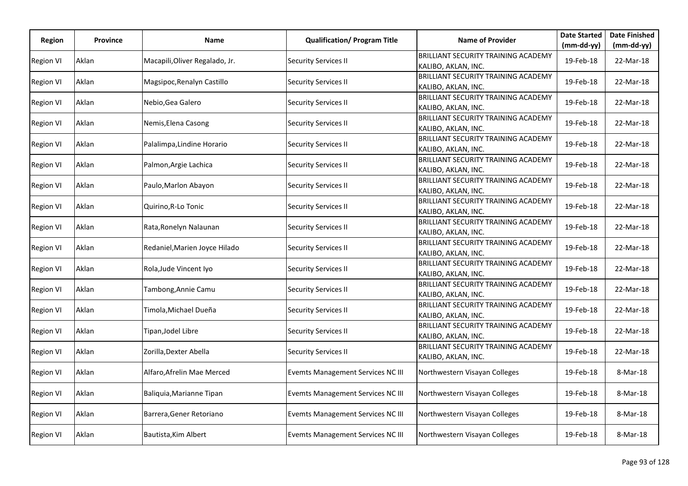| Region           | <b>Province</b> | <b>Name</b>                    | <b>Qualification/ Program Title</b>      | <b>Name of Provider</b>                                           | <b>Date Started</b> | <b>Date Finished</b> |
|------------------|-----------------|--------------------------------|------------------------------------------|-------------------------------------------------------------------|---------------------|----------------------|
|                  |                 |                                |                                          |                                                                   | (mm-dd-yy)          | $(mm-dd-yy)$         |
| <b>Region VI</b> | Aklan           | Macapili, Oliver Regalado, Jr. | <b>Security Services II</b>              | <b>BRILLIANT SECURITY TRAINING ACADEMY</b><br>KALIBO, AKLAN, INC. | 19-Feb-18           | 22-Mar-18            |
| <b>Region VI</b> | Aklan           | Magsipoc, Renalyn Castillo     | <b>Security Services II</b>              | <b>BRILLIANT SECURITY TRAINING ACADEMY</b><br>KALIBO, AKLAN, INC. | 19-Feb-18           | 22-Mar-18            |
| <b>Region VI</b> | Aklan           | Nebio, Gea Galero              | <b>Security Services II</b>              | <b>BRILLIANT SECURITY TRAINING ACADEMY</b><br>KALIBO, AKLAN, INC. | 19-Feb-18           | 22-Mar-18            |
| <b>Region VI</b> | Aklan           | Nemis, Elena Casong            | <b>Security Services II</b>              | BRILLIANT SECURITY TRAINING ACADEMY<br>KALIBO, AKLAN, INC.        | 19-Feb-18           | 22-Mar-18            |
| <b>Region VI</b> | Aklan           | Palalimpa, Lindine Horario     | <b>Security Services II</b>              | <b>BRILLIANT SECURITY TRAINING ACADEMY</b><br>KALIBO, AKLAN, INC. | 19-Feb-18           | 22-Mar-18            |
| <b>Region VI</b> | Aklan           | Palmon, Argie Lachica          | <b>Security Services II</b>              | <b>BRILLIANT SECURITY TRAINING ACADEMY</b><br>KALIBO, AKLAN, INC. | 19-Feb-18           | 22-Mar-18            |
| Region VI        | Aklan           | Paulo, Marlon Abayon           | <b>Security Services II</b>              | BRILLIANT SECURITY TRAINING ACADEMY<br>KALIBO, AKLAN, INC.        | 19-Feb-18           | 22-Mar-18            |
| <b>Region VI</b> | Aklan           | Quirino, R-Lo Tonic            | <b>Security Services II</b>              | <b>BRILLIANT SECURITY TRAINING ACADEMY</b><br>KALIBO, AKLAN, INC. | 19-Feb-18           | 22-Mar-18            |
| <b>Region VI</b> | Aklan           | Rata, Ronelyn Nalaunan         | <b>Security Services II</b>              | <b>BRILLIANT SECURITY TRAINING ACADEMY</b><br>KALIBO, AKLAN, INC. | 19-Feb-18           | 22-Mar-18            |
| <b>Region VI</b> | Aklan           | Redaniel, Marien Joyce Hilado  | <b>Security Services II</b>              | <b>BRILLIANT SECURITY TRAINING ACADEMY</b><br>KALIBO, AKLAN, INC. | 19-Feb-18           | 22-Mar-18            |
| <b>Region VI</b> | Aklan           | Rola, Jude Vincent Iyo         | <b>Security Services II</b>              | BRILLIANT SECURITY TRAINING ACADEMY<br>KALIBO, AKLAN, INC.        | 19-Feb-18           | 22-Mar-18            |
| <b>Region VI</b> | Aklan           | Tambong, Annie Camu            | <b>Security Services II</b>              | <b>BRILLIANT SECURITY TRAINING ACADEMY</b><br>KALIBO, AKLAN, INC. | 19-Feb-18           | 22-Mar-18            |
| <b>Region VI</b> | Aklan           | Timola, Michael Dueña          | <b>Security Services II</b>              | <b>BRILLIANT SECURITY TRAINING ACADEMY</b><br>KALIBO, AKLAN, INC. | 19-Feb-18           | 22-Mar-18            |
| <b>Region VI</b> | Aklan           | Tipan, Jodel Libre             | <b>Security Services II</b>              | <b>BRILLIANT SECURITY TRAINING ACADEMY</b><br>KALIBO, AKLAN, INC. | 19-Feb-18           | 22-Mar-18            |
| <b>Region VI</b> | Aklan           | Zorilla, Dexter Abella         | <b>Security Services II</b>              | <b>BRILLIANT SECURITY TRAINING ACADEMY</b><br>KALIBO, AKLAN, INC. | 19-Feb-18           | 22-Mar-18            |
| <b>Region VI</b> | Aklan           | Alfaro, Afrelin Mae Merced     | <b>Evemts Management Services NC III</b> | Northwestern Visayan Colleges                                     | 19-Feb-18           | 8-Mar-18             |
| <b>Region VI</b> | Aklan           | Baliquia, Marianne Tipan       | <b>Evemts Management Services NC III</b> | Northwestern Visayan Colleges                                     | 19-Feb-18           | 8-Mar-18             |
| <b>Region VI</b> | Aklan           | Barrera, Gener Retoriano       | <b>Evemts Management Services NC III</b> | Northwestern Visayan Colleges                                     | 19-Feb-18           | 8-Mar-18             |
| <b>Region VI</b> | Aklan           | Bautista, Kim Albert           | Evemts Management Services NC III        | Northwestern Visayan Colleges                                     | 19-Feb-18           | 8-Mar-18             |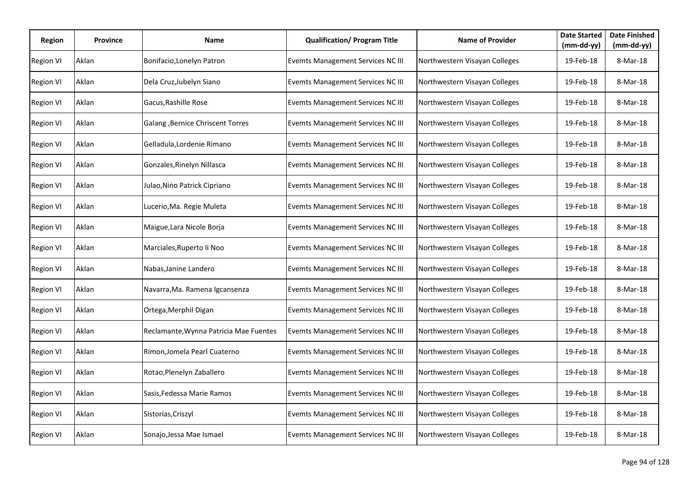| Region           | Province | Name                                   | <b>Qualification/ Program Title</b>      | <b>Name of Provider</b>       | <b>Date Started</b><br>(mm-dd-yy) | <b>Date Finished</b><br>$(mm-dd-yy)$ |
|------------------|----------|----------------------------------------|------------------------------------------|-------------------------------|-----------------------------------|--------------------------------------|
| <b>Region VI</b> | Aklan    | Bonifacio, Lonelyn Patron              | <b>Evemts Management Services NC III</b> | Northwestern Visayan Colleges | 19-Feb-18                         | 8-Mar-18                             |
| <b>Region VI</b> | Aklan    | Dela Cruz, Jubelyn Siano               | <b>Evemts Management Services NC III</b> | Northwestern Visayan Colleges | 19-Feb-18                         | 8-Mar-18                             |
| <b>Region VI</b> | Aklan    | Gacus, Rashille Rose                   | <b>Evemts Management Services NC III</b> | Northwestern Visayan Colleges | 19-Feb-18                         | 8-Mar-18                             |
| <b>Region VI</b> | Aklan    | Galang , Bernice Chriscent Torres      | <b>Evemts Management Services NC III</b> | Northwestern Visayan Colleges | 19-Feb-18                         | 8-Mar-18                             |
| <b>Region VI</b> | Aklan    | Gelladula, Lordenie Rimano             | Evemts Management Services NC III        | Northwestern Visayan Colleges | 19-Feb-18                         | 8-Mar-18                             |
| <b>Region VI</b> | Aklan    | Gonzales, Rinelyn Nillasca             | <b>Evemts Management Services NC III</b> | Northwestern Visayan Colleges | 19-Feb-18                         | 8-Mar-18                             |
| <b>Region VI</b> | Aklan    | Julao, Nino Patrick Cipriano           | <b>Evemts Management Services NC III</b> | Northwestern Visayan Colleges | 19-Feb-18                         | 8-Mar-18                             |
| <b>Region VI</b> | Aklan    | Lucerio, Ma. Regie Muleta              | <b>Evemts Management Services NC III</b> | Northwestern Visayan Colleges | 19-Feb-18                         | 8-Mar-18                             |
| <b>Region VI</b> | Aklan    | Maigue, Lara Nicole Borja              | Evemts Management Services NC III        | Northwestern Visayan Colleges | 19-Feb-18                         | 8-Mar-18                             |
| <b>Region VI</b> | Aklan    | Marciales, Ruperto li Noo              | Evemts Management Services NC III        | Northwestern Visayan Colleges | 19-Feb-18                         | 8-Mar-18                             |
| <b>Region VI</b> | Aklan    | Nabas, Janine Landero                  | <b>Evemts Management Services NC III</b> | Northwestern Visayan Colleges | 19-Feb-18                         | 8-Mar-18                             |
| <b>Region VI</b> | Aklan    | Navarra, Ma. Ramena Igcansenza         | <b>Evemts Management Services NC III</b> | Northwestern Visayan Colleges | 19-Feb-18                         | 8-Mar-18                             |
| <b>Region VI</b> | Aklan    | Ortega, Merphil Digan                  | <b>Evemts Management Services NC III</b> | Northwestern Visayan Colleges | 19-Feb-18                         | 8-Mar-18                             |
| <b>Region VI</b> | Aklan    | Reclamante, Wynna Patricia Mae Fuentes | <b>Evemts Management Services NC III</b> | Northwestern Visayan Colleges | 19-Feb-18                         | 8-Mar-18                             |
| <b>Region VI</b> | Aklan    | Rimon, Jomela Pearl Cuaterno           | <b>Evemts Management Services NC III</b> | Northwestern Visayan Colleges | 19-Feb-18                         | 8-Mar-18                             |
| <b>Region VI</b> | Aklan    | Rotao, Plenelyn Zaballero              | Evemts Management Services NC III        | Northwestern Visayan Colleges | 19-Feb-18                         | 8-Mar-18                             |
| <b>Region VI</b> | Aklan    | Sasis, Fedessa Marie Ramos             | Evemts Management Services NC III        | Northwestern Visayan Colleges | 19-Feb-18                         | 8-Mar-18                             |
| <b>Region VI</b> | Aklan    | Sistorias, Criszyl                     | <b>Evemts Management Services NC III</b> | Northwestern Visayan Colleges | 19-Feb-18                         | 8-Mar-18                             |
| <b>Region VI</b> | Aklan    | Sonajo, Jessa Mae Ismael               | Evemts Management Services NC III        | Northwestern Visayan Colleges | 19-Feb-18                         | 8-Mar-18                             |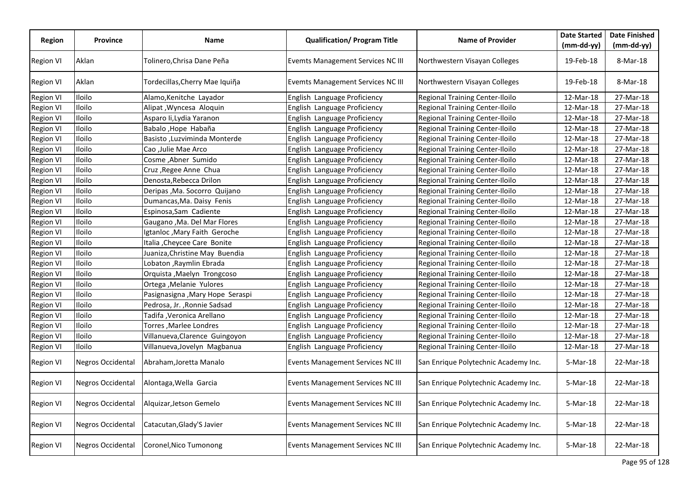|                  |                          |                                  |                                          |                                      | <b>Date Started</b> | <b>Date Finished</b> |
|------------------|--------------------------|----------------------------------|------------------------------------------|--------------------------------------|---------------------|----------------------|
| <b>Region</b>    | <b>Province</b>          | Name                             | <b>Qualification/ Program Title</b>      | <b>Name of Provider</b>              | $(mm-dd-yy)$        | $(mm-dd-yy)$         |
| <b>Region VI</b> | Aklan                    | Tolinero, Chrisa Dane Peña       | <b>Evemts Management Services NC III</b> | Northwestern Visayan Colleges        | 19-Feb-18           | 8-Mar-18             |
| <b>Region VI</b> | Aklan                    | Tordecillas, Cherry Mae Iquiña   | <b>Evemts Management Services NC III</b> | Northwestern Visayan Colleges        | 19-Feb-18           | 8-Mar-18             |
| <b>Region VI</b> | Iloilo                   | Alamo, Kenitche Layador          | English Language Proficiency             | Regional Training Center-Iloilo      | 12-Mar-18           | 27-Mar-18            |
| <b>Region VI</b> | Iloilo                   | Alipat, Wyncesa Aloquin          | English Language Proficiency             | Regional Training Center-Iloilo      | 12-Mar-18           | 27-Mar-18            |
| <b>Region VI</b> | Iloilo                   | Asparo li, Lydia Yaranon         | English Language Proficiency             | Regional Training Center-Iloilo      | 12-Mar-18           | 27-Mar-18            |
| <b>Region VI</b> | Iloilo                   | Babalo, Hope Habaña              | English Language Proficiency             | Regional Training Center-Iloilo      | 12-Mar-18           | 27-Mar-18            |
| <b>Region VI</b> | Iloilo                   | Basisto, Luzviminda Monterde     | English Language Proficiency             | Regional Training Center-Iloilo      | 12-Mar-18           | 27-Mar-18            |
| <b>Region VI</b> | Iloilo                   | Cao ,Julie Mae Arco              | English Language Proficiency             | Regional Training Center-Iloilo      | 12-Mar-18           | 27-Mar-18            |
| <b>Region VI</b> | Iloilo                   | Cosme, Abner Sumido              | English Language Proficiency             | Regional Training Center-Iloilo      | 12-Mar-18           | 27-Mar-18            |
| <b>Region VI</b> | Iloilo                   | Cruz, Regee Anne Chua            | English Language Proficiency             | Regional Training Center-Iloilo      | 12-Mar-18           | 27-Mar-18            |
| <b>Region VI</b> | Iloilo                   | Denosta, Rebecca Drilon          | English Language Proficiency             | Regional Training Center-Iloilo      | 12-Mar-18           | 27-Mar-18            |
| <b>Region VI</b> | Iloilo                   | Deripas , Ma. Socorro Quijano    | English Language Proficiency             | Regional Training Center-Iloilo      | 12-Mar-18           | 27-Mar-18            |
| <b>Region VI</b> | Iloilo                   | Dumancas, Ma. Daisy Fenis        | English Language Proficiency             | Regional Training Center-Iloilo      | 12-Mar-18           | 27-Mar-18            |
| Region VI        | Iloilo                   | Espinosa, Sam Cadiente           | English Language Proficiency             | Regional Training Center-Iloilo      | 12-Mar-18           | 27-Mar-18            |
| Region VI        | Iloilo                   | Gaugano, Ma. Del Mar Flores      | English Language Proficiency             | Regional Training Center-Iloilo      | 12-Mar-18           | 27-Mar-18            |
| Region VI        | Iloilo                   | Igtanloc, Mary Faith Geroche     | English Language Proficiency             | Regional Training Center-Iloilo      | 12-Mar-18           | 27-Mar-18            |
| <b>Region VI</b> | Iloilo                   | Italia , Cheycee Care Bonite     | English Language Proficiency             | Regional Training Center-Iloilo      | 12-Mar-18           | 27-Mar-18            |
| <b>Region VI</b> | Iloilo                   | Juaniza, Christine May Buendia   | English Language Proficiency             | Regional Training Center-Iloilo      | 12-Mar-18           | 27-Mar-18            |
| <b>Region VI</b> | Iloilo                   | Lobaton , Raymlin Ebrada         | English Language Proficiency             | Regional Training Center-Iloilo      | 12-Mar-18           | 27-Mar-18            |
| <b>Region VI</b> | Iloilo                   | Orquista , Maelyn Trongcoso      | English Language Proficiency             | Regional Training Center-Iloilo      | 12-Mar-18           | 27-Mar-18            |
| <b>Region VI</b> | Iloilo                   | Ortega , Melanie Yulores         | English Language Proficiency             | Regional Training Center-Iloilo      | 12-Mar-18           | 27-Mar-18            |
| <b>Region VI</b> | Iloilo                   | Pasignasigna , Mary Hope Seraspi | English Language Proficiency             | Regional Training Center-Iloilo      | 12-Mar-18           | 27-Mar-18            |
| Region VI        | Iloilo                   | Pedrosa, Jr., Ronnie Sadsad      | English Language Proficiency             | Regional Training Center-Iloilo      | 12-Mar-18           | 27-Mar-18            |
| Region VI        | Iloilo                   | Tadifa , Veronica Arellano       | English Language Proficiency             | Regional Training Center-Iloilo      | 12-Mar-18           | 27-Mar-18            |
| <b>Region VI</b> | Iloilo                   | Torres, Marlee Londres           | English Language Proficiency             | Regional Training Center-Iloilo      | 12-Mar-18           | 27-Mar-18            |
| <b>Region VI</b> | Iloilo                   | Villanueva, Clarence Guingoyon   | English Language Proficiency             | Regional Training Center-Iloilo      | 12-Mar-18           | 27-Mar-18            |
| <b>Region VI</b> | Iloilo                   | Villanueva, Jovelyn Magbanua     | English Language Proficiency             | Regional Training Center-Iloilo      | 12-Mar-18           | 27-Mar-18            |
| <b>Region VI</b> | Negros Occidental        | Abraham, Joretta Manalo          | Events Management Services NC III        | San Enrique Polytechnic Academy Inc. | 5-Mar-18            | 22-Mar-18            |
| <b>Region VI</b> | <b>Negros Occidental</b> | Alontaga, Wella Garcia           | Events Management Services NC III        | San Enrique Polytechnic Academy Inc. | 5-Mar-18            | 22-Mar-18            |
| Region VI        | Negros Occidental        | Alquizar, Jetson Gemelo          | Events Management Services NC III        | San Enrique Polytechnic Academy Inc. | 5-Mar-18            | 22-Mar-18            |
| <b>Region VI</b> | <b>Negros Occidental</b> | Catacutan, Glady'S Javier        | Events Management Services NC III        | San Enrique Polytechnic Academy Inc. | 5-Mar-18            | 22-Mar-18            |
| <b>Region VI</b> | <b>Negros Occidental</b> | Coronel, Nico Tumonong           | <b>Events Management Services NC III</b> | San Enrique Polytechnic Academy Inc. | 5-Mar-18            | 22-Mar-18            |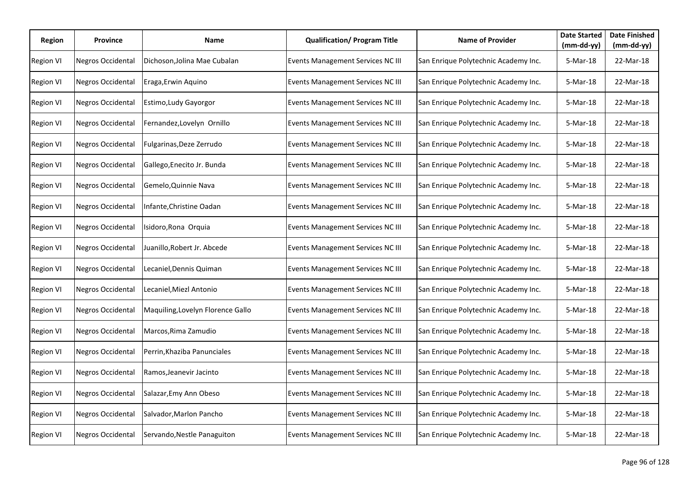| Region           | Province                 | Name                              | <b>Qualification/ Program Title</b>      | <b>Name of Provider</b>              | <b>Date Started</b><br>$(mm-dd-yy)$ | <b>Date Finished</b><br>$(mm-dd-yy)$ |
|------------------|--------------------------|-----------------------------------|------------------------------------------|--------------------------------------|-------------------------------------|--------------------------------------|
| <b>Region VI</b> | <b>Negros Occidental</b> | Dichoson, Jolina Mae Cubalan      | Events Management Services NC III        | San Enrique Polytechnic Academy Inc. | 5-Mar-18                            | 22-Mar-18                            |
| <b>Region VI</b> | Negros Occidental        | Eraga, Erwin Aquino               | Events Management Services NC III        | San Enrique Polytechnic Academy Inc. | 5-Mar-18                            | 22-Mar-18                            |
| <b>Region VI</b> | <b>Negros Occidental</b> | Estimo, Ludy Gayorgor             | Events Management Services NC III        | San Enrique Polytechnic Academy Inc. | 5-Mar-18                            | 22-Mar-18                            |
| Region VI        | Negros Occidental        | Fernandez, Lovelyn Ornillo        | Events Management Services NC III        | San Enrique Polytechnic Academy Inc. | 5-Mar-18                            | 22-Mar-18                            |
| Region VI        | <b>Negros Occidental</b> | Fulgarinas, Deze Zerrudo          | <b>Events Management Services NC III</b> | San Enrique Polytechnic Academy Inc. | 5-Mar-18                            | 22-Mar-18                            |
| Region VI        | <b>Negros Occidental</b> | Gallego, Enecito Jr. Bunda        | <b>Events Management Services NC III</b> | San Enrique Polytechnic Academy Inc. | 5-Mar-18                            | 22-Mar-18                            |
| <b>Region VI</b> | <b>Negros Occidental</b> | Gemelo, Quinnie Nava              | Events Management Services NC III        | San Enrique Polytechnic Academy Inc. | 5-Mar-18                            | 22-Mar-18                            |
| <b>Region VI</b> | <b>Negros Occidental</b> | Infante, Christine Oadan          | Events Management Services NC III        | San Enrique Polytechnic Academy Inc. | 5-Mar-18                            | 22-Mar-18                            |
| <b>Region VI</b> | <b>Negros Occidental</b> | Isidoro, Rona Orquia              | Events Management Services NC III        | San Enrique Polytechnic Academy Inc. | 5-Mar-18                            | 22-Mar-18                            |
| <b>Region VI</b> | <b>Negros Occidental</b> | Juanillo, Robert Jr. Abcede       | Events Management Services NC III        | San Enrique Polytechnic Academy Inc. | 5-Mar-18                            | 22-Mar-18                            |
| <b>Region VI</b> | <b>Negros Occidental</b> | Lecaniel, Dennis Quiman           | Events Management Services NC III        | San Enrique Polytechnic Academy Inc. | 5-Mar-18                            | 22-Mar-18                            |
| <b>Region VI</b> | Negros Occidental        | Lecaniel, Miezl Antonio           | Events Management Services NC III        | San Enrique Polytechnic Academy Inc. | 5-Mar-18                            | 22-Mar-18                            |
| <b>Region VI</b> | Negros Occidental        | Maquiling, Lovelyn Florence Gallo | <b>Events Management Services NC III</b> | San Enrique Polytechnic Academy Inc. | 5-Mar-18                            | 22-Mar-18                            |
| <b>Region VI</b> | <b>Negros Occidental</b> | Marcos, Rima Zamudio              | Events Management Services NC III        | San Enrique Polytechnic Academy Inc. | 5-Mar-18                            | 22-Mar-18                            |
| <b>Region VI</b> | <b>Negros Occidental</b> | Perrin, Khaziba Panunciales       | Events Management Services NC III        | San Enrique Polytechnic Academy Inc. | 5-Mar-18                            | 22-Mar-18                            |
| <b>Region VI</b> | <b>Negros Occidental</b> | Ramos, Jeanevir Jacinto           | Events Management Services NC III        | San Enrique Polytechnic Academy Inc. | 5-Mar-18                            | 22-Mar-18                            |
| <b>Region VI</b> | <b>Negros Occidental</b> | Salazar, Emy Ann Obeso            | Events Management Services NC III        | San Enrique Polytechnic Academy Inc. | 5-Mar-18                            | 22-Mar-18                            |
| <b>Region VI</b> | <b>Negros Occidental</b> | Salvador, Marlon Pancho           | Events Management Services NC III        | San Enrique Polytechnic Academy Inc. | 5-Mar-18                            | 22-Mar-18                            |
| <b>Region VI</b> | Negros Occidental        | Servando, Nestle Panaguiton       | <b>Events Management Services NC III</b> | San Enrique Polytechnic Academy Inc. | 5-Mar-18                            | 22-Mar-18                            |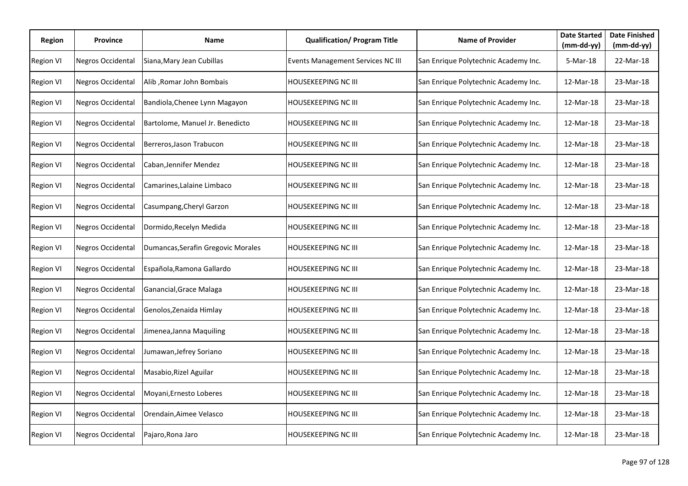| Region           | <b>Province</b>          | Name                               | <b>Qualification/ Program Title</b> | <b>Name of Provider</b>              | <b>Date Started</b><br>$(mm-dd-yy)$ | <b>Date Finished</b><br>$(mm-dd-yy)$ |
|------------------|--------------------------|------------------------------------|-------------------------------------|--------------------------------------|-------------------------------------|--------------------------------------|
| <b>Region VI</b> | Negros Occidental        | Siana, Mary Jean Cubillas          | Events Management Services NC III   | San Enrique Polytechnic Academy Inc. | 5-Mar-18                            | 22-Mar-18                            |
| <b>Region VI</b> | Negros Occidental        | Alib, Romar John Bombais           | <b>HOUSEKEEPING NC III</b>          | San Enrique Polytechnic Academy Inc. | 12-Mar-18                           | 23-Mar-18                            |
| <b>Region VI</b> | Negros Occidental        | Bandiola, Chenee Lynn Magayon      | HOUSEKEEPING NC III                 | San Enrique Polytechnic Academy Inc. | 12-Mar-18                           | 23-Mar-18                            |
| <b>Region VI</b> | Negros Occidental        | Bartolome, Manuel Jr. Benedicto    | <b>HOUSEKEEPING NC III</b>          | San Enrique Polytechnic Academy Inc. | 12-Mar-18                           | 23-Mar-18                            |
| <b>Region VI</b> | Negros Occidental        | Berreros, Jason Trabucon           | <b>HOUSEKEEPING NC III</b>          | San Enrique Polytechnic Academy Inc. | 12-Mar-18                           | 23-Mar-18                            |
| <b>Region VI</b> | Negros Occidental        | Caban, Jennifer Mendez             | HOUSEKEEPING NC III                 | San Enrique Polytechnic Academy Inc. | 12-Mar-18                           | 23-Mar-18                            |
| <b>Region VI</b> | Negros Occidental        | Camarines, Lalaine Limbaco         | HOUSEKEEPING NC III                 | San Enrique Polytechnic Academy Inc. | 12-Mar-18                           | 23-Mar-18                            |
| <b>Region VI</b> | Negros Occidental        | Casumpang, Cheryl Garzon           | HOUSEKEEPING NC III                 | San Enrique Polytechnic Academy Inc. | 12-Mar-18                           | 23-Mar-18                            |
| <b>Region VI</b> | Negros Occidental        | Dormido, Recelyn Medida            | <b>HOUSEKEEPING NC III</b>          | San Enrique Polytechnic Academy Inc. | 12-Mar-18                           | 23-Mar-18                            |
| <b>Region VI</b> | <b>Negros Occidental</b> | Dumancas, Serafin Gregovic Morales | HOUSEKEEPING NC III                 | San Enrique Polytechnic Academy Inc. | 12-Mar-18                           | 23-Mar-18                            |
| <b>Region VI</b> | Negros Occidental        | Española, Ramona Gallardo          | HOUSEKEEPING NC III                 | San Enrique Polytechnic Academy Inc. | 12-Mar-18                           | 23-Mar-18                            |
| <b>Region VI</b> | Negros Occidental        | Ganancial, Grace Malaga            | HOUSEKEEPING NC III                 | San Enrique Polytechnic Academy Inc. | 12-Mar-18                           | 23-Mar-18                            |
| <b>Region VI</b> | Negros Occidental        | Genolos, Zenaida Himlay            | <b>HOUSEKEEPING NC III</b>          | San Enrique Polytechnic Academy Inc. | 12-Mar-18                           | 23-Mar-18                            |
| <b>Region VI</b> | <b>Negros Occidental</b> | Jimenea, Janna Maquiling           | HOUSEKEEPING NC III                 | San Enrique Polytechnic Academy Inc. | 12-Mar-18                           | 23-Mar-18                            |
| <b>Region VI</b> | Negros Occidental        | Jumawan, Jefrey Soriano            | HOUSEKEEPING NC III                 | San Enrique Polytechnic Academy Inc. | 12-Mar-18                           | 23-Mar-18                            |
| <b>Region VI</b> | Negros Occidental        | Masabio, Rizel Aguilar             | <b>HOUSEKEEPING NC III</b>          | San Enrique Polytechnic Academy Inc. | 12-Mar-18                           | 23-Mar-18                            |
| <b>Region VI</b> | <b>Negros Occidental</b> | Moyani, Ernesto Loberes            | HOUSEKEEPING NC III                 | San Enrique Polytechnic Academy Inc. | 12-Mar-18                           | 23-Mar-18                            |
| <b>Region VI</b> | Negros Occidental        | Orendain, Aimee Velasco            | HOUSEKEEPING NC III                 | San Enrique Polytechnic Academy Inc. | 12-Mar-18                           | 23-Mar-18                            |
| <b>Region VI</b> | Negros Occidental        | Pajaro, Rona Jaro                  | HOUSEKEEPING NC III                 | San Enrique Polytechnic Academy Inc. | 12-Mar-18                           | 23-Mar-18                            |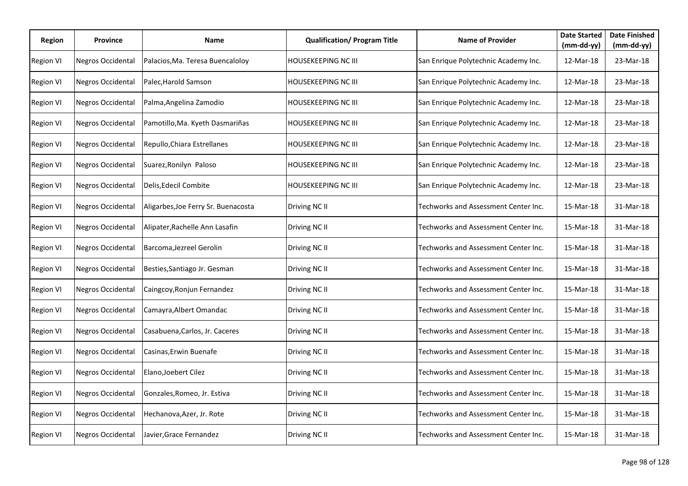| Region           | <b>Province</b>          | Name                                | <b>Qualification/ Program Title</b> | <b>Name of Provider</b>              | <b>Date Started</b><br>(mm-dd-yy) | <b>Date Finished</b><br>$(mm-dd-yy)$ |
|------------------|--------------------------|-------------------------------------|-------------------------------------|--------------------------------------|-----------------------------------|--------------------------------------|
| <b>Region VI</b> | <b>Negros Occidental</b> | Palacios, Ma. Teresa Buencaloloy    | <b>HOUSEKEEPING NC III</b>          | San Enrique Polytechnic Academy Inc. | 12-Mar-18                         | 23-Mar-18                            |
| <b>Region VI</b> | Negros Occidental        | Palec, Harold Samson                | <b>HOUSEKEEPING NC III</b>          | San Enrique Polytechnic Academy Inc. | 12-Mar-18                         | 23-Mar-18                            |
| <b>Region VI</b> | Negros Occidental        | Palma, Angelina Zamodio             | <b>HOUSEKEEPING NC III</b>          | San Enrique Polytechnic Academy Inc. | 12-Mar-18                         | 23-Mar-18                            |
| <b>Region VI</b> | Negros Occidental        | Pamotillo, Ma. Kyeth Dasmariñas     | <b>HOUSEKEEPING NC III</b>          | San Enrique Polytechnic Academy Inc. | 12-Mar-18                         | 23-Mar-18                            |
| <b>Region VI</b> | <b>Negros Occidental</b> | Repullo, Chiara Estrellanes         | <b>HOUSEKEEPING NC III</b>          | San Enrique Polytechnic Academy Inc. | 12-Mar-18                         | 23-Mar-18                            |
| <b>Region VI</b> | Negros Occidental        | Suarez, Ronilyn Paloso              | <b>HOUSEKEEPING NC III</b>          | San Enrique Polytechnic Academy Inc. | 12-Mar-18                         | 23-Mar-18                            |
| <b>Region VI</b> | <b>Negros Occidental</b> | Delis, Edecil Combite               | <b>HOUSEKEEPING NC III</b>          | San Enrique Polytechnic Academy Inc. | 12-Mar-18                         | 23-Mar-18                            |
| <b>Region VI</b> | Negros Occidental        | Aligarbes, Joe Ferry Sr. Buenacosta | Driving NC II                       | Techworks and Assessment Center Inc. | 15-Mar-18                         | 31-Mar-18                            |
| <b>Region VI</b> | <b>Negros Occidental</b> | Alipater, Rachelle Ann Lasafin      | Driving NC II                       | Techworks and Assessment Center Inc. | 15-Mar-18                         | 31-Mar-18                            |
| <b>Region VI</b> | <b>Negros Occidental</b> | Barcoma, Jezreel Gerolin            | Driving NC II                       | Techworks and Assessment Center Inc. | 15-Mar-18                         | 31-Mar-18                            |
| <b>Region VI</b> | <b>Negros Occidental</b> | Besties, Santiago Jr. Gesman        | Driving NC II                       | Techworks and Assessment Center Inc. | 15-Mar-18                         | 31-Mar-18                            |
| <b>Region VI</b> | Negros Occidental        | Caingcoy, Ronjun Fernandez          | Driving NC II                       | Techworks and Assessment Center Inc. | 15-Mar-18                         | 31-Mar-18                            |
| <b>Region VI</b> | Negros Occidental        | Camayra, Albert Omandac             | Driving NC II                       | Techworks and Assessment Center Inc. | 15-Mar-18                         | 31-Mar-18                            |
| <b>Region VI</b> | <b>Negros Occidental</b> | Casabuena, Carlos, Jr. Caceres      | Driving NC II                       | Techworks and Assessment Center Inc. | 15-Mar-18                         | 31-Mar-18                            |
| <b>Region VI</b> | <b>Negros Occidental</b> | Casinas, Erwin Buenafe              | Driving NC II                       | Techworks and Assessment Center Inc. | 15-Mar-18                         | 31-Mar-18                            |
| <b>Region VI</b> | <b>Negros Occidental</b> | Elano, Joebert Cilez                | Driving NC II                       | Techworks and Assessment Center Inc. | 15-Mar-18                         | 31-Mar-18                            |
| <b>Region VI</b> | <b>Negros Occidental</b> | Gonzales, Romeo, Jr. Estiva         | Driving NC II                       | Techworks and Assessment Center Inc. | 15-Mar-18                         | 31-Mar-18                            |
| <b>Region VI</b> | Negros Occidental        | Hechanova, Azer, Jr. Rote           | Driving NC II                       | Techworks and Assessment Center Inc. | 15-Mar-18                         | 31-Mar-18                            |
| <b>Region VI</b> | Negros Occidental        | Javier, Grace Fernandez             | Driving NC II                       | Techworks and Assessment Center Inc. | 15-Mar-18                         | 31-Mar-18                            |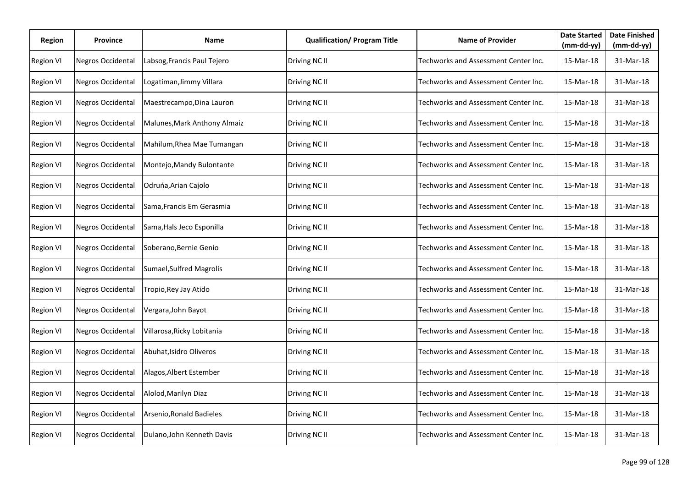| Region           | <b>Province</b>          | Name                         | <b>Qualification/ Program Title</b> | <b>Name of Provider</b>              | <b>Date Started</b><br>(mm-dd-yy) | <b>Date Finished</b><br>$(mm-dd-yy)$ |
|------------------|--------------------------|------------------------------|-------------------------------------|--------------------------------------|-----------------------------------|--------------------------------------|
| <b>Region VI</b> | <b>Negros Occidental</b> | Labsog, Francis Paul Tejero  | Driving NC II                       | Techworks and Assessment Center Inc. | 15-Mar-18                         | 31-Mar-18                            |
| <b>Region VI</b> | Negros Occidental        | Logatiman, Jimmy Villara     | Driving NC II                       | Techworks and Assessment Center Inc. | 15-Mar-18                         | 31-Mar-18                            |
| <b>Region VI</b> | Negros Occidental        | Maestrecampo, Dina Lauron    | Driving NC II                       | Techworks and Assessment Center Inc. | 15-Mar-18                         | 31-Mar-18                            |
| <b>Region VI</b> | Negros Occidental        | Malunes, Mark Anthony Almaiz | Driving NC II                       | Techworks and Assessment Center Inc. | 15-Mar-18                         | 31-Mar-18                            |
| <b>Region VI</b> | Negros Occidental        | Mahilum, Rhea Mae Tumangan   | Driving NC II                       | Techworks and Assessment Center Inc. | 15-Mar-18                         | 31-Mar-18                            |
| <b>Region VI</b> | Negros Occidental        | Montejo, Mandy Bulontante    | Driving NC II                       | Techworks and Assessment Center Inc. | 15-Mar-18                         | 31-Mar-18                            |
| <b>Region VI</b> | Negros Occidental        | Odruńa, Arian Cajolo         | Driving NC II                       | Techworks and Assessment Center Inc. | 15-Mar-18                         | 31-Mar-18                            |
| <b>Region VI</b> | Negros Occidental        | Sama, Francis Em Gerasmia    | Driving NC II                       | Techworks and Assessment Center Inc. | 15-Mar-18                         | 31-Mar-18                            |
| <b>Region VI</b> | <b>Negros Occidental</b> | Sama, Hals Jeco Esponilla    | Driving NC II                       | Techworks and Assessment Center Inc. | 15-Mar-18                         | 31-Mar-18                            |
| <b>Region VI</b> | <b>Negros Occidental</b> | Soberano, Bernie Genio       | Driving NC II                       | Techworks and Assessment Center Inc. | 15-Mar-18                         | 31-Mar-18                            |
| <b>Region VI</b> | Negros Occidental        | Sumael, Sulfred Magrolis     | Driving NC II                       | Techworks and Assessment Center Inc. | 15-Mar-18                         | 31-Mar-18                            |
| <b>Region VI</b> | Negros Occidental        | Tropio, Rey Jay Atido        | Driving NC II                       | Techworks and Assessment Center Inc. | 15-Mar-18                         | 31-Mar-18                            |
| <b>Region VI</b> | Negros Occidental        | Vergara, John Bayot          | Driving NC II                       | Techworks and Assessment Center Inc. | 15-Mar-18                         | 31-Mar-18                            |
| <b>Region VI</b> | <b>Negros Occidental</b> | Villarosa, Ricky Lobitania   | Driving NC II                       | Techworks and Assessment Center Inc. | 15-Mar-18                         | 31-Mar-18                            |
| <b>Region VI</b> | <b>Negros Occidental</b> | Abuhat, Isidro Oliveros      | Driving NC II                       | Techworks and Assessment Center Inc. | 15-Mar-18                         | 31-Mar-18                            |
| <b>Region VI</b> | Negros Occidental        | Alagos, Albert Estember      | Driving NC II                       | Techworks and Assessment Center Inc. | 15-Mar-18                         | 31-Mar-18                            |
| <b>Region VI</b> | <b>Negros Occidental</b> | Alolod, Marilyn Diaz         | Driving NC II                       | Techworks and Assessment Center Inc. | 15-Mar-18                         | 31-Mar-18                            |
| <b>Region VI</b> | <b>Negros Occidental</b> | Arsenio, Ronald Badieles     | Driving NC II                       | Techworks and Assessment Center Inc. | 15-Mar-18                         | 31-Mar-18                            |
| <b>Region VI</b> | Negros Occidental        | Dulano, John Kenneth Davis   | Driving NC II                       | Techworks and Assessment Center Inc. | 15-Mar-18                         | 31-Mar-18                            |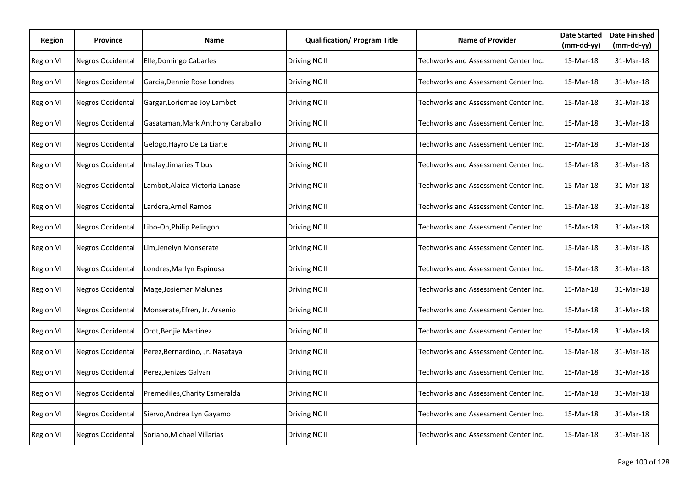| Region           | Province                 | Name                              | <b>Qualification/ Program Title</b> | <b>Name of Provider</b>              | <b>Date Started</b><br>(mm-dd-yy) | <b>Date Finished</b><br>$(mm-dd-yy)$ |
|------------------|--------------------------|-----------------------------------|-------------------------------------|--------------------------------------|-----------------------------------|--------------------------------------|
| <b>Region VI</b> | <b>Negros Occidental</b> | Elle, Domingo Cabarles            | Driving NC II                       | Techworks and Assessment Center Inc. | 15-Mar-18                         | 31-Mar-18                            |
| <b>Region VI</b> | Negros Occidental        | Garcia, Dennie Rose Londres       | Driving NC II                       | Techworks and Assessment Center Inc. | 15-Mar-18                         | 31-Mar-18                            |
| <b>Region VI</b> | Negros Occidental        | Gargar, Loriemae Joy Lambot       | Driving NC II                       | Techworks and Assessment Center Inc. | 15-Mar-18                         | 31-Mar-18                            |
| <b>Region VI</b> | Negros Occidental        | Gasataman, Mark Anthony Caraballo | Driving NC II                       | Techworks and Assessment Center Inc. | 15-Mar-18                         | 31-Mar-18                            |
| <b>Region VI</b> | <b>Negros Occidental</b> | Gelogo, Hayro De La Liarte        | Driving NC II                       | Techworks and Assessment Center Inc. | 15-Mar-18                         | 31-Mar-18                            |
| <b>Region VI</b> | Negros Occidental        | Imalay, Jimaries Tibus            | Driving NC II                       | Techworks and Assessment Center Inc. | 15-Mar-18                         | 31-Mar-18                            |
| <b>Region VI</b> | <b>Negros Occidental</b> | Lambot, Alaica Victoria Lanase    | Driving NC II                       | Techworks and Assessment Center Inc. | 15-Mar-18                         | 31-Mar-18                            |
| <b>Region VI</b> | <b>Negros Occidental</b> | Lardera, Arnel Ramos              | Driving NC II                       | Techworks and Assessment Center Inc. | 15-Mar-18                         | 31-Mar-18                            |
| <b>Region VI</b> | Negros Occidental        | Libo-On, Philip Pelingon          | Driving NC II                       | Techworks and Assessment Center Inc. | 15-Mar-18                         | 31-Mar-18                            |
| <b>Region VI</b> | <b>Negros Occidental</b> | Lim, Jenelyn Monserate            | Driving NC II                       | Techworks and Assessment Center Inc. | 15-Mar-18                         | 31-Mar-18                            |
| <b>Region VI</b> | <b>Negros Occidental</b> | Londres, Marlyn Espinosa          | Driving NC II                       | Techworks and Assessment Center Inc. | 15-Mar-18                         | 31-Mar-18                            |
| <b>Region VI</b> | Negros Occidental        | Mage, Josiemar Malunes            | Driving NC II                       | Techworks and Assessment Center Inc. | 15-Mar-18                         | 31-Mar-18                            |
| <b>Region VI</b> | Negros Occidental        | Monserate, Efren, Jr. Arsenio     | Driving NC II                       | Techworks and Assessment Center Inc. | 15-Mar-18                         | 31-Mar-18                            |
| <b>Region VI</b> | <b>Negros Occidental</b> | Orot, Benjie Martinez             | Driving NC II                       | Techworks and Assessment Center Inc. | 15-Mar-18                         | 31-Mar-18                            |
| <b>Region VI</b> | <b>Negros Occidental</b> | Perez, Bernardino, Jr. Nasataya   | Driving NC II                       | Techworks and Assessment Center Inc. | 15-Mar-18                         | 31-Mar-18                            |
| <b>Region VI</b> | Negros Occidental        | Perez, Jenizes Galvan             | Driving NC II                       | Techworks and Assessment Center Inc. | 15-Mar-18                         | 31-Mar-18                            |
| <b>Region VI</b> | <b>Negros Occidental</b> | Premediles, Charity Esmeralda     | Driving NC II                       | Techworks and Assessment Center Inc. | 15-Mar-18                         | 31-Mar-18                            |
| <b>Region VI</b> | Negros Occidental        | Siervo, Andrea Lyn Gayamo         | Driving NC II                       | Techworks and Assessment Center Inc. | 15-Mar-18                         | 31-Mar-18                            |
| <b>Region VI</b> | Negros Occidental        | Soriano, Michael Villarias        | Driving NC II                       | Techworks and Assessment Center Inc. | 15-Mar-18                         | 31-Mar-18                            |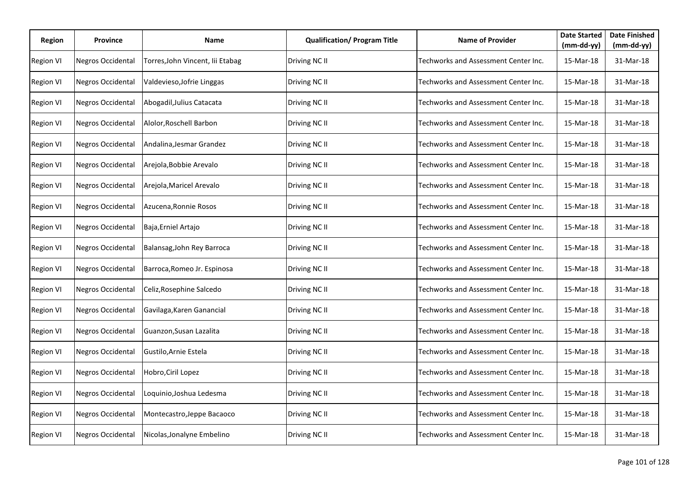| Region           | Province                 | Name                            | <b>Qualification/ Program Title</b> | <b>Name of Provider</b>              | <b>Date Started</b><br>(mm-dd-yy) | <b>Date Finished</b><br>$(mm-dd-yy)$ |
|------------------|--------------------------|---------------------------------|-------------------------------------|--------------------------------------|-----------------------------------|--------------------------------------|
| <b>Region VI</b> | <b>Negros Occidental</b> | Torres,John Vincent, lii Etabag | Driving NC II                       | Techworks and Assessment Center Inc. | 15-Mar-18                         | 31-Mar-18                            |
| <b>Region VI</b> | Negros Occidental        | Valdevieso, Jofrie Linggas      | Driving NC II                       | Techworks and Assessment Center Inc. | 15-Mar-18                         | 31-Mar-18                            |
| <b>Region VI</b> | Negros Occidental        | Abogadil, Julius Catacata       | Driving NC II                       | Techworks and Assessment Center Inc. | 15-Mar-18                         | 31-Mar-18                            |
| <b>Region VI</b> | Negros Occidental        | Alolor, Roschell Barbon         | Driving NC II                       | Techworks and Assessment Center Inc. | 15-Mar-18                         | 31-Mar-18                            |
| <b>Region VI</b> | <b>Negros Occidental</b> | Andalina, Jesmar Grandez        | Driving NC II                       | Techworks and Assessment Center Inc. | 15-Mar-18                         | 31-Mar-18                            |
| <b>Region VI</b> | <b>Negros Occidental</b> | Arejola, Bobbie Arevalo         | Driving NC II                       | Techworks and Assessment Center Inc. | 15-Mar-18                         | 31-Mar-18                            |
| <b>Region VI</b> | <b>Negros Occidental</b> | Arejola, Maricel Arevalo        | Driving NC II                       | Techworks and Assessment Center Inc. | 15-Mar-18                         | 31-Mar-18                            |
| <b>Region VI</b> | <b>Negros Occidental</b> | Azucena, Ronnie Rosos           | Driving NC II                       | Techworks and Assessment Center Inc. | 15-Mar-18                         | 31-Mar-18                            |
| <b>Region VI</b> | Negros Occidental        | Baja, Erniel Artajo             | Driving NC II                       | Techworks and Assessment Center Inc. | 15-Mar-18                         | 31-Mar-18                            |
| Region VI        | <b>Negros Occidental</b> | Balansag, John Rey Barroca      | Driving NC II                       | Techworks and Assessment Center Inc. | 15-Mar-18                         | 31-Mar-18                            |
| <b>Region VI</b> | <b>Negros Occidental</b> | Barroca, Romeo Jr. Espinosa     | Driving NC II                       | Techworks and Assessment Center Inc. | 15-Mar-18                         | 31-Mar-18                            |
| <b>Region VI</b> | Negros Occidental        | Celiz, Rosephine Salcedo        | Driving NC II                       | Techworks and Assessment Center Inc. | 15-Mar-18                         | 31-Mar-18                            |
| <b>Region VI</b> | Negros Occidental        | Gavilaga, Karen Ganancial       | Driving NC II                       | Techworks and Assessment Center Inc. | 15-Mar-18                         | 31-Mar-18                            |
| <b>Region VI</b> | <b>Negros Occidental</b> | Guanzon, Susan Lazalita         | Driving NC II                       | Techworks and Assessment Center Inc. | 15-Mar-18                         | 31-Mar-18                            |
| <b>Region VI</b> | <b>Negros Occidental</b> | Gustilo, Arnie Estela           | Driving NC II                       | Techworks and Assessment Center Inc. | 15-Mar-18                         | 31-Mar-18                            |
| <b>Region VI</b> | Negros Occidental        | Hobro, Ciril Lopez              | Driving NC II                       | Techworks and Assessment Center Inc. | 15-Mar-18                         | 31-Mar-18                            |
| <b>Region VI</b> | <b>Negros Occidental</b> | Loquinio, Joshua Ledesma        | Driving NC II                       | Techworks and Assessment Center Inc. | 15-Mar-18                         | 31-Mar-18                            |
| <b>Region VI</b> | Negros Occidental        | Montecastro, Jeppe Bacaoco      | Driving NC II                       | Techworks and Assessment Center Inc. | 15-Mar-18                         | 31-Mar-18                            |
| <b>Region VI</b> | Negros Occidental        | Nicolas, Jonalyne Embelino      | Driving NC II                       | Techworks and Assessment Center Inc. | 15-Mar-18                         | 31-Mar-18                            |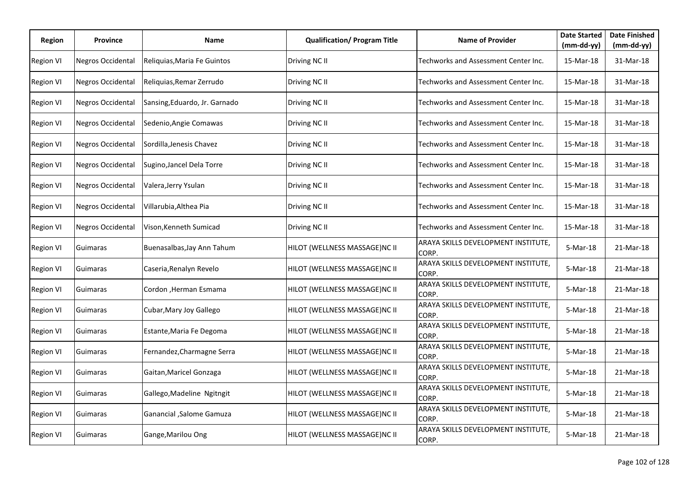| <b>Region</b>    | <b>Province</b>          | <b>Name</b>                   | <b>Qualification/ Program Title</b> | <b>Name of Provider</b>                      | <b>Date Started</b><br>(mm-dd-yy) | <b>Date Finished</b><br>$(mm-dd-yy)$ |
|------------------|--------------------------|-------------------------------|-------------------------------------|----------------------------------------------|-----------------------------------|--------------------------------------|
| <b>Region VI</b> | <b>Negros Occidental</b> | Reliquias, Maria Fe Guintos   | Driving NC II                       | Techworks and Assessment Center Inc.         | 15-Mar-18                         | 31-Mar-18                            |
| <b>Region VI</b> | <b>Negros Occidental</b> | Reliquias, Remar Zerrudo      | Driving NC II                       | Techworks and Assessment Center Inc.         | 15-Mar-18                         | 31-Mar-18                            |
| <b>Region VI</b> | Negros Occidental        | Sansing, Eduardo, Jr. Garnado | Driving NC II                       | Techworks and Assessment Center Inc.         | 15-Mar-18                         | 31-Mar-18                            |
| <b>Region VI</b> | Negros Occidental        | Sedenio, Angie Comawas        | Driving NC II                       | Techworks and Assessment Center Inc.         | 15-Mar-18                         | 31-Mar-18                            |
| <b>Region VI</b> | Negros Occidental        | Sordilla, Jenesis Chavez      | Driving NC II                       | Techworks and Assessment Center Inc.         | 15-Mar-18                         | 31-Mar-18                            |
| <b>Region VI</b> | Negros Occidental        | Sugino, Jancel Dela Torre     | Driving NC II                       | Techworks and Assessment Center Inc.         | 15-Mar-18                         | 31-Mar-18                            |
| <b>Region VI</b> | Negros Occidental        | Valera, Jerry Ysulan          | Driving NC II                       | Techworks and Assessment Center Inc.         | 15-Mar-18                         | 31-Mar-18                            |
| <b>Region VI</b> | Negros Occidental        | Villarubia, Althea Pia        | Driving NC II                       | Techworks and Assessment Center Inc.         | 15-Mar-18                         | 31-Mar-18                            |
| <b>Region VI</b> | <b>Negros Occidental</b> | Vison, Kenneth Sumicad        | Driving NC II                       | Techworks and Assessment Center Inc.         | 15-Mar-18                         | 31-Mar-18                            |
| <b>Region VI</b> | Guimaras                 | Buenasalbas, Jay Ann Tahum    | HILOT (WELLNESS MASSAGE)NC II       | ARAYA SKILLS DEVELOPMENT INSTITUTE,<br>CORP. | 5-Mar-18                          | 21-Mar-18                            |
| <b>Region VI</b> | Guimaras                 | Caseria, Renalyn Revelo       | HILOT (WELLNESS MASSAGE)NC II       | ARAYA SKILLS DEVELOPMENT INSTITUTE,<br>CORP. | 5-Mar-18                          | 21-Mar-18                            |
| <b>Region VI</b> | Guimaras                 | Cordon ,Herman Esmama         | HILOT (WELLNESS MASSAGE)NC II       | ARAYA SKILLS DEVELOPMENT INSTITUTE,<br>CORP. | 5-Mar-18                          | 21-Mar-18                            |
| <b>Region VI</b> | Guimaras                 | Cubar, Mary Joy Gallego       | HILOT (WELLNESS MASSAGE)NC II       | ARAYA SKILLS DEVELOPMENT INSTITUTE,<br>CORP. | 5-Mar-18                          | 21-Mar-18                            |
| <b>Region VI</b> | Guimaras                 | Estante, Maria Fe Degoma      | HILOT (WELLNESS MASSAGE)NC II       | ARAYA SKILLS DEVELOPMENT INSTITUTE,<br>CORP. | 5-Mar-18                          | 21-Mar-18                            |
| <b>Region VI</b> | Guimaras                 | Fernandez, Charmagne Serra    | HILOT (WELLNESS MASSAGE)NC II       | ARAYA SKILLS DEVELOPMENT INSTITUTE,<br>CORP. | 5-Mar-18                          | 21-Mar-18                            |
| <b>Region VI</b> | Guimaras                 | Gaitan, Maricel Gonzaga       | HILOT (WELLNESS MASSAGE)NC II       | ARAYA SKILLS DEVELOPMENT INSTITUTE,<br>CORP. | 5-Mar-18                          | 21-Mar-18                            |
| <b>Region VI</b> | Guimaras                 | Gallego, Madeline Ngitngit    | HILOT (WELLNESS MASSAGE)NC II       | ARAYA SKILLS DEVELOPMENT INSTITUTE,<br>CORP. | 5-Mar-18                          | 21-Mar-18                            |
| <b>Region VI</b> | Guimaras                 | Ganancial , Salome Gamuza     | HILOT (WELLNESS MASSAGE)NC II       | ARAYA SKILLS DEVELOPMENT INSTITUTE,<br>CORP. | 5-Mar-18                          | 21-Mar-18                            |
| <b>Region VI</b> | Guimaras                 | Gange, Marilou Ong            | HILOT (WELLNESS MASSAGE)NC II       | ARAYA SKILLS DEVELOPMENT INSTITUTE,<br>CORP. | 5-Mar-18                          | 21-Mar-18                            |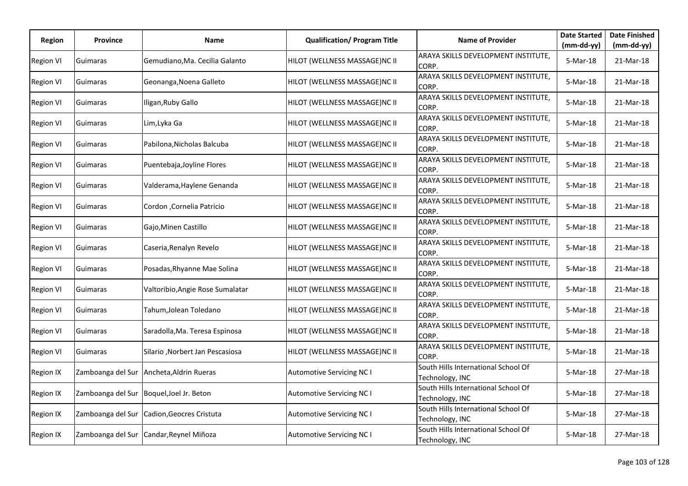| <b>Region</b>    | <b>Province</b>   | Name                                     | <b>Qualification/ Program Title</b> | <b>Name of Provider</b>                                | <b>Date Started</b> | <b>Date Finished</b> |
|------------------|-------------------|------------------------------------------|-------------------------------------|--------------------------------------------------------|---------------------|----------------------|
|                  |                   |                                          |                                     |                                                        | $(mm-dd-yy)$        | $(mm-dd-yy)$         |
| <b>Region VI</b> | Guimaras          | Gemudiano, Ma. Cecilia Galanto           | HILOT (WELLNESS MASSAGE)NC II       | ARAYA SKILLS DEVELOPMENT INSTITUTE,<br>CORP.           | 5-Mar-18            | 21-Mar-18            |
| <b>Region VI</b> | Guimaras          | Geonanga, Noena Galleto                  | HILOT (WELLNESS MASSAGE)NC II       | ARAYA SKILLS DEVELOPMENT INSTITUTE,<br>CORP.           | $5-Mar-18$          | 21-Mar-18            |
| <b>Region VI</b> | Guimaras          | Iligan, Ruby Gallo                       | HILOT (WELLNESS MASSAGE)NC II       | ARAYA SKILLS DEVELOPMENT INSTITUTE,<br>CORP.           | 5-Mar-18            | 21-Mar-18            |
| <b>Region VI</b> | Guimaras          | Lim,Lyka Ga                              | HILOT (WELLNESS MASSAGE)NC II       | ARAYA SKILLS DEVELOPMENT INSTITUTE,<br>CORP.           | 5-Mar-18            | 21-Mar-18            |
| <b>Region VI</b> | Guimaras          | Pabilona, Nicholas Balcuba               | HILOT (WELLNESS MASSAGE)NC II       | ARAYA SKILLS DEVELOPMENT INSTITUTE,<br>CORP.           | 5-Mar-18            | 21-Mar-18            |
| <b>Region VI</b> | Guimaras          | Puentebaja, Joyline Flores               | HILOT (WELLNESS MASSAGE)NC II       | ARAYA SKILLS DEVELOPMENT INSTITUTE,<br>CORP.           | 5-Mar-18            | 21-Mar-18            |
| <b>Region VI</b> | Guimaras          | Valderama, Haylene Genanda               | HILOT (WELLNESS MASSAGE)NC II       | ARAYA SKILLS DEVELOPMENT INSTITUTE,<br>CORP.           | 5-Mar-18            | 21-Mar-18            |
| <b>Region VI</b> | Guimaras          | Cordon , Cornelia Patricio               | HILOT (WELLNESS MASSAGE)NC II       | ARAYA SKILLS DEVELOPMENT INSTITUTE,<br>CORP.           | 5-Mar-18            | 21-Mar-18            |
| <b>Region VI</b> | Guimaras          | Gajo, Minen Castillo                     | HILOT (WELLNESS MASSAGE)NC II       | ARAYA SKILLS DEVELOPMENT INSTITUTE,<br>CORP.           | 5-Mar-18            | 21-Mar-18            |
| <b>Region VI</b> | Guimaras          | Caseria, Renalyn Revelo                  | HILOT (WELLNESS MASSAGE)NC II       | ARAYA SKILLS DEVELOPMENT INSTITUTE,<br>CORP.           | 5-Mar-18            | 21-Mar-18            |
| <b>Region VI</b> | Guimaras          | Posadas, Rhyanne Mae Solina              | HILOT (WELLNESS MASSAGE)NC II       | ARAYA SKILLS DEVELOPMENT INSTITUTE,<br>CORP.           | 5-Mar-18            | 21-Mar-18            |
| <b>Region VI</b> | Guimaras          | Valtoribio, Angie Rose Sumalatar         | HILOT (WELLNESS MASSAGE)NC II       | ARAYA SKILLS DEVELOPMENT INSTITUTE,<br>CORP.           | 5-Mar-18            | 21-Mar-18            |
| <b>Region VI</b> | Guimaras          | Tahum,Jolean Toledano                    | HILOT (WELLNESS MASSAGE)NC II       | ARAYA SKILLS DEVELOPMENT INSTITUTE,<br>CORP.           | 5-Mar-18            | 21-Mar-18            |
| <b>Region VI</b> | Guimaras          | Saradolla, Ma. Teresa Espinosa           | HILOT (WELLNESS MASSAGE)NC II       | ARAYA SKILLS DEVELOPMENT INSTITUTE,<br>CORP.           | 5-Mar-18            | 21-Mar-18            |
| <b>Region VI</b> | Guimaras          | Silario ,Norbert Jan Pescasiosa          | HILOT (WELLNESS MASSAGE)NC II       | ARAYA SKILLS DEVELOPMENT INSTITUTE,<br>CORP.           | 5-Mar-18            | 21-Mar-18            |
| Region IX        |                   | Zamboanga del Sur Ancheta, Aldrin Rueras | <b>Automotive Servicing NC I</b>    | South Hills International School Of<br>Technology, INC | 5-Mar-18            | 27-Mar-18            |
| Region IX        | Zamboanga del Sur | Boquel, Joel Jr. Beton                   | <b>Automotive Servicing NC I</b>    | South Hills International School Of<br>Technology, INC | 5-Mar-18            | 27-Mar-18            |
| <b>Region IX</b> | Zamboanga del Sur | Cadion, Geocres Cristuta                 | <b>Automotive Servicing NC I</b>    | South Hills International School Of<br>Technology, INC | 5-Mar-18            | 27-Mar-18            |
| <b>Region IX</b> |                   | Zamboanga del Sur Candar, Reynel Miñoza  | <b>Automotive Servicing NC I</b>    | South Hills International School Of<br>Technology, INC | 5-Mar-18            | 27-Mar-18            |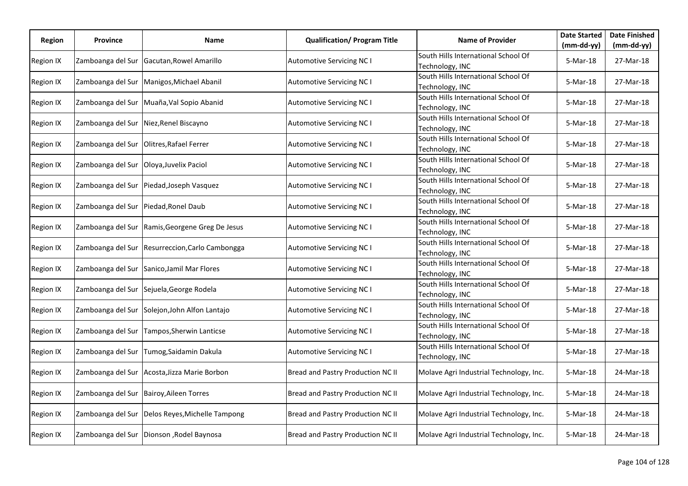| Region           | <b>Province</b>                      | <b>Name</b>                              | <b>Qualification/ Program Title</b> | <b>Name of Provider</b>                                | <b>Date Started</b> | <b>Date Finished</b> |
|------------------|--------------------------------------|------------------------------------------|-------------------------------------|--------------------------------------------------------|---------------------|----------------------|
|                  |                                      |                                          |                                     |                                                        | (mm-dd-yy)          | (mm-dd-yy)           |
| Region IX        | Zamboanga del Sur                    | Gacutan, Rowel Amarillo                  | <b>Automotive Servicing NC I</b>    | South Hills International School Of<br>Technology, INC | 5-Mar-18            | 27-Mar-18            |
| Region IX        | Zamboanga del Sur                    | Manigos, Michael Abanil                  | <b>Automotive Servicing NC I</b>    | South Hills International School Of<br>Technology, INC | 5-Mar-18            | 27-Mar-18            |
| <b>Region IX</b> | Zamboanga del Sur                    | Muaña, Val Sopio Abanid                  | <b>Automotive Servicing NC I</b>    | South Hills International School Of<br>Technology, INC | 5-Mar-18            | 27-Mar-18            |
| Region IX        | Zamboanga del Sur                    | Niez, Renel Biscayno                     | <b>Automotive Servicing NC I</b>    | South Hills International School Of<br>Technology, INC | 5-Mar-18            | 27-Mar-18            |
| <b>Region IX</b> | Zamboanga del Sur                    | Olitres, Rafael Ferrer                   | <b>Automotive Servicing NC I</b>    | South Hills International School Of<br>Technology, INC | 5-Mar-18            | 27-Mar-18            |
| Region IX        | Zamboanga del Sur                    | Oloya, Juvelix Paciol                    | <b>Automotive Servicing NC I</b>    | South Hills International School Of<br>Technology, INC | 5-Mar-18            | 27-Mar-18            |
| Region IX        | Zamboanga del Sur                    | Piedad, Joseph Vasquez                   | <b>Automotive Servicing NC I</b>    | South Hills International School Of<br>Technology, INC | 5-Mar-18            | 27-Mar-18            |
| Region IX        | Zamboanga del Sur Piedad, Ronel Daub |                                          | <b>Automotive Servicing NC I</b>    | South Hills International School Of<br>Technology, INC | 5-Mar-18            | 27-Mar-18            |
| Region IX        | Zamboanga del Sur                    | Ramis, Georgene Greg De Jesus            | <b>Automotive Servicing NC I</b>    | South Hills International School Of<br>Technology, INC | 5-Mar-18            | 27-Mar-18            |
| Region IX        | Zamboanga del Sur                    | Resurreccion, Carlo Cambongga            | <b>Automotive Servicing NC I</b>    | South Hills International School Of<br>Technology, INC | 5-Mar-18            | 27-Mar-18            |
| Region IX        | Zamboanga del Sur                    | Sanico, Jamil Mar Flores                 | <b>Automotive Servicing NC I</b>    | South Hills International School Of<br>Technology, INC | 5-Mar-18            | 27-Mar-18            |
| Region IX        | Zamboanga del Sur                    | Sejuela, George Rodela                   | Automotive Servicing NC I           | South Hills International School Of<br>Technology, INC | 5-Mar-18            | 27-Mar-18            |
| Region IX        | Zamboanga del Sur                    | Solejon, John Alfon Lantajo              | <b>Automotive Servicing NC I</b>    | South Hills International School Of<br>Technology, INC | 5-Mar-18            | 27-Mar-18            |
| Region IX        | Zamboanga del Sur                    | Tampos, Sherwin Lanticse                 | <b>Automotive Servicing NC I</b>    | South Hills International School Of<br>Technology, INC | 5-Mar-18            | 27-Mar-18            |
| Region IX        | Zamboanga del Sur                    | Tumog, Saidamin Dakula                   | <b>Automotive Servicing NC I</b>    | South Hills International School Of<br>Technology, INC | 5-Mar-18            | 27-Mar-18            |
| Region IX        | Zamboanga del Sur                    | Acosta, Jizza Marie Borbon               | Bread and Pastry Production NC II   | Molave Agri Industrial Technology, Inc.                | 5-Mar-18            | 24-Mar-18            |
| Region IX        | Zamboanga del Sur                    | <b>Bairoy, Aileen Torres</b>             | Bread and Pastry Production NC II   | Molave Agri Industrial Technology, Inc.                | 5-Mar-18            | 24-Mar-18            |
| Region IX        | Zamboanga del Sur                    | Delos Reyes, Michelle Tampong            | Bread and Pastry Production NC II   | Molave Agri Industrial Technology, Inc.                | 5-Mar-18            | 24-Mar-18            |
| Region IX        |                                      | Zamboanga del Sur Dionson, Rodel Baynosa | Bread and Pastry Production NC II   | Molave Agri Industrial Technology, Inc.                | 5-Mar-18            | 24-Mar-18            |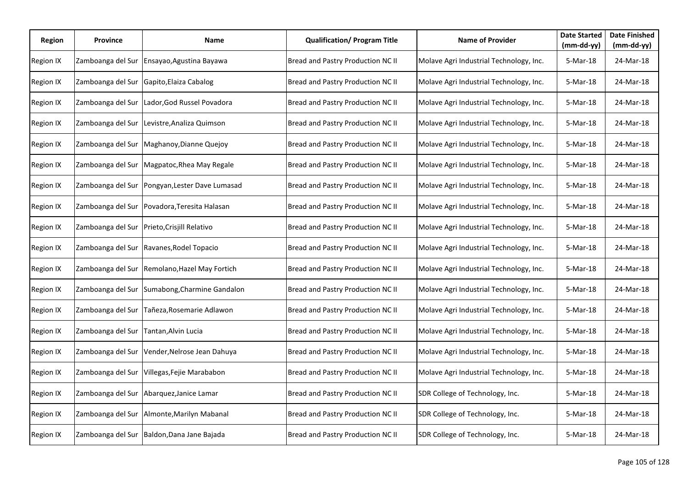| Region           | <b>Province</b>   | Name                         | <b>Qualification/ Program Title</b> | <b>Name of Provider</b>                 | <b>Date Started</b><br>$(mm-dd-yy)$ | <b>Date Finished</b><br>$(mm-dd-yy)$ |
|------------------|-------------------|------------------------------|-------------------------------------|-----------------------------------------|-------------------------------------|--------------------------------------|
| Region IX        | Zamboanga del Sur | Ensayao, Agustina Bayawa     | Bread and Pastry Production NC II   | Molave Agri Industrial Technology, Inc. | 5-Mar-18                            | 24-Mar-18                            |
| Region IX        | Zamboanga del Sur | Gapito, Elaiza Cabalog       | Bread and Pastry Production NC II   | Molave Agri Industrial Technology, Inc. | 5-Mar-18                            | 24-Mar-18                            |
| <b>Region IX</b> | Zamboanga del Sur | Lador, God Russel Povadora   | Bread and Pastry Production NC II   | Molave Agri Industrial Technology, Inc. | 5-Mar-18                            | 24-Mar-18                            |
| Region IX        | Zamboanga del Sur | Levistre, Analiza Quimson    | Bread and Pastry Production NC II   | Molave Agri Industrial Technology, Inc. | 5-Mar-18                            | 24-Mar-18                            |
| <b>Region IX</b> | Zamboanga del Sur | Maghanoy, Dianne Quejoy      | Bread and Pastry Production NC II   | Molave Agri Industrial Technology, Inc. | 5-Mar-18                            | 24-Mar-18                            |
| Region IX        | Zamboanga del Sur | Magpatoc, Rhea May Regale    | Bread and Pastry Production NC II   | Molave Agri Industrial Technology, Inc. | 5-Mar-18                            | 24-Mar-18                            |
| Region IX        | Zamboanga del Sur | Pongyan, Lester Dave Lumasad | Bread and Pastry Production NC II   | Molave Agri Industrial Technology, Inc. | 5-Mar-18                            | 24-Mar-18                            |
| Region IX        | Zamboanga del Sur | Povadora, Teresita Halasan   | Bread and Pastry Production NC II   | Molave Agri Industrial Technology, Inc. | 5-Mar-18                            | 24-Mar-18                            |
| Region IX        | Zamboanga del Sur | Prieto, Crisjill Relativo    | Bread and Pastry Production NC II   | Molave Agri Industrial Technology, Inc. | 5-Mar-18                            | 24-Mar-18                            |
| Region IX        | Zamboanga del Sur | Ravanes, Rodel Topacio       | Bread and Pastry Production NC II   | Molave Agri Industrial Technology, Inc. | 5-Mar-18                            | 24-Mar-18                            |
| Region IX        | Zamboanga del Sur | Remolano, Hazel May Fortich  | Bread and Pastry Production NC II   | Molave Agri Industrial Technology, Inc. | 5-Mar-18                            | 24-Mar-18                            |
| Region IX        | Zamboanga del Sur | Sumabong, Charmine Gandalon  | Bread and Pastry Production NC II   | Molave Agri Industrial Technology, Inc. | 5-Mar-18                            | 24-Mar-18                            |
| Region IX        | Zamboanga del Sur | Tañeza, Rosemarie Adlawon    | Bread and Pastry Production NC II   | Molave Agri Industrial Technology, Inc. | 5-Mar-18                            | 24-Mar-18                            |
| Region IX        | Zamboanga del Sur | Tantan, Alvin Lucia          | Bread and Pastry Production NC II   | Molave Agri Industrial Technology, Inc. | 5-Mar-18                            | 24-Mar-18                            |
| <b>Region IX</b> | Zamboanga del Sur | Vender, Nelrose Jean Dahuya  | Bread and Pastry Production NC II   | Molave Agri Industrial Technology, Inc. | 5-Mar-18                            | 24-Mar-18                            |
| Region IX        | Zamboanga del Sur | Villegas, Fejie Marababon    | Bread and Pastry Production NC II   | Molave Agri Industrial Technology, Inc. | 5-Mar-18                            | 24-Mar-18                            |
| Region IX        | Zamboanga del Sur | Abarquez, Janice Lamar       | Bread and Pastry Production NC II   | SDR College of Technology, Inc.         | 5-Mar-18                            | 24-Mar-18                            |
| Region IX        | Zamboanga del Sur | Almonte, Marilyn Mabanal     | Bread and Pastry Production NC II   | SDR College of Technology, Inc.         | 5-Mar-18                            | 24-Mar-18                            |
| Region IX        | Zamboanga del Sur | Baldon, Dana Jane Bajada     | Bread and Pastry Production NC II   | SDR College of Technology, Inc.         | 5-Mar-18                            | 24-Mar-18                            |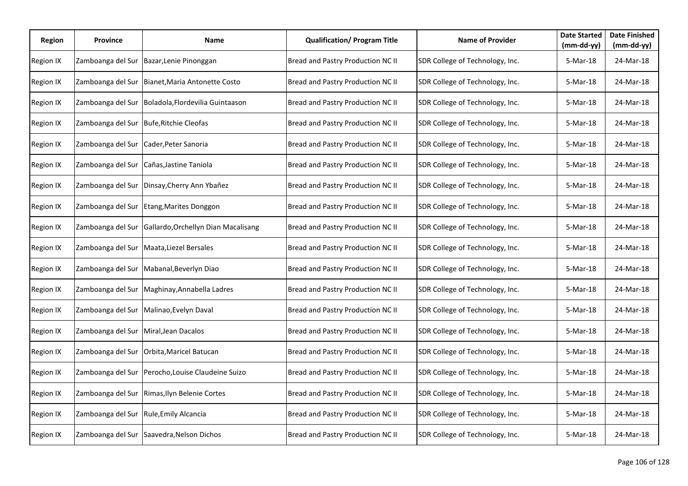| Region           | <b>Province</b>   | Name                                      | <b>Qualification/ Program Title</b> | <b>Name of Provider</b>         | <b>Date Started</b><br>$(mm-dd-yy)$ | <b>Date Finished</b><br>$(mm-dd-yy)$ |
|------------------|-------------------|-------------------------------------------|-------------------------------------|---------------------------------|-------------------------------------|--------------------------------------|
| Region IX        | Zamboanga del Sur | Bazar, Lenie Pinonggan                    | Bread and Pastry Production NC II   | SDR College of Technology, Inc. | 5-Mar-18                            | 24-Mar-18                            |
| Region IX        | Zamboanga del Sur | Bianet, Maria Antonette Costo             | Bread and Pastry Production NC II   | SDR College of Technology, Inc. | 5-Mar-18                            | 24-Mar-18                            |
| <b>Region IX</b> | Zamboanga del Sur | Boladola, Flordevilia Guintaason          | Bread and Pastry Production NC II   | SDR College of Technology, Inc. | 5-Mar-18                            | 24-Mar-18                            |
| Region IX        | Zamboanga del Sur | <b>Bufe, Ritchie Cleofas</b>              | Bread and Pastry Production NC II   | SDR College of Technology, Inc. | 5-Mar-18                            | 24-Mar-18                            |
| <b>Region IX</b> | Zamboanga del Sur | Cader, Peter Sanoria                      | Bread and Pastry Production NC II   | SDR College of Technology, Inc. | 5-Mar-18                            | 24-Mar-18                            |
| Region IX        | Zamboanga del Sur | Cañas, Jastine Taniola                    | Bread and Pastry Production NC II   | SDR College of Technology, Inc. | 5-Mar-18                            | 24-Mar-18                            |
| Region IX        | Zamboanga del Sur | Dinsay, Cherry Ann Ybañez                 | Bread and Pastry Production NC II   | SDR College of Technology, Inc. | 5-Mar-18                            | 24-Mar-18                            |
| <b>Region IX</b> | Zamboanga del Sur | Etang, Marites Donggon                    | Bread and Pastry Production NC II   | SDR College of Technology, Inc. | 5-Mar-18                            | 24-Mar-18                            |
| Region IX        | Zamboanga del Sur | Gallardo, Orchellyn Dian Macalisang       | Bread and Pastry Production NC II   | SDR College of Technology, Inc. | 5-Mar-18                            | 24-Mar-18                            |
| Region IX        | Zamboanga del Sur | Maata, Liezel Bersales                    | Bread and Pastry Production NC II   | SDR College of Technology, Inc. | 5-Mar-18                            | 24-Mar-18                            |
| Region IX        | Zamboanga del Sur | Mabanal, Beverlyn Diao                    | Bread and Pastry Production NC II   | SDR College of Technology, Inc. | 5-Mar-18                            | 24-Mar-18                            |
| Region IX        | Zamboanga del Sur | Maghinay, Annabella Ladres                | Bread and Pastry Production NC II   | SDR College of Technology, Inc. | 5-Mar-18                            | 24-Mar-18                            |
| Region IX        | Zamboanga del Sur | Malinao, Evelyn Daval                     | Bread and Pastry Production NC II   | SDR College of Technology, Inc. | 5-Mar-18                            | 24-Mar-18                            |
| Region IX        | Zamboanga del Sur | Miral, Jean Dacalos                       | Bread and Pastry Production NC II   | SDR College of Technology, Inc. | 5-Mar-18                            | 24-Mar-18                            |
| <b>Region IX</b> | Zamboanga del Sur | Orbita, Maricel Batucan                   | Bread and Pastry Production NC II   | SDR College of Technology, Inc. | 5-Mar-18                            | 24-Mar-18                            |
| Region IX        | Zamboanga del Sur | Perocho, Louise Claudeine Suizo           | Bread and Pastry Production NC II   | SDR College of Technology, Inc. | 5-Mar-18                            | 24-Mar-18                            |
| Region IX        | Zamboanga del Sur | Rimas, Ilyn Belenie Cortes                | Bread and Pastry Production NC II   | SDR College of Technology, Inc. | 5-Mar-18                            | 24-Mar-18                            |
| Region IX        | Zamboanga del Sur | Rule, Emily Alcancia                      | Bread and Pastry Production NC II   | SDR College of Technology, Inc. | 5-Mar-18                            | 24-Mar-18                            |
| Region IX        |                   | Zamboanga del Sur Saavedra, Nelson Dichos | Bread and Pastry Production NC II   | SDR College of Technology, Inc. | 5-Mar-18                            | 24-Mar-18                            |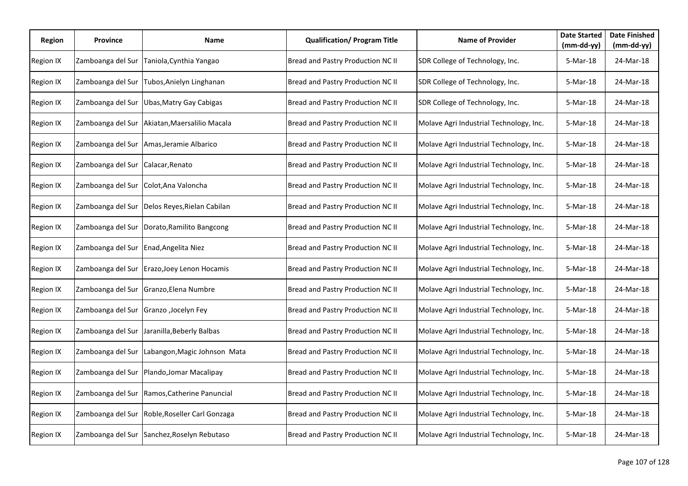| Region           | <b>Province</b>   | Name                                        | <b>Qualification/ Program Title</b> | <b>Name of Provider</b>                 | <b>Date Started</b><br>$(mm-dd-yy)$ | <b>Date Finished</b><br>$(mm-dd-yy)$ |
|------------------|-------------------|---------------------------------------------|-------------------------------------|-----------------------------------------|-------------------------------------|--------------------------------------|
| Region IX        | Zamboanga del Sur | Taniola, Cynthia Yangao                     | Bread and Pastry Production NC II   | SDR College of Technology, Inc.         | 5-Mar-18                            | 24-Mar-18                            |
| <b>Region IX</b> | Zamboanga del Sur | Tubos, Anielyn Linghanan                    | Bread and Pastry Production NC II   | SDR College of Technology, Inc.         | 5-Mar-18                            | 24-Mar-18                            |
| <b>Region IX</b> | Zamboanga del Sur | Ubas, Matry Gay Cabigas                     | Bread and Pastry Production NC II   | SDR College of Technology, Inc.         | 5-Mar-18                            | 24-Mar-18                            |
| Region IX        | Zamboanga del Sur | Akiatan, Maersalilio Macala                 | Bread and Pastry Production NC II   | Molave Agri Industrial Technology, Inc. | 5-Mar-18                            | 24-Mar-18                            |
| <b>Region IX</b> | Zamboanga del Sur | Amas, Jeramie Albarico                      | Bread and Pastry Production NC II   | Molave Agri Industrial Technology, Inc. | 5-Mar-18                            | 24-Mar-18                            |
| Region IX        | Zamboanga del Sur | Calacar, Renato                             | Bread and Pastry Production NC II   | Molave Agri Industrial Technology, Inc. | 5-Mar-18                            | 24-Mar-18                            |
| Region IX        | Zamboanga del Sur | Colot, Ana Valoncha                         | Bread and Pastry Production NC II   | Molave Agri Industrial Technology, Inc. | 5-Mar-18                            | 24-Mar-18                            |
| Region IX        | Zamboanga del Sur | Delos Reyes, Rielan Cabilan                 | Bread and Pastry Production NC II   | Molave Agri Industrial Technology, Inc. | 5-Mar-18                            | 24-Mar-18                            |
| Region IX        | Zamboanga del Sur | Dorato, Ramilito Bangcong                   | Bread and Pastry Production NC II   | Molave Agri Industrial Technology, Inc. | 5-Mar-18                            | 24-Mar-18                            |
| Region IX        | Zamboanga del Sur | Enad, Angelita Niez                         | Bread and Pastry Production NC II   | Molave Agri Industrial Technology, Inc. | 5-Mar-18                            | 24-Mar-18                            |
| Region IX        | Zamboanga del Sur | Erazo, Joey Lenon Hocamis                   | Bread and Pastry Production NC II   | Molave Agri Industrial Technology, Inc. | 5-Mar-18                            | 24-Mar-18                            |
| Region IX        | Zamboanga del Sur | Granzo, Elena Numbre                        | Bread and Pastry Production NC II   | Molave Agri Industrial Technology, Inc. | 5-Mar-18                            | 24-Mar-18                            |
| Region IX        | Zamboanga del Sur | Granzo , Jocelyn Fey                        | Bread and Pastry Production NC II   | Molave Agri Industrial Technology, Inc. | 5-Mar-18                            | 24-Mar-18                            |
| Region IX        | Zamboanga del Sur | Jaranilla, Beberly Balbas                   | Bread and Pastry Production NC II   | Molave Agri Industrial Technology, Inc. | 5-Mar-18                            | 24-Mar-18                            |
| <b>Region IX</b> | Zamboanga del Sur | Labangon, Magic Johnson Mata                | Bread and Pastry Production NC II   | Molave Agri Industrial Technology, Inc. | 5-Mar-18                            | 24-Mar-18                            |
| Region IX        | Zamboanga del Sur | Plando, Jomar Macalipay                     | Bread and Pastry Production NC II   | Molave Agri Industrial Technology, Inc. | 5-Mar-18                            | 24-Mar-18                            |
| Region IX        | Zamboanga del Sur | Ramos, Catherine Panuncial                  | Bread and Pastry Production NC II   | Molave Agri Industrial Technology, Inc. | 5-Mar-18                            | 24-Mar-18                            |
| Region IX        | Zamboanga del Sur | Roble, Roseller Carl Gonzaga                | Bread and Pastry Production NC II   | Molave Agri Industrial Technology, Inc. | 5-Mar-18                            | 24-Mar-18                            |
| Region IX        |                   | Zamboanga del Sur Sanchez, Roselyn Rebutaso | Bread and Pastry Production NC II   | Molave Agri Industrial Technology, Inc. | 5-Mar-18                            | 24-Mar-18                            |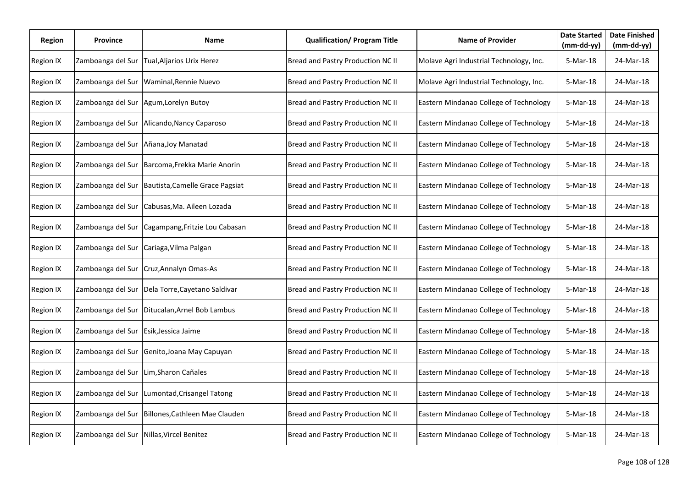| Region           | <b>Province</b>   | Name                            | <b>Qualification/ Program Title</b> | <b>Name of Provider</b>                 | <b>Date Started</b><br>$(mm-dd-yy)$ | <b>Date Finished</b><br>$(mm-dd-yy)$ |
|------------------|-------------------|---------------------------------|-------------------------------------|-----------------------------------------|-------------------------------------|--------------------------------------|
| Region IX        | Zamboanga del Sur | Tual, Aljarios Urix Herez       | Bread and Pastry Production NC II   | Molave Agri Industrial Technology, Inc. | 5-Mar-18                            | 24-Mar-18                            |
| Region IX        | Zamboanga del Sur | Waminal, Rennie Nuevo           | Bread and Pastry Production NC II   | Molave Agri Industrial Technology, Inc. | 5-Mar-18                            | 24-Mar-18                            |
| <b>Region IX</b> | Zamboanga del Sur | Agum, Lorelyn Butoy             | Bread and Pastry Production NC II   | Eastern Mindanao College of Technology  | 5-Mar-18                            | 24-Mar-18                            |
| Region IX        | Zamboanga del Sur | Alicando, Nancy Caparoso        | Bread and Pastry Production NC II   | Eastern Mindanao College of Technology  | 5-Mar-18                            | 24-Mar-18                            |
| <b>Region IX</b> | Zamboanga del Sur | Añana, Joy Manatad              | Bread and Pastry Production NC II   | Eastern Mindanao College of Technology  | 5-Mar-18                            | 24-Mar-18                            |
| Region IX        | Zamboanga del Sur | Barcoma, Frekka Marie Anorin    | Bread and Pastry Production NC II   | Eastern Mindanao College of Technology  | 5-Mar-18                            | 24-Mar-18                            |
| Region IX        | Zamboanga del Sur | Bautista, Camelle Grace Pagsiat | Bread and Pastry Production NC II   | Eastern Mindanao College of Technology  | 5-Mar-18                            | 24-Mar-18                            |
| <b>Region IX</b> | Zamboanga del Sur | Cabusas, Ma. Aileen Lozada      | Bread and Pastry Production NC II   | Eastern Mindanao College of Technology  | 5-Mar-18                            | 24-Mar-18                            |
| Region IX        | Zamboanga del Sur | Cagampang, Fritzie Lou Cabasan  | Bread and Pastry Production NC II   | Eastern Mindanao College of Technology  | 5-Mar-18                            | 24-Mar-18                            |
| Region IX        | Zamboanga del Sur | Cariaga, Vilma Palgan           | Bread and Pastry Production NC II   | Eastern Mindanao College of Technology  | 5-Mar-18                            | 24-Mar-18                            |
| Region IX        | Zamboanga del Sur | Cruz, Annalyn Omas-As           | Bread and Pastry Production NC II   | Eastern Mindanao College of Technology  | 5-Mar-18                            | 24-Mar-18                            |
| Region IX        | Zamboanga del Sur | Dela Torre, Cayetano Saldivar   | Bread and Pastry Production NC II   | Eastern Mindanao College of Technology  | 5-Mar-18                            | 24-Mar-18                            |
| Region IX        | Zamboanga del Sur | Ditucalan, Arnel Bob Lambus     | Bread and Pastry Production NC II   | Eastern Mindanao College of Technology  | 5-Mar-18                            | 24-Mar-18                            |
| Region IX        | Zamboanga del Sur | Esik, Jessica Jaime             | Bread and Pastry Production NC II   | Eastern Mindanao College of Technology  | 5-Mar-18                            | 24-Mar-18                            |
| Region IX        | Zamboanga del Sur | Genito, Joana May Capuyan       | Bread and Pastry Production NC II   | Eastern Mindanao College of Technology  | 5-Mar-18                            | 24-Mar-18                            |
| Region IX        | Zamboanga del Sur | Lim, Sharon Cañales             | Bread and Pastry Production NC II   | Eastern Mindanao College of Technology  | 5-Mar-18                            | 24-Mar-18                            |
| Region IX        | Zamboanga del Sur | Lumontad, Crisangel Tatong      | Bread and Pastry Production NC II   | Eastern Mindanao College of Technology  | 5-Mar-18                            | 24-Mar-18                            |
| Region IX        | Zamboanga del Sur | Billones, Cathleen Mae Clauden  | Bread and Pastry Production NC II   | Eastern Mindanao College of Technology  | 5-Mar-18                            | 24-Mar-18                            |
| Region IX        | Zamboanga del Sur | Nillas, Vircel Benitez          | Bread and Pastry Production NC II   | Eastern Mindanao College of Technology  | 5-Mar-18                            | 24-Mar-18                            |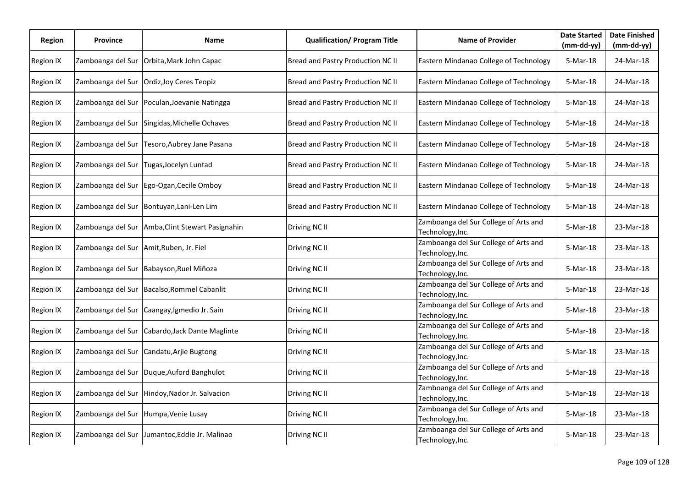| Region    | <b>Province</b>   | Name                                          | <b>Qualification/ Program Title</b> | <b>Name of Provider</b>                                   | <b>Date Started</b><br>(mm-dd-yy) | <b>Date Finished</b><br>$(mm-dd-yy)$ |
|-----------|-------------------|-----------------------------------------------|-------------------------------------|-----------------------------------------------------------|-----------------------------------|--------------------------------------|
| Region IX | Zamboanga del Sur | Orbita, Mark John Capac                       | Bread and Pastry Production NC II   | Eastern Mindanao College of Technology                    | 5-Mar-18                          | 24-Mar-18                            |
| Region IX | Zamboanga del Sur | Ordiz, Joy Ceres Teopiz                       | Bread and Pastry Production NC II   | Eastern Mindanao College of Technology                    | 5-Mar-18                          | 24-Mar-18                            |
| Region IX | Zamboanga del Sur | Poculan, Joevanie Natingga                    | Bread and Pastry Production NC II   | Eastern Mindanao College of Technology                    | 5-Mar-18                          | 24-Mar-18                            |
| Region IX | Zamboanga del Sur | Singidas, Michelle Ochaves                    | Bread and Pastry Production NC II   | Eastern Mindanao College of Technology                    | 5-Mar-18                          | 24-Mar-18                            |
| Region IX | Zamboanga del Sur | Tesoro, Aubrey Jane Pasana                    | Bread and Pastry Production NC II   | Eastern Mindanao College of Technology                    | 5-Mar-18                          | 24-Mar-18                            |
| Region IX | Zamboanga del Sur | Tugas, Jocelyn Luntad                         | Bread and Pastry Production NC II   | Eastern Mindanao College of Technology                    | 5-Mar-18                          | 24-Mar-18                            |
| Region IX | Zamboanga del Sur | Ego-Ogan, Cecile Omboy                        | Bread and Pastry Production NC II   | Eastern Mindanao College of Technology                    | 5-Mar-18                          | 24-Mar-18                            |
| Region IX | Zamboanga del Sur | Bontuyan, Lani-Len Lim                        | Bread and Pastry Production NC II   | Eastern Mindanao College of Technology                    | 5-Mar-18                          | 24-Mar-18                            |
| Region IX | Zamboanga del Sur | Amba, Clint Stewart Pasignahin                | Driving NC II                       | Zamboanga del Sur College of Arts and<br>Technology, Inc. | 5-Mar-18                          | 23-Mar-18                            |
| Region IX | Zamboanga del Sur | Amit, Ruben, Jr. Fiel                         | Driving NC II                       | Zamboanga del Sur College of Arts and<br>Technology, Inc. | 5-Mar-18                          | 23-Mar-18                            |
| Region IX | Zamboanga del Sur | Babayson, Ruel Miñoza                         | Driving NC II                       | Zamboanga del Sur College of Arts and<br>Technology, Inc. | 5-Mar-18                          | 23-Mar-18                            |
| Region IX | Zamboanga del Sur | Bacalso, Rommel Cabanlit                      | Driving NC II                       | Zamboanga del Sur College of Arts and<br>Technology, Inc. | 5-Mar-18                          | 23-Mar-18                            |
| Region IX | Zamboanga del Sur | Caangay, Igmedio Jr. Sain                     | Driving NC II                       | Zamboanga del Sur College of Arts and<br>Technology, Inc. | 5-Mar-18                          | 23-Mar-18                            |
| Region IX | Zamboanga del Sur | Cabardo, Jack Dante Maglinte                  | Driving NC II                       | Zamboanga del Sur College of Arts and<br>Technology, Inc. | 5-Mar-18                          | 23-Mar-18                            |
| Region IX | Zamboanga del Sur | Candatu, Arjie Bugtong                        | Driving NC II                       | Zamboanga del Sur College of Arts and<br>Technology, Inc. | 5-Mar-18                          | 23-Mar-18                            |
| Region IX | Zamboanga del Sur | Duque, Auford Banghulot                       | Driving NC II                       | Zamboanga del Sur College of Arts and<br>Technology, Inc. | 5-Mar-18                          | 23-Mar-18                            |
| Region IX | Zamboanga del Sur | Hindoy, Nador Jr. Salvacion                   | Driving NC II                       | Zamboanga del Sur College of Arts and<br>Technology, Inc. | 5-Mar-18                          | 23-Mar-18                            |
| Region IX | Zamboanga del Sur | Humpa, Venie Lusay                            | Driving NC II                       | Zamboanga del Sur College of Arts and<br>Technology, Inc. | 5-Mar-18                          | 23-Mar-18                            |
| Region IX |                   | Zamboanga del Sur Jumantoc, Eddie Jr. Malinao | Driving NC II                       | Zamboanga del Sur College of Arts and<br>Technology, Inc. | 5-Mar-18                          | 23-Mar-18                            |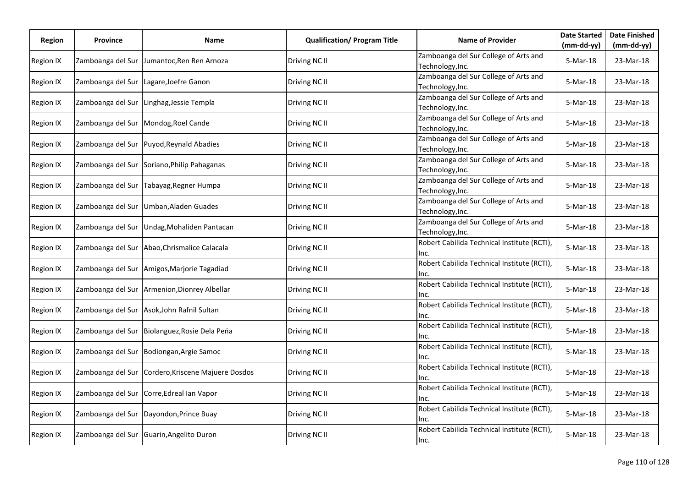| Region           | <b>Province</b>   | Name                                         | <b>Qualification/ Program Title</b> | <b>Name of Provider</b>                                   | <b>Date Started</b> | <b>Date Finished</b> |
|------------------|-------------------|----------------------------------------------|-------------------------------------|-----------------------------------------------------------|---------------------|----------------------|
|                  |                   |                                              |                                     |                                                           | $(mm-dd-yy)$        | $(mm-dd-yy)$         |
| Region IX        | Zamboanga del Sur | Jumantoc, Ren Ren Arnoza                     | Driving NC II                       | Zamboanga del Sur College of Arts and<br>Technology, Inc. | 5-Mar-18            | 23-Mar-18            |
| Region IX        | Zamboanga del Sur | Lagare, Joefre Ganon                         | Driving NC II                       | Zamboanga del Sur College of Arts and<br>Technology, Inc. | 5-Mar-18            | 23-Mar-18            |
| <b>Region IX</b> | Zamboanga del Sur | Linghag, Jessie Templa                       | Driving NC II                       | Zamboanga del Sur College of Arts and<br>Technology, Inc. | 5-Mar-18            | 23-Mar-18            |
| Region IX        |                   | Zamboanga del Sur Mondog, Roel Cande         | Driving NC II                       | Zamboanga del Sur College of Arts and<br>Technology, Inc. | 5-Mar-18            | 23-Mar-18            |
| Region IX        | Zamboanga del Sur | Puyod, Reynald Abadies                       | Driving NC II                       | Zamboanga del Sur College of Arts and<br>Technology, Inc. | 5-Mar-18            | 23-Mar-18            |
| Region IX        | Zamboanga del Sur | Soriano, Philip Pahaganas                    | Driving NC II                       | Zamboanga del Sur College of Arts and<br>Technology, Inc. | 5-Mar-18            | 23-Mar-18            |
| Region IX        | Zamboanga del Sur | Tabayag, Regner Humpa                        | Driving NC II                       | Zamboanga del Sur College of Arts and<br>Technology, Inc. | 5-Mar-18            | 23-Mar-18            |
| Region IX        | Zamboanga del Sur | Umban, Aladen Guades                         | Driving NC II                       | Zamboanga del Sur College of Arts and<br>Technology, Inc. | 5-Mar-18            | 23-Mar-18            |
| Region IX        | Zamboanga del Sur | Undag, Mohaliden Pantacan                    | Driving NC II                       | Zamboanga del Sur College of Arts and<br>Technology, Inc. | 5-Mar-18            | 23-Mar-18            |
| Region IX        | Zamboanga del Sur | Abao, Chrismalice Calacala                   | Driving NC II                       | Robert Cabilida Technical Institute (RCTI),<br>Inc.       | 5-Mar-18            | 23-Mar-18            |
| Region IX        | Zamboanga del Sur | Amigos, Marjorie Tagadiad                    | Driving NC II                       | Robert Cabilida Technical Institute (RCTI),<br>Inc.       | 5-Mar-18            | 23-Mar-18            |
| Region IX        |                   | Zamboanga del Sur Armenion, Dionrey Albellar | Driving NC II                       | Robert Cabilida Technical Institute (RCTI),<br>Inc.       | 5-Mar-18            | 23-Mar-18            |
| Region IX        |                   | Zamboanga del Sur Asok, John Rafnil Sultan   | Driving NC II                       | Robert Cabilida Technical Institute (RCTI),<br>lnc.       | 5-Mar-18            | 23-Mar-18            |
| Region IX        | Zamboanga del Sur | Biolanguez, Rosie Dela Peńa                  | Driving NC II                       | Robert Cabilida Technical Institute (RCTI),<br>Inc.       | 5-Mar-18            | 23-Mar-18            |
| Region IX        | Zamboanga del Sur | Bodiongan, Argie Samoc                       | Driving NC II                       | Robert Cabilida Technical Institute (RCTI),<br>Inc.       | 5-Mar-18            | 23-Mar-18            |
| Region IX        | Zamboanga del Sur | Cordero, Kriscene Majuere Dosdos             | Driving NC II                       | Robert Cabilida Technical Institute (RCTI),<br>Inc.       | 5-Mar-18            | 23-Mar-18            |
| Region IX        | Zamboanga del Sur | Corre, Edreal Ian Vapor                      | Driving NC II                       | Robert Cabilida Technical Institute (RCTI),<br>Inc.       | 5-Mar-18            | 23-Mar-18            |
| Region IX        | Zamboanga del Sur | Dayondon, Prince Buay                        | Driving NC II                       | Robert Cabilida Technical Institute (RCTI),<br>Inc.       | 5-Mar-18            | 23-Mar-18            |
| Region IX        |                   | Zamboanga del Sur Guarin, Angelito Duron     | Driving NC II                       | Robert Cabilida Technical Institute (RCTI),<br>Inc.       | 5-Mar-18            | 23-Mar-18            |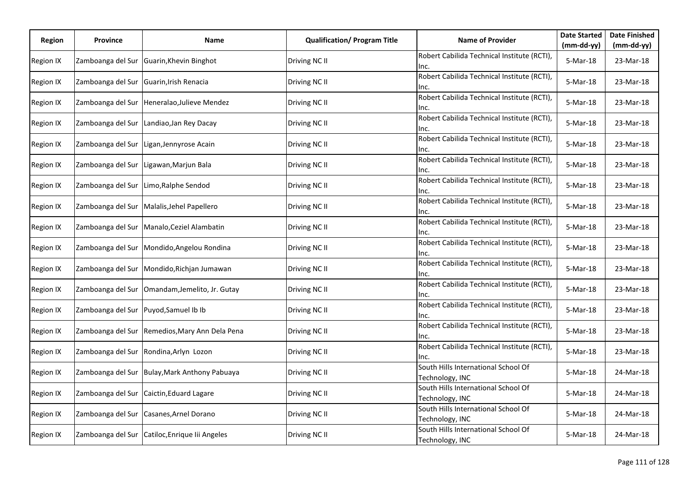| Region           | <b>Province</b>   | Name                                           | <b>Qualification/ Program Title</b> | <b>Name of Provider</b>                                | <b>Date Started</b> | <b>Date Finished</b> |
|------------------|-------------------|------------------------------------------------|-------------------------------------|--------------------------------------------------------|---------------------|----------------------|
|                  |                   |                                                |                                     |                                                        | (mm-dd-yy)          | $(mm-dd-yy)$         |
| <b>Region IX</b> | Zamboanga del Sur | Guarin, Khevin Binghot                         | Driving NC II                       | Robert Cabilida Technical Institute (RCTI),<br>Inc.    | 5-Mar-18            | 23-Mar-18            |
| Region IX        | Zamboanga del Sur | Guarin, Irish Renacia                          | Driving NC II                       | Robert Cabilida Technical Institute (RCTI),<br>Inc.    | 5-Mar-18            | 23-Mar-18            |
| <b>Region IX</b> | Zamboanga del Sur | Heneralao, Julieve Mendez                      | Driving NC II                       | Robert Cabilida Technical Institute (RCTI),<br>Inc.    | 5-Mar-18            | 23-Mar-18            |
| Region IX        | Zamboanga del Sur | Landiao, Jan Rey Dacay                         | Driving NC II                       | Robert Cabilida Technical Institute (RCTI),<br>Inc.    | 5-Mar-18            | 23-Mar-18            |
| Region IX        | Zamboanga del Sur | Ligan, Jennyrose Acain                         | Driving NC II                       | Robert Cabilida Technical Institute (RCTI),<br>Inc.    | 5-Mar-18            | 23-Mar-18            |
| Region IX        | Zamboanga del Sur | Ligawan, Marjun Bala                           | Driving NC II                       | Robert Cabilida Technical Institute (RCTI),<br>Inc.    | 5-Mar-18            | 23-Mar-18            |
| Region IX        | Zamboanga del Sur | Limo, Ralphe Sendod                            | Driving NC II                       | Robert Cabilida Technical Institute (RCTI),<br>Inc.    | 5-Mar-18            | 23-Mar-18            |
| Region IX        |                   | Zamboanga del Sur Malalis, Jehel Papellero     | Driving NC II                       | Robert Cabilida Technical Institute (RCTI),<br>Inc.    | 5-Mar-18            | 23-Mar-18            |
| Region IX        |                   | Zamboanga del Sur Manalo, Ceziel Alambatin     | Driving NC II                       | Robert Cabilida Technical Institute (RCTI),<br>Inc.    | 5-Mar-18            | 23-Mar-18            |
| <b>Region IX</b> | Zamboanga del Sur | Mondido, Angelou Rondina                       | Driving NC II                       | Robert Cabilida Technical Institute (RCTI),<br>Inc.    | 5-Mar-18            | 23-Mar-18            |
| Region IX        |                   | Zamboanga del Sur Mondido, Richjan Jumawan     | Driving NC II                       | Robert Cabilida Technical Institute (RCTI),<br>Inc.    | $5-Mar-18$          | 23-Mar-18            |
| Region IX        | Zamboanga del Sur | Omandam, Jemelito, Jr. Gutay                   | Driving NC II                       | Robert Cabilida Technical Institute (RCTI),<br>Inc.    | 5-Mar-18            | 23-Mar-18            |
| Region IX        | Zamboanga del Sur | Puyod, Samuel Ib Ib                            | Driving NC II                       | Robert Cabilida Technical Institute (RCTI),<br>Inc.    | 5-Mar-18            | 23-Mar-18            |
| Region IX        | Zamboanga del Sur | Remedios, Mary Ann Dela Pena                   | Driving NC II                       | Robert Cabilida Technical Institute (RCTI),<br>Inc.    | 5-Mar-18            | 23-Mar-18            |
| Region IX        |                   | Zamboanga del Sur Rondina, Arlyn Lozon         | Driving NC II                       | Robert Cabilida Technical Institute (RCTI),<br>Inc.    | 5-Mar-18            | 23-Mar-18            |
| Region IX        | Zamboanga del Sur | Bulay, Mark Anthony Pabuaya                    | Driving NC II                       | South Hills International School Of<br>Technology, INC | 5-Mar-18            | 24-Mar-18            |
| Region IX        | Zamboanga del Sur | Caictin, Eduard Lagare                         | Driving NC II                       | South Hills International School Of<br>Technology, INC | 5-Mar-18            | 24-Mar-18            |
| Region IX        | Zamboanga del Sur | Casanes, Arnel Dorano                          | Driving NC II                       | South Hills International School Of<br>Technology, INC | 5-Mar-18            | 24-Mar-18            |
| Region IX        |                   | Zamboanga del Sur Catiloc, Enrique lii Angeles | Driving NC II                       | South Hills International School Of<br>Technology, INC | 5-Mar-18            | 24-Mar-18            |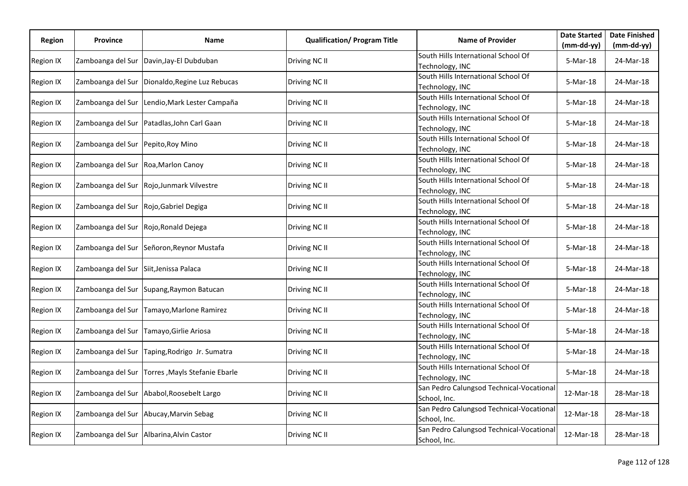| Region           | <b>Province</b>                       | Name                                            | <b>Qualification/ Program Title</b> | <b>Name of Provider</b>                                  | <b>Date Started</b> | <b>Date Finished</b> |
|------------------|---------------------------------------|-------------------------------------------------|-------------------------------------|----------------------------------------------------------|---------------------|----------------------|
|                  |                                       |                                                 |                                     |                                                          | $(mm-dd-yy)$        | $(mm-dd-yy)$         |
| Region IX        | Zamboanga del Sur                     | Davin, Jay-El Dubduban                          | Driving NC II                       | South Hills International School Of<br>Technology, INC   | 5-Mar-18            | 24-Mar-18            |
| Region IX        |                                       | Zamboanga del Sur Dionaldo, Regine Luz Rebucas  | Driving NC II                       | South Hills International School Of<br>Technology, INC   | 5-Mar-18            | 24-Mar-18            |
| Region IX        | Zamboanga del Sur                     | Lendio, Mark Lester Campaña                     | Driving NC II                       | South Hills International School Of<br>Technology, INC   | 5-Mar-18            | 24-Mar-18            |
| Region IX        |                                       | Zamboanga del Sur Patadlas, John Carl Gaan      | Driving NC II                       | South Hills International School Of<br>Technology, INC   | 5-Mar-18            | 24-Mar-18            |
| Region IX        | Zamboanga del Sur Pepito, Roy Mino    |                                                 | Driving NC II                       | South Hills International School Of<br>Technology, INC   | 5-Mar-18            | 24-Mar-18            |
| Region IX        | Zamboanga del Sur                     | Roa, Marlon Canoy                               | Driving NC II                       | South Hills International School Of<br>Technology, INC   | 5-Mar-18            | 24-Mar-18            |
| Region IX        | Zamboanga del Sur                     | Rojo, Junmark Vilvestre                         | Driving NC II                       | South Hills International School Of<br>Technology, INC   | 5-Mar-18            | 24-Mar-18            |
| Region IX        | Zamboanga del Sur                     | Rojo, Gabriel Degiga                            | Driving NC II                       | South Hills International School Of<br>Technology, INC   | 5-Mar-18            | 24-Mar-18            |
| Region IX        | Zamboanga del Sur Rojo, Ronald Dejega |                                                 | Driving NC II                       | South Hills International School Of<br>Technology, INC   | 5-Mar-18            | 24-Mar-18            |
| Region IX        | Zamboanga del Sur                     | Señoron, Reynor Mustafa                         | Driving NC II                       | South Hills International School Of<br>Technology, INC   | 5-Mar-18            | 24-Mar-18            |
| Region IX        | Zamboanga del Sur                     | Siit, Jenissa Palaca                            | Driving NC II                       | South Hills International School Of<br>Technology, INC   | 5-Mar-18            | 24-Mar-18            |
| Region IX        |                                       | Zamboanga del Sur Supang, Raymon Batucan        | Driving NC II                       | South Hills International School Of<br>Technology, INC   | 5-Mar-18            | 24-Mar-18            |
| Region IX        | Zamboanga del Sur                     | Tamayo, Marlone Ramirez                         | Driving NC II                       | South Hills International School Of<br>Technology, INC   | 5-Mar-18            | 24-Mar-18            |
| Region IX        | Zamboanga del Sur                     | Tamayo, Girlie Ariosa                           | Driving NC II                       | South Hills International School Of<br>Technology, INC   | 5-Mar-18            | 24-Mar-18            |
| Region IX        | Zamboanga del Sur                     | Taping, Rodrigo Jr. Sumatra                     | Driving NC II                       | South Hills International School Of<br>Technology, INC   | 5-Mar-18            | 24-Mar-18            |
| <b>Region IX</b> |                                       | Zamboanga del Sur Torres, Mayls Stefanie Ebarle | Driving NC II                       | South Hills International School Of<br>Technology, INC   | 5-Mar-18            | 24-Mar-18            |
| Region IX        | Zamboanga del Sur                     | Ababol, Roosebelt Largo                         | Driving NC II                       | San Pedro Calungsod Technical-Vocational<br>School, Inc. | 12-Mar-18           | 28-Mar-18            |
| Region IX        | Zamboanga del Sur                     | Abucay, Marvin Sebag                            | Driving NC II                       | San Pedro Calungsod Technical-Vocational<br>School, Inc. | 12-Mar-18           | 28-Mar-18            |
| Region IX        |                                       | Zamboanga del Sur Albarina, Alvin Castor        | Driving NC II                       | San Pedro Calungsod Technical-Vocational<br>School, Inc. | 12-Mar-18           | 28-Mar-18            |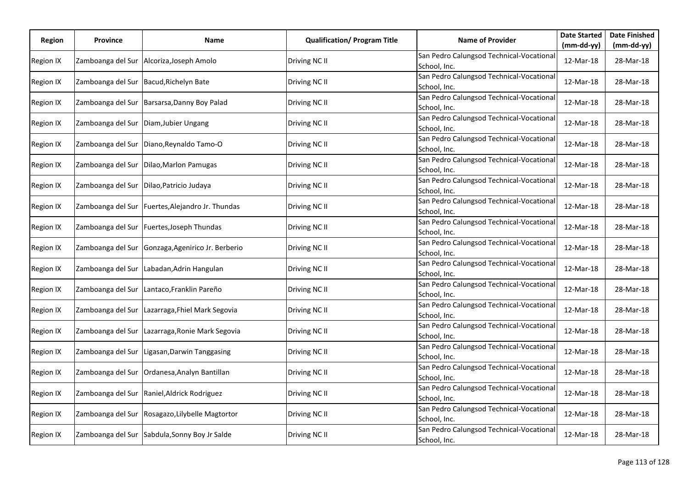| Region    | <b>Province</b>   | Name                                             | <b>Qualification/ Program Title</b> | <b>Name of Provider</b>                                  | <b>Date Started</b> | <b>Date Finished</b> |
|-----------|-------------------|--------------------------------------------------|-------------------------------------|----------------------------------------------------------|---------------------|----------------------|
|           |                   |                                                  |                                     |                                                          | $(mm-dd-yy)$        | $(mm-dd-yy)$         |
| Region IX |                   | Zamboanga del Sur Alcoriza, Joseph Amolo         | Driving NC II                       | San Pedro Calungsod Technical-Vocational<br>School, Inc. | 12-Mar-18           | 28-Mar-18            |
| Region IX |                   | Zamboanga del Sur Bacud, Richelyn Bate           | Driving NC II                       | San Pedro Calungsod Technical-Vocational<br>School, Inc. | 12-Mar-18           | 28-Mar-18            |
| Region IX | Zamboanga del Sur | Barsarsa, Danny Boy Palad                        | Driving NC II                       | San Pedro Calungsod Technical-Vocational<br>School, Inc. | 12-Mar-18           | 28-Mar-18            |
| Region IX |                   | Zamboanga del Sur Diam, Jubier Ungang            | Driving NC II                       | San Pedro Calungsod Technical-Vocational<br>School, Inc. | 12-Mar-18           | 28-Mar-18            |
| Region IX |                   | Zamboanga del Sur   Diano, Reynaldo Tamo-O       | Driving NC II                       | San Pedro Calungsod Technical-Vocational<br>School, Inc. | 12-Mar-18           | 28-Mar-18            |
| Region IX | Zamboanga del Sur | Dilao, Marlon Pamugas                            | Driving NC II                       | San Pedro Calungsod Technical-Vocational<br>School, Inc. | 12-Mar-18           | 28-Mar-18            |
| Region IX | Zamboanga del Sur | Dilao, Patricio Judaya                           | Driving NC II                       | San Pedro Calungsod Technical-Vocational<br>School, Inc. | 12-Mar-18           | 28-Mar-18            |
| Region IX |                   | Zamboanga del Sur Fuertes, Alejandro Jr. Thundas | Driving NC II                       | San Pedro Calungsod Technical-Vocational<br>School, Inc. | 12-Mar-18           | 28-Mar-18            |
| Region IX |                   | Zamboanga del Sur Fuertes, Joseph Thundas        | Driving NC II                       | San Pedro Calungsod Technical-Vocational<br>School, Inc. | 12-Mar-18           | 28-Mar-18            |
| Region IX | Zamboanga del Sur | Gonzaga, Agenirico Jr. Berberio                  | Driving NC II                       | San Pedro Calungsod Technical-Vocational<br>School, Inc. | 12-Mar-18           | 28-Mar-18            |
| Region IX | Zamboanga del Sur | Labadan, Adrin Hangulan                          | Driving NC II                       | San Pedro Calungsod Technical-Vocational<br>School, Inc. | 12-Mar-18           | 28-Mar-18            |
| Region IX |                   | Zamboanga del Sur Lantaco, Franklin Pareño       | Driving NC II                       | San Pedro Calungsod Technical-Vocational<br>School, Inc. | 12-Mar-18           | 28-Mar-18            |
| Region IX |                   | Zamboanga del Sur Lazarraga, Fhiel Mark Segovia  | Driving NC II                       | San Pedro Calungsod Technical-Vocational<br>School, Inc. | 12-Mar-18           | 28-Mar-18            |
| Region IX | Zamboanga del Sur | Lazarraga, Ronie Mark Segovia                    | Driving NC II                       | San Pedro Calungsod Technical-Vocational<br>School, Inc. | 12-Mar-18           | 28-Mar-18            |
| Region IX | Zamboanga del Sur | Ligasan, Darwin Tanggasing                       | Driving NC II                       | San Pedro Calungsod Technical-Vocational<br>School, Inc. | 12-Mar-18           | 28-Mar-18            |
| Region IX |                   | Zamboanga del Sur   Ordanesa, Analyn Bantillan   | Driving NC II                       | San Pedro Calungsod Technical-Vocational<br>School, Inc. | 12-Mar-18           | 28-Mar-18            |
| Region IX | Zamboanga del Sur | Raniel, Aldrick Rodriguez                        | Driving NC II                       | San Pedro Calungsod Technical-Vocational<br>School, Inc. | 12-Mar-18           | 28-Mar-18            |
| Region IX | Zamboanga del Sur | Rosagazo, Lilybelle Magtortor                    | Driving NC II                       | San Pedro Calungsod Technical-Vocational<br>School, Inc. | 12-Mar-18           | 28-Mar-18            |
| Region IX |                   | Zamboanga del Sur Sabdula, Sonny Boy Jr Salde    | Driving NC II                       | San Pedro Calungsod Technical-Vocational<br>School, Inc. | 12-Mar-18           | 28-Mar-18            |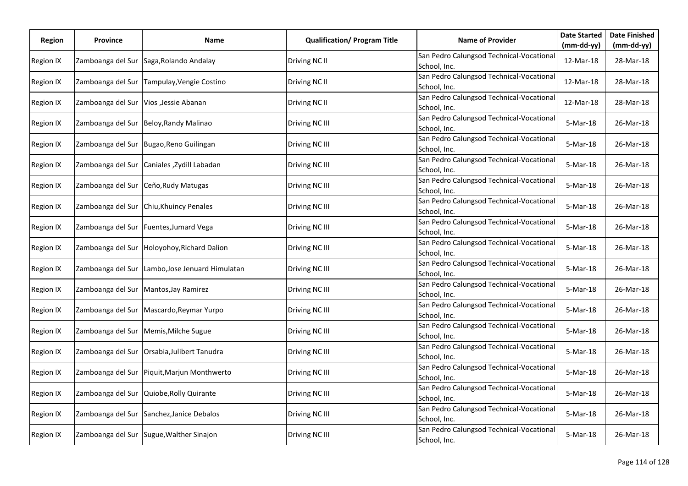| Region           | <b>Province</b>   | Name                                        | <b>Qualification/ Program Title</b> | <b>Name of Provider</b>                                  | <b>Date Started</b> | <b>Date Finished</b> |
|------------------|-------------------|---------------------------------------------|-------------------------------------|----------------------------------------------------------|---------------------|----------------------|
|                  |                   |                                             |                                     |                                                          | $(mm-dd-yy)$        | $(mm-dd-yy)$         |
| Region IX        |                   | Zamboanga del Sur Saga, Rolando Andalay     | Driving NC II                       | San Pedro Calungsod Technical-Vocational<br>School, Inc. | 12-Mar-18           | 28-Mar-18            |
| Region IX        | Zamboanga del Sur | Tampulay, Vengie Costino                    | Driving NC II                       | San Pedro Calungsod Technical-Vocational<br>School, Inc. | 12-Mar-18           | 28-Mar-18            |
| Region IX        | Zamboanga del Sur | Vios , Jessie Abanan                        | Driving NC II                       | San Pedro Calungsod Technical-Vocational<br>School, Inc. | 12-Mar-18           | 28-Mar-18            |
| Region IX        | Zamboanga del Sur | Beloy, Randy Malinao                        | Driving NC III                      | San Pedro Calungsod Technical-Vocational<br>School, Inc. | 5-Mar-18            | 26-Mar-18            |
| Region IX        |                   | Zamboanga del Sur Bugao, Reno Guilingan     | Driving NC III                      | San Pedro Calungsod Technical-Vocational<br>School, Inc. | 5-Mar-18            | 26-Mar-18            |
| Region IX        | Zamboanga del Sur | Caniales , Zydill Labadan                   | Driving NC III                      | San Pedro Calungsod Technical-Vocational<br>School, Inc. | 5-Mar-18            | 26-Mar-18            |
| Region IX        | Zamboanga del Sur | Ceño, Rudy Matugas                          | Driving NC III                      | San Pedro Calungsod Technical-Vocational<br>School, Inc. | 5-Mar-18            | 26-Mar-18            |
| Region IX        | Zamboanga del Sur | Chiu, Khuincy Penales                       | Driving NC III                      | San Pedro Calungsod Technical-Vocational<br>School, Inc. | 5-Mar-18            | 26-Mar-18            |
| Region IX        |                   | Zamboanga del Sur Fuentes, Jumard Vega      | Driving NC III                      | San Pedro Calungsod Technical-Vocational<br>School, Inc. | 5-Mar-18            | 26-Mar-18            |
| Region IX        | Zamboanga del Sur | Holoyohoy, Richard Dalion                   | Driving NC III                      | San Pedro Calungsod Technical-Vocational<br>School, Inc. | 5-Mar-18            | 26-Mar-18            |
| Region IX        | Zamboanga del Sur | Lambo, Jose Jenuard Himulatan               | Driving NC III                      | San Pedro Calungsod Technical-Vocational<br>School, Inc. | 5-Mar-18            | 26-Mar-18            |
| Region IX        |                   | Zamboanga del Sur   Mantos, Jay Ramirez     | Driving NC III                      | San Pedro Calungsod Technical-Vocational<br>School, Inc. | 5-Mar-18            | 26-Mar-18            |
| Region IX        |                   | Zamboanga del Sur Mascardo, Reymar Yurpo    | Driving NC III                      | San Pedro Calungsod Technical-Vocational<br>School, Inc. | 5-Mar-18            | 26-Mar-18            |
| Region IX        | Zamboanga del Sur | Memis, Milche Sugue                         | Driving NC III                      | San Pedro Calungsod Technical-Vocational<br>School, Inc. | 5-Mar-18            | 26-Mar-18            |
| Region IX        | Zamboanga del Sur | Orsabia, Julibert Tanudra                   | Driving NC III                      | San Pedro Calungsod Technical-Vocational<br>School, Inc. | 5-Mar-18            | 26-Mar-18            |
| <b>Region IX</b> |                   | Zamboanga del Sur Piquit, Marjun Monthwerto | Driving NC III                      | San Pedro Calungsod Technical-Vocational<br>School, Inc. | 5-Mar-18            | 26-Mar-18            |
| Region IX        | Zamboanga del Sur | Quiobe, Rolly Quirante                      | Driving NC III                      | San Pedro Calungsod Technical-Vocational<br>School, Inc. | 5-Mar-18            | 26-Mar-18            |
| Region IX        | Zamboanga del Sur | Sanchez, Janice Debalos                     | Driving NC III                      | San Pedro Calungsod Technical-Vocational<br>School, Inc. | 5-Mar-18            | 26-Mar-18            |
| Region IX        |                   | Zamboanga del Sur Sugue, Walther Sinajon    | Driving NC III                      | San Pedro Calungsod Technical-Vocational<br>School, Inc. | 5-Mar-18            | 26-Mar-18            |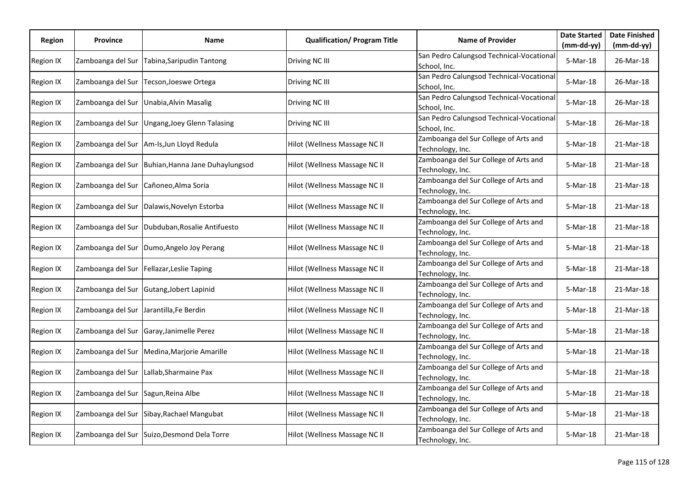| Region    | <b>Province</b>   | Name                                         | <b>Qualification/ Program Title</b> | <b>Name of Provider</b>                                   | <b>Date Started</b> | <b>Date Finished</b> |
|-----------|-------------------|----------------------------------------------|-------------------------------------|-----------------------------------------------------------|---------------------|----------------------|
|           |                   |                                              |                                     |                                                           | (mm-dd-yy)          | $(mm-dd-yy)$         |
| Region IX | Zamboanga del Sur | Tabina, Saripudin Tantong                    | Driving NC III                      | San Pedro Calungsod Technical-Vocational<br>School, Inc.  | 5-Mar-18            | 26-Mar-18            |
| Region IX | Zamboanga del Sur | Tecson, Joeswe Ortega                        | Driving NC III                      | San Pedro Calungsod Technical-Vocational<br>School, Inc.  | 5-Mar-18            | 26-Mar-18            |
| Region IX | Zamboanga del Sur | Unabia, Alvin Masalig                        | Driving NC III                      | San Pedro Calungsod Technical-Vocational<br>School, Inc.  | 5-Mar-18            | 26-Mar-18            |
| Region IX | Zamboanga del Sur | <b>Ungang, Joey Glenn Talasing</b>           | Driving NC III                      | San Pedro Calungsod Technical-Vocational<br>School, Inc.  | 5-Mar-18            | 26-Mar-18            |
| Region IX |                   | Zamboanga del Sur Am-Is, Jun Lloyd Redula    | Hilot (Wellness Massage NC II       | Zamboanga del Sur College of Arts and<br>Technology, Inc. | 5-Mar-18            | 21-Mar-18            |
| Region IX | Zamboanga del Sur | Buhian, Hanna Jane Duhaylungsod              | Hilot (Wellness Massage NC II       | Zamboanga del Sur College of Arts and<br>Technology, Inc. | 5-Mar-18            | 21-Mar-18            |
| Region IX | Zamboanga del Sur | Cañoneo, Alma Soria                          | Hilot (Wellness Massage NC II       | Zamboanga del Sur College of Arts and<br>Technology, Inc. | 5-Mar-18            | 21-Mar-18            |
| Region IX |                   | Zamboanga del Sur   Dalawis, Novelyn Estorba | Hilot (Wellness Massage NC II       | Zamboanga del Sur College of Arts and<br>Technology, Inc. | 5-Mar-18            | 21-Mar-18            |
| Region IX | Zamboanga del Sur | Dubduban, Rosalie Antifuesto                 | Hilot (Wellness Massage NC II       | Zamboanga del Sur College of Arts and<br>Technology, Inc. | 5-Mar-18            | 21-Mar-18            |
| Region IX | Zamboanga del Sur | Dumo, Angelo Joy Perang                      | Hilot (Wellness Massage NC II       | Zamboanga del Sur College of Arts and<br>Technology, Inc. | 5-Mar-18            | 21-Mar-18            |
| Region IX | Zamboanga del Sur | Fellazar, Leslie Taping                      | Hilot (Wellness Massage NC II       | Zamboanga del Sur College of Arts and<br>Technology, Inc. | 5-Mar-18            | 21-Mar-18            |
| Region IX | Zamboanga del Sur | Gutang, Jobert Lapinid                       | Hilot (Wellness Massage NC II       | Zamboanga del Sur College of Arts and<br>Technology, Inc. | 5-Mar-18            | 21-Mar-18            |
| Region IX | Zamboanga del Sur | Jarantilla, Fe Berdin                        | Hilot (Wellness Massage NC II       | Zamboanga del Sur College of Arts and<br>Technology, Inc. | 5-Mar-18            | 21-Mar-18            |
| Region IX | Zamboanga del Sur | Garay, Janimelle Perez                       | Hilot (Wellness Massage NC II       | Zamboanga del Sur College of Arts and<br>Technology, Inc. | 5-Mar-18            | 21-Mar-18            |
| Region IX | Zamboanga del Sur | Medina, Marjorie Amarille                    | Hilot (Wellness Massage NC II       | Zamboanga del Sur College of Arts and<br>Technology, Inc. | 5-Mar-18            | 21-Mar-18            |
| Region IX |                   | Zamboanga del Sur Lallab, Sharmaine Pax      | Hilot (Wellness Massage NC II       | Zamboanga del Sur College of Arts and<br>Technology, Inc. | 5-Mar-18            | 21-Mar-18            |
| Region IX | Zamboanga del Sur | Sagun, Reina Albe                            | Hilot (Wellness Massage NC II       | Zamboanga del Sur College of Arts and<br>Technology, Inc. | 5-Mar-18            | 21-Mar-18            |
| Region IX | Zamboanga del Sur | Sibay, Rachael Mangubat                      | Hilot (Wellness Massage NC II       | Zamboanga del Sur College of Arts and<br>Technology, Inc. | 5-Mar-18            | 21-Mar-18            |
| Region IX |                   | Zamboanga del Sur Suizo, Desmond Dela Torre  | Hilot (Wellness Massage NC II       | Zamboanga del Sur College of Arts and<br>Technology, Inc. | 5-Mar-18            | 21-Mar-18            |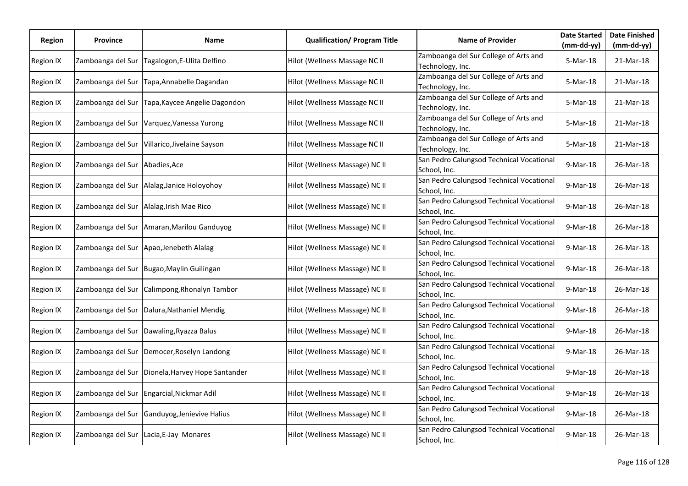| Region           | <b>Province</b>   | Name                                             | <b>Qualification/ Program Title</b> | <b>Name of Provider</b>                                   | <b>Date Started</b> | <b>Date Finished</b> |
|------------------|-------------------|--------------------------------------------------|-------------------------------------|-----------------------------------------------------------|---------------------|----------------------|
|                  |                   |                                                  |                                     |                                                           | $(mm-dd-yy)$        | $(mm-dd-yy)$         |
| Region IX        | Zamboanga del Sur | Tagalogon, E-Ulita Delfino                       | Hilot (Wellness Massage NC II       | Zamboanga del Sur College of Arts and<br>Technology, Inc. | 5-Mar-18            | 21-Mar-18            |
| <b>Region IX</b> | Zamboanga del Sur | Tapa, Annabelle Dagandan                         | Hilot (Wellness Massage NC II       | Zamboanga del Sur College of Arts and<br>Technology, Inc. | 5-Mar-18            | 21-Mar-18            |
| <b>Region IX</b> | Zamboanga del Sur | Tapa, Kaycee Angelie Dagondon                    | Hilot (Wellness Massage NC II       | Zamboanga del Sur College of Arts and<br>Technology, Inc. | 5-Mar-18            | 21-Mar-18            |
| Region IX        | Zamboanga del Sur | Varquez, Vanessa Yurong                          | Hilot (Wellness Massage NC II       | Zamboanga del Sur College of Arts and<br>Technology, Inc. | 5-Mar-18            | 21-Mar-18            |
| Region IX        | Zamboanga del Sur | Villarico, Jivelaine Sayson                      | Hilot (Wellness Massage NC II       | Zamboanga del Sur College of Arts and<br>Technology, Inc. | 5-Mar-18            | 21-Mar-18            |
| Region IX        | Zamboanga del Sur | Abadies, Ace                                     | Hilot (Wellness Massage) NC II      | San Pedro Calungsod Technical Vocational<br>School, Inc.  | 9-Mar-18            | 26-Mar-18            |
| Region IX        | Zamboanga del Sur | Alalag, Janice Holoyohoy                         | Hilot (Wellness Massage) NC II      | San Pedro Calungsod Technical Vocational<br>School, Inc.  | 9-Mar-18            | 26-Mar-18            |
| Region IX        | Zamboanga del Sur | Alalag, Irish Mae Rico                           | Hilot (Wellness Massage) NC II      | San Pedro Calungsod Technical Vocational<br>School, Inc.  | 9-Mar-18            | 26-Mar-18            |
| Region IX        |                   | Zamboanga del Sur Amaran, Marilou Ganduyog       | Hilot (Wellness Massage) NC II      | San Pedro Calungsod Technical Vocational<br>School, Inc.  | 9-Mar-18            | 26-Mar-18            |
| Region IX        | Zamboanga del Sur | Apao, Jenebeth Alalag                            | Hilot (Wellness Massage) NC II      | San Pedro Calungsod Technical Vocational<br>School, Inc.  | 9-Mar-18            | 26-Mar-18            |
| Region IX        | Zamboanga del Sur | Bugao, Maylin Guilingan                          | Hilot (Wellness Massage) NC II      | San Pedro Calungsod Technical Vocational<br>School, Inc.  | 9-Mar-18            | 26-Mar-18            |
| Region IX        | Zamboanga del Sur | Calimpong, Rhonalyn Tambor                       | Hilot (Wellness Massage) NC II      | San Pedro Calungsod Technical Vocational<br>School, Inc.  | 9-Mar-18            | 26-Mar-18            |
| Region IX        |                   | Zamboanga del Sur Dalura, Nathaniel Mendig       | Hilot (Wellness Massage) NC II      | San Pedro Calungsod Technical Vocational<br>School, Inc.  | 9-Mar-18            | 26-Mar-18            |
| Region IX        | Zamboanga del Sur | Dawaling, Ryazza Balus                           | Hilot (Wellness Massage) NC II      | San Pedro Calungsod Technical Vocational<br>School, Inc.  | 9-Mar-18            | 26-Mar-18            |
| <b>Region IX</b> |                   | Zamboanga del Sur Democer, Roselyn Landong       | Hilot (Wellness Massage) NC II      | San Pedro Calungsod Technical Vocational<br>School, Inc.  | 9-Mar-18            | 26-Mar-18            |
| Region IX        |                   | Zamboanga del Sur Dionela, Harvey Hope Santander | Hilot (Wellness Massage) NC II      | San Pedro Calungsod Technical Vocational<br>School, Inc.  | 9-Mar-18            | 26-Mar-18            |
| Region IX        | Zamboanga del Sur | Engarcial, Nickmar Adil                          | Hilot (Wellness Massage) NC II      | San Pedro Calungsod Technical Vocational<br>School, Inc.  | 9-Mar-18            | 26-Mar-18            |
| Region IX        | Zamboanga del Sur | Ganduyog, Jenievive Halius                       | Hilot (Wellness Massage) NC II      | San Pedro Calungsod Technical Vocational<br>School, Inc.  | 9-Mar-18            | 26-Mar-18            |
| Region IX        |                   | Zamboanga del Sur Lacia, E-Jay Monares           | Hilot (Wellness Massage) NC II      | San Pedro Calungsod Technical Vocational<br>School, Inc.  | 9-Mar-18            | 26-Mar-18            |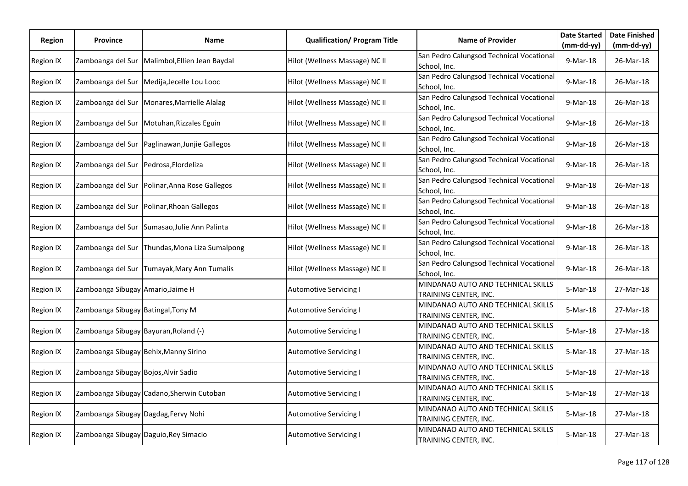| Region           | <b>Province</b>                       | Name                                         | <b>Qualification/ Program Title</b> | <b>Name of Provider</b>                                     | <b>Date Started</b> | <b>Date Finished</b> |
|------------------|---------------------------------------|----------------------------------------------|-------------------------------------|-------------------------------------------------------------|---------------------|----------------------|
|                  |                                       |                                              |                                     |                                                             | $(mm-dd-yy)$        | $(mm-dd-yy)$         |
| Region IX        | Zamboanga del Sur                     | Malimbol, Ellien Jean Baydal                 | Hilot (Wellness Massage) NC II      | San Pedro Calungsod Technical Vocational<br>School, Inc.    | 9-Mar-18            | 26-Mar-18            |
| Region IX        |                                       | Zamboanga del Sur Medija, Jecelle Lou Looc   | Hilot (Wellness Massage) NC II      | San Pedro Calungsod Technical Vocational<br>School, Inc.    | 9-Mar-18            | 26-Mar-18            |
| <b>Region IX</b> | Zamboanga del Sur                     | Monares, Marrielle Alalag                    | Hilot (Wellness Massage) NC II      | San Pedro Calungsod Technical Vocational<br>School, Inc.    | 9-Mar-18            | 26-Mar-18            |
| Region IX        | Zamboanga del Sur                     | Motuhan, Rizzales Eguin                      | Hilot (Wellness Massage) NC II      | San Pedro Calungsod Technical Vocational<br>School, Inc.    | 9-Mar-18            | 26-Mar-18            |
| Region IX        | Zamboanga del Sur                     | Paglinawan, Junjie Gallegos                  | Hilot (Wellness Massage) NC II      | San Pedro Calungsod Technical Vocational<br>School, Inc.    | 9-Mar-18            | 26-Mar-18            |
| Region IX        | Zamboanga del Sur                     | Pedrosa, Flordeliza                          | Hilot (Wellness Massage) NC II      | San Pedro Calungsod Technical Vocational<br>School, Inc.    | 9-Mar-18            | 26-Mar-18            |
| Region IX        | Zamboanga del Sur                     | Polinar, Anna Rose Gallegos                  | Hilot (Wellness Massage) NC II      | San Pedro Calungsod Technical Vocational<br>School, Inc.    | 9-Mar-18            | 26-Mar-18            |
| <b>Region IX</b> | Zamboanga del Sur                     | Polinar, Rhoan Gallegos                      | Hilot (Wellness Massage) NC II      | San Pedro Calungsod Technical Vocational<br>School, Inc.    | 9-Mar-18            | 26-Mar-18            |
| Region IX        |                                       | Zamboanga del Sur Sumasao, Julie Ann Palinta | Hilot (Wellness Massage) NC II      | San Pedro Calungsod Technical Vocational<br>School, Inc.    | 9-Mar-18            | 26-Mar-18            |
| Region IX        | Zamboanga del Sur                     | Thundas, Mona Liza Sumalpong                 | Hilot (Wellness Massage) NC II      | San Pedro Calungsod Technical Vocational<br>School, Inc.    | 9-Mar-18            | 26-Mar-18            |
| Region IX        | Zamboanga del Sur                     | Tumayak, Mary Ann Tumalis                    | Hilot (Wellness Massage) NC II      | San Pedro Calungsod Technical Vocational<br>School, Inc.    | 9-Mar-18            | 26-Mar-18            |
| Region IX        | Zamboanga Sibugay Amario, Jaime H     |                                              | <b>Automotive Servicing I</b>       | MINDANAO AUTO AND TECHNICAL SKILLS<br>TRAINING CENTER, INC. | 5-Mar-18            | 27-Mar-18            |
| Region IX        | Zamboanga Sibugay Batingal, Tony M    |                                              | <b>Automotive Servicing I</b>       | MINDANAO AUTO AND TECHNICAL SKILLS<br>TRAINING CENTER, INC. | 5-Mar-18            | 27-Mar-18            |
| Region IX        | Zamboanga Sibugay Bayuran, Roland (-) |                                              | <b>Automotive Servicing I</b>       | MINDANAO AUTO AND TECHNICAL SKILLS<br>TRAINING CENTER, INC. | 5-Mar-18            | 27-Mar-18            |
| Region IX        | Zamboanga Sibugay Behix, Manny Sirino |                                              | <b>Automotive Servicing I</b>       | MINDANAO AUTO AND TECHNICAL SKILLS<br>TRAINING CENTER, INC. | 5-Mar-18            | 27-Mar-18            |
| Region IX        | Zamboanga Sibugay Bojos, Alvir Sadio  |                                              | <b>Automotive Servicing I</b>       | MINDANAO AUTO AND TECHNICAL SKILLS<br>TRAINING CENTER, INC. | 5-Mar-18            | 27-Mar-18            |
| Region IX        |                                       | Zamboanga Sibugay Cadano, Sherwin Cutoban    | <b>Automotive Servicing I</b>       | MINDANAO AUTO AND TECHNICAL SKILLS<br>TRAINING CENTER, INC. | 5-Mar-18            | 27-Mar-18            |
| Region IX        | Zamboanga Sibugay Dagdag, Fervy Nohi  |                                              | <b>Automotive Servicing I</b>       | MINDANAO AUTO AND TECHNICAL SKILLS<br>TRAINING CENTER, INC. | 5-Mar-18            | 27-Mar-18            |
| Region IX        | Zamboanga Sibugay Daguio, Rey Simacio |                                              | <b>Automotive Servicing I</b>       | MINDANAO AUTO AND TECHNICAL SKILLS<br>TRAINING CENTER, INC. | 5-Mar-18            | 27-Mar-18            |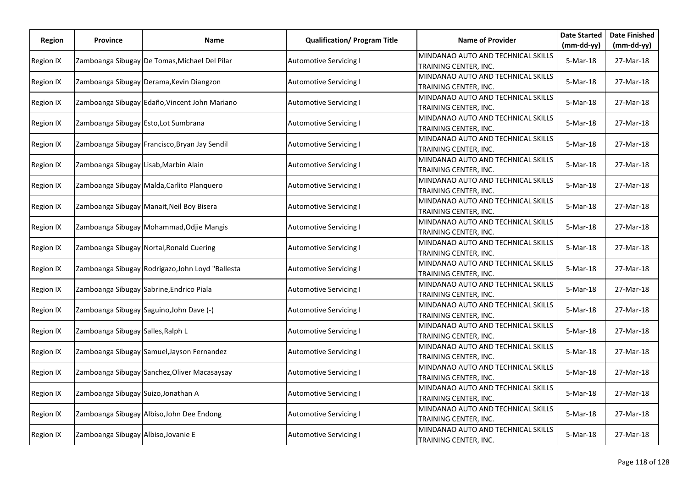| Region           | <b>Province</b>                       | Name                                             | <b>Qualification/ Program Title</b> | <b>Name of Provider</b>                                     | <b>Date Started</b> | <b>Date Finished</b> |
|------------------|---------------------------------------|--------------------------------------------------|-------------------------------------|-------------------------------------------------------------|---------------------|----------------------|
|                  |                                       |                                                  |                                     |                                                             | $(mm-dd-yy)$        | $(mm-dd-yy)$         |
| <b>Region IX</b> |                                       | Zamboanga Sibugay De Tomas, Michael Del Pilar    | <b>Automotive Servicing I</b>       | MINDANAO AUTO AND TECHNICAL SKILLS<br>TRAINING CENTER, INC. | 5-Mar-18            | 27-Mar-18            |
| Region IX        |                                       | Zamboanga Sibugay Derama, Kevin Diangzon         | <b>Automotive Servicing I</b>       | MINDANAO AUTO AND TECHNICAL SKILLS<br>TRAINING CENTER, INC. | 5-Mar-18            | 27-Mar-18            |
| Region IX        |                                       | Zamboanga Sibugay Edaño, Vincent John Mariano    | <b>Automotive Servicing I</b>       | MINDANAO AUTO AND TECHNICAL SKILLS<br>TRAINING CENTER, INC. | 5-Mar-18            | 27-Mar-18            |
| <b>Region IX</b> | Zamboanga Sibugay Esto, Lot Sumbrana  |                                                  | <b>Automotive Servicing I</b>       | MINDANAO AUTO AND TECHNICAL SKILLS<br>TRAINING CENTER, INC. | 5-Mar-18            | 27-Mar-18            |
| Region IX        |                                       | Zamboanga Sibugay Francisco, Bryan Jay Sendil    | <b>Automotive Servicing I</b>       | MINDANAO AUTO AND TECHNICAL SKILLS<br>TRAINING CENTER, INC. | 5-Mar-18            | 27-Mar-18            |
| Region IX        | Zamboanga Sibugay Lisab, Marbin Alain |                                                  | <b>Automotive Servicing I</b>       | MINDANAO AUTO AND TECHNICAL SKILLS<br>TRAINING CENTER, INC. | 5-Mar-18            | 27-Mar-18            |
| <b>Region IX</b> |                                       | Zamboanga Sibugay Malda, Carlito Planquero       | <b>Automotive Servicing I</b>       | MINDANAO AUTO AND TECHNICAL SKILLS<br>TRAINING CENTER, INC. | 5-Mar-18            | 27-Mar-18            |
| <b>Region IX</b> |                                       | Zamboanga Sibugay Manait, Neil Boy Bisera        | <b>Automotive Servicing I</b>       | MINDANAO AUTO AND TECHNICAL SKILLS<br>TRAINING CENTER, INC. | 5-Mar-18            | 27-Mar-18            |
| Region IX        |                                       | Zamboanga Sibugay Mohammad, Odjie Mangis         | <b>Automotive Servicing I</b>       | MINDANAO AUTO AND TECHNICAL SKILLS<br>TRAINING CENTER, INC. | 5-Mar-18            | 27-Mar-18            |
| <b>Region IX</b> |                                       | Zamboanga Sibugay Nortal, Ronald Cuering         | <b>Automotive Servicing I</b>       | MINDANAO AUTO AND TECHNICAL SKILLS<br>TRAINING CENTER, INC. | 5-Mar-18            | 27-Mar-18            |
| <b>Region IX</b> |                                       | Zamboanga Sibugay Rodrigazo, John Loyd "Ballesta | <b>Automotive Servicing I</b>       | MINDANAO AUTO AND TECHNICAL SKILLS<br>TRAINING CENTER, INC. | 5-Mar-18            | 27-Mar-18            |
| <b>Region IX</b> |                                       | Zamboanga Sibugay Sabrine, Endrico Piala         | <b>Automotive Servicing I</b>       | MINDANAO AUTO AND TECHNICAL SKILLS<br>TRAINING CENTER, INC. | 5-Mar-18            | 27-Mar-18            |
| Region IX        |                                       | Zamboanga Sibugay Saguino, John Dave (-)         | <b>Automotive Servicing I</b>       | MINDANAO AUTO AND TECHNICAL SKILLS<br>TRAINING CENTER, INC. | 5-Mar-18            | 27-Mar-18            |
| Region IX        | Zamboanga Sibugay Salles, Ralph L     |                                                  | <b>Automotive Servicing I</b>       | MINDANAO AUTO AND TECHNICAL SKILLS<br>TRAINING CENTER, INC. | 5-Mar-18            | 27-Mar-18            |
| <b>Region IX</b> |                                       | Zamboanga Sibugay Samuel, Jayson Fernandez       | <b>Automotive Servicing I</b>       | MINDANAO AUTO AND TECHNICAL SKILLS<br>TRAINING CENTER, INC. | 5-Mar-18            | 27-Mar-18            |
| <b>Region IX</b> |                                       | Zamboanga Sibugay Sanchez, Oliver Macasaysay     | <b>Automotive Servicing I</b>       | MINDANAO AUTO AND TECHNICAL SKILLS<br>TRAINING CENTER, INC. | 5-Mar-18            | 27-Mar-18            |
| <b>Region IX</b> | Zamboanga Sibugay Suizo, Jonathan A   |                                                  | <b>Automotive Servicing I</b>       | MINDANAO AUTO AND TECHNICAL SKILLS<br>TRAINING CENTER, INC. | 5-Mar-18            | 27-Mar-18            |
| Region IX        |                                       | Zamboanga Sibugay Albiso, John Dee Endong        | <b>Automotive Servicing I</b>       | MINDANAO AUTO AND TECHNICAL SKILLS<br>TRAINING CENTER, INC. | 5-Mar-18            | 27-Mar-18            |
| Region IX        | Zamboanga Sibugay Albiso, Jovanie E   |                                                  | <b>Automotive Servicing I</b>       | MINDANAO AUTO AND TECHNICAL SKILLS<br>TRAINING CENTER, INC. | 5-Mar-18            | 27-Mar-18            |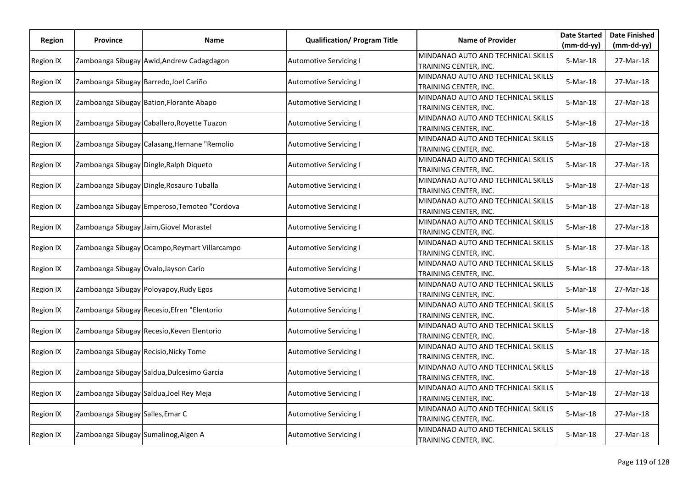| Region    | <b>Province</b>                        | Name                                          | <b>Qualification/ Program Title</b> | <b>Name of Provider</b>                                     | <b>Date Started</b> | <b>Date Finished</b> |
|-----------|----------------------------------------|-----------------------------------------------|-------------------------------------|-------------------------------------------------------------|---------------------|----------------------|
|           |                                        |                                               |                                     |                                                             | $(mm-dd-yy)$        | $(mm-dd-yy)$         |
| Region IX |                                        | Zamboanga Sibugay Awid, Andrew Cadagdagon     | Automotive Servicing I              | MINDANAO AUTO AND TECHNICAL SKILLS<br>TRAINING CENTER, INC. | 5-Mar-18            | 27-Mar-18            |
| Region IX | Zamboanga Sibugay Barredo, Joel Cariño |                                               | <b>Automotive Servicing I</b>       | MINDANAO AUTO AND TECHNICAL SKILLS<br>TRAINING CENTER, INC. | 5-Mar-18            | 27-Mar-18            |
| Region IX |                                        | Zamboanga Sibugay Bation, Florante Abapo      | <b>Automotive Servicing I</b>       | MINDANAO AUTO AND TECHNICAL SKILLS<br>TRAINING CENTER, INC. | 5-Mar-18            | 27-Mar-18            |
| Region IX |                                        | Zamboanga Sibugay Caballero, Royette Tuazon   | Automotive Servicing I              | MINDANAO AUTO AND TECHNICAL SKILLS<br>TRAINING CENTER, INC. | 5-Mar-18            | 27-Mar-18            |
| Region IX |                                        | Zamboanga Sibugay Calasang, Hernane "Remolio  | <b>Automotive Servicing I</b>       | MINDANAO AUTO AND TECHNICAL SKILLS<br>TRAINING CENTER, INC. | 5-Mar-18            | 27-Mar-18            |
| Region IX |                                        | Zamboanga Sibugay Dingle, Ralph Diqueto       | Automotive Servicing I              | MINDANAO AUTO AND TECHNICAL SKILLS<br>TRAINING CENTER, INC. | 5-Mar-18            | 27-Mar-18            |
| Region IX |                                        | Zamboanga Sibugay Dingle, Rosauro Tuballa     | <b>Automotive Servicing I</b>       | MINDANAO AUTO AND TECHNICAL SKILLS<br>TRAINING CENTER, INC. | 5-Mar-18            | 27-Mar-18            |
| Region IX |                                        | Zamboanga Sibugay Emperoso, Temoteo "Cordova  | Automotive Servicing I              | MINDANAO AUTO AND TECHNICAL SKILLS<br>TRAINING CENTER, INC. | 5-Mar-18            | 27-Mar-18            |
| Region IX |                                        | Zamboanga Sibugay Jaim, Giovel Morastel       | <b>Automotive Servicing I</b>       | MINDANAO AUTO AND TECHNICAL SKILLS<br>TRAINING CENTER, INC. | 5-Mar-18            | 27-Mar-18            |
| Region IX |                                        | Zamboanga Sibugay Ocampo, Reymart Villarcampo | Automotive Servicing I              | MINDANAO AUTO AND TECHNICAL SKILLS<br>TRAINING CENTER, INC. | 5-Mar-18            | 27-Mar-18            |
| Region IX | Zamboanga Sibugay Ovalo, Jayson Cario  |                                               | <b>Automotive Servicing I</b>       | MINDANAO AUTO AND TECHNICAL SKILLS<br>TRAINING CENTER, INC. | 5-Mar-18            | 27-Mar-18            |
| Region IX |                                        | Zamboanga Sibugay Poloyapoy, Rudy Egos        | <b>Automotive Servicing I</b>       | MINDANAO AUTO AND TECHNICAL SKILLS<br>TRAINING CENTER, INC. | 5-Mar-18            | 27-Mar-18            |
| Region IX |                                        | Zamboanga Sibugay Recesio, Efren "Elentorio   | <b>Automotive Servicing I</b>       | MINDANAO AUTO AND TECHNICAL SKILLS<br>TRAINING CENTER, INC. | 5-Mar-18            | 27-Mar-18            |
| Region IX |                                        | Zamboanga Sibugay Recesio, Keven Elentorio    | <b>Automotive Servicing I</b>       | MINDANAO AUTO AND TECHNICAL SKILLS<br>TRAINING CENTER, INC. | 5-Mar-18            | 27-Mar-18            |
| Region IX | Zamboanga Sibugay Recisio, Nicky Tome  |                                               | <b>Automotive Servicing I</b>       | MINDANAO AUTO AND TECHNICAL SKILLS<br>TRAINING CENTER, INC. | 5-Mar-18            | 27-Mar-18            |
| Region IX |                                        | Zamboanga Sibugay Saldua, Dulcesimo Garcia    | <b>Automotive Servicing I</b>       | MINDANAO AUTO AND TECHNICAL SKILLS<br>TRAINING CENTER, INC. | 5-Mar-18            | 27-Mar-18            |
| Region IX |                                        | Zamboanga Sibugay Saldua, Joel Rey Meja       | <b>Automotive Servicing I</b>       | MINDANAO AUTO AND TECHNICAL SKILLS<br>TRAINING CENTER, INC. | 5-Mar-18            | 27-Mar-18            |
| Region IX | Zamboanga Sibugay Salles, Emar C       |                                               | <b>Automotive Servicing I</b>       | MINDANAO AUTO AND TECHNICAL SKILLS<br>TRAINING CENTER, INC. | 5-Mar-18            | 27-Mar-18            |
| Region IX | Zamboanga Sibugay Sumalinog, Algen A   |                                               | <b>Automotive Servicing I</b>       | MINDANAO AUTO AND TECHNICAL SKILLS<br>TRAINING CENTER, INC. | 5-Mar-18            | 27-Mar-18            |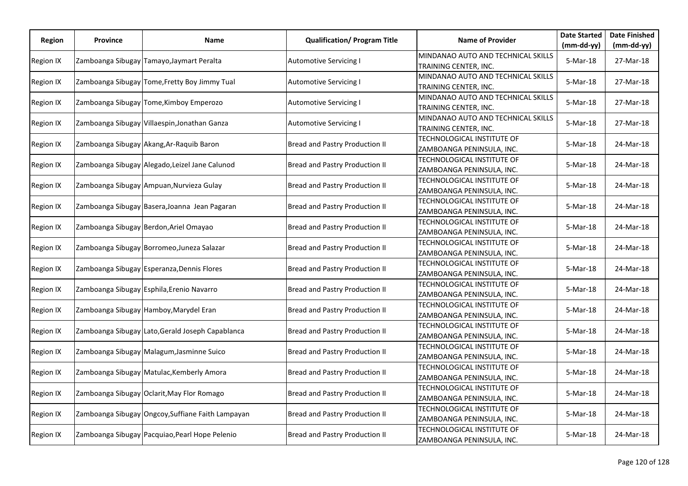| <b>Region</b>    | <b>Province</b>                        | Name                                              | <b>Qualification/ Program Title</b> | <b>Name of Provider</b>                                     | <b>Date Started</b> | <b>Date Finished</b> |
|------------------|----------------------------------------|---------------------------------------------------|-------------------------------------|-------------------------------------------------------------|---------------------|----------------------|
|                  |                                        |                                                   |                                     |                                                             | $(mm-dd-yy)$        | $(mm-dd-yy)$         |
| <b>Region IX</b> |                                        | Zamboanga Sibugay Tamayo, Jaymart Peralta         | <b>Automotive Servicing I</b>       | MINDANAO AUTO AND TECHNICAL SKILLS<br>TRAINING CENTER, INC. | 5-Mar-18            | 27-Mar-18            |
|                  |                                        |                                                   |                                     | MINDANAO AUTO AND TECHNICAL SKILLS                          |                     |                      |
| <b>Region IX</b> |                                        | Zamboanga Sibugay Tome, Fretty Boy Jimmy Tual     | <b>Automotive Servicing I</b>       | TRAINING CENTER, INC.                                       | 5-Mar-18            | 27-Mar-18            |
| Region IX        |                                        | Zamboanga Sibugay Tome, Kimboy Emperozo           | <b>Automotive Servicing I</b>       | MINDANAO AUTO AND TECHNICAL SKILLS                          | 5-Mar-18            | 27-Mar-18            |
|                  |                                        |                                                   |                                     | TRAINING CENTER, INC.                                       |                     |                      |
| <b>Region IX</b> |                                        | Zamboanga Sibugay Villaespin, Jonathan Ganza      | Automotive Servicing I              | MINDANAO AUTO AND TECHNICAL SKILLS                          | 5-Mar-18            | 27-Mar-18            |
|                  |                                        |                                                   |                                     | TRAINING CENTER, INC.                                       |                     |                      |
| <b>Region IX</b> |                                        | Zamboanga Sibugay Akang, Ar-Raquib Baron          | Bread and Pastry Production II      | TECHNOLOGICAL INSTITUTE OF                                  | 5-Mar-18            | 24-Mar-18            |
|                  |                                        |                                                   |                                     | ZAMBOANGA PENINSULA, INC.                                   |                     |                      |
| Region IX        |                                        | Zamboanga Sibugay Alegado, Leizel Jane Calunod    | Bread and Pastry Production II      | TECHNOLOGICAL INSTITUTE OF                                  | 5-Mar-18            | 24-Mar-18            |
|                  |                                        |                                                   |                                     | ZAMBOANGA PENINSULA, INC.                                   |                     |                      |
| <b>Region IX</b> |                                        | Zamboanga Sibugay Ampuan, Nurvieza Gulay          | Bread and Pastry Production II      | TECHNOLOGICAL INSTITUTE OF                                  | 5-Mar-18            | 24-Mar-18            |
|                  |                                        |                                                   |                                     | ZAMBOANGA PENINSULA, INC.                                   |                     |                      |
| <b>Region IX</b> |                                        | Zamboanga Sibugay Basera, Joanna Jean Pagaran     | Bread and Pastry Production II      | TECHNOLOGICAL INSTITUTE OF                                  | 5-Mar-18            | 24-Mar-18            |
|                  |                                        |                                                   |                                     | ZAMBOANGA PENINSULA, INC.                                   |                     |                      |
| <b>Region IX</b> | Zamboanga Sibugay Berdon, Ariel Omayao |                                                   | Bread and Pastry Production II      | TECHNOLOGICAL INSTITUTE OF                                  | 5-Mar-18            | 24-Mar-18            |
|                  |                                        |                                                   |                                     | ZAMBOANGA PENINSULA, INC.                                   |                     |                      |
| <b>Region IX</b> |                                        | Zamboanga Sibugay Borromeo, Juneza Salazar        | Bread and Pastry Production II      | TECHNOLOGICAL INSTITUTE OF                                  | 5-Mar-18            | 24-Mar-18            |
|                  |                                        |                                                   |                                     | ZAMBOANGA PENINSULA, INC.                                   |                     |                      |
| Region IX        |                                        | Zamboanga Sibugay Esperanza, Dennis Flores        | Bread and Pastry Production II      | TECHNOLOGICAL INSTITUTE OF                                  | 5-Mar-18            | 24-Mar-18            |
|                  |                                        |                                                   |                                     | ZAMBOANGA PENINSULA, INC.                                   |                     |                      |
| Region IX        |                                        | Zamboanga Sibugay Esphila, Erenio Navarro         | Bread and Pastry Production II      | TECHNOLOGICAL INSTITUTE OF                                  | 5-Mar-18            | 24-Mar-18            |
|                  |                                        |                                                   |                                     | ZAMBOANGA PENINSULA, INC.                                   |                     |                      |
| Region IX        |                                        | Zamboanga Sibugay Hamboy, Marydel Eran            | Bread and Pastry Production II      | TECHNOLOGICAL INSTITUTE OF                                  | 5-Mar-18            | 24-Mar-18            |
|                  |                                        |                                                   |                                     | ZAMBOANGA PENINSULA, INC.                                   |                     |                      |
| <b>Region IX</b> |                                        | Zamboanga Sibugay Lato, Gerald Joseph Capablanca  | Bread and Pastry Production II      | TECHNOLOGICAL INSTITUTE OF                                  | 5-Mar-18            | 24-Mar-18            |
|                  |                                        |                                                   |                                     | ZAMBOANGA PENINSULA, INC.                                   |                     |                      |
| <b>Region IX</b> |                                        | Zamboanga Sibugay Malagum, Jasminne Suico         | Bread and Pastry Production II      | TECHNOLOGICAL INSTITUTE OF                                  | 5-Mar-18            | 24-Mar-18            |
|                  |                                        |                                                   |                                     | ZAMBOANGA PENINSULA, INC.                                   |                     |                      |
| <b>Region IX</b> |                                        | Zamboanga Sibugay Matulac, Kemberly Amora         | Bread and Pastry Production II      | TECHNOLOGICAL INSTITUTE OF                                  | 5-Mar-18            | 24-Mar-18            |
|                  |                                        |                                                   |                                     | ZAMBOANGA PENINSULA, INC.                                   |                     |                      |
| <b>Region IX</b> |                                        | Zamboanga Sibugay Oclarit, May Flor Romago        | Bread and Pastry Production II      | TECHNOLOGICAL INSTITUTE OF                                  | 5-Mar-18            | 24-Mar-18            |
|                  |                                        |                                                   |                                     | ZAMBOANGA PENINSULA, INC.                                   |                     |                      |
| <b>Region IX</b> |                                        | Zamboanga Sibugay Ongcoy, Suffiane Faith Lampayan | Bread and Pastry Production II      | TECHNOLOGICAL INSTITUTE OF                                  | 5-Mar-18            | 24-Mar-18            |
|                  |                                        |                                                   |                                     | ZAMBOANGA PENINSULA, INC.                                   |                     |                      |
|                  |                                        |                                                   | Bread and Pastry Production II      | TECHNOLOGICAL INSTITUTE OF                                  | 5-Mar-18            | 24-Mar-18            |
| Region IX        |                                        | Zamboanga Sibugay Pacquiao, Pearl Hope Pelenio    |                                     | ZAMBOANGA PENINSULA, INC.                                   |                     |                      |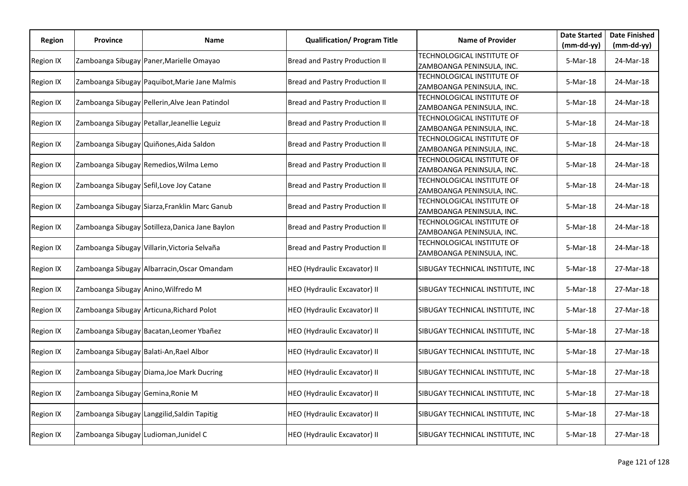| <b>Region</b> | <b>Province</b>                       | Name                                            | <b>Qualification/ Program Title</b>   | <b>Name of Provider</b>                                 | <b>Date Started</b> | <b>Date Finished</b> |
|---------------|---------------------------------------|-------------------------------------------------|---------------------------------------|---------------------------------------------------------|---------------------|----------------------|
|               |                                       |                                                 |                                       |                                                         | $(mm-dd-yy)$        | $(mm-dd-yy)$         |
| Region IX     |                                       | Zamboanga Sibugay Paner, Marielle Omayao        | Bread and Pastry Production II        | TECHNOLOGICAL INSTITUTE OF<br>ZAMBOANGA PENINSULA, INC. | 5-Mar-18            | 24-Mar-18            |
| Region IX     |                                       | Zamboanga Sibugay Paquibot, Marie Jane Malmis   | Bread and Pastry Production II        | TECHNOLOGICAL INSTITUTE OF                              | 5-Mar-18            | 24-Mar-18            |
|               |                                       |                                                 |                                       | ZAMBOANGA PENINSULA, INC.                               |                     |                      |
| Region IX     |                                       | Zamboanga Sibugay Pellerin, Alve Jean Patindol  | Bread and Pastry Production II        | TECHNOLOGICAL INSTITUTE OF<br>ZAMBOANGA PENINSULA, INC. | 5-Mar-18            | 24-Mar-18            |
| Region IX     |                                       | Zamboanga Sibugay Petallar, Jeanellie Leguiz    | Bread and Pastry Production II        | TECHNOLOGICAL INSTITUTE OF                              | 5-Mar-18            | 24-Mar-18            |
|               |                                       |                                                 |                                       | ZAMBOANGA PENINSULA, INC.                               |                     |                      |
| Region IX     |                                       | Zamboanga Sibugay Quiñones, Aida Saldon         | Bread and Pastry Production II        | TECHNOLOGICAL INSTITUTE OF<br>ZAMBOANGA PENINSULA, INC. | 5-Mar-18            | 24-Mar-18            |
| Region IX     |                                       | Zamboanga Sibugay Remedios, Wilma Lemo          | Bread and Pastry Production II        | TECHNOLOGICAL INSTITUTE OF                              | 5-Mar-18            | 24-Mar-18            |
|               |                                       |                                                 |                                       | ZAMBOANGA PENINSULA, INC.                               |                     |                      |
| Region IX     |                                       | Zamboanga Sibugay Sefil, Love Joy Catane        | <b>Bread and Pastry Production II</b> | TECHNOLOGICAL INSTITUTE OF<br>ZAMBOANGA PENINSULA, INC. | 5-Mar-18            | 24-Mar-18            |
| Region IX     |                                       | Zamboanga Sibugay Siarza, Franklin Marc Ganub   | Bread and Pastry Production II        | TECHNOLOGICAL INSTITUTE OF<br>ZAMBOANGA PENINSULA, INC. | 5-Mar-18            | 24-Mar-18            |
|               |                                       |                                                 |                                       | TECHNOLOGICAL INSTITUTE OF                              |                     |                      |
| Region IX     |                                       | Zamboanga Sibugay Sotilleza, Danica Jane Baylon | Bread and Pastry Production II        | ZAMBOANGA PENINSULA, INC.                               | 5-Mar-18            | 24-Mar-18            |
| Region IX     |                                       | Zamboanga Sibugay Villarin, Victoria Selvaña    | Bread and Pastry Production II        | TECHNOLOGICAL INSTITUTE OF<br>ZAMBOANGA PENINSULA, INC. | 5-Mar-18            | 24-Mar-18            |
|               |                                       |                                                 |                                       |                                                         |                     |                      |
| Region IX     |                                       | Zamboanga Sibugay Albarracin, Oscar Omandam     | HEO (Hydraulic Excavator) II          | SIBUGAY TECHNICAL INSTITUTE, INC                        | 5-Mar-18            | 27-Mar-18            |
| Region IX     | Zamboanga Sibugay Anino, Wilfredo M   |                                                 | HEO (Hydraulic Excavator) II          | SIBUGAY TECHNICAL INSTITUTE, INC                        | 5-Mar-18            | 27-Mar-18            |
| Region IX     |                                       | Zamboanga Sibugay Articuna, Richard Polot       | HEO (Hydraulic Excavator) II          | SIBUGAY TECHNICAL INSTITUTE, INC                        | 5-Mar-18            | 27-Mar-18            |
| Region IX     |                                       | Zamboanga Sibugay Bacatan, Leomer Ybañez        | HEO (Hydraulic Excavator) II          | SIBUGAY TECHNICAL INSTITUTE, INC                        | 5-Mar-18            | 27-Mar-18            |
| Region IX     |                                       | Zamboanga Sibugay Balati-An, Rael Albor         | HEO (Hydraulic Excavator) II          | SIBUGAY TECHNICAL INSTITUTE, INC                        | 5-Mar-18            | 27-Mar-18            |
| Region IX     |                                       | Zamboanga Sibugay Diama, Joe Mark Ducring       | HEO (Hydraulic Excavator) II          | SIBUGAY TECHNICAL INSTITUTE, INC                        | 5-Mar-18            | 27-Mar-18            |
| Region IX     | Zamboanga Sibugay Gemina, Ronie M     |                                                 | HEO (Hydraulic Excavator) II          | SIBUGAY TECHNICAL INSTITUTE, INC                        | 5-Mar-18            | 27-Mar-18            |
| Region IX     |                                       | Zamboanga Sibugay Langgilid, Saldin Tapitig     | HEO (Hydraulic Excavator) II          | SIBUGAY TECHNICAL INSTITUTE, INC                        | 5-Mar-18            | 27-Mar-18            |
| Region IX     | Zamboanga Sibugay Ludioman, Junidel C |                                                 | HEO (Hydraulic Excavator) II          | SIBUGAY TECHNICAL INSTITUTE, INC                        | 5-Mar-18            | 27-Mar-18            |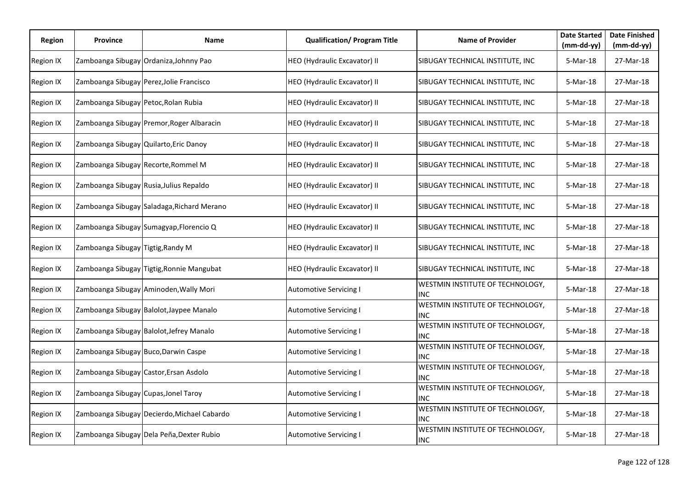| Region           | Province                               | Name                                        | <b>Qualification/ Program Title</b> | <b>Name of Provider</b>                               | <b>Date Started</b><br>(mm-dd-yy) | <b>Date Finished</b><br>$(mm-dd-yy)$ |
|------------------|----------------------------------------|---------------------------------------------|-------------------------------------|-------------------------------------------------------|-----------------------------------|--------------------------------------|
| <b>Region IX</b> |                                        | Zamboanga Sibugay Ordaniza, Johnny Pao      | HEO (Hydraulic Excavator) II        | SIBUGAY TECHNICAL INSTITUTE, INC                      | 5-Mar-18                          | 27-Mar-18                            |
| Region IX        |                                        | Zamboanga Sibugay Perez, Jolie Francisco    | HEO (Hydraulic Excavator) II        | SIBUGAY TECHNICAL INSTITUTE, INC                      | 5-Mar-18                          | 27-Mar-18                            |
| <b>Region IX</b> | Zamboanga Sibugay Petoc, Rolan Rubia   |                                             | HEO (Hydraulic Excavator) II        | SIBUGAY TECHNICAL INSTITUTE, INC                      | 5-Mar-18                          | 27-Mar-18                            |
| Region IX        |                                        | Zamboanga Sibugay Premor, Roger Albaracin   | HEO (Hydraulic Excavator) II        | SIBUGAY TECHNICAL INSTITUTE, INC                      | 5-Mar-18                          | 27-Mar-18                            |
| <b>Region IX</b> | Zamboanga Sibugay Quilarto, Eric Danoy |                                             | HEO (Hydraulic Excavator) II        | SIBUGAY TECHNICAL INSTITUTE, INC                      | 5-Mar-18                          | 27-Mar-18                            |
| <b>Region IX</b> | Zamboanga Sibugay Recorte, Rommel M    |                                             | HEO (Hydraulic Excavator) II        | SIBUGAY TECHNICAL INSTITUTE, INC                      | 5-Mar-18                          | 27-Mar-18                            |
| <b>Region IX</b> |                                        | Zamboanga Sibugay Rusia, Julius Repaldo     | HEO (Hydraulic Excavator) II        | SIBUGAY TECHNICAL INSTITUTE, INC                      | 5-Mar-18                          | 27-Mar-18                            |
| <b>Region IX</b> |                                        | Zamboanga Sibugay Saladaga, Richard Merano  | HEO (Hydraulic Excavator) II        | SIBUGAY TECHNICAL INSTITUTE, INC                      | 5-Mar-18                          | 27-Mar-18                            |
| <b>Region IX</b> |                                        | Zamboanga Sibugay Sumagyap, Florencio Q     | HEO (Hydraulic Excavator) II        | SIBUGAY TECHNICAL INSTITUTE, INC                      | 5-Mar-18                          | 27-Mar-18                            |
| <b>Region IX</b> | Zamboanga Sibugay Tigtig, Randy M      |                                             | HEO (Hydraulic Excavator) II        | SIBUGAY TECHNICAL INSTITUTE, INC                      | 5-Mar-18                          | 27-Mar-18                            |
| <b>Region IX</b> |                                        | Zamboanga Sibugay Tigtig, Ronnie Mangubat   | HEO (Hydraulic Excavator) II        | SIBUGAY TECHNICAL INSTITUTE, INC                      | 5-Mar-18                          | 27-Mar-18                            |
| <b>Region IX</b> |                                        | Zamboanga Sibugay Aminoden, Wally Mori      | <b>Automotive Servicing I</b>       | <b>WESTMIN INSTITUTE OF TECHNOLOGY,</b><br><b>INC</b> | 5-Mar-18                          | 27-Mar-18                            |
| Region IX        |                                        | Zamboanga Sibugay Balolot, Jaypee Manalo    | <b>Automotive Servicing I</b>       | <b>WESTMIN INSTITUTE OF TECHNOLOGY,</b><br>IINC       | 5-Mar-18                          | 27-Mar-18                            |
| <b>Region IX</b> |                                        | Zamboanga Sibugay Balolot, Jefrey Manalo    | <b>Automotive Servicing I</b>       | WESTMIN INSTITUTE OF TECHNOLOGY,<br>INC               | $5-Mar-18$                        | 27-Mar-18                            |
| <b>Region IX</b> |                                        | Zamboanga Sibugay Buco, Darwin Caspe        | <b>Automotive Servicing I</b>       | WESTMIN INSTITUTE OF TECHNOLOGY,<br><b>INC</b>        | 5-Mar-18                          | 27-Mar-18                            |
| <b>Region IX</b> |                                        | Zamboanga Sibugay Castor, Ersan Asdolo      | <b>Automotive Servicing I</b>       | WESTMIN INSTITUTE OF TECHNOLOGY,<br><b>INC</b>        | 5-Mar-18                          | 27-Mar-18                            |
| <b>Region IX</b> | Zamboanga Sibugay Cupas, Jonel Taroy   |                                             | <b>Automotive Servicing I</b>       | WESTMIN INSTITUTE OF TECHNOLOGY,<br><b>INC</b>        | 5-Mar-18                          | 27-Mar-18                            |
| <b>Region IX</b> |                                        | Zamboanga Sibugay Decierdo, Michael Cabardo | <b>Automotive Servicing I</b>       | WESTMIN INSTITUTE OF TECHNOLOGY,<br><b>INC</b>        | 5-Mar-18                          | 27-Mar-18                            |
| Region IX        |                                        | Zamboanga Sibugay Dela Peña, Dexter Rubio   | <b>Automotive Servicing I</b>       | WESTMIN INSTITUTE OF TECHNOLOGY,<br><b>INC</b>        | 5-Mar-18                          | 27-Mar-18                            |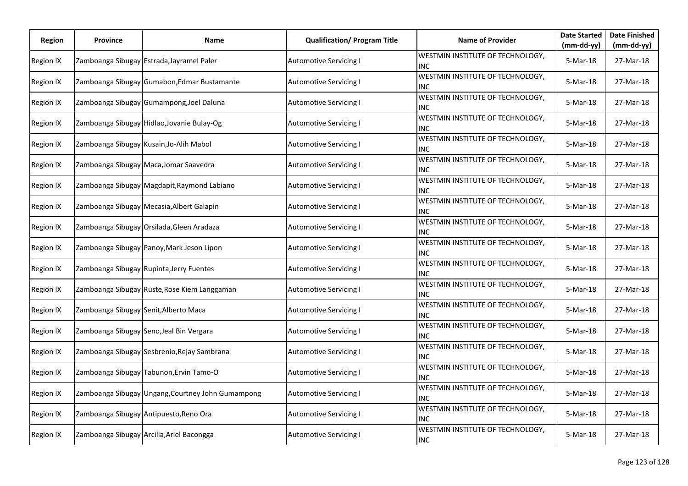| <b>Region</b>    | Province                              | Name                                              | <b>Qualification/ Program Title</b> | <b>Name of Provider</b>                               | <b>Date Started</b> | <b>Date Finished</b> |
|------------------|---------------------------------------|---------------------------------------------------|-------------------------------------|-------------------------------------------------------|---------------------|----------------------|
|                  |                                       |                                                   |                                     |                                                       | $(mm-dd-yy)$        | $(mm-dd-yy)$         |
| <b>Region IX</b> |                                       | Zamboanga Sibugay Estrada, Jayramel Paler         | <b>Automotive Servicing I</b>       | <b>WESTMIN INSTITUTE OF TECHNOLOGY,</b><br><b>INC</b> | 5-Mar-18            | 27-Mar-18            |
| Region IX        |                                       | Zamboanga Sibugay Gumabon, Edmar Bustamante       | <b>Automotive Servicing I</b>       | WESTMIN INSTITUTE OF TECHNOLOGY,<br><b>INC</b>        | 5-Mar-18            | 27-Mar-18            |
| Region IX        |                                       | Zamboanga Sibugay Gumampong, Joel Daluna          | <b>Automotive Servicing I</b>       | WESTMIN INSTITUTE OF TECHNOLOGY,<br><b>INC</b>        | 5-Mar-18            | 27-Mar-18            |
| <b>Region IX</b> |                                       | Zamboanga Sibugay Hidlao, Jovanie Bulay-Og        | <b>Automotive Servicing I</b>       | WESTMIN INSTITUTE OF TECHNOLOGY,<br>INC               | 5-Mar-18            | 27-Mar-18            |
| Region IX        |                                       | Zamboanga Sibugay Kusain, Jo-Alih Mabol           | <b>Automotive Servicing I</b>       | WESTMIN INSTITUTE OF TECHNOLOGY,<br><b>INC</b>        | 5-Mar-18            | 27-Mar-18            |
| Region IX        |                                       | Zamboanga Sibugay Maca, Jomar Saavedra            | <b>Automotive Servicing I</b>       | <b>WESTMIN INSTITUTE OF TECHNOLOGY,</b><br>IINC       | 5-Mar-18            | 27-Mar-18            |
| <b>Region IX</b> |                                       | Zamboanga Sibugay Magdapit, Raymond Labiano       | <b>Automotive Servicing I</b>       | <b>WESTMIN INSTITUTE OF TECHNOLOGY,</b><br>INC        | 5-Mar-18            | 27-Mar-18            |
| <b>Region IX</b> |                                       | Zamboanga Sibugay Mecasia, Albert Galapin         | Automotive Servicing I              | WESTMIN INSTITUTE OF TECHNOLOGY,<br>IINC              | 5-Mar-18            | 27-Mar-18            |
| Region IX        |                                       | Zamboanga Sibugay Orsilada, Gleen Aradaza         | <b>Automotive Servicing I</b>       | WESTMIN INSTITUTE OF TECHNOLOGY,<br><b>INC</b>        | 5-Mar-18            | 27-Mar-18            |
| <b>Region IX</b> |                                       | Zamboanga Sibugay Panoy, Mark Jeson Lipon         | <b>Automotive Servicing I</b>       | WESTMIN INSTITUTE OF TECHNOLOGY,<br><b>INC</b>        | 5-Mar-18            | 27-Mar-18            |
| <b>Region IX</b> |                                       | Zamboanga Sibugay Rupinta, Jerry Fuentes          | <b>Automotive Servicing I</b>       | WESTMIN INSTITUTE OF TECHNOLOGY,<br><b>INC</b>        | 5-Mar-18            | 27-Mar-18            |
| Region IX        |                                       | Zamboanga Sibugay Ruste, Rose Kiem Langgaman      | <b>Automotive Servicing I</b>       | WESTMIN INSTITUTE OF TECHNOLOGY,<br>INC               | 5-Mar-18            | 27-Mar-18            |
| Region IX        | Zamboanga Sibugay Senit, Alberto Maca |                                                   | <b>Automotive Servicing I</b>       | WESTMIN INSTITUTE OF TECHNOLOGY,<br><b>INC</b>        | 5-Mar-18            | 27-Mar-18            |
| Region IX        |                                       | Zamboanga Sibugay Seno, Jeal Bin Vergara          | <b>Automotive Servicing I</b>       | <b>WESTMIN INSTITUTE OF TECHNOLOGY,</b><br>INC        | 5-Mar-18            | 27-Mar-18            |
| <b>Region IX</b> |                                       | Zamboanga Sibugay Sesbrenio, Rejay Sambrana       | <b>Automotive Servicing I</b>       | WESTMIN INSTITUTE OF TECHNOLOGY,<br><b>INC</b>        | $5-Mar-18$          | 27-Mar-18            |
| <b>Region IX</b> |                                       | Zamboanga Sibugay Tabunon, Ervin Tamo-O           | <b>Automotive Servicing I</b>       | WESTMIN INSTITUTE OF TECHNOLOGY,<br><b>INC</b>        | 5-Mar-18            | 27-Mar-18            |
| <b>Region IX</b> |                                       | Zamboanga Sibugay Ungang, Courtney John Gumampong | <b>Automotive Servicing I</b>       | WESTMIN INSTITUTE OF TECHNOLOGY,<br>IINC              | 5-Mar-18            | 27-Mar-18            |
| <b>Region IX</b> |                                       | Zamboanga Sibugay Antipuesto, Reno Ora            | <b>Automotive Servicing I</b>       | <b>WESTMIN INSTITUTE OF TECHNOLOGY,</b><br><b>INC</b> | 5-Mar-18            | 27-Mar-18            |
| Region IX        |                                       | Zamboanga Sibugay Arcilla, Ariel Bacongga         | <b>Automotive Servicing I</b>       | WESTMIN INSTITUTE OF TECHNOLOGY,<br><b>INC</b>        | 5-Mar-18            | 27-Mar-18            |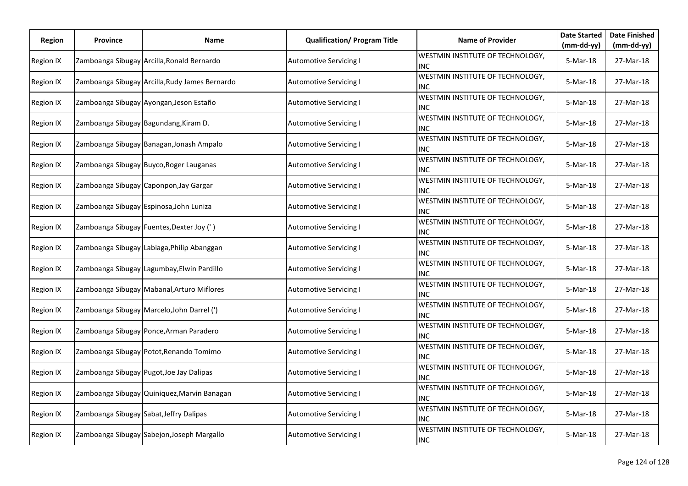| <b>Region</b>    | Province | Name                                           | <b>Qualification/ Program Title</b> | <b>Name of Provider</b>                               | <b>Date Started</b> | <b>Date Finished</b> |
|------------------|----------|------------------------------------------------|-------------------------------------|-------------------------------------------------------|---------------------|----------------------|
|                  |          |                                                |                                     |                                                       | $(mm-dd-yy)$        | $(mm-dd-yy)$         |
| Region IX        |          | Zamboanga Sibugay Arcilla, Ronald Bernardo     | <b>Automotive Servicing I</b>       | <b>WESTMIN INSTITUTE OF TECHNOLOGY,</b><br><b>INC</b> | 5-Mar-18            | 27-Mar-18            |
| Region IX        |          | Zamboanga Sibugay Arcilla, Rudy James Bernardo | <b>Automotive Servicing I</b>       | WESTMIN INSTITUTE OF TECHNOLOGY,<br><b>INC</b>        | 5-Mar-18            | 27-Mar-18            |
| Region IX        |          | Zamboanga Sibugay Ayongan, Jeson Estaño        | <b>Automotive Servicing I</b>       | WESTMIN INSTITUTE OF TECHNOLOGY,<br><b>INC</b>        | 5-Mar-18            | 27-Mar-18            |
| <b>Region IX</b> |          | Zamboanga Sibugay Bagundang, Kiram D.          | <b>Automotive Servicing I</b>       | WESTMIN INSTITUTE OF TECHNOLOGY,<br>INC               | 5-Mar-18            | 27-Mar-18            |
| <b>Region IX</b> |          | Zamboanga Sibugay Banagan, Jonash Ampalo       | <b>Automotive Servicing I</b>       | WESTMIN INSTITUTE OF TECHNOLOGY,<br><b>INC</b>        | 5-Mar-18            | 27-Mar-18            |
| Region IX        |          | Zamboanga Sibugay Buyco, Roger Lauganas        | <b>Automotive Servicing I</b>       | WESTMIN INSTITUTE OF TECHNOLOGY,<br><b>INC</b>        | 5-Mar-18            | 27-Mar-18            |
| <b>Region IX</b> |          | Zamboanga Sibugay Caponpon, Jay Gargar         | Automotive Servicing I              | <b>WESTMIN INSTITUTE OF TECHNOLOGY,</b><br>IINC       | 5-Mar-18            | 27-Mar-18            |
| <b>Region IX</b> |          | Zamboanga Sibugay Espinosa, John Luniza        | Automotive Servicing I              | WESTMIN INSTITUTE OF TECHNOLOGY,<br><b>INC</b>        | 5-Mar-18            | 27-Mar-18            |
| <b>Region IX</b> |          | Zamboanga Sibugay Fuentes, Dexter Joy (')      | <b>Automotive Servicing I</b>       | WESTMIN INSTITUTE OF TECHNOLOGY,<br><b>INC</b>        | 5-Mar-18            | 27-Mar-18            |
| Region IX        |          | Zamboanga Sibugay Labiaga, Philip Abanggan     | <b>Automotive Servicing I</b>       | WESTMIN INSTITUTE OF TECHNOLOGY,<br><b>INC</b>        | 5-Mar-18            | 27-Mar-18            |
| Region IX        |          | Zamboanga Sibugay Lagumbay, Elwin Pardillo     | Automotive Servicing I              | WESTMIN INSTITUTE OF TECHNOLOGY,<br><b>INC</b>        | 5-Mar-18            | 27-Mar-18            |
| <b>Region IX</b> |          | Zamboanga Sibugay Mabanal, Arturo Miflores     | <b>Automotive Servicing I</b>       | WESTMIN INSTITUTE OF TECHNOLOGY,<br><b>INC</b>        | 5-Mar-18            | 27-Mar-18            |
| Region IX        |          | Zamboanga Sibugay Marcelo, John Darrel (')     | <b>Automotive Servicing I</b>       | WESTMIN INSTITUTE OF TECHNOLOGY,<br><b>INC</b>        | 5-Mar-18            | 27-Mar-18            |
| Region IX        |          | Zamboanga Sibugay Ponce, Arman Paradero        | <b>Automotive Servicing I</b>       | WESTMIN INSTITUTE OF TECHNOLOGY,<br>IINC              | 5-Mar-18            | 27-Mar-18            |
| <b>Region IX</b> |          | Zamboanga Sibugay Potot, Renando Tomimo        | <b>Automotive Servicing I</b>       | <b>WESTMIN INSTITUTE OF TECHNOLOGY,</b><br>IINC       | 5-Mar-18            | 27-Mar-18            |
| <b>Region IX</b> |          | Zamboanga Sibugay Pugot, Joe Jay Dalipas       | <b>Automotive Servicing I</b>       | WESTMIN INSTITUTE OF TECHNOLOGY,<br><b>INC</b>        | 5-Mar-18            | 27-Mar-18            |
| <b>Region IX</b> |          | Zamboanga Sibugay Quiniquez, Marvin Banagan    | <b>Automotive Servicing I</b>       | WESTMIN INSTITUTE OF TECHNOLOGY,<br>INC               | 5-Mar-18            | 27-Mar-18            |
| <b>Region IX</b> |          | Zamboanga Sibugay Sabat, Jeffry Dalipas        | <b>Automotive Servicing I</b>       | WESTMIN INSTITUTE OF TECHNOLOGY,<br><b>INC</b>        | 5-Mar-18            | 27-Mar-18            |
| Region IX        |          | Zamboanga Sibugay Sabejon, Joseph Margallo     | <b>Automotive Servicing I</b>       | WESTMIN INSTITUTE OF TECHNOLOGY,<br><b>INC</b>        | 5-Mar-18            | 27-Mar-18            |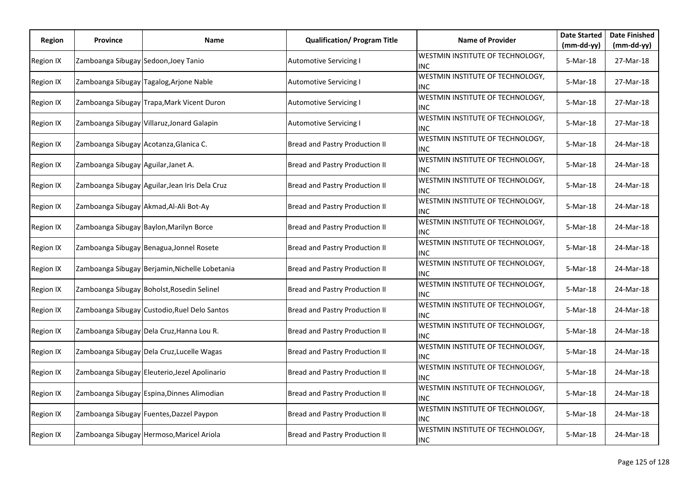| <b>Region</b> | <b>Province</b>                        | Name                                           | <b>Qualification/ Program Title</b> | <b>Name of Provider</b>                        | <b>Date Started</b> | <b>Date Finished</b> |
|---------------|----------------------------------------|------------------------------------------------|-------------------------------------|------------------------------------------------|---------------------|----------------------|
|               |                                        |                                                |                                     |                                                | $(mm-dd-yy)$        | $(mm-dd-yy)$         |
| Region IX     | Zamboanga Sibugay Sedoon, Joey Tanio   |                                                | <b>Automotive Servicing I</b>       | WESTMIN INSTITUTE OF TECHNOLOGY,<br><b>INC</b> | 5-Mar-18            | 27-Mar-18            |
| Region IX     |                                        | Zamboanga Sibugay Tagalog, Arjone Nable        | <b>Automotive Servicing I</b>       | WESTMIN INSTITUTE OF TECHNOLOGY,<br><b>INC</b> | $5-Mar-18$          | 27-Mar-18            |
| Region IX     |                                        | Zamboanga Sibugay Trapa, Mark Vicent Duron     | <b>Automotive Servicing I</b>       | WESTMIN INSTITUTE OF TECHNOLOGY,<br>INC        | 5-Mar-18            | 27-Mar-18            |
| Region IX     |                                        | Zamboanga Sibugay Villaruz, Jonard Galapin     | <b>Automotive Servicing I</b>       | WESTMIN INSTITUTE OF TECHNOLOGY,<br>INC        | 5-Mar-18            | 27-Mar-18            |
| Region IX     | Zamboanga Sibugay Acotanza, Glanica C. |                                                | Bread and Pastry Production II      | WESTMIN INSTITUTE OF TECHNOLOGY,<br>INC.       | 5-Mar-18            | 24-Mar-18            |
| Region IX     | Zamboanga Sibugay Aguilar, Janet A.    |                                                | Bread and Pastry Production II      | WESTMIN INSTITUTE OF TECHNOLOGY,<br>INC        | 5-Mar-18            | 24-Mar-18            |
| Region IX     |                                        | Zamboanga Sibugay Aguilar, Jean Iris Dela Cruz | Bread and Pastry Production II      | WESTMIN INSTITUTE OF TECHNOLOGY,<br>INC.       | 5-Mar-18            | 24-Mar-18            |
| Region IX     |                                        | Zamboanga Sibugay Akmad, Al-Ali Bot-Ay         | Bread and Pastry Production II      | WESTMIN INSTITUTE OF TECHNOLOGY,<br>INC        | 5-Mar-18            | 24-Mar-18            |
| Region IX     |                                        | Zamboanga Sibugay Baylon, Marilyn Borce        | Bread and Pastry Production II      | WESTMIN INSTITUTE OF TECHNOLOGY,<br><b>INC</b> | 5-Mar-18            | 24-Mar-18            |
| Region IX     |                                        | Zamboanga Sibugay Benagua, Jonnel Rosete       | Bread and Pastry Production II      | WESTMIN INSTITUTE OF TECHNOLOGY,<br><b>INC</b> | 5-Mar-18            | 24-Mar-18            |
| Region IX     |                                        | Zamboanga Sibugay Berjamin, Nichelle Lobetania | Bread and Pastry Production II      | WESTMIN INSTITUTE OF TECHNOLOGY,<br><b>INC</b> | 5-Mar-18            | 24-Mar-18            |
| Region IX     |                                        | Zamboanga Sibugay Boholst, Rosedin Selinel     | Bread and Pastry Production II      | WESTMIN INSTITUTE OF TECHNOLOGY,<br>INC        | 5-Mar-18            | 24-Mar-18            |
| Region IX     |                                        | Zamboanga Sibugay Custodio, Ruel Delo Santos   | Bread and Pastry Production II      | WESTMIN INSTITUTE OF TECHNOLOGY,<br><b>INC</b> | 5-Mar-18            | 24-Mar-18            |
| Region IX     |                                        | Zamboanga Sibugay Dela Cruz, Hanna Lou R.      | Bread and Pastry Production II      | WESTMIN INSTITUTE OF TECHNOLOGY,<br>INC        | $5-Mar-18$          | 24-Mar-18            |
| Region IX     |                                        | Zamboanga Sibugay Dela Cruz, Lucelle Wagas     | Bread and Pastry Production II      | WESTMIN INSTITUTE OF TECHNOLOGY,<br>INC        | 5-Mar-18            | 24-Mar-18            |
| Region IX     |                                        | Zamboanga Sibugay Eleuterio, Jezel Apolinario  | Bread and Pastry Production II      | WESTMIN INSTITUTE OF TECHNOLOGY,<br>INC        | 5-Mar-18            | 24-Mar-18            |
| Region IX     |                                        | Zamboanga Sibugay Espina, Dinnes Alimodian     | Bread and Pastry Production II      | WESTMIN INSTITUTE OF TECHNOLOGY,<br><b>INC</b> | 5-Mar-18            | 24-Mar-18            |
| Region IX     |                                        | Zamboanga Sibugay Fuentes, Dazzel Paypon       | Bread and Pastry Production II      | WESTMIN INSTITUTE OF TECHNOLOGY,<br>INC        | 5-Mar-18            | 24-Mar-18            |
| Region IX     |                                        | Zamboanga Sibugay Hermoso, Maricel Ariola      | Bread and Pastry Production II      | WESTMIN INSTITUTE OF TECHNOLOGY,<br><b>INC</b> | 5-Mar-18            | 24-Mar-18            |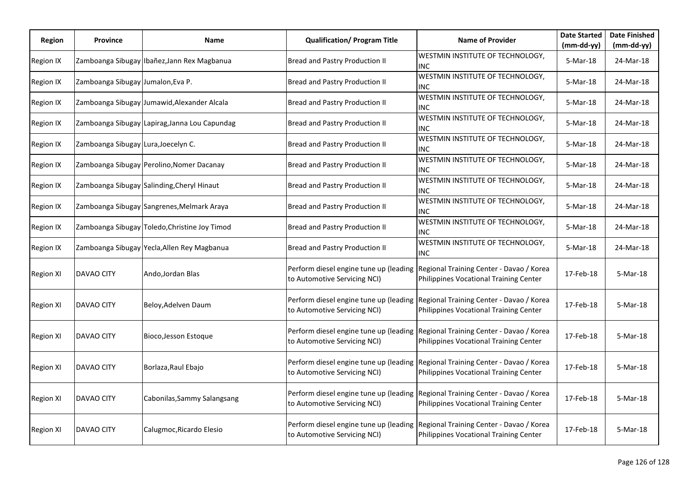| Region           | <b>Province</b>                     | Name                                          | <b>Qualification/ Program Title</b>                                    | <b>Name of Provider</b>                                                            | <b>Date Started</b>    | <b>Date Finished</b>      |
|------------------|-------------------------------------|-----------------------------------------------|------------------------------------------------------------------------|------------------------------------------------------------------------------------|------------------------|---------------------------|
| <b>Region IX</b> |                                     | Zamboanga Sibugay Ibañez, Jann Rex Magbanua   | Bread and Pastry Production II                                         | WESTMIN INSTITUTE OF TECHNOLOGY,<br><b>INC</b>                                     | (mm-dd-yy)<br>5-Mar-18 | $(mm-dd-yy)$<br>24-Mar-18 |
| Region IX        | Zamboanga Sibugay Jumalon, Eva P.   |                                               | Bread and Pastry Production II                                         | WESTMIN INSTITUTE OF TECHNOLOGY,<br><b>INC</b>                                     | 5-Mar-18               | 24-Mar-18                 |
| Region IX        |                                     | Zamboanga Sibugay Jumawid, Alexander Alcala   | Bread and Pastry Production II                                         | WESTMIN INSTITUTE OF TECHNOLOGY,<br><b>INC</b>                                     | 5-Mar-18               | 24-Mar-18                 |
| <b>Region IX</b> |                                     | Zamboanga Sibugay Lapirag, Janna Lou Capundag | Bread and Pastry Production II                                         | WESTMIN INSTITUTE OF TECHNOLOGY,<br><b>INC</b>                                     | 5-Mar-18               | 24-Mar-18                 |
| <b>Region IX</b> | Zamboanga Sibugay Lura, Joecelyn C. |                                               | Bread and Pastry Production II                                         | WESTMIN INSTITUTE OF TECHNOLOGY,<br>INC                                            | 5-Mar-18               | 24-Mar-18                 |
| Region IX        |                                     | Zamboanga Sibugay Perolino, Nomer Dacanay     | Bread and Pastry Production II                                         | WESTMIN INSTITUTE OF TECHNOLOGY,<br><b>INC</b>                                     | 5-Mar-18               | 24-Mar-18                 |
| <b>Region IX</b> |                                     | Zamboanga Sibugay Salinding, Cheryl Hinaut    | Bread and Pastry Production II                                         | WESTMIN INSTITUTE OF TECHNOLOGY,<br><b>INC</b>                                     | 5-Mar-18               | 24-Mar-18                 |
| <b>Region IX</b> |                                     | Zamboanga Sibugay Sangrenes, Melmark Araya    | Bread and Pastry Production II                                         | WESTMIN INSTITUTE OF TECHNOLOGY,<br>INC.                                           | 5-Mar-18               | 24-Mar-18                 |
| <b>Region IX</b> |                                     | Zamboanga Sibugay Toledo, Christine Joy Timod | Bread and Pastry Production II                                         | WESTMIN INSTITUTE OF TECHNOLOGY,<br><b>INC</b>                                     | 5-Mar-18               | 24-Mar-18                 |
| Region IX        |                                     | Zamboanga Sibugay Yecla, Allen Rey Magbanua   | Bread and Pastry Production II                                         | WESTMIN INSTITUTE OF TECHNOLOGY,<br>INC.                                           | 5-Mar-18               | 24-Mar-18                 |
| <b>Region XI</b> | <b>DAVAO CITY</b>                   | Ando, Jordan Blas                             | Perform diesel engine tune up (leading<br>to Automotive Servicing NCI) | Regional Training Center - Davao / Korea<br>Philippines Vocational Training Center | 17-Feb-18              | 5-Mar-18                  |
| <b>Region XI</b> | DAVAO CITY                          | Beloy, Adelven Daum                           | Perform diesel engine tune up (leading<br>to Automotive Servicing NCI) | Regional Training Center - Davao / Korea<br>Philippines Vocational Training Center | 17-Feb-18              | 5-Mar-18                  |
| <b>Region XI</b> | DAVAO CITY                          | Bioco, Jesson Estoque                         | Perform diesel engine tune up (leading<br>to Automotive Servicing NCI) | Regional Training Center - Davao / Korea<br>Philippines Vocational Training Center | 17-Feb-18              | 5-Mar-18                  |
| <b>Region XI</b> | DAVAO CITY                          | Borlaza, Raul Ebajo                           | Perform diesel engine tune up (leading<br>to Automotive Servicing NCI) | Regional Training Center - Davao / Korea<br>Philippines Vocational Training Center | 17-Feb-18              | 5-Mar-18                  |
| <b>Region XI</b> | DAVAO CITY                          | Cabonilas, Sammy Salangsang                   | Perform diesel engine tune up (leading<br>to Automotive Servicing NCI) | Regional Training Center - Davao / Korea<br>Philippines Vocational Training Center | 17-Feb-18              | 5-Mar-18                  |
| <b>Region XI</b> | <b>DAVAO CITY</b>                   | Calugmoc, Ricardo Elesio                      | Perform diesel engine tune up (leading<br>to Automotive Servicing NCI) | Regional Training Center - Davao / Korea<br>Philippines Vocational Training Center | 17-Feb-18              | 5-Mar-18                  |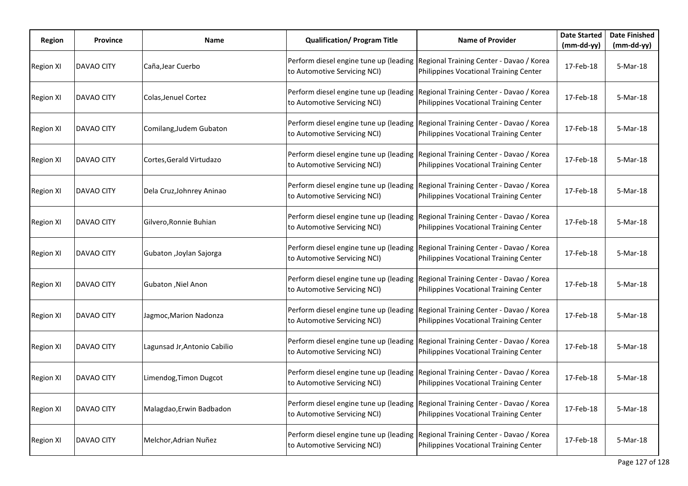| <b>Region</b>    | <b>Province</b>   | Name                         | <b>Qualification/ Program Title</b>                                    | <b>Name of Provider</b>                                                            | <b>Date Started</b><br>$(mm-dd-yy)$ | <b>Date Finished</b><br>$(mm-dd-yy)$ |
|------------------|-------------------|------------------------------|------------------------------------------------------------------------|------------------------------------------------------------------------------------|-------------------------------------|--------------------------------------|
| <b>Region XI</b> | <b>DAVAO CITY</b> | Caña.Jear Cuerbo             | Perform diesel engine tune up (leading<br>to Automotive Servicing NCI) | Regional Training Center - Davao / Korea<br>Philippines Vocational Training Center | 17-Feb-18                           | 5-Mar-18                             |
| <b>Region XI</b> | DAVAO CITY        | Colas, Jenuel Cortez         | Perform diesel engine tune up (leading<br>to Automotive Servicing NCI) | Regional Training Center - Davao / Korea<br>Philippines Vocational Training Center | 17-Feb-18                           | 5-Mar-18                             |
| <b>Region XI</b> | DAVAO CITY        | Comilang, Judem Gubaton      | Perform diesel engine tune up (leading<br>to Automotive Servicing NCI) | Regional Training Center - Davao / Korea<br>Philippines Vocational Training Center | 17-Feb-18                           | 5-Mar-18                             |
| <b>Region XI</b> | DAVAO CITY        | Cortes, Gerald Virtudazo     | Perform diesel engine tune up (leading<br>to Automotive Servicing NCI) | Regional Training Center - Davao / Korea<br>Philippines Vocational Training Center | 17-Feb-18                           | 5-Mar-18                             |
| <b>Region XI</b> | <b>DAVAO CITY</b> | Dela Cruz, Johnrey Aninao    | Perform diesel engine tune up (leading<br>to Automotive Servicing NCI) | Regional Training Center - Davao / Korea<br>Philippines Vocational Training Center | 17-Feb-18                           | 5-Mar-18                             |
| <b>Region XI</b> | DAVAO CITY        | Gilvero, Ronnie Buhian       | Perform diesel engine tune up (leading<br>to Automotive Servicing NCI) | Regional Training Center - Davao / Korea<br>Philippines Vocational Training Center | 17-Feb-18                           | 5-Mar-18                             |
| <b>Region XI</b> | DAVAO CITY        | Gubaton , Joylan Sajorga     | Perform diesel engine tune up (leading<br>to Automotive Servicing NCI) | Regional Training Center - Davao / Korea<br>Philippines Vocational Training Center | 17-Feb-18                           | 5-Mar-18                             |
| <b>Region XI</b> | <b>DAVAO CITY</b> | Gubaton , Niel Anon          | Perform diesel engine tune up (leading<br>to Automotive Servicing NCI) | Regional Training Center - Davao / Korea<br>Philippines Vocational Training Center | 17-Feb-18                           | 5-Mar-18                             |
| <b>Region XI</b> | DAVAO CITY        | Jagmoc, Marion Nadonza       | Perform diesel engine tune up (leading<br>to Automotive Servicing NCI) | Regional Training Center - Davao / Korea<br>Philippines Vocational Training Center | 17-Feb-18                           | 5-Mar-18                             |
| <b>Region XI</b> | DAVAO CITY        | Lagunsad Jr, Antonio Cabilio | Perform diesel engine tune up (leading<br>to Automotive Servicing NCI) | Regional Training Center - Davao / Korea<br>Philippines Vocational Training Center | 17-Feb-18                           | 5-Mar-18                             |
| <b>Region XI</b> | DAVAO CITY        | Limendog, Timon Dugcot       | Perform diesel engine tune up (leading<br>to Automotive Servicing NCI) | Regional Training Center - Davao / Korea<br>Philippines Vocational Training Center | 17-Feb-18                           | 5-Mar-18                             |
| <b>Region XI</b> | DAVAO CITY        | Malagdao, Erwin Badbadon     | Perform diesel engine tune up (leading<br>to Automotive Servicing NCI) | Regional Training Center - Davao / Korea<br>Philippines Vocational Training Center | 17-Feb-18                           | 5-Mar-18                             |
| <b>Region XI</b> | <b>DAVAO CITY</b> | Melchor, Adrian Nuñez        | Perform diesel engine tune up (leading<br>to Automotive Servicing NCI) | Regional Training Center - Davao / Korea<br>Philippines Vocational Training Center | 17-Feb-18                           | 5-Mar-18                             |